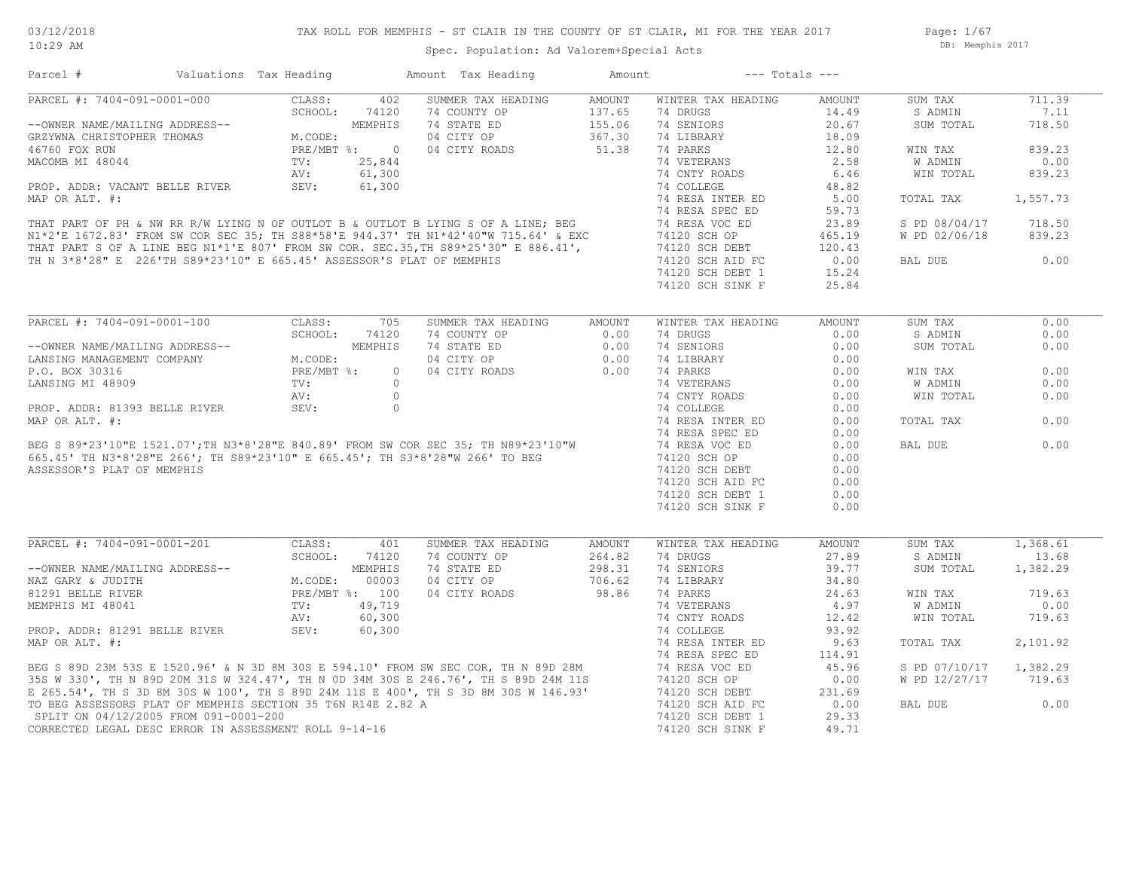Page: 1/67 DB: Memphis 2017

| PARCEL #: 7404-091-0001-000<br>--OWNER NAME/MAILING ADDRESS--<br>GRZYWNA CHRISTOPHER THOMAS<br>46760 FOX RUN                                                                                                                               | CLASS:<br>402<br>SCHOOL:<br>74120<br>MEMPHIS<br>M.CODE:                                                                                                                                                                                                                                                                                                                                  | SUMMER TAX HEADING<br>74 COUNTY OP<br>74 STATE ED<br>04 CITY OP | AMOUNT<br>$15111$<br>$15110$<br>$155.06$<br>$367.30$<br>51.38 | WINTER TAX HEADING<br>74 DRUGS<br>74 SENIORS<br>74 LIBRARY | AMOUNT<br>14.49<br>20.67<br>18.09<br>12.80<br>2.58<br>6.46<br>48.82 | SUM TAX<br>S ADMIN<br>SUM TOTAL<br>WIN TAX<br>W ADMIN<br>WIN TOTAL | 711.39<br>7.11<br>718.50<br>839.23<br>0.00 |
|--------------------------------------------------------------------------------------------------------------------------------------------------------------------------------------------------------------------------------------------|------------------------------------------------------------------------------------------------------------------------------------------------------------------------------------------------------------------------------------------------------------------------------------------------------------------------------------------------------------------------------------------|-----------------------------------------------------------------|---------------------------------------------------------------|------------------------------------------------------------|---------------------------------------------------------------------|--------------------------------------------------------------------|--------------------------------------------|
|                                                                                                                                                                                                                                            |                                                                                                                                                                                                                                                                                                                                                                                          |                                                                 |                                                               |                                                            |                                                                     |                                                                    |                                            |
|                                                                                                                                                                                                                                            |                                                                                                                                                                                                                                                                                                                                                                                          |                                                                 |                                                               |                                                            |                                                                     |                                                                    |                                            |
|                                                                                                                                                                                                                                            |                                                                                                                                                                                                                                                                                                                                                                                          |                                                                 |                                                               |                                                            |                                                                     |                                                                    |                                            |
|                                                                                                                                                                                                                                            |                                                                                                                                                                                                                                                                                                                                                                                          |                                                                 |                                                               |                                                            |                                                                     |                                                                    |                                            |
|                                                                                                                                                                                                                                            |                                                                                                                                                                                                                                                                                                                                                                                          |                                                                 |                                                               |                                                            |                                                                     |                                                                    |                                            |
|                                                                                                                                                                                                                                            |                                                                                                                                                                                                                                                                                                                                                                                          |                                                                 |                                                               |                                                            |                                                                     |                                                                    |                                            |
|                                                                                                                                                                                                                                            |                                                                                                                                                                                                                                                                                                                                                                                          |                                                                 |                                                               |                                                            |                                                                     |                                                                    | 839.23                                     |
|                                                                                                                                                                                                                                            |                                                                                                                                                                                                                                                                                                                                                                                          |                                                                 |                                                               |                                                            |                                                                     |                                                                    |                                            |
|                                                                                                                                                                                                                                            |                                                                                                                                                                                                                                                                                                                                                                                          |                                                                 |                                                               |                                                            | 5.00                                                                | TOTAL TAX                                                          | 1,557.73                                   |
|                                                                                                                                                                                                                                            |                                                                                                                                                                                                                                                                                                                                                                                          |                                                                 |                                                               |                                                            |                                                                     |                                                                    |                                            |
|                                                                                                                                                                                                                                            |                                                                                                                                                                                                                                                                                                                                                                                          |                                                                 |                                                               |                                                            | 59.73                                                               |                                                                    |                                            |
|                                                                                                                                                                                                                                            |                                                                                                                                                                                                                                                                                                                                                                                          |                                                                 |                                                               |                                                            | 23.89                                                               | S PD 08/04/17                                                      | 718.50                                     |
|                                                                                                                                                                                                                                            |                                                                                                                                                                                                                                                                                                                                                                                          |                                                                 |                                                               |                                                            | 465.19                                                              | W PD 02/06/18                                                      | 839.23                                     |
|                                                                                                                                                                                                                                            |                                                                                                                                                                                                                                                                                                                                                                                          |                                                                 |                                                               |                                                            | 120.43                                                              |                                                                    |                                            |
|                                                                                                                                                                                                                                            |                                                                                                                                                                                                                                                                                                                                                                                          |                                                                 |                                                               |                                                            | 0.00                                                                | BAL DUE                                                            | 0.00                                       |
|                                                                                                                                                                                                                                            |                                                                                                                                                                                                                                                                                                                                                                                          |                                                                 |                                                               |                                                            | 15.24                                                               |                                                                    |                                            |
|                                                                                                                                                                                                                                            |                                                                                                                                                                                                                                                                                                                                                                                          |                                                                 |                                                               |                                                            | 25.84                                                               |                                                                    |                                            |
|                                                                                                                                                                                                                                            |                                                                                                                                                                                                                                                                                                                                                                                          |                                                                 |                                                               |                                                            |                                                                     |                                                                    |                                            |
|                                                                                                                                                                                                                                            |                                                                                                                                                                                                                                                                                                                                                                                          |                                                                 |                                                               | WINTER TAX HEADING                                         | AMOUNT                                                              | SUM TAX                                                            | 0.00                                       |
|                                                                                                                                                                                                                                            | SCHOOL:<br>74120                                                                                                                                                                                                                                                                                                                                                                         | 74 COUNTY OP                                                    | 0.00                                                          | 74 DRUGS                                                   | 0.00                                                                | S ADMIN                                                            | 0.00                                       |
| --OWNER NAME/MAILING ADDRESS--                                                                                                                                                                                                             | MEMPHIS                                                                                                                                                                                                                                                                                                                                                                                  | 74 STATE ED                                                     | $\begin{array}{c} 0.00 \\ 0.00 \\ 0.00 \\ 3 \end{array}$ 3    | 74 SENIORS                                                 | 0.00                                                                | SUM TOTAL                                                          | 0.00                                       |
| LANSING MANAGEMENT COMPANY                                                                                                                                                                                                                 | M.CODE:                                                                                                                                                                                                                                                                                                                                                                                  | 04 CITY OP                                                      |                                                               | 74 LIBRARY                                                 | 0.00                                                                |                                                                    |                                            |
|                                                                                                                                                                                                                                            |                                                                                                                                                                                                                                                                                                                                                                                          |                                                                 |                                                               |                                                            |                                                                     |                                                                    |                                            |
| P.O. BOX 30316                                                                                                                                                                                                                             | $PRE/MBT$ %:                                                                                                                                                                                                                                                                                                                                                                             | $\circ$<br>04 CITY ROADS                                        |                                                               | 74 PARKS                                                   | 0.00                                                                | WIN TAX                                                            | 0.00                                       |
| LANSING MI 48909                                                                                                                                                                                                                           | TV:                                                                                                                                                                                                                                                                                                                                                                                      | $\Omega$                                                        |                                                               | 74 VETERANS                                                | 0.00                                                                | W ADMIN                                                            | 0.00                                       |
|                                                                                                                                                                                                                                            | AV:                                                                                                                                                                                                                                                                                                                                                                                      | $\overline{0}$                                                  |                                                               | 74 CNTY ROADS                                              | 0.00                                                                | WIN TOTAL                                                          | 0.00                                       |
| PROP. ADDR: 81393 BELLE RIVER                                                                                                                                                                                                              | SEV:                                                                                                                                                                                                                                                                                                                                                                                     | $\circ$                                                         |                                                               | 74 COLLEGE                                                 | 0.00                                                                |                                                                    |                                            |
| MAP OR ALT. #:<br>BEG S 89*23'10"E 1521.07';TH N3*8'28"E 840.89' FROM SW COR SEC 35; TH N89*23'10"W<br>665.45' TH N3*8'28"E 266'; TH S89*23'10" E 665.45'; TH S3*8'28"W 266' TO BEG                                                        |                                                                                                                                                                                                                                                                                                                                                                                          |                                                                 |                                                               | 74 RESA INTER ED                                           | 0.00                                                                | TOTAL TAX                                                          | 0.00                                       |
|                                                                                                                                                                                                                                            |                                                                                                                                                                                                                                                                                                                                                                                          |                                                                 |                                                               | 74 RESA SPEC ED                                            | 0.00                                                                |                                                                    |                                            |
|                                                                                                                                                                                                                                            |                                                                                                                                                                                                                                                                                                                                                                                          |                                                                 |                                                               | 74 RESA VOC ED                                             | 0.00                                                                | BAL DUE                                                            | 0.00                                       |
|                                                                                                                                                                                                                                            |                                                                                                                                                                                                                                                                                                                                                                                          |                                                                 |                                                               | 74120 SCH OP                                               | 0.00                                                                |                                                                    |                                            |
| ASSESSOR'S PLAT OF MEMPHIS                                                                                                                                                                                                                 |                                                                                                                                                                                                                                                                                                                                                                                          |                                                                 |                                                               | 74120 SCH DEBT                                             | 0.00                                                                |                                                                    |                                            |
|                                                                                                                                                                                                                                            |                                                                                                                                                                                                                                                                                                                                                                                          |                                                                 |                                                               | 74120 SCH AID FC                                           | 0.00                                                                |                                                                    |                                            |
|                                                                                                                                                                                                                                            |                                                                                                                                                                                                                                                                                                                                                                                          |                                                                 |                                                               | 74120 SCH DEBT 1                                           | 0.00                                                                |                                                                    |                                            |
|                                                                                                                                                                                                                                            |                                                                                                                                                                                                                                                                                                                                                                                          |                                                                 |                                                               |                                                            |                                                                     |                                                                    |                                            |
|                                                                                                                                                                                                                                            |                                                                                                                                                                                                                                                                                                                                                                                          |                                                                 |                                                               | 74120 SCH SINK F                                           | 0.00                                                                |                                                                    |                                            |
|                                                                                                                                                                                                                                            |                                                                                                                                                                                                                                                                                                                                                                                          |                                                                 |                                                               |                                                            |                                                                     |                                                                    |                                            |
| PARCEL #: 7404-091-0001-201                                                                                                                                                                                                                | 401<br>$\begin{tabular}{c} \hline \rule{0pt}{2.5mm} \rule{0pt}{2.5mm} \rule{0pt}{2.5mm} \rule{0pt}{2.5mm} \rule{0pt}{2.5mm} \rule{0pt}{2.5mm} \rule{0pt}{2.5mm} \rule{0pt}{2.5mm} \rule{0pt}{2.5mm} \rule{0pt}{2.5mm} \rule{0pt}{2.5mm} \rule{0pt}{2.5mm} \rule{0pt}{2.5mm} \rule{0pt}{2.5mm} \rule{0pt}{2.5mm} \rule{0pt}{2.5mm} \rule{0pt}{2.5mm} \rule{0pt}{2.5mm} \rule{0pt}{2.5mm}$ | SUMMER TAX HEADING                                              | AMOUNT                                                        | WINTER TAX HEADING                                         | AMOUNT                                                              | SUM TAX                                                            | 1,368.61                                   |
|                                                                                                                                                                                                                                            |                                                                                                                                                                                                                                                                                                                                                                                          | 74 COUNTY OP                                                    | 264.82                                                        | 74 DRUGS                                                   | 27.89                                                               | S ADMIN                                                            | 13.68                                      |
| --OWNER NAME/MAILING ADDRESS--                                                                                                                                                                                                             |                                                                                                                                                                                                                                                                                                                                                                                          | 74 STATE ED                                                     | 298.31                                                        | 74 SENIORS                                                 | 39.77                                                               | SUM TOTAL                                                          | 1,382.29                                   |
| NAZ GARY & JUDITH                                                                                                                                                                                                                          |                                                                                                                                                                                                                                                                                                                                                                                          | 04 CITY OP                                                      | 706.62                                                        | 74 LIBRARY                                                 | 34.80                                                               |                                                                    |                                            |
| 81291 BELLE RIVER                                                                                                                                                                                                                          |                                                                                                                                                                                                                                                                                                                                                                                          | 04 CITY ROADS                                                   | 98.86                                                         | 74 PARKS                                                   | 24.63                                                               | WIN TAX                                                            | 719.63                                     |
| MEMPHIS MI 48041<br>MEMPHIS MI 48041<br>MEMPHIS MI 48041<br>MOP. ADDR: 81291 BELLE RIVER<br>MAP OR ALT. #:<br>BEG S 89D 23M 53S E 1520.96' & N 3D 8M 30S E 594.10' FROM SW SEC COR, TH N 89D 28M<br>35S W 330', TH N 89D 20M 31S W 324.47' |                                                                                                                                                                                                                                                                                                                                                                                          |                                                                 |                                                               | 74 VETERANS                                                | 4.97                                                                | W ADMIN                                                            | 0.00                                       |
|                                                                                                                                                                                                                                            |                                                                                                                                                                                                                                                                                                                                                                                          |                                                                 |                                                               | 74 CNTY ROADS                                              | 12.42                                                               | WIN TOTAL                                                          | 719.63                                     |
|                                                                                                                                                                                                                                            |                                                                                                                                                                                                                                                                                                                                                                                          |                                                                 |                                                               | 74 COLLEGE                                                 | 93.92                                                               |                                                                    |                                            |
|                                                                                                                                                                                                                                            |                                                                                                                                                                                                                                                                                                                                                                                          |                                                                 |                                                               | 74 RESA INTER ED                                           | 9.63                                                                | TOTAL TAX                                                          | 2,101.92                                   |
|                                                                                                                                                                                                                                            |                                                                                                                                                                                                                                                                                                                                                                                          |                                                                 |                                                               | 74 RESA SPEC ED                                            | 114.91                                                              |                                                                    |                                            |
|                                                                                                                                                                                                                                            |                                                                                                                                                                                                                                                                                                                                                                                          |                                                                 |                                                               |                                                            | 45.96                                                               |                                                                    |                                            |
|                                                                                                                                                                                                                                            |                                                                                                                                                                                                                                                                                                                                                                                          |                                                                 |                                                               | 74 RESA VOC ED                                             |                                                                     | S PD 07/10/17 1,382.29                                             |                                            |
|                                                                                                                                                                                                                                            |                                                                                                                                                                                                                                                                                                                                                                                          |                                                                 |                                                               | 74120 SCH OP                                               | 0.00                                                                | W PD 12/27/17                                                      | 719.63                                     |
|                                                                                                                                                                                                                                            |                                                                                                                                                                                                                                                                                                                                                                                          |                                                                 |                                                               | 74120 SCH DEBT                                             | 231.69                                                              |                                                                    |                                            |
|                                                                                                                                                                                                                                            |                                                                                                                                                                                                                                                                                                                                                                                          |                                                                 |                                                               | 74120 SCH AID FC                                           | 0.00                                                                | BAL DUE                                                            | 0.00                                       |
|                                                                                                                                                                                                                                            |                                                                                                                                                                                                                                                                                                                                                                                          |                                                                 |                                                               | 74120 SCH DEBT 1                                           | 29.33                                                               |                                                                    |                                            |
| TO BEG ASSESSORS PLAT OF MEMPHIS SECTION 35 T6N R14E 2.82 A<br>SPLIT ON 04/12/2005 FROM 091-0001-200                                                                                                                                       |                                                                                                                                                                                                                                                                                                                                                                                          |                                                                 |                                                               |                                                            | 49.71                                                               |                                                                    |                                            |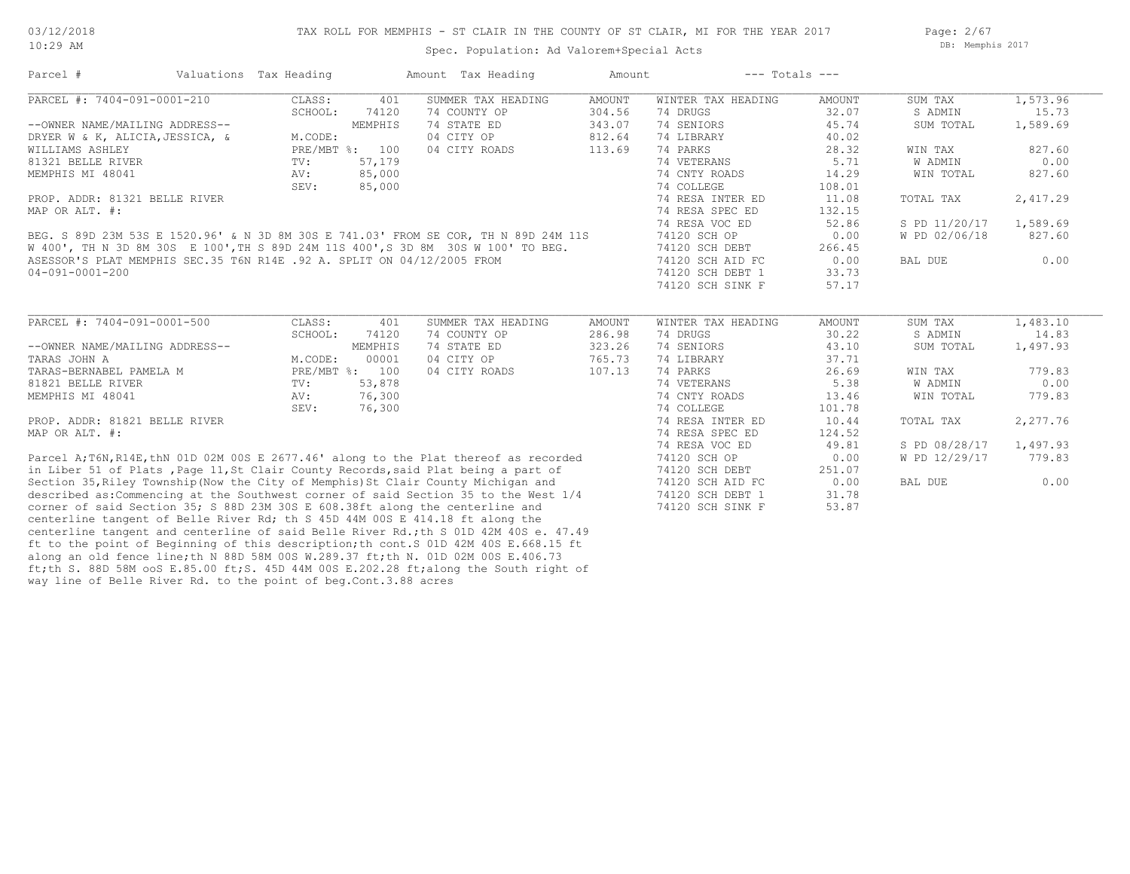Page: 2/67 DB: Memphis 2017

#### Spec. Population: Ad Valorem+Special Acts

| Parcel #                                                                              | Valuations Tax Heading |                | Amount Tax Heading                 | Amount           | $---$ Totals $---$             |                 |                    |                   |
|---------------------------------------------------------------------------------------|------------------------|----------------|------------------------------------|------------------|--------------------------------|-----------------|--------------------|-------------------|
| PARCEL #: 7404-091-0001-210                                                           | CLASS:                 | 401            | SUMMER TAX HEADING                 | AMOUNT           | WINTER TAX HEADING             | AMOUNT          | SUM TAX            | 1,573.96          |
|                                                                                       | SCHOOL:                | 74120          | 74 COUNTY OP                       | 304.56           | 74 DRUGS                       | 32.07           | S ADMIN            | 15.73             |
| --OWNER NAME/MAILING ADDRESS--                                                        |                        | MEMPHIS        | 74 STATE ED                        | 343.07           | 74 SENIORS                     | 45.74           | SUM TOTAL          | 1,589.69          |
| DRYER W & K, ALICIA, JESSICA, &                                                       | M.CODE:                |                | 04 CITY OP                         | 812.64           | 74 LIBRARY                     | 40.02           |                    |                   |
| WILLIAMS ASHLEY                                                                       |                        | PRE/MBT %: 100 | 04 CITY ROADS                      | 113.69           | 74 PARKS                       | 28.32           | WIN TAX            | 827.60            |
| 81321 BELLE RIVER                                                                     | TV:                    | 57,179         |                                    |                  | 74 VETERANS                    | 5.71            | W ADMIN            | 0.00              |
| MEMPHIS MI 48041                                                                      | AV:                    | 85,000         |                                    |                  | 74 CNTY ROADS                  | 14.29           | WIN TOTAL          | 827.60            |
|                                                                                       | SEV:                   | 85,000         |                                    |                  | 74 COLLEGE                     | 108.01          |                    |                   |
| PROP. ADDR: 81321 BELLE RIVER                                                         |                        |                |                                    |                  | 74 RESA INTER ED               | 11.08           | TOTAL TAX          | 2,417.29          |
| MAP OR ALT. #:                                                                        |                        |                |                                    |                  | 74 RESA SPEC ED                | 132.15          |                    |                   |
|                                                                                       |                        |                |                                    |                  | 74 RESA VOC ED                 | 52.86           | S PD 11/20/17      | 1,589.69          |
| BEG. S 89D 23M 53S E 1520.96' & N 3D 8M 30S E 741.03' FROM SE COR, TH N 89D 24M 11S   |                        |                |                                    |                  | 74120 SCH OP                   | 0.00            | W PD 02/06/18      | 827.60            |
| W 400', TH N 3D 8M 30S E 100', TH S 89D 24M 11S 400', S 3D 8M 30S W 100' TO BEG.      |                        |                |                                    |                  | 74120 SCH DEBT                 | 266.45          |                    |                   |
| ASESSOR'S PLAT MEMPHIS SEC.35 T6N R14E .92 A. SPLIT ON 04/12/2005 FROM                |                        |                |                                    |                  | 74120 SCH AID FC               | 0.00            | BAL DUE            | 0.00              |
| 04-091-0001-200                                                                       |                        |                |                                    |                  | 74120 SCH DEBT 1               | 33.73           |                    |                   |
|                                                                                       |                        |                |                                    |                  | 74120 SCH SINK F               | 57.17           |                    |                   |
| PARCEL #: 7404-091-0001-500                                                           | CLASS:<br>SCHOOL:      | 401<br>74120   | SUMMER TAX HEADING<br>74 COUNTY OP | AMOUNT<br>286.98 | WINTER TAX HEADING<br>74 DRUGS | AMOUNT<br>30.22 | SUM TAX<br>S ADMIN | 1,483.10<br>14.83 |
| --OWNER NAME/MAILING ADDRESS--                                                        |                        | MEMPHIS        | 74 STATE ED                        | 323.26           | 74 SENIORS                     | 43.10           | SUM TOTAL          | 1,497.93          |
| TARAS JOHN A                                                                          | M.CODE:                | 00001          | 04 CITY OP                         | 765.73           | 74 LIBRARY                     | 37.71           |                    |                   |
| TARAS-BERNABEL PAMELA M                                                               |                        | PRE/MBT %: 100 | 04 CITY ROADS                      | 107.13           | 74 PARKS                       | 26.69           | WIN TAX            | 779.83            |
| 81821 BELLE RIVER                                                                     | TV:                    | 53,878         |                                    |                  | 74 VETERANS                    | 5.38            | W ADMIN            | 0.00              |
| MEMPHIS MI 48041                                                                      | AV:                    | 76,300         |                                    |                  | 74 CNTY ROADS                  | 13.46           | WIN TOTAL          | 779.83            |
|                                                                                       | SEV:                   | 76,300         |                                    |                  | 74 COLLEGE                     | 101.78          |                    |                   |
| PROP. ADDR: 81821 BELLE RIVER                                                         |                        |                |                                    |                  | 74 RESA INTER ED               | 10.44           | TOTAL TAX          | 2,277.76          |
| MAP OR ALT. #:                                                                        |                        |                |                                    |                  | 74 RESA SPEC ED                | 124.52          |                    |                   |
|                                                                                       |                        |                |                                    |                  | 74 RESA VOC ED                 | 49.81           | S PD 08/28/17      | 1,497.93          |
| Parcel A; T6N, R14E, thN 01D 02M 00S E 2677.46' along to the Plat thereof as recorded |                        |                |                                    |                  | 74120 SCH OP                   | 0.00            | W PD 12/29/17      | 779.83            |
| in Liber 51 of Plats, Page 11, St Clair County Records, said Plat being a part of     |                        |                |                                    |                  | 74120 SCH DEBT                 | 251.07          |                    |                   |
| Section 35, Riley Township (Now the City of Memphis) St Clair County Michigan and     |                        |                |                                    |                  | 74120 SCH AID FC               | 0.00            | BAL DUE            | 0.00              |
| described as: Commencing at the Southwest corner of said Section 35 to the West 1/4   |                        |                |                                    |                  | 74120 SCH DEBT 1               | 31.78           |                    |                   |
| corner of said Section 35; S 88D 23M 30S E 608.38ft along the centerline and          |                        |                |                                    |                  | 74120 SCH SINK F               | 53.87           |                    |                   |
| contabling topcont of Dollo Divor Dd, th C 45D 44M 000 E 414 10 ft along the          |                        |                |                                    |                  |                                |                 |                    |                   |

way line of Belle River Rd. to the point of beg.Cont.3.88 acres ft;th S. 88D 58M ooS E.85.00 ft;S. 45D 44M 00S E.202.28 ft;along the South right of along an old fence line;th N 88D 58M 00S W.289.37 ft;th N. 01D 02M 00S E.406.73 ft to the point of Beginning of this description;th cont.S 01D 42M 40S E.668.15 ft centerline tangent and centerline of said Belle River Rd.;th S 01D 42M 40S e. 47.49 centerline tangent of Belle River Rd; th S 45D 44M 00S E 414.18 ft along the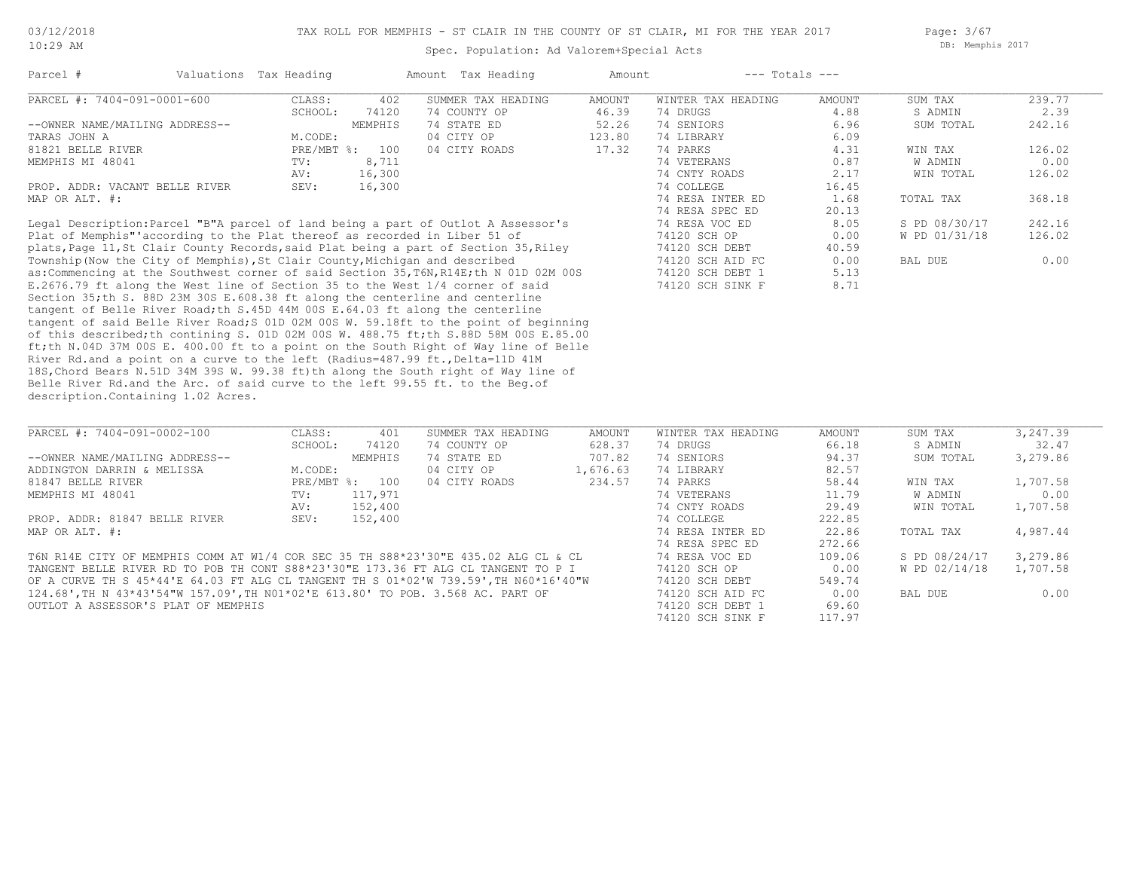Spec. Population: Ad Valorem+Special Acts

Page: 3/67 DB: Memphis 2017

| Parcel #                       | Valuations Tax Heading |         | Amount Tax Heading | Amount | $---$ Totals $---$ |        |           |        |
|--------------------------------|------------------------|---------|--------------------|--------|--------------------|--------|-----------|--------|
| PARCEL #: 7404-091-0001-600    | CLASS:                 | 402     | SUMMER TAX HEADING | AMOUNT | WINTER TAX HEADING | AMOUNT | SUM TAX   | 239.77 |
|                                | SCHOOL:                | 74120   | 74 COUNTY OP       | 46.39  | 74 DRUGS           | 4.88   | S ADMIN   | 2.39   |
| --OWNER NAME/MAILING ADDRESS-- |                        | MEMPHIS | 74 STATE ED        | 52.26  | 74 SENIORS         | 6.96   | SUM TOTAL | 242.16 |
| TARAS JOHN A                   | M.CODE:                |         | 04 CITY OP         | 123.80 | 74 LIBRARY         | 6.09   |           |        |
| 81821 BELLE RIVER              | PRE/MBT %:             | 100     | 04 CITY ROADS      | 17.32  | 74 PARKS           | 4.31   | WIN TAX   | 126.02 |
| MEMPHIS MI 48041               | TV:                    | 8,711   |                    |        | 74 VETERANS        | 0.87   | W ADMIN   | 0.00   |
|                                | AV:                    | 16,300  |                    |        | 74 CNTY ROADS      | 2.17   | WIN TOTAL | 126.02 |
| PROP. ADDR: VACANT BELLE RIVER | SEV:                   | 16,300  |                    |        | 74 COLLEGE         | 16.45  |           |        |
| MAP OR ALT. #:                 |                        |         |                    |        | 74 RESA INTER ED   | 1.68   | TOTAL TAX | 368.18 |
|                                |                        |         |                    |        | 74 RESA SPEC ED    | 20.13  |           |        |

description.Containing 1.02 Acres. Belle River Rd.and the Arc. of said curve to the left 99.55 ft. to the Beg.of 18S,Chord Bears N.51D 34M 39S W. 99.38 ft)th along the South right of Way line of River Rd.and a point on a curve to the left (Radius=487.99 ft., Delta=11D 41M ft;th N.04D 37M 00S E. 400.00 ft to a point on the South Right of Way line of Belle of this described;th contining S. 01D 02M 00S W. 488.75 ft;th S.88D 58M 00S E.85.00 tangent of said Belle River Road;S 01D 02M 00S W. 59.18ft to the point of beginning tangent of Belle River Road;th S.45D 44M 00S E.64.03 ft along the centerline Section 35;th S. 88D 23M 30S E.608.38 ft along the centerline and centerline E.2676.79 ft along the West line of Section 35 to the West 1/4 corner of said 74120 SCH SINK F 8.71 as:Commencing at the Southwest corner of said Section 35, T6N, R14E;th N 01D 02M 00S 74120 SCH DEBT 1 5.13 Township(Now the City of Memphis),St Clair County,Michigan and described 74120 SCH AID FC 0.00 BAL DUE 0.00 plats,Page 11,St Clair County Records,said Plat being a part of Section 35,Riley 74120 SCH DEBT 40.59 Plat of Memphis"'according to the Plat thereof as recorded in Liber 51 of 74120 SCH OP 0.00 W PD 01/31/18 126.02 Legal Description:Parcel "B"A parcel of land being a part of Outlot A Assessor's 74 RESA VOC ED 8.05 S PD 08/30/17 242.16

| PARCEL #: 7404-091-0002-100                                                         | CLASS:       | 401     | SUMMER TAX HEADING | AMOUNT   | WINTER TAX HEADING | AMOUNT | SUM TAX       | 3,247.39 |
|-------------------------------------------------------------------------------------|--------------|---------|--------------------|----------|--------------------|--------|---------------|----------|
|                                                                                     | SCHOOL:      | 74120   | 74 COUNTY OP       | 628.37   | 74 DRUGS           | 66.18  | S ADMIN       | 32.47    |
| --OWNER NAME/MAILING ADDRESS--                                                      |              | MEMPHIS | 74 STATE ED        | 707.82   | 74 SENIORS         | 94.37  | SUM TOTAL     | 3,279.86 |
| ADDINGTON DARRIN & MELISSA                                                          | M.CODE:      |         | 04 CITY OP         | 1,676.63 | 74 LIBRARY         | 82.57  |               |          |
| 81847 BELLE RIVER                                                                   | $PRE/MBT$ %: | 100     | 04 CITY ROADS      | 234.57   | 74 PARKS           | 58.44  | WIN TAX       | 1,707.58 |
| MEMPHIS MI 48041                                                                    | TV:          | 117,971 |                    |          | 74 VETERANS        | 11.79  | W ADMIN       | 0.00     |
|                                                                                     | AV:          | 152,400 |                    |          | 74 CNTY ROADS      | 29.49  | WIN TOTAL     | 1,707.58 |
| PROP. ADDR: 81847 BELLE RIVER                                                       | SEV:         | 152,400 |                    |          | 74 COLLEGE         | 222.85 |               |          |
| MAP OR ALT. #:                                                                      |              |         |                    |          | 74 RESA INTER ED   | 22.86  | TOTAL TAX     | 4,987.44 |
|                                                                                     |              |         |                    |          | 74 RESA SPEC ED    | 272.66 |               |          |
| T6N R14E CITY OF MEMPHIS COMM AT W1/4 COR SEC 35 TH S88*23'30"E 435.02 ALG CL & CL  |              |         |                    |          | 74 RESA VOC ED     | 109.06 | S PD 08/24/17 | 3,279.86 |
| TANGENT BELLE RIVER RD TO POB TH CONT S88*23'30"E 173.36 FT ALG CL TANGENT TO P I   |              |         |                    |          | 74120 SCH OP       | 0.00   | W PD 02/14/18 | 1,707.58 |
| OF A CURVE TH S 45*44'E 64.03 FT ALG CL TANGENT TH S 01*02'W 739.59',TH N60*16'40"W |              |         |                    |          | 74120 SCH DEBT     | 549.74 |               |          |
|                                                                                     |              |         |                    |          |                    |        |               |          |

 $\_$  , and the state of the state of the state of the state of the state of the state of the state of the state of the state of the state of the state of the state of the state of the state of the state of the state of the

74120 SCH SINK F 117.97

OUTLOT A ASSESSOR'S PLAT OF MEMPHIS 74120 SCH DEBT 1 69.60 124.68',TH N 43\*43'54"W 157.09',TH N01\*02'E 613.80' TO POB. 3.568 AC. PART OF 74120 SCH AID FC 0.00 BAL DUE 0.00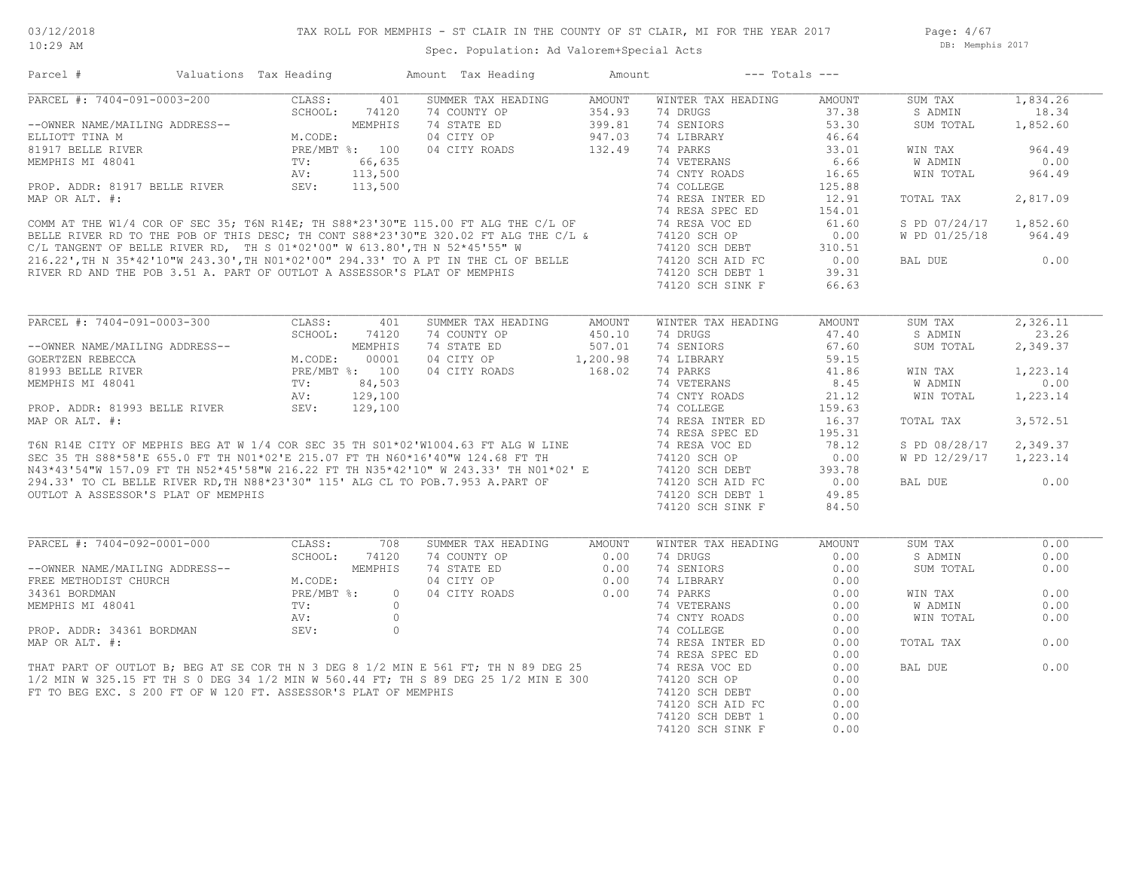Page: 4/67 DB: Memphis 2017

| Parcel #                                                                                                                                                                                                      | Valuations Tax Heading                                                                                        |                | Amount Tax Heading                                                                                                                                                                                                                    | Amount | $---$ Totals $---$                             |        |                        |          |
|---------------------------------------------------------------------------------------------------------------------------------------------------------------------------------------------------------------|---------------------------------------------------------------------------------------------------------------|----------------|---------------------------------------------------------------------------------------------------------------------------------------------------------------------------------------------------------------------------------------|--------|------------------------------------------------|--------|------------------------|----------|
| PARCEL #: 7404-091-0003-200                                                                                                                                                                                   | CLASS:                                                                                                        | 401            | SUMMER TAX HEADING                                                                                                                                                                                                                    | AMOUNT | WINTER TAX HEADING                             | AMOUNT | SUM TAX                | 1,834.26 |
|                                                                                                                                                                                                               |                                                                                                               | SCHOOL: 74120  |                                                                                                                                                                                                                                       |        | 74 DRUGS                                       | 37.38  | S ADMIN                | 18.34    |
| --OWNER NAME/MAILING ADDRESS--                                                                                                                                                                                |                                                                                                               |                |                                                                                                                                                                                                                                       |        | 74 SENIORS                                     | 53.30  | SUM TOTAL              | 1,852.60 |
| ELLIOTT TINA M                                                                                                                                                                                                | NG ADDRESS--<br>M.CODE:<br>M.CODE:<br>PRE/MBT %: 100<br>TV: 66,635<br>AV: 113,500<br>BELLE RIVER SEV: 113,500 |                | 74 COUNTY OP 354.93<br>74 STATE ED 399.81<br>74 STATE ED 399.81<br>04 CITY OP 947.03<br>04 CITY ROADS 132.49                                                                                                                          |        | 74 LIBRARY                                     | 46.64  |                        |          |
|                                                                                                                                                                                                               |                                                                                                               |                |                                                                                                                                                                                                                                       |        |                                                | 33.01  | WIN TAX                | 964.49   |
|                                                                                                                                                                                                               |                                                                                                               |                |                                                                                                                                                                                                                                       |        |                                                | 6.66   | W ADMIN                | 0.00     |
|                                                                                                                                                                                                               |                                                                                                               |                |                                                                                                                                                                                                                                       |        |                                                | 16.65  | WIN TOTAL              | 964.49   |
|                                                                                                                                                                                                               |                                                                                                               |                |                                                                                                                                                                                                                                       |        |                                                | 125.88 |                        |          |
|                                                                                                                                                                                                               |                                                                                                               |                |                                                                                                                                                                                                                                       |        |                                                | 12.91  | TOTAL TAX              | 2,817.09 |
|                                                                                                                                                                                                               |                                                                                                               |                |                                                                                                                                                                                                                                       |        |                                                | 154.01 |                        |          |
|                                                                                                                                                                                                               |                                                                                                               |                |                                                                                                                                                                                                                                       |        |                                                | 61.60  | S PD 07/24/17 1,852.60 |          |
|                                                                                                                                                                                                               |                                                                                                               |                |                                                                                                                                                                                                                                       |        |                                                | 0.00   | W PD 01/25/18          | 964.49   |
|                                                                                                                                                                                                               |                                                                                                               |                |                                                                                                                                                                                                                                       |        |                                                |        |                        |          |
|                                                                                                                                                                                                               |                                                                                                               |                |                                                                                                                                                                                                                                       |        | 74120 SCH DEBT 310.51<br>74120 SCH AID FC 0.00 |        | BAL DUE                | 0.00     |
|                                                                                                                                                                                                               |                                                                                                               |                |                                                                                                                                                                                                                                       |        |                                                | 39.31  |                        |          |
|                                                                                                                                                                                                               |                                                                                                               |                |                                                                                                                                                                                                                                       |        |                                                | 66.63  |                        |          |
|                                                                                                                                                                                                               |                                                                                                               |                |                                                                                                                                                                                                                                       |        |                                                |        |                        |          |
|                                                                                                                                                                                                               |                                                                                                               |                |                                                                                                                                                                                                                                       |        |                                                |        |                        |          |
|                                                                                                                                                                                                               |                                                                                                               |                |                                                                                                                                                                                                                                       |        | WINTER TAX HEADING                             | AMOUNT | SUM TAX                | 2,326.11 |
| CHOOL: 74120<br>COERTZEN REBECCA M.CODE: 00001<br>81993 BELLE RIVER PRE/MBT %: 100<br>MEMPHIS MI 48041 TV: 84,503<br>PROP. ADDR: 81993 BELLE RIVER SEV: 129,100<br>PROP. ADDR: 81993 BELLE RIVER SEV: 129,100 |                                                                                                               | SCHOOL: 74120  | 74 COUNTY OP                                                                                                                                                                                                                          | 450.10 | 74 DRUGS                                       | 47.40  | S ADMIN                | 23.26    |
|                                                                                                                                                                                                               |                                                                                                               |                | 74 STATE ED                                                                                                                                                                                                                           | 507.01 | 74 SENIORS                                     | 67.60  | SUM TOTAL              | 2,349.37 |
|                                                                                                                                                                                                               |                                                                                                               |                |                                                                                                                                                                                                                                       |        | 74 LIBRARY                                     | 59.15  |                        |          |
|                                                                                                                                                                                                               |                                                                                                               |                |                                                                                                                                                                                                                                       |        | 74 PARKS                                       | 41.86  | WIN TAX                | 1,223.14 |
|                                                                                                                                                                                                               |                                                                                                               |                |                                                                                                                                                                                                                                       |        | 74 VETERANS                                    | 8.45   | W ADMIN                | 0.00     |
|                                                                                                                                                                                                               |                                                                                                               |                |                                                                                                                                                                                                                                       |        | 74 CNTY ROADS                                  | 21.12  | WIN TOTAL              | 1,223.14 |
|                                                                                                                                                                                                               |                                                                                                               |                | MEMPHIS MI 48041<br>PROP. ADDR: 81993 BELLE RIVER<br>MAP OR ALT. #:<br>T6N R14E CITY OF MEPHIS BEG AT W 1/4 COR SEC 35 TH S01*02'W1004.63 FT ALG W LINE<br>SEC 35 TH S88*58'E 655.0 FT TH N01*02'E 215.07 FT TH N60*16'40"W 124.68 FT |        | 74 COLLEGE                                     | 159.63 |                        |          |
|                                                                                                                                                                                                               |                                                                                                               |                |                                                                                                                                                                                                                                       |        | 74 RESA INTER ED                               | 16.37  | TOTAL TAX              | 3,572.51 |
|                                                                                                                                                                                                               |                                                                                                               |                |                                                                                                                                                                                                                                       |        | 74 RESA SPEC ED                                | 195.31 |                        |          |
|                                                                                                                                                                                                               |                                                                                                               |                |                                                                                                                                                                                                                                       |        | 74 RESA VOC ED                                 | 78.12  | S PD 08/28/17          | 2,349.37 |
|                                                                                                                                                                                                               |                                                                                                               |                |                                                                                                                                                                                                                                       |        | 74120 SCH OP                                   | 0.00   | W PD 12/29/17 1,223.14 |          |
|                                                                                                                                                                                                               |                                                                                                               |                |                                                                                                                                                                                                                                       |        | 74120 SCH DEBT                                 | 393.78 |                        |          |
|                                                                                                                                                                                                               |                                                                                                               |                |                                                                                                                                                                                                                                       |        | 74120 SCH AID FC                               | 0.00   | BAL DUE                | 0.00     |
| OUTLOT A ASSESSOR'S PLAT OF MEMPHIS                                                                                                                                                                           |                                                                                                               |                |                                                                                                                                                                                                                                       |        | 74120 SCH DEBT 1                               | 49.85  |                        |          |
|                                                                                                                                                                                                               |                                                                                                               |                |                                                                                                                                                                                                                                       |        | 74120 SCH SINK F                               | 84.50  |                        |          |
|                                                                                                                                                                                                               |                                                                                                               |                |                                                                                                                                                                                                                                       |        |                                                |        |                        |          |
|                                                                                                                                                                                                               |                                                                                                               |                |                                                                                                                                                                                                                                       |        |                                                |        |                        |          |
| PARCEL #: 7404-092-0001-000                                                                                                                                                                                   | CLASS:                                                                                                        | 708            | SUMMER TAX HEADING AMOUNT                                                                                                                                                                                                             |        | WINTER TAX HEADING                             | AMOUNT | SUM TAX                | 0.00     |
|                                                                                                                                                                                                               |                                                                                                               | SCHOOL: 74120  | 74 COUNTY OP 0.00                                                                                                                                                                                                                     |        | 74 DRUGS                                       | 0.00   | S ADMIN                | 0.00     |
|                                                                                                                                                                                                               |                                                                                                               | MEMPHIS        |                                                                                                                                                                                                                                       |        | 74 SENIORS                                     | 0.00   | SUM TOTAL              | 0.00     |
|                                                                                                                                                                                                               |                                                                                                               |                |                                                                                                                                                                                                                                       |        | 74 LIBRARY                                     | 0.00   |                        |          |
| --OWNER NAME/MAILING ADDRESS--<br>FREE METHODIST CHURCH<br>34361 BORDMAN<br>MEMPHIS MI 48041 TV:<br>MEMPHIS MI 48041 TV:<br>2V:                                                                               |                                                                                                               | $\overline{0}$ | 74 COUNTI OP 0.00<br>74 STATE ED 0.00<br>04 CITY OP 0.00<br>04 CITY ROADS 0.00                                                                                                                                                        |        | 74 PARKS                                       | 0.00   | WIN TAX                | 0.00     |
|                                                                                                                                                                                                               |                                                                                                               | $\circ$        |                                                                                                                                                                                                                                       |        | 74 VETERANS                                    | 0.00   | W ADMIN                | 0.00     |
|                                                                                                                                                                                                               | AV:                                                                                                           | $\circ$        |                                                                                                                                                                                                                                       |        | 74 CNTY ROADS                                  | 0.00   | WIN TOTAL              | 0.00     |
| PROP. ADDR: 34361 BORDMAN                                                                                                                                                                                     | SEV:                                                                                                          | $\circ$        |                                                                                                                                                                                                                                       |        | 74 COLLEGE                                     | 0.00   |                        |          |
| MAP OR ALT. #:                                                                                                                                                                                                |                                                                                                               |                |                                                                                                                                                                                                                                       |        | 74 RESA INTER ED                               | 0.00   | TOTAL TAX              | 0.00     |
|                                                                                                                                                                                                               |                                                                                                               |                |                                                                                                                                                                                                                                       |        | 74 RESA SPEC ED                                | 0.00   |                        |          |
|                                                                                                                                                                                                               |                                                                                                               |                | THAT PART OF OUTLOT B; BEG AT SE COR TH N 3 DEG 8 1/2 MIN E 561 FT; TH N 89 DEG 25<br>1/2 MIN W 325.15 FT TH S 0 DEG 34 1/2 MIN W 560.44 FT; TH S 89 DEG 25 1/2 MIN E 300                                                             |        | 74 RESA VOC ED                                 | 0.00   | BAL DUE                | 0.00     |
|                                                                                                                                                                                                               |                                                                                                               |                |                                                                                                                                                                                                                                       |        | 74120 SCH OP                                   | 0.00   |                        |          |
| FT TO BEG EXC. S 200 FT OF W 120 FT. ASSESSOR'S PLAT OF MEMPHIS                                                                                                                                               |                                                                                                               |                |                                                                                                                                                                                                                                       |        | 74120 SCH DEBT                                 | 0.00   |                        |          |
|                                                                                                                                                                                                               |                                                                                                               |                |                                                                                                                                                                                                                                       |        | 74120 SCH AID FC                               | 0.00   |                        |          |
|                                                                                                                                                                                                               |                                                                                                               |                |                                                                                                                                                                                                                                       |        | 74120 SCH DEBT 1                               | 0.00   |                        |          |
|                                                                                                                                                                                                               |                                                                                                               |                |                                                                                                                                                                                                                                       |        | 74120 SCH SINK F                               | 0.00   |                        |          |
|                                                                                                                                                                                                               |                                                                                                               |                |                                                                                                                                                                                                                                       |        |                                                |        |                        |          |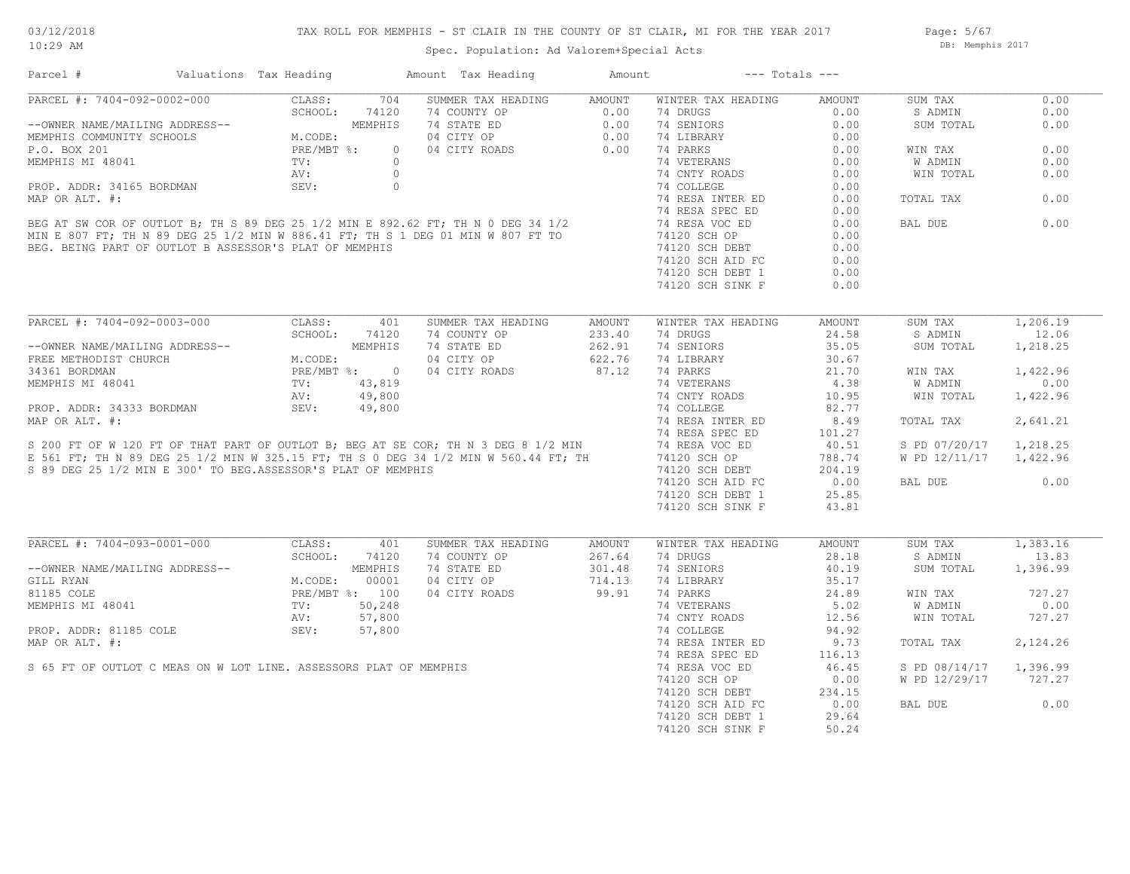## TAX ROLL FOR MEMPHIS - ST CLAIR IN THE COUNTY OF ST CLAIR, MI FOR THE YEAR 2017

Spec. Population: Ad Valorem+Special Acts

Page: 5/67 DB: Memphis 2017

| Parcel #                                                                                                                                            | Valuations Tax Heading |                                                                             |     | Amount Tax Heading                                                                                                                | Amount | $---$ Totals $---$                                       |                                                       |                        |          |
|-----------------------------------------------------------------------------------------------------------------------------------------------------|------------------------|-----------------------------------------------------------------------------|-----|-----------------------------------------------------------------------------------------------------------------------------------|--------|----------------------------------------------------------|-------------------------------------------------------|------------------------|----------|
| PARCEL #: 7404-092-0002-000                                                                                                                         |                        |                                                                             |     | CLASS: 704 SUMMER TAX HEADING AMOUNT                                                                                              |        | WINTER TAX HEADING                                       | AMOUNT                                                | SUM TAX                | 0.00     |
|                                                                                                                                                     |                        |                                                                             |     |                                                                                                                                   |        |                                                          | 0.00                                                  | S ADMIN                | 0.00     |
|                                                                                                                                                     |                        |                                                                             |     |                                                                                                                                   |        |                                                          | 0.00                                                  | SUM TOTAL              | 0.00     |
|                                                                                                                                                     |                        |                                                                             |     |                                                                                                                                   |        |                                                          | 0.00                                                  |                        |          |
|                                                                                                                                                     |                        |                                                                             |     |                                                                                                                                   |        |                                                          | 0.00                                                  | WIN TAX                | 0.00     |
|                                                                                                                                                     |                        |                                                                             |     |                                                                                                                                   |        |                                                          | 0.00                                                  | W ADMIN                | 0.00     |
|                                                                                                                                                     |                        |                                                                             |     |                                                                                                                                   |        | 74 CNTY ROADS                                            | 0.00                                                  | WIN TOTAL              | 0.00     |
|                                                                                                                                                     |                        |                                                                             |     |                                                                                                                                   |        |                                                          | 0.00                                                  |                        |          |
|                                                                                                                                                     |                        |                                                                             |     |                                                                                                                                   |        | 74 RESA INTER ED                                         | 0.00                                                  | TOTAL TAX              | 0.00     |
|                                                                                                                                                     |                        |                                                                             |     |                                                                                                                                   |        |                                                          | 0.00                                                  |                        |          |
|                                                                                                                                                     |                        |                                                                             |     |                                                                                                                                   |        |                                                          | 0.00                                                  | BAL DUE                | 0.00     |
|                                                                                                                                                     |                        |                                                                             |     |                                                                                                                                   |        |                                                          | 0.00                                                  |                        |          |
|                                                                                                                                                     |                        |                                                                             |     |                                                                                                                                   |        | 74120 SCH DEBT                                           | 0.00                                                  |                        |          |
|                                                                                                                                                     |                        |                                                                             |     |                                                                                                                                   |        |                                                          |                                                       |                        |          |
|                                                                                                                                                     |                        |                                                                             |     |                                                                                                                                   |        | 74120 SCH AID FC                                         | 0.00                                                  |                        |          |
|                                                                                                                                                     |                        |                                                                             |     |                                                                                                                                   |        | 74120 SCH DEBT 1                                         | 0.00                                                  |                        |          |
|                                                                                                                                                     |                        |                                                                             |     |                                                                                                                                   |        | 74120 SCH SINK F                                         | 0.00                                                  |                        |          |
| PARCEL #: 7404-092-0003-000                                                                                                                         |                        |                                                                             |     |                                                                                                                                   |        |                                                          |                                                       |                        |          |
|                                                                                                                                                     |                        | CLASS:                                                                      | 401 | SUMMER TAX HEADING                                                                                                                | AMOUNT | WINTER TAX HEADING                                       | AMOUNT                                                | SUM TAX                | 1,206.19 |
|                                                                                                                                                     |                        | SCHOOL: 74120                                                               |     | 74 COUNTY OP<br>74 STATE ED<br>262.91                                                                                             |        | 74 DRUGS                                                 | 24.58                                                 | S ADMIN                | 12.06    |
| --OWNER NAME/MAILING ADDRESS--<br>FREE METHODIST CHURCH<br>34361 BORDMAN PRE/MBT %: 0<br>MEMPHIS MI 48041 TV: 43,819<br>MEMPHIS MI 48041 TV: 43,800 |                        |                                                                             |     |                                                                                                                                   |        | 74 SENIORS                                               | 35.05                                                 | SUM TOTAL              | 1,218.25 |
|                                                                                                                                                     |                        |                                                                             |     | 04 CITY OP                                                                                                                        | 622.76 | 74 LIBRARY                                               | 30.67                                                 |                        |          |
|                                                                                                                                                     |                        |                                                                             |     | 04 CITY ROADS 87.12                                                                                                               |        | 74 PARKS                                                 | $\begin{array}{c} 21.70 \\ 4.38 \\ 10.95 \end{array}$ | WIN TAX                | 1,422.96 |
|                                                                                                                                                     |                        |                                                                             |     |                                                                                                                                   |        |                                                          |                                                       | W ADMIN                | 0.00     |
|                                                                                                                                                     |                        |                                                                             |     |                                                                                                                                   |        |                                                          | 10.95                                                 | WIN TOTAL              | 1,422.96 |
|                                                                                                                                                     |                        |                                                                             |     |                                                                                                                                   |        |                                                          | 82.77                                                 |                        |          |
|                                                                                                                                                     |                        |                                                                             |     |                                                                                                                                   |        | 74 RESA INTER ED                                         | 8.49                                                  | TOTAL TAX              | 2,641.21 |
|                                                                                                                                                     |                        |                                                                             |     |                                                                                                                                   |        |                                                          | 101.27                                                |                        |          |
|                                                                                                                                                     |                        |                                                                             |     |                                                                                                                                   |        |                                                          | 40.51                                                 | S PD 07/20/17 1,218.25 |          |
|                                                                                                                                                     |                        |                                                                             |     |                                                                                                                                   |        | 74120 SCH OP<br>74120 SCH DEBT 204.19<br>204.19<br>25.85 |                                                       | W PD 12/11/17 1,422.96 |          |
| S 89 DEG 25 1/2 MIN E 300' TO BEG.ASSESSOR'S PLAT OF MEMPHIS                                                                                        |                        |                                                                             |     |                                                                                                                                   |        |                                                          |                                                       |                        |          |
|                                                                                                                                                     |                        |                                                                             |     |                                                                                                                                   |        |                                                          |                                                       | BAL DUE                | 0.00     |
|                                                                                                                                                     |                        |                                                                             |     |                                                                                                                                   |        | 74120 SCH DEBT 1                                         | 25.85                                                 |                        |          |
|                                                                                                                                                     |                        |                                                                             |     |                                                                                                                                   |        | 74120 SCH SINK F                                         | 43.81                                                 |                        |          |
|                                                                                                                                                     |                        |                                                                             |     |                                                                                                                                   |        |                                                          |                                                       |                        |          |
| PARCEL #: 7404-093-0001-000 CLASS:                                                                                                                  |                        |                                                                             | 401 | SUMMER TAX HEADING                                                                                                                | AMOUNT | WINTER TAX HEADING                                       | AMOUNT                                                | SUM TAX                | 1,383.16 |
|                                                                                                                                                     |                        | SCHOOL: 74120                                                               |     |                                                                                                                                   |        | 74 DRUGS                                                 | 28.18                                                 | S ADMIN                | 13.83    |
| --OWNER NAME/MAILING ADDRESS--                                                                                                                      |                        |                                                                             |     |                                                                                                                                   |        | 74 SENIORS                                               | 40.19                                                 | SUM TOTAL              | 1,396.99 |
| GILL RYAN                                                                                                                                           |                        | -<br>MEMPHIS<br>M.CODE: 00001<br>PRE/MBT %: 100<br>TV: 50,248<br>AV: 57,800 |     | 74 COUNTY OP 267.64<br>74 STATE ED 301.48<br>04 CITY OP 714.13<br>04 CITY ROADS 99.91                                             |        | 74 LIBRARY                                               | 35.17                                                 |                        |          |
| 81185 COLE                                                                                                                                          |                        |                                                                             |     |                                                                                                                                   |        | 74 PARKS                                                 | 24.89                                                 | WIN TAX                | 727.27   |
|                                                                                                                                                     |                        |                                                                             |     |                                                                                                                                   |        | 74 VETERANS                                              | 5.02                                                  | W ADMIN                | 0.00     |
|                                                                                                                                                     |                        |                                                                             |     |                                                                                                                                   |        | 74 CNTY ROADS                                            | 12.56                                                 | WIN TOTAL              | 727.27   |
|                                                                                                                                                     |                        |                                                                             |     |                                                                                                                                   |        | 74 COLLEGE                                               | 94.92                                                 |                        |          |
|                                                                                                                                                     |                        |                                                                             |     | MEMPHIS MI 48041<br>PROP. ADDR: 81185 COLE<br>MAP OR ALT. #:<br>S 65 FT OF OUTLOT C MEAS ON W LOT LINE. ASSESSORS PLAT OF MEMPHIS |        |                                                          |                                                       |                        |          |
|                                                                                                                                                     |                        |                                                                             |     |                                                                                                                                   |        | 74 RESA INTER ED                                         | 9.73                                                  | TOTAL TAX              | 2,124.26 |
|                                                                                                                                                     |                        |                                                                             |     |                                                                                                                                   |        | 74 RESA SPEC ED                                          | 116.13                                                |                        |          |
|                                                                                                                                                     |                        |                                                                             |     |                                                                                                                                   |        | 74 RESA VOC ED                                           | 46.45                                                 | S PD 08/14/17 1,396.99 |          |
|                                                                                                                                                     |                        |                                                                             |     |                                                                                                                                   |        | 74120 SCH OP                                             | 0.00                                                  | W PD 12/29/17 727.27   |          |
|                                                                                                                                                     |                        |                                                                             |     |                                                                                                                                   |        | 74120 SCH DEBT<br>74130 SCH AID RC                       | 234.15                                                |                        |          |
|                                                                                                                                                     |                        |                                                                             |     |                                                                                                                                   |        | 74120 SCH AID FC                                         | 0.00                                                  | BAL DUE                | 0.00     |
|                                                                                                                                                     |                        |                                                                             |     |                                                                                                                                   |        | 74120 SCH DEBT 1                                         | 29.64                                                 |                        |          |
|                                                                                                                                                     |                        |                                                                             |     |                                                                                                                                   |        | 74120 SCH SINK F                                         | 50.24                                                 |                        |          |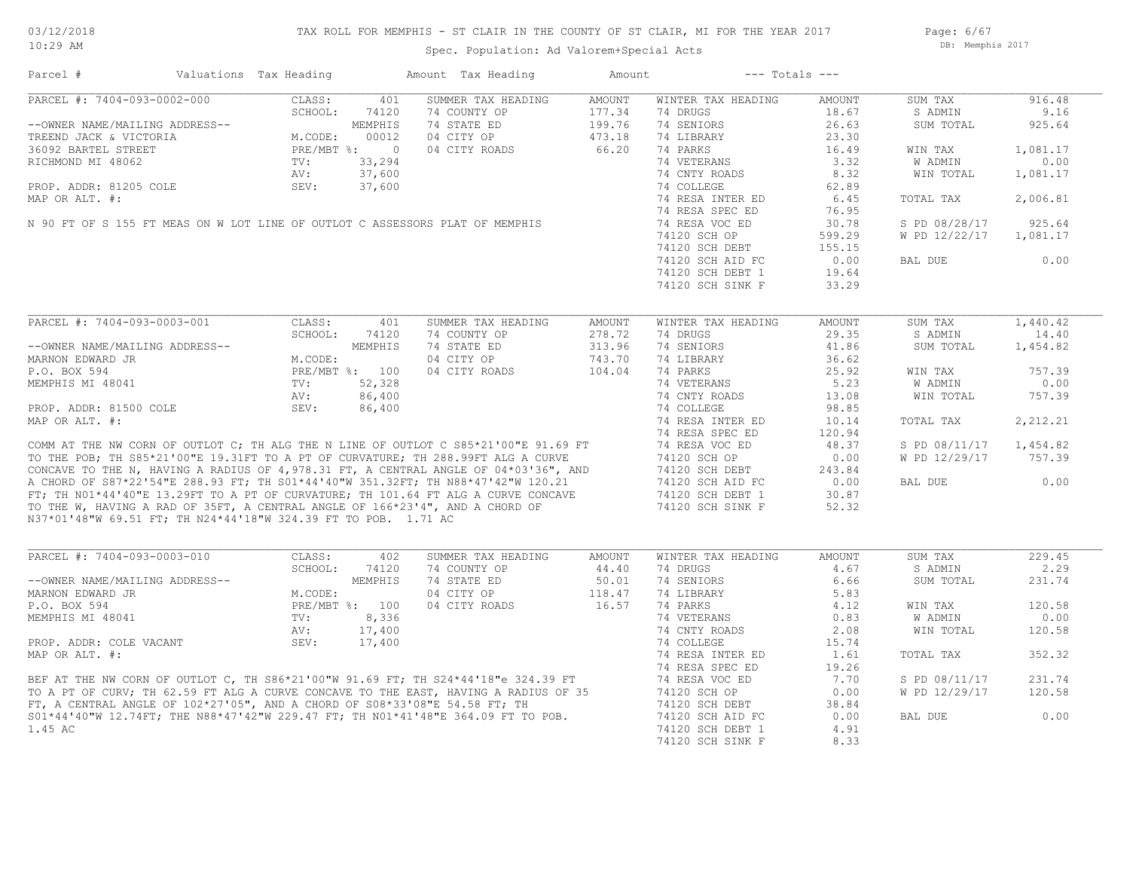## TAX ROLL FOR MEMPHIS - ST CLAIR IN THE COUNTY OF ST CLAIR, MI FOR THE YEAR 2017

Page: 6/67 DB: Memphis 2017

| Parcel #                                                       | Valuations Tax Heading |                | Amount Tax Heading                                                                                                                                                                                                                   | Amount | $---$ Totals $---$ |        |               |           |
|----------------------------------------------------------------|------------------------|----------------|--------------------------------------------------------------------------------------------------------------------------------------------------------------------------------------------------------------------------------------|--------|--------------------|--------|---------------|-----------|
| PARCEL #: 7404-093-0002-000                                    | CLASS:                 | 401            | SUMMER TAX HEADING                                                                                                                                                                                                                   | AMOUNT | WINTER TAX HEADING | AMOUNT | SUM TAX       | 916.48    |
|                                                                | SCHOOL:                | 74120          | 74 COUNTY OP                                                                                                                                                                                                                         | 177.34 | 74 DRUGS           | 18.67  | S ADMIN       | 9.16      |
| --OWNER NAME/MAILING ADDRESS--                                 |                        | MEMPHIS        | 74 STATE ED                                                                                                                                                                                                                          | 199.76 | 74 SENIORS         | 26.63  | SUM TOTAL     | 925.64    |
| TREEND JACK & VICTORIA                                         | M.CODE:                | 00012          | 04 CITY OP                                                                                                                                                                                                                           | 473.18 | 74 LIBRARY         | 23.30  |               |           |
| 36092 BARTEL STREET                                            |                        | PRE/MBT %: 0   | 04 CITY ROADS                                                                                                                                                                                                                        | 66.20  | 74 PARKS           | 16.49  | WIN TAX       | 1,081.17  |
| RICHMOND MI 48062                                              | TV:                    | 33,294         |                                                                                                                                                                                                                                      |        | 74 VETERANS        | 3.32   | W ADMIN       | 0.00      |
|                                                                | AV:                    | 37,600         |                                                                                                                                                                                                                                      |        | 74 CNTY ROADS      | 8.32   | WIN TOTAL     | 1,081.17  |
| PROP. ADDR: 81205 COLE                                         | SEV:                   | 37,600         |                                                                                                                                                                                                                                      |        | 74 COLLEGE         | 62.89  |               |           |
| MAP OR ALT. #:                                                 |                        |                |                                                                                                                                                                                                                                      |        | 74 RESA INTER ED   | 6.45   | TOTAL TAX     | 2,006.81  |
|                                                                |                        |                |                                                                                                                                                                                                                                      |        | 74 RESA SPEC ED    | 76.95  |               |           |
|                                                                |                        |                | N 90 FT OF S 155 FT MEAS ON W LOT LINE OF OUTLOT C ASSESSORS PLAT OF MEMPHIS                                                                                                                                                         |        | 74 RESA VOC ED     | 30.78  | S PD 08/28/17 | 925.64    |
|                                                                |                        |                |                                                                                                                                                                                                                                      |        | 74120 SCH OP       | 599.29 | W PD 12/22/17 | 1,081.17  |
|                                                                |                        |                |                                                                                                                                                                                                                                      |        | 74120 SCH DEBT     | 155.15 |               |           |
|                                                                |                        |                |                                                                                                                                                                                                                                      |        | 74120 SCH AID FC   | 0.00   | BAL DUE       | 0.00      |
|                                                                |                        |                |                                                                                                                                                                                                                                      |        | 74120 SCH DEBT 1   | 19.64  |               |           |
|                                                                |                        |                |                                                                                                                                                                                                                                      |        | 74120 SCH SINK F   | 33.29  |               |           |
|                                                                |                        |                |                                                                                                                                                                                                                                      |        |                    |        |               |           |
|                                                                |                        |                |                                                                                                                                                                                                                                      |        |                    |        |               |           |
| PARCEL #: 7404-093-0003-001                                    | CLASS:                 | 401            | SUMMER TAX HEADING                                                                                                                                                                                                                   | AMOUNT | WINTER TAX HEADING | AMOUNT | SUM TAX       | 1,440.42  |
|                                                                | SCHOOL:                | 74120          | 74 COUNTY OP                                                                                                                                                                                                                         | 278.72 | 74 DRUGS           | 29.35  | S ADMIN       | 14.40     |
| --OWNER NAME/MAILING ADDRESS--                                 |                        | <b>MEMPHIS</b> | 74 STATE ED                                                                                                                                                                                                                          | 313.96 | 74 SENIORS         | 41.86  | SUM TOTAL     | 1,454.82  |
| MARNON EDWARD JR                                               | M.CODE:                |                | 04 CITY OP                                                                                                                                                                                                                           | 743.70 | 74 LIBRARY         | 36.62  |               |           |
| P.O. BOX 594                                                   |                        | PRE/MBT %: 100 | 04 CITY ROADS                                                                                                                                                                                                                        | 104.04 | 74 PARKS           | 25.92  | WIN TAX       | 757.39    |
| MEMPHIS MI 48041                                               | TV:                    | 52,328         |                                                                                                                                                                                                                                      |        | 74 VETERANS        | 5.23   | W ADMIN       | 0.00      |
|                                                                | AV:                    | 86,400         |                                                                                                                                                                                                                                      |        | 74 CNTY ROADS      | 13.08  | WIN TOTAL     | 757.39    |
| PROP. ADDR: 81500 COLE                                         | SEV:                   | 86,400         |                                                                                                                                                                                                                                      |        | 74 COLLEGE         | 98.85  |               |           |
| MAP OR ALT. #:                                                 |                        |                |                                                                                                                                                                                                                                      |        | 74 RESA INTER ED   | 10.14  | TOTAL TAX     | 2, 212.21 |
|                                                                |                        |                |                                                                                                                                                                                                                                      |        | 74 RESA SPEC ED    | 120.94 |               |           |
|                                                                |                        |                | COMM AT THE NW CORN OF OUTLOT C; TH ALG THE N LINE OF OUTLOT C S85*21'00"E 91.69 FT                                                                                                                                                  |        | 74 RESA VOC ED     | 48.37  | S PD 08/11/17 | 1,454.82  |
|                                                                |                        |                |                                                                                                                                                                                                                                      |        | 74120 SCH OP       | 0.00   | W PD 12/29/17 | 757.39    |
|                                                                |                        |                |                                                                                                                                                                                                                                      |        | 74120 SCH DEBT     | 243.84 |               |           |
|                                                                |                        |                |                                                                                                                                                                                                                                      |        | 74120 SCH AID FC   | 0.00   | BAL DUE       | 0.00      |
|                                                                |                        |                |                                                                                                                                                                                                                                      |        | 74120 SCH DEBT 1   | 30.87  |               |           |
|                                                                |                        |                | TO THE POB; TH S85*21'00"E 19.31FT TO A PT OF CURVATURE; TH 288.99FT ALG A CURVE<br>CONCAVE TO THE N, HAVING A RADIUS OF 4,978.31 FT, A CENTRAL ANGLE OF 04*03'36", AND<br>A CHORD OF S87*22'54"E 288.93 FT; TH S01*44'40"W 351.32FT |        | 74120 SCH SINK F   | 52.32  |               |           |
| N37*01'48"W 69.51 FT; TH N24*44'18"W 324.39 FT TO POB. 1.71 AC |                        |                |                                                                                                                                                                                                                                      |        |                    |        |               |           |
|                                                                |                        |                |                                                                                                                                                                                                                                      |        |                    |        |               |           |
| PARCEL #: 7404-093-0003-010                                    | CLASS:                 | 402            | SUMMER TAX HEADING                                                                                                                                                                                                                   | AMOUNT | WINTER TAX HEADING | AMOUNT | SUM TAX       | 229.45    |
|                                                                | SCHOOL:                | 74120          | 74 COUNTY OP                                                                                                                                                                                                                         | 44.40  | 74 DRUGS           | 4.67   | S ADMIN       | 2.29      |
| --OWNER NAME/MAILING ADDRESS--                                 |                        | MEMPHIS        | 74 STATE ED                                                                                                                                                                                                                          | 50.01  | 74 SENIORS         | 6.66   | SUM TOTAL     | 231.74    |
| MARNON EDWARD JR                                               | M.CODE:                |                | 04 CITY OP                                                                                                                                                                                                                           | 118.47 | 74 LIBRARY         | 5.83   |               |           |
| P.O. BOX 594                                                   |                        | PRE/MBT %: 100 | 04 CITY ROADS                                                                                                                                                                                                                        | 16.57  | 74 PARKS           | 4.12   | WIN TAX       | 120.58    |
|                                                                |                        |                |                                                                                                                                                                                                                                      |        |                    |        |               | 0.00      |
| MEMPHIS MI 48041                                               | TV:                    | 8,336          |                                                                                                                                                                                                                                      |        | 74 VETERANS        | 0.83   | W ADMIN       |           |
|                                                                | AV:                    | 17,400         |                                                                                                                                                                                                                                      |        | 74 CNTY ROADS      | 2.08   | WIN TOTAL     | 120.58    |
| PROP. ADDR: COLE VACANT                                        | SEV:                   | 17,400         |                                                                                                                                                                                                                                      |        | 74 COLLEGE         | 15.74  |               |           |
| MAP OR ALT. #:                                                 |                        |                |                                                                                                                                                                                                                                      |        | 74 RESA INTER ED   | 1.61   | TOTAL TAX     | 352.32    |
|                                                                |                        |                |                                                                                                                                                                                                                                      |        | 74 RESA SPEC ED    | 19.26  |               |           |
|                                                                |                        |                |                                                                                                                                                                                                                                      |        | 74 RESA VOC ED     | 7.70   | S PD 08/11/17 | 231.74    |
|                                                                |                        |                | BEF AT THE NW CORN OF OUTLOT C, TH S86*21'00"W 91.69 FT; TH S24*44'18"e 324.39 FT<br>TO A PT OF CURV; TH 62.59 FT ALG A CURVE CONCAVE TO THE EAST, HAVING A RADIUS OF 35<br>FT, A CENTRAL ANGLE OF 102*27'05", AND A CHORD OF S08*33 |        | 74120 SCH OP       | 0.00   | W PD 12/29/17 | 120.58    |
|                                                                |                        |                |                                                                                                                                                                                                                                      |        | 74120 SCH DEBT     | 38.84  |               |           |
|                                                                |                        |                | S01*44'40"W 12.74FT; THE N88*47'42"W 229.47 FT; TH N01*41'48"E 364.09 FT TO POB.                                                                                                                                                     |        | 74120 SCH AID FC   | 0.00   | BAL DUE       | 0.00      |
| 1.45 AC                                                        |                        |                |                                                                                                                                                                                                                                      |        | 74120 SCH DEBT 1   | 4.91   |               |           |
|                                                                |                        |                |                                                                                                                                                                                                                                      |        | 74120 SCH SINK F   | 8.33   |               |           |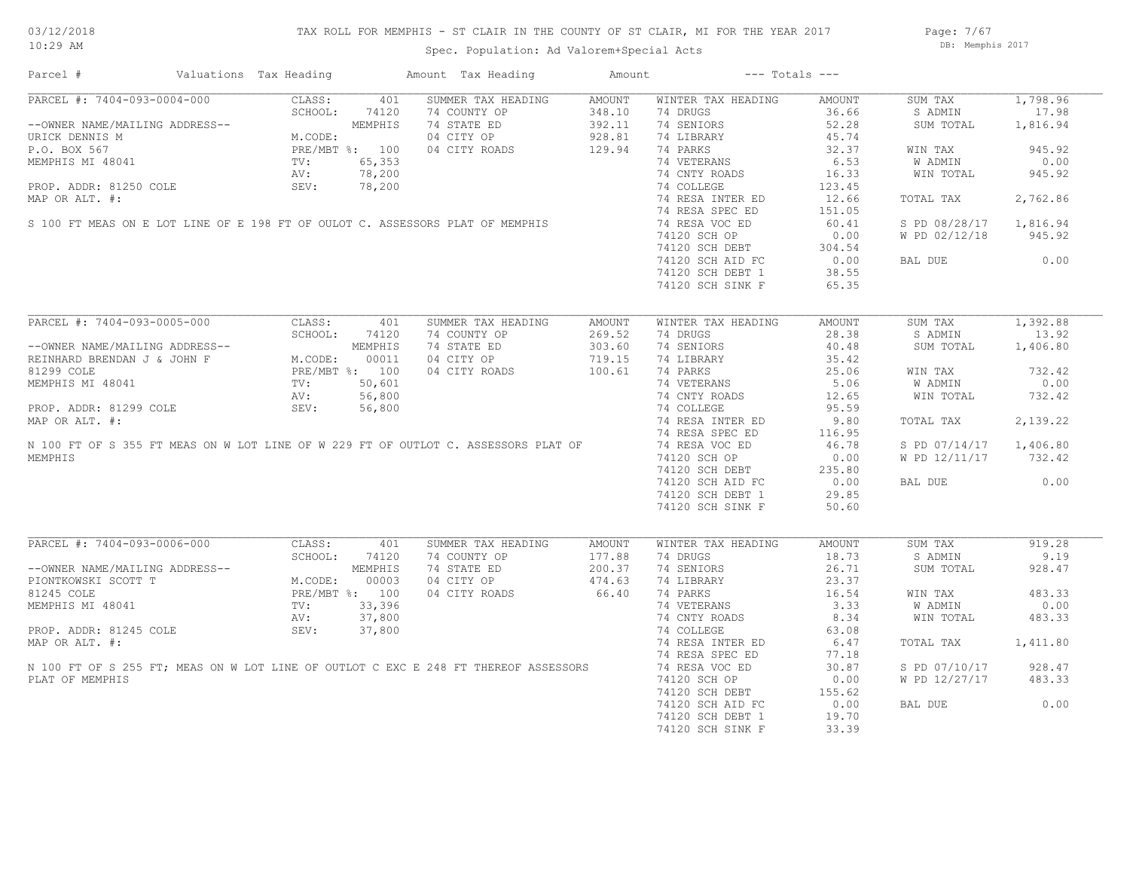## TAX ROLL FOR MEMPHIS - ST CLAIR IN THE COUNTY OF ST CLAIR, MI FOR THE YEAR 2017

Page: 7/67 DB: Memphis 2017

# Spec. Population: Ad Valorem+Special Acts

Parcel # Valuations Tax Heading Amount Tax Heading Amount --- Totals ---

|                                                                                                        | CLASS:<br>401<br>SCHOOL:<br>74120 | SUMMER TAX HEADING<br>74 COUNTY OP | AMOUNT<br>348.10 | WINTER TAX HEADING<br>74 DRUGS       | AMOUNT<br>36.66 | SUM TAX<br>S ADMIN             | 1,798.96<br>17.98                    |
|--------------------------------------------------------------------------------------------------------|-----------------------------------|------------------------------------|------------------|--------------------------------------|-----------------|--------------------------------|--------------------------------------|
| --OWNER NAME/MAILING ADDRESS--                                                                         | MEMPHIS                           | 74 STATE ED                        | 392.11           | 74 SENIORS                           | 52.28           | SUM TOTAL                      | 1,816.94                             |
| URICK DENNIS M                                                                                         | M.CODE:                           | 04 CITY OP                         | 928.81           | 74 LIBRARY                           | 45.74           |                                |                                      |
| P.O. BOX 567                                                                                           | PRE/MBT %: 100                    | 04 CITY ROADS                      | 129.94           | 74 PARKS                             | 32.37           | WIN TAX                        | 945.92                               |
| MEMPHIS MI 48041                                                                                       | 65,353<br>TV:                     |                                    |                  | 74 VETERANS                          | 6.53            | W ADMIN                        | 0.00                                 |
|                                                                                                        | 78,200<br>AV:                     |                                    |                  | 74 CNTY ROADS                        | 16.33           | WIN TOTAL                      | 945.92                               |
| PROP. ADDR: 81250 COLE                                                                                 | SEV:<br>78,200                    |                                    |                  | 74 COLLEGE                           | 123.45          |                                |                                      |
| MAP OR ALT. #:                                                                                         |                                   |                                    |                  | 74 RESA INTER ED                     | 12.66           | TOTAL TAX                      | 2,762.86                             |
|                                                                                                        |                                   |                                    |                  | 74 RESA SPEC ED                      | 151.05          |                                |                                      |
| S 100 FT MEAS ON E LOT LINE OF E 198 FT OF OULOT C. ASSESSORS PLAT OF MEMPHIS                          |                                   |                                    |                  | 74 RESA VOC ED                       | 60.41           | S PD 08/28/17                  | 1,816.94                             |
|                                                                                                        |                                   |                                    |                  | 74120 SCH OP                         | 0.00            | W PD 02/12/18                  | 945.92                               |
|                                                                                                        |                                   |                                    |                  | 74120 SCH DEBT                       | 304.54          |                                |                                      |
|                                                                                                        |                                   |                                    |                  | 74120 SCH AID FC                     | 0.00            | BAL DUE                        | 0.00                                 |
|                                                                                                        |                                   |                                    |                  | 74120 SCH DEBT 1                     | 38.55           |                                |                                      |
|                                                                                                        |                                   |                                    |                  | 74120 SCH SINK F                     | 65.35           |                                |                                      |
|                                                                                                        |                                   |                                    |                  |                                      |                 |                                |                                      |
| PARCEL #: 7404-093-0005-000                                                                            | CLASS:<br>401                     | SUMMER TAX HEADING                 | <b>AMOUNT</b>    | WINTER TAX HEADING                   | AMOUNT          | SUM TAX                        | 1,392.88                             |
|                                                                                                        | SCHOOL:<br>74120                  | 74 COUNTY OP                       | 269.52           | 74 DRUGS                             | 28.38           | S ADMIN                        | 13.92                                |
| --OWNER NAME/MAILING ADDRESS--                                                                         | MEMPHIS                           | 74 STATE ED                        | 303.60           | 74 SENIORS                           | 40.48           | SUM TOTAL                      | 1,406.80                             |
| REINHARD BRENDAN J & JOHN F                                                                            | M.CODE:<br>00011                  | 04 CITY OP                         | 719.15           | 74 LIBRARY                           | 35.42           |                                |                                      |
| 81299 COLE                                                                                             | PRE/MBT %: 100                    | 04 CITY ROADS                      | 100.61           | 74 PARKS                             | 25.06           | WIN TAX                        | 732.42                               |
| MEMPHIS MI 48041                                                                                       | 50,601<br>TV:                     |                                    |                  | 74 VETERANS                          | 5.06            | W ADMIN                        | 0.00                                 |
|                                                                                                        | 56,800<br>AV:                     |                                    |                  | 74 CNTY ROADS                        | 12.65           | WIN TOTAL                      | 732.42                               |
| PROP. ADDR: 81299 COLE                                                                                 | SEV:<br>56,800                    |                                    |                  | 74 COLLEGE                           | 95.59           |                                |                                      |
| MAP OR ALT. #:                                                                                         |                                   |                                    |                  | 74 RESA INTER ED                     | 9.80            | TOTAL TAX                      | 2,139.22                             |
|                                                                                                        |                                   |                                    |                  | 74 RESA SPEC ED                      | 116.95          |                                |                                      |
| N 100 FT OF S 355 FT MEAS ON W LOT LINE OF W 229 FT OF OUTLOT C. ASSESSORS PLAT OF                     |                                   |                                    |                  | 74 RESA VOC ED                       | 46.78           | S PD 07/14/17                  | 1,406.80                             |
| <b>MEMPHTS</b>                                                                                         |                                   |                                    |                  | 74120 SCH OP                         | 0.00            | W PD 12/11/17                  | 732.42                               |
|                                                                                                        |                                   |                                    |                  | 74120 SCH DEBT                       | 235.80          |                                |                                      |
|                                                                                                        |                                   |                                    |                  | 74120 SCH AID FC                     | 0.00            | BAL DUE                        | 0.00                                 |
|                                                                                                        |                                   |                                    |                  | 74120 SCH DEBT 1                     | 29.85           |                                |                                      |
|                                                                                                        |                                   |                                    |                  | 74120 SCH SINK F                     | 50.60           |                                |                                      |
|                                                                                                        |                                   |                                    |                  |                                      |                 |                                |                                      |
|                                                                                                        |                                   |                                    |                  |                                      |                 |                                |                                      |
| PARCEL #: 7404-093-0006-000                                                                            | 401                               |                                    |                  |                                      |                 |                                | 919.28                               |
|                                                                                                        | CLASS:                            | SUMMER TAX HEADING                 | <b>AMOUNT</b>    | WINTER TAX HEADING                   | <b>AMOUNT</b>   | SUM TAX                        |                                      |
| --OWNER NAME/MAILING ADDRESS--                                                                         | SCHOOL:<br>74120<br>MEMPHIS       | 74 COUNTY OP<br>74 STATE ED        | 177.88<br>200.37 | 74 DRUGS<br>74 SENIORS               | 18.73<br>26.71  | S ADMIN<br>SUM TOTAL           | 9.19                                 |
| PIONTKOWSKI SCOTT T                                                                                    | M.CODE:<br>00003                  | 04 CITY OP                         | 474.63           | 74 LIBRARY                           | 23.37           |                                | 928.47                               |
| 81245 COLE                                                                                             | PRE/MBT %: 100                    |                                    | 66.40            | 74 PARKS                             | 16.54           |                                | 483.33                               |
| MEMPHIS MI 48041                                                                                       | 33,396<br>TV:                     | 04 CITY ROADS                      |                  | 74 VETERANS                          | 3.33            | WIN TAX<br>W ADMIN             |                                      |
|                                                                                                        | 37,800<br>AV:                     |                                    |                  | 74 CNTY ROADS                        | 8.34            | WIN TOTAL                      |                                      |
| PROP. ADDR: 81245 COLE                                                                                 | SEV:                              |                                    |                  | 74 COLLEGE                           | 63.08           |                                |                                      |
| MAP OR ALT. #:                                                                                         | 37,800                            |                                    |                  |                                      |                 |                                |                                      |
|                                                                                                        |                                   |                                    |                  | 74 RESA INTER ED<br>74 RESA SPEC ED  | 6.47<br>77.18   | TOTAL TAX                      |                                      |
|                                                                                                        |                                   |                                    |                  |                                      | 30.87           |                                |                                      |
| N 100 FT OF S 255 FT; MEAS ON W LOT LINE OF OUTLOT C EXC E 248 FT THEREOF ASSESSORS<br>PLAT OF MEMPHIS |                                   |                                    |                  | 74 RESA VOC ED<br>74120 SCH OP       | 0.00            | S PD 07/10/17<br>W PD 12/27/17 | 928.47                               |
|                                                                                                        |                                   |                                    |                  | 74120 SCH DEBT                       | 155.62          |                                | 0.00<br>483.33<br>1,411.80<br>483.33 |
|                                                                                                        |                                   |                                    |                  |                                      | 0.00            | BAL DUE                        | 0.00                                 |
|                                                                                                        |                                   |                                    |                  | 74120 SCH AID FC<br>74120 SCH DEBT 1 | 19.70           |                                |                                      |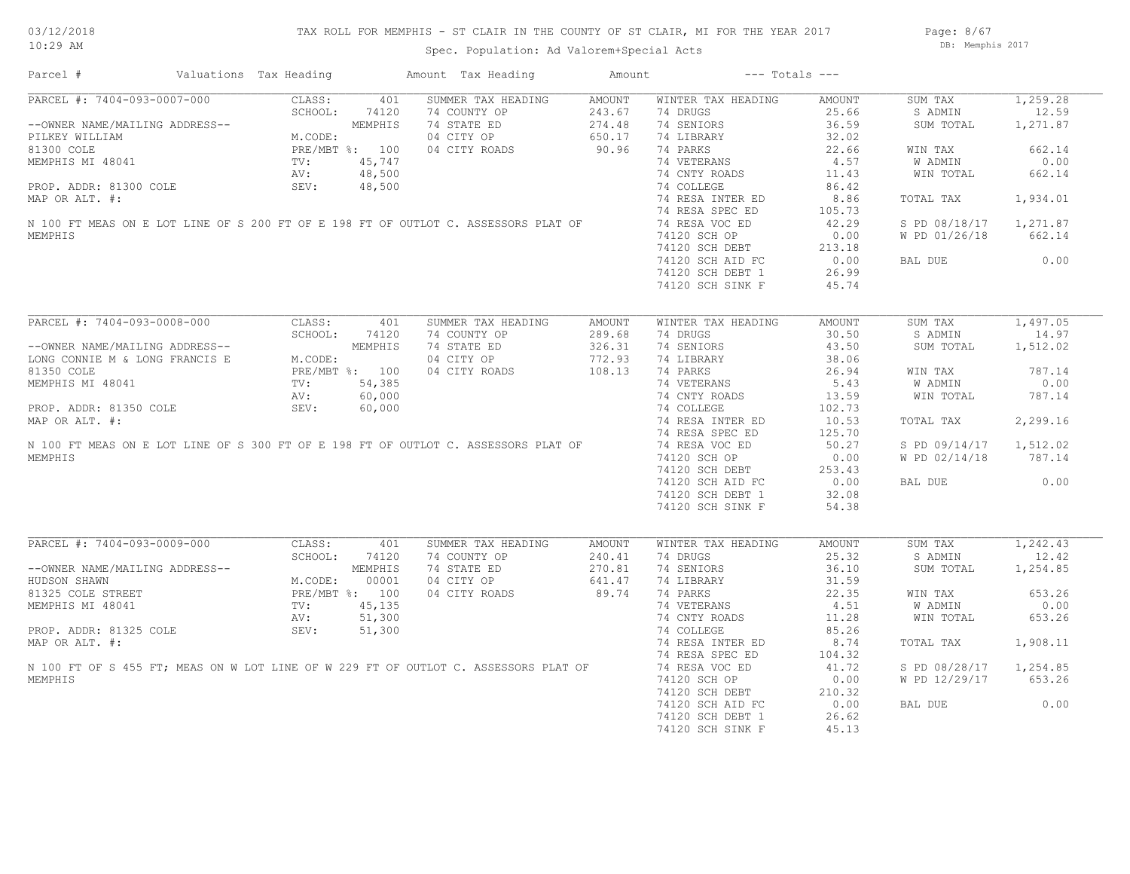## TAX ROLL FOR MEMPHIS - ST CLAIR IN THE COUNTY OF ST CLAIR, MI FOR THE YEAR 2017

Spec. Population: Ad Valorem+Special Acts

Page: 8/67 DB: Memphis 2017

| Parcel #                                                                            | Valuations Tax Heading |                 |                | Amount Tax Heading | Amount |                    | $---$ Totals $---$ |               |          |
|-------------------------------------------------------------------------------------|------------------------|-----------------|----------------|--------------------|--------|--------------------|--------------------|---------------|----------|
| PARCEL #: 7404-093-0007-000                                                         |                        | CLASS:          | 401            | SUMMER TAX HEADING | AMOUNT | WINTER TAX HEADING | AMOUNT             | SUM TAX       | 1,259.28 |
|                                                                                     |                        | SCHOOL:         | 74120          | 74 COUNTY OP       | 243.67 | 74 DRUGS           | 25.66              | S ADMIN       | 12.59    |
| --OWNER NAME/MAILING ADDRESS--                                                      |                        |                 | MEMPHIS        | 74 STATE ED        | 274.48 | 74 SENIORS         | 36.59              | SUM TOTAL     | 1,271.87 |
| PILKEY WILLIAM                                                                      |                        | M.CODE:         |                | 04 CITY OP         | 650.17 | 74 LIBRARY         | 32.02              |               |          |
| 81300 COLE                                                                          |                        |                 | PRE/MBT %: 100 | 04 CITY ROADS      | 90.96  | 74 PARKS           | 22.66              | WIN TAX       | 662.14   |
| MEMPHIS MI 48041                                                                    |                        | TV:             | 45,747         |                    |        | 74 VETERANS        | 4.57               | W ADMIN       | 0.00     |
|                                                                                     |                        | AV:             | 48,500         |                    |        | 74 CNTY ROADS      | 11.43              | WIN TOTAL     | 662.14   |
| PROP. ADDR: 81300 COLE                                                              |                        | SEV:            | 48,500         |                    |        | 74 COLLEGE         | 86.42              |               |          |
| MAP OR ALT. #:                                                                      |                        |                 |                |                    |        | 74 RESA INTER ED   | 8.86               | TOTAL TAX     | 1,934.01 |
|                                                                                     |                        |                 |                |                    |        | 74 RESA SPEC ED    | 105.73             |               |          |
| N 100 FT MEAS ON E LOT LINE OF S 200 FT OF E 198 FT OF OUTLOT C. ASSESSORS PLAT OF  |                        |                 |                |                    |        | 74 RESA VOC ED     | 42.29              | S PD 08/18/17 | 1,271.87 |
| MEMPHIS                                                                             |                        |                 |                |                    |        | 74120 SCH OP       | 0.00               | W PD 01/26/18 | 662.14   |
|                                                                                     |                        |                 |                |                    |        | 74120 SCH DEBT     | 213.18             |               |          |
|                                                                                     |                        |                 |                |                    |        | 74120 SCH AID FC   | 0.00               | BAL DUE       | 0.00     |
|                                                                                     |                        |                 |                |                    |        |                    |                    |               |          |
|                                                                                     |                        |                 |                |                    |        | 74120 SCH DEBT 1   | 26.99              |               |          |
|                                                                                     |                        |                 |                |                    |        | 74120 SCH SINK F   | 45.74              |               |          |
|                                                                                     |                        |                 |                |                    |        |                    |                    |               |          |
| PARCEL #: 7404-093-0008-000                                                         |                        | CLASS:          | 401            | SUMMER TAX HEADING | AMOUNT | WINTER TAX HEADING | AMOUNT             | SUM TAX       | 1,497.05 |
|                                                                                     |                        | SCHOOL:         | 74120          | 74 COUNTY OP       | 289.68 | 74 DRUGS           | 30.50              | S ADMIN       | 14.97    |
| --OWNER NAME/MAILING ADDRESS--                                                      |                        |                 | MEMPHIS        | 74 STATE ED        | 326.31 | 74 SENIORS         | 43.50              | SUM TOTAL     | 1,512.02 |
| LONG CONNIE M & LONG FRANCIS E                                                      |                        | M.CODE:         |                | 04 CITY OP         | 772.93 | 74 LIBRARY         | 38.06              |               |          |
| 81350 COLE                                                                          |                        |                 | PRE/MBT %: 100 | 04 CITY ROADS      | 108.13 | 74 PARKS           | 26.94              | WIN TAX       | 787.14   |
| MEMPHIS MI 48041                                                                    |                        | $\texttt{TV}$ : | 54,385         |                    |        | 74 VETERANS        | 5.43               | W ADMIN       | 0.00     |
|                                                                                     |                        | AV:             | 60,000         |                    |        | 74 CNTY ROADS      | 13.59              | WIN TOTAL     | 787.14   |
| PROP. ADDR: 81350 COLE                                                              |                        | SEV:            | 60,000         |                    |        | 74 COLLEGE         | 102.73             |               |          |
| MAP OR ALT. #:                                                                      |                        |                 |                |                    |        | 74 RESA INTER ED   | 10.53              | TOTAL TAX     | 2,299.16 |
|                                                                                     |                        |                 |                |                    |        | 74 RESA SPEC ED    | 125.70             |               |          |
| N 100 FT MEAS ON E LOT LINE OF S 300 FT OF E 198 FT OF OUTLOT C. ASSESSORS PLAT OF  |                        |                 |                |                    |        | 74 RESA VOC ED     | 50.27              | S PD 09/14/17 | 1,512.02 |
| MEMPHIS                                                                             |                        |                 |                |                    |        | 74120 SCH OP       | 0.00               | W PD 02/14/18 | 787.14   |
|                                                                                     |                        |                 |                |                    |        | 74120 SCH DEBT     | 253.43             |               |          |
|                                                                                     |                        |                 |                |                    |        | 74120 SCH AID FC   | 0.00               | BAL DUE       | 0.00     |
|                                                                                     |                        |                 |                |                    |        | 74120 SCH DEBT 1   | 32.08              |               |          |
|                                                                                     |                        |                 |                |                    |        |                    |                    |               |          |
|                                                                                     |                        |                 |                |                    |        | 74120 SCH SINK F   | 54.38              |               |          |
|                                                                                     |                        |                 |                |                    |        |                    |                    |               |          |
| PARCEL #: 7404-093-0009-000                                                         |                        | CLASS:          | 401            | SUMMER TAX HEADING | AMOUNT | WINTER TAX HEADING | AMOUNT             | SUM TAX       | 1,242.43 |
|                                                                                     |                        | SCHOOL:         | 74120          | 74 COUNTY OP       | 240.41 | 74 DRUGS           | 25.32              | S ADMIN       | 12.42    |
| --OWNER NAME/MAILING ADDRESS--                                                      |                        |                 | MEMPHIS        | 74 STATE ED        | 270.81 | 74 SENIORS         | 36.10              | SUM TOTAL     | 1,254.85 |
| HUDSON SHAWN                                                                        |                        | M.CODE:         | 00001          | 04 CITY OP         | 641.47 | 74 LIBRARY         | 31.59              |               |          |
| 81325 COLE STREET                                                                   |                        |                 | PRE/MBT %: 100 | 04 CITY ROADS      | 89.74  | 74 PARKS           | 22.35              | WIN TAX       | 653.26   |
| MEMPHIS MI 48041                                                                    |                        | TV:             | 45,135         |                    |        | 74 VETERANS        | 4.51               | W ADMIN       | 0.00     |
|                                                                                     |                        | AV:             | 51,300         |                    |        | 74 CNTY ROADS      | 11.28              | WIN TOTAL     | 653.26   |
| PROP. ADDR: 81325 COLE                                                              |                        | SEV:            | 51,300         |                    |        | 74 COLLEGE         | 85.26              |               |          |
| MAP OR ALT. #:                                                                      |                        |                 |                |                    |        | 74 RESA INTER ED   | 8.74               | TOTAL TAX     | 1,908.11 |
|                                                                                     |                        |                 |                |                    |        | 74 RESA SPEC ED    | 104.32             |               |          |
| N 100 FT OF S 455 FT; MEAS ON W LOT LINE OF W 229 FT OF OUTLOT C. ASSESSORS PLAT OF |                        |                 |                |                    |        | 74 RESA VOC ED     | 41.72              | S PD 08/28/17 | 1,254.85 |
| MEMPHIS                                                                             |                        |                 |                |                    |        | 74120 SCH OP       | 0.00               | W PD 12/29/17 | 653.26   |
|                                                                                     |                        |                 |                |                    |        | 74120 SCH DEBT     | 210.32             |               |          |
|                                                                                     |                        |                 |                |                    |        | 74120 SCH AID FC   | 0.00               | BAL DUE       | 0.00     |
|                                                                                     |                        |                 |                |                    |        | 74120 SCH DEBT 1   | 26.62              |               |          |
|                                                                                     |                        |                 |                |                    |        | 74120 SCH SINK F   | 45.13              |               |          |
|                                                                                     |                        |                 |                |                    |        |                    |                    |               |          |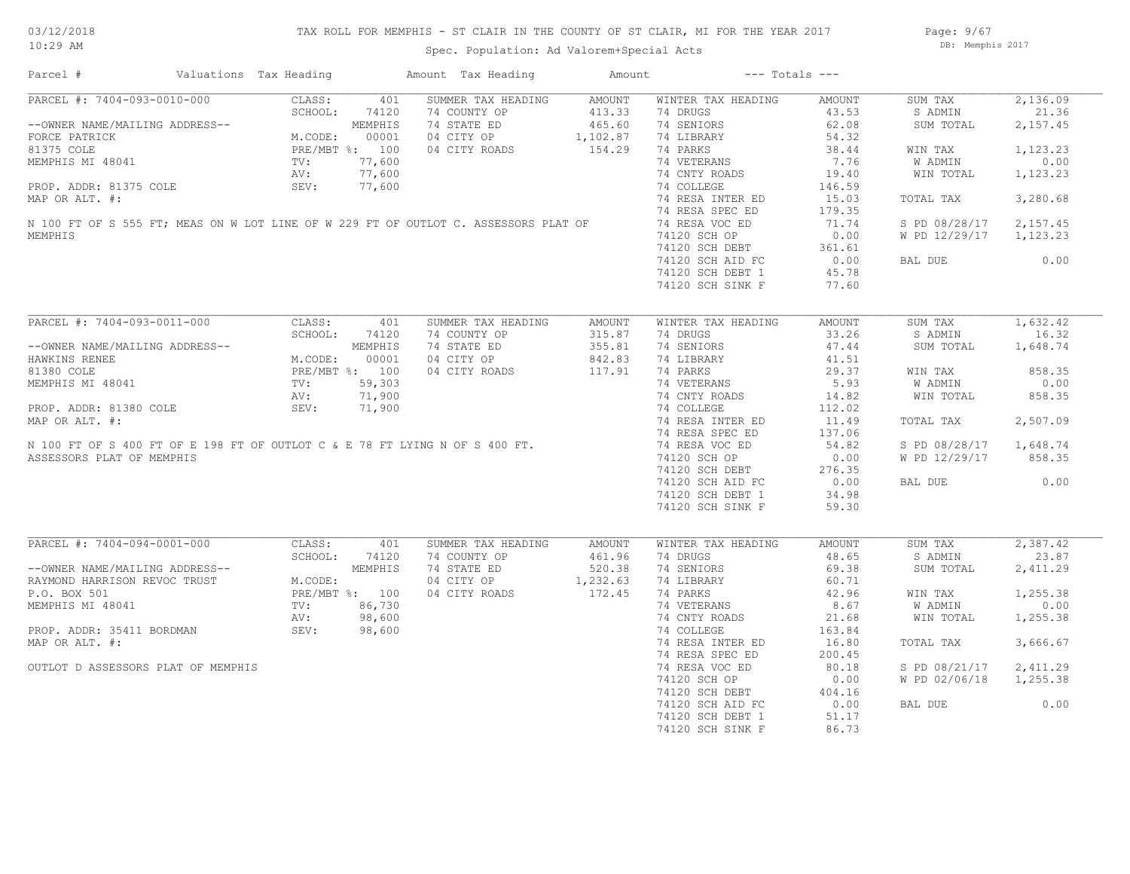Page: 9/67 DB: Memphis 2017

| PARCEL #: 7404-093-0010-000 CLASS:<br>401<br>SUMMER TAX HEADING AMOUNT<br>WINTER TAX HEADING<br>SUM TAX<br>AMOUNT<br>21.36<br>SCHOOL:<br>74120<br>74 COUNTY OP 413.33<br>74 STATE ED 465.60<br>04 CITY OP 1, 102.87<br>04 CITY ROADS 154.29<br>74 DRUGS<br>43.53<br>S ADMIN<br>--OWNER NAME/MAILING ADDRESS--<br>FORCE PATRICK MEMPHIS<br>81375 COLE PRE/MBT %: 100<br>MEMPHIS MI 48041 TV: 77,600<br>PROP. ADDR: 81375 COLE SEV: 77,600<br>MAP OP ALT #: 77,600<br>74 SENIORS<br>62.08<br>SUM TOTAL<br>74 LIBRARY<br>54.32<br>74 PARKS<br>38.44<br>WIN TAX<br>74 VETERANS<br>74 OVER<br>7.76<br>W ADMIN<br>0.00<br>MEMPHIS MI 48041<br>MEMPHIS MI 48041<br>PROP. ADDR: 81375 COLE (2012)<br>MAP OR ALT. #:<br>N 100 FT OF S 555 FT; MEAS ON W LOT LINE OF W 229 FT OF OUTLOT C. ASSESSORS PLAT OF (2012)<br>MAP OR ALT. #:<br>M 100 FT OF S 555 FT; MEAS ON W<br>74 CNTY ROADS<br>19.40<br>WIN TOTAL<br>146.59<br>74 RESA INTER ED<br>3,280.68<br>15.03<br>TOTAL TAX<br>179.35<br>71.74<br>S PD 08/28/17 2,157.45<br>W PD 12/29/17 1,123.23<br>74120 SCH OP<br>74120 SCH DEBT 361.61<br>20 SCH AID FC 0.00<br>45.78<br>0.00<br>BAL DUE<br>74120 SCH DEBT 1<br>45.78<br>74120 SCH SINK F<br>77.60<br>PARCEL #: 7404-093-0011-000<br>CLASS:<br>SUMMER TAX HEADING<br>WINTER TAX HEADING<br>AMOUNT<br>SUM TAX<br>401<br>AMOUNT<br>74 COUNTY OP<br>315.87<br>74 DRUGS<br>33.26<br>S ADMIN<br>--OWNER NAME/MAILING ADDRESS--<br>HAWKINS RENEE<br>HAWKINS RENEE<br>81380 COLE<br>81380 COLE<br>MEMPHIS MI 48041<br>MEMPHIS MI 48041<br>PROP. ADDR: 81380 COLE<br>PROP. ADDR: 81380 COLE<br>MAP OP ALT *.<br>71,900<br>MEMP OP ALT *.<br>71,900<br>74 STATE ED<br>355.81<br>74 SENIORS<br>47.44<br>SUM TOTAL<br>04 CITY OP 842.83<br>04 CITY ROADS 117.91<br>74 LIBRARY<br>41.51<br>29.37<br>74 PARKS<br>WIN TAX<br>858.35<br>74 VETERANS<br>74 CNTY ROADS<br>5.93<br>W ADMIN<br>0.00<br>PROP. ADDR: 81380 COLE<br>MAP OR ALT. #:<br>N 100 FT OF S 400 FT OF E 198 FT OF OUTLOT C & E 78 FT LYING N OF S 400 FT.<br>ASSESSORS PLAT OF MEMPHIS<br>858.35<br>14.82<br>WIN TOTAL<br>74 COLLEGE<br>112.02<br>74 RESA INTER ED<br>2,507.09<br>11.49<br>TOTAL TAX<br>74 RESA SPEC ED<br>137.06<br>74 RESA VOC ED<br>54.82<br>S PD 08/28/17 1,648.74<br>74120 SCH OP<br>0.00<br>W PD 12/29/17 858.35<br>74120 SCH DEBT<br>276.35<br>0.00<br>74120 SCH AID FC<br>0.00<br>BAL DUE<br>74120 SCH DEBT 1<br>34.98<br>74120 SCH SINK F<br>59.30<br>PARCEL #: 7404-094-0001-000<br>CLASS: 401<br>SUMMER TAX HEADING<br>WINTER TAX HEADING<br>SUM TAX<br>AMOUNT<br>AMOUNT<br>SCHOOL: 74120<br>74 COUNTY OP<br>74 STATE ED 520.38<br>74 DRUGS<br>48.65<br>S ADMIN<br>--OWNER NAME/MAILING ADDRESS--<br>RAYMOND HARRISON REVOC TRUST<br>P.O. BOX 501<br>MEMPHIS MI 48041<br>MEMPHIS MI 48041<br>MEMPHIS MI 48041<br>PRE/MBT %: 100<br>NEMPHIS MI 48041<br>NV: 98,600<br>74 SENIORS<br>69.38<br>SUM TOTAL<br>04 CITY OP<br>1,232.63<br>74 LIBRARY<br>60.71<br>172.45<br>74 PARKS<br>74 VETERANS<br>04 CITY ROADS<br>42.96<br>1,255.38<br>WIN TAX<br>8.67<br>W ADMIN<br>0.00<br>$86,730$<br>98,600<br>98,600<br>98,600<br>21.68<br>74 CNTY ROADS<br>WIN TOTAL<br>1,255.38<br>$\mathbf{p}$<br>SEV: 98,600<br>PROP. ADDR: 35411 BORDMAN<br>74 COLLEGE<br>163.84<br>MAP OR ALT. #:<br>3,666.67<br>74 RESA INTER ED<br>16.80<br>TOTAL TAX<br>74 RESA SPEC ED<br>200.45<br>80.18<br>OUTLOT D ASSESSORS PLAT OF MEMPHIS<br>74 RESA VOC ED<br>S PD 08/21/17 2,411.29<br>W PD 02/06/18 1,255.38<br>0.00<br>BAL DUE<br>74120 SCH DEBT 1<br>51.17<br>74120 SCH SINK F<br>86.73 | Parcel # | Valuations Tax Heading | Amount Tax Heading | Amount | $---$ Totals $---$ |  |          |
|---------------------------------------------------------------------------------------------------------------------------------------------------------------------------------------------------------------------------------------------------------------------------------------------------------------------------------------------------------------------------------------------------------------------------------------------------------------------------------------------------------------------------------------------------------------------------------------------------------------------------------------------------------------------------------------------------------------------------------------------------------------------------------------------------------------------------------------------------------------------------------------------------------------------------------------------------------------------------------------------------------------------------------------------------------------------------------------------------------------------------------------------------------------------------------------------------------------------------------------------------------------------------------------------------------------------------------------------------------------------------------------------------------------------------------------------------------------------------------------------------------------------------------------------------------------------------------------------------------------------------------------------------------------------------------------------------------------------------------------------------------------------------------------------------------------------------------------------------------------------------------------------------------------------------------------------------------------------------------------------------------------------------------------------------------------------------------------------------------------------------------------------------------------------------------------------------------------------------------------------------------------------------------------------------------------------------------------------------------------------------------------------------------------------------------------------------------------------------------------------------------------------------------------------------------------------------------------------------------------------------------------------------------------------------------------------------------------------------------------------------------------------------------------------------------------------------------------------------------------------------------------------------------------------------------------------------------------------------------------------------------------------------------------------------------------------------------------------------------------------------------------------------------------------------------------------------------------------------------------------------------------------------------------------------------------------------------------------------------------------------------------------------------------------------------------------------------------------------------------------------------------------------------------------|----------|------------------------|--------------------|--------|--------------------|--|----------|
| 2,157.45<br>1,123.23<br>1,123.23<br>1,632.42<br>16.32<br>1,648.74<br>23.87<br>2,411.29                                                                                                                                                                                                                                                                                                                                                                                                                                                                                                                                                                                                                                                                                                                                                                                                                                                                                                                                                                                                                                                                                                                                                                                                                                                                                                                                                                                                                                                                                                                                                                                                                                                                                                                                                                                                                                                                                                                                                                                                                                                                                                                                                                                                                                                                                                                                                                                                                                                                                                                                                                                                                                                                                                                                                                                                                                                                                                                                                                                                                                                                                                                                                                                                                                                                                                                                                                                                                                                      |          |                        |                    |        |                    |  | 2,136.09 |
| 2,387.42                                                                                                                                                                                                                                                                                                                                                                                                                                                                                                                                                                                                                                                                                                                                                                                                                                                                                                                                                                                                                                                                                                                                                                                                                                                                                                                                                                                                                                                                                                                                                                                                                                                                                                                                                                                                                                                                                                                                                                                                                                                                                                                                                                                                                                                                                                                                                                                                                                                                                                                                                                                                                                                                                                                                                                                                                                                                                                                                                                                                                                                                                                                                                                                                                                                                                                                                                                                                                                                                                                                                    |          |                        |                    |        |                    |  |          |
|                                                                                                                                                                                                                                                                                                                                                                                                                                                                                                                                                                                                                                                                                                                                                                                                                                                                                                                                                                                                                                                                                                                                                                                                                                                                                                                                                                                                                                                                                                                                                                                                                                                                                                                                                                                                                                                                                                                                                                                                                                                                                                                                                                                                                                                                                                                                                                                                                                                                                                                                                                                                                                                                                                                                                                                                                                                                                                                                                                                                                                                                                                                                                                                                                                                                                                                                                                                                                                                                                                                                             |          |                        |                    |        |                    |  |          |
|                                                                                                                                                                                                                                                                                                                                                                                                                                                                                                                                                                                                                                                                                                                                                                                                                                                                                                                                                                                                                                                                                                                                                                                                                                                                                                                                                                                                                                                                                                                                                                                                                                                                                                                                                                                                                                                                                                                                                                                                                                                                                                                                                                                                                                                                                                                                                                                                                                                                                                                                                                                                                                                                                                                                                                                                                                                                                                                                                                                                                                                                                                                                                                                                                                                                                                                                                                                                                                                                                                                                             |          |                        |                    |        |                    |  |          |
|                                                                                                                                                                                                                                                                                                                                                                                                                                                                                                                                                                                                                                                                                                                                                                                                                                                                                                                                                                                                                                                                                                                                                                                                                                                                                                                                                                                                                                                                                                                                                                                                                                                                                                                                                                                                                                                                                                                                                                                                                                                                                                                                                                                                                                                                                                                                                                                                                                                                                                                                                                                                                                                                                                                                                                                                                                                                                                                                                                                                                                                                                                                                                                                                                                                                                                                                                                                                                                                                                                                                             |          |                        |                    |        |                    |  |          |
|                                                                                                                                                                                                                                                                                                                                                                                                                                                                                                                                                                                                                                                                                                                                                                                                                                                                                                                                                                                                                                                                                                                                                                                                                                                                                                                                                                                                                                                                                                                                                                                                                                                                                                                                                                                                                                                                                                                                                                                                                                                                                                                                                                                                                                                                                                                                                                                                                                                                                                                                                                                                                                                                                                                                                                                                                                                                                                                                                                                                                                                                                                                                                                                                                                                                                                                                                                                                                                                                                                                                             |          |                        |                    |        |                    |  |          |
|                                                                                                                                                                                                                                                                                                                                                                                                                                                                                                                                                                                                                                                                                                                                                                                                                                                                                                                                                                                                                                                                                                                                                                                                                                                                                                                                                                                                                                                                                                                                                                                                                                                                                                                                                                                                                                                                                                                                                                                                                                                                                                                                                                                                                                                                                                                                                                                                                                                                                                                                                                                                                                                                                                                                                                                                                                                                                                                                                                                                                                                                                                                                                                                                                                                                                                                                                                                                                                                                                                                                             |          |                        |                    |        |                    |  |          |
|                                                                                                                                                                                                                                                                                                                                                                                                                                                                                                                                                                                                                                                                                                                                                                                                                                                                                                                                                                                                                                                                                                                                                                                                                                                                                                                                                                                                                                                                                                                                                                                                                                                                                                                                                                                                                                                                                                                                                                                                                                                                                                                                                                                                                                                                                                                                                                                                                                                                                                                                                                                                                                                                                                                                                                                                                                                                                                                                                                                                                                                                                                                                                                                                                                                                                                                                                                                                                                                                                                                                             |          |                        |                    |        |                    |  |          |
|                                                                                                                                                                                                                                                                                                                                                                                                                                                                                                                                                                                                                                                                                                                                                                                                                                                                                                                                                                                                                                                                                                                                                                                                                                                                                                                                                                                                                                                                                                                                                                                                                                                                                                                                                                                                                                                                                                                                                                                                                                                                                                                                                                                                                                                                                                                                                                                                                                                                                                                                                                                                                                                                                                                                                                                                                                                                                                                                                                                                                                                                                                                                                                                                                                                                                                                                                                                                                                                                                                                                             |          |                        |                    |        |                    |  |          |
|                                                                                                                                                                                                                                                                                                                                                                                                                                                                                                                                                                                                                                                                                                                                                                                                                                                                                                                                                                                                                                                                                                                                                                                                                                                                                                                                                                                                                                                                                                                                                                                                                                                                                                                                                                                                                                                                                                                                                                                                                                                                                                                                                                                                                                                                                                                                                                                                                                                                                                                                                                                                                                                                                                                                                                                                                                                                                                                                                                                                                                                                                                                                                                                                                                                                                                                                                                                                                                                                                                                                             | MEMPHIS  |                        |                    |        |                    |  |          |
|                                                                                                                                                                                                                                                                                                                                                                                                                                                                                                                                                                                                                                                                                                                                                                                                                                                                                                                                                                                                                                                                                                                                                                                                                                                                                                                                                                                                                                                                                                                                                                                                                                                                                                                                                                                                                                                                                                                                                                                                                                                                                                                                                                                                                                                                                                                                                                                                                                                                                                                                                                                                                                                                                                                                                                                                                                                                                                                                                                                                                                                                                                                                                                                                                                                                                                                                                                                                                                                                                                                                             |          |                        |                    |        |                    |  |          |
|                                                                                                                                                                                                                                                                                                                                                                                                                                                                                                                                                                                                                                                                                                                                                                                                                                                                                                                                                                                                                                                                                                                                                                                                                                                                                                                                                                                                                                                                                                                                                                                                                                                                                                                                                                                                                                                                                                                                                                                                                                                                                                                                                                                                                                                                                                                                                                                                                                                                                                                                                                                                                                                                                                                                                                                                                                                                                                                                                                                                                                                                                                                                                                                                                                                                                                                                                                                                                                                                                                                                             |          |                        |                    |        |                    |  |          |
|                                                                                                                                                                                                                                                                                                                                                                                                                                                                                                                                                                                                                                                                                                                                                                                                                                                                                                                                                                                                                                                                                                                                                                                                                                                                                                                                                                                                                                                                                                                                                                                                                                                                                                                                                                                                                                                                                                                                                                                                                                                                                                                                                                                                                                                                                                                                                                                                                                                                                                                                                                                                                                                                                                                                                                                                                                                                                                                                                                                                                                                                                                                                                                                                                                                                                                                                                                                                                                                                                                                                             |          |                        |                    |        |                    |  |          |
|                                                                                                                                                                                                                                                                                                                                                                                                                                                                                                                                                                                                                                                                                                                                                                                                                                                                                                                                                                                                                                                                                                                                                                                                                                                                                                                                                                                                                                                                                                                                                                                                                                                                                                                                                                                                                                                                                                                                                                                                                                                                                                                                                                                                                                                                                                                                                                                                                                                                                                                                                                                                                                                                                                                                                                                                                                                                                                                                                                                                                                                                                                                                                                                                                                                                                                                                                                                                                                                                                                                                             |          |                        |                    |        |                    |  |          |
|                                                                                                                                                                                                                                                                                                                                                                                                                                                                                                                                                                                                                                                                                                                                                                                                                                                                                                                                                                                                                                                                                                                                                                                                                                                                                                                                                                                                                                                                                                                                                                                                                                                                                                                                                                                                                                                                                                                                                                                                                                                                                                                                                                                                                                                                                                                                                                                                                                                                                                                                                                                                                                                                                                                                                                                                                                                                                                                                                                                                                                                                                                                                                                                                                                                                                                                                                                                                                                                                                                                                             |          |                        |                    |        |                    |  |          |
|                                                                                                                                                                                                                                                                                                                                                                                                                                                                                                                                                                                                                                                                                                                                                                                                                                                                                                                                                                                                                                                                                                                                                                                                                                                                                                                                                                                                                                                                                                                                                                                                                                                                                                                                                                                                                                                                                                                                                                                                                                                                                                                                                                                                                                                                                                                                                                                                                                                                                                                                                                                                                                                                                                                                                                                                                                                                                                                                                                                                                                                                                                                                                                                                                                                                                                                                                                                                                                                                                                                                             |          |                        |                    |        |                    |  |          |
|                                                                                                                                                                                                                                                                                                                                                                                                                                                                                                                                                                                                                                                                                                                                                                                                                                                                                                                                                                                                                                                                                                                                                                                                                                                                                                                                                                                                                                                                                                                                                                                                                                                                                                                                                                                                                                                                                                                                                                                                                                                                                                                                                                                                                                                                                                                                                                                                                                                                                                                                                                                                                                                                                                                                                                                                                                                                                                                                                                                                                                                                                                                                                                                                                                                                                                                                                                                                                                                                                                                                             |          |                        |                    |        |                    |  |          |
|                                                                                                                                                                                                                                                                                                                                                                                                                                                                                                                                                                                                                                                                                                                                                                                                                                                                                                                                                                                                                                                                                                                                                                                                                                                                                                                                                                                                                                                                                                                                                                                                                                                                                                                                                                                                                                                                                                                                                                                                                                                                                                                                                                                                                                                                                                                                                                                                                                                                                                                                                                                                                                                                                                                                                                                                                                                                                                                                                                                                                                                                                                                                                                                                                                                                                                                                                                                                                                                                                                                                             |          |                        |                    |        |                    |  |          |
|                                                                                                                                                                                                                                                                                                                                                                                                                                                                                                                                                                                                                                                                                                                                                                                                                                                                                                                                                                                                                                                                                                                                                                                                                                                                                                                                                                                                                                                                                                                                                                                                                                                                                                                                                                                                                                                                                                                                                                                                                                                                                                                                                                                                                                                                                                                                                                                                                                                                                                                                                                                                                                                                                                                                                                                                                                                                                                                                                                                                                                                                                                                                                                                                                                                                                                                                                                                                                                                                                                                                             |          |                        |                    |        |                    |  |          |
|                                                                                                                                                                                                                                                                                                                                                                                                                                                                                                                                                                                                                                                                                                                                                                                                                                                                                                                                                                                                                                                                                                                                                                                                                                                                                                                                                                                                                                                                                                                                                                                                                                                                                                                                                                                                                                                                                                                                                                                                                                                                                                                                                                                                                                                                                                                                                                                                                                                                                                                                                                                                                                                                                                                                                                                                                                                                                                                                                                                                                                                                                                                                                                                                                                                                                                                                                                                                                                                                                                                                             |          |                        |                    |        |                    |  |          |
|                                                                                                                                                                                                                                                                                                                                                                                                                                                                                                                                                                                                                                                                                                                                                                                                                                                                                                                                                                                                                                                                                                                                                                                                                                                                                                                                                                                                                                                                                                                                                                                                                                                                                                                                                                                                                                                                                                                                                                                                                                                                                                                                                                                                                                                                                                                                                                                                                                                                                                                                                                                                                                                                                                                                                                                                                                                                                                                                                                                                                                                                                                                                                                                                                                                                                                                                                                                                                                                                                                                                             |          |                        |                    |        |                    |  |          |
|                                                                                                                                                                                                                                                                                                                                                                                                                                                                                                                                                                                                                                                                                                                                                                                                                                                                                                                                                                                                                                                                                                                                                                                                                                                                                                                                                                                                                                                                                                                                                                                                                                                                                                                                                                                                                                                                                                                                                                                                                                                                                                                                                                                                                                                                                                                                                                                                                                                                                                                                                                                                                                                                                                                                                                                                                                                                                                                                                                                                                                                                                                                                                                                                                                                                                                                                                                                                                                                                                                                                             |          |                        |                    |        |                    |  |          |
|                                                                                                                                                                                                                                                                                                                                                                                                                                                                                                                                                                                                                                                                                                                                                                                                                                                                                                                                                                                                                                                                                                                                                                                                                                                                                                                                                                                                                                                                                                                                                                                                                                                                                                                                                                                                                                                                                                                                                                                                                                                                                                                                                                                                                                                                                                                                                                                                                                                                                                                                                                                                                                                                                                                                                                                                                                                                                                                                                                                                                                                                                                                                                                                                                                                                                                                                                                                                                                                                                                                                             |          |                        |                    |        |                    |  |          |
|                                                                                                                                                                                                                                                                                                                                                                                                                                                                                                                                                                                                                                                                                                                                                                                                                                                                                                                                                                                                                                                                                                                                                                                                                                                                                                                                                                                                                                                                                                                                                                                                                                                                                                                                                                                                                                                                                                                                                                                                                                                                                                                                                                                                                                                                                                                                                                                                                                                                                                                                                                                                                                                                                                                                                                                                                                                                                                                                                                                                                                                                                                                                                                                                                                                                                                                                                                                                                                                                                                                                             |          |                        |                    |        |                    |  |          |
|                                                                                                                                                                                                                                                                                                                                                                                                                                                                                                                                                                                                                                                                                                                                                                                                                                                                                                                                                                                                                                                                                                                                                                                                                                                                                                                                                                                                                                                                                                                                                                                                                                                                                                                                                                                                                                                                                                                                                                                                                                                                                                                                                                                                                                                                                                                                                                                                                                                                                                                                                                                                                                                                                                                                                                                                                                                                                                                                                                                                                                                                                                                                                                                                                                                                                                                                                                                                                                                                                                                                             |          |                        |                    |        |                    |  |          |
|                                                                                                                                                                                                                                                                                                                                                                                                                                                                                                                                                                                                                                                                                                                                                                                                                                                                                                                                                                                                                                                                                                                                                                                                                                                                                                                                                                                                                                                                                                                                                                                                                                                                                                                                                                                                                                                                                                                                                                                                                                                                                                                                                                                                                                                                                                                                                                                                                                                                                                                                                                                                                                                                                                                                                                                                                                                                                                                                                                                                                                                                                                                                                                                                                                                                                                                                                                                                                                                                                                                                             |          |                        |                    |        |                    |  |          |
|                                                                                                                                                                                                                                                                                                                                                                                                                                                                                                                                                                                                                                                                                                                                                                                                                                                                                                                                                                                                                                                                                                                                                                                                                                                                                                                                                                                                                                                                                                                                                                                                                                                                                                                                                                                                                                                                                                                                                                                                                                                                                                                                                                                                                                                                                                                                                                                                                                                                                                                                                                                                                                                                                                                                                                                                                                                                                                                                                                                                                                                                                                                                                                                                                                                                                                                                                                                                                                                                                                                                             |          |                        |                    |        |                    |  |          |
|                                                                                                                                                                                                                                                                                                                                                                                                                                                                                                                                                                                                                                                                                                                                                                                                                                                                                                                                                                                                                                                                                                                                                                                                                                                                                                                                                                                                                                                                                                                                                                                                                                                                                                                                                                                                                                                                                                                                                                                                                                                                                                                                                                                                                                                                                                                                                                                                                                                                                                                                                                                                                                                                                                                                                                                                                                                                                                                                                                                                                                                                                                                                                                                                                                                                                                                                                                                                                                                                                                                                             |          |                        |                    |        |                    |  |          |
|                                                                                                                                                                                                                                                                                                                                                                                                                                                                                                                                                                                                                                                                                                                                                                                                                                                                                                                                                                                                                                                                                                                                                                                                                                                                                                                                                                                                                                                                                                                                                                                                                                                                                                                                                                                                                                                                                                                                                                                                                                                                                                                                                                                                                                                                                                                                                                                                                                                                                                                                                                                                                                                                                                                                                                                                                                                                                                                                                                                                                                                                                                                                                                                                                                                                                                                                                                                                                                                                                                                                             |          |                        |                    |        |                    |  |          |
|                                                                                                                                                                                                                                                                                                                                                                                                                                                                                                                                                                                                                                                                                                                                                                                                                                                                                                                                                                                                                                                                                                                                                                                                                                                                                                                                                                                                                                                                                                                                                                                                                                                                                                                                                                                                                                                                                                                                                                                                                                                                                                                                                                                                                                                                                                                                                                                                                                                                                                                                                                                                                                                                                                                                                                                                                                                                                                                                                                                                                                                                                                                                                                                                                                                                                                                                                                                                                                                                                                                                             |          |                        |                    |        |                    |  |          |
|                                                                                                                                                                                                                                                                                                                                                                                                                                                                                                                                                                                                                                                                                                                                                                                                                                                                                                                                                                                                                                                                                                                                                                                                                                                                                                                                                                                                                                                                                                                                                                                                                                                                                                                                                                                                                                                                                                                                                                                                                                                                                                                                                                                                                                                                                                                                                                                                                                                                                                                                                                                                                                                                                                                                                                                                                                                                                                                                                                                                                                                                                                                                                                                                                                                                                                                                                                                                                                                                                                                                             |          |                        |                    |        |                    |  |          |
|                                                                                                                                                                                                                                                                                                                                                                                                                                                                                                                                                                                                                                                                                                                                                                                                                                                                                                                                                                                                                                                                                                                                                                                                                                                                                                                                                                                                                                                                                                                                                                                                                                                                                                                                                                                                                                                                                                                                                                                                                                                                                                                                                                                                                                                                                                                                                                                                                                                                                                                                                                                                                                                                                                                                                                                                                                                                                                                                                                                                                                                                                                                                                                                                                                                                                                                                                                                                                                                                                                                                             |          |                        |                    |        |                    |  |          |
|                                                                                                                                                                                                                                                                                                                                                                                                                                                                                                                                                                                                                                                                                                                                                                                                                                                                                                                                                                                                                                                                                                                                                                                                                                                                                                                                                                                                                                                                                                                                                                                                                                                                                                                                                                                                                                                                                                                                                                                                                                                                                                                                                                                                                                                                                                                                                                                                                                                                                                                                                                                                                                                                                                                                                                                                                                                                                                                                                                                                                                                                                                                                                                                                                                                                                                                                                                                                                                                                                                                                             |          |                        |                    |        |                    |  |          |
|                                                                                                                                                                                                                                                                                                                                                                                                                                                                                                                                                                                                                                                                                                                                                                                                                                                                                                                                                                                                                                                                                                                                                                                                                                                                                                                                                                                                                                                                                                                                                                                                                                                                                                                                                                                                                                                                                                                                                                                                                                                                                                                                                                                                                                                                                                                                                                                                                                                                                                                                                                                                                                                                                                                                                                                                                                                                                                                                                                                                                                                                                                                                                                                                                                                                                                                                                                                                                                                                                                                                             |          |                        |                    |        |                    |  |          |
|                                                                                                                                                                                                                                                                                                                                                                                                                                                                                                                                                                                                                                                                                                                                                                                                                                                                                                                                                                                                                                                                                                                                                                                                                                                                                                                                                                                                                                                                                                                                                                                                                                                                                                                                                                                                                                                                                                                                                                                                                                                                                                                                                                                                                                                                                                                                                                                                                                                                                                                                                                                                                                                                                                                                                                                                                                                                                                                                                                                                                                                                                                                                                                                                                                                                                                                                                                                                                                                                                                                                             |          |                        |                    |        |                    |  |          |
|                                                                                                                                                                                                                                                                                                                                                                                                                                                                                                                                                                                                                                                                                                                                                                                                                                                                                                                                                                                                                                                                                                                                                                                                                                                                                                                                                                                                                                                                                                                                                                                                                                                                                                                                                                                                                                                                                                                                                                                                                                                                                                                                                                                                                                                                                                                                                                                                                                                                                                                                                                                                                                                                                                                                                                                                                                                                                                                                                                                                                                                                                                                                                                                                                                                                                                                                                                                                                                                                                                                                             |          |                        |                    |        |                    |  |          |
|                                                                                                                                                                                                                                                                                                                                                                                                                                                                                                                                                                                                                                                                                                                                                                                                                                                                                                                                                                                                                                                                                                                                                                                                                                                                                                                                                                                                                                                                                                                                                                                                                                                                                                                                                                                                                                                                                                                                                                                                                                                                                                                                                                                                                                                                                                                                                                                                                                                                                                                                                                                                                                                                                                                                                                                                                                                                                                                                                                                                                                                                                                                                                                                                                                                                                                                                                                                                                                                                                                                                             |          |                        |                    |        |                    |  |          |
|                                                                                                                                                                                                                                                                                                                                                                                                                                                                                                                                                                                                                                                                                                                                                                                                                                                                                                                                                                                                                                                                                                                                                                                                                                                                                                                                                                                                                                                                                                                                                                                                                                                                                                                                                                                                                                                                                                                                                                                                                                                                                                                                                                                                                                                                                                                                                                                                                                                                                                                                                                                                                                                                                                                                                                                                                                                                                                                                                                                                                                                                                                                                                                                                                                                                                                                                                                                                                                                                                                                                             |          |                        |                    |        |                    |  |          |
|                                                                                                                                                                                                                                                                                                                                                                                                                                                                                                                                                                                                                                                                                                                                                                                                                                                                                                                                                                                                                                                                                                                                                                                                                                                                                                                                                                                                                                                                                                                                                                                                                                                                                                                                                                                                                                                                                                                                                                                                                                                                                                                                                                                                                                                                                                                                                                                                                                                                                                                                                                                                                                                                                                                                                                                                                                                                                                                                                                                                                                                                                                                                                                                                                                                                                                                                                                                                                                                                                                                                             |          |                        |                    |        |                    |  |          |
|                                                                                                                                                                                                                                                                                                                                                                                                                                                                                                                                                                                                                                                                                                                                                                                                                                                                                                                                                                                                                                                                                                                                                                                                                                                                                                                                                                                                                                                                                                                                                                                                                                                                                                                                                                                                                                                                                                                                                                                                                                                                                                                                                                                                                                                                                                                                                                                                                                                                                                                                                                                                                                                                                                                                                                                                                                                                                                                                                                                                                                                                                                                                                                                                                                                                                                                                                                                                                                                                                                                                             |          |                        |                    |        |                    |  |          |
|                                                                                                                                                                                                                                                                                                                                                                                                                                                                                                                                                                                                                                                                                                                                                                                                                                                                                                                                                                                                                                                                                                                                                                                                                                                                                                                                                                                                                                                                                                                                                                                                                                                                                                                                                                                                                                                                                                                                                                                                                                                                                                                                                                                                                                                                                                                                                                                                                                                                                                                                                                                                                                                                                                                                                                                                                                                                                                                                                                                                                                                                                                                                                                                                                                                                                                                                                                                                                                                                                                                                             |          |                        |                    |        |                    |  |          |
|                                                                                                                                                                                                                                                                                                                                                                                                                                                                                                                                                                                                                                                                                                                                                                                                                                                                                                                                                                                                                                                                                                                                                                                                                                                                                                                                                                                                                                                                                                                                                                                                                                                                                                                                                                                                                                                                                                                                                                                                                                                                                                                                                                                                                                                                                                                                                                                                                                                                                                                                                                                                                                                                                                                                                                                                                                                                                                                                                                                                                                                                                                                                                                                                                                                                                                                                                                                                                                                                                                                                             |          |                        |                    |        |                    |  |          |
|                                                                                                                                                                                                                                                                                                                                                                                                                                                                                                                                                                                                                                                                                                                                                                                                                                                                                                                                                                                                                                                                                                                                                                                                                                                                                                                                                                                                                                                                                                                                                                                                                                                                                                                                                                                                                                                                                                                                                                                                                                                                                                                                                                                                                                                                                                                                                                                                                                                                                                                                                                                                                                                                                                                                                                                                                                                                                                                                                                                                                                                                                                                                                                                                                                                                                                                                                                                                                                                                                                                                             |          |                        |                    |        |                    |  |          |
|                                                                                                                                                                                                                                                                                                                                                                                                                                                                                                                                                                                                                                                                                                                                                                                                                                                                                                                                                                                                                                                                                                                                                                                                                                                                                                                                                                                                                                                                                                                                                                                                                                                                                                                                                                                                                                                                                                                                                                                                                                                                                                                                                                                                                                                                                                                                                                                                                                                                                                                                                                                                                                                                                                                                                                                                                                                                                                                                                                                                                                                                                                                                                                                                                                                                                                                                                                                                                                                                                                                                             |          |                        |                    |        |                    |  |          |
|                                                                                                                                                                                                                                                                                                                                                                                                                                                                                                                                                                                                                                                                                                                                                                                                                                                                                                                                                                                                                                                                                                                                                                                                                                                                                                                                                                                                                                                                                                                                                                                                                                                                                                                                                                                                                                                                                                                                                                                                                                                                                                                                                                                                                                                                                                                                                                                                                                                                                                                                                                                                                                                                                                                                                                                                                                                                                                                                                                                                                                                                                                                                                                                                                                                                                                                                                                                                                                                                                                                                             |          |                        |                    |        |                    |  |          |
|                                                                                                                                                                                                                                                                                                                                                                                                                                                                                                                                                                                                                                                                                                                                                                                                                                                                                                                                                                                                                                                                                                                                                                                                                                                                                                                                                                                                                                                                                                                                                                                                                                                                                                                                                                                                                                                                                                                                                                                                                                                                                                                                                                                                                                                                                                                                                                                                                                                                                                                                                                                                                                                                                                                                                                                                                                                                                                                                                                                                                                                                                                                                                                                                                                                                                                                                                                                                                                                                                                                                             |          |                        |                    |        |                    |  |          |
|                                                                                                                                                                                                                                                                                                                                                                                                                                                                                                                                                                                                                                                                                                                                                                                                                                                                                                                                                                                                                                                                                                                                                                                                                                                                                                                                                                                                                                                                                                                                                                                                                                                                                                                                                                                                                                                                                                                                                                                                                                                                                                                                                                                                                                                                                                                                                                                                                                                                                                                                                                                                                                                                                                                                                                                                                                                                                                                                                                                                                                                                                                                                                                                                                                                                                                                                                                                                                                                                                                                                             |          |                        |                    |        |                    |  |          |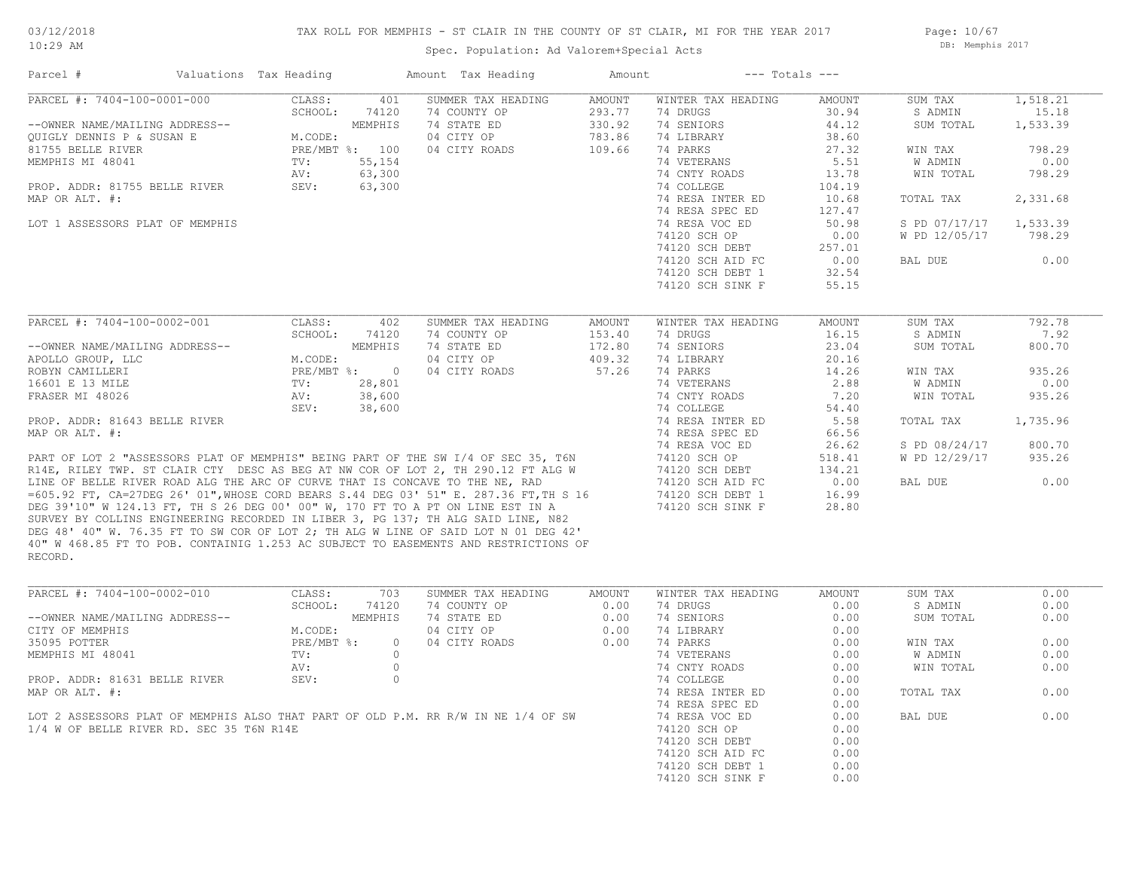## TAX ROLL FOR MEMPHIS - ST CLAIR IN THE COUNTY OF ST CLAIR, MI FOR THE YEAR 2017

Spec. Population: Ad Valorem+Special Acts

Page: 10/67 DB: Memphis 2017

| Parcel #                                                                     | Valuations Tax Heading |                | Amount Tax Heading                                                                    | Amount | $---$ Totals $---$ |        |               |          |
|------------------------------------------------------------------------------|------------------------|----------------|---------------------------------------------------------------------------------------|--------|--------------------|--------|---------------|----------|
| PARCEL #: 7404-100-0001-000                                                  | CLASS:                 | 401            | SUMMER TAX HEADING                                                                    | AMOUNT | WINTER TAX HEADING | AMOUNT | SUM TAX       | 1,518.21 |
|                                                                              | SCHOOL:                | 74120          | 74 COUNTY OP                                                                          | 293.77 | 74 DRUGS           | 30.94  | S ADMIN       | 15.18    |
| --OWNER NAME/MAILING ADDRESS--                                               |                        | MEMPHIS        | 74 STATE ED                                                                           | 330.92 | 74 SENIORS         | 44.12  | SUM TOTAL     | 1,533.39 |
| OUIGLY DENNIS P & SUSAN E                                                    | M.CODE:                |                | 04 CITY OP                                                                            | 783.86 | 74 LIBRARY         | 38.60  |               |          |
| 81755 BELLE RIVER                                                            |                        | PRE/MBT %: 100 | 04 CITY ROADS                                                                         | 109.66 | 74 PARKS           | 27.32  | WIN TAX       | 798.29   |
| MEMPHIS MI 48041                                                             | TV:                    | 55,154         |                                                                                       |        | 74 VETERANS        | 5.51   | W ADMIN       | 0.00     |
|                                                                              | AV:                    | 63,300         |                                                                                       |        | 74 CNTY ROADS      | 13.78  | WIN TOTAL     | 798.29   |
| PROP. ADDR: 81755 BELLE RIVER                                                | SEV:                   | 63,300         |                                                                                       |        | 74 COLLEGE         | 104.19 |               |          |
| MAP OR ALT. #:                                                               |                        |                |                                                                                       |        | 74 RESA INTER ED   | 10.68  | TOTAL TAX     | 2,331.68 |
|                                                                              |                        |                |                                                                                       |        | 74 RESA SPEC ED    | 127.47 |               |          |
| LOT 1 ASSESSORS PLAT OF MEMPHIS                                              |                        |                |                                                                                       |        | 74 RESA VOC ED     | 50.98  | S PD 07/17/17 | 1,533.39 |
|                                                                              |                        |                |                                                                                       |        | 74120 SCH OP       | 0.00   | W PD 12/05/17 | 798.29   |
|                                                                              |                        |                |                                                                                       |        | 74120 SCH DEBT     | 257.01 |               |          |
|                                                                              |                        |                |                                                                                       |        | 74120 SCH AID FC   | 0.00   | BAL DUE       | 0.00     |
|                                                                              |                        |                |                                                                                       |        | 74120 SCH DEBT 1   | 32.54  |               |          |
|                                                                              |                        |                |                                                                                       |        | 74120 SCH SINK F   | 55.15  |               |          |
|                                                                              |                        |                |                                                                                       |        |                    |        |               |          |
| PARCEL #: 7404-100-0002-001                                                  | CLASS:                 | 402            | SUMMER TAX HEADING                                                                    | AMOUNT | WINTER TAX HEADING | AMOUNT | SUM TAX       | 792.78   |
|                                                                              | SCHOOL:                | 74120          | 74 COUNTY OP                                                                          | 153.40 | 74 DRUGS           | 16.15  | S ADMIN       | 7.92     |
| --OWNER NAME/MAILING ADDRESS--                                               |                        | MEMPHIS        | 74 STATE ED                                                                           | 172.80 | 74 SENIORS         | 23.04  | SUM TOTAL     | 800.70   |
| APOLLO GROUP, LLC                                                            | M.CODE:                |                | 04 CITY OP                                                                            | 409.32 | 74 LIBRARY         | 20.16  |               |          |
| ROBYN CAMILLERI                                                              |                        | PRE/MBT %: 0   | 04 CITY ROADS                                                                         | 57.26  | 74 PARKS           | 14.26  | WIN TAX       | 935.26   |
| 16601 E 13 MILE                                                              | TV:                    | 28,801         |                                                                                       |        | 74 VETERANS        | 2.88   | W ADMIN       | 0.00     |
| FRASER MI 48026                                                              | AV:                    | 38,600         |                                                                                       |        | 74 CNTY ROADS      | 7.20   | WIN TOTAL     | 935.26   |
|                                                                              | SEV:                   | 38,600         |                                                                                       |        | 74 COLLEGE         | 54.40  |               |          |
| PROP. ADDR: 81643 BELLE RIVER                                                |                        |                |                                                                                       |        | 74 RESA INTER ED   | 5.58   | TOTAL TAX     | 1,735.96 |
| MAP OR ALT. #:                                                               |                        |                |                                                                                       |        | 74 RESA SPEC ED    | 66.56  |               |          |
|                                                                              |                        |                |                                                                                       |        | 74 RESA VOC ED     | 26.62  | S PD 08/24/17 | 800.70   |
|                                                                              |                        |                | PART OF LOT 2 "ASSESSORS PLAT OF MEMPHIS" BEING PART OF THE SW I/4 OF SEC 35, T6N     |        | 74120 SCH OP       | 518.41 | W PD 12/29/17 | 935.26   |
|                                                                              |                        |                | R14E, RILEY TWP. ST CLAIR CTY DESC AS BEG AT NW COR OF LOT 2, TH 290.12 FT ALG W      |        | 74120 SCH DEBT     | 134.21 |               |          |
| LINE OF BELLE RIVER ROAD ALG THE ARC OF CURVE THAT IS CONCAVE TO THE NE, RAD |                        |                |                                                                                       |        | 74120 SCH AID FC   | 0.00   | BAL DUE       | 0.00     |
|                                                                              |                        |                | =605.92 FT, CA=27DEG 26' 01", WHOSE CORD BEARS S.44 DEG 03' 51" E. 287.36 FT, TH S 16 |        | 74120 SCH DEBT 1   | 16.99  |               |          |
|                                                                              |                        |                | DEG 39'10" W 124.13 FT, TH S 26 DEG 00' 00" W, 170 FT TO A PT ON LINE EST IN A        |        | 74120 SCH SINK F   | 28.80  |               |          |
|                                                                              |                        |                | SURVEY BY COLLINS ENGINEERING RECORDED IN LIBER 3, PG 137; TH ALG SAID LINE, N82      |        |                    |        |               |          |
|                                                                              |                        |                | DEG 48' 40" W. 76.35 FT TO SW COR OF LOT 2; TH ALG W LINE OF SAID LOT N 01 DEG 42'    |        |                    |        |               |          |
|                                                                              |                        |                | 40" W 468.85 FT TO POB. CONTAINIG 1.253 AC SUBJECT TO EASEMENTS AND RESTRICTIONS OF   |        |                    |        |               |          |
| RECORD.                                                                      |                        |                |                                                                                       |        |                    |        |               |          |
|                                                                              |                        |                |                                                                                       |        |                    |        |               |          |

| PARCEL #: 7404-100-0002-010                                                       | CLASS:       | 703     | SUMMER TAX HEADING | AMOUNT | WINTER TAX HEADING | AMOUNT | SUM TAX   | 0.00 |
|-----------------------------------------------------------------------------------|--------------|---------|--------------------|--------|--------------------|--------|-----------|------|
|                                                                                   | SCHOOL:      | 74120   | 74 COUNTY OP       | 0.00   | 74 DRUGS           | 0.00   | S ADMIN   | 0.00 |
| --OWNER NAME/MAILING ADDRESS--                                                    |              | MEMPHIS | 74 STATE ED        | 0.00   | 74 SENIORS         | 0.00   | SUM TOTAL | 0.00 |
| CITY OF MEMPHIS                                                                   | M.CODE:      |         | 04 CITY OP         | 0.00   | 74 LIBRARY         | 0.00   |           |      |
| 35095 POTTER                                                                      | $PRE/MBT$ %: |         | 04 CITY ROADS      | 0.00   | 74 PARKS           | 0.00   | WIN TAX   | 0.00 |
| MEMPHIS MI 48041                                                                  | TV:          |         |                    |        | 74 VETERANS        | 0.00   | W ADMIN   | 0.00 |
|                                                                                   | AV:          |         |                    |        | 74 CNTY ROADS      | 0.00   | WIN TOTAL | 0.00 |
| PROP. ADDR: 81631 BELLE RIVER                                                     | SEV:         |         |                    |        | 74 COLLEGE         | 0.00   |           |      |
| MAP OR ALT. #:                                                                    |              |         |                    |        | 74 RESA INTER ED   | 0.00   | TOTAL TAX | 0.00 |
|                                                                                   |              |         |                    |        | 74 RESA SPEC ED    | 0.00   |           |      |
| LOT 2 ASSESSORS PLAT OF MEMPHIS ALSO THAT PART OF OLD P.M. RR R/W IN NE 1/4 OF SW |              |         |                    |        | 74 RESA VOC ED     | 0.00   | BAL DUE   | 0.00 |
| 1/4 W OF BELLE RIVER RD. SEC 35 T6N R14E                                          |              |         |                    |        | 74120 SCH OP       | 0.00   |           |      |
|                                                                                   |              |         |                    |        | 74120 SCH DEBT     | 0.00   |           |      |
|                                                                                   |              |         |                    |        | 74120 SCH AID FC   | 0.00   |           |      |
|                                                                                   |              |         |                    |        | 74120 SCH DEBT 1   | 0.00   |           |      |
|                                                                                   |              |         |                    |        | 74120 SCH SINK F   | 0.00   |           |      |
|                                                                                   |              |         |                    |        |                    |        |           |      |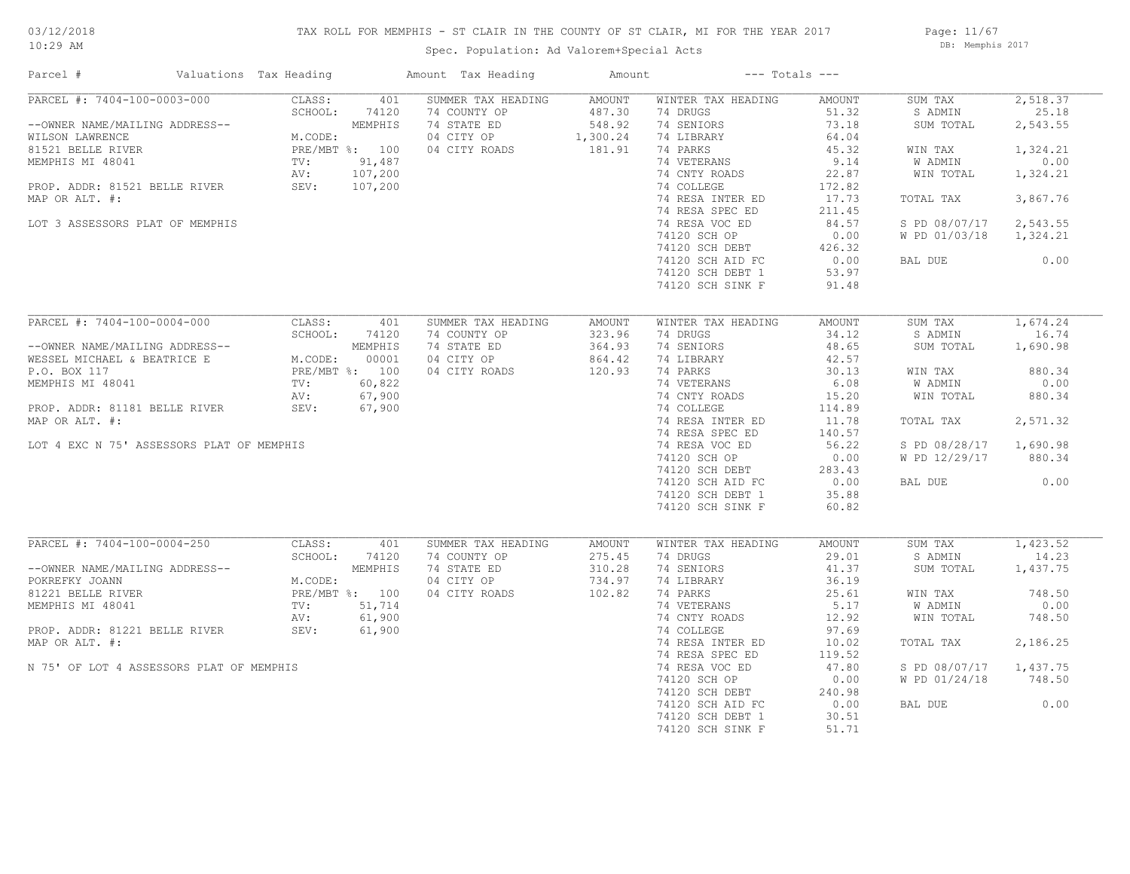#### TAX ROLL FOR MEMPHIS - ST CLAIR IN THE COUNTY OF ST CLAIR, MI FOR THE YEAR 2017

Spec. Population: Ad Valorem+Special Acts

Page: 11/67 DB: Memphis 2017

| Parcel #                                                                                                                                                                                                                         | Valuations Tax Heading                                               |                                                                | Amount Tax Heading                                                               | Amount                                                |                                                                                                                                                                                                                                                                             | $---$ Totals $---$                                                                                                                            |                                                                                                                                     |                                                                                                           |
|----------------------------------------------------------------------------------------------------------------------------------------------------------------------------------------------------------------------------------|----------------------------------------------------------------------|----------------------------------------------------------------|----------------------------------------------------------------------------------|-------------------------------------------------------|-----------------------------------------------------------------------------------------------------------------------------------------------------------------------------------------------------------------------------------------------------------------------------|-----------------------------------------------------------------------------------------------------------------------------------------------|-------------------------------------------------------------------------------------------------------------------------------------|-----------------------------------------------------------------------------------------------------------|
| PARCEL #: 7404-100-0003-000<br>--OWNER NAME/MAILING ADDRESS--<br>WILSON LAWRENCE<br>81521 BELLE RIVER<br>MEMPHIS MI 48041<br>PROP. ADDR: 81521 BELLE RIVER<br>MAP OR ALT. #:<br>LOT 3 ASSESSORS PLAT OF MEMPHIS                  | CLASS:<br>SCHOOL:<br>M.CODE:<br>PRE/MBT %: 100<br>TV:<br>AV:<br>SEV: | 401<br>74120<br>MEMPHIS<br>91,487<br>107,200<br>107,200        | SUMMER TAX HEADING<br>74 COUNTY OP<br>74 STATE ED<br>04 CITY OP<br>04 CITY ROADS | AMOUNT<br>487.30<br>548.92<br>1,300.24<br>181.91      | WINTER TAX HEADING<br>74 DRUGS<br>74 SENIORS<br>74 LIBRARY<br>74 PARKS<br>74 VETERANS<br>74 CNTY ROADS<br>74 COLLEGE<br>74 RESA INTER ED<br>74 RESA SPEC ED<br>74 RESA VOC ED<br>74120 SCH OP<br>74120 SCH DEBT<br>74120 SCH AID FC<br>74120 SCH DEBT 1<br>74120 SCH SINK F | AMOUNT<br>51.32<br>73.18<br>64.04<br>45.32<br>9.14<br>22.87<br>172.82<br>17.73<br>211.45<br>84.57<br>0.00<br>426.32<br>0.00<br>53.97<br>91.48 | SUM TAX<br>S ADMIN<br>SUM TOTAL<br>WIN TAX<br><b>W ADMIN</b><br>WIN TOTAL<br>TOTAL TAX<br>S PD 08/07/17<br>W PD 01/03/18<br>BAL DUE | 2,518.37<br>25.18<br>2,543.55<br>1,324.21<br>0.00<br>1,324.21<br>3,867.76<br>2,543.55<br>1,324.21<br>0.00 |
| PARCEL #: 7404-100-0004-000<br>--OWNER NAME/MAILING ADDRESS--<br>WESSEL MICHAEL & BEATRICE E<br>P.O. BOX 117<br>MEMPHIS MI 48041<br>PROP. ADDR: 81181 BELLE RIVER<br>MAP OR ALT. #:<br>LOT 4 EXC N 75' ASSESSORS PLAT OF MEMPHIS | CLASS:<br>SCHOOL:<br>M.CODE:<br>PRE/MBT %: 100<br>TV:<br>AV:<br>SEV: | 401<br>74120<br>MEMPHIS<br>00001<br>60,822<br>67,900<br>67,900 | SUMMER TAX HEADING<br>74 COUNTY OP<br>74 STATE ED<br>04 CITY OP<br>04 CITY ROADS | AMOUNT<br>323.96<br>364.93<br>864.42<br>120.93        | WINTER TAX HEADING<br>74 DRUGS<br>74 SENIORS<br>74 LIBRARY<br>74 PARKS<br>74 VETERANS<br>74 CNTY ROADS<br>74 COLLEGE<br>74 RESA INTER ED<br>74 RESA SPEC ED<br>74 RESA VOC ED<br>74120 SCH OP<br>74120 SCH DEBT<br>74120 SCH AID FC<br>74120 SCH DEBT 1<br>74120 SCH SINK F | AMOUNT<br>34.12<br>48.65<br>42.57<br>30.13<br>6.08<br>15.20<br>114.89<br>11.78<br>140.57<br>56.22<br>0.00<br>283.43<br>0.00<br>35.88<br>60.82 | SUM TAX<br>S ADMIN<br>SUM TOTAL<br>WIN TAX<br>W ADMIN<br>WIN TOTAL<br>TOTAL TAX<br>S PD 08/28/17<br>W PD 12/29/17<br>BAL DUE        | 1,674.24<br>16.74<br>1,690.98<br>880.34<br>0.00<br>880.34<br>2,571.32<br>1,690.98<br>880.34<br>0.00       |
| PARCEL #: 7404-100-0004-250<br>--OWNER NAME/MAILING ADDRESS--<br>POKREFKY JOANN<br>81221 BELLE RIVER<br>MEMPHIS MI 48041<br>PROP. ADDR: 81221 BELLE RIVER<br>MAP OR ALT. #:<br>N 75' OF LOT 4 ASSESSORS PLAT OF MEMPHIS          | CLASS:<br>SCHOOL:<br>M.CODE:<br>PRE/MBT %: 100<br>TV:<br>AV:<br>SEV: | 401<br>74120<br>MEMPHIS<br>51,714<br>61,900<br>61,900          | SUMMER TAX HEADING<br>74 COUNTY OP<br>74 STATE ED<br>04 CITY OP<br>04 CITY ROADS | <b>AMOUNT</b><br>275.45<br>310.28<br>734.97<br>102.82 | WINTER TAX HEADING<br>74 DRUGS<br>74 SENIORS<br>74 LIBRARY<br>74 PARKS<br>74 VETERANS<br>74 CNTY ROADS<br>74 COLLEGE<br>74 RESA INTER ED<br>74 RESA SPEC ED<br>74 RESA VOC ED<br>74120 SCH OP<br>74120 SCH DEBT<br>74120 SCH AID FC<br>74120 SCH DEBT 1<br>74120 SCH SINK F | AMOUNT<br>29.01<br>41.37<br>36.19<br>25.61<br>5.17<br>12.92<br>97.69<br>10.02<br>119.52<br>47.80<br>0.00<br>240.98<br>0.00<br>30.51<br>51.71  | SUM TAX<br>S ADMIN<br>SUM TOTAL<br>WIN TAX<br>W ADMIN<br>WIN TOTAL<br>TOTAL TAX<br>S PD 08/07/17<br>W PD 01/24/18<br>BAL DUE        | 1,423.52<br>14.23<br>1,437.75<br>748.50<br>0.00<br>748.50<br>2,186.25<br>1,437.75<br>748.50<br>0.00       |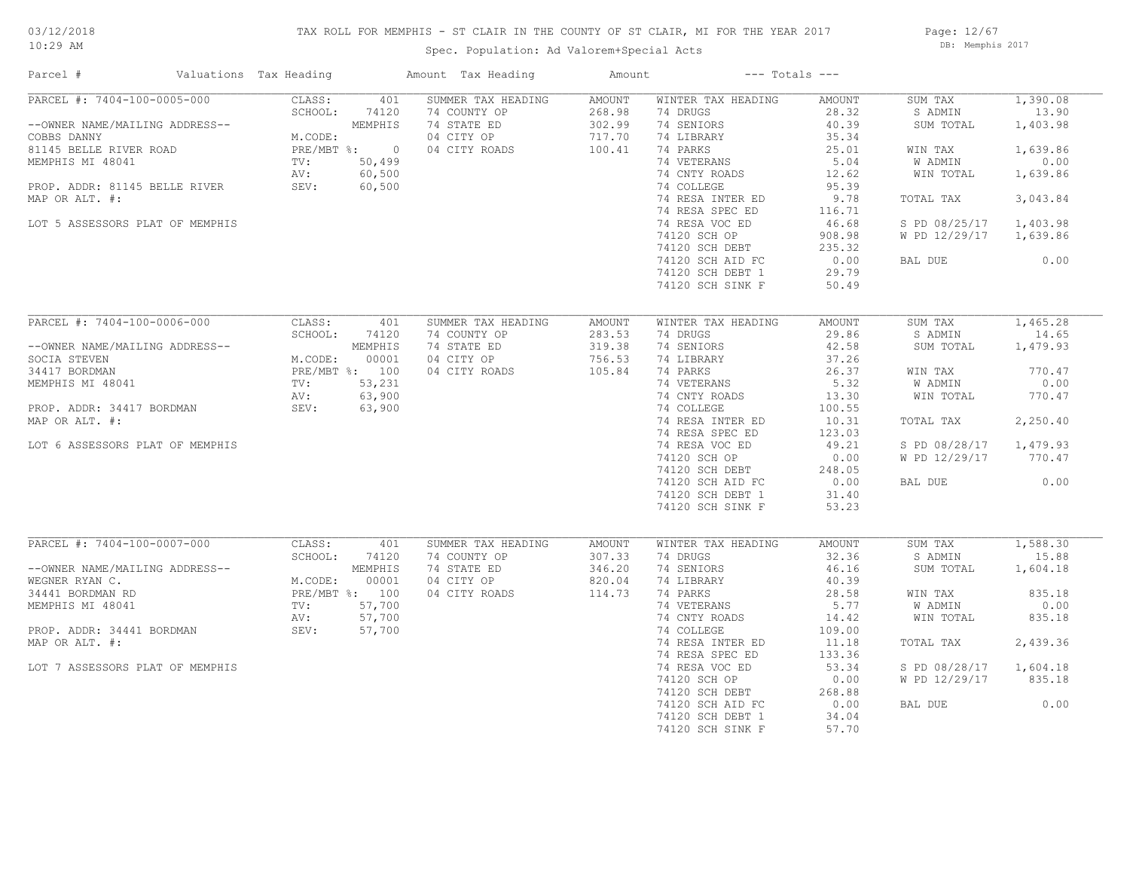## TAX ROLL FOR MEMPHIS - ST CLAIR IN THE COUNTY OF ST CLAIR, MI FOR THE YEAR 2017

Spec. Population: Ad Valorem+Special Acts

Page: 12/67 DB: Memphis 2017

| Parcel #                                         | Valuations Tax Heading |                 |                  | Amount Tax Heading          | Amount           |                                     | $---$ Totals $---$ |                      |                   |
|--------------------------------------------------|------------------------|-----------------|------------------|-----------------------------|------------------|-------------------------------------|--------------------|----------------------|-------------------|
| PARCEL #: 7404-100-0005-000                      |                        | CLASS:          | 401              | SUMMER TAX HEADING          | AMOUNT           | WINTER TAX HEADING                  | AMOUNT             | SUM TAX              | 1,390.08          |
| --OWNER NAME/MAILING ADDRESS--                   |                        | SCHOOL:         | 74120<br>MEMPHIS | 74 COUNTY OP<br>74 STATE ED | 268.98<br>302.99 | 74 DRUGS<br>74 SENIORS              | 28.32<br>40.39     | S ADMIN<br>SUM TOTAL | 13.90<br>1,403.98 |
| COBBS DANNY                                      |                        | M.CODE:         |                  | 04 CITY OP                  | 717.70           | 74 LIBRARY                          | 35.34              |                      |                   |
| 81145 BELLE RIVER ROAD                           |                        | PRE/MBT %: 0    |                  | 04 CITY ROADS               | 100.41           | 74 PARKS                            | 25.01              | WIN TAX              | 1,639.86          |
| MEMPHIS MI 48041                                 |                        | TV:             | 50,499           |                             |                  | 74 VETERANS                         | 5.04               | W ADMIN              | 0.00              |
|                                                  |                        | AV:             | 60,500           |                             |                  | 74 CNTY ROADS                       | 12.62              | WIN TOTAL            | 1,639.86          |
| PROP. ADDR: 81145 BELLE RIVER                    |                        | SEV:            | 60,500           |                             |                  | 74 COLLEGE                          | 95.39              |                      |                   |
| MAP OR ALT. #:                                   |                        |                 |                  |                             |                  | 74 RESA INTER ED<br>74 RESA SPEC ED | 9.78<br>116.71     | TOTAL TAX            | 3,043.84          |
| LOT 5 ASSESSORS PLAT OF MEMPHIS                  |                        |                 |                  |                             |                  | 74 RESA VOC ED                      | 46.68              | S PD 08/25/17        | 1,403.98          |
|                                                  |                        |                 |                  |                             |                  | 74120 SCH OP                        | 908.98             | W PD 12/29/17        | 1,639.86          |
|                                                  |                        |                 |                  |                             |                  | 74120 SCH DEBT                      | 235.32             |                      |                   |
|                                                  |                        |                 |                  |                             |                  | 74120 SCH AID FC                    | 0.00               | BAL DUE              | 0.00              |
|                                                  |                        |                 |                  |                             |                  | 74120 SCH DEBT 1                    | 29.79              |                      |                   |
|                                                  |                        |                 |                  |                             |                  | 74120 SCH SINK F                    | 50.49              |                      |                   |
|                                                  |                        |                 |                  |                             |                  |                                     |                    |                      |                   |
| PARCEL #: 7404-100-0006-000                      |                        | CLASS:          | 401              | SUMMER TAX HEADING          | AMOUNT           | WINTER TAX HEADING                  | AMOUNT             | SUM TAX              | 1,465.28          |
|                                                  |                        | SCHOOL:         | 74120            | 74 COUNTY OP                | 283.53           | 74 DRUGS                            | 29.86              | S ADMIN              | 14.65             |
| --OWNER NAME/MAILING ADDRESS--                   |                        |                 | MEMPHIS          | 74 STATE ED                 | 319.38           | 74 SENIORS                          | 42.58              | SUM TOTAL            | 1,479.93          |
| SOCIA STEVEN                                     |                        | M.CODE:         | 00001            | 04 CITY OP                  | 756.53           | 74 LIBRARY                          | 37.26              |                      |                   |
| 34417 BORDMAN                                    |                        | PRE/MBT %: 100  |                  | 04 CITY ROADS               | 105.84           | 74 PARKS                            | 26.37              | WIN TAX              | 770.47            |
| MEMPHIS MI 48041                                 |                        | $\texttt{TV}$ : | 53,231           |                             |                  | 74 VETERANS                         | 5.32               | W ADMIN              | 0.00              |
|                                                  |                        | AV:             | 63,900           |                             |                  | 74 CNTY ROADS                       | 13.30              | WIN TOTAL            | 770.47            |
| PROP. ADDR: 34417 BORDMAN                        |                        | SEV:            | 63,900           |                             |                  | 74 COLLEGE                          | 100.55             |                      |                   |
| MAP OR ALT. #:                                   |                        |                 |                  |                             |                  | 74 RESA INTER ED                    | 10.31              | TOTAL TAX            | 2,250.40          |
|                                                  |                        |                 |                  |                             |                  | 74 RESA SPEC ED                     | 123.03             |                      |                   |
| LOT 6 ASSESSORS PLAT OF MEMPHIS                  |                        |                 |                  |                             |                  | 74 RESA VOC ED                      | 49.21              | S PD 08/28/17        | 1,479.93          |
|                                                  |                        |                 |                  |                             |                  | 74120 SCH OP                        | 0.00               | W PD 12/29/17        | 770.47            |
|                                                  |                        |                 |                  |                             |                  | 74120 SCH DEBT                      | 248.05             |                      |                   |
|                                                  |                        |                 |                  |                             |                  | 74120 SCH AID FC                    | 0.00               | BAL DUE              | 0.00              |
|                                                  |                        |                 |                  |                             |                  | 74120 SCH DEBT 1                    | 31.40              |                      |                   |
|                                                  |                        |                 |                  |                             |                  | 74120 SCH SINK F                    | 53.23              |                      |                   |
|                                                  |                        |                 |                  |                             |                  |                                     |                    |                      |                   |
| PARCEL #: 7404-100-0007-000                      |                        | CLASS:          | 401              | SUMMER TAX HEADING          | AMOUNT           | WINTER TAX HEADING                  | AMOUNT             | SUM TAX              | 1,588.30          |
|                                                  |                        | SCHOOL:         | 74120<br>MEMPHIS | 74 COUNTY OP                | 307.33           | 74 DRUGS                            | 32.36<br>46.16     | S ADMIN              | 15.88             |
| --OWNER NAME/MAILING ADDRESS--<br>WEGNER RYAN C. |                        | M.CODE:         | 00001            | 74 STATE ED<br>04 CITY OP   | 346.20<br>820.04 | 74 SENIORS<br>74 LIBRARY            | 40.39              | SUM TOTAL            | 1,604.18          |
| 34441 BORDMAN RD                                 |                        | PRE/MBT %: 100  |                  | 04 CITY ROADS               | 114.73           | 74 PARKS                            | 28.58              | WIN TAX              | 835.18            |
| MEMPHIS MI 48041                                 |                        | TV:             | 57,700           |                             |                  | 74 VETERANS                         | 5.77               | W ADMIN              | 0.00              |
|                                                  |                        | AV:             | 57,700           |                             |                  | 74 CNTY ROADS                       | 14.42              | WIN TOTAL            | 835.18            |
| PROP. ADDR: 34441 BORDMAN                        |                        | SEV:            | 57,700           |                             |                  | 74 COLLEGE                          | 109.00             |                      |                   |
| MAP OR ALT. #:                                   |                        |                 |                  |                             |                  | 74 RESA INTER ED                    | 11.18              | TOTAL TAX            | 2,439.36          |
|                                                  |                        |                 |                  |                             |                  | 74 RESA SPEC ED                     | 133.36             |                      |                   |
| LOT 7 ASSESSORS PLAT OF MEMPHIS                  |                        |                 |                  |                             |                  | 74 RESA VOC ED                      | 53.34              | S PD 08/28/17        | 1,604.18          |
|                                                  |                        |                 |                  |                             |                  | 74120 SCH OP                        | 0.00               | W PD 12/29/17        | 835.18            |
|                                                  |                        |                 |                  |                             |                  | 74120 SCH DEBT                      | 268.88             |                      |                   |
|                                                  |                        |                 |                  |                             |                  | 74120 SCH AID FC                    | 0.00               | BAL DUE              | 0.00              |
|                                                  |                        |                 |                  |                             |                  | 74120 SCH DEBT 1                    | 34.04              |                      |                   |
|                                                  |                        |                 |                  |                             |                  | 74120 SCH SINK F                    | 57.70              |                      |                   |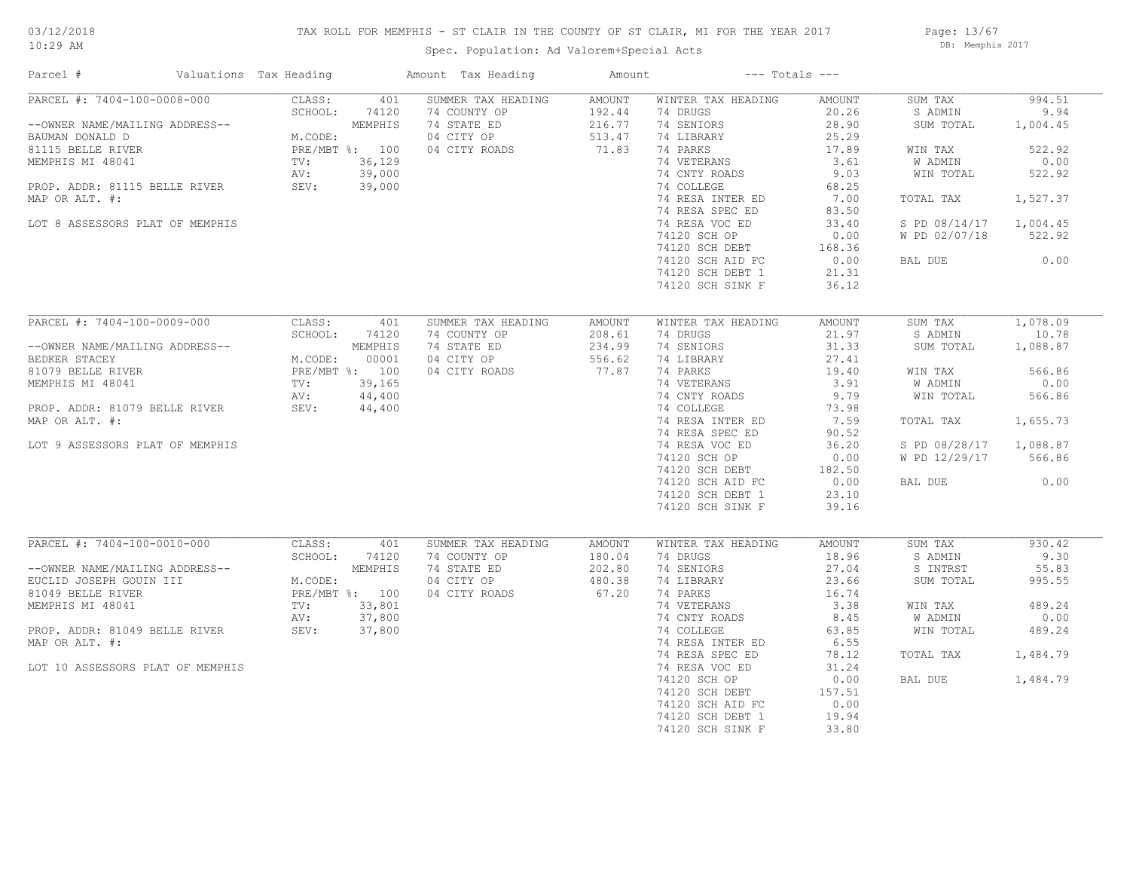# 03/12/2018

## TAX ROLL FOR MEMPHIS - ST CLAIR IN THE COUNTY OF ST CLAIR, MI FOR THE YEAR 2017

10:29 AM

# Spec. Population: Ad Valorem+Special Acts

Page: 13/67 DB: Memphis 2017

| Parcel #                                          | Valuations Tax Heading                         |                  | Amount Tax Heading                        | Amount                     |                                      | $---$ Totals $---$      |                      |                  |
|---------------------------------------------------|------------------------------------------------|------------------|-------------------------------------------|----------------------------|--------------------------------------|-------------------------|----------------------|------------------|
| PARCEL #: 7404-100-0008-000                       | CLASS:                                         | 401              | SUMMER TAX HEADING                        | AMOUNT                     | WINTER TAX HEADING                   | AMOUNT                  | SUM TAX              | 994.51           |
| --OWNER NAME/MAILING ADDRESS--<br>BAUMAN DONALD D | SCHOOL:<br>M.CODE:                             | 74120<br>MEMPHIS | 74 COUNTY OP<br>74 STATE ED<br>04 CITY OP | 192.44<br>216.77<br>513.47 | 74 DRUGS<br>74 SENIORS<br>74 LIBRARY | 20.26<br>28.90<br>25.29 | S ADMIN<br>SUM TOTAL | 9.94<br>1,004.45 |
| 81115 BELLE RIVER                                 |                                                | PRE/MBT %: 100   | 04 CITY ROADS                             | 71.83                      | 74 PARKS                             | 17.89                   | WIN TAX              | 522.92           |
| MEMPHIS MI 48041                                  | TV:                                            | 36,129           |                                           |                            | 74 VETERANS                          | 3.61                    | W ADMIN              | 0.00             |
|                                                   | AV:                                            | 39,000           |                                           |                            | 74 CNTY ROADS                        | 9.03                    | WIN TOTAL            | 522.92           |
| PROP. ADDR: 81115 BELLE RIVER                     | SEV: 39,000                                    |                  |                                           |                            | 74 COLLEGE                           | 68.25                   |                      |                  |
| MAP OR ALT. #:                                    |                                                |                  |                                           |                            | 74 RESA INTER ED                     | 7.00                    | TOTAL TAX            | 1,527.37         |
|                                                   |                                                |                  |                                           |                            | 74 RESA SPEC ED                      | 83.50                   |                      |                  |
| LOT 8 ASSESSORS PLAT OF MEMPHIS                   |                                                |                  |                                           |                            | 74 RESA VOC ED                       | 33.40                   | S PD 08/14/17        | 1,004.45         |
|                                                   |                                                |                  |                                           |                            | 74120 SCH OP                         | 0.00                    | W PD 02/07/18        | 522.92           |
|                                                   |                                                |                  |                                           |                            | 74120 SCH DEBT                       | 168.36                  |                      |                  |
|                                                   |                                                |                  |                                           |                            | 74120 SCH AID FC                     | 0.00                    | BAL DUE              | 0.00             |
|                                                   |                                                |                  |                                           |                            | 74120 SCH DEBT 1                     | 21.31                   |                      |                  |
|                                                   |                                                |                  |                                           |                            | 74120 SCH SINK F                     | 36.12                   |                      |                  |
|                                                   |                                                |                  |                                           |                            |                                      |                         |                      |                  |
| PARCEL #: 7404-100-0009-000                       | CLASS:                                         | 401              | SUMMER TAX HEADING                        | AMOUNT                     | WINTER TAX HEADING                   | AMOUNT                  | SUM TAX              | 1,078.09         |
|                                                   | SCHOOL:                                        | 74120            | 74 COUNTY OP                              | 208.61                     | 74 DRUGS                             | 21.97                   | S ADMIN              | 10.78            |
| --OWNER NAME/MAILING ADDRESS--                    |                                                | MEMPHIS          | 74 STATE ED                               | 234.99                     | 74 SENIORS                           | 31.33                   | SUM TOTAL            | 1,088.87         |
| BEDKER STACEY                                     | M.CODE: $00001$<br>PRE/MBT $\frac{2}{3}$ : 100 |                  | 04 CITY OP                                | 556.62                     | 74 LIBRARY                           | 27.41                   |                      |                  |
| 81079 BELLE RIVER                                 |                                                |                  | 04 CITY ROADS                             | 77.87                      | 74 PARKS                             | 19.40                   | WIN TAX              | 566.86           |
| MEMPHIS MI 48041                                  | TV:                                            | 39,165           |                                           |                            | 74 VETERANS                          | 3.91                    | W ADMIN              | 0.00             |
|                                                   | AV:                                            | 44,400           |                                           |                            | 74 CNTY ROADS                        | 9.79                    | WIN TOTAL            | 566.86           |
| PROP. ADDR: 81079 BELLE RIVER                     | SEV:                                           | 44,400           |                                           |                            | 74 COLLEGE                           | 73.98                   |                      |                  |
| MAP OR ALT. #:                                    |                                                |                  |                                           |                            | 74 RESA INTER ED<br>74 RESA SPEC ED  | 7.59<br>90.52           | TOTAL TAX            | 1,655.73         |
| LOT 9 ASSESSORS PLAT OF MEMPHIS                   |                                                |                  |                                           |                            | 74 RESA VOC ED                       | 36.20                   | S PD 08/28/17        | 1,088.87         |
|                                                   |                                                |                  |                                           |                            | 74120 SCH OP                         | 0.00                    | W PD 12/29/17        | 566.86           |
|                                                   |                                                |                  |                                           |                            | 74120 SCH DEBT                       | 182.50                  |                      |                  |
|                                                   |                                                |                  |                                           |                            | 74120 SCH AID FC                     | 0.00                    | BAL DUE              | 0.00             |
|                                                   |                                                |                  |                                           |                            | 74120 SCH DEBT 1                     | 23.10                   |                      |                  |
|                                                   |                                                |                  |                                           |                            | 74120 SCH SINK F                     | 39.16                   |                      |                  |
|                                                   |                                                |                  |                                           |                            |                                      |                         |                      |                  |
| PARCEL #: 7404-100-0010-000                       | CLASS:                                         | 401              | SUMMER TAX HEADING                        | AMOUNT                     | WINTER TAX HEADING                   | AMOUNT                  | SUM TAX              | 930.42           |
|                                                   | SCHOOL:                                        | 74120            | 74 COUNTY OP                              | 180.04                     | 74 DRUGS                             | 18.96                   | S ADMIN              | 9.30             |
| --OWNER NAME/MAILING ADDRESS--                    |                                                | MEMPHIS          | 74 STATE ED                               | 202.80                     | 74 SENIORS                           | 27.04                   | S INTRST             | 55.83            |
| EUCLID JOSEPH GOUIN III                           | M.CODE:                                        |                  | 04 CITY OP                                | 480.38                     | 74 LIBRARY                           | 23.66                   | SUM TOTAL            | 995.55           |
| 81049 BELLE RIVER                                 |                                                | PRE/MBT %: 100   | 04 CITY ROADS                             | 67.20                      | 74 PARKS                             | 16.74                   |                      |                  |
| MEMPHIS MI 48041                                  | TV:                                            | 33,801           |                                           |                            | 74 VETERANS                          | 3.38                    | WIN TAX              | 489.24           |
|                                                   | AV:                                            | 37,800           |                                           |                            | 74 CNTY ROADS                        | 8.45                    | W ADMIN              | 0.00             |
| PROP. ADDR: 81049 BELLE RIVER                     | SEV:                                           | 37,800           |                                           |                            | 74 COLLEGE                           | 63.85                   | WIN TOTAL            | 489.24           |
| MAP OR ALT. #:                                    |                                                |                  |                                           |                            | 74 RESA INTER ED                     | 6.55                    |                      |                  |
|                                                   |                                                |                  |                                           |                            | 74 RESA SPEC ED                      | 78.12                   | TOTAL TAX            | 1,484.79         |
| LOT 10 ASSESSORS PLAT OF MEMPHIS                  |                                                |                  |                                           |                            | 74 RESA VOC ED                       | 31.24                   |                      |                  |
|                                                   |                                                |                  |                                           |                            | 74120 SCH OP                         | 0.00                    | BAL DUE              | 1,484.79         |
|                                                   |                                                |                  |                                           |                            | 74120 SCH DEBT                       | 157.51                  |                      |                  |
|                                                   |                                                |                  |                                           |                            | 74120 SCH AID FC                     | 0.00                    |                      |                  |
|                                                   |                                                |                  |                                           |                            | 74120 SCH DEBT 1                     | 19.94                   |                      |                  |
|                                                   |                                                |                  |                                           |                            | 74120 SCH SINK F                     | 33.80                   |                      |                  |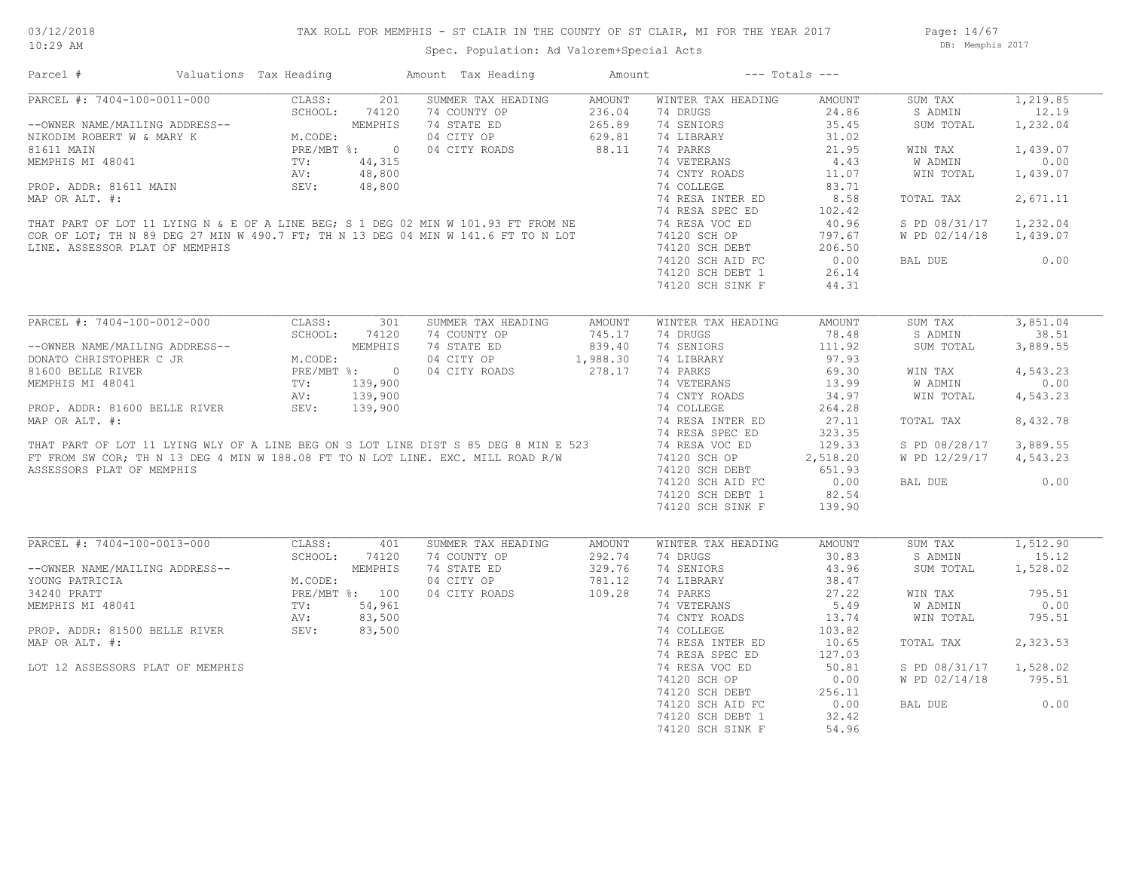## TAX ROLL FOR MEMPHIS - ST CLAIR IN THE COUNTY OF ST CLAIR, MI FOR THE YEAR 2017

Page: 14/67 DB: Memphis 2017

| Amount Tax Heading<br>Parcel #<br>Valuations Tax Heading                                                                                                                                                                                                      | Amount                       | $---$ Totals $---$                             |               |                        |          |
|---------------------------------------------------------------------------------------------------------------------------------------------------------------------------------------------------------------------------------------------------------------|------------------------------|------------------------------------------------|---------------|------------------------|----------|
| 201<br>PARCEL #: 7404-100-0011-000<br>--OWNER NAME/MAILING ADDRESS--<br>NIKODIM ROBERT W & MARY K<br>81611 MAIN<br>MEMPHIS MI 48041<br>MEMPHIS MI 48041<br>MEMPHIS MI 48041<br>MEMPHIS MI 48041<br>TV: 44,315<br>AV: 48,800<br>PRE/MBT %: 0<br>AV: 48,800<br> | SUMMER TAX HEADING<br>AMOUNT | WINTER TAX HEADING                             | AMOUNT        | SUM TAX                | 1,219.85 |
| 74 COUNTY OP                                                                                                                                                                                                                                                  | 236.04                       | 74 DRUGS                                       | 24.86         | S ADMIN                | 12.19    |
| 74 STATE ED                                                                                                                                                                                                                                                   | 265.89                       | 74 SENIORS                                     | 35.45         | SUM TOTAL              | 1,232.04 |
| 04 CITY OP                                                                                                                                                                                                                                                    | 629.81                       | 74 LIBRARY                                     | 31.02         |                        |          |
| 04 CITY ROADS                                                                                                                                                                                                                                                 | 88.11                        | 74 PARKS                                       | 21.95         | WIN TAX                | 1,439.07 |
|                                                                                                                                                                                                                                                               |                              | 74 VETERANS                                    | 4.43          | W ADMIN                | 0.00     |
|                                                                                                                                                                                                                                                               |                              |                                                | 11.07         |                        |          |
|                                                                                                                                                                                                                                                               |                              | 74 CNTY ROADS                                  |               | WIN TOTAL              | 1,439.07 |
|                                                                                                                                                                                                                                                               |                              | 74 COLLEGE                                     | 83.71         |                        |          |
|                                                                                                                                                                                                                                                               |                              | 74 RESA INTER ED                               | 8.58          | TOTAL TAX              | 2,671.11 |
|                                                                                                                                                                                                                                                               |                              | 74 RESA SPEC ED                                | 102.42        |                        |          |
| MEMPHIS MI 48041<br>PROP. ADDR: 81611 MAIN<br>MEMPHIS MI 48,800<br>MAP OR ALT. #:<br>THAT PART OF LOT 11 LYING N & E OF A LINE BEG; S 1 DEG 02 MIN W 101.93 FT FROM NE<br>COR OF LOT; TH N 89 DEG 27 MIN W 490.7 FT; TH N 13 DEG 04 MIN                       |                              | 74 RESA VOC ED                                 | 40.96         | S PD 08/31/17          | 1,232.04 |
|                                                                                                                                                                                                                                                               |                              | 74120 SCH OP                                   | 797.67        | W PD 02/14/18          | 1,439.07 |
| LINE. ASSESSOR PLAT OF MEMPHIS                                                                                                                                                                                                                                |                              |                                                | 206.50        |                        |          |
|                                                                                                                                                                                                                                                               |                              | 74120 SUN UL<br>74120 SCH DEBT<br>10000 ATD FC | 0.00          | BAL DUE                | 0.00     |
|                                                                                                                                                                                                                                                               |                              | 74120 SCH DEBT 1                               | 26.14         |                        |          |
|                                                                                                                                                                                                                                                               |                              | 74120 SCH SINK F                               | 44.31         |                        |          |
|                                                                                                                                                                                                                                                               |                              |                                                |               |                        |          |
| PARCEL #: 7404-100-0012-000<br>301<br>CLASS:                                                                                                                                                                                                                  | SUMMER TAX HEADING<br>AMOUNT | WINTER TAX HEADING                             | <b>AMOUNT</b> | SUM TAX                | 3,851.04 |
| SCHOOL:<br>74120<br>74 COUNTY OP                                                                                                                                                                                                                              | 745.17                       | 74 DRUGS                                       | 78.48         | S ADMIN                | 38.51    |
| 74 STATE ED<br>--OWNER NAME/MAILING ADDRESS--                                                                                                                                                                                                                 | 839.40                       | 74 SENIORS                                     | 111.92        | SUM TOTAL              | 3,889.55 |
| DONATO CHRISTOPHER C JR<br>04 CITY OP                                                                                                                                                                                                                         | 1,988.30                     | 74 LIBRARY                                     | 97.93         |                        |          |
| RESS--<br>MEMPHIS<br>M.CODE:<br>MEMPHIS<br>MEMPHIS<br>PRE/MBT %: 0<br>TV: 139,900<br>AV: 139,900<br>RIVER SEV: 139,900<br>04 CITY ROADS<br>81600 BELLE RIVER                                                                                                  | 278.17                       | 74 PARKS                                       | 69.30         |                        | 4,543.23 |
|                                                                                                                                                                                                                                                               |                              |                                                |               | WIN TAX                |          |
| MEMPHIS MI 48041                                                                                                                                                                                                                                              |                              | 74 VETERANS                                    | 13.99         | W ADMIN                | 0.00     |
|                                                                                                                                                                                                                                                               |                              | 74 CNTY ROADS                                  | 34.97         | WIN TOTAL              | 4,543.23 |
| PROP. ADDR: 81600 BELLE RIVER                                                                                                                                                                                                                                 |                              | 74 COLLEGE                                     | 264.28        |                        |          |
| MAP OR ALT. #:<br>THAT PART OF LOT 11 LYING WLY OF A LINE BEG ON S LOT LINE DIST S 85 DEG 8 MIN E 523<br>FT FROM SW COR, THIN 13 DEG 4 MIN W 188.08 FT TO N LOT LINE. EXC. MILL ROAD R/W 74 RESA INTER EN<br>FT FROM SW COR, THIN 13                          |                              | 74 RESA INTER ED                               | 27.11         | TOTAL TAX              | 8,432.78 |
|                                                                                                                                                                                                                                                               |                              | 74 RESA SPEC ED                                | 323.35        |                        |          |
|                                                                                                                                                                                                                                                               |                              |                                                | 129.33        | S PD 08/28/17          | 3,889.55 |
|                                                                                                                                                                                                                                                               |                              | 74120 SCH OP                                   | 2,518.20      | W PD 12/29/17          | 4,543.23 |
| ASSESSORS PLAT OF MEMPHIS                                                                                                                                                                                                                                     |                              | 74120 SCH DEBT                                 | 651.93        |                        |          |
|                                                                                                                                                                                                                                                               |                              | 74120 SCH AID FC                               | 0.00          | BAL DUE                | 0.00     |
|                                                                                                                                                                                                                                                               |                              | 74120 SCH DEBT 1                               | 82.54         |                        |          |
|                                                                                                                                                                                                                                                               |                              | 74120 SCH SINK F                               | 139.90        |                        |          |
|                                                                                                                                                                                                                                                               |                              |                                                |               |                        |          |
| PARCEL #: 7404-100-0013-000<br>CLASS:<br>401                                                                                                                                                                                                                  | SUMMER TAX HEADING<br>AMOUNT | WINTER TAX HEADING                             | AMOUNT        | SUM TAX                | 1,512.90 |
| SCHOOL:<br>74 COUNTY OP                                                                                                                                                                                                                                       |                              | 74 DRUGS                                       | 30.83         | S ADMIN                | 15.12    |
| 74120                                                                                                                                                                                                                                                         | 292.74                       |                                                |               |                        |          |
| M.CODE:<br>M.CODE:<br>PRE/MBT %: 100<br>TV: 54,961<br>AV: 83,500<br>SEV: 83,500<br>74 STATE ED<br>--OWNER NAME/MAILING ADDRESS--                                                                                                                              | 329.76                       | 74 SENIORS                                     | 43.96         | SUM TOTAL              | 1,528.02 |
| YOUNG PATRICIA<br>04 CITY OP                                                                                                                                                                                                                                  | 781.12                       | 74 LIBRARY                                     | 38.47         |                        |          |
| 34240 PRATT<br>04 CITY ROADS                                                                                                                                                                                                                                  | 109.28                       | 74 PARKS                                       | 27.22         | WIN TAX                | 795.51   |
| MEMPHIS MI 48041                                                                                                                                                                                                                                              |                              | 74 VETERANS                                    | 5.49          | W ADMIN                | 0.00     |
|                                                                                                                                                                                                                                                               |                              | 74 CNTY ROADS                                  | 13.74         | WIN TOTAL              | 795.51   |
| PROP. ADDR: 81500 BELLE RIVER                                                                                                                                                                                                                                 |                              | 74 COLLEGE                                     | 103.82        |                        |          |
| MAP OR ALT. #:                                                                                                                                                                                                                                                |                              | 74 RESA INTER ED                               | 10.65         | TOTAL TAX              | 2,323.53 |
|                                                                                                                                                                                                                                                               |                              | 74 RESA SPEC ED                                | 127.03        |                        |          |
| LOT 12 ASSESSORS PLAT OF MEMPHIS                                                                                                                                                                                                                              |                              | 74 RESA VOC ED                                 | 50.81         | S PD 08/31/17 1,528.02 |          |
|                                                                                                                                                                                                                                                               |                              | 74120 SCH OP                                   | 0.00          | W PD 02/14/18          | 795.51   |
|                                                                                                                                                                                                                                                               |                              |                                                |               |                        |          |
|                                                                                                                                                                                                                                                               |                              | 74120 SCH DEBT                                 | 256.11        |                        |          |
|                                                                                                                                                                                                                                                               |                              | 74120 SCH AID FC                               | 0.00          | BAL DUE                | 0.00     |
|                                                                                                                                                                                                                                                               |                              | 74120 SCH DEBT 1                               | 32.42         |                        |          |
|                                                                                                                                                                                                                                                               |                              | 74120 SCH SINK F                               | 54.96         |                        |          |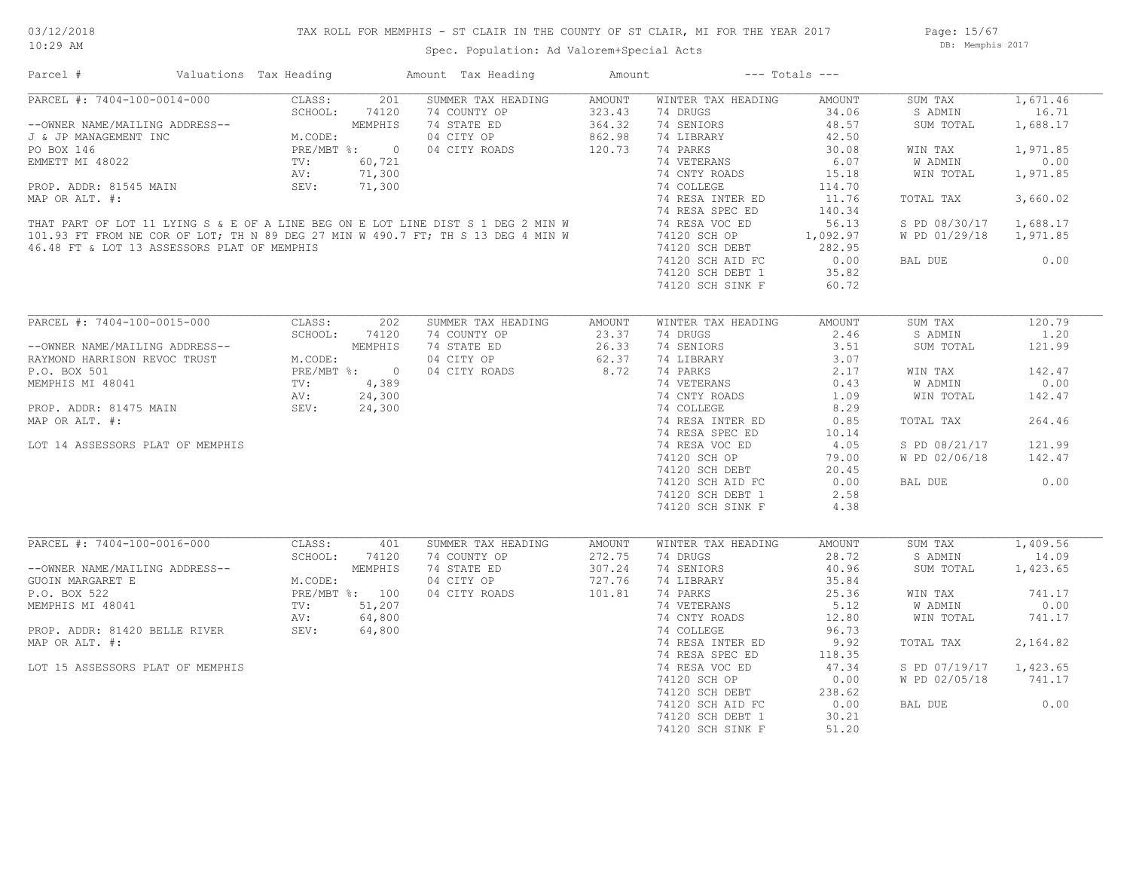## TAX ROLL FOR MEMPHIS - ST CLAIR IN THE COUNTY OF ST CLAIR, MI FOR THE YEAR 2017

Spec. Population: Ad Valorem+Special Acts

Page: 15/67 DB: Memphis 2017

| Parcel #                                                                                                                                                                                                                           | Valuations Tax Heading                                                    |                | Amount Tax Heading                 | Amount                     |                                | $---$ Totals $---$ |                        |                   |
|------------------------------------------------------------------------------------------------------------------------------------------------------------------------------------------------------------------------------------|---------------------------------------------------------------------------|----------------|------------------------------------|----------------------------|--------------------------------|--------------------|------------------------|-------------------|
| PARCEL #: 7404-100-0014-000                                                                                                                                                                                                        | SCHOOL: 7412<br>M.CODE: 7412<br>M.CODE: PRE/MBT %: 0<br>TV: 60.721<br>AV: | 201            | SUMMER TAX HEADING<br>74 COUNTY OP | AMOUNT<br>323.43           | WINTER TAX HEADING<br>74 DRUGS | AMOUNT<br>34.06    | SUM TAX<br>S ADMIN     | 1,671.46<br>16.71 |
| --OWNER NAME/MAILING ADDRESS--<br>J & JP MANAGEMENT INC                                                                                                                                                                            |                                                                           |                | 74 STATE ED<br>04 CITY OP          | $364.32$ $862.98$ $120.73$ | 74 SENIORS<br>74 LIBRARY       | 48.57<br>42.50     | SUM TOTAL              | 1,688.17          |
| PO BOX 146                                                                                                                                                                                                                         |                                                                           |                | 04 CITY ROADS                      |                            | 74 PARKS                       | 30.08              | WIN TAX                | 1,971.85          |
| EMMETT MI 48022                                                                                                                                                                                                                    |                                                                           |                |                                    |                            | 74 VETERANS                    | 6.07               | W ADMIN                | 0.00              |
|                                                                                                                                                                                                                                    |                                                                           |                |                                    |                            | 74 CNTY ROADS                  | 15.18              | WIN TOTAL              | 1,971.85          |
| PROP. ADDR: 81545 MAIN                                                                                                                                                                                                             | SEV:                                                                      | 71,300         |                                    |                            | 74 COLLEGE                     | 114.70             |                        |                   |
| MAP OR ALT. #:                                                                                                                                                                                                                     |                                                                           |                |                                    |                            | 74 RESA INTER ED               | 11.76              | TOTAL TAX              | 3,660.02          |
|                                                                                                                                                                                                                                    |                                                                           |                |                                    |                            | 74 RESA SPEC ED                | 140.34             |                        |                   |
|                                                                                                                                                                                                                                    |                                                                           |                |                                    |                            |                                | 56.13              | S PD 08/30/17          | 1,688.17          |
|                                                                                                                                                                                                                                    |                                                                           |                |                                    |                            | 74120 SCH OP                   | 1,092.97           | W PD 01/29/18 1,971.85 |                   |
|                                                                                                                                                                                                                                    |                                                                           |                |                                    |                            | 74120 SCH DEBT                 | 282.95             |                        |                   |
| THAT PART OF LOT 11 LYING S & E OF A LINE BEG ON E LOT LINE DIST S 1 DEG 2 MIN W<br>101.93 FT FROM NE COR OF LOT, TH N 89 DEG 27 MIN W 490.7 FT, TH S 13 DEG 4 MIN W 74 RESA VOC ED<br>46.48 FT & LOT 13 ASSESSORS PLAT OF MEMPHIS |                                                                           |                |                                    |                            | 74120 SCH AID FC               | 0.00               | BAL DUE                | 0.00              |
|                                                                                                                                                                                                                                    |                                                                           |                |                                    |                            | 74120 SCH DEBT 1               | 35.82              |                        |                   |
|                                                                                                                                                                                                                                    |                                                                           |                |                                    |                            | 74120 SCH SINK F               | 60.72              |                        |                   |
|                                                                                                                                                                                                                                    |                                                                           |                |                                    |                            |                                |                    |                        |                   |
|                                                                                                                                                                                                                                    |                                                                           |                |                                    |                            |                                |                    |                        |                   |
| PARCEL #: 7404-100-0015-000                                                                                                                                                                                                        | CLASS:                                                                    | 202            | SUMMER TAX HEADING                 | AMOUNT                     | WINTER TAX HEADING             | AMOUNT             | SUM TAX                | 120.79            |
|                                                                                                                                                                                                                                    | SCHOOL:                                                                   | 74120          | 74 COUNTY OP                       | 23.37                      | 74 DRUGS                       | 2.46               | S ADMIN                | 1.20              |
| --OWNER NAME/MAILING ADDRESS--                                                                                                                                                                                                     |                                                                           | MEMPHIS        | 74 STATE ED                        | 26.33                      | 74 SENIORS                     | 3.51               | SUM TOTAL              | 121.99            |
| RAYMOND HARRISON REVOC TRUST                                                                                                                                                                                                       | M.CODE:                                                                   |                | 04 CITY OP                         | 62.37                      | 74 LIBRARY                     | 3.07               |                        |                   |
| P.O. BOX 501                                                                                                                                                                                                                       | PRE/MBT %: 0<br>TV: 4,389<br>AV: 24,300                                   |                | 04 CITY ROADS                      | 8.72                       | 74 PARKS                       | 2.17               | WIN TAX                | 142.47            |
| MEMPHIS MI 48041                                                                                                                                                                                                                   |                                                                           |                |                                    |                            | 74 VETERANS                    | 0.43               | W ADMIN                | 0.00              |
|                                                                                                                                                                                                                                    |                                                                           |                |                                    |                            | 74 CNTY ROADS                  | 1.09               | WIN TOTAL              | 142.47            |
| PROP. ADDR: 81475 MAIN                                                                                                                                                                                                             | SEV: 24,300                                                               |                |                                    |                            | 74 COLLEGE                     | 8.29               |                        |                   |
| MAP OR ALT. #:                                                                                                                                                                                                                     |                                                                           |                |                                    |                            | 74 RESA INTER ED               | 0.85               | TOTAL TAX              | 264.46            |
|                                                                                                                                                                                                                                    |                                                                           |                |                                    |                            | 74 RESA SPEC ED                | 10.14              |                        |                   |
| LOT 14 ASSESSORS PLAT OF MEMPHIS                                                                                                                                                                                                   |                                                                           |                |                                    |                            | 74 RESA VOC ED                 | 4.05               | S PD 08/21/17          | 121.99            |
|                                                                                                                                                                                                                                    |                                                                           |                |                                    |                            | 74120 SCH OP                   | 79.00              | W PD 02/06/18          | 142.47            |
|                                                                                                                                                                                                                                    |                                                                           |                |                                    |                            | 74120 SCH DEBT                 | 20.45              |                        |                   |
|                                                                                                                                                                                                                                    |                                                                           |                |                                    |                            | 74120 SCH AID FC               | 0.00               | BAL DUE                | 0.00              |
|                                                                                                                                                                                                                                    |                                                                           |                |                                    |                            | 74120 SCH DEBT 1               | 2.58               |                        |                   |
|                                                                                                                                                                                                                                    |                                                                           |                |                                    |                            | 74120 SCH SINK F               | 4.38               |                        |                   |
|                                                                                                                                                                                                                                    |                                                                           |                |                                    |                            |                                |                    |                        |                   |
| PARCEL #: 7404-100-0016-000                                                                                                                                                                                                        | CLASS:                                                                    | 401            | SUMMER TAX HEADING                 | AMOUNT                     | WINTER TAX HEADING             | AMOUNT             | SUM TAX                | 1,409.56          |
|                                                                                                                                                                                                                                    | SCHOOL:                                                                   | 74120          | 74 COUNTY OP                       | 272.75                     | 74 DRUGS                       | 28.72              | S ADMIN                | 14.09             |
| --OWNER NAME/MAILING ADDRESS--                                                                                                                                                                                                     |                                                                           | MEMPHIS        | 74 STATE ED                        | 307.24                     | 74 SENIORS                     | 40.96              | SUM TOTAL              | 1,423.65          |
| <b>GUOIN MARGARET E</b>                                                                                                                                                                                                            | M.CODE:                                                                   |                | 04 CITY OP                         | 727.76                     | 74 LIBRARY                     | 35.84              |                        |                   |
| P.O. BOX 522                                                                                                                                                                                                                       |                                                                           | PRE/MBT %: 100 | 04 CITY ROADS                      | 101.81                     | 74 PARKS                       | 25.36              | WIN TAX                | 741.17            |
| MEMPHIS MI 48041                                                                                                                                                                                                                   |                                                                           | TV: 51,207     |                                    |                            | 74 VETERANS                    | 5.12               | W ADMIN                | 0.00              |
| AV: 64,800<br>PROP. ADDR: 81420 BELLE RIVER SEV: 64,800                                                                                                                                                                            | AV:                                                                       | 64,800         |                                    |                            | 74 CNTY ROADS                  | 12.80              | WIN TOTAL              | 741.17            |
|                                                                                                                                                                                                                                    |                                                                           |                |                                    |                            | 74 COLLEGE                     | 96.73              |                        |                   |
| MAP OR ALT. #:                                                                                                                                                                                                                     |                                                                           |                |                                    |                            | 74 RESA INTER ED               | 9.92               | TOTAL TAX              | 2,164.82          |
|                                                                                                                                                                                                                                    |                                                                           |                |                                    |                            | 74 RESA SPEC ED                | 118.35             |                        |                   |
| LOT 15 ASSESSORS PLAT OF MEMPHIS                                                                                                                                                                                                   |                                                                           |                |                                    |                            | 74 RESA VOC ED                 | 47.34              | S PD 07/19/17          | 1,423.65          |
|                                                                                                                                                                                                                                    |                                                                           |                |                                    |                            | 74120 SCH OP                   | 0.00               | W PD 02/05/18          | 741.17            |
|                                                                                                                                                                                                                                    |                                                                           |                |                                    |                            | 74120 SCH DEBT                 | 238.62             |                        |                   |
|                                                                                                                                                                                                                                    |                                                                           |                |                                    |                            | 74120 SCH AID FC               | 0.00               | BAL DUE                | 0.00              |
|                                                                                                                                                                                                                                    |                                                                           |                |                                    |                            | 74120 SCH DEBT 1               | 30.21              |                        |                   |
|                                                                                                                                                                                                                                    |                                                                           |                |                                    |                            | 74120 SCH SINK F               | 51.20              |                        |                   |
|                                                                                                                                                                                                                                    |                                                                           |                |                                    |                            |                                |                    |                        |                   |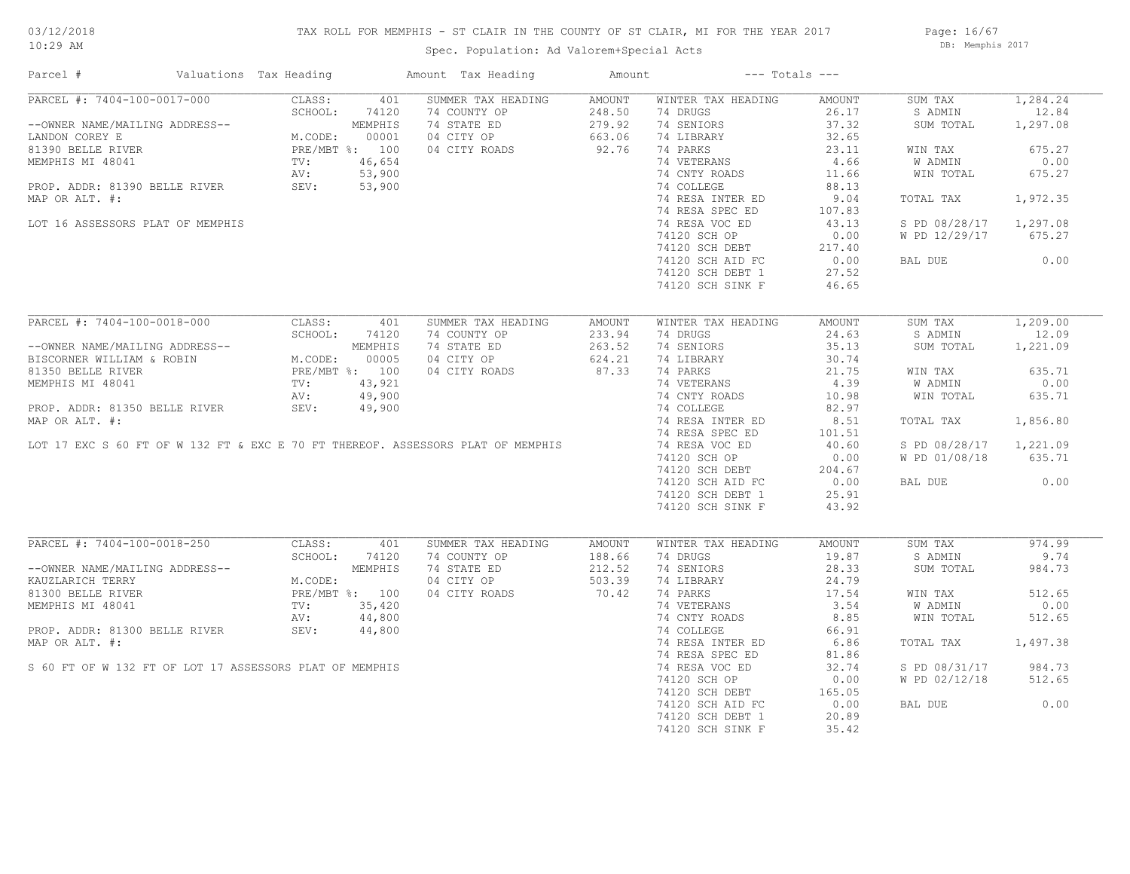## TAX ROLL FOR MEMPHIS - ST CLAIR IN THE COUNTY OF ST CLAIR, MI FOR THE YEAR 2017

Spec. Population: Ad Valorem+Special Acts

Page: 16/67 DB: Memphis 2017

| Parcel #                                                | Valuations Tax Heading |                | Amount Tax Heading                                                              | Amount        |                    | $---$ Totals $---$ |               |          |
|---------------------------------------------------------|------------------------|----------------|---------------------------------------------------------------------------------|---------------|--------------------|--------------------|---------------|----------|
| PARCEL #: 7404-100-0017-000                             | CLASS:                 | 401            | SUMMER TAX HEADING                                                              | <b>AMOUNT</b> | WINTER TAX HEADING | AMOUNT             | SUM TAX       | 1,284.24 |
|                                                         | SCHOOL:                | 74120          | 74 COUNTY OP                                                                    | 248.50        | 74 DRUGS           | 26.17              | S ADMIN       | 12.84    |
| --OWNER NAME/MAILING ADDRESS--                          |                        | MEMPHIS        | 74 STATE ED                                                                     | 279.92        | 74 SENIORS         | 37.32              | SUM TOTAL     | 1,297.08 |
| LANDON COREY E                                          | M.CODE:                | 00001          | 04 CITY OP                                                                      | 663.06        | 74 LIBRARY         | 32.65              |               |          |
| 81390 BELLE RIVER                                       |                        | PRE/MBT %: 100 | 04 CITY ROADS                                                                   | 92.76         | 74 PARKS           | 23.11              | WIN TAX       | 675.27   |
| MEMPHIS MI 48041                                        | TV:                    | 46,654         |                                                                                 |               | 74 VETERANS        | 4.66               | W ADMIN       | 0.00     |
|                                                         | AV:                    | 53,900         |                                                                                 |               | 74 CNTY ROADS      | 11.66              | WIN TOTAL     | 675.27   |
| PROP. ADDR: 81390 BELLE RIVER                           | SEV:                   | 53,900         |                                                                                 |               | 74 COLLEGE         | 88.13              |               |          |
| MAP OR ALT. #:                                          |                        |                |                                                                                 |               | 74 RESA INTER ED   | 9.04               | TOTAL TAX     | 1,972.35 |
|                                                         |                        |                |                                                                                 |               | 74 RESA SPEC ED    | 107.83             |               |          |
| LOT 16 ASSESSORS PLAT OF MEMPHIS                        |                        |                |                                                                                 |               | 74 RESA VOC ED     | 43.13              | S PD 08/28/17 | 1,297.08 |
|                                                         |                        |                |                                                                                 |               | 74120 SCH OP       | 0.00               | W PD 12/29/17 | 675.27   |
|                                                         |                        |                |                                                                                 |               | 74120 SCH DEBT     | 217.40             |               |          |
|                                                         |                        |                |                                                                                 |               | 74120 SCH AID FC   | 0.00               | BAL DUE       | 0.00     |
|                                                         |                        |                |                                                                                 |               | 74120 SCH DEBT 1   | 27.52              |               |          |
|                                                         |                        |                |                                                                                 |               | 74120 SCH SINK F   | 46.65              |               |          |
|                                                         |                        |                |                                                                                 |               |                    |                    |               |          |
| PARCEL #: 7404-100-0018-000                             | CLASS:                 | 401            | SUMMER TAX HEADING                                                              | <b>AMOUNT</b> | WINTER TAX HEADING | AMOUNT             | SUM TAX       | 1,209.00 |
|                                                         | SCHOOL:                | 74120          | 74 COUNTY OP                                                                    | 233.94        | 74 DRUGS           | 24.63              | S ADMIN       | 12.09    |
| --OWNER NAME/MAILING ADDRESS--                          |                        | MEMPHIS        | 74 STATE ED                                                                     | 263.52        | 74 SENIORS         | 35.13              | SUM TOTAL     | 1,221.09 |
| BISCORNER WILLIAM & ROBIN                               | M.CODE:                | 00005          | 04 CITY OP                                                                      | 624.21        | 74 LIBRARY         | 30.74              |               |          |
| 81350 BELLE RIVER                                       |                        | PRE/MBT %: 100 | 04 CITY ROADS                                                                   | 87.33         | 74 PARKS           | 21.75              | WIN TAX       | 635.71   |
| MEMPHIS MI 48041                                        | TV:                    | 43,921         |                                                                                 |               | 74 VETERANS        | 4.39               | W ADMIN       | 0.00     |
|                                                         | AV:                    | 49,900         |                                                                                 |               | 74 CNTY ROADS      | 10.98              | WIN TOTAL     | 635.71   |
| PROP. ADDR: 81350 BELLE RIVER                           | SEV:                   | 49,900         |                                                                                 |               | 74 COLLEGE         | 82.97              |               |          |
| MAP OR ALT. #:                                          |                        |                |                                                                                 |               | 74 RESA INTER ED   | 8.51               | TOTAL TAX     | 1,856.80 |
|                                                         |                        |                |                                                                                 |               | 74 RESA SPEC ED    | 101.51             |               |          |
|                                                         |                        |                | LOT 17 EXC S 60 FT OF W 132 FT & EXC E 70 FT THEREOF. ASSESSORS PLAT OF MEMPHIS |               | 74 RESA VOC ED     | 40.60              | S PD 08/28/17 | 1,221.09 |
|                                                         |                        |                |                                                                                 |               | 74120 SCH OP       | 0.00               | W PD 01/08/18 | 635.71   |
|                                                         |                        |                |                                                                                 |               | 74120 SCH DEBT     | 204.67             |               |          |
|                                                         |                        |                |                                                                                 |               | 74120 SCH AID FC   | 0.00               | BAL DUE       | 0.00     |
|                                                         |                        |                |                                                                                 |               | 74120 SCH DEBT 1   | 25.91              |               |          |
|                                                         |                        |                |                                                                                 |               | 74120 SCH SINK F   | 43.92              |               |          |
|                                                         |                        |                |                                                                                 |               |                    |                    |               |          |
| PARCEL #: 7404-100-0018-250                             | CLASS:                 | 401            | SUMMER TAX HEADING                                                              | AMOUNT        | WINTER TAX HEADING | AMOUNT             | SUM TAX       | 974.99   |
|                                                         | SCHOOL:                | 74120          | 74 COUNTY OP                                                                    | 188.66        | 74 DRUGS           | 19.87              | S ADMIN       | 9.74     |
| --OWNER NAME/MAILING ADDRESS--                          |                        | MEMPHIS        | 74 STATE ED                                                                     | 212.52        | 74 SENIORS         | 28.33              | SUM TOTAL     | 984.73   |
| KAUZLARICH TERRY                                        | M.CODE:                |                | 04 CITY OP                                                                      | 503.39        | 74 LIBRARY         | 24.79              |               |          |
| 81300 BELLE RIVER                                       |                        | PRE/MBT %: 100 | 04 CITY ROADS                                                                   | 70.42         | 74 PARKS           | 17.54              | WIN TAX       | 512.65   |
| MEMPHIS MI 48041                                        | TV:                    | 35,420         |                                                                                 |               | 74 VETERANS        | 3.54               | W ADMIN       | 0.00     |
|                                                         | AV:                    | 44,800         |                                                                                 |               | 74 CNTY ROADS      | 8.85               | WIN TOTAL     | 512.65   |
| PROP. ADDR: 81300 BELLE RIVER                           | SEV:                   | 44,800         |                                                                                 |               | 74 COLLEGE         | 66.91              |               |          |
| MAP OR ALT. #:                                          |                        |                |                                                                                 |               | 74 RESA INTER ED   | 6.86               | TOTAL TAX     | 1,497.38 |
|                                                         |                        |                |                                                                                 |               | 74 RESA SPEC ED    | 81.86              |               |          |
| S 60 FT OF W 132 FT OF LOT 17 ASSESSORS PLAT OF MEMPHIS |                        |                |                                                                                 |               | 74 RESA VOC ED     | 32.74              | S PD 08/31/17 | 984.73   |
|                                                         |                        |                |                                                                                 |               | 74120 SCH OP       | 0.00               | W PD 02/12/18 | 512.65   |
|                                                         |                        |                |                                                                                 |               | 74120 SCH DEBT     | 165.05             |               |          |
|                                                         |                        |                |                                                                                 |               | 74120 SCH AID FC   | 0.00               | BAL DUE       | 0.00     |
|                                                         |                        |                |                                                                                 |               | 74120 SCH DEBT 1   | 20.89              |               |          |
|                                                         |                        |                |                                                                                 |               | 74120 SCH SINK F   | 35.42              |               |          |
|                                                         |                        |                |                                                                                 |               |                    |                    |               |          |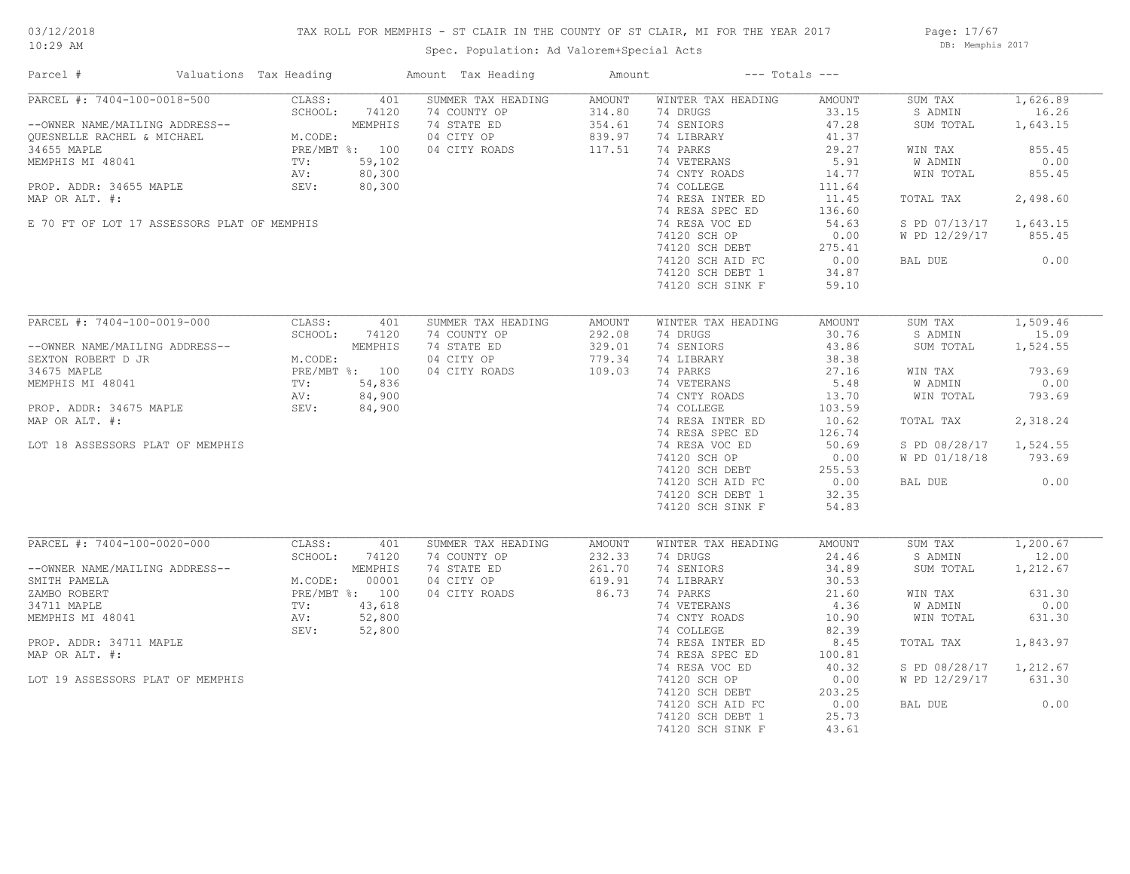## TAX ROLL FOR MEMPHIS - ST CLAIR IN THE COUNTY OF ST CLAIR, MI FOR THE YEAR 2017

Spec. Population: Ad Valorem+Special Acts

Page: 17/67 DB: Memphis 2017

| Parcel #                                    | Valuations Tax Heading                                                             |                | Amount Tax Heading                                        | Amount           |                                                                  | $---$ Totals $---$ |                        |          |
|---------------------------------------------|------------------------------------------------------------------------------------|----------------|-----------------------------------------------------------|------------------|------------------------------------------------------------------|--------------------|------------------------|----------|
| PARCEL #: 7404-100-0018-500                 | CLASS:                                                                             | 401            | SUMMER TAX HEADING                                        | AMOUNT           | WINTER TAX HEADING                                               | AMOUNT             | SUM TAX                | 1,626.89 |
|                                             | SCHOOL:                                                                            | 74120          | 74 COUNTY OP                                              | 314.80           | 74 DRUGS                                                         | 33.15              | S ADMIN                | 16.26    |
| --OWNER NAME/MAILING ADDRESS--              |                                                                                    |                | 74 STATE ED                                               | 354.61           | 74 SENIORS                                                       | 47.28              | SUM TOTAL              | 1,643.15 |
| QUESNELLE RACHEL & MICHAEL                  | <br>M.CODE:<br>PRE/MBT %: 100<br>TV: 59,102<br>AV: 80,30<br>SEV: 80,3              |                | 04 CITY OP                                                | 839.97           | 74 LIBRARY                                                       | 41.37              |                        |          |
| 34655 MAPLE                                 |                                                                                    |                | 04 CITY ROADS                                             | 117.51           | 74 PARKS                                                         | 29.27              | WIN TAX                | 855.45   |
| MEMPHIS MI 48041                            |                                                                                    |                |                                                           |                  | 74 VETERANS                                                      | 5.91               | W ADMIN                | 0.00     |
|                                             |                                                                                    |                |                                                           |                  | 74 CNTY ROADS                                                    | 14.77              | WIN TOTAL              | 855.45   |
| PROP. ADDR: 34655 MAPLE                     |                                                                                    |                | $\begin{array}{l} 59,102 \\ 80,300 \\ 80,300 \end{array}$ |                  | 74 COLLEGE                                                       | 111.64             |                        |          |
| MAP OR ALT. #:                              |                                                                                    |                |                                                           |                  | 74 RESA INTER ED                                                 | 11.45              | TOTAL TAX              | 2,498.60 |
|                                             |                                                                                    |                |                                                           |                  | 74 RESA SPEC ED                                                  | 136.60             |                        |          |
| E 70 FT OF LOT 17 ASSESSORS PLAT OF MEMPHIS |                                                                                    |                |                                                           |                  | 74 RESA VOC ED                                                   | 54.63              | S PD 07/13/17 1,643.15 |          |
|                                             |                                                                                    |                |                                                           |                  |                                                                  |                    | W PD 12/29/17          | 855.45   |
|                                             |                                                                                    |                |                                                           |                  |                                                                  |                    |                        |          |
|                                             |                                                                                    |                |                                                           |                  | 74120 SCH UF<br>74120 SCH DEBT 275.41<br>20.00 CCH ATD FC 34 87  |                    |                        | 0.00     |
|                                             |                                                                                    |                |                                                           |                  |                                                                  |                    | BAL DUE                |          |
|                                             |                                                                                    |                |                                                           |                  | 74120 SCH DEBT 1                                                 | 34.87              |                        |          |
|                                             |                                                                                    |                |                                                           |                  | 74120 SCH SINK F                                                 | 59.10              |                        |          |
| PARCEL #: 7404-100-0019-000                 | CLASS:                                                                             | 401            | SUMMER TAX HEADING                                        |                  | WINTER TAX HEADING                                               | AMOUNT             | SUM TAX                | 1,509.46 |
|                                             | . ADDRESS--<br>M.CODE:<br>PRE/MBT %: 100<br>TV: 54,836<br>AV: 84,90'<br>SEV: 84,91 |                | 74 COUNTY OP                                              | AMOUNT<br>292.08 | 74 DRUGS                                                         | 30.76              | S ADMIN                | 15.09    |
|                                             |                                                                                    |                |                                                           |                  |                                                                  |                    |                        |          |
| --OWNER NAME/MAILING ADDRESS--              |                                                                                    |                | 74 STATE ED                                               | 329.01           | 74 SENIORS                                                       | 43.86              | SUM TOTAL              | 1,524.55 |
| SEXTON ROBERT D JR                          |                                                                                    |                | 04 CITY OP                                                | 779.34           | 74 LIBRARY                                                       | 38.38              |                        |          |
| 34675 MAPLE                                 |                                                                                    |                | 04 CITY ROADS                                             | 109.03           | 74 PARKS                                                         | 27.16              | WIN TAX                | 793.69   |
| MEMPHIS MI 48041                            |                                                                                    |                |                                                           |                  | 74 VETERANS                                                      | 5.48               | W ADMIN                | 0.00     |
|                                             |                                                                                    |                |                                                           |                  | 74 CNTY ROADS                                                    | 13.70              | WIN TOTAL              | 793.69   |
| PROP. ADDR: 34675 MAPLE                     |                                                                                    |                |                                                           |                  | 74 COLLEGE                                                       | 103.59             |                        |          |
| MAP OR ALT. #:                              |                                                                                    |                |                                                           |                  | 74 RESA INTER ED                                                 | 10.62              | TOTAL TAX              | 2,318.24 |
|                                             |                                                                                    |                |                                                           |                  | 74 RESA SPEC ED                                                  | 126.74             |                        |          |
| LOT 18 ASSESSORS PLAT OF MEMPHIS            |                                                                                    |                |                                                           |                  | 74 RESA VOC ED                                                   | 50.69              | S PD 08/28/17 1,524.55 |          |
|                                             |                                                                                    |                |                                                           |                  |                                                                  |                    | W PD 01/18/18          | 793.69   |
|                                             |                                                                                    |                |                                                           |                  |                                                                  |                    |                        |          |
|                                             |                                                                                    |                |                                                           |                  | 74120 SCH OF<br>74120 SCH DEBT 255.55<br>25.56 COMP ATD FC 32.35 |                    | BAL DUE                | 0.00     |
|                                             |                                                                                    |                |                                                           |                  | 74120 SCH DEBT 1                                                 | 32.35              |                        |          |
|                                             |                                                                                    |                |                                                           |                  | 74120 SCH SINK F                                                 | 54.83              |                        |          |
|                                             |                                                                                    |                |                                                           |                  |                                                                  |                    |                        |          |
| PARCEL #: 7404-100-0020-000                 | CLASS:                                                                             | 401            | SUMMER TAX HEADING                                        | AMOUNT           | WINTER TAX HEADING                                               | AMOUNT             | SUM TAX                | 1,200.67 |
|                                             | SCHOOL:                                                                            | 74120          | 74 COUNTY OP                                              | 232.33           | 74 DRUGS                                                         | 24.46              | S ADMIN                | 12.00    |
| --OWNER NAME/MAILING ADDRESS--              |                                                                                    | MEMPHIS        | 74 STATE ED                                               | 261.70           | 74 SENIORS                                                       | 34.89              | SUM TOTAL              | 1,212.67 |
| SMITH PAMELA                                | M.CODE:                                                                            | 00001          | 04 CITY OP                                                | 619.91           | 74 LIBRARY                                                       | 30.53              |                        |          |
| ZAMBO ROBERT                                |                                                                                    | PRE/MBT %: 100 | 04 CITY ROADS                                             | 86.73            | 74 PARKS                                                         | 21.60              | WIN TAX                | 631.30   |
| 34711 MAPLE                                 | PRE <sub>/11</sub><br>TV: 42<br>AV: 5 <sup>2</sup><br>SEV:                         | 43,618         |                                                           |                  | 74 VETERANS                                                      | 4.36               | W ADMIN                | 0.00     |
| MEMPHIS MI 48041                            |                                                                                    | 52,800         |                                                           |                  | 74 CNTY ROADS                                                    | 10.90              | WIN TOTAL              | 631.30   |
|                                             |                                                                                    |                |                                                           |                  |                                                                  |                    |                        |          |
|                                             |                                                                                    | 52,800         |                                                           |                  | 74 COLLEGE                                                       | 82.39              |                        |          |
| PROP. ADDR: 34711 MAPLE                     |                                                                                    |                |                                                           |                  | 74 RESA INTER ED                                                 | 8.45               | TOTAL TAX              | 1,843.97 |
| MAP OR ALT. #:                              |                                                                                    |                |                                                           |                  | 74 RESA SPEC ED                                                  | 100.81             |                        |          |
|                                             |                                                                                    |                |                                                           |                  | 74 RESA VOC ED                                                   | 40.32              | S PD 08/28/17          | 1,212.67 |
| LOT 19 ASSESSORS PLAT OF MEMPHIS            |                                                                                    |                |                                                           |                  | 74120 SCH OP                                                     | 0.00               | W PD 12/29/17          | 631.30   |
|                                             |                                                                                    |                |                                                           |                  | 74120 SCH DEBT                                                   | 203.25             |                        |          |
|                                             |                                                                                    |                |                                                           |                  | 74120 SCH AID FC                                                 | 0.00               | BAL DUE                | 0.00     |
|                                             |                                                                                    |                |                                                           |                  | 74120 SCH DEBT 1                                                 | 25.73              |                        |          |
|                                             |                                                                                    |                |                                                           |                  | 74120 SCH SINK F                                                 | 43.61              |                        |          |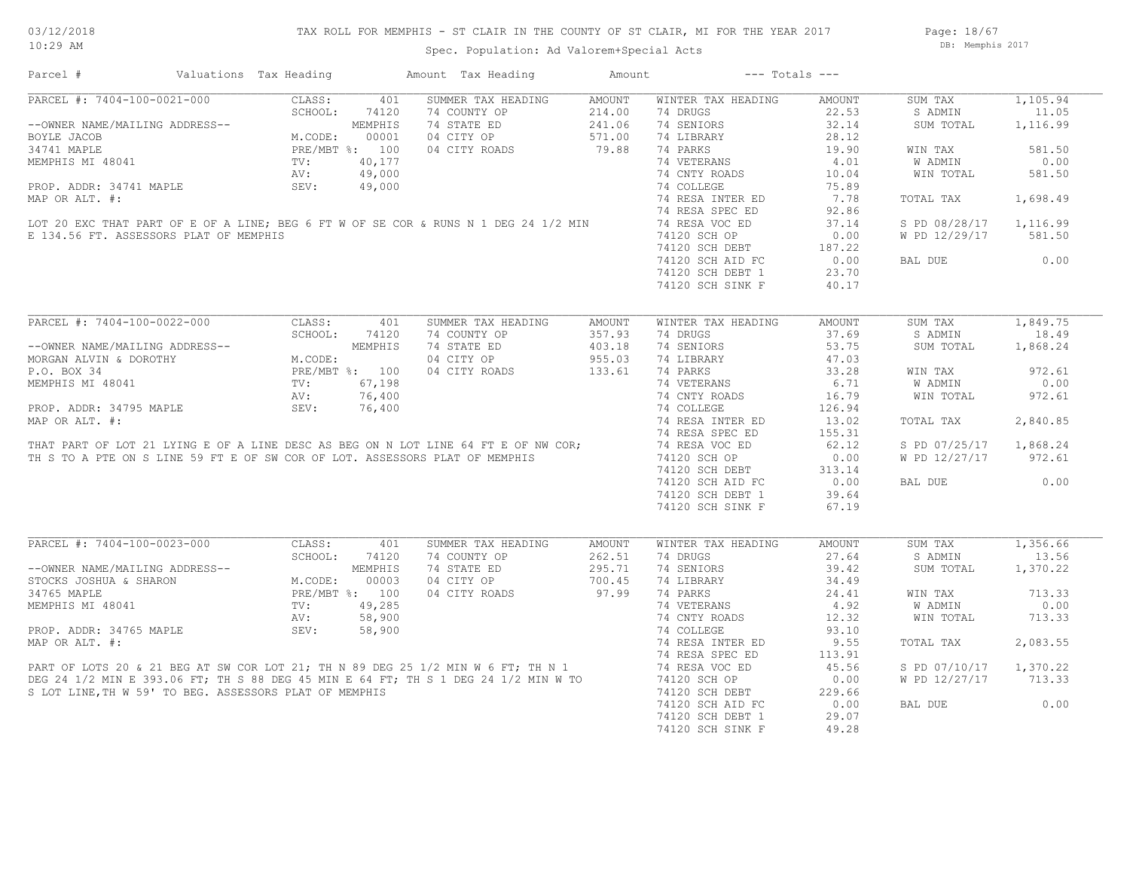Spec. Population: Ad Valorem+Special Acts

Page: 18/67 DB: Memphis 2017

| Parcel #                                                                    | Valuations Tax Heading              |                | Amount Tax Heading                                                                                                                                                                                                                   | Amount |                    | $---$ Totals $---$ |               |          |
|-----------------------------------------------------------------------------|-------------------------------------|----------------|--------------------------------------------------------------------------------------------------------------------------------------------------------------------------------------------------------------------------------------|--------|--------------------|--------------------|---------------|----------|
| PARCEL #: 7404-100-0021-000                                                 | CLASS:                              | 401            | SUMMER TAX HEADING                                                                                                                                                                                                                   | AMOUNT | WINTER TAX HEADING | AMOUNT             | SUM TAX       | 1,105.94 |
|                                                                             | SCHOOL:                             | 74120          | 74 COUNTY OP                                                                                                                                                                                                                         | 214.00 | 74 DRUGS           | 22.53              | S ADMIN       | 11.05    |
| --OWNER NAME/MAILING ADDRESS--                                              |                                     | MEMPHIS        | 74 STATE ED                                                                                                                                                                                                                          | 241.06 | 74 SENIORS         | 32.14              | SUM TOTAL     | 1,116.99 |
| BOYLE JACOB                                                                 | M.CODE:                             | 00001          | 04 CITY OP                                                                                                                                                                                                                           | 571.00 | 74 LIBRARY         | 28.12              |               |          |
| 34741 MAPLE                                                                 |                                     | PRE/MBT %: 100 | 04 CITY ROADS                                                                                                                                                                                                                        | 79.88  | 74 PARKS           | 19.90              | WIN TAX       | 581.50   |
| MEMPHIS MI 48041                                                            | $\texttt{TV}$ :                     | 40,177         |                                                                                                                                                                                                                                      |        | 74 VETERANS        | 4.01               | W ADMIN       | 0.00     |
|                                                                             | AV:                                 | 49,000         |                                                                                                                                                                                                                                      |        | 74 CNTY ROADS      | 10.04              | WIN TOTAL     | 581.50   |
| PROP. ADDR: 34741 MAPLE                                                     | SEV:                                | 49,000         |                                                                                                                                                                                                                                      |        | 74 COLLEGE         | 75.89              |               |          |
| MAP OR ALT. #:                                                              |                                     |                |                                                                                                                                                                                                                                      |        | 74 RESA INTER ED   | 7.78               | TOTAL TAX     | 1,698.49 |
|                                                                             |                                     |                |                                                                                                                                                                                                                                      |        | 74 RESA SPEC ED    | 92.86              |               |          |
|                                                                             |                                     |                | LOT 20 EXC THAT PART OF E OF A LINE; BEG 6 FT W OF SE COR & RUNS N 1 DEG 24 1/2 MIN                                                                                                                                                  |        | 74 RESA VOC ED     | 37.14              | S PD 08/28/17 | 1,116.99 |
| E 134.56 FT. ASSESSORS PLAT OF MEMPHIS                                      |                                     |                |                                                                                                                                                                                                                                      |        |                    |                    |               | 581.50   |
|                                                                             |                                     |                |                                                                                                                                                                                                                                      |        | 74120 SCH OP       | 0.00               | W PD 12/29/17 |          |
|                                                                             |                                     |                |                                                                                                                                                                                                                                      |        | 74120 SCH DEBT     | 187.22             |               |          |
|                                                                             |                                     |                |                                                                                                                                                                                                                                      |        | 74120 SCH AID FC   | 0.00               | BAL DUE       | 0.00     |
|                                                                             |                                     |                |                                                                                                                                                                                                                                      |        | 74120 SCH DEBT 1   | 23.70              |               |          |
|                                                                             |                                     |                |                                                                                                                                                                                                                                      |        | 74120 SCH SINK F   | 40.17              |               |          |
|                                                                             |                                     |                |                                                                                                                                                                                                                                      |        |                    |                    |               |          |
| PARCEL #: 7404-100-0022-000                                                 | CLASS:                              | 401            | SUMMER TAX HEADING                                                                                                                                                                                                                   | AMOUNT | WINTER TAX HEADING | AMOUNT             | SUM TAX       | 1,849.75 |
|                                                                             | SCHOOL:                             | 74120          | 74 COUNTY OP                                                                                                                                                                                                                         | 357.93 | 74 DRUGS           | 37.69              | S ADMIN       | 18.49    |
| --OWNER NAME/MAILING ADDRESS--                                              |                                     | MEMPHIS        | 74 STATE ED                                                                                                                                                                                                                          | 403.18 | 74 SENIORS         | 53.75              | SUM TOTAL     | 1,868.24 |
| MORGAN ALVIN & DOROTHY                                                      | M.CODE:<br>PRE/MBT %: 100<br>67,198 |                | 04 CITY OP                                                                                                                                                                                                                           | 955.03 | 74 LIBRARY         | 47.03              |               |          |
| P.O. BOX 34                                                                 |                                     |                | 04 CITY ROADS                                                                                                                                                                                                                        | 133.61 | 74 PARKS           | 33.28              | WIN TAX       | 972.61   |
| MEMPHIS MI 48041                                                            |                                     |                |                                                                                                                                                                                                                                      |        | 74 VETERANS        | 6.71               | W ADMIN       | 0.00     |
|                                                                             | AV:                                 | 76,400         |                                                                                                                                                                                                                                      |        | 74 CNTY ROADS      | 16.79              | WIN TOTAL     | 972.61   |
| PROP. ADDR: 34795 MAPLE                                                     | SEV:                                | 76,400         |                                                                                                                                                                                                                                      |        | 74 COLLEGE         | 126.94             |               |          |
| MAP OR ALT. #:                                                              |                                     |                |                                                                                                                                                                                                                                      |        | 74 RESA INTER ED   | 13.02              | TOTAL TAX     | 2,840.85 |
|                                                                             |                                     |                |                                                                                                                                                                                                                                      |        | 74 RESA SPEC ED    | 155.31             |               |          |
|                                                                             |                                     |                | THAT PART OF LOT 21 LYING E OF A LINE DESC AS BEG ON N LOT LINE 64 FT E OF NW COR;                                                                                                                                                   |        | 74 RESA VOC ED     | 62.12              | S PD 07/25/17 | 1,868.24 |
|                                                                             |                                     |                |                                                                                                                                                                                                                                      |        |                    |                    |               | 972.61   |
| TH S TO A PTE ON S LINE 59 FT E OF SW COR OF LOT. ASSESSORS PLAT OF MEMPHIS |                                     |                |                                                                                                                                                                                                                                      |        | 74120 SCH OP       | 0.00               | W PD 12/27/17 |          |
|                                                                             |                                     |                |                                                                                                                                                                                                                                      |        | 74120 SCH DEBT     | 313.14             |               |          |
|                                                                             |                                     |                |                                                                                                                                                                                                                                      |        | 74120 SCH AID FC   | 0.00               | BAL DUE       | 0.00     |
|                                                                             |                                     |                |                                                                                                                                                                                                                                      |        | 74120 SCH DEBT 1   | 39.64              |               |          |
|                                                                             |                                     |                |                                                                                                                                                                                                                                      |        | 74120 SCH SINK F   | 67.19              |               |          |
|                                                                             |                                     |                |                                                                                                                                                                                                                                      |        |                    |                    |               |          |
| PARCEL #: 7404-100-0023-000                                                 | CLASS:                              | 401            | SUMMER TAX HEADING                                                                                                                                                                                                                   | AMOUNT | WINTER TAX HEADING | AMOUNT             | SUM TAX       | 1,356.66 |
|                                                                             | SCHOOL:                             | 74120          | 74 COUNTY OP                                                                                                                                                                                                                         | 262.51 | 74 DRUGS           | 27.64              | S ADMIN       | 13.56    |
| --OWNER NAME/MAILING ADDRESS--                                              |                                     | MEMPHIS        | 74 STATE ED                                                                                                                                                                                                                          | 295.71 | 74 SENIORS         | 39.42              | SUM TOTAL     | 1,370.22 |
| STOCKS JOSHUA & SHARON                                                      | M.CODE:                             | 00003          | 04 CITY OP                                                                                                                                                                                                                           | 700.45 | 74 LIBRARY         | 34.49              |               |          |
| 34765 MAPLE                                                                 |                                     | PRE/MBT %: 100 | 04 CITY ROADS                                                                                                                                                                                                                        | 97.99  | 74 PARKS           | 24.41              | WIN TAX       | 713.33   |
| MEMPHIS MI 48041                                                            | TV:                                 | 49,285         |                                                                                                                                                                                                                                      |        | 74 VETERANS        | 4.92               | W ADMIN       | 0.00     |
|                                                                             | AV:                                 | 58,900         |                                                                                                                                                                                                                                      |        | 74 CNTY ROADS      | 12.32              | WIN TOTAL     | 713.33   |
| PROP. ADDR: 34765 MAPLE                                                     | SEV:                                | 58,900         |                                                                                                                                                                                                                                      |        | 74 COLLEGE         | 93.10              |               |          |
|                                                                             |                                     |                | MAP OR ALT. #:<br>MAP OR ALT. #:<br>PART OF LOTS 20 & 21 BEG AT SW COR LOT 21; TH N 89 DEG 25 1/2 MIN W 6 FT; TH N 1 74 RESA SPEC ED<br>DEG 24 1/2 MIN E 393.06 FT; TH S 88 DEG 45 MIN E 64 FT; TH S 1 DEG 24 1/2 MIN W TO 74120 SCH |        | 74 RESA INTER ED   | 9.55               | TOTAL TAX     | 2,083.55 |
|                                                                             |                                     |                |                                                                                                                                                                                                                                      |        | 74 RESA SPEC ED    | 113.91             |               |          |
|                                                                             |                                     |                |                                                                                                                                                                                                                                      |        |                    | 45.56              | S PD 07/10/17 | 1,370.22 |
|                                                                             |                                     |                |                                                                                                                                                                                                                                      |        |                    |                    |               |          |
|                                                                             |                                     |                |                                                                                                                                                                                                                                      |        |                    | 0.00               | W PD 12/27/17 | 713.33   |
| S LOT LINE, TH W 59' TO BEG. ASSESSORS PLAT OF MEMPHIS                      |                                     |                |                                                                                                                                                                                                                                      |        | 74120 SCH DEBT     | 229.66             |               |          |
|                                                                             |                                     |                |                                                                                                                                                                                                                                      |        | 74120 SCH AID FC   | 0.00               | BAL DUE       | 0.00     |
|                                                                             |                                     |                |                                                                                                                                                                                                                                      |        | 74120 SCH DEBT 1   | 29.07              |               |          |
|                                                                             |                                     |                |                                                                                                                                                                                                                                      |        | 74120 SCH SINK F   | 49.28              |               |          |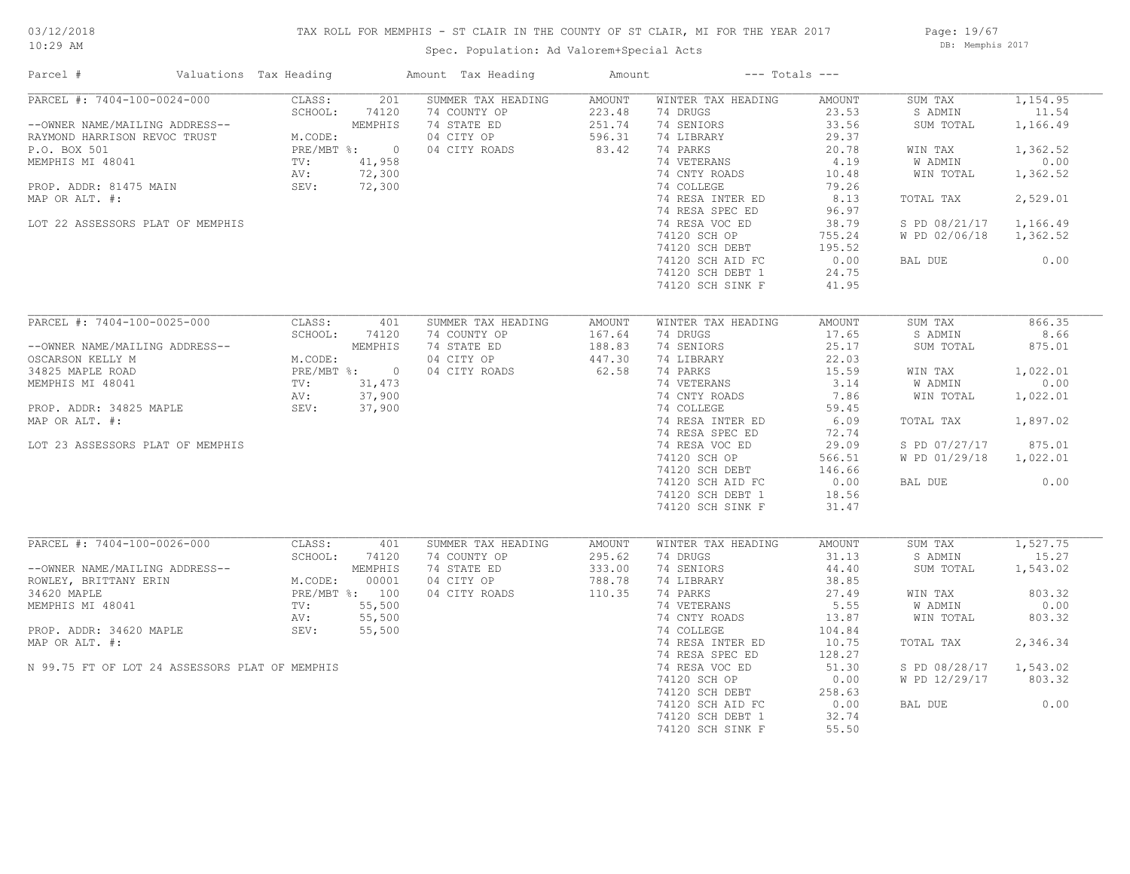## TAX ROLL FOR MEMPHIS - ST CLAIR IN THE COUNTY OF ST CLAIR, MI FOR THE YEAR 2017

Page: 19/67 DB: Memphis 2017

| Parcel #                                       | Valuations Tax Heading | Amount Tax Heading        | Amount |                    | $---$ Totals $---$ |               |          |
|------------------------------------------------|------------------------|---------------------------|--------|--------------------|--------------------|---------------|----------|
| PARCEL #: 7404-100-0024-000                    | CLASS:                 | 201<br>SUMMER TAX HEADING | AMOUNT | WINTER TAX HEADING | AMOUNT             | SUM TAX       | 1,154.95 |
|                                                | SCHOOL:<br>74120       | 74 COUNTY OP              | 223.48 | 74 DRUGS           | 23.53              | S ADMIN       | 11.54    |
| --OWNER NAME/MAILING ADDRESS--                 | MEMPHIS                | 74 STATE ED               | 251.74 | 74 SENIORS         | 33.56              | SUM TOTAL     | 1,166.49 |
| RAYMOND HARRISON REVOC TRUST                   | M.CODE:                | 04 CITY OP                | 596.31 | 74 LIBRARY         | 29.37              |               |          |
| P.O. BOX 501                                   | PRE/MBT %: 0           | 04 CITY ROADS             | 83.42  | 74 PARKS           | 20.78              | WIN TAX       | 1,362.52 |
| MEMPHIS MI 48041                               | 41,958<br>TV:          |                           |        | 74 VETERANS        | 4.19               | W ADMIN       | 0.00     |
|                                                | 72,300<br>AV:          |                           |        | 74 CNTY ROADS      | 10.48              | WIN TOTAL     | 1,362.52 |
| PROP. ADDR: 81475 MAIN                         | 72,300<br>SEV:         |                           |        | 74 COLLEGE         | 79.26              |               |          |
| MAP OR ALT. #:                                 |                        |                           |        | 74 RESA INTER ED   | 8.13               | TOTAL TAX     | 2,529.01 |
|                                                |                        |                           |        | 74 RESA SPEC ED    | 96.97              |               |          |
| LOT 22 ASSESSORS PLAT OF MEMPHIS               |                        |                           |        | 74 RESA VOC ED     | 38.79              | S PD 08/21/17 | 1,166.49 |
|                                                |                        |                           |        | 74120 SCH OP       | 755.24             | W PD 02/06/18 | 1,362.52 |
|                                                |                        |                           |        | 74120 SCH DEBT     | 195.52             |               |          |
|                                                |                        |                           |        | 74120 SCH AID FC   | 0.00               | BAL DUE       | 0.00     |
|                                                |                        |                           |        | 74120 SCH DEBT 1   | 24.75              |               |          |
|                                                |                        |                           |        | 74120 SCH SINK F   | 41.95              |               |          |
|                                                |                        |                           |        |                    |                    |               |          |
| PARCEL #: 7404-100-0025-000                    | CLASS:                 | 401<br>SUMMER TAX HEADING | AMOUNT | WINTER TAX HEADING | AMOUNT             | SUM TAX       | 866.35   |
|                                                | SCHOOL:                | 74120<br>74 COUNTY OP     | 167.64 | 74 DRUGS           | 17.65              | S ADMIN       | 8.66     |
| --OWNER NAME/MAILING ADDRESS--                 | MEMPHIS                | 74 STATE ED               | 188.83 | 74 SENIORS         | 25.17              | SUM TOTAL     | 875.01   |
| OSCARSON KELLY M                               | M.CODE:                | 04 CITY OP                | 447.30 | 74 LIBRARY         | 22.03              |               |          |
| 34825 MAPLE ROAD                               | PRE/MBT %: 0           | 04 CITY ROADS             | 62.58  | 74 PARKS           | 15.59              | WIN TAX       | 1,022.01 |
| MEMPHIS MI 48041                               | TV:<br>31,473          |                           |        | 74 VETERANS        | 3.14               | W ADMIN       | 0.00     |
|                                                | 37,900<br>AV:          |                           |        | 74 CNTY ROADS      | 7.86               | WIN TOTAL     | 1,022.01 |
| PROP. ADDR: 34825 MAPLE                        | 37,900<br>SEV:         |                           |        | 74 COLLEGE         | 59.45              |               |          |
| MAP OR ALT. #:                                 |                        |                           |        |                    | 6.09               | TOTAL TAX     | 1,897.02 |
|                                                |                        |                           |        | 74 RESA INTER ED   | 72.74              |               |          |
|                                                |                        |                           |        | 74 RESA SPEC ED    |                    |               |          |
| LOT 23 ASSESSORS PLAT OF MEMPHIS               |                        |                           |        | 74 RESA VOC ED     | 29.09              | S PD 07/27/17 | 875.01   |
|                                                |                        |                           |        | 74120 SCH OP       | 566.51             | W PD 01/29/18 | 1,022.01 |
|                                                |                        |                           |        | 74120 SCH DEBT     | 146.66             |               |          |
|                                                |                        |                           |        | 74120 SCH AID FC   | 0.00               | BAL DUE       | 0.00     |
|                                                |                        |                           |        | 74120 SCH DEBT 1   | 18.56              |               |          |
|                                                |                        |                           |        | 74120 SCH SINK F   | 31.47              |               |          |
|                                                |                        |                           |        |                    |                    |               |          |
| PARCEL #: 7404-100-0026-000                    | CLASS:                 | 401<br>SUMMER TAX HEADING | AMOUNT | WINTER TAX HEADING | AMOUNT             | SUM TAX       | 1,527.75 |
|                                                | SCHOOL:                | 74120<br>74 COUNTY OP     | 295.62 | 74 DRUGS           | 31.13              | S ADMIN       | 15.27    |
| --OWNER NAME/MAILING ADDRESS--                 | MEMPHIS                | 74 STATE ED               | 333.00 | 74 SENIORS         | 44.40              | SUM TOTAL     | 1,543.02 |
| ROWLEY, BRITTANY ERIN                          | M.CODE:                | 00001<br>04 CITY OP       | 788.78 | 74 LIBRARY         | 38.85              |               |          |
| 34620 MAPLE                                    | PRE/MBT %: 100         | 04 CITY ROADS             | 110.35 | 74 PARKS           | 27.49              | WIN TAX       | 803.32   |
| MEMPHIS MI 48041                               | TV:<br>55,500          |                           |        | 74 VETERANS        | 5.55               | W ADMIN       | 0.00     |
|                                                | AV:<br>55,500          |                           |        | 74 CNTY ROADS      | 13.87              | WIN TOTAL     | 803.32   |
| PROP. ADDR: 34620 MAPLE                        | SEV:<br>55,500         |                           |        | 74 COLLEGE         | 104.84             |               |          |
| MAP OR ALT. #:                                 |                        |                           |        | 74 RESA INTER ED   | 10.75              | TOTAL TAX     | 2,346.34 |
|                                                |                        |                           |        | 74 RESA SPEC ED    | 128.27             |               |          |
| N 99.75 FT OF LOT 24 ASSESSORS PLAT OF MEMPHIS |                        |                           |        | 74 RESA VOC ED     | 51.30              | S PD 08/28/17 | 1,543.02 |
|                                                |                        |                           |        | 74120 SCH OP       | 0.00               | W PD 12/29/17 | 803.32   |
|                                                |                        |                           |        | 74120 SCH DEBT     | 258.63             |               |          |
|                                                |                        |                           |        | 74120 SCH AID FC   | 0.00               | BAL DUE       | 0.00     |
|                                                |                        |                           |        | 74120 SCH DEBT 1   | 32.74              |               |          |
|                                                |                        |                           |        | 74120 SCH SINK F   | 55.50              |               |          |
|                                                |                        |                           |        |                    |                    |               |          |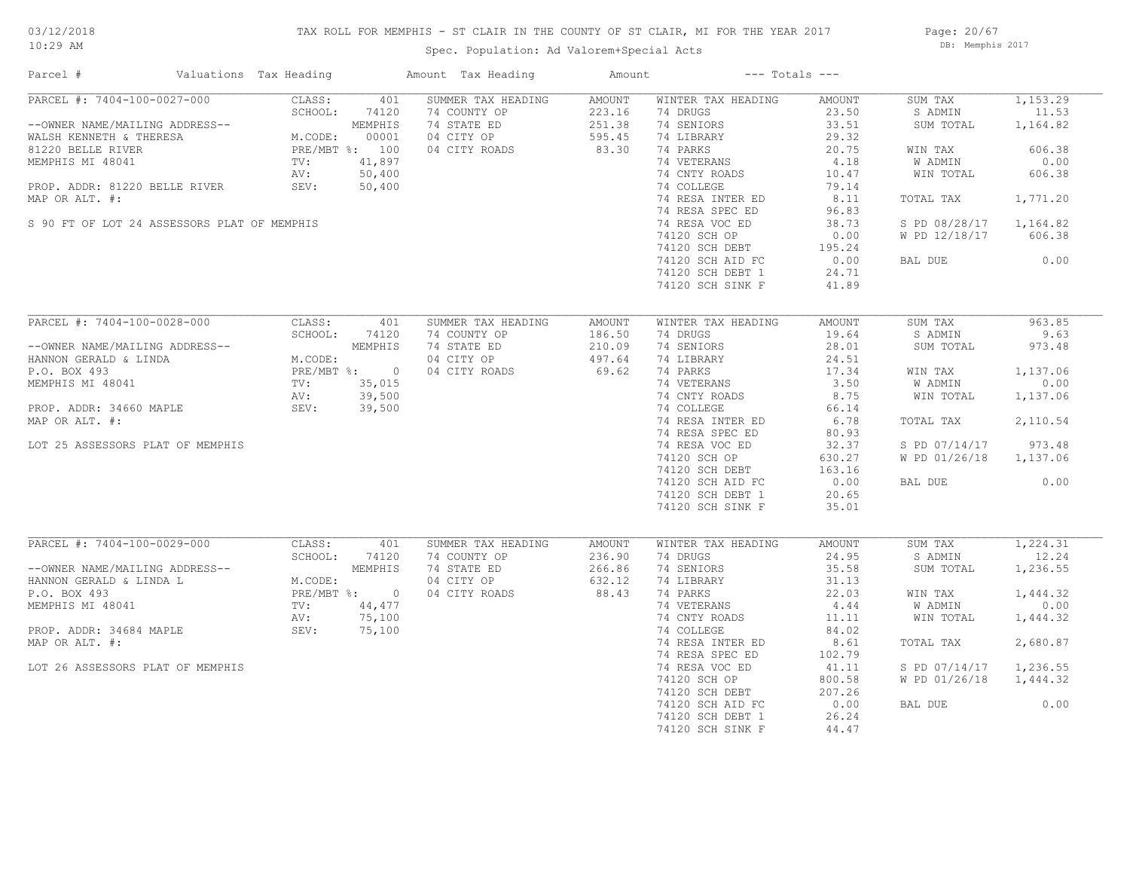## TAX ROLL FOR MEMPHIS - ST CLAIR IN THE COUNTY OF ST CLAIR, MI FOR THE YEAR 2017

Spec. Population: Ad Valorem+Special Acts

Page: 20/67 DB: Memphis 2017

| Parcel #                                                  | Valuations Tax Heading                                                                      |              | Amount Tax Heading          | Amount           |                        | $---$ Totals $---$ |                        |                       |
|-----------------------------------------------------------|---------------------------------------------------------------------------------------------|--------------|-----------------------------|------------------|------------------------|--------------------|------------------------|-----------------------|
| PARCEL #: 7404-100-0027-000                               | CLASS:                                                                                      | 401          | SUMMER TAX HEADING          | AMOUNT           | WINTER TAX HEADING     | AMOUNT             | SUM TAX                | 1,153.29              |
| --OWNER NAME/MAILING ADDRESS--                            | SCHOOL:<br>M.CODE: $00002$<br>PRE/MBT %: 100<br>TV: 41,897<br>NV: 50,40<br>50.40            | 74120        | 74 COUNTY OP<br>74 STATE ED | 223.16<br>251.38 | 74 DRUGS<br>74 SENIORS | 23.50<br>33.51     | S ADMIN<br>SUM TOTAL   | 11.53<br>1,164.82     |
| WALSH KENNETH & THERESA<br>81220 BELLE RIVER              |                                                                                             |              | 04 CITY OP<br>04 CITY ROADS | 595.45<br>83.30  | 74 LIBRARY<br>74 PARKS | 29.32<br>20.75     | WIN TAX                | 606.38                |
| MEMPHIS MI 48041                                          |                                                                                             |              |                             |                  | 74 VETERANS            | 4.18               | W ADMIN                | 0.00                  |
|                                                           |                                                                                             |              |                             |                  | 74 CNTY ROADS          | 10.47              | WIN TOTAL              | 606.38                |
| PROP. ADDR: 81220 BELLE RIVER                             | SEV:                                                                                        | 50,400       |                             |                  | 74 COLLEGE             | 79.14              |                        |                       |
| MAP OR ALT. #:                                            |                                                                                             |              |                             |                  | 74 RESA INTER ED       | 8.11               | TOTAL TAX              | 1,771.20              |
|                                                           |                                                                                             |              |                             |                  | 74 RESA SPEC ED        | 96.83              |                        |                       |
| S 90 FT OF LOT 24 ASSESSORS PLAT OF MEMPHIS               |                                                                                             |              |                             |                  | 74 RESA VOC ED         | 38.73              | S PD 08/28/17 1,164.82 |                       |
|                                                           |                                                                                             |              |                             |                  | 74120 SCH OP           | 0.00               | W PD 12/18/17          | 606.38                |
|                                                           |                                                                                             |              |                             |                  | 74120 SCH DEBT         | 195.24             |                        |                       |
|                                                           |                                                                                             |              |                             |                  | 74120 SCH AID FC       | 0.00               | BAL DUE                | 0.00                  |
|                                                           |                                                                                             |              |                             |                  | 74120 SCH DEBT 1       | 24.71              |                        |                       |
|                                                           |                                                                                             |              |                             |                  | 74120 SCH SINK F       | 41.89              |                        |                       |
|                                                           |                                                                                             |              |                             |                  |                        |                    |                        |                       |
| PARCEL #: 7404-100-0028-000                               | CLASS:                                                                                      | 401          | SUMMER TAX HEADING          | AMOUNT           | WINTER TAX HEADING     | AMOUNT             | SUM TAX                | 963.85                |
|                                                           |                                                                                             |              | 74 COUNTY OP                | 186.50           | 74 DRUGS               | 19.64              | S ADMIN                | 9.63                  |
| --OWNER NAME/MAILING ADDRESS--                            | JRESS--<br>M.CODE:<br>PRE/MBT %: 0<br>TV: 35,015<br>AV: 39,500<br>REV: 39,500<br>SEV: 39,50 |              | 74 STATE ED                 | 210.09           | 74 SENIORS             | 28.01              | SUM TOTAL              | 973.48                |
| HANNON GERALD & LINDA                                     |                                                                                             |              | 04 CITY OP                  | 497.64           | 74 LIBRARY             | 24.51              |                        |                       |
| P.O. BOX 493                                              |                                                                                             |              | 04 CITY ROADS               | 69.62            | 74 PARKS               | 17.34              | WIN TAX                | 1,137.06              |
| MEMPHIS MI 48041                                          |                                                                                             |              |                             |                  | 74 VETERANS            | 3.50               | W ADMIN                | 0.00                  |
|                                                           |                                                                                             |              |                             |                  | 74 CNTY ROADS          | 8.75               | WIN TOTAL              | 1,137.06              |
| PROP. ADDR: 34660 MAPLE                                   |                                                                                             |              |                             |                  | 74 COLLEGE             | 66.14              |                        |                       |
| MAP OR ALT. #:                                            |                                                                                             |              |                             |                  | 74 RESA INTER ED       | 6.78               | TOTAL TAX              | 2,110.54              |
|                                                           |                                                                                             |              |                             |                  | 74 RESA SPEC ED        | 80.93              |                        |                       |
| LOT 25 ASSESSORS PLAT OF MEMPHIS                          |                                                                                             |              |                             |                  | 74 RESA VOC ED         | 32.37              | S PD 07/14/17          | 973.48                |
|                                                           |                                                                                             |              |                             |                  | 74120 SCH OP           | 630.27             | W PD 01/26/18 1,137.06 |                       |
|                                                           |                                                                                             |              |                             |                  | 74120 SCH DEBT         | 163.16             |                        |                       |
|                                                           |                                                                                             |              |                             |                  | 74120 SCH AID FC       | 0.00               | BAL DUE                | 0.00                  |
|                                                           |                                                                                             |              |                             |                  | 74120 SCH DEBT 1       | 20.65              |                        |                       |
|                                                           |                                                                                             |              |                             |                  | 74120 SCH SINK F       | 35.01              |                        |                       |
|                                                           |                                                                                             |              |                             |                  |                        |                    |                        |                       |
| PARCEL #: 7404-100-0029-000                               | CLASS:                                                                                      | 401          | SUMMER TAX HEADING          | AMOUNT           | WINTER TAX HEADING     | AMOUNT             | SUM TAX                | $\overline{1,224.31}$ |
|                                                           | SCHOOL:                                                                                     | 74120        | 74 COUNTY OP                | 236.90           | 74 DRUGS               | 24.95              | S ADMIN                | 12.24                 |
| --OWNER NAME/MAILING ADDRESS--<br>HANNON GERALD & LINDA L |                                                                                             | MEMPHIS      | 74 STATE ED                 | 266.86           | 74 SENIORS             | 35.58              | SUM TOTAL              | 1,236.55              |
| P.O. BOX 493                                              | M.CODE:                                                                                     | PRE/MBT %: 0 | 04 CITY OP                  | 632.12<br>88.43  | 74 LIBRARY<br>74 PARKS | 31.13<br>22.03     |                        | 1,444.32              |
| MEMPHIS MI 48041                                          | TV:                                                                                         | 44,477       | 04 CITY ROADS               |                  | 74 VETERANS            | 4.44               | WIN TAX<br>W ADMIN     | 0.00                  |
|                                                           | AV:                                                                                         | 75,100       |                             |                  | 74 CNTY ROADS          | 11.11              | WIN TOTAL              | 1,444.32              |
| PROP. ADDR: 34684 MAPLE                                   |                                                                                             | SEV: 75,100  |                             |                  | 74 COLLEGE             | 84.02              |                        |                       |
| MAP OR ALT. #:                                            |                                                                                             |              |                             |                  | 74 RESA INTER ED       | 8.61               | TOTAL TAX              | 2,680.87              |
|                                                           |                                                                                             |              |                             |                  | 74 RESA SPEC ED        | 102.79             |                        |                       |
| LOT 26 ASSESSORS PLAT OF MEMPHIS                          |                                                                                             |              |                             |                  | 74 RESA VOC ED         | 41.11              | S PD 07/14/17          | 1,236.55              |
|                                                           |                                                                                             |              |                             |                  | 74120 SCH OP           | 800.58             | W PD 01/26/18          | 1,444.32              |
|                                                           |                                                                                             |              |                             |                  | 74120 SCH DEBT         | 207.26             |                        |                       |
|                                                           |                                                                                             |              |                             |                  | 74120 SCH AID FC       | 0.00               | BAL DUE                | 0.00                  |
|                                                           |                                                                                             |              |                             |                  | 74120 SCH DEBT 1       | 26.24              |                        |                       |
|                                                           |                                                                                             |              |                             |                  | 74120 SCH SINK F       | 44.47              |                        |                       |
|                                                           |                                                                                             |              |                             |                  |                        |                    |                        |                       |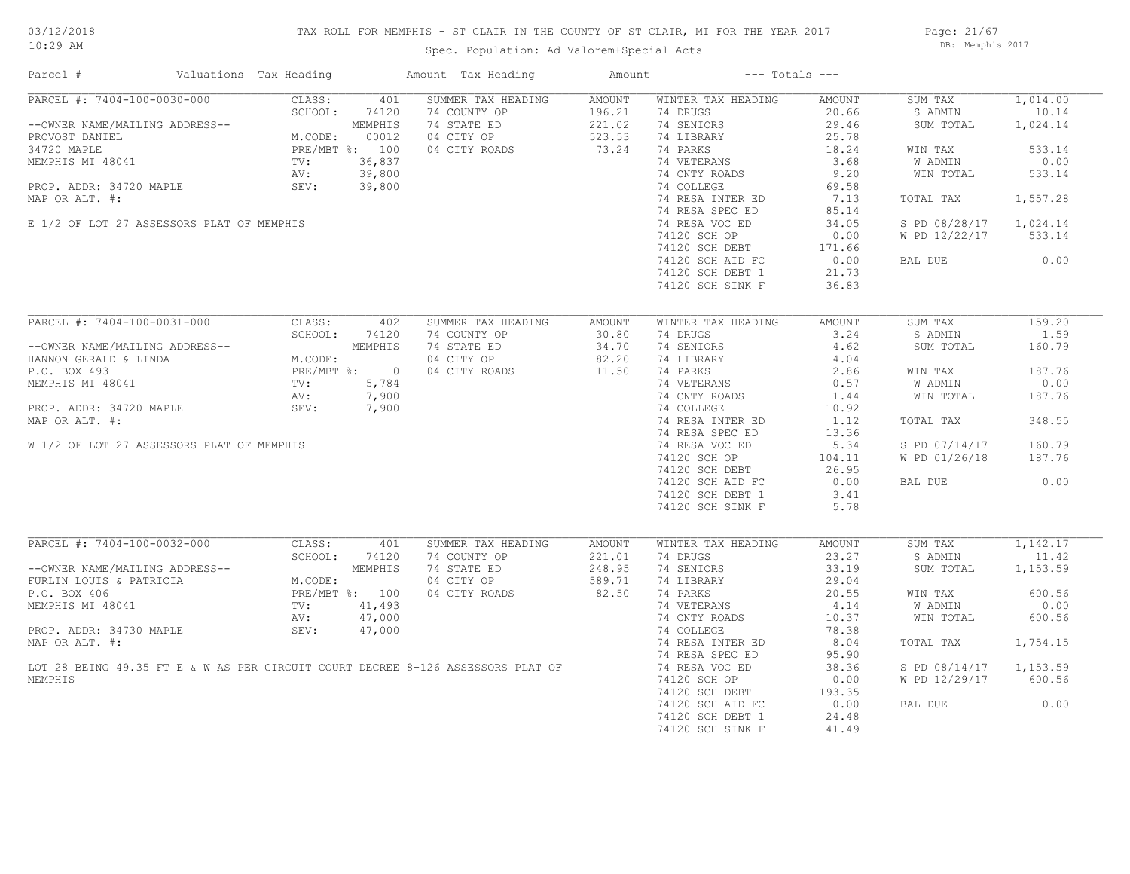## TAX ROLL FOR MEMPHIS - ST CLAIR IN THE COUNTY OF ST CLAIR, MI FOR THE YEAR 2017

Spec. Population: Ad Valorem+Special Acts

Page: 21/67 DB: Memphis 2017

| Parcel #                                                                        | Valuations Tax Heading            | Amount Tax Heading                 | Amount           | $---$ Totals $---$             |                 |                    |                   |
|---------------------------------------------------------------------------------|-----------------------------------|------------------------------------|------------------|--------------------------------|-----------------|--------------------|-------------------|
| PARCEL #: 7404-100-0030-000                                                     | 401<br>CLASS:<br>SCHOOL:<br>74120 | SUMMER TAX HEADING<br>74 COUNTY OP | AMOUNT<br>196.21 | WINTER TAX HEADING<br>74 DRUGS | AMOUNT<br>20.66 | SUM TAX<br>S ADMIN | 1,014.00<br>10.14 |
| --OWNER NAME/MAILING ADDRESS--<br>PROVOST DANIEL                                | MEMPHIS<br>M.CODE:<br>00012       | 74 STATE ED<br>04 CITY OP          | 221.02<br>523.53 | 74 SENIORS<br>74 LIBRARY       | 29.46<br>25.78  | SUM TOTAL          | 1,024.14          |
| 34720 MAPLE                                                                     | PRE/MBT %: 100                    | 04 CITY ROADS                      | 73.24            | 74 PARKS                       | 18.24           | WIN TAX            | 533.14            |
| MEMPHIS MI 48041                                                                | 36,837<br>$\text{TV}$ :           |                                    |                  | 74 VETERANS                    | 3.68            | W ADMIN            | 0.00              |
|                                                                                 | AV:<br>39,800                     |                                    |                  | 74 CNTY ROADS                  | 9.20            | WIN TOTAL          | 533.14            |
| PROP. ADDR: 34720 MAPLE                                                         | SEV:<br>39,800                    |                                    |                  | 74 COLLEGE                     | 69.58           |                    |                   |
| MAP OR ALT. #:                                                                  |                                   |                                    |                  | 74 RESA INTER ED               | 7.13            | TOTAL TAX          | 1,557.28          |
|                                                                                 |                                   |                                    |                  | 74 RESA SPEC ED                | 85.14           |                    |                   |
| E 1/2 OF LOT 27 ASSESSORS PLAT OF MEMPHIS                                       |                                   |                                    |                  | 74 RESA VOC ED                 | 34.05           | S PD 08/28/17      | 1,024.14          |
|                                                                                 |                                   |                                    |                  | 74120 SCH OP                   | 0.00            | W PD 12/22/17      | 533.14            |
|                                                                                 |                                   |                                    |                  | 74120 SCH DEBT                 | 171.66          |                    |                   |
|                                                                                 |                                   |                                    |                  | 74120 SCH AID FC               | 0.00            | BAL DUE            | 0.00              |
|                                                                                 |                                   |                                    |                  | 74120 SCH DEBT 1               | 21.73           |                    |                   |
|                                                                                 |                                   |                                    |                  | 74120 SCH SINK F               | 36.83           |                    |                   |
|                                                                                 |                                   |                                    |                  |                                |                 |                    |                   |
| PARCEL #: 7404-100-0031-000                                                     | CLASS:<br>402                     | SUMMER TAX HEADING                 | AMOUNT           | WINTER TAX HEADING             | AMOUNT          | SUM TAX            | 159.20            |
|                                                                                 | SCHOOL:<br>74120                  | 74 COUNTY OP                       | 30.80            | 74 DRUGS                       | 3.24            | S ADMIN            | 1.59              |
| --OWNER NAME/MAILING ADDRESS--                                                  | MEMPHIS                           | 74 STATE ED                        | 34.70            | 74 SENIORS                     | 4.62            | SUM TOTAL          | 160.79            |
| HANNON GERALD & LINDA                                                           | M.CODE:<br>PRE/MBT %: 0           | 04 CITY OP                         | 82.20            | 74 LIBRARY                     | 4.04            |                    |                   |
| P.O. BOX 493                                                                    |                                   | 04 CITY ROADS                      | 11.50            | 74 PARKS                       | 2.86            | WIN TAX            | 187.76            |
| MEMPHIS MI 48041                                                                | 5,784<br>$\text{TV}$ :            |                                    |                  | 74 VETERANS                    | 0.57            | W ADMIN            | 0.00              |
|                                                                                 | AV:<br>7,900                      |                                    |                  | 74 CNTY ROADS                  | 1.44            | WIN TOTAL          | 187.76            |
| PROP. ADDR: 34720 MAPLE                                                         | SEV:<br>7,900                     |                                    |                  | 74 COLLEGE                     | 10.92           |                    |                   |
| MAP OR ALT. #:                                                                  |                                   |                                    |                  | 74 RESA INTER ED               | 1.12            | TOTAL TAX          | 348.55            |
|                                                                                 |                                   |                                    |                  | 74 RESA SPEC ED                | 13.36           |                    |                   |
| W 1/2 OF LOT 27 ASSESSORS PLAT OF MEMPHIS                                       |                                   |                                    |                  | 74 RESA VOC ED                 | 5.34            | S PD 07/14/17      | 160.79            |
|                                                                                 |                                   |                                    |                  | 74120 SCH OP                   | 104.11          | W PD 01/26/18      | 187.76            |
|                                                                                 |                                   |                                    |                  | 74120 SCH DEBT                 | 26.95           |                    |                   |
|                                                                                 |                                   |                                    |                  | 74120 SCH AID FC               | 0.00            | BAL DUE            | 0.00              |
|                                                                                 |                                   |                                    |                  | 74120 SCH DEBT 1               | 3.41            |                    |                   |
|                                                                                 |                                   |                                    |                  | 74120 SCH SINK F               | 5.78            |                    |                   |
|                                                                                 |                                   |                                    |                  |                                |                 |                    |                   |
| PARCEL #: 7404-100-0032-000                                                     | CLASS:<br>401                     | SUMMER TAX HEADING                 | <b>AMOUNT</b>    | WINTER TAX HEADING             | AMOUNT          | SUM TAX            | 1,142.17          |
|                                                                                 | SCHOOL:<br>74120<br>MEMPHIS       | 74 COUNTY OP                       | 221.01<br>248.95 | 74 DRUGS<br>74 SENIORS         | 23.27<br>33.19  | S ADMIN            | 11.42             |
| --OWNER NAME/MAILING ADDRESS--<br>FURLIN LOUIS & PATRICIA                       | M.CODE:                           | 74 STATE ED<br>04 CITY OP          | 589.71           | 74 LIBRARY                     | 29.04           | SUM TOTAL          | 1,153.59          |
| P.O. BOX 406                                                                    | PRE/MBT %: 100                    | 04 CITY ROADS                      | 82.50            | 74 PARKS                       | 20.55           | WIN TAX            | 600.56            |
| MEMPHIS MI 48041                                                                | TV:<br>41,493                     |                                    |                  | 74 VETERANS                    | 4.14            | <b>W ADMIN</b>     | 0.00              |
|                                                                                 | 47,000<br>AV:                     |                                    |                  | 74 CNTY ROADS                  | 10.37           | WIN TOTAL          | 600.56            |
| PROP. ADDR: 34730 MAPLE                                                         | SEV:<br>47,000                    |                                    |                  | 74 COLLEGE                     | 78.38           |                    |                   |
| MAP OR ALT. #:                                                                  |                                   |                                    |                  | 74 RESA INTER ED               | 8.04            | TOTAL TAX          | 1,754.15          |
|                                                                                 |                                   |                                    |                  | 74 RESA SPEC ED                | 95.90           |                    |                   |
| LOT 28 BEING 49.35 FT E & W AS PER CIRCUIT COURT DECREE 8-126 ASSESSORS PLAT OF |                                   |                                    |                  | 74 RESA VOC ED                 | 38.36           | S PD 08/14/17      | 1,153.59          |
| MEMPHIS                                                                         |                                   |                                    |                  | 74120 SCH OP                   | 0.00            | W PD 12/29/17      | 600.56            |
|                                                                                 |                                   |                                    |                  | 74120 SCH DEBT                 | 193.35          |                    |                   |
|                                                                                 |                                   |                                    |                  | 74120 SCH AID FC               | 0.00            | BAL DUE            | 0.00              |
|                                                                                 |                                   |                                    |                  | 74120 SCH DEBT 1               | 24.48           |                    |                   |
|                                                                                 |                                   |                                    |                  | 74120 SCH SINK F               | 41.49           |                    |                   |
|                                                                                 |                                   |                                    |                  |                                |                 |                    |                   |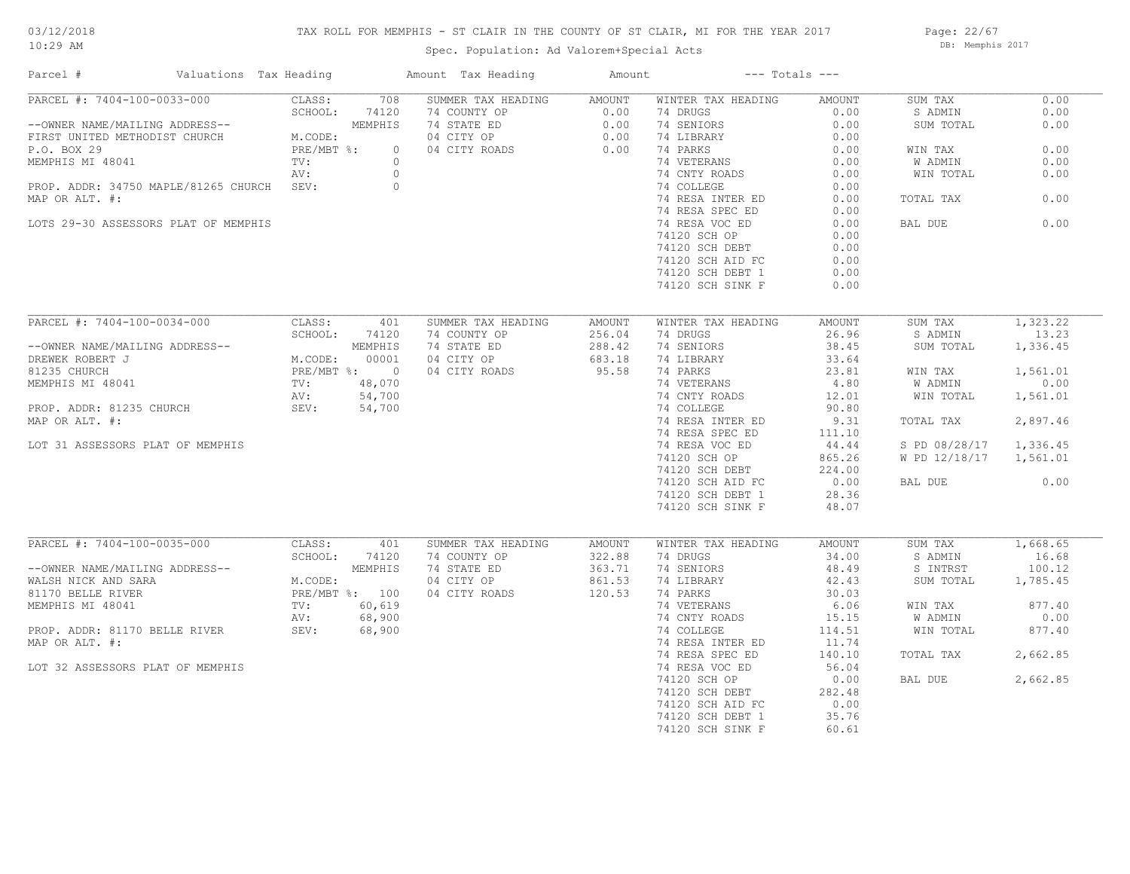## TAX ROLL FOR MEMPHIS - ST CLAIR IN THE COUNTY OF ST CLAIR, MI FOR THE YEAR 2017

Spec. Population: Ad Valorem+Special Acts

Page: 22/67 DB: Memphis 2017

| Parcel #                                  | Valuations Tax Heading | Amount Tax Heading       | Amount        |                    | $---$ Totals $---$ |               |          |
|-------------------------------------------|------------------------|--------------------------|---------------|--------------------|--------------------|---------------|----------|
| PARCEL #: 7404-100-0033-000               | CLASS:<br>708          | SUMMER TAX HEADING       | <b>AMOUNT</b> | WINTER TAX HEADING | AMOUNT             | SUM TAX       | 0.00     |
|                                           | SCHOOL:<br>74120       | 74 COUNTY OP             | 0.00          | 74 DRUGS           | 0.00               | S ADMIN       | 0.00     |
| --OWNER NAME/MAILING ADDRESS--            | MEMPHIS                | 74 STATE ED              | 0.00          | 74 SENIORS         | 0.00               | SUM TOTAL     | 0.00     |
| FIRST UNITED METHODIST CHURCH             | M.CODE:                | 04 CITY OP               | 0.00          | 74 LIBRARY         | 0.00               |               |          |
| P.O. BOX 29                               | PRE/MBT %:             | $\circ$<br>04 CITY ROADS | 0.00          | 74 PARKS           | 0.00               | WIN TAX       | 0.00     |
| MEMPHIS MI 48041                          | TV:                    | $\circ$                  |               | 74 VETERANS        | 0.00               | W ADMIN       | 0.00     |
|                                           | AV:                    | $\circ$                  |               | 74 CNTY ROADS      | 0.00               | WIN TOTAL     | 0.00     |
| PROP. ADDR: 34750 MAPLE/81265 CHURCH SEV: |                        | $\circ$                  |               | 74 COLLEGE         | 0.00               |               |          |
| MAP OR ALT. #:                            |                        |                          |               | 74 RESA INTER ED   | 0.00               | TOTAL TAX     | 0.00     |
|                                           |                        |                          |               | 74 RESA SPEC ED    | 0.00               |               |          |
| LOTS 29-30 ASSESSORS PLAT OF MEMPHIS      |                        |                          |               | 74 RESA VOC ED     | 0.00               | BAL DUE       | 0.00     |
|                                           |                        |                          |               | 74120 SCH OP       | 0.00               |               |          |
|                                           |                        |                          |               | 74120 SCH DEBT     | 0.00               |               |          |
|                                           |                        |                          |               | 74120 SCH AID FC   | 0.00               |               |          |
|                                           |                        |                          |               | 74120 SCH DEBT 1   | 0.00               |               |          |
|                                           |                        |                          |               | 74120 SCH SINK F   | 0.00               |               |          |
|                                           |                        |                          |               |                    |                    |               |          |
| PARCEL #: 7404-100-0034-000               | CLASS:<br>401          | SUMMER TAX HEADING       | <b>AMOUNT</b> | WINTER TAX HEADING | AMOUNT             | SUM TAX       | 1,323.22 |
|                                           | SCHOOL:<br>74120       | 74 COUNTY OP             | 256.04        | 74 DRUGS           | 26.96              | S ADMIN       | 13.23    |
| --OWNER NAME/MAILING ADDRESS--            | MEMPHIS                | 74 STATE ED              | 288.42        | 74 SENIORS         | 38.45              | SUM TOTAL     | 1,336.45 |
| DREWEK ROBERT J                           | M.CODE:<br>00001       | 04 CITY OP               | 683.18        | 74 LIBRARY         | 33.64              |               |          |
| 81235 CHURCH                              | PRE/MBT %: 0           | 04 CITY ROADS            | 95.58         | 74 PARKS           | 23.81              | WIN TAX       | 1,561.01 |
| MEMPHIS MI 48041                          | TV:<br>48,070          |                          |               | 74 VETERANS        | 4.80               | W ADMIN       | 0.00     |
|                                           | 54,700<br>AV:          |                          |               | 74 CNTY ROADS      | 12.01              | WIN TOTAL     | 1,561.01 |
| PROP. ADDR: 81235 CHURCH                  | SEV:<br>54,700         |                          |               | 74 COLLEGE         | 90.80              |               |          |
| MAP OR ALT. #:                            |                        |                          |               | 74 RESA INTER ED   | 9.31               | TOTAL TAX     | 2,897.46 |
|                                           |                        |                          |               | 74 RESA SPEC ED    | 111.10             |               |          |
| LOT 31 ASSESSORS PLAT OF MEMPHIS          |                        |                          |               | 74 RESA VOC ED     | 44.44              | S PD 08/28/17 | 1,336.45 |
|                                           |                        |                          |               | 74120 SCH OP       | 865.26             | W PD 12/18/17 | 1,561.01 |
|                                           |                        |                          |               | 74120 SCH DEBT     | 224.00             |               |          |
|                                           |                        |                          |               | 74120 SCH AID FC   | 0.00               | BAL DUE       | 0.00     |
|                                           |                        |                          |               | 74120 SCH DEBT 1   | 28.36              |               |          |
|                                           |                        |                          |               | 74120 SCH SINK F   | 48.07              |               |          |
|                                           |                        |                          |               |                    |                    |               |          |
| PARCEL #: 7404-100-0035-000               | CLASS:<br>401          | SUMMER TAX HEADING       | AMOUNT        | WINTER TAX HEADING | AMOUNT             | SUM TAX       | 1,668.65 |
|                                           | SCHOOL:<br>74120       | 74 COUNTY OP             | 322.88        | 74 DRUGS           | 34.00              | S ADMIN       | 16.68    |
| --OWNER NAME/MAILING ADDRESS--            | MEMPHIS                | 74 STATE ED              | 363.71        | 74 SENIORS         | 48.49              | S INTRST      | 100.12   |
| WALSH NICK AND SARA                       | M.CODE:                | 04 CITY OP               | 861.53        | 74 LIBRARY         | 42.43              | SUM TOTAL     | 1,785.45 |
| 81170 BELLE RIVER                         | PRE/MBT %: 100         | 04 CITY ROADS            | 120.53        | 74 PARKS           | 30.03              |               |          |
| MEMPHIS MI 48041                          | 60,619<br>TV:          |                          |               | 74 VETERANS        | 6.06               | WIN TAX       | 877.40   |
|                                           | 68,900<br>AV:          |                          |               | 74 CNTY ROADS      | 15.15              | W ADMIN       | 0.00     |
| PROP. ADDR: 81170 BELLE RIVER             | SEV:<br>68,900         |                          |               | 74 COLLEGE         | 114.51             | WIN TOTAL     | 877.40   |
| MAP OR ALT. #:                            |                        |                          |               | 74 RESA INTER ED   | 11.74              |               |          |
|                                           |                        |                          |               | 74 RESA SPEC ED    | 140.10             | TOTAL TAX     | 2,662.85 |
| LOT 32 ASSESSORS PLAT OF MEMPHIS          |                        |                          |               | 74 RESA VOC ED     | 56.04              |               |          |
|                                           |                        |                          |               | 74120 SCH OP       | 0.00               | BAL DUE       | 2,662.85 |
|                                           |                        |                          |               | 74120 SCH DEBT     | 282.48             |               |          |
|                                           |                        |                          |               | 74120 SCH AID FC   | 0.00               |               |          |
|                                           |                        |                          |               | 74120 SCH DEBT 1   | 35.76              |               |          |
|                                           |                        |                          |               | 74120 SCH SINK F   | 60.61              |               |          |
|                                           |                        |                          |               |                    |                    |               |          |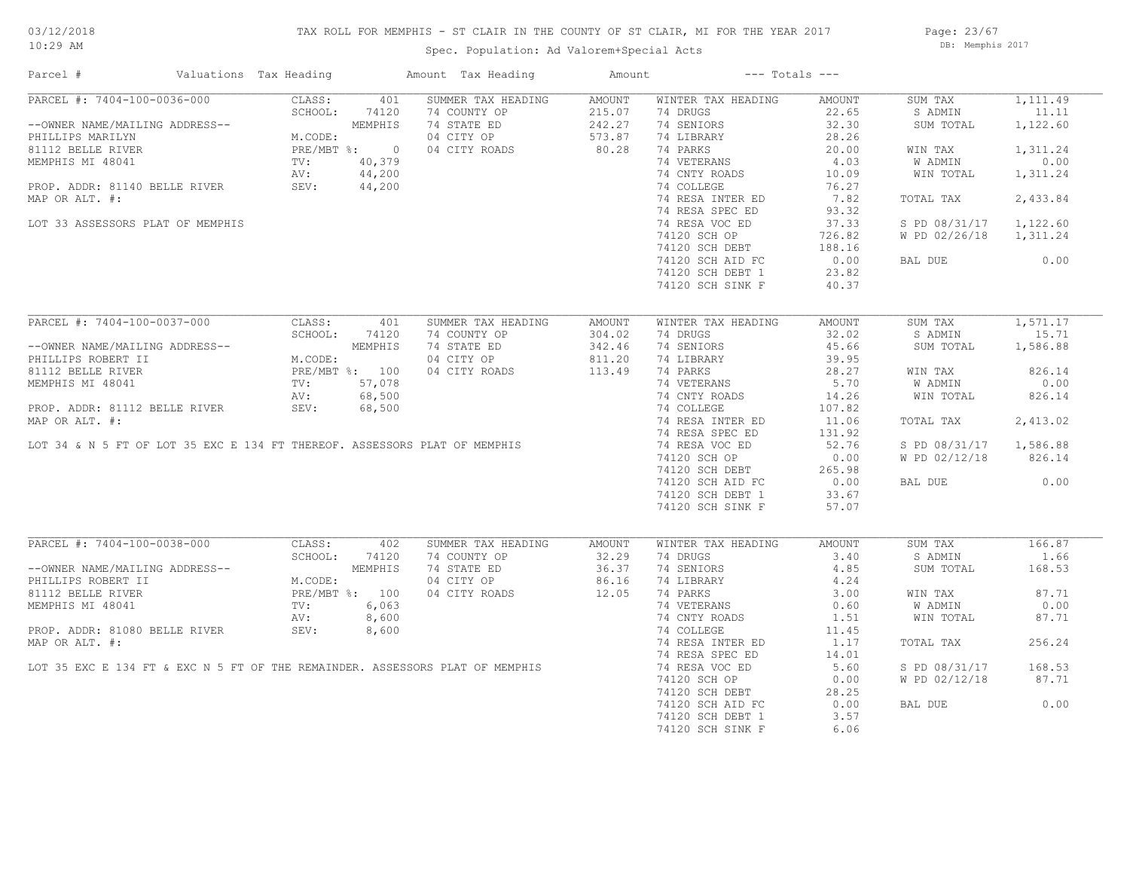#### TAX ROLL FOR MEMPHIS - ST CLAIR IN THE COUNTY OF ST CLAIR, MI FOR THE YEAR 2017

Spec. Population: Ad Valorem+Special Acts

Page: 23/67 DB: Memphis 2017

| Parcel #                                                                  | Valuations Tax Heading |              | Amount Tax Heading                                                           | Amount                  |                                      | $---$ Totals $---$ |                                |                    |
|---------------------------------------------------------------------------|------------------------|--------------|------------------------------------------------------------------------------|-------------------------|--------------------------------------|--------------------|--------------------------------|--------------------|
| PARCEL #: 7404-100-0036-000                                               | CLASS:<br>SCHOOL:      | 401<br>74120 | SUMMER TAX HEADING<br>74 COUNTY OP                                           | <b>AMOUNT</b><br>215.07 | WINTER TAX HEADING<br>74 DRUGS       | AMOUNT<br>22.65    | SUM TAX<br>S ADMIN             | 1,111.49<br>11.11  |
| --OWNER NAME/MAILING ADDRESS--<br>PHILLIPS MARILYN                        | M.CODE:                | MEMPHIS      | 74 STATE ED<br>04 CITY OP                                                    | 242.27<br>573.87        | 74 SENIORS<br>74 LIBRARY             | 32.30<br>28.26     | SUM TOTAL                      | 1,122.60           |
| 81112 BELLE RIVER                                                         | PRE/MBT %: 0           |              | 04 CITY ROADS                                                                | 80.28                   | 74 PARKS                             | 20.00              | WIN TAX                        | 1,311.24           |
| MEMPHIS MI 48041                                                          | TV:                    | 40,379       |                                                                              |                         | 74 VETERANS                          | 4.03               | <b>W ADMIN</b>                 | 0.00               |
|                                                                           | AV:                    | 44,200       |                                                                              |                         | 74 CNTY ROADS                        | 10.09              | WIN TOTAL                      | 1,311.24           |
| PROP. ADDR: 81140 BELLE RIVER                                             | SEV:                   | 44,200       |                                                                              |                         | 74 COLLEGE                           | 76.27              |                                |                    |
| MAP OR ALT. #:                                                            |                        |              |                                                                              |                         | 74 RESA INTER ED                     | 7.82               | TOTAL TAX                      | 2,433.84           |
|                                                                           |                        |              |                                                                              |                         | 74 RESA SPEC ED                      | 93.32              |                                |                    |
| LOT 33 ASSESSORS PLAT OF MEMPHIS                                          |                        |              |                                                                              |                         | 74 RESA VOC ED                       | 37.33              | S PD 08/31/17                  | 1,122.60           |
|                                                                           |                        |              |                                                                              |                         | 74120 SCH OP                         | 726.82             | W PD 02/26/18                  | 1,311.24           |
|                                                                           |                        |              |                                                                              |                         | 74120 SCH DEBT                       | 188.16             |                                |                    |
|                                                                           |                        |              |                                                                              |                         | 74120 SCH AID FC                     | 0.00               | BAL DUE                        | 0.00               |
|                                                                           |                        |              |                                                                              |                         | 74120 SCH DEBT 1                     | 23.82              |                                |                    |
|                                                                           |                        |              |                                                                              |                         | 74120 SCH SINK F                     | 40.37              |                                |                    |
|                                                                           |                        |              |                                                                              |                         |                                      |                    |                                |                    |
| PARCEL #: 7404-100-0037-000                                               | CLASS:                 | 401          | SUMMER TAX HEADING                                                           | AMOUNT                  | WINTER TAX HEADING                   | AMOUNT             | SUM TAX                        | 1,571.17           |
|                                                                           | SCHOOL:                | 74120        | 74 COUNTY OP                                                                 | 304.02                  | 74 DRUGS                             | 32.02              | S ADMIN                        | 15.71              |
| --OWNER NAME/MAILING ADDRESS--                                            |                        | MEMPHIS      | 74 STATE ED                                                                  | 342.46                  | 74 SENIORS                           | 45.66              | SUM TOTAL                      | 1,586.88           |
| PHILLIPS ROBERT II                                                        | M.CODE:                |              | 04 CITY OP                                                                   | 811.20                  | 74 LIBRARY                           | 39.95              |                                |                    |
| 81112 BELLE RIVER                                                         | PRE/MBT %: 100         |              | 04 CITY ROADS                                                                | 113.49                  | 74 PARKS                             | 28.27              | WIN TAX                        | 826.14             |
| MEMPHIS MI 48041                                                          | TV:                    | 57,078       |                                                                              |                         | 74 VETERANS                          | 5.70               | W ADMIN                        | 0.00               |
|                                                                           | AV:                    | 68,500       |                                                                              |                         | 74 CNTY ROADS                        | 14.26              | WIN TOTAL                      | 826.14             |
| PROP. ADDR: 81112 BELLE RIVER                                             | SEV:                   | 68,500       |                                                                              |                         | 74 COLLEGE                           | 107.82             |                                |                    |
| MAP OR ALT. #:                                                            |                        |              |                                                                              |                         | 74 RESA INTER ED                     | 11.06              | TOTAL TAX                      | 2,413.02           |
|                                                                           |                        |              |                                                                              |                         | 74 RESA SPEC ED                      | 131.92             |                                |                    |
| LOT 34 & N 5 FT OF LOT 35 EXC E 134 FT THEREOF. ASSESSORS PLAT OF MEMPHIS |                        |              |                                                                              |                         | 74 RESA VOC ED                       | 52.76<br>0.00      | S PD 08/31/17<br>W PD 02/12/18 | 1,586.88<br>826.14 |
|                                                                           |                        |              |                                                                              |                         | 74120 SCH OP<br>74120 SCH DEBT       | 265.98             |                                |                    |
|                                                                           |                        |              |                                                                              |                         |                                      | 0.00               | BAL DUE                        | 0.00               |
|                                                                           |                        |              |                                                                              |                         | 74120 SCH AID FC<br>74120 SCH DEBT 1 | 33.67              |                                |                    |
|                                                                           |                        |              |                                                                              |                         | 74120 SCH SINK F                     | 57.07              |                                |                    |
|                                                                           |                        |              |                                                                              |                         |                                      |                    |                                |                    |
| PARCEL #: 7404-100-0038-000                                               | CLASS:                 | 402          | SUMMER TAX HEADING                                                           | AMOUNT                  | WINTER TAX HEADING                   | AMOUNT             | SUM TAX                        | 166.87             |
|                                                                           | SCHOOL:                | 74120        | 74 COUNTY OP                                                                 | 32.29                   | 74 DRUGS                             | 3.40               | S ADMIN                        | 1.66               |
| --OWNER NAME/MAILING ADDRESS--                                            |                        | MEMPHIS      | 74 STATE ED                                                                  | 36.37                   | 74 SENIORS                           | 4.85               | SUM TOTAL                      | 168.53             |
| PHILLIPS ROBERT II                                                        | M.CODE:                |              | 04 CITY OP                                                                   | 86.16                   | 74 LIBRARY                           | 4.24               |                                |                    |
| 81112 BELLE RIVER                                                         | PRE/MBT %: 100         |              | 04 CITY ROADS                                                                | 12.05                   | 74 PARKS                             | 3.00               | WIN TAX                        | 87.71              |
| MEMPHIS MI 48041                                                          | TV:                    | 6,063        |                                                                              |                         | 74 VETERANS                          | 0.60               | W ADMIN                        | 0.00               |
|                                                                           | AV:                    | 8,600        |                                                                              |                         | 74 CNTY ROADS                        | 1.51               | WIN TOTAL                      | 87.71              |
| PROP. ADDR: 81080 BELLE RIVER                                             | SEV:                   | 8,600        |                                                                              |                         | 74 COLLEGE                           | 11.45              |                                |                    |
| MAP OR ALT. #:                                                            |                        |              |                                                                              |                         | 74 RESA INTER ED                     | 1.17               | TOTAL TAX                      | 256.24             |
|                                                                           |                        |              |                                                                              |                         | 74 RESA SPEC ED                      | 14.01              |                                |                    |
|                                                                           |                        |              | LOT 35 EXC E 134 FT & EXC N 5 FT OF THE REMAINDER. ASSESSORS PLAT OF MEMPHIS |                         | 74 RESA VOC ED                       | 5.60               | S PD 08/31/17                  | 168.53             |
|                                                                           |                        |              |                                                                              |                         | 74120 SCH OP                         | 0.00               | W PD 02/12/18                  | 87.71              |
|                                                                           |                        |              |                                                                              |                         | 74120 SCH DEBT                       | 28.25              |                                |                    |
|                                                                           |                        |              |                                                                              |                         | 74120 SCH AID FC                     | 0.00               | BAL DUE                        | 0.00               |
|                                                                           |                        |              |                                                                              |                         | 74120 SCH DEBT 1                     | 3.57               |                                |                    |
|                                                                           |                        |              |                                                                              |                         | 74120 SCH SINK F                     | 6.06               |                                |                    |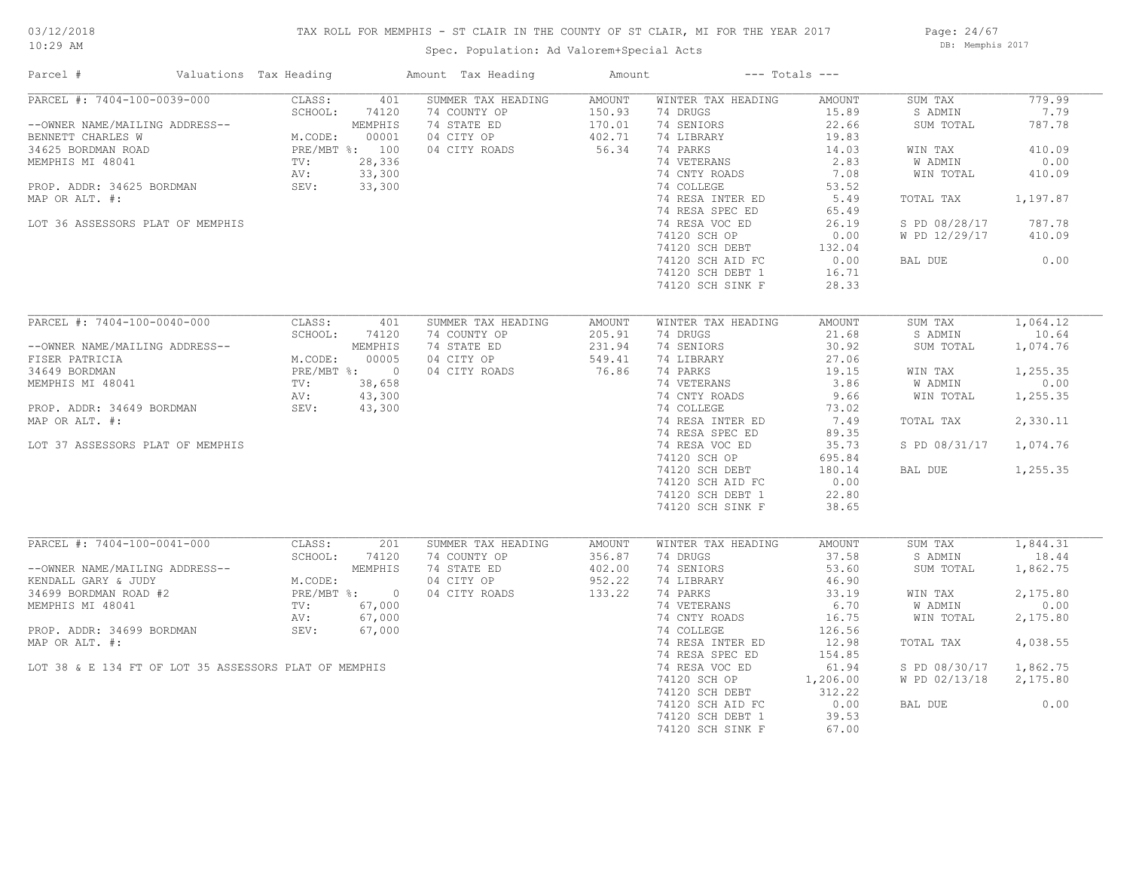# 03/12/2018

## TAX ROLL FOR MEMPHIS - ST CLAIR IN THE COUNTY OF ST CLAIR, MI FOR THE YEAR 2017

10:29 AM

# Spec. Population: Ad Valorem+Special Acts

Page: 24/67 DB: Memphis 2017

| Parcel #                                                                                                                                                                                                        | Valuations Tax Heading                             |                                                                                  | Amount Tax Heading                                                               | Amount                                        |                                                                                                                                                                                                                                                                             | $---$ Totals $---$                                                                                                                        |                                                                                                                              |                                                                                              |
|-----------------------------------------------------------------------------------------------------------------------------------------------------------------------------------------------------------------|----------------------------------------------------|----------------------------------------------------------------------------------|----------------------------------------------------------------------------------|-----------------------------------------------|-----------------------------------------------------------------------------------------------------------------------------------------------------------------------------------------------------------------------------------------------------------------------------|-------------------------------------------------------------------------------------------------------------------------------------------|------------------------------------------------------------------------------------------------------------------------------|----------------------------------------------------------------------------------------------|
| PARCEL #: 7404-100-0039-000<br>--OWNER NAME/MAILING ADDRESS--<br>BENNETT CHARLES W<br>34625 BORDMAN ROAD<br>MEMPHIS MI 48041<br>PROP. ADDR: 34625 BORDMAN<br>MAP OR ALT. #:<br>LOT 36 ASSESSORS PLAT OF MEMPHIS | CLASS:<br>SCHOOL:<br>M.CODE:<br>TV:<br>AV:<br>SEV: | 401<br>74120<br>MEMPHIS<br>00001<br>PRE/MBT %: 100<br>28,336<br>33,300<br>33,300 | SUMMER TAX HEADING<br>74 COUNTY OP<br>74 STATE ED<br>04 CITY OP<br>04 CITY ROADS | AMOUNT<br>150.93<br>170.01<br>402.71<br>56.34 | WINTER TAX HEADING<br>74 DRUGS<br>74 SENIORS<br>74 LIBRARY<br>74 PARKS<br>74 VETERANS<br>74 CNTY ROADS<br>74 COLLEGE<br>74 RESA INTER ED<br>74 RESA SPEC ED<br>74 RESA VOC ED<br>74120 SCH OP<br>74120 SCH DEBT<br>74120 SCH AID FC<br>74120 SCH DEBT 1<br>74120 SCH SINK F | AMOUNT<br>15.89<br>22.66<br>19.83<br>14.03<br>2.83<br>7.08<br>53.52<br>5.49<br>65.49<br>26.19<br>0.00<br>132.04<br>0.00<br>16.71<br>28.33 | SUM TAX<br>S ADMIN<br>SUM TOTAL<br>WIN TAX<br>W ADMIN<br>WIN TOTAL<br>TOTAL TAX<br>S PD 08/28/17<br>W PD 12/29/17<br>BAL DUE | 779.99<br>7.79<br>787.78<br>410.09<br>0.00<br>410.09<br>1,197.87<br>787.78<br>410.09<br>0.00 |
| PARCEL #: 7404-100-0040-000                                                                                                                                                                                     | CLASS:                                             | 401                                                                              | SUMMER TAX HEADING                                                               | AMOUNT                                        | WINTER TAX HEADING                                                                                                                                                                                                                                                          | AMOUNT                                                                                                                                    | SUM TAX                                                                                                                      | 1,064.12                                                                                     |
| --OWNER NAME/MAILING ADDRESS--<br>FISER PATRICIA                                                                                                                                                                | SCHOOL:<br>M.CODE:                                 | 74120<br>MEMPHIS<br>00005                                                        | 74 COUNTY OP<br>74 STATE ED<br>04 CITY OP                                        | 205.91<br>231.94<br>549.41                    | 74 DRUGS<br>74 SENIORS<br>74 LIBRARY                                                                                                                                                                                                                                        | 21.68<br>30.92<br>27.06                                                                                                                   | S ADMIN<br>SUM TOTAL                                                                                                         | 10.64<br>1,074.76                                                                            |
| 34649 BORDMAN                                                                                                                                                                                                   |                                                    | PRE/MBT %: 0                                                                     | 04 CITY ROADS                                                                    | 76.86                                         | 74 PARKS                                                                                                                                                                                                                                                                    | 19.15                                                                                                                                     | WIN TAX                                                                                                                      | 1,255.35                                                                                     |
| MEMPHIS MI 48041                                                                                                                                                                                                | $\text{TV}$ :                                      | 38,658                                                                           |                                                                                  |                                               | 74 VETERANS                                                                                                                                                                                                                                                                 | 3.86                                                                                                                                      | W ADMIN                                                                                                                      | 0.00                                                                                         |
|                                                                                                                                                                                                                 | AV:                                                | 43,300                                                                           |                                                                                  |                                               | 74 CNTY ROADS                                                                                                                                                                                                                                                               | 9.66                                                                                                                                      | WIN TOTAL                                                                                                                    | 1,255.35                                                                                     |
| PROP. ADDR: 34649 BORDMAN                                                                                                                                                                                       | SEV:                                               | 43,300                                                                           |                                                                                  |                                               | 74 COLLEGE                                                                                                                                                                                                                                                                  | 73.02                                                                                                                                     |                                                                                                                              |                                                                                              |
| MAP OR ALT. #:                                                                                                                                                                                                  |                                                    |                                                                                  |                                                                                  |                                               | 74 RESA INTER ED                                                                                                                                                                                                                                                            | 7.49                                                                                                                                      | TOTAL TAX                                                                                                                    | 2,330.11                                                                                     |
|                                                                                                                                                                                                                 |                                                    |                                                                                  |                                                                                  |                                               | 74 RESA SPEC ED                                                                                                                                                                                                                                                             | 89.35                                                                                                                                     |                                                                                                                              |                                                                                              |
| LOT 37 ASSESSORS PLAT OF MEMPHIS                                                                                                                                                                                |                                                    |                                                                                  |                                                                                  |                                               | 74 RESA VOC ED                                                                                                                                                                                                                                                              | 35.73                                                                                                                                     | S PD 08/31/17                                                                                                                | 1,074.76                                                                                     |
|                                                                                                                                                                                                                 |                                                    |                                                                                  |                                                                                  |                                               | 74120 SCH OP                                                                                                                                                                                                                                                                | 695.84                                                                                                                                    |                                                                                                                              |                                                                                              |
|                                                                                                                                                                                                                 |                                                    |                                                                                  |                                                                                  |                                               | 74120 SCH DEBT<br>74120 SCH AID FC                                                                                                                                                                                                                                          | 180.14<br>0.00                                                                                                                            | BAL DUE                                                                                                                      | 1,255.35                                                                                     |
|                                                                                                                                                                                                                 |                                                    |                                                                                  |                                                                                  |                                               | 74120 SCH DEBT 1                                                                                                                                                                                                                                                            | 22.80                                                                                                                                     |                                                                                                                              |                                                                                              |
|                                                                                                                                                                                                                 |                                                    |                                                                                  |                                                                                  |                                               | 74120 SCH SINK F                                                                                                                                                                                                                                                            | 38.65                                                                                                                                     |                                                                                                                              |                                                                                              |
|                                                                                                                                                                                                                 |                                                    |                                                                                  |                                                                                  |                                               |                                                                                                                                                                                                                                                                             |                                                                                                                                           |                                                                                                                              |                                                                                              |
| PARCEL #: 7404-100-0041-000                                                                                                                                                                                     | CLASS:                                             | 201                                                                              | SUMMER TAX HEADING                                                               | AMOUNT                                        | WINTER TAX HEADING                                                                                                                                                                                                                                                          | AMOUNT                                                                                                                                    | SUM TAX                                                                                                                      | 1,844.31                                                                                     |
| --OWNER NAME/MAILING ADDRESS--                                                                                                                                                                                  | SCHOOL:                                            | 74120<br>MEMPHIS                                                                 | 74 COUNTY OP<br>74 STATE ED                                                      | 356.87<br>402.00                              | 74 DRUGS<br>74 SENIORS                                                                                                                                                                                                                                                      | 37.58<br>53.60                                                                                                                            | S ADMIN<br>SUM TOTAL                                                                                                         | 18.44<br>1,862.75                                                                            |
| KENDALL GARY & JUDY                                                                                                                                                                                             | M.CODE:                                            |                                                                                  | 04 CITY OP                                                                       | 952.22                                        | 74 LIBRARY                                                                                                                                                                                                                                                                  | 46.90                                                                                                                                     |                                                                                                                              |                                                                                              |
| 34699 BORDMAN ROAD #2                                                                                                                                                                                           |                                                    | PRE/MBT %: 0                                                                     | 04 CITY ROADS                                                                    | 133.22                                        | 74 PARKS                                                                                                                                                                                                                                                                    | 33.19                                                                                                                                     | WIN TAX                                                                                                                      | 2,175.80                                                                                     |
| MEMPHIS MI 48041                                                                                                                                                                                                | TV:                                                | 67,000                                                                           |                                                                                  |                                               | 74 VETERANS                                                                                                                                                                                                                                                                 | 6.70                                                                                                                                      | W ADMIN                                                                                                                      | 0.00                                                                                         |
|                                                                                                                                                                                                                 | AV:                                                | 67,000                                                                           |                                                                                  |                                               | 74 CNTY ROADS                                                                                                                                                                                                                                                               | 16.75                                                                                                                                     | WIN TOTAL                                                                                                                    | 2,175.80                                                                                     |
| PROP. ADDR: 34699 BORDMAN                                                                                                                                                                                       | SEV:                                               | 67,000                                                                           |                                                                                  |                                               | 74 COLLEGE                                                                                                                                                                                                                                                                  | 126.56                                                                                                                                    |                                                                                                                              |                                                                                              |
| MAP OR ALT. #:                                                                                                                                                                                                  |                                                    |                                                                                  |                                                                                  |                                               | 74 RESA INTER ED                                                                                                                                                                                                                                                            | 12.98                                                                                                                                     | TOTAL TAX                                                                                                                    | 4,038.55                                                                                     |
|                                                                                                                                                                                                                 |                                                    |                                                                                  |                                                                                  |                                               | 74 RESA SPEC ED                                                                                                                                                                                                                                                             | 154.85                                                                                                                                    |                                                                                                                              |                                                                                              |
| LOT 38 & E 134 FT OF LOT 35 ASSESSORS PLAT OF MEMPHIS                                                                                                                                                           |                                                    |                                                                                  |                                                                                  |                                               | 74 RESA VOC ED                                                                                                                                                                                                                                                              | 61.94                                                                                                                                     | S PD 08/30/17                                                                                                                | 1,862.75                                                                                     |
|                                                                                                                                                                                                                 |                                                    |                                                                                  |                                                                                  |                                               | 74120 SCH OP                                                                                                                                                                                                                                                                | 1,206.00                                                                                                                                  | W PD 02/13/18                                                                                                                | 2,175.80                                                                                     |
|                                                                                                                                                                                                                 |                                                    |                                                                                  |                                                                                  |                                               | 74120 SCH DEBT                                                                                                                                                                                                                                                              | 312.22                                                                                                                                    |                                                                                                                              | 0.00                                                                                         |
|                                                                                                                                                                                                                 |                                                    |                                                                                  |                                                                                  |                                               | 74120 SCH AID FC<br>74120 SCH DEBT 1                                                                                                                                                                                                                                        | 0.00<br>39.53                                                                                                                             | BAL DUE                                                                                                                      |                                                                                              |
|                                                                                                                                                                                                                 |                                                    |                                                                                  |                                                                                  |                                               | 74120 SCH SINK F                                                                                                                                                                                                                                                            | 67.00                                                                                                                                     |                                                                                                                              |                                                                                              |
|                                                                                                                                                                                                                 |                                                    |                                                                                  |                                                                                  |                                               |                                                                                                                                                                                                                                                                             |                                                                                                                                           |                                                                                                                              |                                                                                              |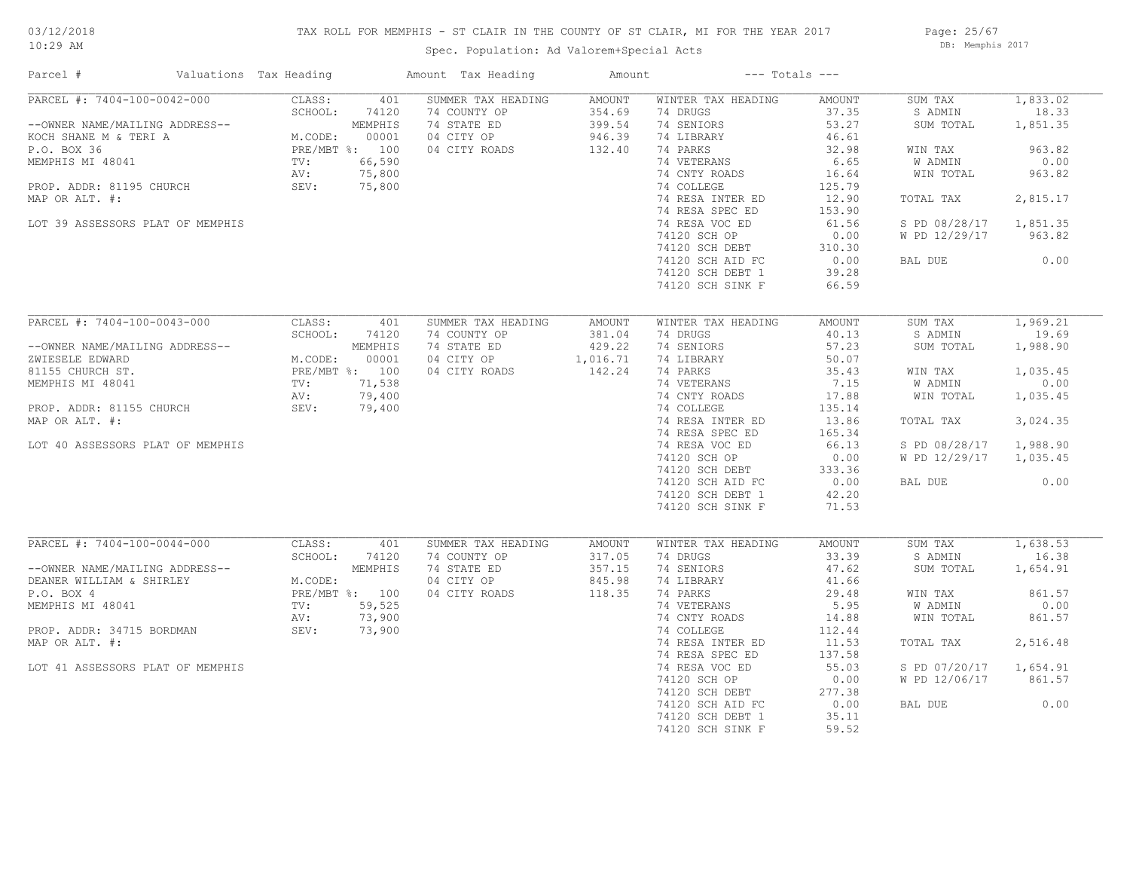# 03/12/2018

## TAX ROLL FOR MEMPHIS - ST CLAIR IN THE COUNTY OF ST CLAIR, MI FOR THE YEAR 2017

10:29 AM

# Spec. Population: Ad Valorem+Special Acts

Page: 25/67 DB: Memphis 2017

| Parcel #                         | Valuations Tax Heading |                                                               |                | Amount Tax Heading | Amount        |                    | $---$ Totals $---$ |               |          |
|----------------------------------|------------------------|---------------------------------------------------------------|----------------|--------------------|---------------|--------------------|--------------------|---------------|----------|
| PARCEL #: 7404-100-0042-000      |                        | CLASS:                                                        | 401            | SUMMER TAX HEADING | AMOUNT        | WINTER TAX HEADING | AMOUNT             | SUM TAX       | 1,833.02 |
|                                  |                        | SCHOOL:                                                       | 74120          | 74 COUNTY OP       | 354.69        | 74 DRUGS           | 37.35              | S ADMIN       | 18.33    |
| --OWNER NAME/MAILING ADDRESS--   |                        |                                                               | MEMPHIS        | 74 STATE ED        | 399.54        | 74 SENIORS         | 53.27              | SUM TOTAL     | 1,851.35 |
| KOCH SHANE M & TERI A            |                        | M.CODE: MEMPHIS<br>PRE/MBT %: 100<br>TV: 66,590<br>AV: 75,800 |                | 04 CITY OP         | 946.39        | 74 LIBRARY         | 46.61              |               |          |
| P.O. BOX 36                      |                        |                                                               |                | 04 CITY ROADS      | 132.40        | 74 PARKS           | 32.98              | WIN TAX       | 963.82   |
| MEMPHIS MI 48041                 |                        |                                                               |                |                    |               | 74 VETERANS        | 6.65               | W ADMIN       | 0.00     |
|                                  |                        |                                                               |                |                    |               | 74 CNTY ROADS      | 16.64              | WIN TOTAL     | 963.82   |
| PROP. ADDR: 81195 CHURCH         |                        | SEV:                                                          | 75,800         |                    |               | 74 COLLEGE         | 125.79             |               |          |
| MAP OR ALT. #:                   |                        |                                                               |                |                    |               | 74 RESA INTER ED   | 12.90              | TOTAL TAX     | 2,815.17 |
|                                  |                        |                                                               |                |                    |               | 74 RESA SPEC ED    | 153.90             |               |          |
| LOT 39 ASSESSORS PLAT OF MEMPHIS |                        |                                                               |                |                    |               | 74 RESA VOC ED     | 61.56              | S PD 08/28/17 | 1,851.35 |
|                                  |                        |                                                               |                |                    |               | 74120 SCH OP       | 0.00               | W PD 12/29/17 | 963.82   |
|                                  |                        |                                                               |                |                    |               | 74120 SCH DEBT     | 310.30             |               |          |
|                                  |                        |                                                               |                |                    |               | 74120 SCH AID FC   | 0.00               | BAL DUE       | 0.00     |
|                                  |                        |                                                               |                |                    |               |                    |                    |               |          |
|                                  |                        |                                                               |                |                    |               | 74120 SCH DEBT 1   | 39.28              |               |          |
|                                  |                        |                                                               |                |                    |               | 74120 SCH SINK F   | 66.59              |               |          |
|                                  |                        |                                                               |                |                    |               |                    |                    |               |          |
| PARCEL #: 7404-100-0043-000      |                        | CLASS:                                                        | 401            | SUMMER TAX HEADING | AMOUNT        | WINTER TAX HEADING | AMOUNT             | SUM TAX       | 1,969.21 |
|                                  |                        | SCHOOL:                                                       | 74120          | 74 COUNTY OP       | 381.04        | 74 DRUGS           | 40.13              | S ADMIN       | 19.69    |
| --OWNER NAME/MAILING ADDRESS--   |                        |                                                               | MEMPHIS        | 74 STATE ED        | 429.22        | 74 SENIORS         | 57.23              | SUM TOTAL     | 1,988.90 |
| ZWIESELE EDWARD                  |                        | M.CODE: 00001<br>PRE/MBT %: 100<br>TV: 71,538<br>Y            |                | 04 CITY OP         | 1,016.71      | 74 LIBRARY         | 50.07              |               |          |
| 81155 CHURCH ST.                 |                        |                                                               |                | 04 CITY ROADS      | 142.24        | 74 PARKS           | 35.43              | WIN TAX       | 1,035.45 |
| MEMPHIS MI 48041                 |                        |                                                               |                |                    |               | 74 VETERANS        | 7.15               | W ADMIN       | 0.00     |
|                                  |                        | AV:                                                           | 79,400         |                    |               | 74 CNTY ROADS      | 17.88              | WIN TOTAL     | 1,035.45 |
| PROP. ADDR: 81155 CHURCH         |                        | SEV:                                                          | 79,400         |                    |               | 74 COLLEGE         | 135.14             |               |          |
| MAP OR ALT. #:                   |                        |                                                               |                |                    |               | 74 RESA INTER ED   | 13.86              | TOTAL TAX     | 3,024.35 |
|                                  |                        |                                                               |                |                    |               | 74 RESA SPEC ED    | 165.34             |               |          |
| LOT 40 ASSESSORS PLAT OF MEMPHIS |                        |                                                               |                |                    |               | 74 RESA VOC ED     | 66.13              | S PD 08/28/17 | 1,988.90 |
|                                  |                        |                                                               |                |                    |               | 74120 SCH OP       | 0.00               | W PD 12/29/17 | 1,035.45 |
|                                  |                        |                                                               |                |                    |               |                    | 333.36             |               |          |
|                                  |                        |                                                               |                |                    |               | 74120 SCH DEBT     | 0.00               |               | 0.00     |
|                                  |                        |                                                               |                |                    |               | 74120 SCH AID FC   |                    | BAL DUE       |          |
|                                  |                        |                                                               |                |                    |               | 74120 SCH DEBT 1   | 42.20              |               |          |
|                                  |                        |                                                               |                |                    |               | 74120 SCH SINK F   | 71.53              |               |          |
|                                  |                        |                                                               |                |                    |               |                    |                    |               |          |
| PARCEL #: 7404-100-0044-000      |                        | CLASS:                                                        | 401            | SUMMER TAX HEADING | <b>AMOUNT</b> | WINTER TAX HEADING | AMOUNT             | SUM TAX       | 1,638.53 |
|                                  |                        | SCHOOL:                                                       | 74120          | 74 COUNTY OP       | 317.05        | 74 DRUGS           | 33.39              | S ADMIN       | 16.38    |
| --OWNER NAME/MAILING ADDRESS--   |                        |                                                               | MEMPHIS        | 74 STATE ED        | 357.15        | 74 SENIORS         | 47.62              | SUM TOTAL     | 1,654.91 |
| DEANER WILLIAM & SHIRLEY         |                        | M.CODE:                                                       |                | 04 CITY OP         | 845.98        | 74 LIBRARY         | 41.66              |               |          |
| P.O. BOX 4                       |                        |                                                               | PRE/MBT %: 100 | 04 CITY ROADS      | 118.35        | 74 PARKS           | 29.48              | WIN TAX       | 861.57   |
| MEMPHIS MI 48041                 |                        | TV:                                                           | 59,525         |                    |               | 74 VETERANS        | 5.95               | W ADMIN       | 0.00     |
|                                  |                        | AV:                                                           | 73,900         |                    |               | 74 CNTY ROADS      | 14.88              | WIN TOTAL     | 861.57   |
| PROP. ADDR: 34715 BORDMAN        |                        |                                                               | SEV: 73,900    |                    |               | 74 COLLEGE         | 112.44             |               |          |
| MAP OR ALT. #:                   |                        |                                                               |                |                    |               | 74 RESA INTER ED   | 11.53              | TOTAL TAX     | 2,516.48 |
|                                  |                        |                                                               |                |                    |               | 74 RESA SPEC ED    | 137.58             |               |          |
| LOT 41 ASSESSORS PLAT OF MEMPHIS |                        |                                                               |                |                    |               | 74 RESA VOC ED     | 55.03              | S PD 07/20/17 | 1,654.91 |
|                                  |                        |                                                               |                |                    |               |                    |                    |               |          |
|                                  |                        |                                                               |                |                    |               | 74120 SCH OP       | 0.00               | W PD 12/06/17 | 861.57   |
|                                  |                        |                                                               |                |                    |               | 74120 SCH DEBT     | 277.38             |               |          |
|                                  |                        |                                                               |                |                    |               | 74120 SCH AID FC   | 0.00               | BAL DUE       | 0.00     |
|                                  |                        |                                                               |                |                    |               | 74120 SCH DEBT 1   | 35.11              |               |          |
|                                  |                        |                                                               |                |                    |               | 74120 SCH SINK F   | 59.52              |               |          |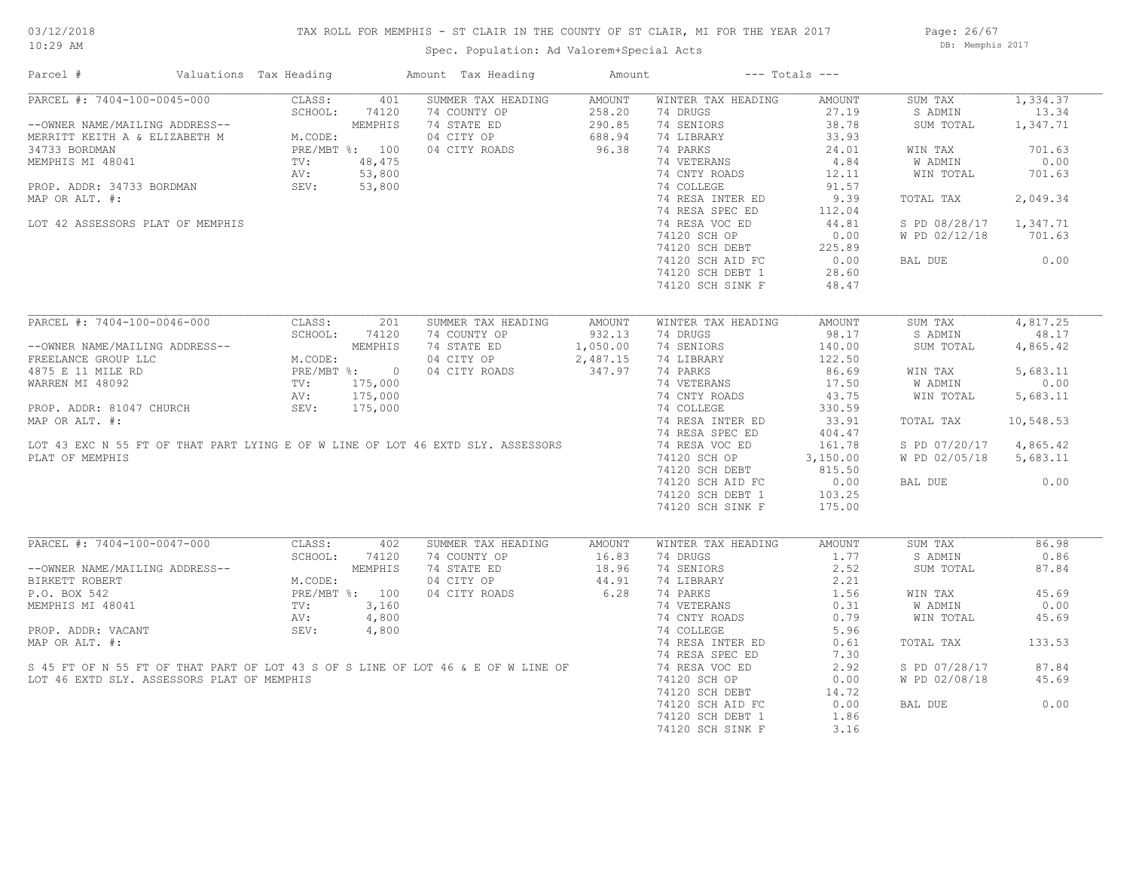## TAX ROLL FOR MEMPHIS - ST CLAIR IN THE COUNTY OF ST CLAIR, MI FOR THE YEAR 2017

Spec. Population: Ad Valorem+Special Acts

Page: 26/67 DB: Memphis 2017

| Parcel #                                                                         | Valuations Tax Heading                 |                | Amount Tax Heading | Amount        |                    | $---$ Totals $---$ |               |           |
|----------------------------------------------------------------------------------|----------------------------------------|----------------|--------------------|---------------|--------------------|--------------------|---------------|-----------|
| PARCEL #: 7404-100-0045-000                                                      | CLASS:                                 | 401            | SUMMER TAX HEADING | <b>AMOUNT</b> | WINTER TAX HEADING | AMOUNT             | SUM TAX       | 1,334.37  |
|                                                                                  | SCHOOL:                                | 74120          | 74 COUNTY OP       | 258.20        | 74 DRUGS           | 27.19              | S ADMIN       | 13.34     |
| --OWNER NAME/MAILING ADDRESS--                                                   |                                        | MEMPHIS        | 74 STATE ED        | 290.85        | 74 SENIORS         | 38.78              | SUM TOTAL     | 1,347.71  |
| MERRITT KEITH A & ELIZABETH M                                                    | M.CODE:                                |                | 04 CITY OP         | 688.94        | 74 LIBRARY         | 33.93              |               |           |
| 34733 BORDMAN                                                                    |                                        | PRE/MBT %: 100 | 04 CITY ROADS      | 96.38         | 74 PARKS           | 24.01              | WIN TAX       | 701.63    |
| MEMPHIS MI 48041                                                                 | $\texttt{TV}$ :                        | 48,475         |                    |               | 74 VETERANS        | 4.84               | W ADMIN       | 0.00      |
|                                                                                  | AV:                                    | 53,800         |                    |               | 74 CNTY ROADS      | 12.11              | WIN TOTAL     | 701.63    |
| PROP. ADDR: 34733 BORDMAN                                                        | SEV:                                   | 53,800         |                    |               | 74 COLLEGE         | 91.57              |               |           |
| MAP OR ALT. #:                                                                   |                                        |                |                    |               | 74 RESA INTER ED   | 9.39               | TOTAL TAX     | 2,049.34  |
|                                                                                  |                                        |                |                    |               | 74 RESA SPEC ED    | 112.04             |               |           |
| LOT 42 ASSESSORS PLAT OF MEMPHIS                                                 |                                        |                |                    |               | 74 RESA VOC ED     | 44.81              | S PD 08/28/17 | 1,347.71  |
|                                                                                  |                                        |                |                    |               | 74120 SCH OP       | 0.00               | W PD 02/12/18 | 701.63    |
|                                                                                  |                                        |                |                    |               | 74120 SCH DEBT     | 225.89             |               |           |
|                                                                                  |                                        |                |                    |               | 74120 SCH AID FC   | 0.00               | BAL DUE       | 0.00      |
|                                                                                  |                                        |                |                    |               | 74120 SCH DEBT 1   | 28.60              |               |           |
|                                                                                  |                                        |                |                    |               | 74120 SCH SINK F   | 48.47              |               |           |
|                                                                                  |                                        |                |                    |               |                    |                    |               |           |
| PARCEL #: 7404-100-0046-000                                                      | CLASS:                                 | 201            | SUMMER TAX HEADING | AMOUNT        | WINTER TAX HEADING | AMOUNT             | SUM TAX       | 4,817.25  |
|                                                                                  | SCHOOL:                                | 74120          | 74 COUNTY OP       | 932.13        | 74 DRUGS           | 98.17              | S ADMIN       | 48.17     |
| --OWNER NAME/MAILING ADDRESS--                                                   |                                        | MEMPHIS        | 74 STATE ED        | 1,050.00      | 74 SENIORS         | 140.00             | SUM TOTAL     | 4,865.42  |
| FREELANCE GROUP LLC                                                              | M.CODE:<br>PRE/MBT %: 0<br>TV: 175,000 |                | 04 CITY OP         | 2,487.15      | 74 LIBRARY         | 122.50             |               |           |
| 4875 E 11 MILE RD                                                                |                                        |                | 04 CITY ROADS      | 347.97        | 74 PARKS           | 86.69              | WIN TAX       | 5,683.11  |
| WARREN MI 48092                                                                  |                                        |                |                    |               | 74 VETERANS        | 17.50              | W ADMIN       | 0.00      |
|                                                                                  | AV:                                    | 175,000        |                    |               | 74 CNTY ROADS      | 43.75              | WIN TOTAL     | 5,683.11  |
| PROP. ADDR: 81047 CHURCH                                                         | SEV:                                   | 175,000        |                    |               | 74 COLLEGE         | 330.59             |               |           |
| MAP OR ALT. #:                                                                   |                                        |                |                    |               | 74 RESA INTER ED   | 33.91              | TOTAL TAX     | 10,548.53 |
|                                                                                  |                                        |                |                    |               | 74 RESA SPEC ED    | 404.47             |               |           |
| LOT 43 EXC N 55 FT OF THAT PART LYING E OF W LINE OF LOT 46 EXTD SLY. ASSESSORS  |                                        |                |                    |               | 74 RESA VOC ED     | 161.78             | S PD 07/20/17 | 4,865.42  |
| PLAT OF MEMPHIS                                                                  |                                        |                |                    |               | 74120 SCH OP       | 3,150.00           | W PD 02/05/18 | 5,683.11  |
|                                                                                  |                                        |                |                    |               | 74120 SCH DEBT     | 815.50             |               |           |
|                                                                                  |                                        |                |                    |               | 74120 SCH AID FC   | 0.00               | BAL DUE       | 0.00      |
|                                                                                  |                                        |                |                    |               | 74120 SCH DEBT 1   | 103.25             |               |           |
|                                                                                  |                                        |                |                    |               | 74120 SCH SINK F   | 175.00             |               |           |
|                                                                                  |                                        |                |                    |               |                    |                    |               |           |
| PARCEL #: 7404-100-0047-000                                                      | CLASS:                                 | 402            | SUMMER TAX HEADING | AMOUNT        | WINTER TAX HEADING | AMOUNT             | SUM TAX       | 86.98     |
|                                                                                  | SCHOOL:                                | 74120          | 74 COUNTY OP       | 16.83         | 74 DRUGS           | 1.77               | S ADMIN       | 0.86      |
| --OWNER NAME/MAILING ADDRESS--                                                   |                                        | MEMPHIS        | 74 STATE ED        | 18.96         | 74 SENIORS         | 2.52               | SUM TOTAL     | 87.84     |
| BIRKETT ROBERT                                                                   | M.CODE:                                |                | 04 CITY OP         | 44.91         | 74 LIBRARY         | 2.21               |               |           |
| P.O. BOX 542                                                                     |                                        | PRE/MBT %: 100 | 04 CITY ROADS      | 6.28          | 74 PARKS           | 1.56               | WIN TAX       | 45.69     |
| MEMPHIS MI 48041                                                                 | TV:                                    | 3,160          |                    |               | 74 VETERANS        | 0.31               | W ADMIN       | 0.00      |
|                                                                                  | AV:                                    | 4,800          |                    |               | 74 CNTY ROADS      | 0.79               | WIN TOTAL     | 45.69     |
| PROP. ADDR: VACANT                                                               | SEV:                                   | 4,800          |                    |               | 74 COLLEGE         | 5.96               |               |           |
| MAP OR ALT. #:                                                                   |                                        |                |                    |               | 74 RESA INTER ED   | 0.61               | TOTAL TAX     | 133.53    |
|                                                                                  |                                        |                |                    |               | 74 RESA SPEC ED    | 7.30               |               |           |
| S 45 FT OF N 55 FT OF THAT PART OF LOT 43 S OF S LINE OF LOT 46 & E OF W LINE OF |                                        |                |                    |               | 74 RESA VOC ED     | 2.92               | S PD 07/28/17 | 87.84     |
| LOT 46 EXTD SLY. ASSESSORS PLAT OF MEMPHIS                                       |                                        |                |                    |               | 74120 SCH OP       | 0.00               | W PD 02/08/18 | 45.69     |
|                                                                                  |                                        |                |                    |               | 74120 SCH DEBT     | 14.72              |               |           |
|                                                                                  |                                        |                |                    |               | 74120 SCH AID FC   | 0.00               | BAL DUE       | 0.00      |
|                                                                                  |                                        |                |                    |               | 74120 SCH DEBT 1   | 1.86               |               |           |
|                                                                                  |                                        |                |                    |               | 74120 SCH SINK F   | 3.16               |               |           |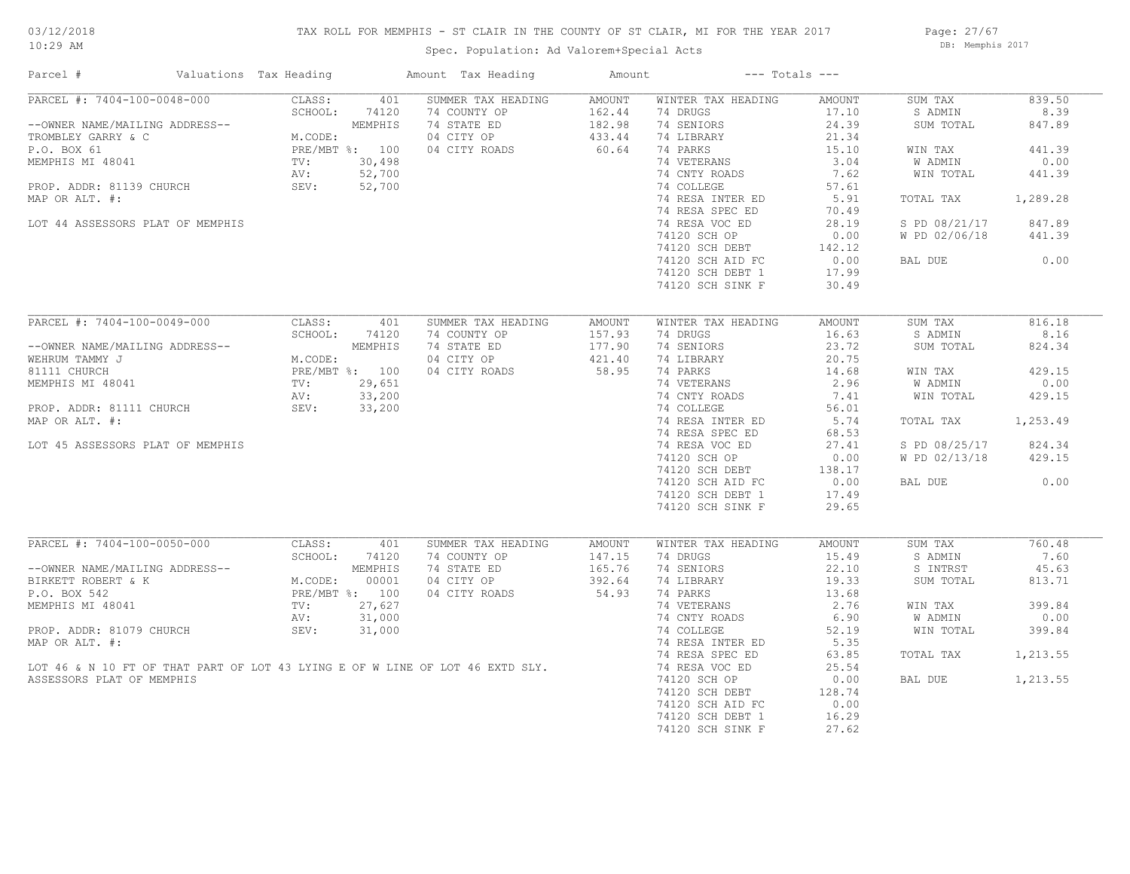## TAX ROLL FOR MEMPHIS - ST CLAIR IN THE COUNTY OF ST CLAIR, MI FOR THE YEAR 2017

Page: 27/67 DB: Memphis 2017

| Parcel #                                                                                                                                                                                                                                                   | Valuations Tax Heading |               |        | Amount Tax Heading                                                            | Amount                                      | $---$ Totals $---$                              |        |               |          |
|------------------------------------------------------------------------------------------------------------------------------------------------------------------------------------------------------------------------------------------------------------|------------------------|---------------|--------|-------------------------------------------------------------------------------|---------------------------------------------|-------------------------------------------------|--------|---------------|----------|
| PARCEL #: 7404-100-0048-000                                                                                                                                                                                                                                |                        | CLASS:        | 401    | SUMMER TAX HEADING                                                            | AMOUNT                                      | WINTER TAX HEADING                              | AMOUNT | SUM TAX       | 839.50   |
|                                                                                                                                                                                                                                                            |                        | SCHOOL: 74120 |        | 74 COUNTY OP                                                                  | 162.44                                      | 74 DRUGS                                        | 17.10  | S ADMIN       | 8.39     |
| --OWNER NAME/MAILING ADDRESS--<br>TROMBLEY GARRY & C<br>P.O. BOX 61<br>MEMPHIS MI 48041<br>MEMPHIS MI 48041<br>PROP. ADDR: 81139 CHURCH<br>PROP. ADDR: 81139 CHURCH<br>PROP. ADDR: 81139 CHURCH<br>PROP. ADDR: 81139 CHURCH<br>SEV: 52,700<br>PROP         |                        |               |        | 74 COUNTY OP 162.44<br>74 STATE ED 182.98<br>04 CITY OP 433.44                |                                             | 74 SENIORS                                      | 24.39  | SUM TOTAL     | 847.89   |
|                                                                                                                                                                                                                                                            |                        |               |        |                                                                               |                                             | 74 LIBRARY                                      | 21.34  |               |          |
|                                                                                                                                                                                                                                                            |                        |               |        | 04 CITY ROADS                                                                 | 60.64                                       | 74 PARKS                                        | 15.10  | WIN TAX       | 441.39   |
|                                                                                                                                                                                                                                                            |                        |               |        |                                                                               |                                             | 74 VETERANS                                     | 3.04   | W ADMIN       | 0.00     |
|                                                                                                                                                                                                                                                            |                        |               |        |                                                                               |                                             | 74 CNTY ROADS                                   | 7.62   | WIN TOTAL     | 441.39   |
|                                                                                                                                                                                                                                                            |                        |               |        |                                                                               |                                             | 74 COLLEGE                                      | 57.61  |               |          |
| MAP OR ALT. #:                                                                                                                                                                                                                                             |                        |               |        |                                                                               |                                             | 74 RESA INTER ED                                | 5.91   | TOTAL TAX     | 1,289.28 |
|                                                                                                                                                                                                                                                            |                        |               |        |                                                                               |                                             | 74 RESA SPEC ED                                 | 70.49  |               |          |
|                                                                                                                                                                                                                                                            |                        |               |        |                                                                               |                                             |                                                 |        |               | 847.89   |
| LOT 44 ASSESSORS PLAT OF MEMPHIS                                                                                                                                                                                                                           |                        |               |        |                                                                               |                                             | 74 RESA VOC ED                                  | 28.19  | S PD 08/21/17 |          |
|                                                                                                                                                                                                                                                            |                        |               |        |                                                                               |                                             | 74120 SCH OP                                    | 0.00   | W PD 02/06/18 | 441.39   |
|                                                                                                                                                                                                                                                            |                        |               |        |                                                                               |                                             | 74120 SCH DEBT 142.12<br>74120 SCH AID FC 0.00  |        |               |          |
|                                                                                                                                                                                                                                                            |                        |               |        |                                                                               |                                             |                                                 |        | BAL DUE       | 0.00     |
|                                                                                                                                                                                                                                                            |                        |               |        |                                                                               |                                             | 74120 SCH DEBT 1                                | 17.99  |               |          |
|                                                                                                                                                                                                                                                            |                        |               |        |                                                                               |                                             | 74120 SCH SINK F                                | 30.49  |               |          |
|                                                                                                                                                                                                                                                            |                        |               |        |                                                                               |                                             |                                                 |        |               |          |
| PARCEL #: 7404-100-0049-000                                                                                                                                                                                                                                |                        | CLASS:        | 401    | SUMMER TAX HEADING                                                            | AMOUNT                                      | WINTER TAX HEADING                              | AMOUNT | SUM TAX       | 816.18   |
|                                                                                                                                                                                                                                                            |                        | SCHOOL:       | 74120  | 74 COUNTY OP                                                                  |                                             | 74 DRUGS                                        | 16.63  | S ADMIN       | 8.16     |
| --OWNER NAME/MAILING ADDRESS--<br>WEHRUM TAMMY J<br>MEMPHIS MISSON DEMPHIS<br>100<br>MEMPHIS MI 48041<br>PROP. ADDR: 81111 CHURCH<br>PROP. ADDR: 81111 CHURCH<br>PROP. ADDR: 81111 CHURCH<br>PROP. ADDR: 81111 CHURCH<br>SEV: 33,200<br>PROP. ADDR         |                        |               |        | 74 STATE ED                                                                   | $157.93$<br>$177.90$<br>$421.40$<br>$58.95$ | 74 SENIORS                                      | 23.72  | SUM TOTAL     | 824.34   |
|                                                                                                                                                                                                                                                            |                        |               |        | 04 CITY OP                                                                    |                                             | 74 LIBRARY                                      | 20.75  |               |          |
|                                                                                                                                                                                                                                                            |                        |               |        |                                                                               |                                             |                                                 |        |               |          |
|                                                                                                                                                                                                                                                            |                        |               |        | 04 CITY ROADS                                                                 |                                             | 74 PARKS                                        | 14.68  | WIN TAX       | 429.15   |
|                                                                                                                                                                                                                                                            |                        |               |        |                                                                               |                                             | 74 VETERANS                                     | 2.96   | W ADMIN       | 0.00     |
|                                                                                                                                                                                                                                                            |                        |               |        |                                                                               |                                             | 74 CNTY ROADS                                   | 7.41   | WIN TOTAL     | 429.15   |
|                                                                                                                                                                                                                                                            |                        |               |        |                                                                               |                                             | 74 COLLEGE                                      | 56.01  |               |          |
| MAP OR ALT. #:                                                                                                                                                                                                                                             |                        |               |        |                                                                               |                                             | 74 RESA INTER ED                                | 5.74   | TOTAL TAX     | 1,253.49 |
|                                                                                                                                                                                                                                                            |                        |               |        |                                                                               |                                             | 74 RESA SPEC ED                                 | 68.53  |               |          |
| LOT 45 ASSESSORS PLAT OF MEMPHIS                                                                                                                                                                                                                           |                        |               |        |                                                                               |                                             | 74 RESA VOC ED                                  | 27.41  | S PD 08/25/17 | 824.34   |
|                                                                                                                                                                                                                                                            |                        |               |        |                                                                               |                                             | 74120 SCH OP                                    | 0.00   | W PD 02/13/18 | 429.15   |
|                                                                                                                                                                                                                                                            |                        |               |        |                                                                               |                                             | 74120 SCH DEBT                                  | 138.17 |               |          |
|                                                                                                                                                                                                                                                            |                        |               |        |                                                                               |                                             | 74120 SCH AID FC 0.00<br>74120 SCH DEBT 1 17.49 |        | BAL DUE       | 0.00     |
|                                                                                                                                                                                                                                                            |                        |               |        |                                                                               |                                             |                                                 |        |               |          |
|                                                                                                                                                                                                                                                            |                        |               |        |                                                                               |                                             |                                                 | 29.65  |               |          |
|                                                                                                                                                                                                                                                            |                        |               |        |                                                                               |                                             | 74120 SCH SINK F                                |        |               |          |
| PARCEL #: 7404-100-0050-0000<br>--OWNER NAME/MAILING ADDRESS--<br>BIRKETT ROBERT & K<br>P.O. BOX 542<br>--0041<br>P.O. BOX 542<br>--0041<br>P.O. 27,627<br>P.O. 20001<br>P.O. 27,027<br>P.O. 27,027<br>P.O. 27,027<br>P.O. 27,027<br>P.O. 31,000<br>P.O. 3 |                        |               |        |                                                                               |                                             |                                                 |        |               |          |
|                                                                                                                                                                                                                                                            |                        |               |        | SUMMER TAX HEADING                                                            | AMOUNT                                      | WINTER TAX HEADING                              | AMOUNT | SUM TAX       | 760.48   |
|                                                                                                                                                                                                                                                            |                        |               |        | 74 COUNTY OP                                                                  | 147.15                                      | 74 DRUGS                                        | 15.49  | S ADMIN       | 7.60     |
|                                                                                                                                                                                                                                                            |                        |               |        | 74 STATE ED                                                                   | 165.76                                      | 74 SENIORS                                      | 22.10  | S INTRST      | 45.63    |
|                                                                                                                                                                                                                                                            |                        |               |        | 04 CITY OP                                                                    | 392.64                                      | 74 LIBRARY                                      | 19.33  | SUM TOTAL     | 813.71   |
|                                                                                                                                                                                                                                                            |                        |               |        | 04 CITY ROADS                                                                 | $392.04$<br>54.93                           | 74 PARKS                                        | 13.68  |               |          |
|                                                                                                                                                                                                                                                            |                        |               |        |                                                                               |                                             | 74 VETERANS                                     | 2.76   | WIN TAX       | 399.84   |
|                                                                                                                                                                                                                                                            |                        |               |        |                                                                               |                                             | 74 CNTY ROADS                                   | 6.90   | W ADMIN       | 0.00     |
| PROP. ADDR: 81079 CHURCH                                                                                                                                                                                                                                   |                        | SEV:          | 31,000 |                                                                               |                                             | 74 COLLEGE                                      | 52.19  | WIN TOTAL     | 399.84   |
| MAP OR ALT. #:                                                                                                                                                                                                                                             |                        |               |        |                                                                               |                                             | 74 RESA INTER ED                                | 5.35   |               |          |
|                                                                                                                                                                                                                                                            |                        |               |        |                                                                               |                                             |                                                 |        |               |          |
|                                                                                                                                                                                                                                                            |                        |               |        |                                                                               |                                             | 74 RESA SPEC ED                                 | 63.85  | TOTAL TAX     | 1,213.55 |
|                                                                                                                                                                                                                                                            |                        |               |        | LOT 46 & N 10 FT OF THAT PART OF LOT 43 LYING E OF W LINE OF LOT 46 EXTD SLY. |                                             | 74 RESA VOC ED                                  | 25.54  |               |          |
| ASSESSORS PLAT OF MEMPHIS                                                                                                                                                                                                                                  |                        |               |        |                                                                               |                                             | 74120 SCH OP                                    | 0.00   | BAL DUE       | 1,213.55 |
|                                                                                                                                                                                                                                                            |                        |               |        |                                                                               |                                             | 74120 SCH DEBT                                  | 128.74 |               |          |
|                                                                                                                                                                                                                                                            |                        |               |        |                                                                               |                                             | 74120 SCH AID FC                                | 0.00   |               |          |
|                                                                                                                                                                                                                                                            |                        |               |        |                                                                               |                                             | 74120 SCH DEBT 1                                | 16.29  |               |          |
|                                                                                                                                                                                                                                                            |                        |               |        |                                                                               |                                             | 74120 SCH SINK F                                | 27.62  |               |          |
|                                                                                                                                                                                                                                                            |                        |               |        |                                                                               |                                             |                                                 |        |               |          |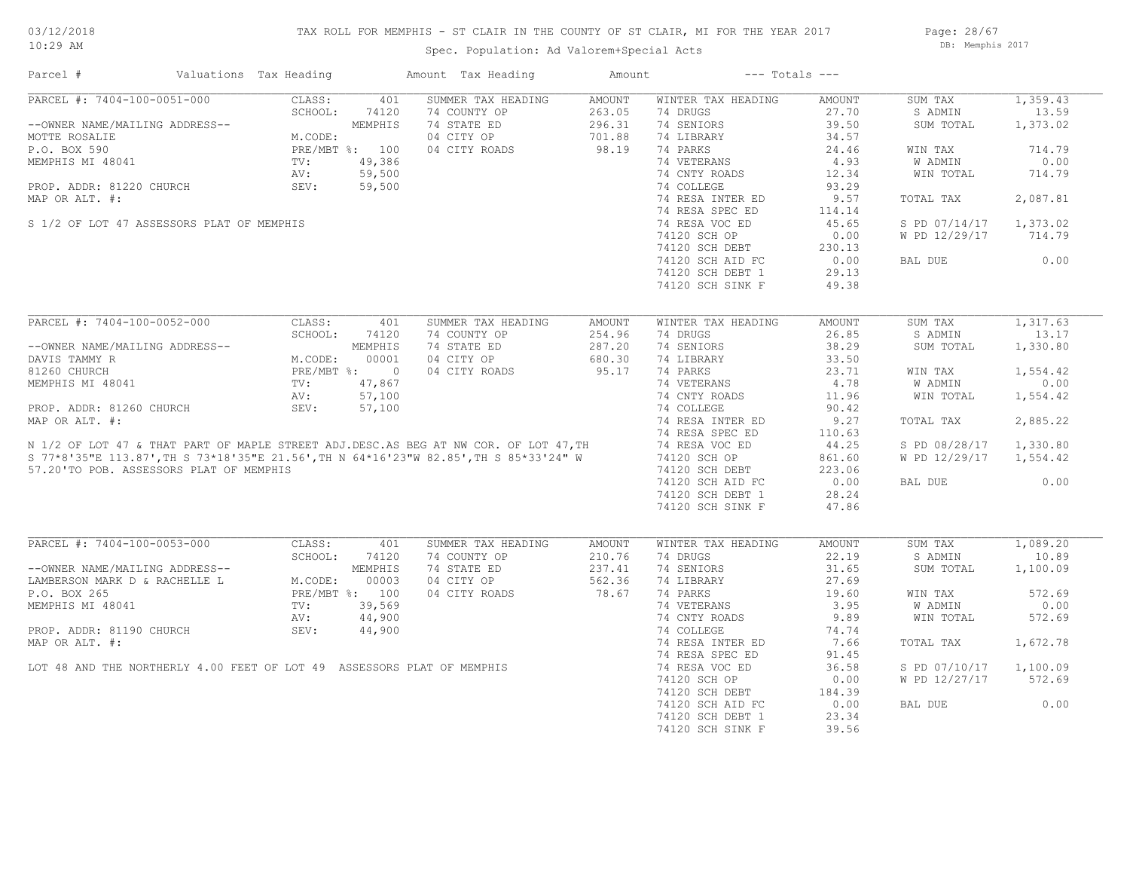## TAX ROLL FOR MEMPHIS - ST CLAIR IN THE COUNTY OF ST CLAIR, MI FOR THE YEAR 2017

Page: 28/67 DB: Memphis 2017

| Parcel #                                                               |                                                                                            | Valuations Tax Heading                                                |         | Amount Tax Heading                                                                                                                                                                              | Amount | $---$ Totals $---$ |               |                        |          |
|------------------------------------------------------------------------|--------------------------------------------------------------------------------------------|-----------------------------------------------------------------------|---------|-------------------------------------------------------------------------------------------------------------------------------------------------------------------------------------------------|--------|--------------------|---------------|------------------------|----------|
| PARCEL #: 7404-100-0051-000                                            |                                                                                            | CLASS:                                                                | 401     | SUMMER TAX HEADING                                                                                                                                                                              | AMOUNT | WINTER TAX HEADING | AMOUNT        | SUM TAX                | 1,359.43 |
|                                                                        |                                                                                            | SCHOOL:                                                               | 74120   | 74 COUNTY OP                                                                                                                                                                                    | 263.05 | 74 DRUGS           | 27.70         | S ADMIN                | 13.59    |
| --OWNER NAME/MAILING ADDRESS--                                         |                                                                                            |                                                                       | MEMPHIS | 74 STATE ED                                                                                                                                                                                     | 296.31 | 74 SENIORS         | 39.50         | SUM TOTAL              | 1,373.02 |
| MOTTE ROSALIE                                                          |                                                                                            | M.CODE:<br>PRE/MBT %: 100<br>TV: 49,386<br>AV: 59,500<br>----. 59,500 |         | 04 CITY OP                                                                                                                                                                                      | 701.88 | 74 LIBRARY         | 34.57         |                        |          |
| P.O. BOX 590                                                           |                                                                                            |                                                                       |         | 04 CITY ROADS                                                                                                                                                                                   | 98.19  | 74 PARKS           | 24.46         | WIN TAX                | 714.79   |
| MEMPHIS MI 48041                                                       |                                                                                            |                                                                       |         |                                                                                                                                                                                                 |        | 74 VETERANS        | 4.93          | W ADMIN                | 0.00     |
|                                                                        |                                                                                            |                                                                       |         |                                                                                                                                                                                                 |        | 74 CNTY ROADS      | 12.34         | WIN TOTAL              | 714.79   |
| PROP. ADDR: 81220 CHURCH                                               |                                                                                            | SEV:                                                                  |         |                                                                                                                                                                                                 |        | 74 COLLEGE         | 93.29         |                        |          |
| MAP OR ALT. #:                                                         |                                                                                            |                                                                       |         |                                                                                                                                                                                                 |        | 74 RESA INTER ED   | 9.57          | TOTAL TAX              | 2,087.81 |
|                                                                        |                                                                                            |                                                                       |         |                                                                                                                                                                                                 |        | 74 RESA SPEC ED    | 114.14        |                        |          |
| S 1/2 OF LOT 47 ASSESSORS PLAT OF MEMPHIS                              |                                                                                            |                                                                       |         |                                                                                                                                                                                                 |        | 74 RESA VOC ED     | 45.65         | S PD 07/14/17 1,373.02 |          |
|                                                                        |                                                                                            |                                                                       |         |                                                                                                                                                                                                 |        | 74120 SCH OP       | 0.00          | W PD 12/29/17          | 714.79   |
|                                                                        |                                                                                            |                                                                       |         |                                                                                                                                                                                                 |        |                    |               |                        |          |
|                                                                        |                                                                                            |                                                                       |         |                                                                                                                                                                                                 |        | 74120 SCH DEBT     | 230.13        |                        |          |
|                                                                        |                                                                                            |                                                                       |         |                                                                                                                                                                                                 |        | 74120 SCH AID FC   | 0.00          | BAL DUE                | 0.00     |
|                                                                        |                                                                                            |                                                                       |         |                                                                                                                                                                                                 |        | 74120 SCH DEBT 1   | 29.13         |                        |          |
|                                                                        |                                                                                            |                                                                       |         |                                                                                                                                                                                                 |        | 74120 SCH SINK F   | 49.38         |                        |          |
|                                                                        |                                                                                            |                                                                       |         |                                                                                                                                                                                                 |        |                    |               |                        |          |
| PARCEL #: 7404-100-0052-000                                            |                                                                                            | CLASS:                                                                | 401     | SUMMER TAX HEADING                                                                                                                                                                              | AMOUNT | WINTER TAX HEADING | <b>AMOUNT</b> | SUM TAX                | 1,317.63 |
|                                                                        | NG ADDRESS--<br>M.CODE: 00001<br>PRE/MBT %: 0<br>TV: 47,867<br>$\frac{1}{2}$<br>TV: 57,100 | SCHOOL:                                                               | 74120   | 74 COUNTY OP                                                                                                                                                                                    | 254.96 | 74 DRUGS           | 26.85         | S ADMIN                | 13.17    |
| --OWNER NAME/MAILING ADDRESS--                                         |                                                                                            |                                                                       |         | 74 STATE ED                                                                                                                                                                                     | 287.20 | 74 SENIORS         | 38.29         | SUM TOTAL              | 1,330.80 |
| DAVIS TAMMY R                                                          |                                                                                            |                                                                       |         | 04 CITY OP                                                                                                                                                                                      | 680.30 | 74 LIBRARY         | 33.50         |                        |          |
| 81260 CHURCH                                                           |                                                                                            |                                                                       |         | 04 CITY ROADS                                                                                                                                                                                   | 95.17  | 74 PARKS           | 23.71         | WIN TAX                | 1,554.42 |
| MEMPHIS MI 48041                                                       |                                                                                            |                                                                       |         |                                                                                                                                                                                                 |        | 74 VETERANS        | 4.78          | W ADMIN                | 0.00     |
|                                                                        |                                                                                            |                                                                       | 57,100  |                                                                                                                                                                                                 |        | 74 CNTY ROADS      | 11.96         | WIN TOTAL              | 1,554.42 |
| PROP. ADDR: 81260 CHURCH                                               |                                                                                            | SEV:                                                                  | 57,100  |                                                                                                                                                                                                 |        | 74 COLLEGE         | 90.42         |                        |          |
|                                                                        |                                                                                            |                                                                       |         | MAP OR ALT. #:<br>N 1/2 OF LOT 47 & THAT PART OF MAPLE STREET ADJ.DESC.AS BEG AT NW COR. OF LOT 47, TH<br>S 77*8'35"E 113.87', TH S 73*18'35"E 21.56', TH N 64*16'23"W 82.85', TH S 85*33'24" W |        | 74 RESA INTER ED   | 9.27          | TOTAL TAX              | 2,885.22 |
|                                                                        |                                                                                            |                                                                       |         |                                                                                                                                                                                                 |        | 74 RESA SPEC ED    | 110.63        |                        |          |
|                                                                        |                                                                                            |                                                                       |         |                                                                                                                                                                                                 |        | 74 RESA VOC ED     | 44.25         | S PD 08/28/17          | 1,330.80 |
|                                                                        |                                                                                            |                                                                       |         |                                                                                                                                                                                                 |        | 74120 SCH OP       | 861.60        | W PD 12/29/17          | 1,554.42 |
|                                                                        |                                                                                            |                                                                       |         |                                                                                                                                                                                                 |        |                    |               |                        |          |
| 57.20'TO POB. ASSESSORS PLAT OF MEMPHIS                                |                                                                                            |                                                                       |         |                                                                                                                                                                                                 |        | 74120 SCH DEBT     | 223.06        |                        |          |
|                                                                        |                                                                                            |                                                                       |         |                                                                                                                                                                                                 |        | 74120 SCH AID FC   | 0.00          | BAL DUE                | 0.00     |
|                                                                        |                                                                                            |                                                                       |         |                                                                                                                                                                                                 |        | 74120 SCH DEBT 1   | 28.24         |                        |          |
|                                                                        |                                                                                            |                                                                       |         |                                                                                                                                                                                                 |        | 74120 SCH SINK F   | 47.86         |                        |          |
|                                                                        |                                                                                            |                                                                       |         |                                                                                                                                                                                                 |        |                    |               |                        |          |
| PARCEL #: 7404-100-0053-000                                            |                                                                                            | CLASS:                                                                | 401     | SUMMER TAX HEADING                                                                                                                                                                              | AMOUNT | WINTER TAX HEADING | AMOUNT        | SUM TAX                | 1,089.20 |
|                                                                        |                                                                                            | SCHOOL:                                                               | 74120   | 74 COUNTY OP                                                                                                                                                                                    | 210.76 | 74 DRUGS           | 22.19         | S ADMIN                | 10.89    |
| --OWNER NAME/MAILING ADDRESS--                                         |                                                                                            | M.CODE: 00000<br>PRE/MBT %: 100<br>TV: 39,569<br>NV: 44,90<br>A4,90   |         | 74 STATE ED                                                                                                                                                                                     | 237.41 | 74 SENIORS         | 31.65         | SUM TOTAL              | 1,100.09 |
| LAMBERSON MARK D & RACHELLE L                                          |                                                                                            |                                                                       |         | 04 CITY OP                                                                                                                                                                                      | 562.36 | 74 LIBRARY         | 27.69         |                        |          |
| P.O. BOX 265                                                           |                                                                                            |                                                                       |         | 04 CITY ROADS                                                                                                                                                                                   | 78.67  | 74 PARKS           | 19.60         | WIN TAX                | 572.69   |
| MEMPHIS MI 48041                                                       |                                                                                            |                                                                       |         |                                                                                                                                                                                                 |        | 74 VETERANS        | 3.95          | W ADMIN                | 0.00     |
|                                                                        |                                                                                            |                                                                       |         |                                                                                                                                                                                                 |        | 74 CNTY ROADS      | 9.89          | WIN TOTAL              | 572.69   |
| PROP. ADDR: 81190 CHURCH                                               |                                                                                            | SEV:                                                                  | 44,900  |                                                                                                                                                                                                 |        | 74 COLLEGE         | 74.74         |                        |          |
| MAP OR ALT. #:                                                         |                                                                                            |                                                                       |         |                                                                                                                                                                                                 |        | 74 RESA INTER ED   | 7.66          | TOTAL TAX              | 1,672.78 |
|                                                                        |                                                                                            |                                                                       |         |                                                                                                                                                                                                 |        | 74 RESA SPEC ED    | 91.45         |                        |          |
| LOT 48 AND THE NORTHERLY 4.00 FEET OF LOT 49 ASSESSORS PLAT OF MEMPHIS |                                                                                            |                                                                       |         |                                                                                                                                                                                                 |        | 74 RESA VOC ED     | 36.58         | S PD 07/10/17 1,100.09 |          |
|                                                                        |                                                                                            |                                                                       |         |                                                                                                                                                                                                 |        | 74120 SCH OP       | 0.00          | W PD 12/27/17          | 572.69   |
|                                                                        |                                                                                            |                                                                       |         |                                                                                                                                                                                                 |        | 74120 SCH DEBT     | 184.39        |                        |          |
|                                                                        |                                                                                            |                                                                       |         |                                                                                                                                                                                                 |        | 74120 SCH AID FC   | 0.00          | BAL DUE                | 0.00     |
|                                                                        |                                                                                            |                                                                       |         |                                                                                                                                                                                                 |        |                    |               |                        |          |
|                                                                        |                                                                                            |                                                                       |         |                                                                                                                                                                                                 |        | 74120 SCH DEBT 1   | 23.34         |                        |          |
|                                                                        |                                                                                            |                                                                       |         |                                                                                                                                                                                                 |        | 74120 SCH SINK F   | 39.56         |                        |          |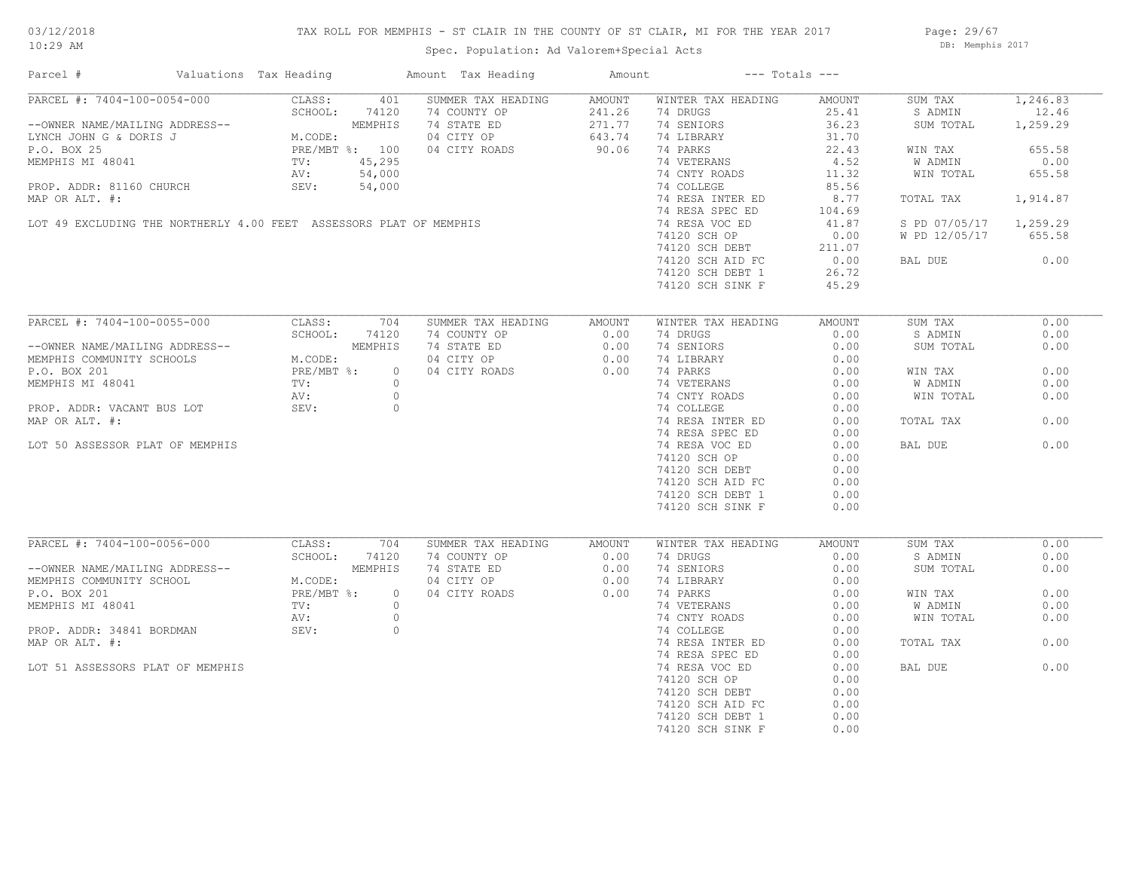## TAX ROLL FOR MEMPHIS - ST CLAIR IN THE COUNTY OF ST CLAIR, MI FOR THE YEAR 2017

Page: 29/67 DB: Memphis 2017

| Parcel #                                                                                                                      | Valuations Tax Heading |                                                                                                                                                                                                                                             | Amount Tax Heading                                      | Amount         | $---$ Totals $---$             |                |                        |              |
|-------------------------------------------------------------------------------------------------------------------------------|------------------------|---------------------------------------------------------------------------------------------------------------------------------------------------------------------------------------------------------------------------------------------|---------------------------------------------------------|----------------|--------------------------------|----------------|------------------------|--------------|
| PARCEL #: 7404-100-0054-000                                                                                                   |                        | CLASS:<br>401                                                                                                                                                                                                                               | SUMMER TAX HEADING                                      | AMOUNT         | WINTER TAX HEADING             | AMOUNT         | SUM TAX                | 1,246.83     |
|                                                                                                                               |                        | SCHOOL:<br>74120                                                                                                                                                                                                                            |                                                         |                | 74 DRUGS                       | 25.41          | S ADMIN                | 12.46        |
|                                                                                                                               |                        |                                                                                                                                                                                                                                             |                                                         |                | 74 SENIORS                     | 36.23          | SUM TOTAL              | 1,259.29     |
|                                                                                                                               |                        | --OWNER NAME/MAILING ADDRESS--<br>LYNCH JOHN G & DORIS J<br>P.O. BOX 25<br>MEMPHIS MI 48041<br>MEMPHIS MI 48041<br>MEMPHIS MI 48041<br>MEMPHIS MI 48041<br>M.CODE:<br>PRE/MBT %:<br>100<br>AV:<br>54,000<br>M.CODE:<br>PRE/MBT %:<br>54,000 | 74 COUNTY OP<br>74 STATE ED 271.77<br>04 CITY OP 643.74 | 643.74         | 74 LIBRARY                     | 31.70          |                        |              |
|                                                                                                                               |                        |                                                                                                                                                                                                                                             | 04 CITY ROADS                                           | 90.06          | 74 PARKS                       | 22.43          | WIN TAX                | 655.58       |
|                                                                                                                               |                        |                                                                                                                                                                                                                                             |                                                         |                | 74 VETERANS                    | 4.52           | W ADMIN                | 0.00         |
|                                                                                                                               |                        |                                                                                                                                                                                                                                             |                                                         |                | 74 CNTY ROADS                  | 11.32          | WIN TOTAL              | 655.58       |
| PROP. ADDR: 81160 CHURCH                                                                                                      |                        | SEV:<br>54,000                                                                                                                                                                                                                              |                                                         |                | 74 COLLEGE                     | 85.56          |                        |              |
| MAP OR ALT. #:                                                                                                                |                        |                                                                                                                                                                                                                                             |                                                         |                | 74 RESA INTER ED               | 8.77           | TOTAL TAX              | 1,914.87     |
|                                                                                                                               |                        |                                                                                                                                                                                                                                             |                                                         |                | 74 RESA SPEC ED                | 104.69         |                        |              |
|                                                                                                                               |                        | LOT 49 EXCLUDING THE NORTHERLY 4.00 FEET ASSESSORS PLAT OF MEMPHIS                                                                                                                                                                          |                                                         |                | 74 RESA VOC ED                 | 41.87          | S PD 07/05/17 1,259.29 |              |
|                                                                                                                               |                        |                                                                                                                                                                                                                                             |                                                         |                | 74120 SCH OP                   | 0.00           | W PD 12/05/17 655.58   |              |
|                                                                                                                               |                        |                                                                                                                                                                                                                                             |                                                         |                |                                |                |                        |              |
|                                                                                                                               |                        |                                                                                                                                                                                                                                             |                                                         |                | 74120 SCH DEBT                 | 211.07         |                        |              |
|                                                                                                                               |                        |                                                                                                                                                                                                                                             |                                                         |                | 74120 SCH AID FC               | 0.00           | BAL DUE                | 0.00         |
|                                                                                                                               |                        |                                                                                                                                                                                                                                             |                                                         |                | 74120 SCH DEBT 1               | 26.72          |                        |              |
|                                                                                                                               |                        |                                                                                                                                                                                                                                             |                                                         |                | 74120 SCH SINK F               | 45.29          |                        |              |
|                                                                                                                               |                        |                                                                                                                                                                                                                                             |                                                         |                |                                |                |                        |              |
| PARCEL #: 7404-100-0055-000                                                                                                   |                        | CLASS:<br>704                                                                                                                                                                                                                               | SUMMER TAX HEADING                                      | AMOUNT         | WINTER TAX HEADING             | AMOUNT         | SUM TAX                | 0.00         |
|                                                                                                                               |                        | SCHOOL:<br>74120                                                                                                                                                                                                                            | 74 COUNTY OP                                            | 0.00           | 74 DRUGS                       | 0.00           | S ADMIN                | 0.00         |
|                                                                                                                               |                        | MEMPHIS                                                                                                                                                                                                                                     | 74 STATE ED                                             | 0.00           | 74 SENIORS                     | 0.00           | SUM TOTAL              | 0.00         |
|                                                                                                                               |                        |                                                                                                                                                                                                                                             | 74 STATE ED<br>04 CITY OP 0.00<br>0.00                  |                | 74 LIBRARY                     | 0.00           |                        |              |
| --OWNER NAME/MAILING ADDRESS--<br>MEMPHIS COMMUNITY SCHOOLS M.CODE:<br>P.O. BOX 201 PRE/MBT %:<br>MEMPHIS MI 48041 TV:<br>TV: |                        | $\overline{0}$                                                                                                                                                                                                                              | 04 CITY ROADS                                           | 0.00           | 74 PARKS                       | 0.00           | WIN TAX                | 0.00         |
|                                                                                                                               |                        | $\circ$                                                                                                                                                                                                                                     |                                                         |                |                                | 0.00           | W ADMIN                | 0.00         |
|                                                                                                                               |                        | $\circ$<br>AV:                                                                                                                                                                                                                              |                                                         |                | 74 VETERANS<br>74 CNTY ROADS   | 0.00           | WIN TOTAL              | 0.00         |
| PROP. ADDR: VACANT BUS LOT                                                                                                    |                        | SEV:<br>$\circ$                                                                                                                                                                                                                             |                                                         |                | 74 COLLEGE                     | 0.00           |                        |              |
| MAP OR ALT. #:                                                                                                                |                        |                                                                                                                                                                                                                                             |                                                         |                | 74 RESA INTER ED               | 0.00           | TOTAL TAX              | 0.00         |
|                                                                                                                               |                        |                                                                                                                                                                                                                                             |                                                         |                | 74 RESA SPEC ED                | 0.00           |                        |              |
| LOT 50 ASSESSOR PLAT OF MEMPHIS                                                                                               |                        |                                                                                                                                                                                                                                             |                                                         |                | 74 RESA VOC ED                 | 0.00           | BAL DUE                | 0.00         |
|                                                                                                                               |                        |                                                                                                                                                                                                                                             |                                                         |                |                                | 0.00           |                        |              |
|                                                                                                                               |                        |                                                                                                                                                                                                                                             |                                                         |                | 74120 SCH OP                   |                |                        |              |
|                                                                                                                               |                        |                                                                                                                                                                                                                                             |                                                         |                | 74120 SCH DEBT                 | 0.00           |                        |              |
|                                                                                                                               |                        |                                                                                                                                                                                                                                             |                                                         |                | 74120 SCH AID FC               | 0.00           |                        |              |
|                                                                                                                               |                        |                                                                                                                                                                                                                                             |                                                         |                | 74120 SCH DEBT 1               | 0.00           |                        |              |
|                                                                                                                               |                        |                                                                                                                                                                                                                                             |                                                         |                | 74120 SCH SINK F               | 0.00           |                        |              |
|                                                                                                                               |                        |                                                                                                                                                                                                                                             |                                                         |                |                                |                |                        |              |
| PARCEL #: 7404-100-0056-000                                                                                                   |                        | CLASS:<br>704<br>SCHOOL:<br>74120                                                                                                                                                                                                           | SUMMER TAX HEADING<br>74 COUNTY OP                      | AMOUNT<br>0.00 | WINTER TAX HEADING<br>74 DRUGS | AMOUNT<br>0.00 | SUM TAX<br>S ADMIN     | 0.00<br>0.00 |
| --OWNER NAME/MAILING ADDRESS--                                                                                                |                        | MEMPHIS<br>SS--<br>$M. CODE:$<br>PRE/MBT %:<br>$\frac{1}{mV}$ :                                                                                                                                                                             | 74 STATE ED                                             | 0.00           | 74 SENIORS                     | 0.00           | SUM TOTAL              | 0.00         |
| MEMPHIS COMMUNITY SCHOOL                                                                                                      |                        |                                                                                                                                                                                                                                             | 04 CITY OP                                              | 0.00           | 74 LIBRARY                     | 0.00           |                        |              |
|                                                                                                                               |                        |                                                                                                                                                                                                                                             |                                                         |                |                                |                |                        |              |
| P.O. BOX 201                                                                                                                  |                        | $\circ$                                                                                                                                                                                                                                     | 04 CITY ROADS                                           | 0.00           | 74 PARKS                       | 0.00           | WIN TAX                | 0.00         |
| MEMPHIS MI 48041                                                                                                              |                        | $\circ$                                                                                                                                                                                                                                     |                                                         |                | 74 VETERANS                    | 0.00           | W ADMIN                | 0.00         |
|                                                                                                                               |                        | $\circ$<br>AV:                                                                                                                                                                                                                              |                                                         |                | 74 CNTY ROADS                  | 0.00           | WIN TOTAL              | 0.00         |
| PROP. ADDR: 34841 BORDMAN                                                                                                     |                        | SEV:<br>$\circ$                                                                                                                                                                                                                             |                                                         |                | 74 COLLEGE                     | 0.00           |                        |              |
| MAP OR ALT. #:                                                                                                                |                        |                                                                                                                                                                                                                                             |                                                         |                | 74 RESA INTER ED               | 0.00           | TOTAL TAX              | 0.00         |
|                                                                                                                               |                        |                                                                                                                                                                                                                                             |                                                         |                | 74 RESA SPEC ED                | 0.00           |                        |              |
| LOT 51 ASSESSORS PLAT OF MEMPHIS                                                                                              |                        |                                                                                                                                                                                                                                             |                                                         |                | 74 RESA VOC ED                 | 0.00           | BAL DUE                | 0.00         |
|                                                                                                                               |                        |                                                                                                                                                                                                                                             |                                                         |                | 74120 SCH OP                   | 0.00           |                        |              |
|                                                                                                                               |                        |                                                                                                                                                                                                                                             |                                                         |                | 74120 SCH DEBT                 | 0.00           |                        |              |
|                                                                                                                               |                        |                                                                                                                                                                                                                                             |                                                         |                | 74120 SCH AID FC               | 0.00           |                        |              |
|                                                                                                                               |                        |                                                                                                                                                                                                                                             |                                                         |                | 74120 SCH DEBT 1               | 0.00           |                        |              |
|                                                                                                                               |                        |                                                                                                                                                                                                                                             |                                                         |                | 74120 SCH SINK F               | 0.00           |                        |              |
|                                                                                                                               |                        |                                                                                                                                                                                                                                             |                                                         |                |                                |                |                        |              |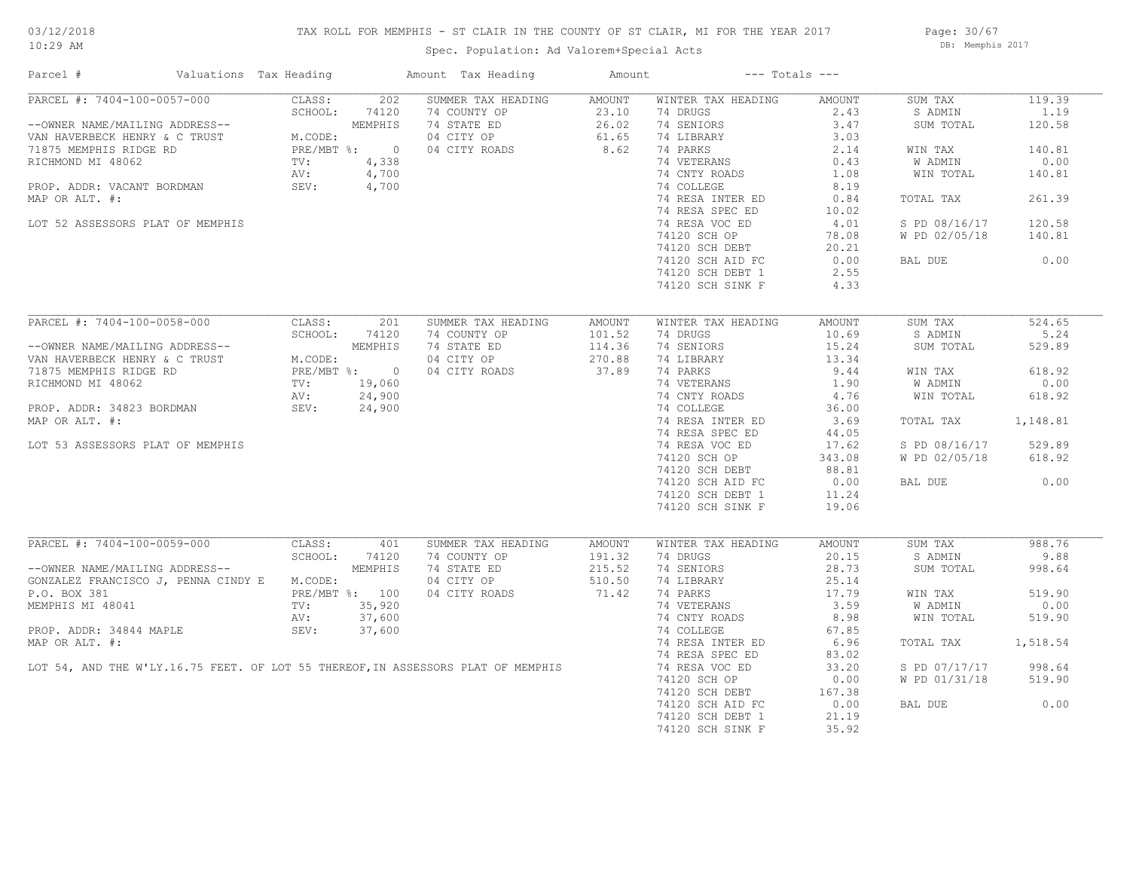## TAX ROLL FOR MEMPHIS - ST CLAIR IN THE COUNTY OF ST CLAIR, MI FOR THE YEAR 2017

Page: 30/67 DB: Memphis 2017

| PARCEL #: 7404-100-0057-000<br>CLASS:<br>202 SUMMER TAX HEADING AMOUNT<br>WINTER TAX HEADING<br>119.39<br>AMOUNT<br>SUM TAX<br>SCHOOL: 74120<br>$\begin{array}{cccc} 202 & \text{SUMMER TAX HEADING} & \text{AMOUNT} & \text{WINTER TAX} \\ \text{MEMPHIS} & 74 & \text{COMNT } \text{OP} & 23.10 & 74 \text{ DRUGS} \\ \text{MEMPHIS} & 74 & \text{STATE } \text{ED} & 26.02 & 74 \text{ SEMDORS} \\ \text{? } * & 0 & 04 & \text{CITY ROADS} & 61.65 & 74 \text{ LIBRARY} \\ 4,338 & 74 & \text{VETERANS} & 74 & \text{VETERANS} \\ 4,700 & 74 & \text{COLLEGE} \\ 4$<br>2.43<br>S ADMIN<br>1.19<br>--OWNER NAME/MAILING ADDRESS--<br>VAN HAVERBECK HENRY & C TRUST<br>71875 MEMPHIS RIDGE RD<br>RICHMOND MI 48062<br>PROP. ADDR: VACANT BORDMAN<br>PROP. ADDR: VACANT BORDMAN<br>PROP. ADDR: VACANT BORDMAN<br>PROP. ADDR: VACANT BORDMAN<br>PROP<br>3.47<br>SUM TOTAL<br>120.58<br>140.81<br>WIN TAX<br>W ADMIN<br>0.00<br>74 CNTY ROADS<br>74 COLLEGE<br>WIN TOTAL<br>140.81<br>8.19<br>MAP OR ALT. #:<br>TOTAL TAX<br>261.39<br>120.58<br>LOT 52 ASSESSORS PLAT OF MEMPHIS<br>S PD 08/16/17<br>74120 SCH OP<br>W PD 02/05/18 140.81<br>74120 SCH OP 78.08<br>74120 SCH DEBT 20.21<br>74120 SCH AID FC 0.00<br>74120 SCH DEBT 1 2.55<br>0.00<br>BAL DUE<br>74120 SCH SINK F<br>4.33<br>PARCEL #: 7404-100-0058-000<br>SUMMER TAX HEADING<br>WINTER TAX HEADING<br>524.65<br>CLASS:<br>201<br>AMOUNT<br>AMOUNT<br>SUM TAX<br>74 COUNTY OP 101.52<br>74 STATE ED 114.36<br>04 CITY OP 270.88<br>04 CITY ROADS 37.89<br>SCHOOL: 74120<br>74 DRUGS 10.69<br>5.24<br>S ADMIN<br>--OWNER NAME/MAILING ADDRESS--<br>VAN HAVERBECK HENRY & C TRUST<br>71875 MEMPHIS RIDGE RD<br>RICHMOND MI 48062<br>PROP. ADDR: 34823 BORDMAN<br>PROP. ADDR: 34823 BORDMAN<br>PROP. ADDR: 34823 BORDMAN<br>PROP. ADDR: 34823 BORDMAN<br>PROP. AD<br>74 SENIORS<br>74 LIBRARY<br>15.24<br>SUM TOTAL<br>529.89<br>74 LIBRARY<br>74 LIBRARY<br>74 PARKS<br>74 VETERANS<br>74 COLLEGE<br>74 COLLEGE<br>36.00<br>618.92<br>WIN TAX<br>0.00<br>W ADMIN<br>WIN TOTAL<br>618.92<br>74 RESA INTER ED 3.69<br>74 RESA SPEC ED 44.05<br>74 RESA VOC ED 17.62<br>74120 SCH OP 343.08<br>TOTAL TAX 1,148.81<br>MAP OR ALT. #:<br>S PD 08/16/17 529.89<br>LOT 53 ASSESSORS PLAT OF MEMPHIS<br>W PD 02/05/18 618.92<br>74120 SCH DEBT<br>$88.81$<br>0.00<br>11.24<br>0.00<br>74120 SCH AID FC<br>BAL DUE<br>74120 SCH DEBT 1<br>74120 SCH SINK F<br>19.06<br>FARCEL #: 7404-100-0059-000 CLASS: 401<br>SCHOOL: 74120<br>--OWNER NAME/MAILING ADDRESS-- MEMPHIS<br>SUMMER TAX HEADING AMOUNT<br>988.76<br>WINTER TAX HEADING<br>AMOUNT<br>SUM TAX<br>74 COUNTY OP 191.32<br>74 STATE ED 215.52<br>04 CITY OP 510.50<br>04 CITY ROADS 71.42<br>74 DRUGS 20.15<br>S ADMIN<br>9.88<br>74 SENIORS<br>28.73<br>SUM TOTAL<br>998.64<br>GONZALEZ FRANCISCO J, PENNA CINDY E M.CODE:<br>P.O. BOX 381 PRE/MBT %: 100<br>MEMPHIS MI 48041 TV: 35,920<br>AV: 37,600<br>519.90<br>WIN TAX<br>W ADMIN<br>0.00<br>74 CNTY ROADS<br>8.98<br>8.98 67.85<br>WIN TOTAL<br>519.90<br>AV: 37,600<br>PROP. ADDR: 34844 MAPLE SEV: 37,600<br>MAP OR ALT. #:<br>LOT 54, AND THE W'LY.16.75 FEET. OF LOT 55 THEREOF,IN ASSESSORS PLAT OF MEMPHIS<br>74 COLLEGE<br>74 RESA INTER ED<br>6.96<br>TOTAL TAX 1,518.54<br>74 RESA SPEC ED<br>83.02<br>74 RESA VOC ED<br>S PD 07/17/17 998.64<br>33.20<br>W PD 01/31/18<br>519.90<br>74120 SCH OP<br>0.00<br>74120 SCH OF CONTRACTS 74120 SCH DEBT 167.38<br>74120 SCH AID FC 0.00<br>74120 SCH DEBT 1 21.19<br>74120 SCH SINK F 35.92<br>0.00<br>BAL DUE | Parcel # | Valuations Tax Heading |  | Amount Tax Heading | Amount | $---$ Totals $---$ |  |  |
|------------------------------------------------------------------------------------------------------------------------------------------------------------------------------------------------------------------------------------------------------------------------------------------------------------------------------------------------------------------------------------------------------------------------------------------------------------------------------------------------------------------------------------------------------------------------------------------------------------------------------------------------------------------------------------------------------------------------------------------------------------------------------------------------------------------------------------------------------------------------------------------------------------------------------------------------------------------------------------------------------------------------------------------------------------------------------------------------------------------------------------------------------------------------------------------------------------------------------------------------------------------------------------------------------------------------------------------------------------------------------------------------------------------------------------------------------------------------------------------------------------------------------------------------------------------------------------------------------------------------------------------------------------------------------------------------------------------------------------------------------------------------------------------------------------------------------------------------------------------------------------------------------------------------------------------------------------------------------------------------------------------------------------------------------------------------------------------------------------------------------------------------------------------------------------------------------------------------------------------------------------------------------------------------------------------------------------------------------------------------------------------------------------------------------------------------------------------------------------------------------------------------------------------------------------------------------------------------------------------------------------------------------------------------------------------------------------------------------------------------------------------------------------------------------------------------------------------------------------------------------------------------------------------------------------------------------------------------------------------------------------------------------------------------------------------------------------------------------------------------------------------------------------------------------------------------------------------------------------------------------------------------------------------------------------------------------------------------------------------------------------------------------------------------------------------------------------------------------------------------------------------------------------------|----------|------------------------|--|--------------------|--------|--------------------|--|--|
|                                                                                                                                                                                                                                                                                                                                                                                                                                                                                                                                                                                                                                                                                                                                                                                                                                                                                                                                                                                                                                                                                                                                                                                                                                                                                                                                                                                                                                                                                                                                                                                                                                                                                                                                                                                                                                                                                                                                                                                                                                                                                                                                                                                                                                                                                                                                                                                                                                                                                                                                                                                                                                                                                                                                                                                                                                                                                                                                                                                                                                                                                                                                                                                                                                                                                                                                                                                                                                                                                                                                          |          |                        |  |                    |        |                    |  |  |
|                                                                                                                                                                                                                                                                                                                                                                                                                                                                                                                                                                                                                                                                                                                                                                                                                                                                                                                                                                                                                                                                                                                                                                                                                                                                                                                                                                                                                                                                                                                                                                                                                                                                                                                                                                                                                                                                                                                                                                                                                                                                                                                                                                                                                                                                                                                                                                                                                                                                                                                                                                                                                                                                                                                                                                                                                                                                                                                                                                                                                                                                                                                                                                                                                                                                                                                                                                                                                                                                                                                                          |          |                        |  |                    |        |                    |  |  |
|                                                                                                                                                                                                                                                                                                                                                                                                                                                                                                                                                                                                                                                                                                                                                                                                                                                                                                                                                                                                                                                                                                                                                                                                                                                                                                                                                                                                                                                                                                                                                                                                                                                                                                                                                                                                                                                                                                                                                                                                                                                                                                                                                                                                                                                                                                                                                                                                                                                                                                                                                                                                                                                                                                                                                                                                                                                                                                                                                                                                                                                                                                                                                                                                                                                                                                                                                                                                                                                                                                                                          |          |                        |  |                    |        |                    |  |  |
|                                                                                                                                                                                                                                                                                                                                                                                                                                                                                                                                                                                                                                                                                                                                                                                                                                                                                                                                                                                                                                                                                                                                                                                                                                                                                                                                                                                                                                                                                                                                                                                                                                                                                                                                                                                                                                                                                                                                                                                                                                                                                                                                                                                                                                                                                                                                                                                                                                                                                                                                                                                                                                                                                                                                                                                                                                                                                                                                                                                                                                                                                                                                                                                                                                                                                                                                                                                                                                                                                                                                          |          |                        |  |                    |        |                    |  |  |
|                                                                                                                                                                                                                                                                                                                                                                                                                                                                                                                                                                                                                                                                                                                                                                                                                                                                                                                                                                                                                                                                                                                                                                                                                                                                                                                                                                                                                                                                                                                                                                                                                                                                                                                                                                                                                                                                                                                                                                                                                                                                                                                                                                                                                                                                                                                                                                                                                                                                                                                                                                                                                                                                                                                                                                                                                                                                                                                                                                                                                                                                                                                                                                                                                                                                                                                                                                                                                                                                                                                                          |          |                        |  |                    |        |                    |  |  |
|                                                                                                                                                                                                                                                                                                                                                                                                                                                                                                                                                                                                                                                                                                                                                                                                                                                                                                                                                                                                                                                                                                                                                                                                                                                                                                                                                                                                                                                                                                                                                                                                                                                                                                                                                                                                                                                                                                                                                                                                                                                                                                                                                                                                                                                                                                                                                                                                                                                                                                                                                                                                                                                                                                                                                                                                                                                                                                                                                                                                                                                                                                                                                                                                                                                                                                                                                                                                                                                                                                                                          |          |                        |  |                    |        |                    |  |  |
|                                                                                                                                                                                                                                                                                                                                                                                                                                                                                                                                                                                                                                                                                                                                                                                                                                                                                                                                                                                                                                                                                                                                                                                                                                                                                                                                                                                                                                                                                                                                                                                                                                                                                                                                                                                                                                                                                                                                                                                                                                                                                                                                                                                                                                                                                                                                                                                                                                                                                                                                                                                                                                                                                                                                                                                                                                                                                                                                                                                                                                                                                                                                                                                                                                                                                                                                                                                                                                                                                                                                          |          |                        |  |                    |        |                    |  |  |
|                                                                                                                                                                                                                                                                                                                                                                                                                                                                                                                                                                                                                                                                                                                                                                                                                                                                                                                                                                                                                                                                                                                                                                                                                                                                                                                                                                                                                                                                                                                                                                                                                                                                                                                                                                                                                                                                                                                                                                                                                                                                                                                                                                                                                                                                                                                                                                                                                                                                                                                                                                                                                                                                                                                                                                                                                                                                                                                                                                                                                                                                                                                                                                                                                                                                                                                                                                                                                                                                                                                                          |          |                        |  |                    |        |                    |  |  |
|                                                                                                                                                                                                                                                                                                                                                                                                                                                                                                                                                                                                                                                                                                                                                                                                                                                                                                                                                                                                                                                                                                                                                                                                                                                                                                                                                                                                                                                                                                                                                                                                                                                                                                                                                                                                                                                                                                                                                                                                                                                                                                                                                                                                                                                                                                                                                                                                                                                                                                                                                                                                                                                                                                                                                                                                                                                                                                                                                                                                                                                                                                                                                                                                                                                                                                                                                                                                                                                                                                                                          |          |                        |  |                    |        |                    |  |  |
|                                                                                                                                                                                                                                                                                                                                                                                                                                                                                                                                                                                                                                                                                                                                                                                                                                                                                                                                                                                                                                                                                                                                                                                                                                                                                                                                                                                                                                                                                                                                                                                                                                                                                                                                                                                                                                                                                                                                                                                                                                                                                                                                                                                                                                                                                                                                                                                                                                                                                                                                                                                                                                                                                                                                                                                                                                                                                                                                                                                                                                                                                                                                                                                                                                                                                                                                                                                                                                                                                                                                          |          |                        |  |                    |        |                    |  |  |
|                                                                                                                                                                                                                                                                                                                                                                                                                                                                                                                                                                                                                                                                                                                                                                                                                                                                                                                                                                                                                                                                                                                                                                                                                                                                                                                                                                                                                                                                                                                                                                                                                                                                                                                                                                                                                                                                                                                                                                                                                                                                                                                                                                                                                                                                                                                                                                                                                                                                                                                                                                                                                                                                                                                                                                                                                                                                                                                                                                                                                                                                                                                                                                                                                                                                                                                                                                                                                                                                                                                                          |          |                        |  |                    |        |                    |  |  |
|                                                                                                                                                                                                                                                                                                                                                                                                                                                                                                                                                                                                                                                                                                                                                                                                                                                                                                                                                                                                                                                                                                                                                                                                                                                                                                                                                                                                                                                                                                                                                                                                                                                                                                                                                                                                                                                                                                                                                                                                                                                                                                                                                                                                                                                                                                                                                                                                                                                                                                                                                                                                                                                                                                                                                                                                                                                                                                                                                                                                                                                                                                                                                                                                                                                                                                                                                                                                                                                                                                                                          |          |                        |  |                    |        |                    |  |  |
|                                                                                                                                                                                                                                                                                                                                                                                                                                                                                                                                                                                                                                                                                                                                                                                                                                                                                                                                                                                                                                                                                                                                                                                                                                                                                                                                                                                                                                                                                                                                                                                                                                                                                                                                                                                                                                                                                                                                                                                                                                                                                                                                                                                                                                                                                                                                                                                                                                                                                                                                                                                                                                                                                                                                                                                                                                                                                                                                                                                                                                                                                                                                                                                                                                                                                                                                                                                                                                                                                                                                          |          |                        |  |                    |        |                    |  |  |
|                                                                                                                                                                                                                                                                                                                                                                                                                                                                                                                                                                                                                                                                                                                                                                                                                                                                                                                                                                                                                                                                                                                                                                                                                                                                                                                                                                                                                                                                                                                                                                                                                                                                                                                                                                                                                                                                                                                                                                                                                                                                                                                                                                                                                                                                                                                                                                                                                                                                                                                                                                                                                                                                                                                                                                                                                                                                                                                                                                                                                                                                                                                                                                                                                                                                                                                                                                                                                                                                                                                                          |          |                        |  |                    |        |                    |  |  |
|                                                                                                                                                                                                                                                                                                                                                                                                                                                                                                                                                                                                                                                                                                                                                                                                                                                                                                                                                                                                                                                                                                                                                                                                                                                                                                                                                                                                                                                                                                                                                                                                                                                                                                                                                                                                                                                                                                                                                                                                                                                                                                                                                                                                                                                                                                                                                                                                                                                                                                                                                                                                                                                                                                                                                                                                                                                                                                                                                                                                                                                                                                                                                                                                                                                                                                                                                                                                                                                                                                                                          |          |                        |  |                    |        |                    |  |  |
|                                                                                                                                                                                                                                                                                                                                                                                                                                                                                                                                                                                                                                                                                                                                                                                                                                                                                                                                                                                                                                                                                                                                                                                                                                                                                                                                                                                                                                                                                                                                                                                                                                                                                                                                                                                                                                                                                                                                                                                                                                                                                                                                                                                                                                                                                                                                                                                                                                                                                                                                                                                                                                                                                                                                                                                                                                                                                                                                                                                                                                                                                                                                                                                                                                                                                                                                                                                                                                                                                                                                          |          |                        |  |                    |        |                    |  |  |
|                                                                                                                                                                                                                                                                                                                                                                                                                                                                                                                                                                                                                                                                                                                                                                                                                                                                                                                                                                                                                                                                                                                                                                                                                                                                                                                                                                                                                                                                                                                                                                                                                                                                                                                                                                                                                                                                                                                                                                                                                                                                                                                                                                                                                                                                                                                                                                                                                                                                                                                                                                                                                                                                                                                                                                                                                                                                                                                                                                                                                                                                                                                                                                                                                                                                                                                                                                                                                                                                                                                                          |          |                        |  |                    |        |                    |  |  |
|                                                                                                                                                                                                                                                                                                                                                                                                                                                                                                                                                                                                                                                                                                                                                                                                                                                                                                                                                                                                                                                                                                                                                                                                                                                                                                                                                                                                                                                                                                                                                                                                                                                                                                                                                                                                                                                                                                                                                                                                                                                                                                                                                                                                                                                                                                                                                                                                                                                                                                                                                                                                                                                                                                                                                                                                                                                                                                                                                                                                                                                                                                                                                                                                                                                                                                                                                                                                                                                                                                                                          |          |                        |  |                    |        |                    |  |  |
|                                                                                                                                                                                                                                                                                                                                                                                                                                                                                                                                                                                                                                                                                                                                                                                                                                                                                                                                                                                                                                                                                                                                                                                                                                                                                                                                                                                                                                                                                                                                                                                                                                                                                                                                                                                                                                                                                                                                                                                                                                                                                                                                                                                                                                                                                                                                                                                                                                                                                                                                                                                                                                                                                                                                                                                                                                                                                                                                                                                                                                                                                                                                                                                                                                                                                                                                                                                                                                                                                                                                          |          |                        |  |                    |        |                    |  |  |
|                                                                                                                                                                                                                                                                                                                                                                                                                                                                                                                                                                                                                                                                                                                                                                                                                                                                                                                                                                                                                                                                                                                                                                                                                                                                                                                                                                                                                                                                                                                                                                                                                                                                                                                                                                                                                                                                                                                                                                                                                                                                                                                                                                                                                                                                                                                                                                                                                                                                                                                                                                                                                                                                                                                                                                                                                                                                                                                                                                                                                                                                                                                                                                                                                                                                                                                                                                                                                                                                                                                                          |          |                        |  |                    |        |                    |  |  |
|                                                                                                                                                                                                                                                                                                                                                                                                                                                                                                                                                                                                                                                                                                                                                                                                                                                                                                                                                                                                                                                                                                                                                                                                                                                                                                                                                                                                                                                                                                                                                                                                                                                                                                                                                                                                                                                                                                                                                                                                                                                                                                                                                                                                                                                                                                                                                                                                                                                                                                                                                                                                                                                                                                                                                                                                                                                                                                                                                                                                                                                                                                                                                                                                                                                                                                                                                                                                                                                                                                                                          |          |                        |  |                    |        |                    |  |  |
|                                                                                                                                                                                                                                                                                                                                                                                                                                                                                                                                                                                                                                                                                                                                                                                                                                                                                                                                                                                                                                                                                                                                                                                                                                                                                                                                                                                                                                                                                                                                                                                                                                                                                                                                                                                                                                                                                                                                                                                                                                                                                                                                                                                                                                                                                                                                                                                                                                                                                                                                                                                                                                                                                                                                                                                                                                                                                                                                                                                                                                                                                                                                                                                                                                                                                                                                                                                                                                                                                                                                          |          |                        |  |                    |        |                    |  |  |
|                                                                                                                                                                                                                                                                                                                                                                                                                                                                                                                                                                                                                                                                                                                                                                                                                                                                                                                                                                                                                                                                                                                                                                                                                                                                                                                                                                                                                                                                                                                                                                                                                                                                                                                                                                                                                                                                                                                                                                                                                                                                                                                                                                                                                                                                                                                                                                                                                                                                                                                                                                                                                                                                                                                                                                                                                                                                                                                                                                                                                                                                                                                                                                                                                                                                                                                                                                                                                                                                                                                                          |          |                        |  |                    |        |                    |  |  |
|                                                                                                                                                                                                                                                                                                                                                                                                                                                                                                                                                                                                                                                                                                                                                                                                                                                                                                                                                                                                                                                                                                                                                                                                                                                                                                                                                                                                                                                                                                                                                                                                                                                                                                                                                                                                                                                                                                                                                                                                                                                                                                                                                                                                                                                                                                                                                                                                                                                                                                                                                                                                                                                                                                                                                                                                                                                                                                                                                                                                                                                                                                                                                                                                                                                                                                                                                                                                                                                                                                                                          |          |                        |  |                    |        |                    |  |  |
|                                                                                                                                                                                                                                                                                                                                                                                                                                                                                                                                                                                                                                                                                                                                                                                                                                                                                                                                                                                                                                                                                                                                                                                                                                                                                                                                                                                                                                                                                                                                                                                                                                                                                                                                                                                                                                                                                                                                                                                                                                                                                                                                                                                                                                                                                                                                                                                                                                                                                                                                                                                                                                                                                                                                                                                                                                                                                                                                                                                                                                                                                                                                                                                                                                                                                                                                                                                                                                                                                                                                          |          |                        |  |                    |        |                    |  |  |
|                                                                                                                                                                                                                                                                                                                                                                                                                                                                                                                                                                                                                                                                                                                                                                                                                                                                                                                                                                                                                                                                                                                                                                                                                                                                                                                                                                                                                                                                                                                                                                                                                                                                                                                                                                                                                                                                                                                                                                                                                                                                                                                                                                                                                                                                                                                                                                                                                                                                                                                                                                                                                                                                                                                                                                                                                                                                                                                                                                                                                                                                                                                                                                                                                                                                                                                                                                                                                                                                                                                                          |          |                        |  |                    |        |                    |  |  |
|                                                                                                                                                                                                                                                                                                                                                                                                                                                                                                                                                                                                                                                                                                                                                                                                                                                                                                                                                                                                                                                                                                                                                                                                                                                                                                                                                                                                                                                                                                                                                                                                                                                                                                                                                                                                                                                                                                                                                                                                                                                                                                                                                                                                                                                                                                                                                                                                                                                                                                                                                                                                                                                                                                                                                                                                                                                                                                                                                                                                                                                                                                                                                                                                                                                                                                                                                                                                                                                                                                                                          |          |                        |  |                    |        |                    |  |  |
|                                                                                                                                                                                                                                                                                                                                                                                                                                                                                                                                                                                                                                                                                                                                                                                                                                                                                                                                                                                                                                                                                                                                                                                                                                                                                                                                                                                                                                                                                                                                                                                                                                                                                                                                                                                                                                                                                                                                                                                                                                                                                                                                                                                                                                                                                                                                                                                                                                                                                                                                                                                                                                                                                                                                                                                                                                                                                                                                                                                                                                                                                                                                                                                                                                                                                                                                                                                                                                                                                                                                          |          |                        |  |                    |        |                    |  |  |
|                                                                                                                                                                                                                                                                                                                                                                                                                                                                                                                                                                                                                                                                                                                                                                                                                                                                                                                                                                                                                                                                                                                                                                                                                                                                                                                                                                                                                                                                                                                                                                                                                                                                                                                                                                                                                                                                                                                                                                                                                                                                                                                                                                                                                                                                                                                                                                                                                                                                                                                                                                                                                                                                                                                                                                                                                                                                                                                                                                                                                                                                                                                                                                                                                                                                                                                                                                                                                                                                                                                                          |          |                        |  |                    |        |                    |  |  |
|                                                                                                                                                                                                                                                                                                                                                                                                                                                                                                                                                                                                                                                                                                                                                                                                                                                                                                                                                                                                                                                                                                                                                                                                                                                                                                                                                                                                                                                                                                                                                                                                                                                                                                                                                                                                                                                                                                                                                                                                                                                                                                                                                                                                                                                                                                                                                                                                                                                                                                                                                                                                                                                                                                                                                                                                                                                                                                                                                                                                                                                                                                                                                                                                                                                                                                                                                                                                                                                                                                                                          |          |                        |  |                    |        |                    |  |  |
|                                                                                                                                                                                                                                                                                                                                                                                                                                                                                                                                                                                                                                                                                                                                                                                                                                                                                                                                                                                                                                                                                                                                                                                                                                                                                                                                                                                                                                                                                                                                                                                                                                                                                                                                                                                                                                                                                                                                                                                                                                                                                                                                                                                                                                                                                                                                                                                                                                                                                                                                                                                                                                                                                                                                                                                                                                                                                                                                                                                                                                                                                                                                                                                                                                                                                                                                                                                                                                                                                                                                          |          |                        |  |                    |        |                    |  |  |
|                                                                                                                                                                                                                                                                                                                                                                                                                                                                                                                                                                                                                                                                                                                                                                                                                                                                                                                                                                                                                                                                                                                                                                                                                                                                                                                                                                                                                                                                                                                                                                                                                                                                                                                                                                                                                                                                                                                                                                                                                                                                                                                                                                                                                                                                                                                                                                                                                                                                                                                                                                                                                                                                                                                                                                                                                                                                                                                                                                                                                                                                                                                                                                                                                                                                                                                                                                                                                                                                                                                                          |          |                        |  |                    |        |                    |  |  |
|                                                                                                                                                                                                                                                                                                                                                                                                                                                                                                                                                                                                                                                                                                                                                                                                                                                                                                                                                                                                                                                                                                                                                                                                                                                                                                                                                                                                                                                                                                                                                                                                                                                                                                                                                                                                                                                                                                                                                                                                                                                                                                                                                                                                                                                                                                                                                                                                                                                                                                                                                                                                                                                                                                                                                                                                                                                                                                                                                                                                                                                                                                                                                                                                                                                                                                                                                                                                                                                                                                                                          |          |                        |  |                    |        |                    |  |  |
|                                                                                                                                                                                                                                                                                                                                                                                                                                                                                                                                                                                                                                                                                                                                                                                                                                                                                                                                                                                                                                                                                                                                                                                                                                                                                                                                                                                                                                                                                                                                                                                                                                                                                                                                                                                                                                                                                                                                                                                                                                                                                                                                                                                                                                                                                                                                                                                                                                                                                                                                                                                                                                                                                                                                                                                                                                                                                                                                                                                                                                                                                                                                                                                                                                                                                                                                                                                                                                                                                                                                          |          |                        |  |                    |        |                    |  |  |
|                                                                                                                                                                                                                                                                                                                                                                                                                                                                                                                                                                                                                                                                                                                                                                                                                                                                                                                                                                                                                                                                                                                                                                                                                                                                                                                                                                                                                                                                                                                                                                                                                                                                                                                                                                                                                                                                                                                                                                                                                                                                                                                                                                                                                                                                                                                                                                                                                                                                                                                                                                                                                                                                                                                                                                                                                                                                                                                                                                                                                                                                                                                                                                                                                                                                                                                                                                                                                                                                                                                                          |          |                        |  |                    |        |                    |  |  |
|                                                                                                                                                                                                                                                                                                                                                                                                                                                                                                                                                                                                                                                                                                                                                                                                                                                                                                                                                                                                                                                                                                                                                                                                                                                                                                                                                                                                                                                                                                                                                                                                                                                                                                                                                                                                                                                                                                                                                                                                                                                                                                                                                                                                                                                                                                                                                                                                                                                                                                                                                                                                                                                                                                                                                                                                                                                                                                                                                                                                                                                                                                                                                                                                                                                                                                                                                                                                                                                                                                                                          |          |                        |  |                    |        |                    |  |  |
|                                                                                                                                                                                                                                                                                                                                                                                                                                                                                                                                                                                                                                                                                                                                                                                                                                                                                                                                                                                                                                                                                                                                                                                                                                                                                                                                                                                                                                                                                                                                                                                                                                                                                                                                                                                                                                                                                                                                                                                                                                                                                                                                                                                                                                                                                                                                                                                                                                                                                                                                                                                                                                                                                                                                                                                                                                                                                                                                                                                                                                                                                                                                                                                                                                                                                                                                                                                                                                                                                                                                          |          |                        |  |                    |        |                    |  |  |
|                                                                                                                                                                                                                                                                                                                                                                                                                                                                                                                                                                                                                                                                                                                                                                                                                                                                                                                                                                                                                                                                                                                                                                                                                                                                                                                                                                                                                                                                                                                                                                                                                                                                                                                                                                                                                                                                                                                                                                                                                                                                                                                                                                                                                                                                                                                                                                                                                                                                                                                                                                                                                                                                                                                                                                                                                                                                                                                                                                                                                                                                                                                                                                                                                                                                                                                                                                                                                                                                                                                                          |          |                        |  |                    |        |                    |  |  |
|                                                                                                                                                                                                                                                                                                                                                                                                                                                                                                                                                                                                                                                                                                                                                                                                                                                                                                                                                                                                                                                                                                                                                                                                                                                                                                                                                                                                                                                                                                                                                                                                                                                                                                                                                                                                                                                                                                                                                                                                                                                                                                                                                                                                                                                                                                                                                                                                                                                                                                                                                                                                                                                                                                                                                                                                                                                                                                                                                                                                                                                                                                                                                                                                                                                                                                                                                                                                                                                                                                                                          |          |                        |  |                    |        |                    |  |  |
|                                                                                                                                                                                                                                                                                                                                                                                                                                                                                                                                                                                                                                                                                                                                                                                                                                                                                                                                                                                                                                                                                                                                                                                                                                                                                                                                                                                                                                                                                                                                                                                                                                                                                                                                                                                                                                                                                                                                                                                                                                                                                                                                                                                                                                                                                                                                                                                                                                                                                                                                                                                                                                                                                                                                                                                                                                                                                                                                                                                                                                                                                                                                                                                                                                                                                                                                                                                                                                                                                                                                          |          |                        |  |                    |        |                    |  |  |
|                                                                                                                                                                                                                                                                                                                                                                                                                                                                                                                                                                                                                                                                                                                                                                                                                                                                                                                                                                                                                                                                                                                                                                                                                                                                                                                                                                                                                                                                                                                                                                                                                                                                                                                                                                                                                                                                                                                                                                                                                                                                                                                                                                                                                                                                                                                                                                                                                                                                                                                                                                                                                                                                                                                                                                                                                                                                                                                                                                                                                                                                                                                                                                                                                                                                                                                                                                                                                                                                                                                                          |          |                        |  |                    |        |                    |  |  |
|                                                                                                                                                                                                                                                                                                                                                                                                                                                                                                                                                                                                                                                                                                                                                                                                                                                                                                                                                                                                                                                                                                                                                                                                                                                                                                                                                                                                                                                                                                                                                                                                                                                                                                                                                                                                                                                                                                                                                                                                                                                                                                                                                                                                                                                                                                                                                                                                                                                                                                                                                                                                                                                                                                                                                                                                                                                                                                                                                                                                                                                                                                                                                                                                                                                                                                                                                                                                                                                                                                                                          |          |                        |  |                    |        |                    |  |  |
|                                                                                                                                                                                                                                                                                                                                                                                                                                                                                                                                                                                                                                                                                                                                                                                                                                                                                                                                                                                                                                                                                                                                                                                                                                                                                                                                                                                                                                                                                                                                                                                                                                                                                                                                                                                                                                                                                                                                                                                                                                                                                                                                                                                                                                                                                                                                                                                                                                                                                                                                                                                                                                                                                                                                                                                                                                                                                                                                                                                                                                                                                                                                                                                                                                                                                                                                                                                                                                                                                                                                          |          |                        |  |                    |        |                    |  |  |
|                                                                                                                                                                                                                                                                                                                                                                                                                                                                                                                                                                                                                                                                                                                                                                                                                                                                                                                                                                                                                                                                                                                                                                                                                                                                                                                                                                                                                                                                                                                                                                                                                                                                                                                                                                                                                                                                                                                                                                                                                                                                                                                                                                                                                                                                                                                                                                                                                                                                                                                                                                                                                                                                                                                                                                                                                                                                                                                                                                                                                                                                                                                                                                                                                                                                                                                                                                                                                                                                                                                                          |          |                        |  |                    |        |                    |  |  |
|                                                                                                                                                                                                                                                                                                                                                                                                                                                                                                                                                                                                                                                                                                                                                                                                                                                                                                                                                                                                                                                                                                                                                                                                                                                                                                                                                                                                                                                                                                                                                                                                                                                                                                                                                                                                                                                                                                                                                                                                                                                                                                                                                                                                                                                                                                                                                                                                                                                                                                                                                                                                                                                                                                                                                                                                                                                                                                                                                                                                                                                                                                                                                                                                                                                                                                                                                                                                                                                                                                                                          |          |                        |  |                    |        |                    |  |  |
|                                                                                                                                                                                                                                                                                                                                                                                                                                                                                                                                                                                                                                                                                                                                                                                                                                                                                                                                                                                                                                                                                                                                                                                                                                                                                                                                                                                                                                                                                                                                                                                                                                                                                                                                                                                                                                                                                                                                                                                                                                                                                                                                                                                                                                                                                                                                                                                                                                                                                                                                                                                                                                                                                                                                                                                                                                                                                                                                                                                                                                                                                                                                                                                                                                                                                                                                                                                                                                                                                                                                          |          |                        |  |                    |        |                    |  |  |
|                                                                                                                                                                                                                                                                                                                                                                                                                                                                                                                                                                                                                                                                                                                                                                                                                                                                                                                                                                                                                                                                                                                                                                                                                                                                                                                                                                                                                                                                                                                                                                                                                                                                                                                                                                                                                                                                                                                                                                                                                                                                                                                                                                                                                                                                                                                                                                                                                                                                                                                                                                                                                                                                                                                                                                                                                                                                                                                                                                                                                                                                                                                                                                                                                                                                                                                                                                                                                                                                                                                                          |          |                        |  |                    |        |                    |  |  |
|                                                                                                                                                                                                                                                                                                                                                                                                                                                                                                                                                                                                                                                                                                                                                                                                                                                                                                                                                                                                                                                                                                                                                                                                                                                                                                                                                                                                                                                                                                                                                                                                                                                                                                                                                                                                                                                                                                                                                                                                                                                                                                                                                                                                                                                                                                                                                                                                                                                                                                                                                                                                                                                                                                                                                                                                                                                                                                                                                                                                                                                                                                                                                                                                                                                                                                                                                                                                                                                                                                                                          |          |                        |  |                    |        |                    |  |  |
|                                                                                                                                                                                                                                                                                                                                                                                                                                                                                                                                                                                                                                                                                                                                                                                                                                                                                                                                                                                                                                                                                                                                                                                                                                                                                                                                                                                                                                                                                                                                                                                                                                                                                                                                                                                                                                                                                                                                                                                                                                                                                                                                                                                                                                                                                                                                                                                                                                                                                                                                                                                                                                                                                                                                                                                                                                                                                                                                                                                                                                                                                                                                                                                                                                                                                                                                                                                                                                                                                                                                          |          |                        |  |                    |        |                    |  |  |
|                                                                                                                                                                                                                                                                                                                                                                                                                                                                                                                                                                                                                                                                                                                                                                                                                                                                                                                                                                                                                                                                                                                                                                                                                                                                                                                                                                                                                                                                                                                                                                                                                                                                                                                                                                                                                                                                                                                                                                                                                                                                                                                                                                                                                                                                                                                                                                                                                                                                                                                                                                                                                                                                                                                                                                                                                                                                                                                                                                                                                                                                                                                                                                                                                                                                                                                                                                                                                                                                                                                                          |          |                        |  |                    |        |                    |  |  |
|                                                                                                                                                                                                                                                                                                                                                                                                                                                                                                                                                                                                                                                                                                                                                                                                                                                                                                                                                                                                                                                                                                                                                                                                                                                                                                                                                                                                                                                                                                                                                                                                                                                                                                                                                                                                                                                                                                                                                                                                                                                                                                                                                                                                                                                                                                                                                                                                                                                                                                                                                                                                                                                                                                                                                                                                                                                                                                                                                                                                                                                                                                                                                                                                                                                                                                                                                                                                                                                                                                                                          |          |                        |  |                    |        |                    |  |  |
|                                                                                                                                                                                                                                                                                                                                                                                                                                                                                                                                                                                                                                                                                                                                                                                                                                                                                                                                                                                                                                                                                                                                                                                                                                                                                                                                                                                                                                                                                                                                                                                                                                                                                                                                                                                                                                                                                                                                                                                                                                                                                                                                                                                                                                                                                                                                                                                                                                                                                                                                                                                                                                                                                                                                                                                                                                                                                                                                                                                                                                                                                                                                                                                                                                                                                                                                                                                                                                                                                                                                          |          |                        |  |                    |        |                    |  |  |
|                                                                                                                                                                                                                                                                                                                                                                                                                                                                                                                                                                                                                                                                                                                                                                                                                                                                                                                                                                                                                                                                                                                                                                                                                                                                                                                                                                                                                                                                                                                                                                                                                                                                                                                                                                                                                                                                                                                                                                                                                                                                                                                                                                                                                                                                                                                                                                                                                                                                                                                                                                                                                                                                                                                                                                                                                                                                                                                                                                                                                                                                                                                                                                                                                                                                                                                                                                                                                                                                                                                                          |          |                        |  |                    |        |                    |  |  |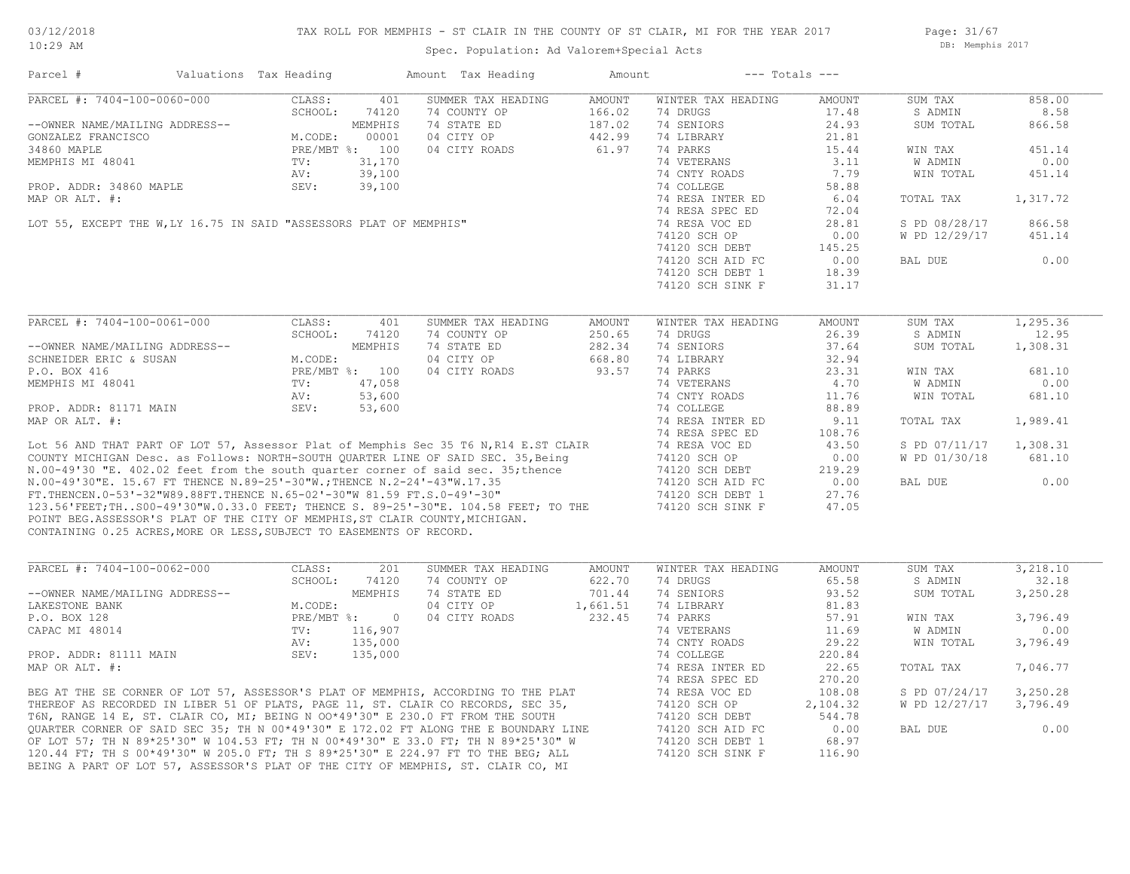Page: 31/67 DB: Memphis 2017

| Parcel #                                                                                                                                             | Valuations Tax Heading                                                             |                | Amount Tax Heading                                                                                                                                                                                                                         | Amount        |                    | $---$ Totals $---$ |               |           |
|------------------------------------------------------------------------------------------------------------------------------------------------------|------------------------------------------------------------------------------------|----------------|--------------------------------------------------------------------------------------------------------------------------------------------------------------------------------------------------------------------------------------------|---------------|--------------------|--------------------|---------------|-----------|
| PARCEL #: 7404-100-0060-000                                                                                                                          | CLASS:                                                                             | 401            | SUMMER TAX HEADING                                                                                                                                                                                                                         | <b>AMOUNT</b> | WINTER TAX HEADING | AMOUNT             | SUM TAX       | 858.00    |
|                                                                                                                                                      | SCHOOL:                                                                            | 74120          | 74 COUNTY OP                                                                                                                                                                                                                               | 166.02        | 74 DRUGS           | 17.48              | S ADMIN       | 8.58      |
| --OWNER NAME/MAILING ADDRESS--                                                                                                                       |                                                                                    | MEMPHIS        | 74 STATE ED                                                                                                                                                                                                                                | 187.02        | 74 SENIORS         | 24.93              | SUM TOTAL     | 866.58    |
| GONZALEZ FRANCISCO                                                                                                                                   | M.CODE:                                                                            | 00001          | 04 CITY OP                                                                                                                                                                                                                                 | 442.99        | 74 LIBRARY         | 21.81              |               |           |
| 34860 MAPLE                                                                                                                                          |                                                                                    | PRE/MBT %: 100 | 04 CITY ROADS                                                                                                                                                                                                                              | 61.97         | 74 PARKS           | 15.44              | WIN TAX       | 451.14    |
| MEMPHIS MI 48041                                                                                                                                     | TV:                                                                                | 31,170         |                                                                                                                                                                                                                                            |               | 74 VETERANS        | 3.11               | W ADMIN       | 0.00      |
|                                                                                                                                                      |                                                                                    |                |                                                                                                                                                                                                                                            |               | 74 CNTY ROADS      | 7.79               | WIN TOTAL     | 451.14    |
|                                                                                                                                                      |                                                                                    |                |                                                                                                                                                                                                                                            |               | 74 COLLEGE         | 58.88              |               |           |
|                                                                                                                                                      |                                                                                    |                |                                                                                                                                                                                                                                            |               | 74 RESA INTER ED   | 6.04               | TOTAL TAX     | 1,317.72  |
|                                                                                                                                                      |                                                                                    |                |                                                                                                                                                                                                                                            |               |                    |                    |               |           |
|                                                                                                                                                      |                                                                                    |                |                                                                                                                                                                                                                                            |               | 74 RESA SPEC ED    | 72.04              |               |           |
|                                                                                                                                                      |                                                                                    |                |                                                                                                                                                                                                                                            |               | 74 RESA VOC ED     | 28.81              | S PD 08/28/17 | 866.58    |
|                                                                                                                                                      |                                                                                    |                |                                                                                                                                                                                                                                            |               | 74120 SCH OP       | 0.00               | W PD 12/29/17 | 451.14    |
|                                                                                                                                                      |                                                                                    |                |                                                                                                                                                                                                                                            |               | 74120 SCH DEBT     | 145.25             |               |           |
|                                                                                                                                                      |                                                                                    |                |                                                                                                                                                                                                                                            |               | 74120 SCH AID FC   | 0.00               | BAL DUE       | 0.00      |
|                                                                                                                                                      |                                                                                    |                |                                                                                                                                                                                                                                            |               | 74120 SCH DEBT 1   | 18.39              |               |           |
|                                                                                                                                                      |                                                                                    |                |                                                                                                                                                                                                                                            |               | 74120 SCH SINK F   | 31.17              |               |           |
|                                                                                                                                                      |                                                                                    |                | SEV: 39,100<br>-<br>LOT 55, EXCEPT THE W, LY 16.75 IN SAID "ASSESSORS PLAT OF MEMPHIS"<br>-<br>- .                                                                                                                                         |               |                    |                    |               |           |
| PARCEL #: 7404-100-0061-000                                                                                                                          | CLASS:                                                                             | 401            | SUMMER TAX HEADING                                                                                                                                                                                                                         | AMOUNT        | WINTER TAX HEADING | AMOUNT             | SUM TAX       | 1, 295.36 |
|                                                                                                                                                      |                                                                                    |                | 74 COUNTY OP                                                                                                                                                                                                                               | 250.65        | 74 DRUGS           | 26.39              | S ADMIN       | 12.95     |
| --OWNER NAME/MAILING ADDRESS--                                                                                                                       | 3CHOOL: 7412<br>3CHOOL: 7412<br>MEMPHIS<br>M.CODE:<br>PRE/MBT %: 100<br>TV: 47 055 |                | 74 STATE ED                                                                                                                                                                                                                                | 282.34        | 74 SENIORS         | 37.64              | SUM TOTAL     | 1,308.31  |
| SCHNEIDER ERIC & SUSAN                                                                                                                               |                                                                                    |                | 04 CITY OP                                                                                                                                                                                                                                 | 668.80        | 74 LIBRARY         | 32.94              |               |           |
| P.O. BOX 416                                                                                                                                         |                                                                                    |                | 04 CITY ROADS                                                                                                                                                                                                                              | 93.57         | 74 PARKS           | 23.31              | WIN TAX       | 681.10    |
|                                                                                                                                                      |                                                                                    |                |                                                                                                                                                                                                                                            |               |                    |                    |               |           |
| MEMPHIS MI 48041                                                                                                                                     |                                                                                    |                |                                                                                                                                                                                                                                            |               | 74 VETERANS        | 4.70               | W ADMIN       | 0.00      |
|                                                                                                                                                      |                                                                                    |                |                                                                                                                                                                                                                                            |               | 74 CNTY ROADS      | 11.76              | WIN TOTAL     | 681.10    |
|                                                                                                                                                      |                                                                                    |                | MEMPHIS MI 48041<br>MEMPHIS MI 48041<br>NEMPHIS MI 48041<br>NEMPHIS MI 48041<br>NAP OR ALT. #:<br>Lot 56 AND THAT PART OF LOT 57, Assessor Plat of Memphis Sec 35 T6 N, R14 E.ST CLAIR<br>COUNTY MICHIGAN Desc. as Follows: NORTH-SOUTH QU |               | 74 COLLEGE         | 88.89              |               |           |
|                                                                                                                                                      |                                                                                    |                |                                                                                                                                                                                                                                            |               | 74 RESA INTER ED   | 9.11               | TOTAL TAX     | 1,989.41  |
|                                                                                                                                                      |                                                                                    |                |                                                                                                                                                                                                                                            |               | 74 RESA SPEC ED    | 108.76             |               |           |
|                                                                                                                                                      |                                                                                    |                |                                                                                                                                                                                                                                            |               | 74 RESA VOC ED     | 43.50              | S PD 07/11/17 | 1,308.31  |
|                                                                                                                                                      |                                                                                    |                |                                                                                                                                                                                                                                            |               | 74120 SCH OP       | 0.00               | W PD 01/30/18 | 681.10    |
|                                                                                                                                                      |                                                                                    |                |                                                                                                                                                                                                                                            |               | 74120 SCH DEBT     | 219.29             |               |           |
|                                                                                                                                                      |                                                                                    |                |                                                                                                                                                                                                                                            |               |                    |                    |               | 0.00      |
|                                                                                                                                                      |                                                                                    |                |                                                                                                                                                                                                                                            |               | 74120 SCH AID FC   | 0.00               | BAL DUE       |           |
|                                                                                                                                                      |                                                                                    |                |                                                                                                                                                                                                                                            |               | 74120 SCH DEBT 1   | 27.76              |               |           |
|                                                                                                                                                      |                                                                                    |                |                                                                                                                                                                                                                                            |               | 74120 SCH SINK F   | 47.05              |               |           |
| POINT BEG.ASSESSOR'S PLAT OF THE CITY OF MEMPHIS, ST CLAIR COUNTY, MICHIGAN.<br>CONTAINING 0.25 ACRES, MORE OR LESS, SUBJECT TO EASEMENTS OF RECORD. |                                                                                    |                |                                                                                                                                                                                                                                            |               |                    |                    |               |           |
|                                                                                                                                                      |                                                                                    |                |                                                                                                                                                                                                                                            |               |                    |                    |               |           |
| PARCEL #: 7404-100-0062-000                                                                                                                          | CLASS:                                                                             | 201            | SUMMER TAX HEADING                                                                                                                                                                                                                         | AMOUNT        | WINTER TAX HEADING | AMOUNT             | SUM TAX       | 3,218.10  |
|                                                                                                                                                      | SCHOOL:                                                                            | 74120          | 74 COUNTY OP                                                                                                                                                                                                                               | 622.70        | 74 DRUGS           | 65.58              | S ADMIN       | 32.18     |
| --OWNER NAME/MAILING ADDRESS--                                                                                                                       |                                                                                    | MEMPHIS        | 74 STATE ED                                                                                                                                                                                                                                | 701.44        | 74 SENIORS         | 93.52              | SUM TOTAL     | 3,250.28  |
| LAKESTONE BANK                                                                                                                                       | M.CODE:                                                                            |                | 04 CITY OP                                                                                                                                                                                                                                 | 1,661.51      | 74 LIBRARY         | 81.83              |               |           |
| P.O. BOX 128                                                                                                                                         |                                                                                    | PRE/MBT %: 0   | 04 CITY ROADS                                                                                                                                                                                                                              | 232.45        | 74 PARKS           | 57.91              | WIN TAX       | 3,796.49  |
| CAPAC MI 48014                                                                                                                                       | TV:                                                                                | 116,907        |                                                                                                                                                                                                                                            |               | 74 VETERANS        | 11.69              | W ADMIN       | 0.00      |
|                                                                                                                                                      | AV:                                                                                | 135,000        |                                                                                                                                                                                                                                            |               | 74 CNTY ROADS      | 29.22              | WIN TOTAL     | 3,796.49  |
| PROP. ADDR: 81111 MAIN                                                                                                                               | SEV:                                                                               | 135,000        |                                                                                                                                                                                                                                            |               | 74 COLLEGE         | 220.84             |               |           |
|                                                                                                                                                      |                                                                                    |                |                                                                                                                                                                                                                                            |               |                    |                    |               |           |
|                                                                                                                                                      |                                                                                    |                |                                                                                                                                                                                                                                            |               | 74 RESA INTER ED   | 22.65              | TOTAL TAX     | 7,046.77  |
|                                                                                                                                                      |                                                                                    |                |                                                                                                                                                                                                                                            |               | 74 RESA SPEC ED    | 270.20             |               |           |
|                                                                                                                                                      |                                                                                    |                | PROP. ADDR: 51111 FROM:<br>MAP OR ALT. #:<br>BEG AT THE SE CORNER OF LOT 57, ASSESSOR'S PLAT OF MEMPHIS, ACCORDING TO THE PLAT<br>THEREOF AS RECORDED IN LIBER 51 OF PLATS, PAGE 11, ST. CLAIR CO RECORDS, SEC 35,<br>TOWER 14 F. ST. CLAI |               | 74 RESA VOC ED     | 108.08             | S PD 07/24/17 | 3,250.28  |
|                                                                                                                                                      |                                                                                    |                |                                                                                                                                                                                                                                            |               | 74120 SCH OP       | 2,104.32           | W PD 12/27/17 | 3,796.49  |
|                                                                                                                                                      |                                                                                    |                |                                                                                                                                                                                                                                            |               | 74120 SCH DEBT     | 544.78             |               |           |
|                                                                                                                                                      |                                                                                    |                |                                                                                                                                                                                                                                            |               | 74120 SCH AID FC   | 0.00               | BAL DUE       | 0.00      |
|                                                                                                                                                      |                                                                                    |                | OF LOT 57; TH N 89*25'30" W 104.53 FT; TH N 00*49'30" E 33.0 FT; TH N 89*25'30" W                                                                                                                                                          |               | 74120 SCH DEBT 1   | 68.97              |               |           |
|                                                                                                                                                      |                                                                                    |                | 120.44 FT; TH S 00*49'30" W 205.0 FT; TH S 89*25'30" E 224.97 FT TO THE BEG; ALL                                                                                                                                                           |               | 74120 SCH SINK F   | 116.90             |               |           |
|                                                                                                                                                      |                                                                                    |                |                                                                                                                                                                                                                                            |               |                    |                    |               |           |
|                                                                                                                                                      |                                                                                    |                | BEING A PART OF LOT 57, ASSESSOR'S PLAT OF THE CITY OF MEMPHIS, ST. CLAIR CO, MI                                                                                                                                                           |               |                    |                    |               |           |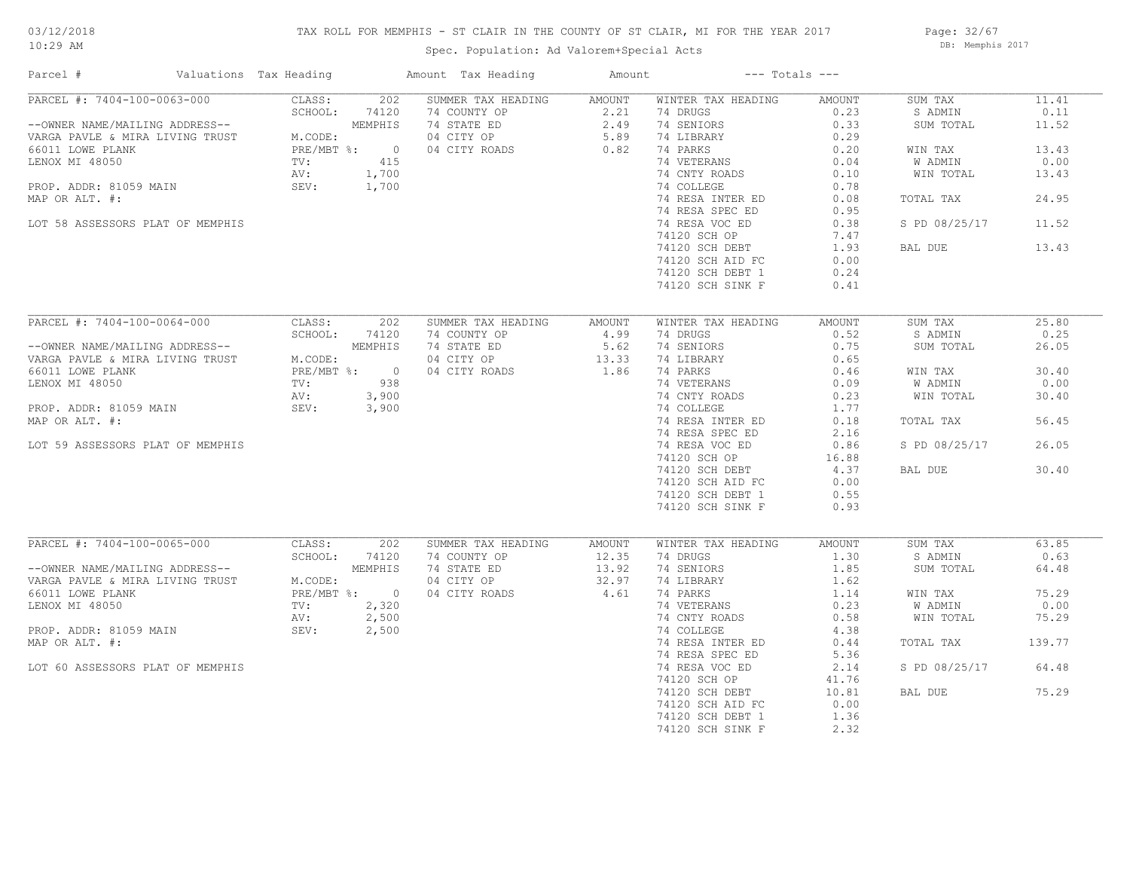## TAX ROLL FOR MEMPHIS - ST CLAIR IN THE COUNTY OF ST CLAIR, MI FOR THE YEAR 2017

Page: 32/67 DB: Memphis 2017

| Parcel #                                                                                                                                                                                                                                                                                                                                                                                                                                                                                                                | Valuations Tax Heading |               |         | Amount Tax Heading                                                                       | Amount | $---$ Totals $---$ |        |               |        |
|-------------------------------------------------------------------------------------------------------------------------------------------------------------------------------------------------------------------------------------------------------------------------------------------------------------------------------------------------------------------------------------------------------------------------------------------------------------------------------------------------------------------------|------------------------|---------------|---------|------------------------------------------------------------------------------------------|--------|--------------------|--------|---------------|--------|
| PARCEL #: 7404-100-0063-000                                                                                                                                                                                                                                                                                                                                                                                                                                                                                             |                        | CLASS:        |         | 202 SUMMER TAX HEADING AMOUNT                                                            |        | WINTER TAX HEADING | AMOUNT | SUM TAX       | 11.41  |
|                                                                                                                                                                                                                                                                                                                                                                                                                                                                                                                         |                        | SCHOOL:       | 74120   |                                                                                          |        | 74 DRUGS           | 0.23   | S ADMIN       | 0.11   |
| PARCEL #: 7303 100<br>--OWNER NAME/MAILING ADDRESS--<br>VARGA PAVLE & MIRA LIVING TRUST M.CODE:<br>66011 LOWE PLANK PRE/MBT<br>LENOX MI 48050 TV:<br>AV:<br>AU:                                                                                                                                                                                                                                                                                                                                                         |                        |               | MEMPHIS | 74 COUNTY OP<br>74 STATE ED<br>74 STATE ED<br>04 CITY OP<br>75.89<br>04 CITY ROADS<br>82 |        | 74 SENIORS         | 0.33   | SUM TOTAL     | 11.52  |
|                                                                                                                                                                                                                                                                                                                                                                                                                                                                                                                         |                        | M.CODE:       |         |                                                                                          |        | 74 LIBRARY         | 0.29   |               |        |
|                                                                                                                                                                                                                                                                                                                                                                                                                                                                                                                         |                        | PRE/MBT %: 0  |         |                                                                                          |        | 74 PARKS           | 0.20   | WIN TAX       | 13.43  |
|                                                                                                                                                                                                                                                                                                                                                                                                                                                                                                                         |                        |               | 415     |                                                                                          |        | 74 VETERANS        | 0.04   | W ADMIN       | 0.00   |
|                                                                                                                                                                                                                                                                                                                                                                                                                                                                                                                         |                        |               | 1,700   |                                                                                          |        | 74 CNTY ROADS      | 0.10   | WIN TOTAL     | 13.43  |
| PROP. ADDR: 81059 MAIN                                                                                                                                                                                                                                                                                                                                                                                                                                                                                                  | SEV:                   |               | 1,700   |                                                                                          |        | 74 COLLEGE         | 0.78   |               |        |
| MAP OR ALT. #:                                                                                                                                                                                                                                                                                                                                                                                                                                                                                                          |                        |               |         |                                                                                          |        | 74 RESA INTER ED   | 0.08   | TOTAL TAX     | 24.95  |
|                                                                                                                                                                                                                                                                                                                                                                                                                                                                                                                         |                        |               |         |                                                                                          |        | 74 RESA SPEC ED    | 0.95   |               |        |
| LOT 58 ASSESSORS PLAT OF MEMPHIS                                                                                                                                                                                                                                                                                                                                                                                                                                                                                        |                        |               |         |                                                                                          |        | 74 RESA VOC ED     | 0.38   | S PD 08/25/17 | 11.52  |
|                                                                                                                                                                                                                                                                                                                                                                                                                                                                                                                         |                        |               |         |                                                                                          |        | 74120 SCH OP       | 7.47   |               |        |
|                                                                                                                                                                                                                                                                                                                                                                                                                                                                                                                         |                        |               |         |                                                                                          |        |                    | 1.93   |               | 13.43  |
|                                                                                                                                                                                                                                                                                                                                                                                                                                                                                                                         |                        |               |         |                                                                                          |        | 74120 SCH DEBT     |        | BAL DUE       |        |
|                                                                                                                                                                                                                                                                                                                                                                                                                                                                                                                         |                        |               |         |                                                                                          |        | 74120 SCH AID FC   | 0.00   |               |        |
|                                                                                                                                                                                                                                                                                                                                                                                                                                                                                                                         |                        |               |         |                                                                                          |        | 74120 SCH DEBT 1   | 0.24   |               |        |
|                                                                                                                                                                                                                                                                                                                                                                                                                                                                                                                         |                        |               |         |                                                                                          |        | 74120 SCH SINK F   | 0.41   |               |        |
|                                                                                                                                                                                                                                                                                                                                                                                                                                                                                                                         |                        |               |         |                                                                                          |        |                    |        |               |        |
| PARCEL #: 7404-100-0064-000                                                                                                                                                                                                                                                                                                                                                                                                                                                                                             |                        | CLASS:        | 202     | SUMMER TAX HEADING                                                                       | AMOUNT | WINTER TAX HEADING | AMOUNT | SUM TAX       | 25.80  |
|                                                                                                                                                                                                                                                                                                                                                                                                                                                                                                                         |                        | SCHOOL:       | 74120   | 74 COUNTY OP                                                                             | 4.99   | 74 DRUGS           | 0.52   | S ADMIN       | 0.25   |
| --OWNER NAME/MAILING ADDRESS--<br>VARGA PAVLE & MIRA LIVING TRUST<br>66011 LOWE PLANK<br>LENOX MI 48050 TV: 938<br>AV: 3,900                                                                                                                                                                                                                                                                                                                                                                                            |                        |               |         | 74 STATE ED                                                                              | 5.62   | 74 SENIORS         | 0.75   | SUM TOTAL     | 26.05  |
|                                                                                                                                                                                                                                                                                                                                                                                                                                                                                                                         |                        |               |         | 74 STATE ED 5.62<br>04 CITY OP 13.33<br>04 CITY ROADS 1.86                               |        | 74 LIBRARY         | 0.65   |               |        |
|                                                                                                                                                                                                                                                                                                                                                                                                                                                                                                                         |                        |               |         | 04 CITY ROADS                                                                            |        | 74 PARKS           | 0.46   | WIN TAX       | 30.40  |
|                                                                                                                                                                                                                                                                                                                                                                                                                                                                                                                         |                        |               |         |                                                                                          |        | 74 VETERANS        | 0.09   | W ADMIN       | 0.00   |
|                                                                                                                                                                                                                                                                                                                                                                                                                                                                                                                         |                        |               |         |                                                                                          |        | 74 CNTY ROADS      | 0.23   | WIN TOTAL     | 30.40  |
| PROP. ADDR: 81059 MAIN                                                                                                                                                                                                                                                                                                                                                                                                                                                                                                  |                        | SEV:          | 3,900   |                                                                                          |        | 74 COLLEGE         | 1.77   |               |        |
| MAP OR ALT. #:                                                                                                                                                                                                                                                                                                                                                                                                                                                                                                          |                        |               |         |                                                                                          |        |                    | 0.18   | TOTAL TAX     | 56.45  |
|                                                                                                                                                                                                                                                                                                                                                                                                                                                                                                                         |                        |               |         |                                                                                          |        | 74 RESA INTER ED   |        |               |        |
|                                                                                                                                                                                                                                                                                                                                                                                                                                                                                                                         |                        |               |         |                                                                                          |        | 74 RESA SPEC ED    | 2.16   |               |        |
| LOT 59 ASSESSORS PLAT OF MEMPHIS                                                                                                                                                                                                                                                                                                                                                                                                                                                                                        |                        |               |         |                                                                                          |        | 74 RESA VOC ED     | 0.86   | S PD 08/25/17 | 26.05  |
|                                                                                                                                                                                                                                                                                                                                                                                                                                                                                                                         |                        |               |         |                                                                                          |        | 74120 SCH OP       | 16.88  |               |        |
|                                                                                                                                                                                                                                                                                                                                                                                                                                                                                                                         |                        |               |         |                                                                                          |        | 74120 SCH DEBT     | 4.37   | BAL DUE       | 30.40  |
|                                                                                                                                                                                                                                                                                                                                                                                                                                                                                                                         |                        |               |         |                                                                                          |        | 74120 SCH AID FC   | 0.00   |               |        |
|                                                                                                                                                                                                                                                                                                                                                                                                                                                                                                                         |                        |               |         |                                                                                          |        | 74120 SCH DEBT 1   | 0.55   |               |        |
|                                                                                                                                                                                                                                                                                                                                                                                                                                                                                                                         |                        |               |         |                                                                                          |        | 74120 SCH SINK F   | 0.93   |               |        |
|                                                                                                                                                                                                                                                                                                                                                                                                                                                                                                                         |                        |               |         |                                                                                          |        |                    |        |               |        |
| PARCEL #: 7404-100-0065-000<br>$\begin{tabular}{lllllllll} \multicolumn{2}{l}{{\small \textsf{PARCH}}} & \multicolumn{2}{l}{\small \textsf{F1}} & \multicolumn{2}{l}{\small \textsf{PARCH}} & \multicolumn{2}{l}{\small \textsf{P4U4-14V}} & \multicolumn{2}{l}{\small \textsf{P1}} \\ & \multicolumn{2}{l}{\small \textsf{P4U4-14V}} & \multicolumn{2}{l}{\small \textsf{P1}} & \multicolumn{2}{l}{\small \textsf{P1}} & \multicolumn{2}{l}{\small \textsf{P2}} \\ & \multicolumn{2}{l}{\small \textsf{P1}} & \multic$ |                        | CLASS:        | 202     | SUMMER TAX HEADING                                                                       | AMOUNT | WINTER TAX HEADING | AMOUNT | SUM TAX       | 63.85  |
|                                                                                                                                                                                                                                                                                                                                                                                                                                                                                                                         |                        | SCHOOL: 74120 |         | 74 COUNTY OP                                                                             | 12.35  | 74 DRUGS           | 1.30   | S ADMIN       | 0.63   |
|                                                                                                                                                                                                                                                                                                                                                                                                                                                                                                                         |                        |               | MEMPHIS | 74 STATE ED                                                                              | 13.92  | 74 SENIORS         | 1.85   | SUM TOTAL     | 64.48  |
|                                                                                                                                                                                                                                                                                                                                                                                                                                                                                                                         |                        |               |         | 04 CITY OP                                                                               | 32.97  | 74 LIBRARY         | 1.62   |               |        |
| 66011 LOWE PLANK                                                                                                                                                                                                                                                                                                                                                                                                                                                                                                        |                        | PRE/MBT %: 0  |         | 04 CITY ROADS                                                                            | 4.61   | 74 PARKS           | 1.14   | WIN TAX       | 75.29  |
| LENOX MI 48050                                                                                                                                                                                                                                                                                                                                                                                                                                                                                                          |                        | TV: 2,320     |         |                                                                                          |        | 74 VETERANS        | 0.23   | W ADMIN       | 0.00   |
|                                                                                                                                                                                                                                                                                                                                                                                                                                                                                                                         |                        | AV:           | 2,500   |                                                                                          |        | 74 CNTY ROADS      | 0.58   | WIN TOTAL     | 75.29  |
| PROP. ADDR: 81059 MAIN                                                                                                                                                                                                                                                                                                                                                                                                                                                                                                  |                        | SEV:          | 2,500   |                                                                                          |        | 74 COLLEGE         | 4.38   |               |        |
| MAP OR ALT. #:                                                                                                                                                                                                                                                                                                                                                                                                                                                                                                          |                        |               |         |                                                                                          |        | 74 RESA INTER ED   | 0.44   | TOTAL TAX     | 139.77 |
|                                                                                                                                                                                                                                                                                                                                                                                                                                                                                                                         |                        |               |         |                                                                                          |        | 74 RESA SPEC ED    | 5.36   |               |        |
| LOT 60 ASSESSORS PLAT OF MEMPHIS                                                                                                                                                                                                                                                                                                                                                                                                                                                                                        |                        |               |         |                                                                                          |        | 74 RESA VOC ED     | 2.14   | S PD 08/25/17 | 64.48  |
|                                                                                                                                                                                                                                                                                                                                                                                                                                                                                                                         |                        |               |         |                                                                                          |        | 74120 SCH OP       | 41.76  |               |        |
|                                                                                                                                                                                                                                                                                                                                                                                                                                                                                                                         |                        |               |         |                                                                                          |        |                    |        |               |        |
|                                                                                                                                                                                                                                                                                                                                                                                                                                                                                                                         |                        |               |         |                                                                                          |        | 74120 SCH DEBT     | 10.81  | BAL DUE       | 75.29  |
|                                                                                                                                                                                                                                                                                                                                                                                                                                                                                                                         |                        |               |         |                                                                                          |        | 74120 SCH AID FC   | 0.00   |               |        |
|                                                                                                                                                                                                                                                                                                                                                                                                                                                                                                                         |                        |               |         |                                                                                          |        | 74120 SCH DEBT 1   | 1.36   |               |        |
|                                                                                                                                                                                                                                                                                                                                                                                                                                                                                                                         |                        |               |         |                                                                                          |        | 74120 SCH SINK F   | 2.32   |               |        |
|                                                                                                                                                                                                                                                                                                                                                                                                                                                                                                                         |                        |               |         |                                                                                          |        |                    |        |               |        |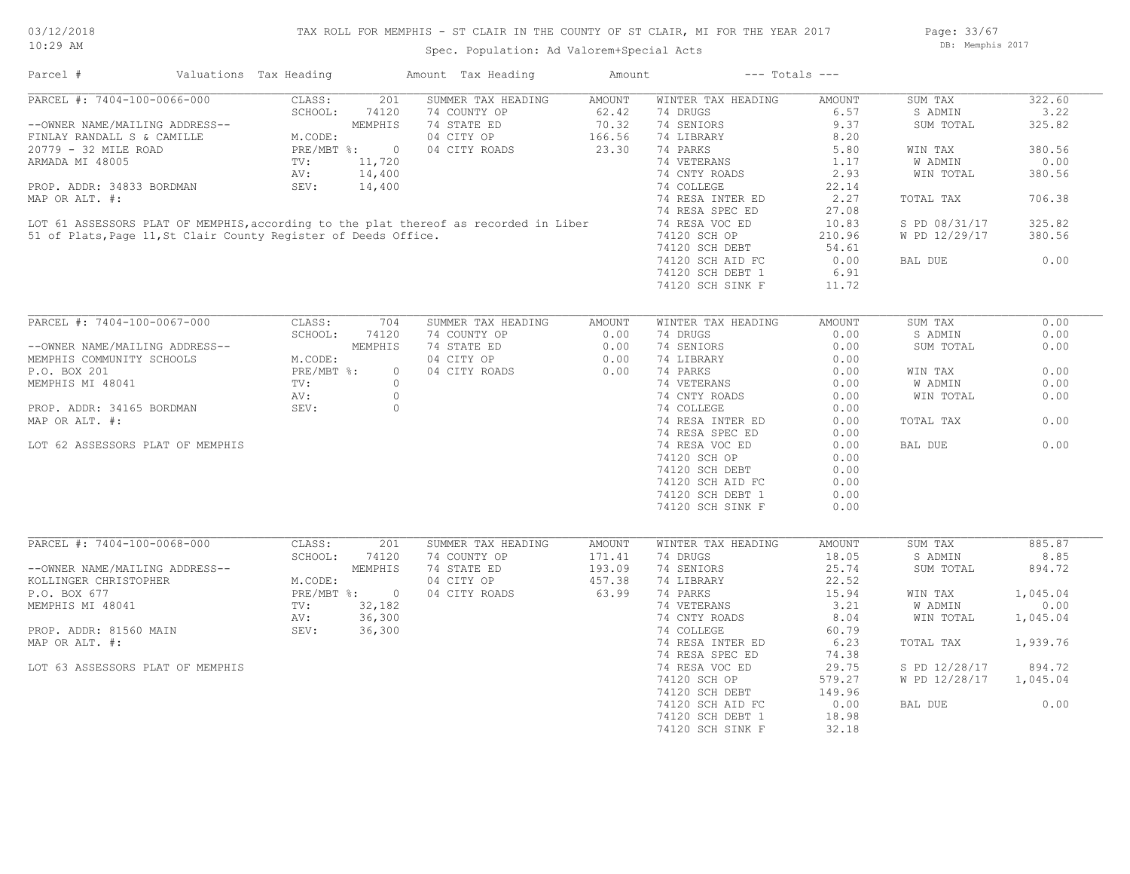## TAX ROLL FOR MEMPHIS - ST CLAIR IN THE COUNTY OF ST CLAIR, MI FOR THE YEAR 2017

Spec. Population: Ad Valorem+Special Acts

Page: 33/67 DB: Memphis 2017

| Parcel #                                                        | Valuations Tax Heading |                          | Amount Tax Heading                                                                   | Amount        | $---$ Totals $---$ |        |                |          |
|-----------------------------------------------------------------|------------------------|--------------------------|--------------------------------------------------------------------------------------|---------------|--------------------|--------|----------------|----------|
| PARCEL #: 7404-100-0066-000                                     | CLASS:                 | 201                      | SUMMER TAX HEADING                                                                   | AMOUNT        | WINTER TAX HEADING | AMOUNT | SUM TAX        | 322.60   |
|                                                                 | SCHOOL:                | 74120                    | 74 COUNTY OP                                                                         | 62.42         | 74 DRUGS           | 6.57   | S ADMIN        | 3.22     |
| --OWNER NAME/MAILING ADDRESS--                                  |                        | MEMPHIS                  | 74 STATE ED                                                                          | 70.32         | 74 SENIORS         | 9.37   | SUM TOTAL      | 325.82   |
| FINLAY RANDALL S & CAMILLE                                      | M.CODE:                |                          | 04 CITY OP                                                                           | 166.56        | 74 LIBRARY         | 8.20   |                |          |
| 20779 - 32 MILE ROAD                                            | $PRE/MBT$ %:           | $\overline{\phantom{0}}$ | 04 CITY ROADS                                                                        | 23.30         | 74 PARKS           | 5.80   | WIN TAX        | 380.56   |
| ARMADA MI 48005                                                 | TV:                    | 11,720                   |                                                                                      |               | 74 VETERANS        | 1.17   | W ADMIN        | 0.00     |
|                                                                 | AV:                    | 14,400                   |                                                                                      |               | 74 CNTY ROADS      | 2.93   | WIN TOTAL      | 380.56   |
| PROP. ADDR: 34833 BORDMAN                                       | SEV:                   | 14,400                   |                                                                                      |               | 74 COLLEGE         | 22.14  |                |          |
| MAP OR ALT. #:                                                  |                        |                          |                                                                                      |               | 74 RESA INTER ED   | 2.27   | TOTAL TAX      | 706.38   |
|                                                                 |                        |                          |                                                                                      |               | 74 RESA SPEC ED    | 27.08  |                |          |
|                                                                 |                        |                          | LOT 61 ASSESSORS PLAT OF MEMPHIS, according to the plat thereof as recorded in Liber |               | 74 RESA VOC ED     | 10.83  | S PD 08/31/17  | 325.82   |
| 51 of Plats, Page 11, St Clair County Register of Deeds Office. |                        |                          |                                                                                      |               | 74120 SCH OP       | 210.96 | W PD 12/29/17  | 380.56   |
|                                                                 |                        |                          |                                                                                      |               | 74120 SCH DEBT     | 54.61  |                |          |
|                                                                 |                        |                          |                                                                                      |               | 74120 SCH AID FC   | 0.00   | BAL DUE        | 0.00     |
|                                                                 |                        |                          |                                                                                      |               |                    | 6.91   |                |          |
|                                                                 |                        |                          |                                                                                      |               | 74120 SCH DEBT 1   |        |                |          |
|                                                                 |                        |                          |                                                                                      |               | 74120 SCH SINK F   | 11.72  |                |          |
| PARCEL #: 7404-100-0067-000                                     | CLASS:                 | 704                      | SUMMER TAX HEADING                                                                   | AMOUNT        | WINTER TAX HEADING | AMOUNT | SUM TAX        | 0.00     |
|                                                                 | SCHOOL:                | 74120                    | 74 COUNTY OP                                                                         | 0.00          | 74 DRUGS           | 0.00   | S ADMIN        | 0.00     |
| --OWNER NAME/MAILING ADDRESS--                                  |                        | MEMPHIS                  | 74 STATE ED                                                                          | 0.00          | 74 SENIORS         | 0.00   | SUM TOTAL      | 0.00     |
|                                                                 | M.CODE:                |                          | 04 CITY OP                                                                           | 0.00          | 74 LIBRARY         | 0.00   |                |          |
| MEMPHIS COMMUNITY SCHOOLS                                       |                        |                          |                                                                                      |               |                    |        |                |          |
| P.O. BOX 201                                                    | PRE/MBT %:             | $\circ$                  | 04 CITY ROADS                                                                        | 0.00          | 74 PARKS           | 0.00   | WIN TAX        | 0.00     |
| MEMPHIS MI 48041                                                | TV:                    | $\circ$                  |                                                                                      |               | 74 VETERANS        | 0.00   | <b>W ADMIN</b> | 0.00     |
|                                                                 | AV:                    | $\circ$                  |                                                                                      |               | 74 CNTY ROADS      | 0.00   | WIN TOTAL      | 0.00     |
| PROP. ADDR: 34165 BORDMAN                                       | SEV:                   | $\circ$                  |                                                                                      |               | 74 COLLEGE         | 0.00   |                |          |
| MAP OR ALT. #:                                                  |                        |                          |                                                                                      |               | 74 RESA INTER ED   | 0.00   | TOTAL TAX      | 0.00     |
|                                                                 |                        |                          |                                                                                      |               | 74 RESA SPEC ED    | 0.00   |                |          |
| LOT 62 ASSESSORS PLAT OF MEMPHIS                                |                        |                          |                                                                                      |               | 74 RESA VOC ED     | 0.00   | BAL DUE        | 0.00     |
|                                                                 |                        |                          |                                                                                      |               | 74120 SCH OP       | 0.00   |                |          |
|                                                                 |                        |                          |                                                                                      |               | 74120 SCH DEBT     | 0.00   |                |          |
|                                                                 |                        |                          |                                                                                      |               | 74120 SCH AID FC   | 0.00   |                |          |
|                                                                 |                        |                          |                                                                                      |               | 74120 SCH DEBT 1   | 0.00   |                |          |
|                                                                 |                        |                          |                                                                                      |               | 74120 SCH SINK F   | 0.00   |                |          |
|                                                                 |                        |                          |                                                                                      |               |                    |        |                |          |
| PARCEL #: 7404-100-0068-000                                     | CLASS:                 | 201                      | SUMMER TAX HEADING                                                                   | <b>AMOUNT</b> | WINTER TAX HEADING | AMOUNT | SUM TAX        | 885.87   |
|                                                                 | SCHOOL:                | 74120                    | 74 COUNTY OP                                                                         | 171.41        | 74 DRUGS           | 18.05  | S ADMIN        | 8.85     |
| --OWNER NAME/MAILING ADDRESS--                                  |                        | MEMPHIS                  | 74 STATE ED                                                                          | 193.09        | 74 SENIORS         | 25.74  | SUM TOTAL      | 894.72   |
| KOLLINGER CHRISTOPHER                                           | M.CODE:                |                          | 04 CITY OP                                                                           | 457.38        | 74 LIBRARY         | 22.52  |                |          |
| P.O. BOX 677                                                    |                        | PRE/MBT %: 0             | 04 CITY ROADS                                                                        | 63.99         | 74 PARKS           | 15.94  | WIN TAX        | 1,045.04 |
| MEMPHIS MI 48041                                                | TV:                    | 32,182                   |                                                                                      |               | 74 VETERANS        | 3.21   | W ADMIN        | 0.00     |
|                                                                 | AV:                    | 36,300                   |                                                                                      |               | 74 CNTY ROADS      | 8.04   | WIN TOTAL      | 1,045.04 |
| PROP. ADDR: 81560 MAIN                                          | SEV:                   | 36,300                   |                                                                                      |               | 74 COLLEGE         | 60.79  |                |          |
| MAP OR ALT. #:                                                  |                        |                          |                                                                                      |               | 74 RESA INTER ED   | 6.23   | TOTAL TAX      | 1,939.76 |
|                                                                 |                        |                          |                                                                                      |               | 74 RESA SPEC ED    | 74.38  |                |          |
| LOT 63 ASSESSORS PLAT OF MEMPHIS                                |                        |                          |                                                                                      |               | 74 RESA VOC ED     | 29.75  | S PD 12/28/17  | 894.72   |
|                                                                 |                        |                          |                                                                                      |               | 74120 SCH OP       | 579.27 | W PD 12/28/17  | 1,045.04 |
|                                                                 |                        |                          |                                                                                      |               | 74120 SCH DEBT     | 149.96 |                |          |
|                                                                 |                        |                          |                                                                                      |               | 74120 SCH AID FC   | 0.00   | BAL DUE        | 0.00     |
|                                                                 |                        |                          |                                                                                      |               | 74120 SCH DEBT 1   | 18.98  |                |          |
|                                                                 |                        |                          |                                                                                      |               | 74120 SCH SINK F   | 32.18  |                |          |
|                                                                 |                        |                          |                                                                                      |               |                    |        |                |          |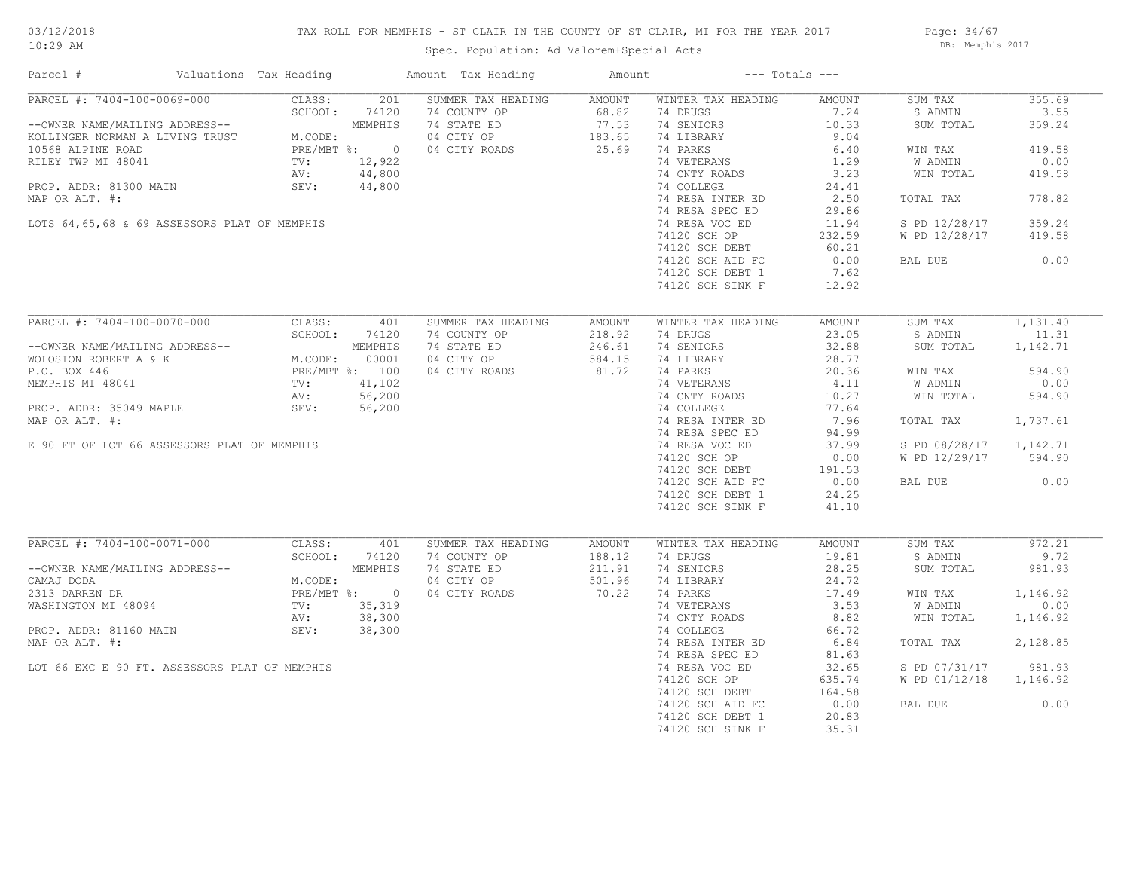## TAX ROLL FOR MEMPHIS - ST CLAIR IN THE COUNTY OF ST CLAIR, MI FOR THE YEAR 2017

Spec. Population: Ad Valorem+Special Acts

Page: 34/67 DB: Memphis 2017

| Parcel #                                                                                               | Valuations Tax Heading                                   |              | Amount Tax Heading | Amount                     |                    | $---$ Totals $---$ |                |          |
|--------------------------------------------------------------------------------------------------------|----------------------------------------------------------|--------------|--------------------|----------------------------|--------------------|--------------------|----------------|----------|
| PARCEL #: 7404-100-0069-000                                                                            | CLASS:                                                   | 201          | SUMMER TAX HEADING | AMOUNT                     | WINTER TAX HEADING | AMOUNT             | SUM TAX        | 355.69   |
|                                                                                                        | SCHOOL:                                                  | 74120        | 74 COUNTY OP       | 68.82                      | 74 DRUGS           | 7.24               | S ADMIN        | 3.55     |
| --OWNER NAME/MAILING ADDRESS--<br>KOLLINGER NORMAN A LIVING TRUST M.CODE:<br>10568 ALPINE ROAD PRE/MBT |                                                          | MEMPHIS      | 74 STATE ED        | $77.53$<br>183.65<br>25.69 | 74 SENIORS         | 10.33              | SUM TOTAL      | 359.24   |
|                                                                                                        | M.CODE:                                                  |              | 04 CITY OP         |                            | 74 LIBRARY         | 9.04               |                |          |
|                                                                                                        |                                                          | PRE/MBT %: 0 | 04 CITY ROADS      |                            | 74 PARKS           | 6.40               | WIN TAX        | 419.58   |
| RILEY TWP MI 48041                                                                                     | TV:                                                      | 12,922       |                    |                            | 74 VETERANS        | 1.29               | W ADMIN        | 0.00     |
|                                                                                                        | AV:                                                      | 44,800       |                    |                            | 74 CNTY ROADS      | 3.23               | WIN TOTAL      | 419.58   |
| PROP. ADDR: 81300 MAIN                                                                                 | SEV:                                                     | 44,800       |                    |                            | 74 COLLEGE         | 24.41              |                |          |
| MAP OR ALT. #:                                                                                         |                                                          |              |                    |                            | 74 RESA INTER ED   | 2.50               | TOTAL TAX      | 778.82   |
|                                                                                                        |                                                          |              |                    |                            | 74 RESA SPEC ED    | 29.86              |                |          |
| LOTS 64,65,68 & 69 ASSESSORS PLAT OF MEMPHIS                                                           |                                                          |              |                    |                            | 74 RESA VOC ED     | 11.94              | S PD 12/28/17  | 359.24   |
|                                                                                                        |                                                          |              |                    |                            | 74120 SCH OP       | 232.59             | W PD 12/28/17  | 419.58   |
|                                                                                                        |                                                          |              |                    |                            | 74120 SCH DEBT     | 60.21              |                |          |
|                                                                                                        |                                                          |              |                    |                            | 74120 SCH AID FC   | 0.00               | BAL DUE        | 0.00     |
|                                                                                                        |                                                          |              |                    |                            | 74120 SCH DEBT 1   | 7.62               |                |          |
|                                                                                                        |                                                          |              |                    |                            | 74120 SCH SINK F   | 12.92              |                |          |
|                                                                                                        |                                                          |              |                    |                            |                    |                    |                |          |
| PARCEL #: 7404-100-0070-000                                                                            | CLASS:                                                   | 401          | SUMMER TAX HEADING | AMOUNT                     | WINTER TAX HEADING | AMOUNT             | SUM TAX        | 1,131.40 |
|                                                                                                        | NEMPHIS<br>M.CODE: 00001<br>PRE/MBT %: 100<br>TV: 41.100 |              | 74 COUNTY OP       | 218.92                     | 74 DRUGS           | 23.05              | S ADMIN        | 11.31    |
| --OWNER NAME/MAILING ADDRESS--                                                                         |                                                          |              | 74 STATE ED        | 246.61                     | 74 SENIORS         | 32.88              | SUM TOTAL      | 1,142.71 |
| WOLOSION ROBERT A & K                                                                                  |                                                          |              | 04 CITY OP         | 584.15                     | 74 LIBRARY         | 28.77              |                |          |
| P.O. BOX 446                                                                                           |                                                          |              | 04 CITY ROADS      | 81.72                      | 74 PARKS           | 20.36              | WIN TAX        | 594.90   |
| MEMPHIS MI 48041                                                                                       |                                                          |              |                    |                            | 74 VETERANS        | 4.11               | <b>W ADMIN</b> | 0.00     |
|                                                                                                        |                                                          |              |                    |                            | 74 CNTY ROADS      | 10.27              | WIN TOTAL      | 594.90   |
| PROP. ADDR: 35049 MAPLE                                                                                | SEV:                                                     | 56,200       |                    |                            | 74 COLLEGE         | 77.64              |                |          |
| MAP OR ALT. #:                                                                                         |                                                          |              |                    |                            | 74 RESA INTER ED   | 7.96               | TOTAL TAX      | 1,737.61 |
|                                                                                                        |                                                          |              |                    |                            | 74 RESA SPEC ED    | 94.99              |                |          |
| E 90 FT OF LOT 66 ASSESSORS PLAT OF MEMPHIS                                                            |                                                          |              |                    |                            | 74 RESA VOC ED     | 37.99              | S PD 08/28/17  | 1,142.71 |
|                                                                                                        |                                                          |              |                    |                            | 74120 SCH OP       | 0.00               | W PD 12/29/17  | 594.90   |
|                                                                                                        |                                                          |              |                    |                            | 74120 SCH DEBT     | 191.53             |                |          |
|                                                                                                        |                                                          |              |                    |                            | 74120 SCH AID FC   | $\frac{1}{2}$ 0.00 | BAL DUE        | 0.00     |
|                                                                                                        |                                                          |              |                    |                            | 74120 SCH DEBT 1   | 24.25              |                |          |
|                                                                                                        |                                                          |              |                    |                            | 74120 SCH SINK F   | 41.10              |                |          |
|                                                                                                        |                                                          |              |                    |                            |                    |                    |                |          |
| PARCEL #: 7404-100-0071-000                                                                            | CLASS:                                                   | 401          | SUMMER TAX HEADING | AMOUNT                     | WINTER TAX HEADING | AMOUNT             | SUM TAX        | 972.21   |
|                                                                                                        | SCHOOL:                                                  | 74120        | 74 COUNTY OP       | 188.12                     | 74 DRUGS           | 19.81              | S ADMIN        | 9.72     |
| --OWNER NAME/MAILING ADDRESS--                                                                         |                                                          | MEMPHIS      | 74 STATE ED        | 211.91                     | 74 SENIORS         | 28.25              | SUM TOTAL      | 981.93   |
| CAMAJ DODA                                                                                             | M.CODE:                                                  |              | 04 CITY OP         | 501.96                     | 74 LIBRARY         | 24.72              |                |          |
| 2313 DARREN DR                                                                                         |                                                          | PRE/MBT %: 0 | 04 CITY ROADS      | 70.22                      | 74 PARKS           | 17.49              | WIN TAX        | 1,146.92 |
| WASHINGTON MI 48094                                                                                    | TV:                                                      | 35,319       |                    |                            | 74 VETERANS        | 3.53               | W ADMIN        | 0.00     |
|                                                                                                        | AV:                                                      | 38,300       |                    |                            | 74 CNTY ROADS      | 8.82               | WIN TOTAL      | 1,146.92 |
| PROP. ADDR: 81160 MAIN                                                                                 | SEV:                                                     | 38,300       |                    |                            | 74 COLLEGE         | 66.72              |                |          |
| MAP OR ALT. #:                                                                                         |                                                          |              |                    |                            | 74 RESA INTER ED   | 6.84               | TOTAL TAX      | 2,128.85 |
|                                                                                                        |                                                          |              |                    |                            | 74 RESA SPEC ED    | 81.63              |                |          |
| LOT 66 EXC E 90 FT. ASSESSORS PLAT OF MEMPHIS                                                          |                                                          |              |                    |                            | 74 RESA VOC ED     | 32.65              | S PD 07/31/17  | 981.93   |
|                                                                                                        |                                                          |              |                    |                            | 74120 SCH OP       | 635.74             | W PD 01/12/18  | 1,146.92 |
|                                                                                                        |                                                          |              |                    |                            | 74120 SCH DEBT     | 164.58             |                |          |
|                                                                                                        |                                                          |              |                    |                            | 74120 SCH AID FC   | 0.00               | BAL DUE        | 0.00     |
|                                                                                                        |                                                          |              |                    |                            | 74120 SCH DEBT 1   | 20.83              |                |          |
|                                                                                                        |                                                          |              |                    |                            | 74120 SCH SINK F   | 35.31              |                |          |
|                                                                                                        |                                                          |              |                    |                            |                    |                    |                |          |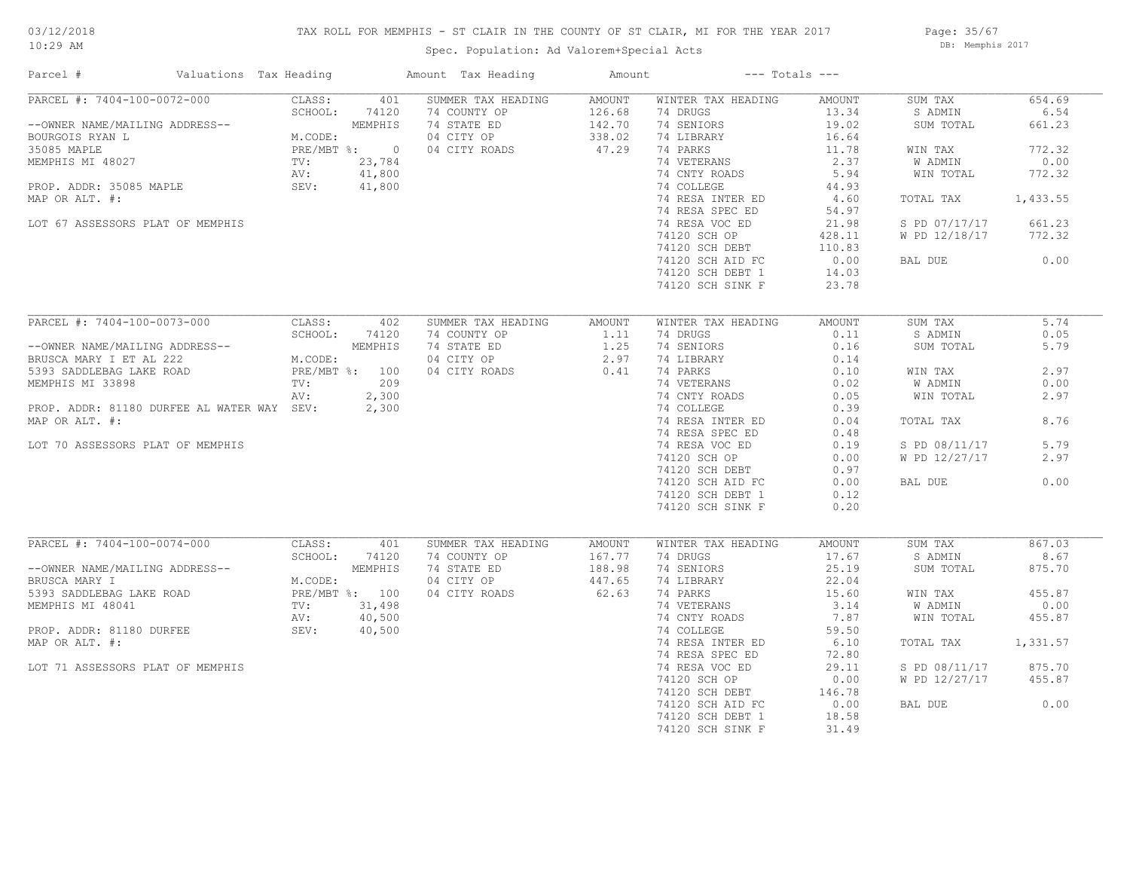## TAX ROLL FOR MEMPHIS - ST CLAIR IN THE COUNTY OF ST CLAIR, MI FOR THE YEAR 2017

Spec. Population: Ad Valorem+Special Acts

Page: 35/67 DB: Memphis 2017

| Parcel #                                   | Valuations Tax Heading            |                  | Amount Tax Heading | Amount           |                         | $---$ Totals $---$ |                    |                |
|--------------------------------------------|-----------------------------------|------------------|--------------------|------------------|-------------------------|--------------------|--------------------|----------------|
| PARCEL #: 7404-100-0072-000                | CLASS:                            | 401              | SUMMER TAX HEADING | AMOUNT           | WINTER TAX HEADING      | AMOUNT             | SUM TAX            | 654.69         |
|                                            | SCHOOL:                           | 74120            | 74 COUNTY OP       | 126.68           | 74 DRUGS                | 13.34              | S ADMIN            | 6.54           |
| --OWNER NAME/MAILING ADDRESS--             |                                   | MEMPHIS          | 74 STATE ED        | 142.70<br>338.02 | 74 SENIORS              | 19.02              | SUM TOTAL          | 661.23         |
| BOURGOIS RYAN L                            | M.CODE:                           |                  | 04 CITY OP         |                  | 74 LIBRARY              | 16.64              |                    |                |
| 35085 MAPLE<br>MEMPHIS MI 48027            |                                   | PRE/MBT %: 0     | 04 CITY ROADS      | 47.29            | 74 PARKS<br>74 VETERANS | 11.78<br>2.37      | WIN TAX<br>W ADMIN | 772.32<br>0.00 |
|                                            | TV:<br>AV:                        | 23,784<br>41,800 |                    |                  | 74 CNTY ROADS           | 5.94               | WIN TOTAL          | 772.32         |
| PROP. ADDR: 35085 MAPLE                    | SEV:                              | 41,800           |                    |                  | 74 COLLEGE              | 44.93              |                    |                |
| MAP OR ALT. #:                             |                                   |                  |                    |                  | 74 RESA INTER ED        | 4.60               | TOTAL TAX          | 1,433.55       |
|                                            |                                   |                  |                    |                  | 74 RESA SPEC ED         | 54.97              |                    |                |
| LOT 67 ASSESSORS PLAT OF MEMPHIS           |                                   |                  |                    |                  | 74 RESA VOC ED          | 21.98              | S PD 07/17/17      | 661.23         |
|                                            |                                   |                  |                    |                  | 74120 SCH OP            | 428.11             | W PD 12/18/17      | 772.32         |
|                                            |                                   |                  |                    |                  | 74120 SCH DEBT          | 110.83             |                    |                |
|                                            |                                   |                  |                    |                  | 74120 SCH AID FC        | 0.00               | BAL DUE            | 0.00           |
|                                            |                                   |                  |                    |                  | 74120 SCH DEBT 1        | 14.03              |                    |                |
|                                            |                                   |                  |                    |                  | 74120 SCH SINK F        | 23.78              |                    |                |
|                                            |                                   |                  |                    |                  |                         |                    |                    |                |
| PARCEL #: 7404-100-0073-000                | CLASS:                            | 402              | SUMMER TAX HEADING | AMOUNT           | WINTER TAX HEADING      | AMOUNT             | SUM TAX            | 5.74           |
|                                            | SCHOOL:                           | 74120            | 74 COUNTY OP       | 1.11             | 74 DRUGS                | 0.11               | S ADMIN            | 0.05           |
| --OWNER NAME/MAILING ADDRESS--             |                                   |                  | 74 STATE ED        | 1.25             | 74 SENIORS              | 0.16               | SUM TOTAL          | 5.79           |
| BRUSCA MARY I ET AL 222                    |                                   |                  | 04 CITY OP         | 2.97             | 74 LIBRARY              | 0.14               |                    |                |
| 5393 SADDLEBAG LAKE ROAD                   | SS--<br>M.CODE:<br>PRE/MBT %: 100 |                  | 04 CITY ROADS      | 0.41             | 74 PARKS                | 0.10               | WIN TAX            | 2.97           |
| MEMPHIS MI 33898                           | TV:                               | 209              |                    |                  | 74 VETERANS             | 0.02               | W ADMIN            | 0.00           |
|                                            | AV:                               | 2,300            |                    |                  | 74 CNTY ROADS           | 0.05               | WIN TOTAL          | 2.97           |
| PROP. ADDR: 81180 DURFEE AL WATER WAY SEV: |                                   | 2,300            |                    |                  | 74 COLLEGE              | 0.39               |                    |                |
| MAP OR ALT. #:                             |                                   |                  |                    |                  | 74 RESA INTER ED        | 0.04               | TOTAL TAX          | 8.76           |
|                                            |                                   |                  |                    |                  | 74 RESA SPEC ED         | 0.48               |                    |                |
| LOT 70 ASSESSORS PLAT OF MEMPHIS           |                                   |                  |                    |                  | 74 RESA VOC ED          | 0.19               | S PD 08/11/17      | 5.79           |
|                                            |                                   |                  |                    |                  | 74120 SCH OP            | 0.00               | W PD 12/27/17      | 2.97           |
|                                            |                                   |                  |                    |                  | 74120 SCH DEBT          | 0.97               |                    |                |
|                                            |                                   |                  |                    |                  | 74120 SCH AID FC        | 0.00               | BAL DUE            | 0.00           |
|                                            |                                   |                  |                    |                  | 74120 SCH DEBT 1        | 0.12               |                    |                |
|                                            |                                   |                  |                    |                  | 74120 SCH SINK F        | 0.20               |                    |                |
|                                            |                                   |                  |                    |                  |                         |                    |                    |                |
| PARCEL #: 7404-100-0074-000                | CLASS:                            | 401              | SUMMER TAX HEADING | AMOUNT           | WINTER TAX HEADING      | AMOUNT             | SUM TAX            | 867.03         |
|                                            | SCHOOL:                           | 74120            | 74 COUNTY OP       | 167.77           | 74 DRUGS                | 17.67              | S ADMIN            | 8.67           |
| --OWNER NAME/MAILING ADDRESS--             |                                   | MEMPHIS          | 74 STATE ED        | 188.98           | 74 SENIORS              | 25.19              | SUM TOTAL          | 875.70         |
| BRUSCA MARY I                              | M.CODE:                           |                  | 04 CITY OP         | 447.65           | 74 LIBRARY              | 22.04              |                    |                |
| 5393 SADDLEBAG LAKE ROAD                   |                                   | PRE/MBT %: 100   | 04 CITY ROADS      | 62.63            | 74 PARKS                | 15.60              | WIN TAX            | 455.87         |
| MEMPHIS MI 48041                           | TV:                               | 31,498           |                    |                  | 74 VETERANS             | 3.14               | W ADMIN            | 0.00           |
|                                            | AV:                               | 40,500           |                    |                  | 74 CNTY ROADS           | 7.87               | WIN TOTAL          | 455.87         |
| PROP. ADDR: 81180 DURFEE                   | SEV:                              | 40,500           |                    |                  | 74 COLLEGE              | 59.50              |                    |                |
| MAP OR ALT. #:                             |                                   |                  |                    |                  | 74 RESA INTER ED        | 6.10               | TOTAL TAX          | 1,331.57       |
|                                            |                                   |                  |                    |                  | 74 RESA SPEC ED         | 72.80              |                    |                |
| LOT 71 ASSESSORS PLAT OF MEMPHIS           |                                   |                  |                    |                  | 74 RESA VOC ED          | 29.11              | S PD 08/11/17      | 875.70         |
|                                            |                                   |                  |                    |                  | 74120 SCH OP            | 0.00               | W PD 12/27/17      | 455.87         |
|                                            |                                   |                  |                    |                  | 74120 SCH DEBT          | 146.78             |                    |                |
|                                            |                                   |                  |                    |                  | 74120 SCH AID FC        | 0.00               | BAL DUE            | 0.00           |
|                                            |                                   |                  |                    |                  | 74120 SCH DEBT 1        | 18.58              |                    |                |
|                                            |                                   |                  |                    |                  | 74120 SCH SINK F        | 31.49              |                    |                |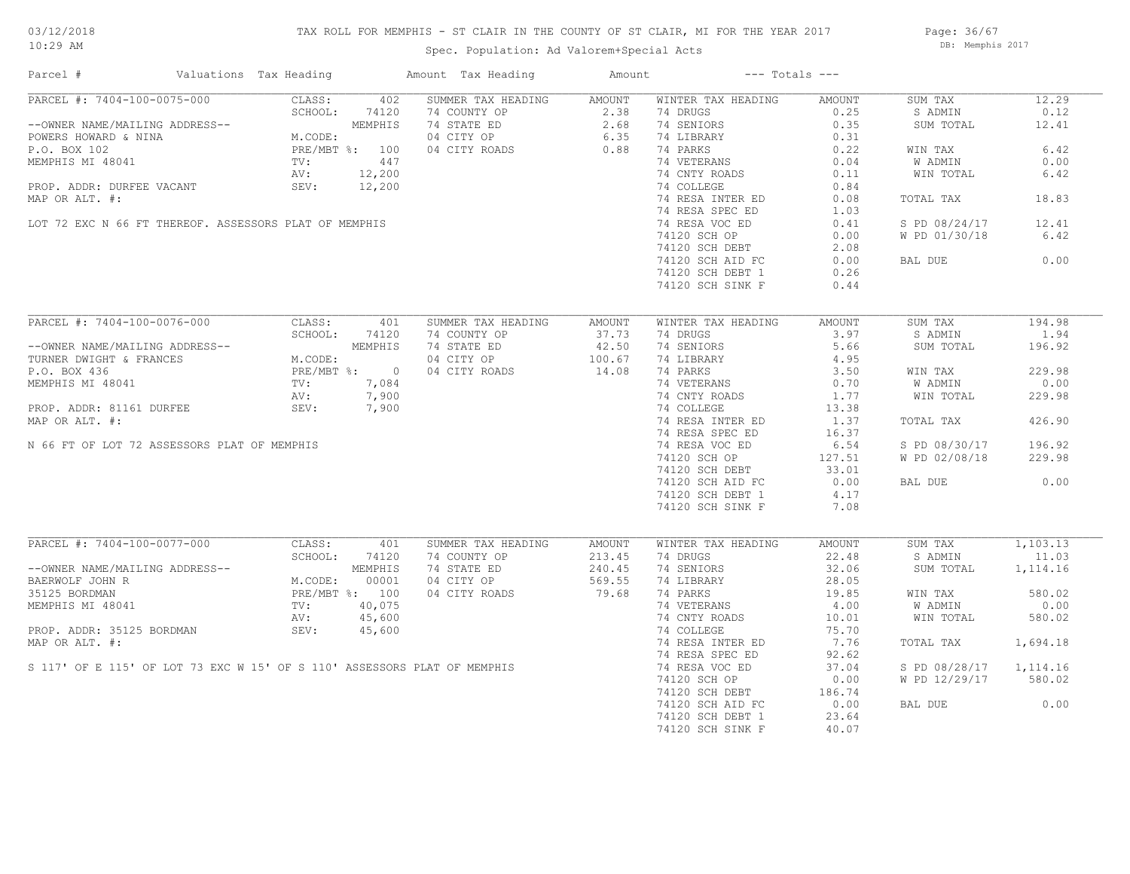## TAX ROLL FOR MEMPHIS - ST CLAIR IN THE COUNTY OF ST CLAIR, MI FOR THE YEAR 2017

Spec. Population: Ad Valorem+Special Acts

Page: 36/67 DB: Memphis 2017

| Parcel #                                                                 | Valuations Tax Heading                          |         | Amount Tax Heading | Amount |                    | $---$ Totals $---$ |               |           |
|--------------------------------------------------------------------------|-------------------------------------------------|---------|--------------------|--------|--------------------|--------------------|---------------|-----------|
| PARCEL #: 7404-100-0075-000                                              | CLASS:                                          | 402     | SUMMER TAX HEADING | AMOUNT | WINTER TAX HEADING | AMOUNT             | SUM TAX       | 12.29     |
|                                                                          | SCHOOL:                                         | 74120   | 74 COUNTY OP       | 2.38   | 74 DRUGS           | 0.25               | S ADMIN       | 0.12      |
| --OWNER NAME/MAILING ADDRESS--                                           |                                                 | MEMPHIS |                    |        | 74 SENIORS         | 0.35               | SUM TOTAL     | 12.41     |
| POWERS HOWARD & NINA                                                     | M.CODE:                                         |         |                    |        | 74 LIBRARY         | 0.31               |               |           |
| P.O. BOX 102                                                             | PRE/MBT %: 100                                  |         |                    |        | 74 PARKS           | 0.22               | WIN TAX       | 6.42      |
| MEMPHIS MI 48041                                                         | $\text{TV}$ :                                   | 447     |                    |        | 74 VETERANS        | 0.04               | W ADMIN       | 0.00      |
|                                                                          | AV:                                             | 12,200  |                    |        | 74 CNTY ROADS      | 0.11               | WIN TOTAL     | 6.42      |
| PROP. ADDR: DURFEE VACANT                                                | SEV:                                            | 12,200  |                    |        | 74 COLLEGE         | 0.84               |               |           |
| MAP OR ALT. #:                                                           |                                                 |         |                    |        | 74 RESA INTER ED   | 0.08               | TOTAL TAX     | 18.83     |
|                                                                          |                                                 |         |                    |        | 74 RESA SPEC ED    | 1.03               |               |           |
| LOT 72 EXC N 66 FT THEREOF. ASSESSORS PLAT OF MEMPHIS                    |                                                 |         |                    |        | 74 RESA VOC ED     | 0.41               | S PD 08/24/17 | 12.41     |
|                                                                          |                                                 |         |                    |        | 74120 SCH OP       | 0.00               | W PD 01/30/18 | 6.42      |
|                                                                          |                                                 |         |                    |        | 74120 SCH DEBT     | 2.08               |               |           |
|                                                                          |                                                 |         |                    |        |                    |                    |               | 0.00      |
|                                                                          |                                                 |         |                    |        | 74120 SCH AID FC   | 0.00               | BAL DUE       |           |
|                                                                          |                                                 |         |                    |        | 74120 SCH DEBT 1   | 0.26               |               |           |
|                                                                          |                                                 |         |                    |        | 74120 SCH SINK F   | 0.44               |               |           |
| PARCEL #: 7404-100-0076-000                                              | CLASS:                                          | 401     | SUMMER TAX HEADING | AMOUNT | WINTER TAX HEADING | AMOUNT             | SUM TAX       | 194.98    |
|                                                                          | SCHOOL:                                         | 74120   |                    |        |                    | 3.97               | S ADMIN       | 1.94      |
|                                                                          |                                                 |         | 74 COUNTY OP       | 37.73  | 74 DRUGS           |                    |               |           |
| --OWNER NAME/MAILING ADDRESS--                                           |                                                 | MEMPHIS | 74 STATE ED        | 42.50  | 74 SENIORS         | 5.66               | SUM TOTAL     | 196.92    |
| TURNER DWIGHT & FRANCES                                                  | MEMPHIS<br>M.CODE:<br>PRE/MBT %: 0<br>TV: 7,084 |         | 04 CITY OP         | 100.67 | 74 LIBRARY         | 4.95               |               |           |
| P.O. BOX 436                                                             |                                                 |         | 04 CITY ROADS      | 14.08  | 74 PARKS           | 3.50               | WIN TAX       | 229.98    |
| MEMPHIS MI 48041                                                         |                                                 |         |                    |        | 74 VETERANS        | 0.70               | W ADMIN       | 0.00      |
|                                                                          | AV:                                             | 7,900   |                    |        | 74 CNTY ROADS      | 1.77               | WIN TOTAL     | 229.98    |
| PROP. ADDR: 81161 DURFEE                                                 | SEV:                                            | 7,900   |                    |        | 74 COLLEGE         | 13.38              |               |           |
| MAP OR ALT. #:                                                           |                                                 |         |                    |        | 74 RESA INTER ED   | 1.37               | TOTAL TAX     | 426.90    |
|                                                                          |                                                 |         |                    |        | 74 RESA SPEC ED    | 16.37              |               |           |
| N 66 FT OF LOT 72 ASSESSORS PLAT OF MEMPHIS                              |                                                 |         |                    |        | 74 RESA VOC ED     | 6.54               | S PD 08/30/17 | 196.92    |
|                                                                          |                                                 |         |                    |        | 74120 SCH OP       | 127.51             | W PD 02/08/18 | 229.98    |
|                                                                          |                                                 |         |                    |        | 74120 SCH DEBT     | 33.01              |               |           |
|                                                                          |                                                 |         |                    |        |                    |                    |               | 0.00      |
|                                                                          |                                                 |         |                    |        | 74120 SCH AID FC   | 0.00               | BAL DUE       |           |
|                                                                          |                                                 |         |                    |        | 74120 SCH DEBT 1   | 4.17               |               |           |
|                                                                          |                                                 |         |                    |        | 74120 SCH SINK F   | 7.08               |               |           |
| PARCEL #: 7404-100-0077-000                                              | CLASS:                                          | 401     | SUMMER TAX HEADING | AMOUNT | WINTER TAX HEADING | AMOUNT             | SUM TAX       | 1,103.13  |
|                                                                          | SCHOOL: 74120                                   |         | 74 COUNTY OP       | 213.45 | 74 DRUGS           | 22.48              | S ADMIN       | 11.03     |
| --OWNER NAME/MAILING ADDRESS--                                           |                                                 | MEMPHIS | 74 STATE ED        | 240.45 | 74 SENIORS         | 32.06              | SUM TOTAL     | 1,114.16  |
| BAERWOLF JOHN R                                                          | M.CODE:                                         | 00001   | 04 CITY OP         | 569.55 | 74 LIBRARY         | 28.05              |               |           |
| 35125 BORDMAN                                                            | PRE/MBT %: 100                                  |         | 04 CITY ROADS      | 79.68  | 74 PARKS           | 19.85              | WIN TAX       | 580.02    |
|                                                                          |                                                 |         |                    |        |                    |                    |               |           |
| MEMPHIS MI 48041                                                         | TV:                                             | 40,075  |                    |        | 74 VETERANS        | 4.00               | W ADMIN       | 0.00      |
|                                                                          | AV:                                             | 45,600  |                    |        | 74 CNTY ROADS      | 10.01              | WIN TOTAL     | 580.02    |
| PROP. ADDR: 35125 BORDMAN                                                | SEV:                                            | 45,600  |                    |        | 74 COLLEGE         | 75.70              |               |           |
| MAP OR ALT. #:                                                           |                                                 |         |                    |        | 74 RESA INTER ED   | 7.76               | TOTAL TAX     | 1,694.18  |
|                                                                          |                                                 |         |                    |        | 74 RESA SPEC ED    | 92.62              |               |           |
| S 117' OF E 115' OF LOT 73 EXC W 15' OF S 110' ASSESSORS PLAT OF MEMPHIS |                                                 |         |                    |        | 74 RESA VOC ED     | 37.04              | S PD 08/28/17 | 1, 114.16 |
|                                                                          |                                                 |         |                    |        | 74120 SCH OP       | 0.00               | W PD 12/29/17 | 580.02    |
|                                                                          |                                                 |         |                    |        | 74120 SCH DEBT     | 186.74             |               |           |
|                                                                          |                                                 |         |                    |        | 74120 SCH AID FC   | 0.00               | BAL DUE       | 0.00      |
|                                                                          |                                                 |         |                    |        | 74120 SCH DEBT 1   | 23.64              |               |           |
|                                                                          |                                                 |         |                    |        | 74120 SCH SINK F   | 40.07              |               |           |
|                                                                          |                                                 |         |                    |        |                    |                    |               |           |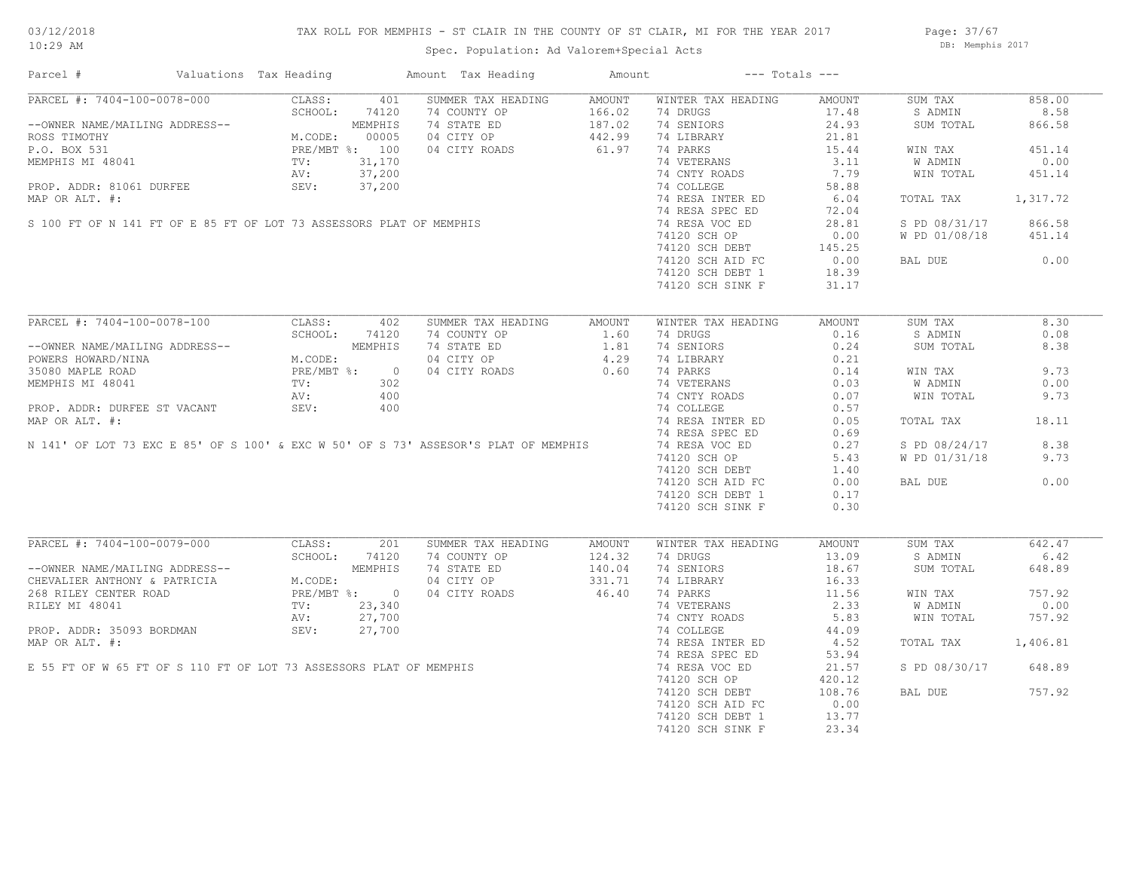## TAX ROLL FOR MEMPHIS - ST CLAIR IN THE COUNTY OF ST CLAIR, MI FOR THE YEAR 2017

Spec. Population: Ad Valorem+Special Acts

Page: 37/67 DB: Memphis 2017

| Parcel #                                                       | Valuations Tax Heading          |                | Amount Tax Heading                                                                                                                                                                    | Amount                                      |                    | $---$ Totals $---$ |                |          |
|----------------------------------------------------------------|---------------------------------|----------------|---------------------------------------------------------------------------------------------------------------------------------------------------------------------------------------|---------------------------------------------|--------------------|--------------------|----------------|----------|
| PARCEL #: 7404-100-0078-000                                    | CLASS:                          | 401            | SUMMER TAX HEADING                                                                                                                                                                    | AMOUNT                                      | WINTER TAX HEADING | AMOUNT             | SUM TAX        | 858.00   |
|                                                                | SCHOOL:                         | 74120          | 74 COUNTY OP                                                                                                                                                                          | 166.02                                      | 74 DRUGS           | 17.48              | S ADMIN        | 8.58     |
| --OWNER NAME/MAILING ADDRESS--                                 |                                 | MEMPHIS        | 74 STATE ED                                                                                                                                                                           | $187.02$<br>$442.99$                        | 74 SENIORS         | 24.93              | SUM TOTAL      | 866.58   |
| ROSS TIMOTHY                                                   |                                 |                | 04 CITY OP                                                                                                                                                                            |                                             | 74 LIBRARY         | 21.81              |                |          |
| P.O. BOX 531                                                   | M.CODE: 00005<br>PRE/MBT %: 100 |                | 04 CITY ROADS                                                                                                                                                                         | 61.97                                       | 74 PARKS           | 15.44              | WIN TAX        | 451.14   |
| MEMPHIS MI 48041                                               | TV:                             | 31,170         |                                                                                                                                                                                       |                                             | 74 VETERANS        | 3.11               | <b>W ADMIN</b> | 0.00     |
|                                                                |                                 |                | MEMPHIS MI 48041<br>PROP. ADDR: 81061 DURFEE<br>MAP OR ALT. #:<br>S 100 FT OF N 141 FT OF E 85 FT OF LOT 73 ASSESSORS PLAT OF MEMPHIS                                                 |                                             | 74 CNTY ROADS      | 7.79               | WIN TOTAL      | 451.14   |
|                                                                |                                 |                |                                                                                                                                                                                       |                                             | 74 COLLEGE         | 58.88              |                |          |
|                                                                |                                 |                |                                                                                                                                                                                       |                                             | 74 RESA INTER ED   | 6.04               | TOTAL TAX      | 1,317.72 |
|                                                                |                                 |                |                                                                                                                                                                                       |                                             | 74 RESA SPEC ED    | 72.04              |                |          |
|                                                                |                                 |                |                                                                                                                                                                                       |                                             | 74 RESA VOC ED     | 28.81              | S PD 08/31/17  | 866.58   |
|                                                                |                                 |                |                                                                                                                                                                                       |                                             | 74120 SCH OP       | 0.00               | W PD 01/08/18  | 451.14   |
|                                                                |                                 |                |                                                                                                                                                                                       |                                             | 74120 SCH DEBT     | 145.25             |                |          |
|                                                                |                                 |                |                                                                                                                                                                                       |                                             |                    |                    |                | 0.00     |
|                                                                |                                 |                |                                                                                                                                                                                       |                                             | 74120 SCH AID FC   | 0.00               | BAL DUE        |          |
|                                                                |                                 |                |                                                                                                                                                                                       |                                             | 74120 SCH DEBT 1   | 18.39              |                |          |
|                                                                |                                 |                |                                                                                                                                                                                       |                                             | 74120 SCH SINK F   | 31.17              |                |          |
|                                                                |                                 |                |                                                                                                                                                                                       |                                             |                    |                    |                |          |
| PARCEL #: 7404-100-0078-100                                    | CLASS:                          | 402            | SUMMER TAX HEADING                                                                                                                                                                    | AMOUNT                                      | WINTER TAX HEADING | AMOUNT             | SUM TAX        | 8.30     |
|                                                                | SCHOOL:                         | 74120          | 74 COUNTY OP                                                                                                                                                                          | 1.60                                        | 74 DRUGS           | 0.16               | S ADMIN        | 0.08     |
| --OWNER NAME/MAILING ADDRESS--                                 |                                 | MEMPHIS        | 74 STATE ED                                                                                                                                                                           |                                             | 74 SENIORS         | 0.24               | SUM TOTAL      | 8.38     |
| POWERS HOWARD/NINA                                             | M.CODE:                         |                | 04 CITY OP                                                                                                                                                                            | $\begin{array}{c} 4.29 \\ 4.29 \end{array}$ | 74 LIBRARY         | 0.21               |                |          |
| 35080 MAPLE ROAD                                               | PRE/MBT %:                      | $\overline{0}$ | 04 CITY ROADS                                                                                                                                                                         |                                             | 74 PARKS           | 0.14               | WIN TAX        | 9.73     |
| MEMPHIS MI 48041                                               | TV:                             | 302            |                                                                                                                                                                                       |                                             | 74 VETERANS        | 0.03               | W ADMIN        | 0.00     |
|                                                                | AV:                             | 400            |                                                                                                                                                                                       |                                             | 74 CNTY ROADS      | 0.07               | WIN TOTAL      | 9.73     |
| PROP. ADDR: DURFEE ST VACANT                                   | SEV:                            | 400            |                                                                                                                                                                                       |                                             | 74 COLLEGE         | 0.57               |                |          |
| MAP OR ALT. #:                                                 |                                 |                |                                                                                                                                                                                       |                                             | 74 RESA INTER ED   | 0.05               | TOTAL TAX      | 18.11    |
|                                                                |                                 |                |                                                                                                                                                                                       |                                             | 74 RESA SPEC ED    | 0.69               |                |          |
|                                                                |                                 |                | N 141' OF LOT 73 EXC E 85' OF S 100' & EXC W 50' OF S 73' ASSESOR'S PLAT OF MEMPHIS                                                                                                   |                                             | 74 RESA VOC ED     | 0.27               | S PD 08/24/17  | 8.38     |
|                                                                |                                 |                |                                                                                                                                                                                       |                                             | 74120 SCH OP       | 5.43               | W PD 01/31/18  | 9.73     |
|                                                                |                                 |                |                                                                                                                                                                                       |                                             | 74120 SCH DEBT     | 1.40               |                |          |
|                                                                |                                 |                |                                                                                                                                                                                       |                                             | 74120 SCH AID FC   | 0.00               | BAL DUE        | 0.00     |
|                                                                |                                 |                |                                                                                                                                                                                       |                                             | 74120 SCH DEBT 1   | 0.17               |                |          |
|                                                                |                                 |                |                                                                                                                                                                                       |                                             | 74120 SCH SINK F   | 0.30               |                |          |
|                                                                |                                 |                |                                                                                                                                                                                       |                                             |                    |                    |                |          |
| PARCEL #: 7404-100-0079-000                                    | CLASS:                          | 201            | SUMMER TAX HEADING                                                                                                                                                                    | AMOUNT                                      | WINTER TAX HEADING | AMOUNT             | SUM TAX        | 642.47   |
|                                                                | SCHOOL:                         | 74120          | 74 COUNTY OP                                                                                                                                                                          | 124.32                                      | 74 DRUGS           | 13.09              | S ADMIN        | 6.42     |
| --OWNER NAME/MAILING ADDRESS--<br>CHEVALIER ANTHONY & PATRICIA |                                 | MEMPHIS        | 74 STATE ED                                                                                                                                                                           | 140.04                                      | 74 SENIORS         | 18.67              | SUM TOTAL      | 648.89   |
|                                                                | M.CODE:                         |                | 04 CITY OP                                                                                                                                                                            | 331.71                                      | 74 LIBRARY         | 16.33              |                |          |
| 268 RILEY CENTER ROAD                                          |                                 | PRE/MBT %: 0   | 04 CITY ROADS                                                                                                                                                                         | 46.40                                       | 74 PARKS           | 11.56              | WIN TAX        | 757.92   |
|                                                                |                                 |                |                                                                                                                                                                                       |                                             | 74 VETERANS        | 2.33               | W ADMIN        | 0.00     |
|                                                                |                                 |                |                                                                                                                                                                                       |                                             |                    |                    |                |          |
|                                                                |                                 |                |                                                                                                                                                                                       |                                             | 74 CNTY ROADS      | 5.83               | WIN TOTAL      | 757.92   |
|                                                                |                                 |                |                                                                                                                                                                                       |                                             | 74 COLLEGE         | 44.09              |                |          |
|                                                                |                                 |                | EXERCISE AND HOLD FINISHED TO STATE THE MITHS AND RILEY MIT 48041<br>TV: 23,340<br>AV: 27,700<br>MAP OR ALT. #:<br>E 55 FT OF W 65 FT OF S 110 FT OF LOT 73 ASSESSORS PLAT OF MEMPHIS |                                             | 74 RESA INTER ED   | 4.52               | TOTAL TAX      | 1,406.81 |
|                                                                |                                 |                |                                                                                                                                                                                       |                                             | 74 RESA SPEC ED    | 53.94              |                |          |
|                                                                |                                 |                |                                                                                                                                                                                       |                                             | 74 RESA VOC ED     | 21.57              | S PD 08/30/17  | 648.89   |
|                                                                |                                 |                |                                                                                                                                                                                       |                                             | 74120 SCH OP       | 420.12             |                |          |
|                                                                |                                 |                |                                                                                                                                                                                       |                                             | 74120 SCH DEBT     | 108.76             | BAL DUE        | 757.92   |
|                                                                |                                 |                |                                                                                                                                                                                       |                                             | 74120 SCH AID FC   | 0.00               |                |          |
|                                                                |                                 |                |                                                                                                                                                                                       |                                             | 74120 SCH DEBT 1   | 13.77              |                |          |
|                                                                |                                 |                |                                                                                                                                                                                       |                                             | 74120 SCH SINK F   | 23.34              |                |          |
|                                                                |                                 |                |                                                                                                                                                                                       |                                             |                    |                    |                |          |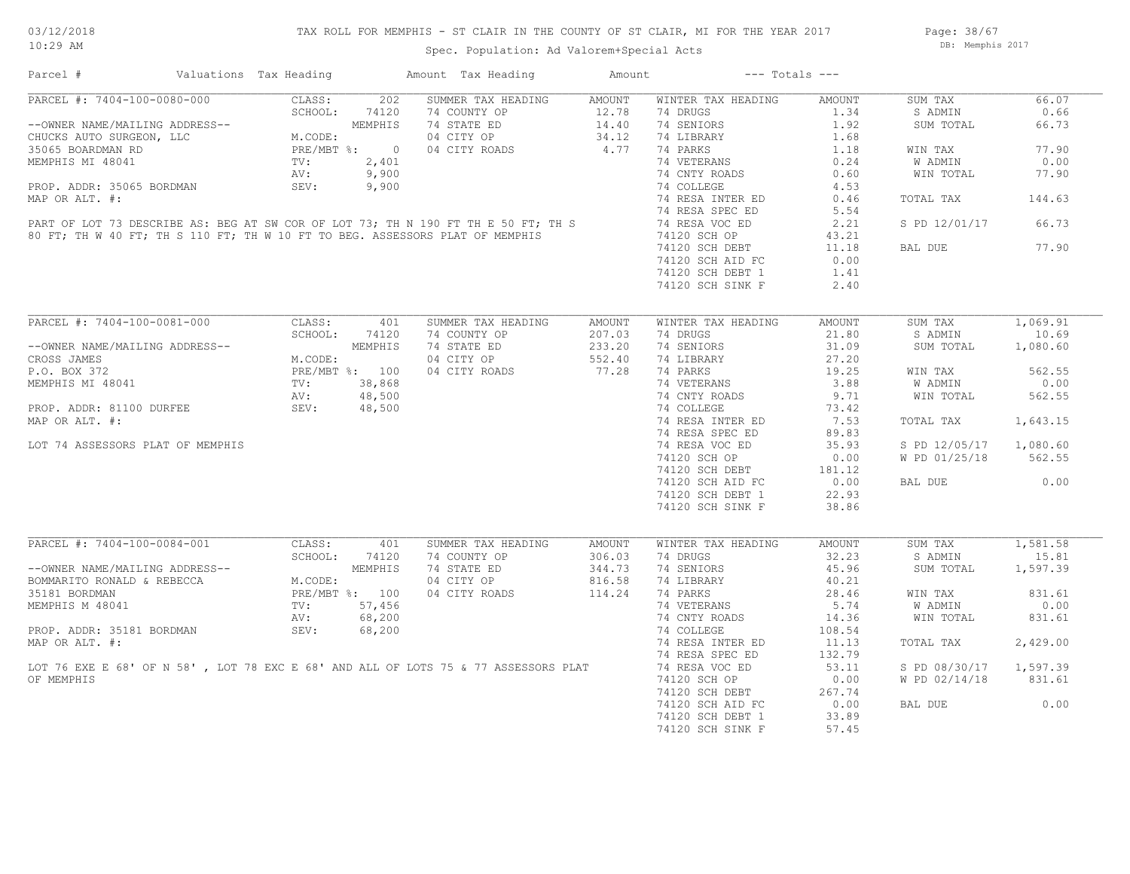## TAX ROLL FOR MEMPHIS - ST CLAIR IN THE COUNTY OF ST CLAIR, MI FOR THE YEAR 2017

Spec. Population: Ad Valorem+Special Acts

Page: 38/67 DB: Memphis 2017

| Parcel #                                                                                                                                        | Valuations Tax Heading                                               |                | Amount Tax Heading                                                                                                                                                                                                                                                                                                                                                                                                                                                             | Amount | $---$ Totals $---$                                         |        |               |          |
|-------------------------------------------------------------------------------------------------------------------------------------------------|----------------------------------------------------------------------|----------------|--------------------------------------------------------------------------------------------------------------------------------------------------------------------------------------------------------------------------------------------------------------------------------------------------------------------------------------------------------------------------------------------------------------------------------------------------------------------------------|--------|------------------------------------------------------------|--------|---------------|----------|
| PARCEL #: 7404-100-0080-000                                                                                                                     | CLASS:                                                               | 202            | SUMMER TAX HEADING AMOUNT                                                                                                                                                                                                                                                                                                                                                                                                                                                      |        | WINTER TAX HEADING                                         | AMOUNT | SUM TAX       | 66.07    |
|                                                                                                                                                 | SCHOOL:                                                              | 74120          | 74 COUNTY OP                                                                                                                                                                                                                                                                                                                                                                                                                                                                   | 12.78  | 74 DRUGS                                                   | 1.34   | S ADMIN       | 0.66     |
|                                                                                                                                                 |                                                                      |                | 74 COUNTY OP 12.78<br>74 STATE ED 14.40                                                                                                                                                                                                                                                                                                                                                                                                                                        |        | 74 SENIORS                                                 | 1.92   | SUM TOTAL     | 66.73    |
|                                                                                                                                                 |                                                                      |                | 04 CITY OP                                                                                                                                                                                                                                                                                                                                                                                                                                                                     | 34.12  | 74 LIBRARY                                                 | 1.68   |               |          |
|                                                                                                                                                 |                                                                      |                | 04 CITY ROADS                                                                                                                                                                                                                                                                                                                                                                                                                                                                  | 4.77   | 74 PARKS                                                   | 1.18   | WIN TAX       | 77.90    |
|                                                                                                                                                 |                                                                      |                |                                                                                                                                                                                                                                                                                                                                                                                                                                                                                |        | 74 VETERANS                                                | 0.24   | W ADMIN       | 0.00     |
| --OWNER NAME/MAILING ADDRESS--<br>CHUCKS AUTO SURGEON, LLC M.CODE:<br>35065 BOARDMAN RD PRE/MBT %: 0<br>MEMPHIS MI 48041 TV: 2,401<br>AV: 9,900 |                                                                      |                |                                                                                                                                                                                                                                                                                                                                                                                                                                                                                |        | 74 CNTY ROADS                                              | 0.60   | WIN TOTAL     | 77.90    |
|                                                                                                                                                 |                                                                      |                |                                                                                                                                                                                                                                                                                                                                                                                                                                                                                |        | 74 COLLEGE                                                 | 4.53   |               |          |
|                                                                                                                                                 |                                                                      |                |                                                                                                                                                                                                                                                                                                                                                                                                                                                                                |        | 74 RESA INTER ED                                           | 0.46   | TOTAL TAX     | 144.63   |
|                                                                                                                                                 |                                                                      |                |                                                                                                                                                                                                                                                                                                                                                                                                                                                                                |        |                                                            |        |               |          |
|                                                                                                                                                 |                                                                      |                |                                                                                                                                                                                                                                                                                                                                                                                                                                                                                |        | 74 RESA SPEC ED                                            | 5.54   |               |          |
|                                                                                                                                                 |                                                                      |                |                                                                                                                                                                                                                                                                                                                                                                                                                                                                                |        | 74 RESA VOC ED                                             | 2.21   | S PD 12/01/17 | 66.73    |
|                                                                                                                                                 |                                                                      |                |                                                                                                                                                                                                                                                                                                                                                                                                                                                                                |        | 74120 SCH OP                                               | 43.21  |               |          |
|                                                                                                                                                 |                                                                      |                |                                                                                                                                                                                                                                                                                                                                                                                                                                                                                |        | 74120 SCH DEBT                                             | 11.18  | BAL DUE       | 77.90    |
|                                                                                                                                                 |                                                                      |                |                                                                                                                                                                                                                                                                                                                                                                                                                                                                                |        | 74120 SCH AID FC                                           | 0.00   |               |          |
|                                                                                                                                                 |                                                                      |                |                                                                                                                                                                                                                                                                                                                                                                                                                                                                                |        | 74120 SCH DEBT 1                                           | 1.41   |               |          |
|                                                                                                                                                 |                                                                      |                |                                                                                                                                                                                                                                                                                                                                                                                                                                                                                |        | 74120 SCH SINK F                                           | 2.40   |               |          |
|                                                                                                                                                 |                                                                      |                | $\begin{tabular}{lllllll} & & & & & & 4.77 & \\ & & & & & 9,900 & \\ & . & \text{\bf .} & \text{\bf .} & \text{\bf .} & \text{\bf .} & \text{\bf .} & \text{\bf .} & \text{\bf .} & \text{\bf .} & \text{\bf .} & \text{\bf .} & \text{\bf .} & \text{\bf .} & \text{\bf .} & \text{\bf .} & \text{\bf .} & \text{\bf .} & \text{\bf .} & \text{\bf .} & \text{\bf .} & \text{\bf .} & \text{\bf .} & \text{\bf .} & \text{\bf .} & \text{\bf .} & \text{\bf .} & \text{\bf .$ |        |                                                            |        |               |          |
| PARCEL #: 7404-100-0081-000                                                                                                                     | CLASS:                                                               | 401            | SUMMER TAX HEADING                                                                                                                                                                                                                                                                                                                                                                                                                                                             | AMOUNT | WINTER TAX HEADING                                         | AMOUNT | SUM TAX       | 1,069.91 |
|                                                                                                                                                 | SCHOOL:                                                              | 74120          | 74 COUNTY OP                                                                                                                                                                                                                                                                                                                                                                                                                                                                   | 207.03 | 74 DRUGS                                                   | 21.80  | S ADMIN       | 10.69    |
| --OWNER NAME/MAILING ADDRESS--                                                                                                                  |                                                                      | MEMPHIS        | 74 STATE ED                                                                                                                                                                                                                                                                                                                                                                                                                                                                    | 233.20 | 74 SENIORS                                                 | 31.09  | SUM TOTAL     | 1,080.60 |
| CROSS JAMES                                                                                                                                     |                                                                      |                | 04 CITY OP                                                                                                                                                                                                                                                                                                                                                                                                                                                                     | 552.40 | 74 LIBRARY                                                 | 27.20  |               |          |
| P.O. BOX 372                                                                                                                                    |                                                                      |                | 04 CITY ROADS                                                                                                                                                                                                                                                                                                                                                                                                                                                                  | 77.28  | 74 PARKS                                                   | 19.25  | WIN TAX       | 562.55   |
| MEMPHIS MI 48041                                                                                                                                |                                                                      |                |                                                                                                                                                                                                                                                                                                                                                                                                                                                                                |        | 74 VETERANS                                                | 3.88   | W ADMIN       | 0.00     |
|                                                                                                                                                 | M.CODE:<br>PRE/MBT %: 100<br>TV: 38,868<br>AV: 48,500<br>CTV: 48,500 |                |                                                                                                                                                                                                                                                                                                                                                                                                                                                                                |        | 74 CNTY ROADS                                              | 9.71   | WIN TOTAL     | 562.55   |
| PROP. ADDR: 81100 DURFEE                                                                                                                        | SEV:                                                                 |                |                                                                                                                                                                                                                                                                                                                                                                                                                                                                                |        | 74 COLLEGE                                                 | 73.42  |               |          |
| MAP OR ALT. #:                                                                                                                                  |                                                                      |                |                                                                                                                                                                                                                                                                                                                                                                                                                                                                                |        | 74 RESA INTER ED                                           | 7.53   | TOTAL TAX     | 1,643.15 |
|                                                                                                                                                 |                                                                      |                |                                                                                                                                                                                                                                                                                                                                                                                                                                                                                |        |                                                            |        |               |          |
|                                                                                                                                                 |                                                                      |                |                                                                                                                                                                                                                                                                                                                                                                                                                                                                                |        | 74 RESA SPEC ED                                            | 89.83  |               |          |
| LOT 74 ASSESSORS PLAT OF MEMPHIS                                                                                                                |                                                                      |                |                                                                                                                                                                                                                                                                                                                                                                                                                                                                                |        | 74 RESA VOC ED                                             | 35.93  | S PD 12/05/17 | 1,080.60 |
|                                                                                                                                                 |                                                                      |                |                                                                                                                                                                                                                                                                                                                                                                                                                                                                                |        |                                                            |        | W PD 01/25/18 | 562.55   |
|                                                                                                                                                 |                                                                      |                |                                                                                                                                                                                                                                                                                                                                                                                                                                                                                |        | 74120 SCH UF<br>74120 SCH DEBT 181.12<br>20.00 10.00 10.00 |        |               |          |
|                                                                                                                                                 |                                                                      |                |                                                                                                                                                                                                                                                                                                                                                                                                                                                                                |        |                                                            |        | BAL DUE       | 0.00     |
|                                                                                                                                                 |                                                                      |                |                                                                                                                                                                                                                                                                                                                                                                                                                                                                                |        | 74120 SCH DEBT 1                                           | 22.93  |               |          |
|                                                                                                                                                 |                                                                      |                |                                                                                                                                                                                                                                                                                                                                                                                                                                                                                |        | 74120 SCH SINK F                                           | 38.86  |               |          |
|                                                                                                                                                 |                                                                      |                |                                                                                                                                                                                                                                                                                                                                                                                                                                                                                |        |                                                            |        |               |          |
| PARCEL #: 7404-100-0084-001                                                                                                                     | CLASS:                                                               | 401            | SUMMER TAX HEADING                                                                                                                                                                                                                                                                                                                                                                                                                                                             | AMOUNT | WINTER TAX HEADING                                         | AMOUNT | SUM TAX       | 1,581.58 |
|                                                                                                                                                 | SCHOOL:                                                              | 74120          | 74 COUNTY OP                                                                                                                                                                                                                                                                                                                                                                                                                                                                   | 306.03 | 74 DRUGS                                                   | 32.23  | S ADMIN       | 15.81    |
|                                                                                                                                                 |                                                                      | MEMPHIS        | 74 STATE ED                                                                                                                                                                                                                                                                                                                                                                                                                                                                    | 344.73 | 74 SENIORS                                                 | 45.96  | SUM TOTAL     | 1,597.39 |
| --OWNER NAME/MAILING ADDRESS--<br>BOMMARITO RONALD & REBECCA                                                                                    | M.CODE:                                                              |                | 04 CITY OP                                                                                                                                                                                                                                                                                                                                                                                                                                                                     | 816.58 | 74 LIBRARY                                                 | 40.21  |               |          |
| 35181 BORDMAN                                                                                                                                   |                                                                      | PRE/MBT %: 100 | 04 CITY ROADS                                                                                                                                                                                                                                                                                                                                                                                                                                                                  | 114.24 | 74 PARKS                                                   | 28.46  | WIN TAX       | 831.61   |
| MEMPHIS M 48041                                                                                                                                 | TV:                                                                  | 57,456         |                                                                                                                                                                                                                                                                                                                                                                                                                                                                                |        | 74 VETERANS                                                | 5.74   | W ADMIN       | 0.00     |
|                                                                                                                                                 | AV:                                                                  | 68,200         |                                                                                                                                                                                                                                                                                                                                                                                                                                                                                |        | 74 CNTY ROADS                                              | 14.36  | WIN TOTAL     | 831.61   |
| PROP. ADDR: 35181 BORDMAN                                                                                                                       | SEV:                                                                 | 68,200         |                                                                                                                                                                                                                                                                                                                                                                                                                                                                                |        | 74 COLLEGE                                                 | 108.54 |               |          |
| MAP OR ALT. #:                                                                                                                                  |                                                                      |                |                                                                                                                                                                                                                                                                                                                                                                                                                                                                                |        | 74 RESA INTER ED                                           | 11.13  | TOTAL TAX     | 2,429.00 |
|                                                                                                                                                 |                                                                      |                |                                                                                                                                                                                                                                                                                                                                                                                                                                                                                |        | 74 RESA SPEC ED                                            | 132.79 |               |          |
|                                                                                                                                                 |                                                                      |                | LOT 76 EXE E 68' OF N 58', LOT 78 EXC E 68' AND ALL OF LOTS 75 & 77 ASSESSORS PLAT                                                                                                                                                                                                                                                                                                                                                                                             |        | 74 RESA VOC ED                                             | 53.11  | S PD 08/30/17 | 1,597.39 |
| OF MEMPHIS                                                                                                                                      |                                                                      |                |                                                                                                                                                                                                                                                                                                                                                                                                                                                                                |        |                                                            |        |               | 831.61   |
|                                                                                                                                                 |                                                                      |                |                                                                                                                                                                                                                                                                                                                                                                                                                                                                                |        | 74120 SCH OP                                               | 0.00   | W PD 02/14/18 |          |
|                                                                                                                                                 |                                                                      |                |                                                                                                                                                                                                                                                                                                                                                                                                                                                                                |        | 74120 SCH DEBT                                             | 267.74 |               |          |
|                                                                                                                                                 |                                                                      |                |                                                                                                                                                                                                                                                                                                                                                                                                                                                                                |        | 74120 SCH AID FC                                           | 0.00   | BAL DUE       | 0.00     |
|                                                                                                                                                 |                                                                      |                |                                                                                                                                                                                                                                                                                                                                                                                                                                                                                |        | 74120 SCH DEBT 1                                           | 33.89  |               |          |
|                                                                                                                                                 |                                                                      |                |                                                                                                                                                                                                                                                                                                                                                                                                                                                                                |        | 74120 SCH SINK F                                           | 57.45  |               |          |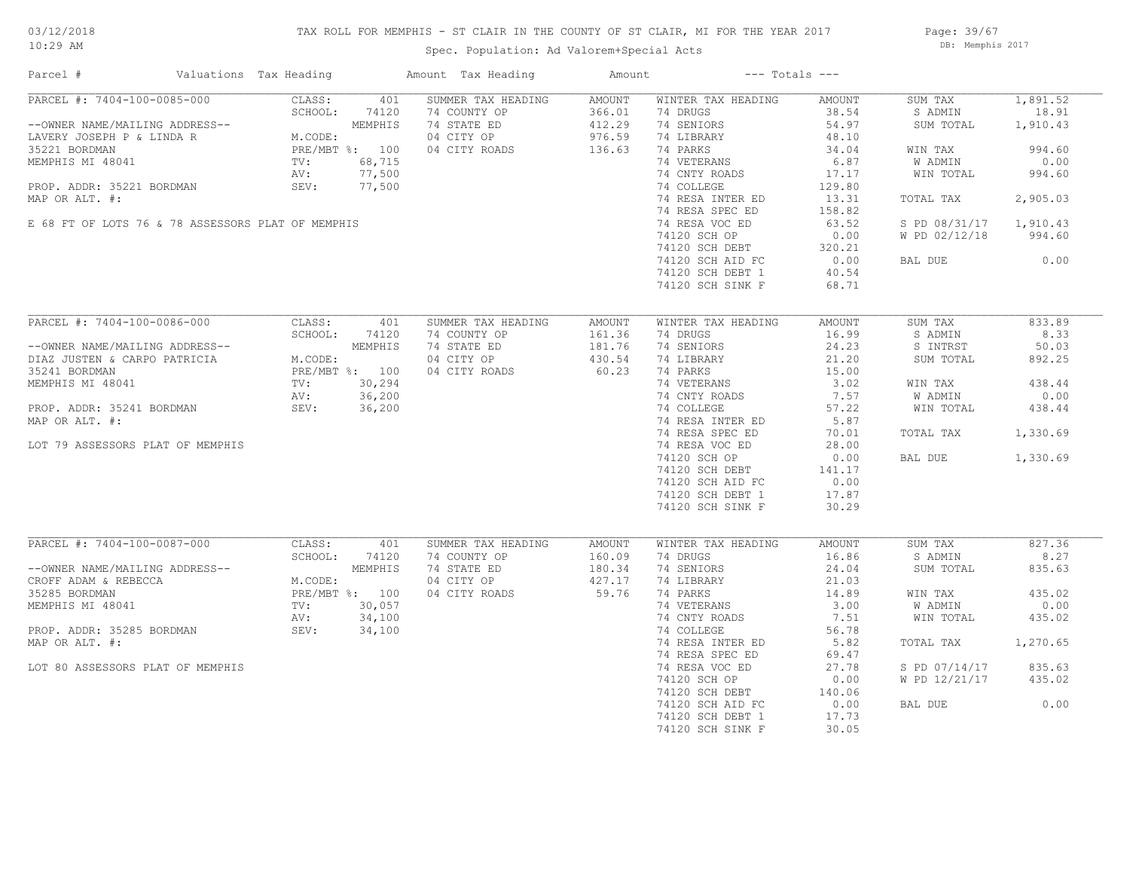## TAX ROLL FOR MEMPHIS - ST CLAIR IN THE COUNTY OF ST CLAIR, MI FOR THE YEAR 2017

Spec. Population: Ad Valorem+Special Acts

Page: 39/67 DB: Memphis 2017

| Parcel #<br>Valuations Tax Heading                                                                                                                                                                                                  |                                                                                                                               | Amount Tax Heading                                                               | Amount                                         | $---$ Totals $---$                                                                                                                                                                            |                                                                                                           |                                                                                                                            |                                                                                 |
|-------------------------------------------------------------------------------------------------------------------------------------------------------------------------------------------------------------------------------------|-------------------------------------------------------------------------------------------------------------------------------|----------------------------------------------------------------------------------|------------------------------------------------|-----------------------------------------------------------------------------------------------------------------------------------------------------------------------------------------------|-----------------------------------------------------------------------------------------------------------|----------------------------------------------------------------------------------------------------------------------------|---------------------------------------------------------------------------------|
| PARCEL #: 7404-100-0085-000<br>--OWNER NAME/MAILING ADDRESS--<br>LAVERY JOSEPH P & LINDA R<br>35221 BORDMAN<br>MEMPHIS MI 48041<br>PROP. ADDR: 35221 BORDMAN<br>MAP OR ALT. #:<br>E 68 FT OF LOTS 76 & 78 ASSESSORS PLAT OF MEMPHIS | CLASS:<br>401<br>SCHOOL:<br>74120<br>MEMPHIS<br>M.CODE:<br>PRE/MBT %: 100<br>68,715<br>TV:<br>77,500<br>AV:<br>SEV:<br>77,500 | SUMMER TAX HEADING<br>74 COUNTY OP<br>74 STATE ED<br>04 CITY OP<br>04 CITY ROADS | AMOUNT<br>366.01<br>412.29<br>976.59<br>136.63 | WINTER TAX HEADING<br>74 DRUGS<br>74 SENIORS<br>74 LIBRARY<br>74 PARKS<br>74 VETERANS<br>74 CNTY ROADS<br>74 COLLEGE<br>74 RESA INTER ED<br>74 RESA SPEC ED<br>74 RESA VOC ED<br>74120 SCH OP | AMOUNT<br>38.54<br>54.97<br>48.10<br>34.04<br>6.87<br>17.17<br>129.80<br>13.31<br>158.82<br>63.52<br>0.00 | SUM TAX<br>S ADMIN<br>SUM TOTAL<br>WIN TAX<br>W ADMIN<br>WIN TOTAL<br>TOTAL TAX<br>S PD 08/31/17 1,910.43<br>W PD 02/12/18 | 1,891.52<br>18.91<br>1,910.43<br>994.60<br>0.00<br>994.60<br>2,905.03<br>994.60 |
|                                                                                                                                                                                                                                     |                                                                                                                               |                                                                                  |                                                | 74120 SCH DEBT<br>74120 SCH AID FC<br>74120 SCH DEBT 1<br>74120 SCH SINK F                                                                                                                    | 320.21<br>0.00<br>40.54<br>68.71                                                                          | BAL DUE                                                                                                                    | 0.00                                                                            |
| PARCEL #: 7404-100-0086-000                                                                                                                                                                                                         | CLASS:<br>401                                                                                                                 | SUMMER TAX HEADING                                                               | AMOUNT                                         | WINTER TAX HEADING                                                                                                                                                                            | AMOUNT                                                                                                    | SUM TAX                                                                                                                    | 833.89                                                                          |
|                                                                                                                                                                                                                                     | SCHOOL:<br>74120                                                                                                              | 74 COUNTY OP                                                                     | 161.36                                         | 74 DRUGS                                                                                                                                                                                      | 16.99                                                                                                     | S ADMIN                                                                                                                    | 8.33                                                                            |
| --OWNER NAME/MAILING ADDRESS--                                                                                                                                                                                                      | MEMPHIS                                                                                                                       | 74 STATE ED                                                                      | 181.76                                         | 74 SENIORS                                                                                                                                                                                    | 24.23                                                                                                     | S INTRST                                                                                                                   | 50.03                                                                           |
| DIAZ JUSTEN & CARPO PATRICIA                                                                                                                                                                                                        | M.CODE:                                                                                                                       | 04 CITY OP                                                                       | 430.54                                         | 74 LIBRARY                                                                                                                                                                                    | 21.20                                                                                                     | SUM TOTAL                                                                                                                  | 892.25                                                                          |
| 35241 BORDMAN                                                                                                                                                                                                                       | PRE/MBT %: 100                                                                                                                | 04 CITY ROADS                                                                    | 60.23                                          | 74 PARKS                                                                                                                                                                                      | 15.00                                                                                                     |                                                                                                                            |                                                                                 |
| MEMPHIS MI 48041                                                                                                                                                                                                                    | TV:<br>30,294                                                                                                                 |                                                                                  |                                                | 74 VETERANS                                                                                                                                                                                   | 3.02                                                                                                      | WIN TAX                                                                                                                    | 438.44                                                                          |
|                                                                                                                                                                                                                                     | 36,200<br>AV:                                                                                                                 |                                                                                  |                                                | 74 CNTY ROADS                                                                                                                                                                                 | 7.57                                                                                                      | W ADMIN                                                                                                                    | 0.00                                                                            |
| PROP. ADDR: 35241 BORDMAN                                                                                                                                                                                                           | SEV:<br>36,200                                                                                                                |                                                                                  |                                                | 74 COLLEGE                                                                                                                                                                                    | 57.22                                                                                                     | WIN TOTAL                                                                                                                  | 438.44                                                                          |
| MAP OR ALT. #:                                                                                                                                                                                                                      |                                                                                                                               |                                                                                  |                                                | 74 RESA INTER ED                                                                                                                                                                              | 5.87                                                                                                      |                                                                                                                            |                                                                                 |
|                                                                                                                                                                                                                                     |                                                                                                                               |                                                                                  |                                                | 74 RESA SPEC ED                                                                                                                                                                               | 70.01                                                                                                     | TOTAL TAX                                                                                                                  | 1,330.69                                                                        |
| LOT 79 ASSESSORS PLAT OF MEMPHIS                                                                                                                                                                                                    |                                                                                                                               |                                                                                  |                                                | 74 RESA VOC ED                                                                                                                                                                                | 28.00                                                                                                     |                                                                                                                            |                                                                                 |
|                                                                                                                                                                                                                                     |                                                                                                                               |                                                                                  |                                                | 74120 SCH OP                                                                                                                                                                                  | 0.00                                                                                                      | BAL DUE                                                                                                                    | 1,330.69                                                                        |
|                                                                                                                                                                                                                                     |                                                                                                                               |                                                                                  |                                                | 74120 SCH DEBT<br>74120 SCH AID FC                                                                                                                                                            | 141.17<br>0.00                                                                                            |                                                                                                                            |                                                                                 |
|                                                                                                                                                                                                                                     |                                                                                                                               |                                                                                  |                                                | 74120 SCH DEBT 1                                                                                                                                                                              | 17.87                                                                                                     |                                                                                                                            |                                                                                 |
|                                                                                                                                                                                                                                     |                                                                                                                               |                                                                                  |                                                | 74120 SCH SINK F                                                                                                                                                                              | 30.29                                                                                                     |                                                                                                                            |                                                                                 |
|                                                                                                                                                                                                                                     |                                                                                                                               |                                                                                  |                                                |                                                                                                                                                                                               |                                                                                                           |                                                                                                                            |                                                                                 |
| PARCEL #: 7404-100-0087-000                                                                                                                                                                                                         | CLASS:<br>401                                                                                                                 | SUMMER TAX HEADING                                                               | AMOUNT                                         | WINTER TAX HEADING                                                                                                                                                                            | AMOUNT                                                                                                    | SUM TAX                                                                                                                    | 827.36                                                                          |
|                                                                                                                                                                                                                                     | SCHOOL:<br>74120                                                                                                              | 74 COUNTY OP                                                                     | 160.09                                         | 74 DRUGS                                                                                                                                                                                      | 16.86                                                                                                     | S ADMIN                                                                                                                    | 8.27                                                                            |
| --OWNER NAME/MAILING ADDRESS--                                                                                                                                                                                                      | MEMPHIS                                                                                                                       | 74 STATE ED                                                                      | 180.34                                         | 74 SENIORS                                                                                                                                                                                    | 24.04                                                                                                     | SUM TOTAL                                                                                                                  | 835.63                                                                          |
| CROFF ADAM & REBECCA                                                                                                                                                                                                                | M.CODE:                                                                                                                       | 04 CITY OP                                                                       | 427.17                                         | 74 LIBRARY                                                                                                                                                                                    | 21.03                                                                                                     |                                                                                                                            |                                                                                 |
| 35285 BORDMAN                                                                                                                                                                                                                       | PRE/MBT %: 100                                                                                                                | 04 CITY ROADS                                                                    | 59.76                                          | 74 PARKS                                                                                                                                                                                      | 14.89                                                                                                     | WIN TAX                                                                                                                    | 435.02                                                                          |
| MEMPHIS MI 48041                                                                                                                                                                                                                    | 30,057<br>$\text{TV}$ :                                                                                                       |                                                                                  |                                                | 74 VETERANS                                                                                                                                                                                   | 3.00                                                                                                      | W ADMIN                                                                                                                    | 0.00                                                                            |
|                                                                                                                                                                                                                                     | 34,100<br>AV:                                                                                                                 |                                                                                  |                                                | 74 CNTY ROADS                                                                                                                                                                                 | 7.51                                                                                                      | WIN TOTAL                                                                                                                  | 435.02                                                                          |
| PROP. ADDR: 35285 BORDMAN                                                                                                                                                                                                           | SEV:<br>34,100                                                                                                                |                                                                                  |                                                | 74 COLLEGE                                                                                                                                                                                    | 56.78                                                                                                     |                                                                                                                            |                                                                                 |
| MAP OR ALT. #:                                                                                                                                                                                                                      |                                                                                                                               |                                                                                  |                                                | 74 RESA INTER ED                                                                                                                                                                              | 5.82                                                                                                      | TOTAL TAX                                                                                                                  | 1,270.65                                                                        |
|                                                                                                                                                                                                                                     |                                                                                                                               |                                                                                  |                                                | 74 RESA SPEC ED                                                                                                                                                                               | 69.47                                                                                                     |                                                                                                                            |                                                                                 |
| LOT 80 ASSESSORS PLAT OF MEMPHIS                                                                                                                                                                                                    |                                                                                                                               |                                                                                  |                                                | 74 RESA VOC ED                                                                                                                                                                                | 27.78                                                                                                     | S PD 07/14/17                                                                                                              | 835.63                                                                          |
|                                                                                                                                                                                                                                     |                                                                                                                               |                                                                                  |                                                | 74120 SCH OP                                                                                                                                                                                  | 0.00                                                                                                      | W PD 12/21/17                                                                                                              | 435.02                                                                          |
|                                                                                                                                                                                                                                     |                                                                                                                               |                                                                                  |                                                | 74120 SCH DEBT                                                                                                                                                                                | 140.06                                                                                                    |                                                                                                                            |                                                                                 |
|                                                                                                                                                                                                                                     |                                                                                                                               |                                                                                  |                                                | 74120 SCH AID FC                                                                                                                                                                              | 0.00                                                                                                      | BAL DUE                                                                                                                    | 0.00                                                                            |
|                                                                                                                                                                                                                                     |                                                                                                                               |                                                                                  |                                                | 74120 SCH DEBT 1                                                                                                                                                                              | 17.73                                                                                                     |                                                                                                                            |                                                                                 |
|                                                                                                                                                                                                                                     |                                                                                                                               |                                                                                  |                                                | 74120 SCH SINK F                                                                                                                                                                              | 30.05                                                                                                     |                                                                                                                            |                                                                                 |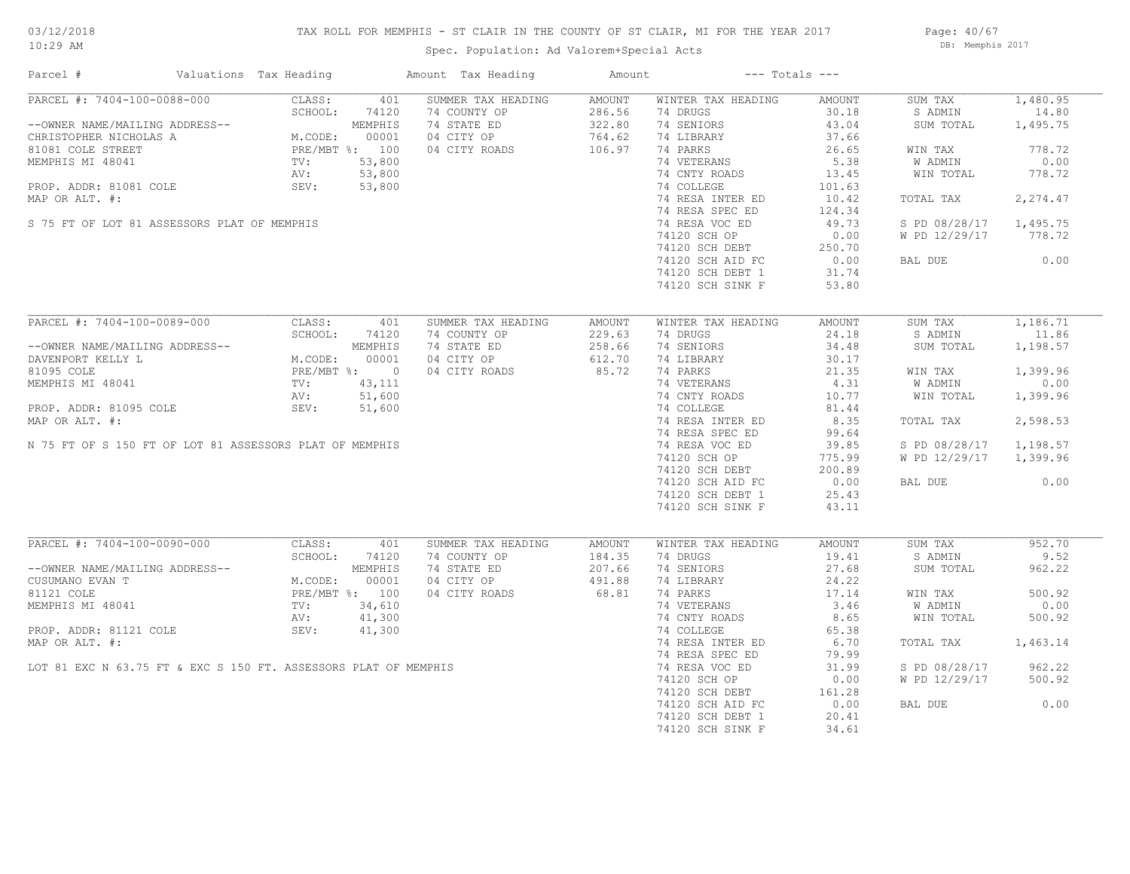## TAX ROLL FOR MEMPHIS - ST CLAIR IN THE COUNTY OF ST CLAIR, MI FOR THE YEAR 2017

Spec. Population: Ad Valorem+Special Acts

Page: 40/67 DB: Memphis 2017

| Parcel #                                                        | Valuations Tax Heading                    |                | Amount Tax Heading | Amount |                    | $---$ Totals $---$ |                |          |
|-----------------------------------------------------------------|-------------------------------------------|----------------|--------------------|--------|--------------------|--------------------|----------------|----------|
| PARCEL #: 7404-100-0088-000                                     | CLASS:                                    | 401            | SUMMER TAX HEADING | AMOUNT | WINTER TAX HEADING | AMOUNT             | SUM TAX        | 1,480.95 |
|                                                                 | SCHOOL:                                   | 74120          | 74 COUNTY OP       | 286.56 | 74 DRUGS           | 30.18              | S ADMIN        | 14.80    |
| --OWNER NAME/MAILING ADDRESS--                                  |                                           | MEMPHIS        | 74 STATE ED        | 322.80 | 74 SENIORS         | 43.04              | SUM TOTAL      | 1,495.75 |
| CHRISTOPHER NICHOLAS A                                          | M.CODE: USS<br>PRE/MBT %: 100<br>- 53,800 |                | 04 CITY OP         | 764.62 | 74 LIBRARY         | 37.66              |                |          |
| 81081 COLE STREET                                               |                                           |                | 04 CITY ROADS      | 106.97 | 74 PARKS           | 26.65              | WIN TAX        | 778.72   |
| MEMPHIS MI 48041                                                |                                           |                |                    |        | 74 VETERANS        | 5.38               | <b>W ADMIN</b> | 0.00     |
|                                                                 | AV:                                       | 53,800         |                    |        | 74 CNTY ROADS      | 13.45              | WIN TOTAL      | 778.72   |
| PROP. ADDR: 81081 COLE                                          | SEV:                                      | 53,800         |                    |        | 74 COLLEGE         | 101.63             |                |          |
| MAP OR ALT. #:                                                  |                                           |                |                    |        | 74 RESA INTER ED   | 10.42              | TOTAL TAX      | 2,274.47 |
|                                                                 |                                           |                |                    |        | 74 RESA SPEC ED    | 124.34             |                |          |
| S 75 FT OF LOT 81 ASSESSORS PLAT OF MEMPHIS                     |                                           |                |                    |        | 74 RESA VOC ED     | 49.73              | S PD 08/28/17  | 1,495.75 |
|                                                                 |                                           |                |                    |        | 74120 SCH OP       | 0.00               | W PD 12/29/17  | 778.72   |
|                                                                 |                                           |                |                    |        | 74120 SCH DEBT     | 250.70             |                |          |
|                                                                 |                                           |                |                    |        | 74120 SCH AID FC   | 0.00               | BAL DUE        | 0.00     |
|                                                                 |                                           |                |                    |        | 74120 SCH DEBT 1   | 31.74              |                |          |
|                                                                 |                                           |                |                    |        | 74120 SCH SINK F   | 53.80              |                |          |
|                                                                 |                                           |                |                    |        |                    |                    |                |          |
| PARCEL #: 7404-100-0089-000                                     | CLASS:                                    | 401            | SUMMER TAX HEADING | AMOUNT | WINTER TAX HEADING | AMOUNT             | SUM TAX        | 1,186.71 |
|                                                                 | SCHOOL:                                   | 74120          | 74 COUNTY OP       | 229.63 | 74 DRUGS           | 24.18              | S ADMIN        | 11.86    |
| --OWNER NAME/MAILING ADDRESS--                                  |                                           | MEMPHIS        | 74 STATE ED        | 258.66 | 74 SENIORS         | 34.48              | SUM TOTAL      | 1,198.57 |
| DAVENPORT KELLY L                                               | M.CODE:                                   | 00001          | 04 CITY OP         | 612.70 | 74 LIBRARY         | 30.17              |                |          |
|                                                                 |                                           | PRE/MBT %: 0   |                    | 85.72  |                    |                    |                |          |
| 81095 COLE                                                      |                                           |                | 04 CITY ROADS      |        | 74 PARKS           | 21.35              | WIN TAX        | 1,399.96 |
| MEMPHIS MI 48041                                                | TV:                                       | 43,111         |                    |        | 74 VETERANS        | 4.31               | W ADMIN        | 0.00     |
|                                                                 | AV:                                       | 51,600         |                    |        | 74 CNTY ROADS      | 10.77              | WIN TOTAL      | 1,399.96 |
| PROP. ADDR: 81095 COLE                                          | SEV:                                      | 51,600         |                    |        | 74 COLLEGE         | 81.44              |                |          |
| MAP OR ALT. #:                                                  |                                           |                |                    |        | 74 RESA INTER ED   | 8.35               | TOTAL TAX      | 2,598.53 |
|                                                                 |                                           |                |                    |        | 74 RESA SPEC ED    | 99.64              |                |          |
| N 75 FT OF S 150 FT OF LOT 81 ASSESSORS PLAT OF MEMPHIS         |                                           |                |                    |        | 74 RESA VOC ED     | 39.85              | S PD 08/28/17  | 1,198.57 |
|                                                                 |                                           |                |                    |        | 74120 SCH OP       | 775.99             | W PD 12/29/17  | 1,399.96 |
|                                                                 |                                           |                |                    |        | 74120 SCH DEBT     | 200.89             |                |          |
|                                                                 |                                           |                |                    |        | 74120 SCH AID FC   | 0.00               | BAL DUE        | 0.00     |
|                                                                 |                                           |                |                    |        | 74120 SCH DEBT 1   | 25.43              |                |          |
|                                                                 |                                           |                |                    |        | 74120 SCH SINK F   | 43.11              |                |          |
|                                                                 |                                           |                |                    |        |                    |                    |                |          |
| PARCEL #: 7404-100-0090-000                                     | CLASS:                                    | 401            | SUMMER TAX HEADING | AMOUNT | WINTER TAX HEADING | AMOUNT             | SUM TAX        | 952.70   |
|                                                                 | SCHOOL:                                   | 74120          | 74 COUNTY OP       | 184.35 | 74 DRUGS           | 19.41              | S ADMIN        | 9.52     |
| --OWNER NAME/MAILING ADDRESS--                                  |                                           | MEMPHIS        | 74 STATE ED        | 207.66 | 74 SENIORS         | 27.68              | SUM TOTAL      | 962.22   |
| CUSUMANO EVAN T                                                 | M.CODE:                                   | 00001          | 04 CITY OP         | 491.88 | 74 LIBRARY         | 24.22              |                |          |
| 81121 COLE                                                      |                                           | PRE/MBT %: 100 | 04 CITY ROADS      | 68.81  | 74 PARKS           | 17.14              | WIN TAX        | 500.92   |
| MEMPHIS MI 48041                                                | TV:                                       | 34,610         |                    |        | 74 VETERANS        | 3.46               | W ADMIN        | 0.00     |
|                                                                 | AV:                                       | 41,300         |                    |        | 74 CNTY ROADS      | 8.65               | WIN TOTAL      | 500.92   |
| PROP. ADDR: 81121 COLE                                          | SEV:                                      | 41,300         |                    |        | 74 COLLEGE         | 65.38              |                |          |
| MAP OR ALT. #:                                                  |                                           |                |                    |        | 74 RESA INTER ED   | 6.70               | TOTAL TAX      | 1,463.14 |
|                                                                 |                                           |                |                    |        | 74 RESA SPEC ED    | 79.99              |                |          |
| LOT 81 EXC N 63.75 FT & EXC S 150 FT. ASSESSORS PLAT OF MEMPHIS |                                           |                |                    |        | 74 RESA VOC ED     | 31.99              | S PD 08/28/17  | 962.22   |
|                                                                 |                                           |                |                    |        | 74120 SCH OP       | 0.00               | W PD 12/29/17  | 500.92   |
|                                                                 |                                           |                |                    |        | 74120 SCH DEBT     | 161.28             |                |          |
|                                                                 |                                           |                |                    |        |                    | 0.00               | BAL DUE        | 0.00     |
|                                                                 |                                           |                |                    |        | 74120 SCH AID FC   |                    |                |          |
|                                                                 |                                           |                |                    |        | 74120 SCH DEBT 1   | 20.41              |                |          |
|                                                                 |                                           |                |                    |        | 74120 SCH SINK F   | 34.61              |                |          |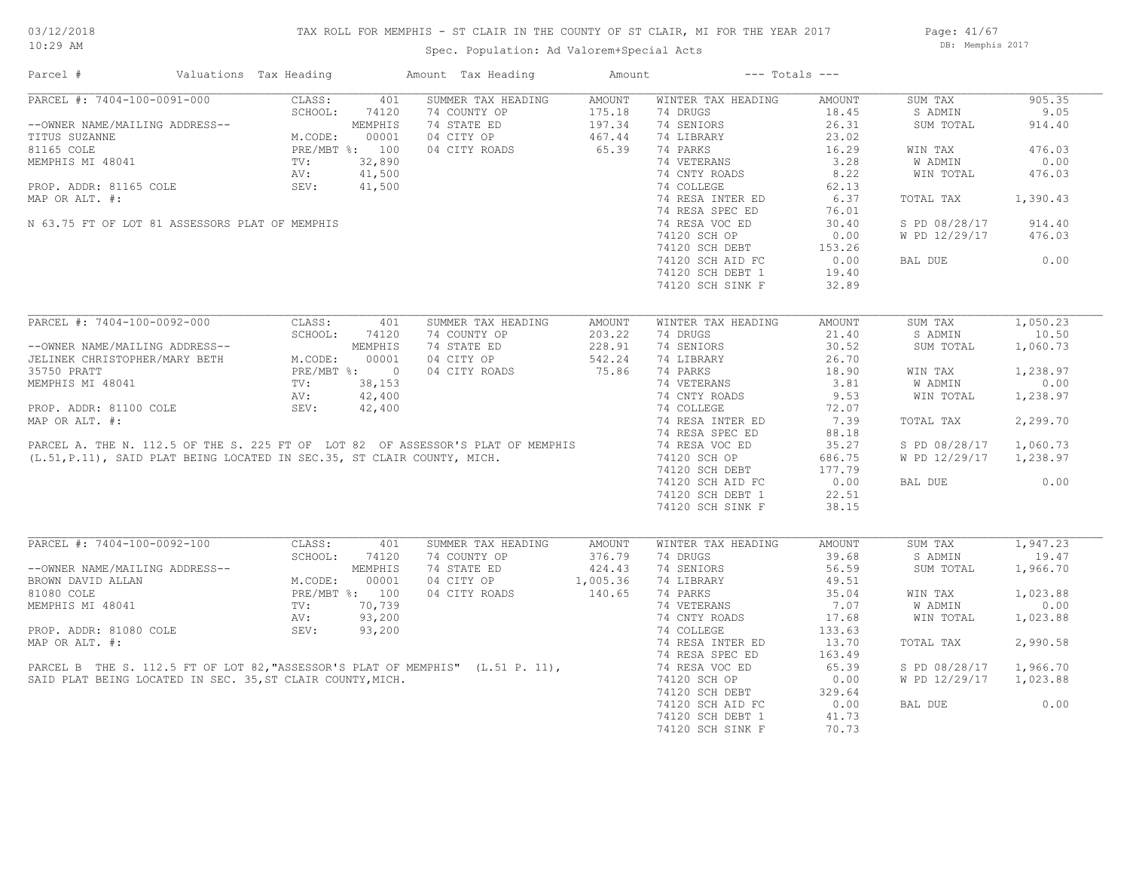Page: 41/67 DB: Memphis 2017

| PARCEL #: 7404-100-0091-000<br>CLASS:<br>SUMMER TAX HEADING<br>WINTER TAX HEADING<br>905.35<br>401<br>AMOUNT<br>AMOUNT<br>SUM TAX<br>74 DRUGS<br>18.45<br>9.05<br>SCHOOL:<br>74120<br>74 COUNTY OP 175.18<br>74 STATE ED 197.34<br>04 CITY OP 467.44<br>S ADMIN<br>74 SENIORS<br>26.31<br>--OWNER NAME/MAILING ADDRESS--<br>TITUS SUZANNE<br>TITUS SUZANNE<br>SULCE PRE/MBT %: 100<br>MEMPHIS MI 48041<br>PROP. ADDR: 81165 COLE PRE/MBT %: 100<br>PROP. ADDR: 81165 COLE SEV: 41,500<br>MAR OR ALLE SEV: 41,500<br>SUM TOTAL<br>914.40<br>74 LIBRARY<br>23.02<br>65.39<br>74 PARKS<br>16.29<br>476.03<br>04 CITY ROADS<br>WIN TAX<br>74 VETERANS<br>3.28<br><b>W ADMIN</b><br>0.00<br>$41,500$<br>$41,500$<br>74 CNTY ROADS<br>8.22<br>WIN TOTAL<br>476.03<br>74 COLLEGE<br>62.13<br>MAP OR ALT. #:<br>74 RESA INTER ED<br>6.37<br>1,390.43<br>TOTAL TAX<br>74 RESA SPEC ED<br>76.01<br>N 63.75 FT OF LOT 81 ASSESSORS PLAT OF MEMPHIS<br>74 RESA VOC ED<br>S PD 08/28/17<br>30.40<br>914.40<br>74120 SCH OP<br>0.00<br>W PD 12/29/17<br>476.03<br>74120 SCH DEBT<br>74120 SCH AID FC<br>153.26<br>0.00<br>74120 SCH AID FC<br>0.00<br>BAL DUE<br>74120 SCH DEBT 1<br>19.40<br>74120 SCH SINK F<br>32.89<br>PARCEL #: 7404-100-0092-000<br>1,050.23<br>CLASS:<br>401<br>SUMMER TAX HEADING<br>WINTER TAX HEADING<br>AMOUNT<br>SUM TAX<br>AMOUNT<br>SCHOOL:<br>74 COUNTY OP<br>74 DRUGS<br>21.40<br>S ADMIN<br>10.50<br>74120<br>203.22<br>203.22<br>228.91<br>542.24<br>75.86<br>--OWNER NAME/MAILING ADDRESS--<br>JELINEK CHRISTOPHER/MARY BETH M.CODE: 00001<br>35750 PRATT PRE/MBT %: 0<br>MEMPHIS MI 48041 TV: 38,153<br>PROP. ADDR: 81100 COLE SEV: 42,400<br>PROP. ADDR: 81100 COLE SEV: 42,400<br>74 STATE ED<br>74 SENIORS<br>30.52<br>1,060.73<br>SUM TOTAL<br>04 CITY OP<br>74 LIBRARY<br>26.70<br>18.90<br>1,238.97<br>WIN TAX<br>74 VETERANS<br>3.81<br>W ADMIN<br>0.00<br>9.53<br>1,238.97<br>WIN TOTAL<br>72.07<br>7.39<br>2,299.70<br>TOTAL TAX<br>88.18<br>35.27<br>S PD 08/28/17 1,060.73<br>686.75<br>W PD 12/29/17 1,238.97<br>74120 SCH DEBT<br>177.79<br>0.00<br>0.00<br>BAL DUE<br>22.51<br>38.15<br>1,947.23<br>SUMMER TAX HEADING<br>WINTER TAX HEADING<br>AMOUNT<br>SUM TAX<br>AMOUNT<br>74 COUNTY OP<br>74 DRUGS<br>39.68<br>S ADMIN<br>19.47<br>376.79<br>74 STATE ED<br>424.43<br>74 SENIORS<br>56.59<br>SUM TOTAL<br>1,966.70<br>04 CITY OP 1,005.36<br>04 CITY ROADS 140.65<br>74 LIBRARY<br>49.51<br>74 PARKS<br>35.04<br>1,023.88<br>WIN TAX<br>0.00<br>74 VETERANS<br>7.07<br>W ADMIN<br>SEV: 93,200<br>PARCEL B THE S. 112.5 FT OF LOT 82, "ASSESSOR'S PLAT OF MEMPHIS" (L.51 P. 11),<br>SAID PLAT BEING LOCATED IN SEC. 35, ST CLAIR COUNTY, MICH.<br>74 CNTY ROADS<br>17.68<br>WIN TOTAL<br>1,023.88<br>74 COLLEGE<br>133.63<br>2,990.58<br>74 RESA INTER ED<br>13.70<br>TOTAL TAX<br>74 RESA SPEC ED<br>163.49<br>74 RESA VOC ED<br>65.39<br>S PD 08/28/17 1,966.70<br>74120 SCH OP<br>W PD 12/29/17 1,023.88<br>0.00<br>74120 SCH DEBT<br>329.64<br>BAL DUE<br>0.00<br>74120 SCH AID FC<br>0.00<br>74120 SCH DEBT 1<br>41.73<br>74120 SCH SINK F<br>70.73 | Parcel # | Valuations Tax Heading | Amount Tax Heading | Amount | $---$ Totals $---$ |  |  |
|--------------------------------------------------------------------------------------------------------------------------------------------------------------------------------------------------------------------------------------------------------------------------------------------------------------------------------------------------------------------------------------------------------------------------------------------------------------------------------------------------------------------------------------------------------------------------------------------------------------------------------------------------------------------------------------------------------------------------------------------------------------------------------------------------------------------------------------------------------------------------------------------------------------------------------------------------------------------------------------------------------------------------------------------------------------------------------------------------------------------------------------------------------------------------------------------------------------------------------------------------------------------------------------------------------------------------------------------------------------------------------------------------------------------------------------------------------------------------------------------------------------------------------------------------------------------------------------------------------------------------------------------------------------------------------------------------------------------------------------------------------------------------------------------------------------------------------------------------------------------------------------------------------------------------------------------------------------------------------------------------------------------------------------------------------------------------------------------------------------------------------------------------------------------------------------------------------------------------------------------------------------------------------------------------------------------------------------------------------------------------------------------------------------------------------------------------------------------------------------------------------------------------------------------------------------------------------------------------------------------------------------------------------------------------------------------------------------------------------------------------------------------------------------------------------------------------------------------------------------------------------------------------------------------------------------------------------------------------------------------------------------------------------------------------------------------------------------------------|----------|------------------------|--------------------|--------|--------------------|--|--|
|                                                                                                                                                                                                                                                                                                                                                                                                                                                                                                                                                                                                                                                                                                                                                                                                                                                                                                                                                                                                                                                                                                                                                                                                                                                                                                                                                                                                                                                                                                                                                                                                                                                                                                                                                                                                                                                                                                                                                                                                                                                                                                                                                                                                                                                                                                                                                                                                                                                                                                                                                                                                                                                                                                                                                                                                                                                                                                                                                                                                                                                                                                  |          |                        |                    |        |                    |  |  |
|                                                                                                                                                                                                                                                                                                                                                                                                                                                                                                                                                                                                                                                                                                                                                                                                                                                                                                                                                                                                                                                                                                                                                                                                                                                                                                                                                                                                                                                                                                                                                                                                                                                                                                                                                                                                                                                                                                                                                                                                                                                                                                                                                                                                                                                                                                                                                                                                                                                                                                                                                                                                                                                                                                                                                                                                                                                                                                                                                                                                                                                                                                  |          |                        |                    |        |                    |  |  |
|                                                                                                                                                                                                                                                                                                                                                                                                                                                                                                                                                                                                                                                                                                                                                                                                                                                                                                                                                                                                                                                                                                                                                                                                                                                                                                                                                                                                                                                                                                                                                                                                                                                                                                                                                                                                                                                                                                                                                                                                                                                                                                                                                                                                                                                                                                                                                                                                                                                                                                                                                                                                                                                                                                                                                                                                                                                                                                                                                                                                                                                                                                  |          |                        |                    |        |                    |  |  |
|                                                                                                                                                                                                                                                                                                                                                                                                                                                                                                                                                                                                                                                                                                                                                                                                                                                                                                                                                                                                                                                                                                                                                                                                                                                                                                                                                                                                                                                                                                                                                                                                                                                                                                                                                                                                                                                                                                                                                                                                                                                                                                                                                                                                                                                                                                                                                                                                                                                                                                                                                                                                                                                                                                                                                                                                                                                                                                                                                                                                                                                                                                  |          |                        |                    |        |                    |  |  |
|                                                                                                                                                                                                                                                                                                                                                                                                                                                                                                                                                                                                                                                                                                                                                                                                                                                                                                                                                                                                                                                                                                                                                                                                                                                                                                                                                                                                                                                                                                                                                                                                                                                                                                                                                                                                                                                                                                                                                                                                                                                                                                                                                                                                                                                                                                                                                                                                                                                                                                                                                                                                                                                                                                                                                                                                                                                                                                                                                                                                                                                                                                  |          |                        |                    |        |                    |  |  |
|                                                                                                                                                                                                                                                                                                                                                                                                                                                                                                                                                                                                                                                                                                                                                                                                                                                                                                                                                                                                                                                                                                                                                                                                                                                                                                                                                                                                                                                                                                                                                                                                                                                                                                                                                                                                                                                                                                                                                                                                                                                                                                                                                                                                                                                                                                                                                                                                                                                                                                                                                                                                                                                                                                                                                                                                                                                                                                                                                                                                                                                                                                  |          |                        |                    |        |                    |  |  |
|                                                                                                                                                                                                                                                                                                                                                                                                                                                                                                                                                                                                                                                                                                                                                                                                                                                                                                                                                                                                                                                                                                                                                                                                                                                                                                                                                                                                                                                                                                                                                                                                                                                                                                                                                                                                                                                                                                                                                                                                                                                                                                                                                                                                                                                                                                                                                                                                                                                                                                                                                                                                                                                                                                                                                                                                                                                                                                                                                                                                                                                                                                  |          |                        |                    |        |                    |  |  |
|                                                                                                                                                                                                                                                                                                                                                                                                                                                                                                                                                                                                                                                                                                                                                                                                                                                                                                                                                                                                                                                                                                                                                                                                                                                                                                                                                                                                                                                                                                                                                                                                                                                                                                                                                                                                                                                                                                                                                                                                                                                                                                                                                                                                                                                                                                                                                                                                                                                                                                                                                                                                                                                                                                                                                                                                                                                                                                                                                                                                                                                                                                  |          |                        |                    |        |                    |  |  |
|                                                                                                                                                                                                                                                                                                                                                                                                                                                                                                                                                                                                                                                                                                                                                                                                                                                                                                                                                                                                                                                                                                                                                                                                                                                                                                                                                                                                                                                                                                                                                                                                                                                                                                                                                                                                                                                                                                                                                                                                                                                                                                                                                                                                                                                                                                                                                                                                                                                                                                                                                                                                                                                                                                                                                                                                                                                                                                                                                                                                                                                                                                  |          |                        |                    |        |                    |  |  |
|                                                                                                                                                                                                                                                                                                                                                                                                                                                                                                                                                                                                                                                                                                                                                                                                                                                                                                                                                                                                                                                                                                                                                                                                                                                                                                                                                                                                                                                                                                                                                                                                                                                                                                                                                                                                                                                                                                                                                                                                                                                                                                                                                                                                                                                                                                                                                                                                                                                                                                                                                                                                                                                                                                                                                                                                                                                                                                                                                                                                                                                                                                  |          |                        |                    |        |                    |  |  |
|                                                                                                                                                                                                                                                                                                                                                                                                                                                                                                                                                                                                                                                                                                                                                                                                                                                                                                                                                                                                                                                                                                                                                                                                                                                                                                                                                                                                                                                                                                                                                                                                                                                                                                                                                                                                                                                                                                                                                                                                                                                                                                                                                                                                                                                                                                                                                                                                                                                                                                                                                                                                                                                                                                                                                                                                                                                                                                                                                                                                                                                                                                  |          |                        |                    |        |                    |  |  |
|                                                                                                                                                                                                                                                                                                                                                                                                                                                                                                                                                                                                                                                                                                                                                                                                                                                                                                                                                                                                                                                                                                                                                                                                                                                                                                                                                                                                                                                                                                                                                                                                                                                                                                                                                                                                                                                                                                                                                                                                                                                                                                                                                                                                                                                                                                                                                                                                                                                                                                                                                                                                                                                                                                                                                                                                                                                                                                                                                                                                                                                                                                  |          |                        |                    |        |                    |  |  |
|                                                                                                                                                                                                                                                                                                                                                                                                                                                                                                                                                                                                                                                                                                                                                                                                                                                                                                                                                                                                                                                                                                                                                                                                                                                                                                                                                                                                                                                                                                                                                                                                                                                                                                                                                                                                                                                                                                                                                                                                                                                                                                                                                                                                                                                                                                                                                                                                                                                                                                                                                                                                                                                                                                                                                                                                                                                                                                                                                                                                                                                                                                  |          |                        |                    |        |                    |  |  |
|                                                                                                                                                                                                                                                                                                                                                                                                                                                                                                                                                                                                                                                                                                                                                                                                                                                                                                                                                                                                                                                                                                                                                                                                                                                                                                                                                                                                                                                                                                                                                                                                                                                                                                                                                                                                                                                                                                                                                                                                                                                                                                                                                                                                                                                                                                                                                                                                                                                                                                                                                                                                                                                                                                                                                                                                                                                                                                                                                                                                                                                                                                  |          |                        |                    |        |                    |  |  |
|                                                                                                                                                                                                                                                                                                                                                                                                                                                                                                                                                                                                                                                                                                                                                                                                                                                                                                                                                                                                                                                                                                                                                                                                                                                                                                                                                                                                                                                                                                                                                                                                                                                                                                                                                                                                                                                                                                                                                                                                                                                                                                                                                                                                                                                                                                                                                                                                                                                                                                                                                                                                                                                                                                                                                                                                                                                                                                                                                                                                                                                                                                  |          |                        |                    |        |                    |  |  |
|                                                                                                                                                                                                                                                                                                                                                                                                                                                                                                                                                                                                                                                                                                                                                                                                                                                                                                                                                                                                                                                                                                                                                                                                                                                                                                                                                                                                                                                                                                                                                                                                                                                                                                                                                                                                                                                                                                                                                                                                                                                                                                                                                                                                                                                                                                                                                                                                                                                                                                                                                                                                                                                                                                                                                                                                                                                                                                                                                                                                                                                                                                  |          |                        |                    |        |                    |  |  |
|                                                                                                                                                                                                                                                                                                                                                                                                                                                                                                                                                                                                                                                                                                                                                                                                                                                                                                                                                                                                                                                                                                                                                                                                                                                                                                                                                                                                                                                                                                                                                                                                                                                                                                                                                                                                                                                                                                                                                                                                                                                                                                                                                                                                                                                                                                                                                                                                                                                                                                                                                                                                                                                                                                                                                                                                                                                                                                                                                                                                                                                                                                  |          |                        |                    |        |                    |  |  |
|                                                                                                                                                                                                                                                                                                                                                                                                                                                                                                                                                                                                                                                                                                                                                                                                                                                                                                                                                                                                                                                                                                                                                                                                                                                                                                                                                                                                                                                                                                                                                                                                                                                                                                                                                                                                                                                                                                                                                                                                                                                                                                                                                                                                                                                                                                                                                                                                                                                                                                                                                                                                                                                                                                                                                                                                                                                                                                                                                                                                                                                                                                  |          |                        |                    |        |                    |  |  |
|                                                                                                                                                                                                                                                                                                                                                                                                                                                                                                                                                                                                                                                                                                                                                                                                                                                                                                                                                                                                                                                                                                                                                                                                                                                                                                                                                                                                                                                                                                                                                                                                                                                                                                                                                                                                                                                                                                                                                                                                                                                                                                                                                                                                                                                                                                                                                                                                                                                                                                                                                                                                                                                                                                                                                                                                                                                                                                                                                                                                                                                                                                  |          |                        |                    |        |                    |  |  |
|                                                                                                                                                                                                                                                                                                                                                                                                                                                                                                                                                                                                                                                                                                                                                                                                                                                                                                                                                                                                                                                                                                                                                                                                                                                                                                                                                                                                                                                                                                                                                                                                                                                                                                                                                                                                                                                                                                                                                                                                                                                                                                                                                                                                                                                                                                                                                                                                                                                                                                                                                                                                                                                                                                                                                                                                                                                                                                                                                                                                                                                                                                  |          |                        |                    |        |                    |  |  |
|                                                                                                                                                                                                                                                                                                                                                                                                                                                                                                                                                                                                                                                                                                                                                                                                                                                                                                                                                                                                                                                                                                                                                                                                                                                                                                                                                                                                                                                                                                                                                                                                                                                                                                                                                                                                                                                                                                                                                                                                                                                                                                                                                                                                                                                                                                                                                                                                                                                                                                                                                                                                                                                                                                                                                                                                                                                                                                                                                                                                                                                                                                  |          |                        |                    |        |                    |  |  |
|                                                                                                                                                                                                                                                                                                                                                                                                                                                                                                                                                                                                                                                                                                                                                                                                                                                                                                                                                                                                                                                                                                                                                                                                                                                                                                                                                                                                                                                                                                                                                                                                                                                                                                                                                                                                                                                                                                                                                                                                                                                                                                                                                                                                                                                                                                                                                                                                                                                                                                                                                                                                                                                                                                                                                                                                                                                                                                                                                                                                                                                                                                  |          |                        |                    |        |                    |  |  |
|                                                                                                                                                                                                                                                                                                                                                                                                                                                                                                                                                                                                                                                                                                                                                                                                                                                                                                                                                                                                                                                                                                                                                                                                                                                                                                                                                                                                                                                                                                                                                                                                                                                                                                                                                                                                                                                                                                                                                                                                                                                                                                                                                                                                                                                                                                                                                                                                                                                                                                                                                                                                                                                                                                                                                                                                                                                                                                                                                                                                                                                                                                  |          |                        |                    |        |                    |  |  |
|                                                                                                                                                                                                                                                                                                                                                                                                                                                                                                                                                                                                                                                                                                                                                                                                                                                                                                                                                                                                                                                                                                                                                                                                                                                                                                                                                                                                                                                                                                                                                                                                                                                                                                                                                                                                                                                                                                                                                                                                                                                                                                                                                                                                                                                                                                                                                                                                                                                                                                                                                                                                                                                                                                                                                                                                                                                                                                                                                                                                                                                                                                  |          |                        |                    |        |                    |  |  |
|                                                                                                                                                                                                                                                                                                                                                                                                                                                                                                                                                                                                                                                                                                                                                                                                                                                                                                                                                                                                                                                                                                                                                                                                                                                                                                                                                                                                                                                                                                                                                                                                                                                                                                                                                                                                                                                                                                                                                                                                                                                                                                                                                                                                                                                                                                                                                                                                                                                                                                                                                                                                                                                                                                                                                                                                                                                                                                                                                                                                                                                                                                  |          |                        |                    |        |                    |  |  |
|                                                                                                                                                                                                                                                                                                                                                                                                                                                                                                                                                                                                                                                                                                                                                                                                                                                                                                                                                                                                                                                                                                                                                                                                                                                                                                                                                                                                                                                                                                                                                                                                                                                                                                                                                                                                                                                                                                                                                                                                                                                                                                                                                                                                                                                                                                                                                                                                                                                                                                                                                                                                                                                                                                                                                                                                                                                                                                                                                                                                                                                                                                  |          |                        |                    |        |                    |  |  |
|                                                                                                                                                                                                                                                                                                                                                                                                                                                                                                                                                                                                                                                                                                                                                                                                                                                                                                                                                                                                                                                                                                                                                                                                                                                                                                                                                                                                                                                                                                                                                                                                                                                                                                                                                                                                                                                                                                                                                                                                                                                                                                                                                                                                                                                                                                                                                                                                                                                                                                                                                                                                                                                                                                                                                                                                                                                                                                                                                                                                                                                                                                  |          |                        |                    |        |                    |  |  |
|                                                                                                                                                                                                                                                                                                                                                                                                                                                                                                                                                                                                                                                                                                                                                                                                                                                                                                                                                                                                                                                                                                                                                                                                                                                                                                                                                                                                                                                                                                                                                                                                                                                                                                                                                                                                                                                                                                                                                                                                                                                                                                                                                                                                                                                                                                                                                                                                                                                                                                                                                                                                                                                                                                                                                                                                                                                                                                                                                                                                                                                                                                  |          |                        |                    |        |                    |  |  |
|                                                                                                                                                                                                                                                                                                                                                                                                                                                                                                                                                                                                                                                                                                                                                                                                                                                                                                                                                                                                                                                                                                                                                                                                                                                                                                                                                                                                                                                                                                                                                                                                                                                                                                                                                                                                                                                                                                                                                                                                                                                                                                                                                                                                                                                                                                                                                                                                                                                                                                                                                                                                                                                                                                                                                                                                                                                                                                                                                                                                                                                                                                  |          |                        |                    |        |                    |  |  |
|                                                                                                                                                                                                                                                                                                                                                                                                                                                                                                                                                                                                                                                                                                                                                                                                                                                                                                                                                                                                                                                                                                                                                                                                                                                                                                                                                                                                                                                                                                                                                                                                                                                                                                                                                                                                                                                                                                                                                                                                                                                                                                                                                                                                                                                                                                                                                                                                                                                                                                                                                                                                                                                                                                                                                                                                                                                                                                                                                                                                                                                                                                  |          |                        |                    |        |                    |  |  |
|                                                                                                                                                                                                                                                                                                                                                                                                                                                                                                                                                                                                                                                                                                                                                                                                                                                                                                                                                                                                                                                                                                                                                                                                                                                                                                                                                                                                                                                                                                                                                                                                                                                                                                                                                                                                                                                                                                                                                                                                                                                                                                                                                                                                                                                                                                                                                                                                                                                                                                                                                                                                                                                                                                                                                                                                                                                                                                                                                                                                                                                                                                  |          |                        |                    |        |                    |  |  |
|                                                                                                                                                                                                                                                                                                                                                                                                                                                                                                                                                                                                                                                                                                                                                                                                                                                                                                                                                                                                                                                                                                                                                                                                                                                                                                                                                                                                                                                                                                                                                                                                                                                                                                                                                                                                                                                                                                                                                                                                                                                                                                                                                                                                                                                                                                                                                                                                                                                                                                                                                                                                                                                                                                                                                                                                                                                                                                                                                                                                                                                                                                  |          |                        |                    |        |                    |  |  |
|                                                                                                                                                                                                                                                                                                                                                                                                                                                                                                                                                                                                                                                                                                                                                                                                                                                                                                                                                                                                                                                                                                                                                                                                                                                                                                                                                                                                                                                                                                                                                                                                                                                                                                                                                                                                                                                                                                                                                                                                                                                                                                                                                                                                                                                                                                                                                                                                                                                                                                                                                                                                                                                                                                                                                                                                                                                                                                                                                                                                                                                                                                  |          |                        |                    |        |                    |  |  |
|                                                                                                                                                                                                                                                                                                                                                                                                                                                                                                                                                                                                                                                                                                                                                                                                                                                                                                                                                                                                                                                                                                                                                                                                                                                                                                                                                                                                                                                                                                                                                                                                                                                                                                                                                                                                                                                                                                                                                                                                                                                                                                                                                                                                                                                                                                                                                                                                                                                                                                                                                                                                                                                                                                                                                                                                                                                                                                                                                                                                                                                                                                  |          |                        |                    |        |                    |  |  |
|                                                                                                                                                                                                                                                                                                                                                                                                                                                                                                                                                                                                                                                                                                                                                                                                                                                                                                                                                                                                                                                                                                                                                                                                                                                                                                                                                                                                                                                                                                                                                                                                                                                                                                                                                                                                                                                                                                                                                                                                                                                                                                                                                                                                                                                                                                                                                                                                                                                                                                                                                                                                                                                                                                                                                                                                                                                                                                                                                                                                                                                                                                  |          |                        |                    |        |                    |  |  |
|                                                                                                                                                                                                                                                                                                                                                                                                                                                                                                                                                                                                                                                                                                                                                                                                                                                                                                                                                                                                                                                                                                                                                                                                                                                                                                                                                                                                                                                                                                                                                                                                                                                                                                                                                                                                                                                                                                                                                                                                                                                                                                                                                                                                                                                                                                                                                                                                                                                                                                                                                                                                                                                                                                                                                                                                                                                                                                                                                                                                                                                                                                  |          |                        |                    |        |                    |  |  |
|                                                                                                                                                                                                                                                                                                                                                                                                                                                                                                                                                                                                                                                                                                                                                                                                                                                                                                                                                                                                                                                                                                                                                                                                                                                                                                                                                                                                                                                                                                                                                                                                                                                                                                                                                                                                                                                                                                                                                                                                                                                                                                                                                                                                                                                                                                                                                                                                                                                                                                                                                                                                                                                                                                                                                                                                                                                                                                                                                                                                                                                                                                  |          |                        |                    |        |                    |  |  |
|                                                                                                                                                                                                                                                                                                                                                                                                                                                                                                                                                                                                                                                                                                                                                                                                                                                                                                                                                                                                                                                                                                                                                                                                                                                                                                                                                                                                                                                                                                                                                                                                                                                                                                                                                                                                                                                                                                                                                                                                                                                                                                                                                                                                                                                                                                                                                                                                                                                                                                                                                                                                                                                                                                                                                                                                                                                                                                                                                                                                                                                                                                  |          |                        |                    |        |                    |  |  |
|                                                                                                                                                                                                                                                                                                                                                                                                                                                                                                                                                                                                                                                                                                                                                                                                                                                                                                                                                                                                                                                                                                                                                                                                                                                                                                                                                                                                                                                                                                                                                                                                                                                                                                                                                                                                                                                                                                                                                                                                                                                                                                                                                                                                                                                                                                                                                                                                                                                                                                                                                                                                                                                                                                                                                                                                                                                                                                                                                                                                                                                                                                  |          |                        |                    |        |                    |  |  |
|                                                                                                                                                                                                                                                                                                                                                                                                                                                                                                                                                                                                                                                                                                                                                                                                                                                                                                                                                                                                                                                                                                                                                                                                                                                                                                                                                                                                                                                                                                                                                                                                                                                                                                                                                                                                                                                                                                                                                                                                                                                                                                                                                                                                                                                                                                                                                                                                                                                                                                                                                                                                                                                                                                                                                                                                                                                                                                                                                                                                                                                                                                  |          |                        |                    |        |                    |  |  |
|                                                                                                                                                                                                                                                                                                                                                                                                                                                                                                                                                                                                                                                                                                                                                                                                                                                                                                                                                                                                                                                                                                                                                                                                                                                                                                                                                                                                                                                                                                                                                                                                                                                                                                                                                                                                                                                                                                                                                                                                                                                                                                                                                                                                                                                                                                                                                                                                                                                                                                                                                                                                                                                                                                                                                                                                                                                                                                                                                                                                                                                                                                  |          |                        |                    |        |                    |  |  |
|                                                                                                                                                                                                                                                                                                                                                                                                                                                                                                                                                                                                                                                                                                                                                                                                                                                                                                                                                                                                                                                                                                                                                                                                                                                                                                                                                                                                                                                                                                                                                                                                                                                                                                                                                                                                                                                                                                                                                                                                                                                                                                                                                                                                                                                                                                                                                                                                                                                                                                                                                                                                                                                                                                                                                                                                                                                                                                                                                                                                                                                                                                  |          |                        |                    |        |                    |  |  |
|                                                                                                                                                                                                                                                                                                                                                                                                                                                                                                                                                                                                                                                                                                                                                                                                                                                                                                                                                                                                                                                                                                                                                                                                                                                                                                                                                                                                                                                                                                                                                                                                                                                                                                                                                                                                                                                                                                                                                                                                                                                                                                                                                                                                                                                                                                                                                                                                                                                                                                                                                                                                                                                                                                                                                                                                                                                                                                                                                                                                                                                                                                  |          |                        |                    |        |                    |  |  |
|                                                                                                                                                                                                                                                                                                                                                                                                                                                                                                                                                                                                                                                                                                                                                                                                                                                                                                                                                                                                                                                                                                                                                                                                                                                                                                                                                                                                                                                                                                                                                                                                                                                                                                                                                                                                                                                                                                                                                                                                                                                                                                                                                                                                                                                                                                                                                                                                                                                                                                                                                                                                                                                                                                                                                                                                                                                                                                                                                                                                                                                                                                  |          |                        |                    |        |                    |  |  |
|                                                                                                                                                                                                                                                                                                                                                                                                                                                                                                                                                                                                                                                                                                                                                                                                                                                                                                                                                                                                                                                                                                                                                                                                                                                                                                                                                                                                                                                                                                                                                                                                                                                                                                                                                                                                                                                                                                                                                                                                                                                                                                                                                                                                                                                                                                                                                                                                                                                                                                                                                                                                                                                                                                                                                                                                                                                                                                                                                                                                                                                                                                  |          |                        |                    |        |                    |  |  |
|                                                                                                                                                                                                                                                                                                                                                                                                                                                                                                                                                                                                                                                                                                                                                                                                                                                                                                                                                                                                                                                                                                                                                                                                                                                                                                                                                                                                                                                                                                                                                                                                                                                                                                                                                                                                                                                                                                                                                                                                                                                                                                                                                                                                                                                                                                                                                                                                                                                                                                                                                                                                                                                                                                                                                                                                                                                                                                                                                                                                                                                                                                  |          |                        |                    |        |                    |  |  |
|                                                                                                                                                                                                                                                                                                                                                                                                                                                                                                                                                                                                                                                                                                                                                                                                                                                                                                                                                                                                                                                                                                                                                                                                                                                                                                                                                                                                                                                                                                                                                                                                                                                                                                                                                                                                                                                                                                                                                                                                                                                                                                                                                                                                                                                                                                                                                                                                                                                                                                                                                                                                                                                                                                                                                                                                                                                                                                                                                                                                                                                                                                  |          |                        |                    |        |                    |  |  |
|                                                                                                                                                                                                                                                                                                                                                                                                                                                                                                                                                                                                                                                                                                                                                                                                                                                                                                                                                                                                                                                                                                                                                                                                                                                                                                                                                                                                                                                                                                                                                                                                                                                                                                                                                                                                                                                                                                                                                                                                                                                                                                                                                                                                                                                                                                                                                                                                                                                                                                                                                                                                                                                                                                                                                                                                                                                                                                                                                                                                                                                                                                  |          |                        |                    |        |                    |  |  |
|                                                                                                                                                                                                                                                                                                                                                                                                                                                                                                                                                                                                                                                                                                                                                                                                                                                                                                                                                                                                                                                                                                                                                                                                                                                                                                                                                                                                                                                                                                                                                                                                                                                                                                                                                                                                                                                                                                                                                                                                                                                                                                                                                                                                                                                                                                                                                                                                                                                                                                                                                                                                                                                                                                                                                                                                                                                                                                                                                                                                                                                                                                  |          |                        |                    |        |                    |  |  |
|                                                                                                                                                                                                                                                                                                                                                                                                                                                                                                                                                                                                                                                                                                                                                                                                                                                                                                                                                                                                                                                                                                                                                                                                                                                                                                                                                                                                                                                                                                                                                                                                                                                                                                                                                                                                                                                                                                                                                                                                                                                                                                                                                                                                                                                                                                                                                                                                                                                                                                                                                                                                                                                                                                                                                                                                                                                                                                                                                                                                                                                                                                  |          |                        |                    |        |                    |  |  |
|                                                                                                                                                                                                                                                                                                                                                                                                                                                                                                                                                                                                                                                                                                                                                                                                                                                                                                                                                                                                                                                                                                                                                                                                                                                                                                                                                                                                                                                                                                                                                                                                                                                                                                                                                                                                                                                                                                                                                                                                                                                                                                                                                                                                                                                                                                                                                                                                                                                                                                                                                                                                                                                                                                                                                                                                                                                                                                                                                                                                                                                                                                  |          |                        |                    |        |                    |  |  |
|                                                                                                                                                                                                                                                                                                                                                                                                                                                                                                                                                                                                                                                                                                                                                                                                                                                                                                                                                                                                                                                                                                                                                                                                                                                                                                                                                                                                                                                                                                                                                                                                                                                                                                                                                                                                                                                                                                                                                                                                                                                                                                                                                                                                                                                                                                                                                                                                                                                                                                                                                                                                                                                                                                                                                                                                                                                                                                                                                                                                                                                                                                  |          |                        |                    |        |                    |  |  |
|                                                                                                                                                                                                                                                                                                                                                                                                                                                                                                                                                                                                                                                                                                                                                                                                                                                                                                                                                                                                                                                                                                                                                                                                                                                                                                                                                                                                                                                                                                                                                                                                                                                                                                                                                                                                                                                                                                                                                                                                                                                                                                                                                                                                                                                                                                                                                                                                                                                                                                                                                                                                                                                                                                                                                                                                                                                                                                                                                                                                                                                                                                  |          |                        |                    |        |                    |  |  |
|                                                                                                                                                                                                                                                                                                                                                                                                                                                                                                                                                                                                                                                                                                                                                                                                                                                                                                                                                                                                                                                                                                                                                                                                                                                                                                                                                                                                                                                                                                                                                                                                                                                                                                                                                                                                                                                                                                                                                                                                                                                                                                                                                                                                                                                                                                                                                                                                                                                                                                                                                                                                                                                                                                                                                                                                                                                                                                                                                                                                                                                                                                  |          |                        |                    |        |                    |  |  |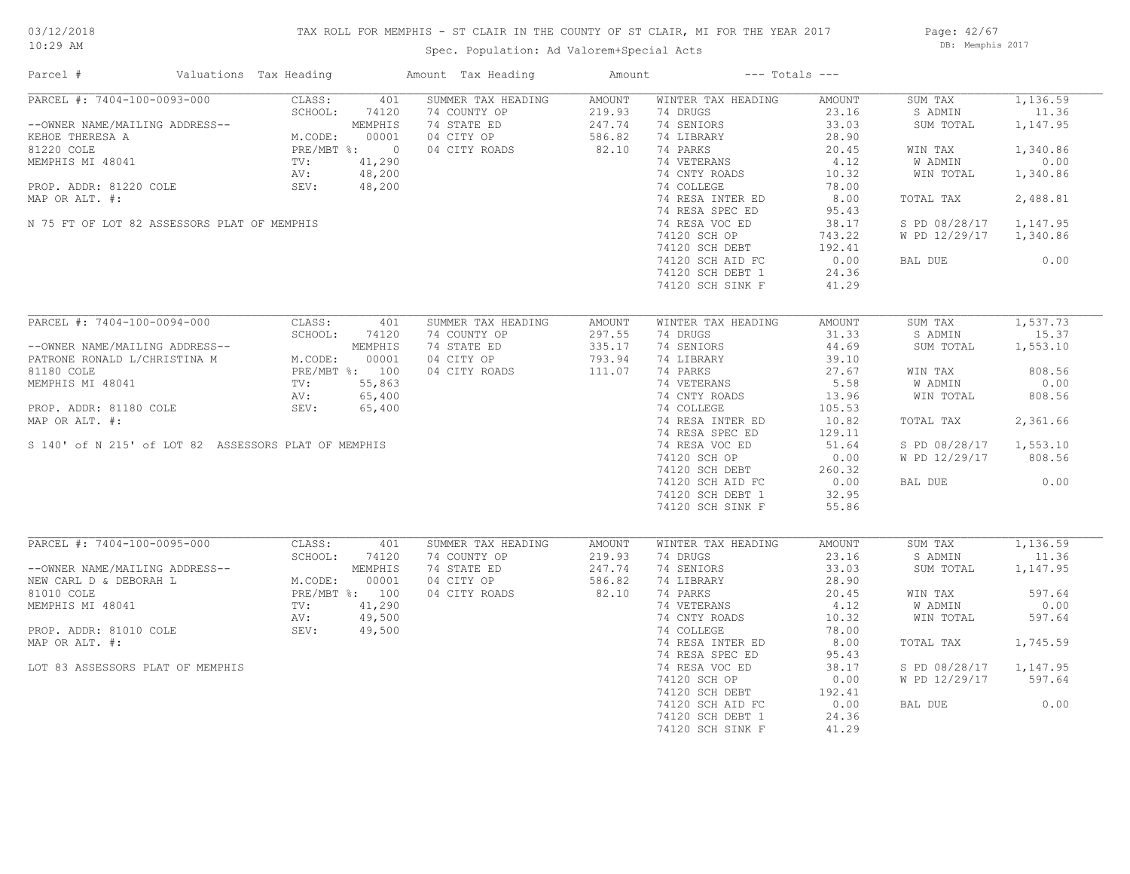## TAX ROLL FOR MEMPHIS - ST CLAIR IN THE COUNTY OF ST CLAIR, MI FOR THE YEAR 2017

Spec. Population: Ad Valorem+Special Acts

Page: 42/67 DB: Memphis 2017

| Parcel #                                             | Valuations Tax Heading | Amount Tax Heading | Amount        |                    | $---$ Totals $---$ |               |          |
|------------------------------------------------------|------------------------|--------------------|---------------|--------------------|--------------------|---------------|----------|
| PARCEL #: 7404-100-0093-000                          | CLASS:<br>401          | SUMMER TAX HEADING | <b>AMOUNT</b> | WINTER TAX HEADING | AMOUNT             | SUM TAX       | 1,136.59 |
|                                                      | SCHOOL:<br>74120       | 74 COUNTY OP       | 219.93        | 74 DRUGS           | 23.16              | S ADMIN       | 11.36    |
| --OWNER NAME/MAILING ADDRESS--                       | MEMPHIS                | 74 STATE ED        | 247.74        | 74 SENIORS         | 33.03              | SUM TOTAL     | 1,147.95 |
| KEHOE THERESA A                                      | M.CODE:<br>00001       | 04 CITY OP         | 586.82        | 74 LIBRARY         | 28.90              |               |          |
| 81220 COLE                                           | PRE/MBT %: 0           | 04 CITY ROADS      | 82.10         | 74 PARKS           | 20.45              | WIN TAX       | 1,340.86 |
| MEMPHIS MI 48041                                     | TV:<br>41,290          |                    |               | 74 VETERANS        | 4.12               | W ADMIN       | 0.00     |
|                                                      | 48,200<br>AV:          |                    |               | 74 CNTY ROADS      | 10.32              | WIN TOTAL     | 1,340.86 |
| PROP. ADDR: 81220 COLE                               | SEV:<br>48,200         |                    |               | 74 COLLEGE         | 78.00              |               |          |
| MAP OR ALT. #:                                       |                        |                    |               | 74 RESA INTER ED   | 8.00               | TOTAL TAX     | 2,488.81 |
|                                                      |                        |                    |               | 74 RESA SPEC ED    | 95.43              |               |          |
| N 75 FT OF LOT 82 ASSESSORS PLAT OF MEMPHIS          |                        |                    |               | 74 RESA VOC ED     | 38.17              | S PD 08/28/17 | 1,147.95 |
|                                                      |                        |                    |               | 74120 SCH OP       | 743.22             | W PD 12/29/17 | 1,340.86 |
|                                                      |                        |                    |               | 74120 SCH DEBT     | 192.41             |               |          |
|                                                      |                        |                    |               | 74120 SCH AID FC   | 0.00               | BAL DUE       | 0.00     |
|                                                      |                        |                    |               | 74120 SCH DEBT 1   | 24.36              |               |          |
|                                                      |                        |                    |               | 74120 SCH SINK F   | 41.29              |               |          |
|                                                      |                        |                    |               |                    |                    |               |          |
| PARCEL #: 7404-100-0094-000                          | CLASS:<br>401          | SUMMER TAX HEADING | AMOUNT        | WINTER TAX HEADING | AMOUNT             | SUM TAX       | 1,537.73 |
|                                                      | SCHOOL:<br>74120       | 74 COUNTY OP       | 297.55        | 74 DRUGS           | 31.33              | S ADMIN       | 15.37    |
| --OWNER NAME/MAILING ADDRESS--                       | MEMPHIS                | 74 STATE ED        | 335.17        | 74 SENIORS         | 44.69              | SUM TOTAL     | 1,553.10 |
| PATRONE RONALD L/CHRISTINA M                         | 00001<br>M.CODE:       | 04 CITY OP         | 793.94        | 74 LIBRARY         | 39.10              |               |          |
| 81180 COLE                                           | PRE/MBT %: 100         | 04 CITY ROADS      | 111.07        | 74 PARKS           | 27.67              | WIN TAX       | 808.56   |
| MEMPHIS MI 48041                                     | 55,863<br>TV:          |                    |               | 74 VETERANS        | 5.58               | W ADMIN       | 0.00     |
|                                                      | 65,400<br>AV:          |                    |               | 74 CNTY ROADS      | 13.96              | WIN TOTAL     | 808.56   |
| PROP. ADDR: 81180 COLE                               | SEV:<br>65,400         |                    |               | 74 COLLEGE         | 105.53             |               |          |
| MAP OR ALT. #:                                       |                        |                    |               | 74 RESA INTER ED   | 10.82              | TOTAL TAX     | 2,361.66 |
|                                                      |                        |                    |               | 74 RESA SPEC ED    | 129.11             |               |          |
| S 140' of N 215' of LOT 82 ASSESSORS PLAT OF MEMPHIS |                        |                    |               | 74 RESA VOC ED     | 51.64              | S PD 08/28/17 | 1,553.10 |
|                                                      |                        |                    |               | 74120 SCH OP       | 0.00               | W PD 12/29/17 | 808.56   |
|                                                      |                        |                    |               | 74120 SCH DEBT     | 260.32             |               |          |
|                                                      |                        |                    |               | 74120 SCH AID FC   | 0.00               | BAL DUE       | 0.00     |
|                                                      |                        |                    |               | 74120 SCH DEBT 1   | 32.95              |               |          |
|                                                      |                        |                    |               | 74120 SCH SINK F   | 55.86              |               |          |
|                                                      |                        |                    |               |                    |                    |               |          |
| PARCEL #: 7404-100-0095-000                          | CLASS:<br>401          | SUMMER TAX HEADING | AMOUNT        | WINTER TAX HEADING | AMOUNT             | SUM TAX       | 1,136.59 |
|                                                      | SCHOOL:<br>74120       | 74 COUNTY OP       | 219.93        | 74 DRUGS           | 23.16              | S ADMIN       | 11.36    |
| --OWNER NAME/MAILING ADDRESS--                       | MEMPHIS                | 74 STATE ED        | 247.74        | 74 SENIORS         | 33.03              | SUM TOTAL     | 1,147.95 |
| NEW CARL D & DEBORAH L                               | M.CODE:<br>00001       | 04 CITY OP         | 586.82        | 74 LIBRARY         | 28.90              |               |          |
| 81010 COLE                                           | PRE/MBT %: 100         | 04 CITY ROADS      | 82.10         | 74 PARKS           | 20.45              | WIN TAX       | 597.64   |
| MEMPHIS MI 48041                                     | 41,290<br>TV:          |                    |               | 74 VETERANS        | 4.12               | W ADMIN       | 0.00     |
|                                                      | 49,500<br>AV:          |                    |               | 74 CNTY ROADS      | 10.32              | WIN TOTAL     | 597.64   |
| PROP. ADDR: 81010 COLE                               | 49,500<br>SEV:         |                    |               | 74 COLLEGE         | 78.00              |               |          |
| MAP OR ALT. #:                                       |                        |                    |               | 74 RESA INTER ED   | 8.00               | TOTAL TAX     | 1,745.59 |
|                                                      |                        |                    |               | 74 RESA SPEC ED    | 95.43              |               |          |
| LOT 83 ASSESSORS PLAT OF MEMPHIS                     |                        |                    |               | 74 RESA VOC ED     | 38.17              | S PD 08/28/17 | 1,147.95 |
|                                                      |                        |                    |               | 74120 SCH OP       | 0.00               | W PD 12/29/17 | 597.64   |
|                                                      |                        |                    |               | 74120 SCH DEBT     | 192.41             |               |          |
|                                                      |                        |                    |               | 74120 SCH AID FC   | 0.00               | BAL DUE       | 0.00     |
|                                                      |                        |                    |               | 74120 SCH DEBT 1   | 24.36              |               |          |
|                                                      |                        |                    |               | 74120 SCH SINK F   | 41.29              |               |          |
|                                                      |                        |                    |               |                    |                    |               |          |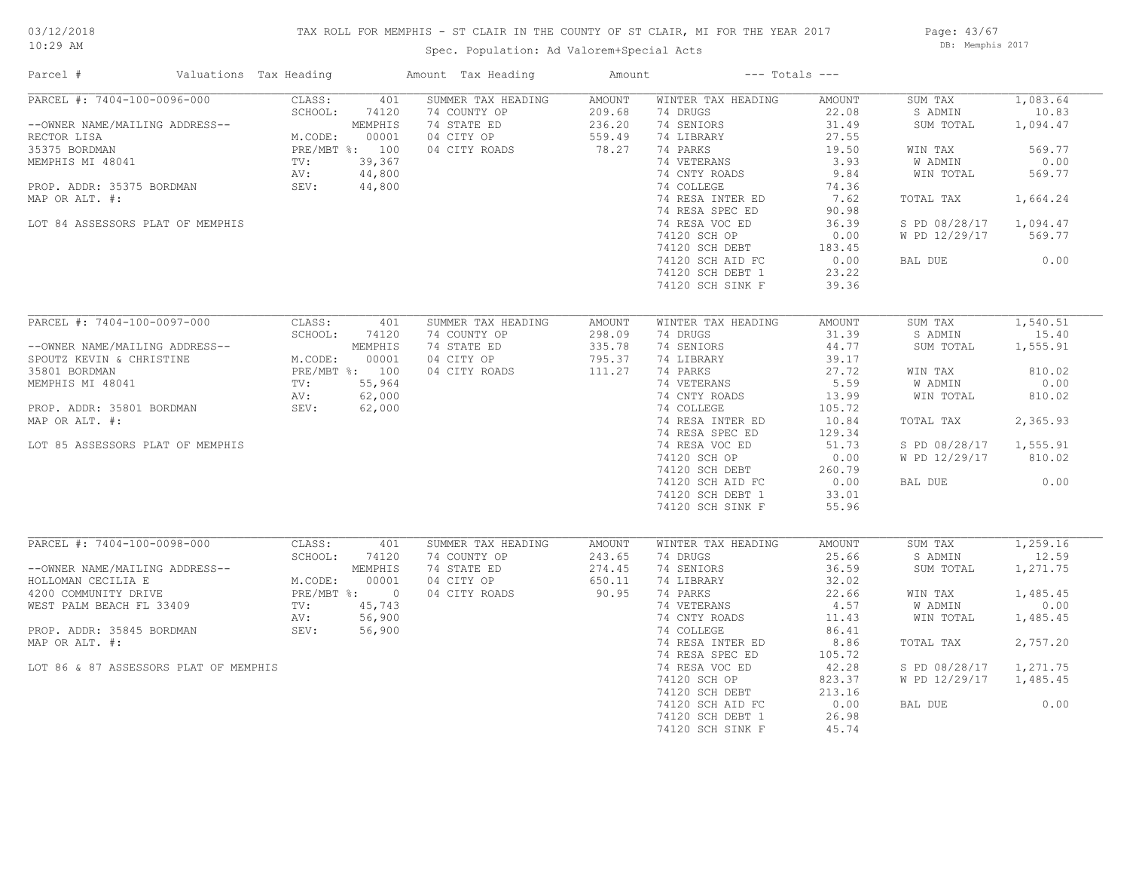## TAX ROLL FOR MEMPHIS - ST CLAIR IN THE COUNTY OF ST CLAIR, MI FOR THE YEAR 2017

Spec. Population: Ad Valorem+Special Acts

Page: 43/67 DB: Memphis 2017

| Parcel #                                                                                                                                                                                                                        | Valuations Tax Heading                                               |                                                                                  | Amount Tax Heading                                                               | Amount                                               |                                                                                                                                                                                                                                                                             | $---$ Totals $---$                                                                                                                            |                                                                                                                              |                                                                                                           |
|---------------------------------------------------------------------------------------------------------------------------------------------------------------------------------------------------------------------------------|----------------------------------------------------------------------|----------------------------------------------------------------------------------|----------------------------------------------------------------------------------|------------------------------------------------------|-----------------------------------------------------------------------------------------------------------------------------------------------------------------------------------------------------------------------------------------------------------------------------|-----------------------------------------------------------------------------------------------------------------------------------------------|------------------------------------------------------------------------------------------------------------------------------|-----------------------------------------------------------------------------------------------------------|
| PARCEL #: 7404-100-0096-000<br>--OWNER NAME/MAILING ADDRESS--<br>RECTOR LISA<br>35375 BORDMAN<br>MEMPHIS MI 48041<br>PROP. ADDR: 35375 BORDMAN<br>MAP OR ALT. #:<br>LOT 84 ASSESSORS PLAT OF MEMPHIS                            | CLASS:<br>SCHOOL:<br>M.CODE:<br>PRE/MBT %: 100<br>TV:<br>AV:<br>SEV: | 401<br>74120<br>MEMPHIS<br>00001<br>39,367<br>44,800<br>44,800                   | SUMMER TAX HEADING<br>74 COUNTY OP<br>74 STATE ED<br>04 CITY OP<br>04 CITY ROADS | <b>AMOUNT</b><br>209.68<br>236.20<br>559.49<br>78.27 | WINTER TAX HEADING<br>74 DRUGS<br>74 SENIORS<br>74 LIBRARY<br>74 PARKS<br>74 VETERANS<br>74 CNTY ROADS<br>74 COLLEGE<br>74 RESA INTER ED<br>74 RESA SPEC ED<br>74 RESA VOC ED<br>74120 SCH OP<br>74120 SCH DEBT<br>74120 SCH AID FC<br>74120 SCH DEBT 1<br>74120 SCH SINK F | AMOUNT<br>22.08<br>31.49<br>27.55<br>19.50<br>3.93<br>9.84<br>74.36<br>7.62<br>90.98<br>36.39<br>0.00<br>183.45<br>0.00<br>23.22<br>39.36     | SUM TAX<br>S ADMIN<br>SUM TOTAL<br>WIN TAX<br>W ADMIN<br>WIN TOTAL<br>TOTAL TAX<br>S PD 08/28/17<br>W PD 12/29/17<br>BAL DUE | 1,083.64<br>10.83<br>1,094.47<br>569.77<br>0.00<br>569.77<br>1,664.24<br>1,094.47<br>569.77<br>0.00       |
| PARCEL #: 7404-100-0097-000<br>--OWNER NAME/MAILING ADDRESS--<br>SPOUTZ KEVIN & CHRISTINE<br>35801 BORDMAN<br>MEMPHIS MI 48041<br>PROP. ADDR: 35801 BORDMAN<br>MAP OR ALT. #:<br>LOT 85 ASSESSORS PLAT OF MEMPHIS               | CLASS:<br>SCHOOL:<br>M.CODE:<br>PRE/MBT %: 100<br>TV:<br>AV:<br>SEV: | 401<br>74120<br>MEMPHIS<br>00001<br>55,964<br>62,000<br>62,000                   | SUMMER TAX HEADING<br>74 COUNTY OP<br>74 STATE ED<br>04 CITY OP<br>04 CITY ROADS | AMOUNT<br>298.09<br>335.78<br>795.37<br>111.27       | WINTER TAX HEADING<br>74 DRUGS<br>74 SENIORS<br>74 LIBRARY<br>74 PARKS<br>74 VETERANS<br>74 CNTY ROADS<br>74 COLLEGE<br>74 RESA INTER ED<br>74 RESA SPEC ED<br>74 RESA VOC ED<br>74120 SCH OP<br>74120 SCH DEBT<br>74120 SCH AID FC<br>74120 SCH DEBT 1<br>74120 SCH SINK F | AMOUNT<br>31.39<br>44.77<br>39.17<br>27.72<br>5.59<br>13.99<br>105.72<br>10.84<br>129.34<br>51.73<br>0.00<br>260.79<br>0.00<br>33.01<br>55.96 | SUM TAX<br>S ADMIN<br>SUM TOTAL<br>WIN TAX<br>W ADMIN<br>WIN TOTAL<br>TOTAL TAX<br>S PD 08/28/17<br>W PD 12/29/17<br>BAL DUE | 1,540.51<br>15.40<br>1,555.91<br>810.02<br>0.00<br>810.02<br>2,365.93<br>1,555.91<br>810.02<br>0.00       |
| PARCEL #: 7404-100-0098-000<br>--OWNER NAME/MAILING ADDRESS--<br>HOLLOMAN CECILIA E<br>4200 COMMUNITY DRIVE<br>WEST PALM BEACH FL 33409<br>PROP. ADDR: 35845 BORDMAN<br>MAP OR ALT. #:<br>LOT 86 & 87 ASSESSORS PLAT OF MEMPHIS | CLASS:<br>SCHOOL:<br>M.CODE:<br>PRE/MBT %:<br>TV:<br>AV:<br>SEV:     | 401<br>74120<br>MEMPHIS<br>00001<br>$\overline{0}$<br>45,743<br>56,900<br>56,900 | SUMMER TAX HEADING<br>74 COUNTY OP<br>74 STATE ED<br>04 CITY OP<br>04 CITY ROADS | <b>AMOUNT</b><br>243.65<br>274.45<br>650.11<br>90.95 | WINTER TAX HEADING<br>74 DRUGS<br>74 SENIORS<br>74 LIBRARY<br>74 PARKS<br>74 VETERANS<br>74 CNTY ROADS<br>74 COLLEGE<br>74 RESA INTER ED<br>74 RESA SPEC ED<br>74 RESA VOC ED<br>74120 SCH OP<br>74120 SCH DEBT<br>74120 SCH AID FC<br>74120 SCH DEBT 1<br>74120 SCH SINK F | AMOUNT<br>25.66<br>36.59<br>32.02<br>22.66<br>4.57<br>11.43<br>86.41<br>8.86<br>105.72<br>42.28<br>823.37<br>213.16<br>0.00<br>26.98<br>45.74 | SUM TAX<br>S ADMIN<br>SUM TOTAL<br>WIN TAX<br>W ADMIN<br>WIN TOTAL<br>TOTAL TAX<br>S PD 08/28/17<br>W PD 12/29/17<br>BAL DUE | 1,259.16<br>12.59<br>1,271.75<br>1,485.45<br>0.00<br>1,485.45<br>2,757.20<br>1,271.75<br>1,485.45<br>0.00 |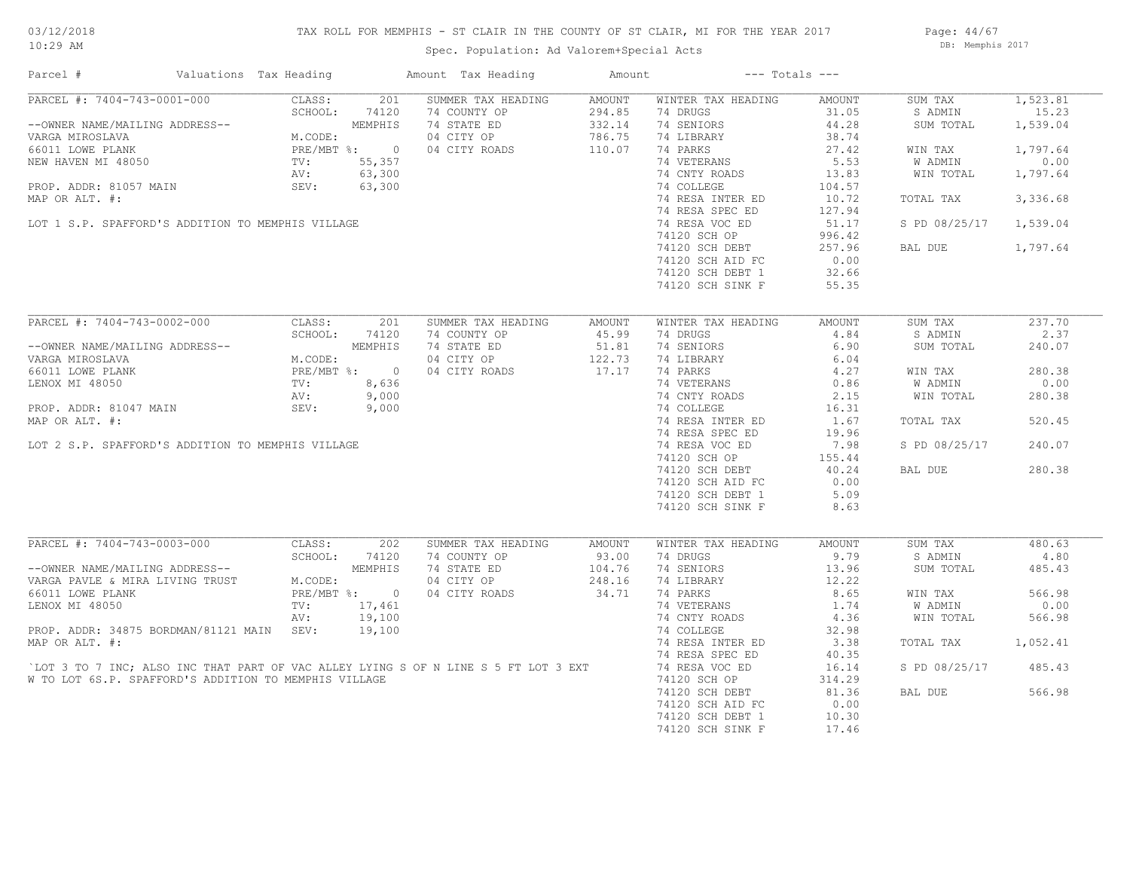## TAX ROLL FOR MEMPHIS - ST CLAIR IN THE COUNTY OF ST CLAIR, MI FOR THE YEAR 2017

Page: 44/67 DB: Memphis 2017

| Parcel #                                                                                                                                                       | Valuations Tax Heading |                           |                                          | Amount Tax Heading                                                                 | Amount                          | $---$ Totals $---$                                   |        |               |          |
|----------------------------------------------------------------------------------------------------------------------------------------------------------------|------------------------|---------------------------|------------------------------------------|------------------------------------------------------------------------------------|---------------------------------|------------------------------------------------------|--------|---------------|----------|
| PARCEL #: 7404-743-0001-000                                                                                                                                    |                        | CLASS:                    | 201                                      | SUMMER TAX HEADING                                                                 | AMOUNT                          | WINTER TAX HEADING                                   | AMOUNT | SUM TAX       | 1,523.81 |
|                                                                                                                                                                |                        | SCHOOL:                   | 74120                                    | 74 COUNTY OP                                                                       | 294.85                          | 74 DRUGS                                             | 31.05  | S ADMIN       | 15.23    |
| --OWNER NAME/MAILING ADDRESS--                                                                                                                                 |                        |                           | MEMPHIS                                  | 74 STATE ED                                                                        | 332.14                          | 74 SENIORS                                           | 44.28  | SUM TOTAL     | 1,539.04 |
| VARGA MIROSLAVA                                                                                                                                                |                        | $M.$ Corr $M.$<br>M.CODE: |                                          | 04 CITY OP                                                                         | 786.75                          | 74 LIBRARY                                           | 38.74  |               |          |
| 66011 LOWE PLANK                                                                                                                                               |                        |                           | PRE/MBT %: 0<br>TV: 55,357<br>AV: 63.300 | 04 CITY ROADS                                                                      | 110.07                          | 74 PARKS                                             | 27.42  | WIN TAX       | 1,797.64 |
| NEW HAVEN MI 48050                                                                                                                                             |                        |                           |                                          |                                                                                    |                                 | 74 VETERANS                                          | 5.53   | W ADMIN       | 0.00     |
|                                                                                                                                                                |                        | AV:                       | 63,300                                   |                                                                                    |                                 | 74 CNTY ROADS                                        | 13.83  | WIN TOTAL     | 1,797.64 |
| PROP. ADDR: 81057 MAIN                                                                                                                                         |                        | SEV:                      | 63,300                                   |                                                                                    |                                 | 74 COLLEGE                                           | 104.57 |               |          |
| MAP OR ALT. #:                                                                                                                                                 |                        |                           |                                          | $\frac{300}{300}$                                                                  |                                 | 74 RESA INTER ED                                     | 10.72  | TOTAL TAX     | 3,336.68 |
|                                                                                                                                                                |                        |                           |                                          |                                                                                    |                                 | 74 RESA SPEC ED                                      | 127.94 |               |          |
| LOT 1 S.P. SPAFFORD'S ADDITION TO MEMPHIS VILLAGE                                                                                                              |                        |                           |                                          |                                                                                    |                                 | 74 RESA VOC ED                                       | 51.17  | S PD 08/25/17 | 1,539.04 |
|                                                                                                                                                                |                        |                           |                                          |                                                                                    |                                 |                                                      |        |               |          |
|                                                                                                                                                                |                        |                           |                                          |                                                                                    |                                 | 74120 SCH OP<br>$74120$ SCH DEBT<br>$74120$ SCH DEBT | 996.42 |               |          |
|                                                                                                                                                                |                        |                           |                                          |                                                                                    |                                 |                                                      | 257.96 | BAL DUE       | 1,797.64 |
|                                                                                                                                                                |                        |                           |                                          |                                                                                    |                                 | 74120 SCH AID FC                                     | 0.00   |               |          |
|                                                                                                                                                                |                        |                           |                                          |                                                                                    |                                 | 74120 SCH DEBT 1                                     | 32.66  |               |          |
|                                                                                                                                                                |                        |                           |                                          |                                                                                    |                                 | 74120 SCH SINK F                                     | 55.35  |               |          |
|                                                                                                                                                                |                        |                           |                                          |                                                                                    |                                 |                                                      |        |               |          |
| PARCEL #: 7404-743-0002-000                                                                                                                                    |                        | CLASS:                    | 201                                      | SUMMER TAX HEADING                                                                 | AMOUNT                          | WINTER TAX HEADING                                   | AMOUNT | SUM TAX       | 237.70   |
|                                                                                                                                                                |                        | SCHOOL:                   | 74120                                    | 74 COUNTY OP                                                                       | 45.99<br>$\frac{122.75}{17.17}$ | 74 DRUGS                                             | 4.84   | S ADMIN       | 2.37     |
| --OWNER NAME/MAILING ADDRESS--                                                                                                                                 |                        |                           | MEMPHIS                                  | 74 STATE ED                                                                        |                                 | 74 SENIORS                                           | 6.90   | SUM TOTAL     | 240.07   |
|                                                                                                                                                                |                        |                           |                                          | 04 CITY OP                                                                         |                                 | 74 LIBRARY                                           | 6.04   |               |          |
| --OWNER NAME/MAILING ADDRESS--<br>VARGA MIROSLAVA (AGODE: MEMPHIS<br>66011 LOWE PLANK (PLANK PRE/MBT %: 0<br>LENOX MI 48050 (PROP. ADDR: 81047 MAIN SEV: 9,000 |                        |                           |                                          | 04 CITY ROADS                                                                      |                                 | 74 PARKS                                             | 4.27   | WIN TAX       | 280.38   |
|                                                                                                                                                                |                        |                           |                                          |                                                                                    |                                 | 74 VETERANS                                          | 0.86   | W ADMIN       | 0.00     |
|                                                                                                                                                                |                        |                           |                                          |                                                                                    |                                 | 74 CNTY ROADS                                        | 2.15   | WIN TOTAL     | 280.38   |
|                                                                                                                                                                |                        |                           |                                          |                                                                                    |                                 | 74 COLLEGE                                           | 16.31  |               |          |
| MAP OR ALT. #:                                                                                                                                                 |                        |                           |                                          |                                                                                    |                                 | 74 RESA INTER ED                                     | 1.67   | TOTAL TAX     | 520.45   |
|                                                                                                                                                                |                        |                           |                                          |                                                                                    |                                 | 74 RESA SPEC ED                                      | 19.96  |               |          |
|                                                                                                                                                                |                        |                           |                                          |                                                                                    |                                 |                                                      |        |               |          |
| LOT 2 S.P. SPAFFORD'S ADDITION TO MEMPHIS VILLAGE                                                                                                              |                        |                           |                                          |                                                                                    |                                 | 74 RESA VOC ED                                       | 7.98   | S PD 08/25/17 | 240.07   |
|                                                                                                                                                                |                        |                           |                                          |                                                                                    |                                 | 74120 SCH OP                                         | 155.44 |               |          |
|                                                                                                                                                                |                        |                           |                                          |                                                                                    |                                 | 74120 SCH DEBT                                       | 40.24  | BAL DUE       | 280.38   |
|                                                                                                                                                                |                        |                           |                                          |                                                                                    |                                 | 74120 SCH AID FC                                     | 0.00   |               |          |
|                                                                                                                                                                |                        |                           |                                          |                                                                                    |                                 | 74120 SCH DEBT 1                                     | 5.09   |               |          |
|                                                                                                                                                                |                        |                           |                                          |                                                                                    |                                 | 74120 SCH SINK F                                     | 8.63   |               |          |
|                                                                                                                                                                |                        |                           |                                          |                                                                                    |                                 |                                                      |        |               |          |
| PARCEL #: 7404-743-0003-000                                                                                                                                    |                        | CLASS:                    | 202                                      | SUMMER TAX HEADING                                                                 | AMOUNT                          | WINTER TAX HEADING                                   | AMOUNT | SUM TAX       | 480.63   |
|                                                                                                                                                                |                        |                           | SCHOOL: 74120                            | 74 COUNTY OP                                                                       | 93.00                           | 74 DRUGS                                             | 9.79   | S ADMIN       | 4.80     |
|                                                                                                                                                                |                        |                           | MEMPHIS                                  | 74 STATE ED                                                                        | 104.76                          | 74 SENIORS                                           | 13.96  | SUM TOTAL     | 485.43   |
| --OWNER NAME/MAILING ADDRESS--<br>VARGA PAVLE & MIRA LIVING TRUST M.CODE:                                                                                      |                        | M.CODE:                   |                                          | 04 CITY OP                                                                         | 248.16                          | 74 LIBRARY                                           | 12.22  |               |          |
| 66011 LOWE PLANK                                                                                                                                               |                        |                           | PRE/MBT %: 0                             | 04 CITY ROADS                                                                      | 34.71                           | 74 PARKS                                             | 8.65   | WIN TAX       | 566.98   |
| LENOX MI 48050                                                                                                                                                 |                        | TV:                       | 17,461                                   |                                                                                    |                                 | 74 VETERANS                                          | 1.74   | W ADMIN       | 0.00     |
|                                                                                                                                                                |                        | AV:                       | 19,100                                   |                                                                                    |                                 | 74 CNTY ROADS                                        | 4.36   | WIN TOTAL     | 566.98   |
| PROP. ADDR: 34875 BORDMAN/81121 MAIN SEV:                                                                                                                      |                        |                           | 19,100                                   |                                                                                    |                                 | 74 COLLEGE                                           | 32.98  |               |          |
| MAP OR ALT. #:                                                                                                                                                 |                        |                           |                                          |                                                                                    |                                 | 74 RESA INTER ED                                     | 3.38   | TOTAL TAX     | 1,052.41 |
|                                                                                                                                                                |                        |                           |                                          |                                                                                    |                                 | 74 RESA SPEC ED                                      | 40.35  |               |          |
|                                                                                                                                                                |                        |                           |                                          | LOT 3 TO 7 INC; ALSO INC THAT PART OF VAC ALLEY LYING S OF N LINE S 5 FT LOT 3 EXT |                                 | 74 RESA VOC ED                                       | 16.14  | S PD 08/25/17 | 485.43   |
|                                                                                                                                                                |                        |                           |                                          |                                                                                    |                                 |                                                      |        |               |          |
| W TO LOT 6S.P. SPAFFORD'S ADDITION TO MEMPHIS VILLAGE                                                                                                          |                        |                           |                                          |                                                                                    |                                 | 74120 SCH OP                                         | 314.29 |               |          |
|                                                                                                                                                                |                        |                           |                                          |                                                                                    |                                 | 74120 SCH DEBT                                       | 81.36  | BAL DUE       | 566.98   |
|                                                                                                                                                                |                        |                           |                                          |                                                                                    |                                 | 74120 SCH AID FC                                     | 0.00   |               |          |
|                                                                                                                                                                |                        |                           |                                          |                                                                                    |                                 | 74120 SCH DEBT 1                                     | 10.30  |               |          |
|                                                                                                                                                                |                        |                           |                                          |                                                                                    |                                 | 74120 SCH SINK F                                     | 17.46  |               |          |
|                                                                                                                                                                |                        |                           |                                          |                                                                                    |                                 |                                                      |        |               |          |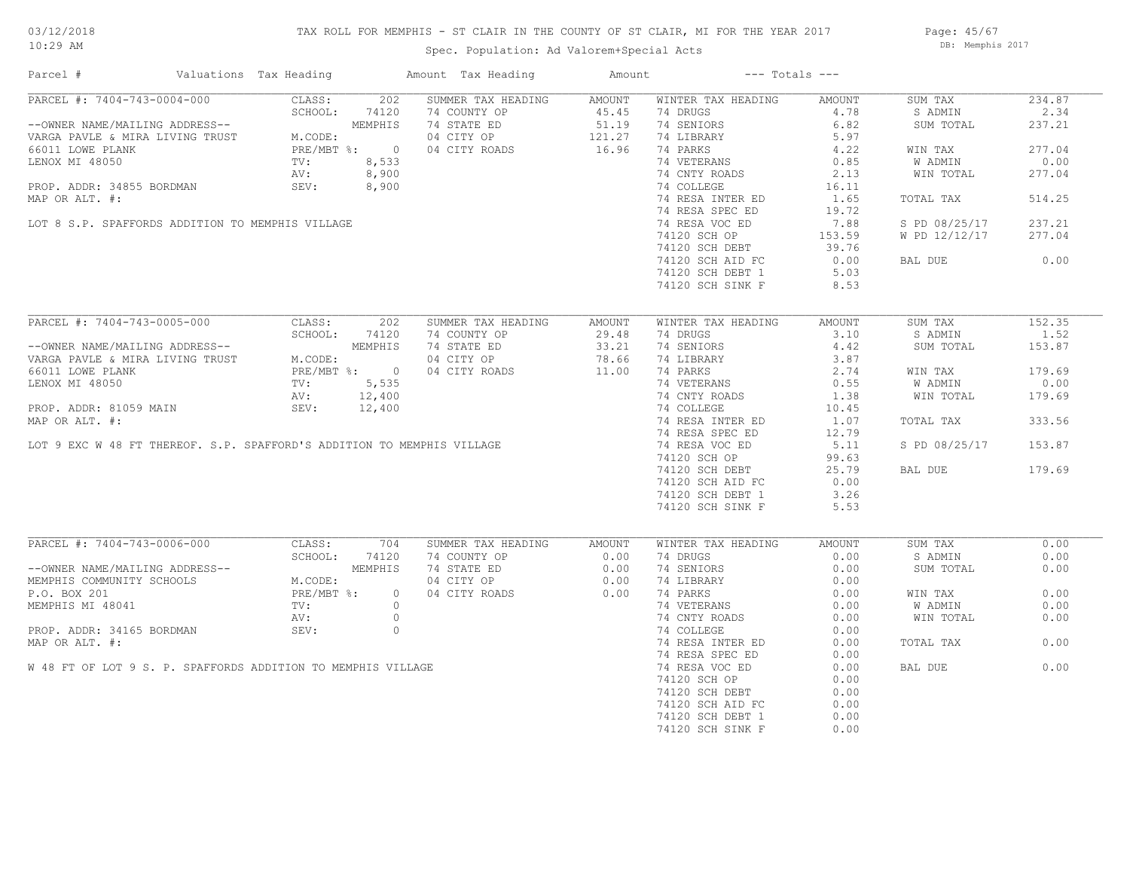## TAX ROLL FOR MEMPHIS - ST CLAIR IN THE COUNTY OF ST CLAIR, MI FOR THE YEAR 2017

Page: 45/67 DB: Memphis 2017

| Parcel #                                                                                                                                                                                                                    | Valuations Tax Heading                           |                                                                                                                                                                                                            | Amount Tax Heading                                                                                                                                                                                                                                     | Amount | $---$ Totals $---$                                                                                                                                                                                                                                             |                |                      |        |
|-----------------------------------------------------------------------------------------------------------------------------------------------------------------------------------------------------------------------------|--------------------------------------------------|------------------------------------------------------------------------------------------------------------------------------------------------------------------------------------------------------------|--------------------------------------------------------------------------------------------------------------------------------------------------------------------------------------------------------------------------------------------------------|--------|----------------------------------------------------------------------------------------------------------------------------------------------------------------------------------------------------------------------------------------------------------------|----------------|----------------------|--------|
|                                                                                                                                                                                                                             | PARCEL #: 7404-743-0004-000                      | CLASS:                                                                                                                                                                                                     | 202 SUMMER TAX HEADING AMOUNT                                                                                                                                                                                                                          |        | WINTER TAX HEADING                                                                                                                                                                                                                                             | AMOUNT         | SUM TAX              | 234.87 |
|                                                                                                                                                                                                                             |                                                  | SCHOOL: 74120                                                                                                                                                                                              |                                                                                                                                                                                                                                                        |        | 74 DRUGS                                                                                                                                                                                                                                                       | 4.78           | S ADMIN              | 2.34   |
|                                                                                                                                                                                                                             |                                                  |                                                                                                                                                                                                            |                                                                                                                                                                                                                                                        |        | 74 SENIORS                                                                                                                                                                                                                                                     | 6.82           | SUM TOTAL            | 237.21 |
|                                                                                                                                                                                                                             |                                                  | --OWNER NAME/MAILING ADDRESS--<br>VARGA PAVLE & MIRA LIVING TRUST MEODE:<br>66011 LOWE PLANK PRUST PRE/MBT %: 0<br>LENOX MI 48050 TV: 8,533<br>PROP. ADDR: 34855 BORDMAN SEV: 8,900<br>MAR OP ALT #: 8,900 | 74 COUNTY OP 45.45<br>74 COUNTY OP 45.45<br>74 STATE ED 51.19<br>04 CITY OP 121.27<br>04 CITY ROADS 16.96<br>$74$ STATE ED<br>04 CITY OP<br>04 CITY ROADS<br>0<br>0<br>00                                                                              |        | 74 LIBRARY<br>74 PARKS<br>74 VETERANS<br>74 CNTY ROADS<br>74 COLLEGE<br>74 COLLEGE<br>74 COLLEGE<br>74 20 PARKS<br>74 COLLEGE<br>74 20 PARKS<br>74 20 PARKS<br>74 20 PARKS<br>74 20 PARKS<br>74 20 PARKS<br>74 20 PARKS<br>74 20 PARKS<br>74 20 PARKS<br>74 20 |                |                      |        |
|                                                                                                                                                                                                                             |                                                  |                                                                                                                                                                                                            |                                                                                                                                                                                                                                                        |        |                                                                                                                                                                                                                                                                |                | WIN TAX              | 277.04 |
|                                                                                                                                                                                                                             |                                                  |                                                                                                                                                                                                            |                                                                                                                                                                                                                                                        |        |                                                                                                                                                                                                                                                                |                | W ADMIN              | 0.00   |
|                                                                                                                                                                                                                             |                                                  |                                                                                                                                                                                                            |                                                                                                                                                                                                                                                        |        |                                                                                                                                                                                                                                                                |                | WIN TOTAL            | 277.04 |
|                                                                                                                                                                                                                             |                                                  |                                                                                                                                                                                                            |                                                                                                                                                                                                                                                        |        |                                                                                                                                                                                                                                                                |                |                      |        |
| MAP OR ALT. #:                                                                                                                                                                                                              |                                                  |                                                                                                                                                                                                            |                                                                                                                                                                                                                                                        |        |                                                                                                                                                                                                                                                                |                | TOTAL TAX            | 514.25 |
|                                                                                                                                                                                                                             |                                                  |                                                                                                                                                                                                            |                                                                                                                                                                                                                                                        |        | 74 RESA SPEC ED                                                                                                                                                                                                                                                | 19.72          |                      |        |
|                                                                                                                                                                                                                             |                                                  |                                                                                                                                                                                                            |                                                                                                                                                                                                                                                        |        |                                                                                                                                                                                                                                                                |                |                      |        |
|                                                                                                                                                                                                                             | LOT 8 S.P. SPAFFORDS ADDITION TO MEMPHIS VILLAGE |                                                                                                                                                                                                            |                                                                                                                                                                                                                                                        |        | 74 RESA VOC ED                                                                                                                                                                                                                                                 | 7.88           | S PD 08/25/17        | 237.21 |
|                                                                                                                                                                                                                             |                                                  |                                                                                                                                                                                                            |                                                                                                                                                                                                                                                        |        | 74120 SCH OP                                                                                                                                                                                                                                                   | 153.59         | W PD 12/12/17        | 277.04 |
|                                                                                                                                                                                                                             |                                                  |                                                                                                                                                                                                            |                                                                                                                                                                                                                                                        |        | 74120 SCH DEBT                                                                                                                                                                                                                                                 | 39.76          |                      |        |
|                                                                                                                                                                                                                             |                                                  |                                                                                                                                                                                                            |                                                                                                                                                                                                                                                        |        | 74120 SCH AID FC                                                                                                                                                                                                                                               | $0.00$<br>5.03 | BAL DUE              | 0.00   |
|                                                                                                                                                                                                                             |                                                  |                                                                                                                                                                                                            |                                                                                                                                                                                                                                                        |        | 74120 SCH DEBT 1                                                                                                                                                                                                                                               |                |                      |        |
|                                                                                                                                                                                                                             |                                                  |                                                                                                                                                                                                            |                                                                                                                                                                                                                                                        |        | 74120 SCH SINK F                                                                                                                                                                                                                                               | 8.53           |                      |        |
|                                                                                                                                                                                                                             |                                                  |                                                                                                                                                                                                            |                                                                                                                                                                                                                                                        |        |                                                                                                                                                                                                                                                                |                |                      |        |
|                                                                                                                                                                                                                             | PARCEL #: 7404-743-0005-000                      | CLASS:<br>202                                                                                                                                                                                              | SUMMER TAX HEADING                                                                                                                                                                                                                                     | AMOUNT | WINTER TAX HEADING                                                                                                                                                                                                                                             | AMOUNT         | SUM TAX              | 152.35 |
|                                                                                                                                                                                                                             |                                                  |                                                                                                                                                                                                            | --OWNER NAME/MAILING ADDRESS--<br>VARGA PAVLE & MIRA LIVING TRUST<br>VARGA PAVLE & MIRA LIVING TRUST<br>MEMPHIS 74 STATE ED<br>MEMPHIS 74 STATE ED<br>29.40<br>MEMPHIS 74 STATE ED<br>29.21<br>23.21<br>23.21<br>23.21<br>23.21<br>MEMPHIS 76 STATE ED |        | 74 DRUGS 3.10<br>74 SENIORS 4.42                                                                                                                                                                                                                               |                | S ADMIN              | 1.52   |
|                                                                                                                                                                                                                             |                                                  |                                                                                                                                                                                                            |                                                                                                                                                                                                                                                        |        |                                                                                                                                                                                                                                                                |                | SUM TOTAL            | 153.87 |
|                                                                                                                                                                                                                             |                                                  |                                                                                                                                                                                                            |                                                                                                                                                                                                                                                        |        | 74 SENIORS<br>74 LIBRARY                                                                                                                                                                                                                                       | 3.87           |                      |        |
|                                                                                                                                                                                                                             |                                                  |                                                                                                                                                                                                            |                                                                                                                                                                                                                                                        |        | 74 PARKS 2.74<br>74 VETERANS 0.55<br>74 CNTY ROADS 1.38                                                                                                                                                                                                        |                | WIN TAX              | 179.69 |
|                                                                                                                                                                                                                             |                                                  |                                                                                                                                                                                                            | LENOX MI 48050<br>PROP. ADDR: 81059 MAIN MI SEV: 12,400<br>MAP OR ALT. #: 12,400<br>MAP OR ALT. #: 12,400<br>LOT 9 EXC W 48 FT THEREOF. S.P. SPAFFORD'S ADDITION TO MEMPHIS VILLAGE                                                                    |        |                                                                                                                                                                                                                                                                |                | W ADMIN              | 0.00   |
|                                                                                                                                                                                                                             |                                                  |                                                                                                                                                                                                            |                                                                                                                                                                                                                                                        |        |                                                                                                                                                                                                                                                                |                | WIN TOTAL            | 179.69 |
|                                                                                                                                                                                                                             |                                                  |                                                                                                                                                                                                            |                                                                                                                                                                                                                                                        |        | 74 COLLEGE                                                                                                                                                                                                                                                     | 10.45          |                      |        |
|                                                                                                                                                                                                                             |                                                  |                                                                                                                                                                                                            |                                                                                                                                                                                                                                                        |        | 74 RESA INTER ED                                                                                                                                                                                                                                               | 1.07           | TOTAL TAX            | 333.56 |
|                                                                                                                                                                                                                             |                                                  |                                                                                                                                                                                                            |                                                                                                                                                                                                                                                        |        |                                                                                                                                                                                                                                                                |                |                      |        |
|                                                                                                                                                                                                                             |                                                  |                                                                                                                                                                                                            |                                                                                                                                                                                                                                                        |        | 74 RESA SPEC ED                                                                                                                                                                                                                                                | 12.79          |                      |        |
|                                                                                                                                                                                                                             |                                                  |                                                                                                                                                                                                            |                                                                                                                                                                                                                                                        |        | 74 RESA VOC ED                                                                                                                                                                                                                                                 | 5.11           | S PD 08/25/17 153.87 |        |
|                                                                                                                                                                                                                             |                                                  |                                                                                                                                                                                                            |                                                                                                                                                                                                                                                        |        | 74120 SCH OP                                                                                                                                                                                                                                                   | 99.63          |                      |        |
|                                                                                                                                                                                                                             |                                                  |                                                                                                                                                                                                            |                                                                                                                                                                                                                                                        |        | 74120 SCH DEBT                                                                                                                                                                                                                                                 | 25.79          | BAL DUE              | 179.69 |
|                                                                                                                                                                                                                             |                                                  |                                                                                                                                                                                                            |                                                                                                                                                                                                                                                        |        | 74120 SCH AID FC                                                                                                                                                                                                                                               | 0.00           |                      |        |
|                                                                                                                                                                                                                             |                                                  |                                                                                                                                                                                                            |                                                                                                                                                                                                                                                        |        | 74120 SCH DEBT 1                                                                                                                                                                                                                                               | 3.26           |                      |        |
|                                                                                                                                                                                                                             |                                                  |                                                                                                                                                                                                            |                                                                                                                                                                                                                                                        |        | 74120 SCH SINK F                                                                                                                                                                                                                                               | 5.53           |                      |        |
|                                                                                                                                                                                                                             |                                                  |                                                                                                                                                                                                            |                                                                                                                                                                                                                                                        |        |                                                                                                                                                                                                                                                                |                |                      |        |
|                                                                                                                                                                                                                             | PARCEL #: 7404-743-0006-000                      | CLASS: 704                                                                                                                                                                                                 | SUMMER TAX HEADING                                                                                                                                                                                                                                     | AMOUNT | WINTER TAX HEADING                                                                                                                                                                                                                                             | AMOUNT         | SUM TAX              | 0.00   |
|                                                                                                                                                                                                                             |                                                  |                                                                                                                                                                                                            | 74 COUNTY OP 0.00<br>74 STATE ED 0.00<br>04 CITY OP 0.00<br>04 CITY ROADS 0.00                                                                                                                                                                         |        | 74 DRUGS FOR THE STATE STATES                                                                                                                                                                                                                                  | 0.00           | S ADMIN              | 0.00   |
|                                                                                                                                                                                                                             |                                                  |                                                                                                                                                                                                            |                                                                                                                                                                                                                                                        |        | 74 SENIORS                                                                                                                                                                                                                                                     | 0.00           | SUM TOTAL            | 0.00   |
|                                                                                                                                                                                                                             |                                                  |                                                                                                                                                                                                            |                                                                                                                                                                                                                                                        |        | 74 LIBRARY                                                                                                                                                                                                                                                     |                |                      |        |
|                                                                                                                                                                                                                             |                                                  |                                                                                                                                                                                                            |                                                                                                                                                                                                                                                        |        | 74 LIBRARY 0.00<br>74 PARKS 0.00<br>74 VETERANS 0.00<br>74 PARKS                                                                                                                                                                                               |                | WIN TAX              | 0.00   |
|                                                                                                                                                                                                                             |                                                  |                                                                                                                                                                                                            |                                                                                                                                                                                                                                                        |        |                                                                                                                                                                                                                                                                |                | W ADMIN              | 0.00   |
|                                                                                                                                                                                                                             |                                                  |                                                                                                                                                                                                            |                                                                                                                                                                                                                                                        |        |                                                                                                                                                                                                                                                                |                | WIN TOTAL            | 0.00   |
|                                                                                                                                                                                                                             | PROP. ADDR: 34165 BORDMAN SEV:                   | $\circ$                                                                                                                                                                                                    |                                                                                                                                                                                                                                                        |        | 74 CNTY ROADS 0.00<br>74 COLLEGE 0.00                                                                                                                                                                                                                          |                |                      |        |
|                                                                                                                                                                                                                             |                                                  |                                                                                                                                                                                                            |                                                                                                                                                                                                                                                        |        | 74 RESA INTER ED                                                                                                                                                                                                                                               | 0.00           | TOTAL TAX            | 0.00   |
|                                                                                                                                                                                                                             |                                                  |                                                                                                                                                                                                            |                                                                                                                                                                                                                                                        |        | 74 RESA SPEC ED                                                                                                                                                                                                                                                | 0.00           |                      |        |
|                                                                                                                                                                                                                             |                                                  |                                                                                                                                                                                                            |                                                                                                                                                                                                                                                        |        |                                                                                                                                                                                                                                                                |                |                      |        |
|                                                                                                                                                                                                                             |                                                  |                                                                                                                                                                                                            |                                                                                                                                                                                                                                                        |        |                                                                                                                                                                                                                                                                |                |                      |        |
| MAP OR ALT. #:                                                                                                                                                                                                              |                                                  | W 48 FT OF LOT 9 S. P. SPAFFORDS ADDITION TO MEMPHIS VILLAGE                                                                                                                                               |                                                                                                                                                                                                                                                        |        | 74 RESA VOC ED                                                                                                                                                                                                                                                 | 0.00           | BAL DUE              | 0.00   |
| PARCEL # 73.<br>--OWNER NAME/MAILING ADDRESS--<br>MEMPHIS COMMUNITY SCHOOLS<br>P.O. BOX 201<br>MEMPHIS MI 48041<br>MEMPHIS MI 48041<br>TV: 0<br>AV: 0<br>TV: 0<br>TV: 0<br>TV: 0<br>TV: 0<br>TV: 0<br>PRE/MBT %: 0<br>AV: 0 |                                                  |                                                                                                                                                                                                            |                                                                                                                                                                                                                                                        |        | 74120 SCH OP                                                                                                                                                                                                                                                   | 0.00           |                      |        |
|                                                                                                                                                                                                                             |                                                  |                                                                                                                                                                                                            |                                                                                                                                                                                                                                                        |        | 74120 SCH DEBT                                                                                                                                                                                                                                                 | 0.00           |                      |        |
|                                                                                                                                                                                                                             |                                                  |                                                                                                                                                                                                            |                                                                                                                                                                                                                                                        |        | 74120 SCH AID FC                                                                                                                                                                                                                                               | 0.00           |                      |        |
|                                                                                                                                                                                                                             |                                                  |                                                                                                                                                                                                            |                                                                                                                                                                                                                                                        |        | 74120 SCH DEBT 1<br>74120 SCH SINK F                                                                                                                                                                                                                           | 0.00<br>0.00   |                      |        |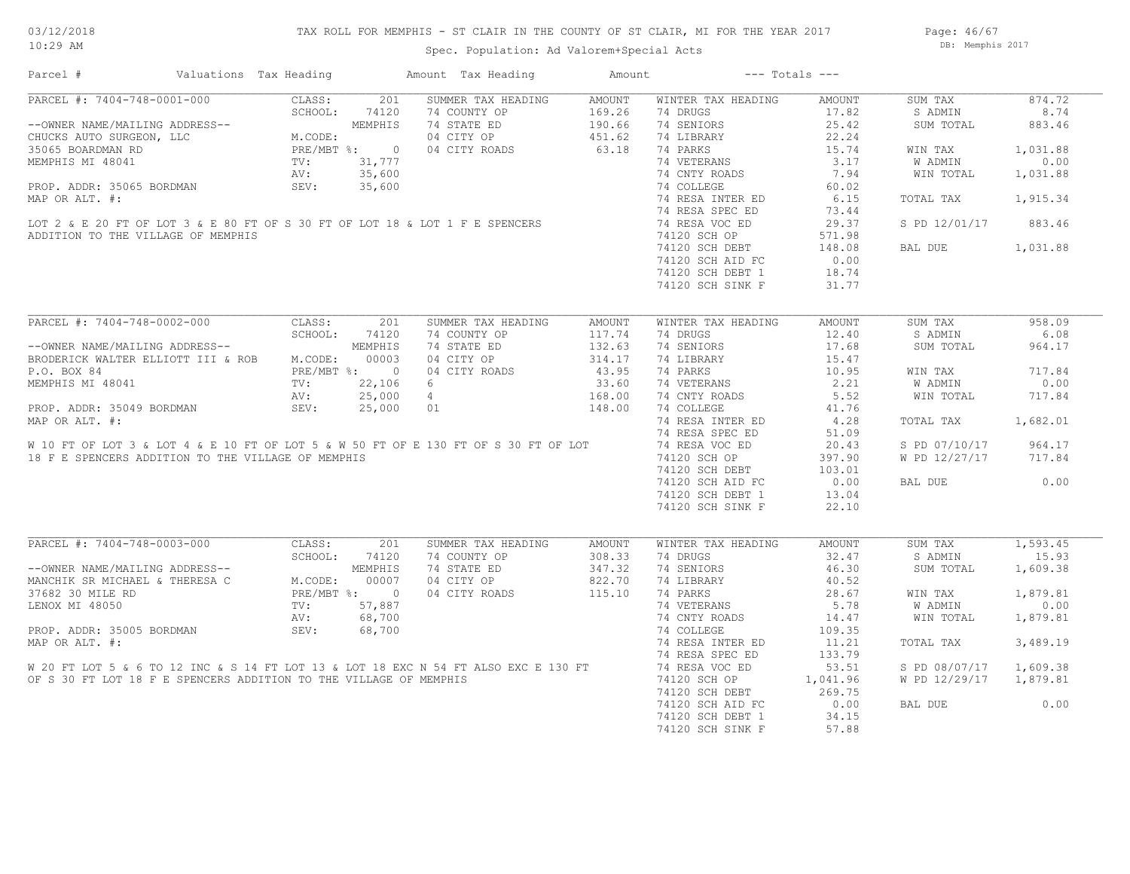## TAX ROLL FOR MEMPHIS - ST CLAIR IN THE COUNTY OF ST CLAIR, MI FOR THE YEAR 2017

Page: 46/67 DB: Memphis 2017

| Parcel #                                                                                                                                                                                                                       | Valuations Tax Heading                                                                                        |         |         | Amount Tax Heading | Amount                           |                                                             | $---$ Totals $---$ |                        |          |
|--------------------------------------------------------------------------------------------------------------------------------------------------------------------------------------------------------------------------------|---------------------------------------------------------------------------------------------------------------|---------|---------|--------------------|----------------------------------|-------------------------------------------------------------|--------------------|------------------------|----------|
| PARCEL #: 7404-748-0001-000                                                                                                                                                                                                    |                                                                                                               | CLASS:  | 201     | SUMMER TAX HEADING | AMOUNT                           | WINTER TAX HEADING                                          | AMOUNT             | SUM TAX                | 874.72   |
|                                                                                                                                                                                                                                |                                                                                                               |         |         | 74 COUNTY OP       |                                  | 74 DRUGS                                                    | 17.82              | S ADMIN                | 8.74     |
|                                                                                                                                                                                                                                |                                                                                                               |         |         | 74 STATE ED        |                                  | 74 SENIORS                                                  | 25.42              | SUM TOTAL              | 883.46   |
| -- OWNER NAME/MAILING ADDRESS--<br>CHUCKS AUTO SURGEON, LLC<br>35065 BOARDMAN RD<br>MEMPHIS MI 48041<br>MEMPHIS MI 48041<br>MEMPHIS MI 48041<br>MEMPHIS MI 48041<br>MEMPHIS MI 48041<br>MISS 600<br>CTV: 35.600<br>MISS 75.600 |                                                                                                               |         |         | 04 CITY OP         | $169.26$<br>$190.66$<br>$451.62$ | 74 LIBRARY                                                  | 22.24              |                        |          |
|                                                                                                                                                                                                                                |                                                                                                               |         |         | 04 CITY ROADS      | 63.18                            | 74 PARKS                                                    | 15.74              | WIN TAX                | 1,031.88 |
|                                                                                                                                                                                                                                |                                                                                                               |         |         |                    |                                  | 74 VETERANS                                                 | 3.17               | W ADMIN                | 0.00     |
| MEMPHIS MI 48041<br>PROP. ADDR: 35065 BORDMAN<br>MAP OR ALT. #:<br>LOT 2 & E 20 FT OF LOT 3 & E 80 FT OF S 30 FT OF LOT 18 & LOT 1 F E SPENCERS<br>ADDITION TO THE MILLAGE OF MEMPHIS                                          |                                                                                                               |         |         |                    |                                  | 74 CNTY ROADS                                               | 7.94               | WIN TOTAL              | 1,031.88 |
|                                                                                                                                                                                                                                |                                                                                                               |         |         |                    |                                  | 74 COLLEGE                                                  | 60.02              |                        |          |
|                                                                                                                                                                                                                                |                                                                                                               |         |         |                    |                                  | 74 RESA INTER ED                                            | 6.15               | TOTAL TAX              | 1,915.34 |
|                                                                                                                                                                                                                                |                                                                                                               |         |         |                    |                                  | 74 RESA SPEC ED                                             | 73.44              |                        |          |
|                                                                                                                                                                                                                                |                                                                                                               |         |         |                    |                                  | 74 RESA VOC ED                                              | 29.37              | S PD 12/01/17          | 883.46   |
| ADDITION TO THE VILLAGE OF MEMPHIS                                                                                                                                                                                             |                                                                                                               |         |         |                    |                                  |                                                             |                    |                        |          |
|                                                                                                                                                                                                                                |                                                                                                               |         |         |                    |                                  | 74120 SCH OF<br>74120 SCH DEBT 148.00<br>20 000 ATD FC 0.00 |                    | BAL DUE                | 1,031.88 |
|                                                                                                                                                                                                                                |                                                                                                               |         |         |                    |                                  |                                                             |                    |                        |          |
|                                                                                                                                                                                                                                |                                                                                                               |         |         |                    |                                  |                                                             |                    |                        |          |
|                                                                                                                                                                                                                                |                                                                                                               |         |         |                    |                                  | 74120 SCH DEBT 1                                            | 18.74              |                        |          |
|                                                                                                                                                                                                                                |                                                                                                               |         |         |                    |                                  | 74120 SCH SINK F                                            | 31.77              |                        |          |
|                                                                                                                                                                                                                                |                                                                                                               |         |         |                    |                                  |                                                             |                    |                        |          |
| PARCEL #: 7404-748-0002-000                                                                                                                                                                                                    |                                                                                                               | CLASS:  | 201     | SUMMER TAX HEADING | AMOUNT                           | WINTER TAX HEADING                                          | AMOUNT             | SUM TAX                | 958.09   |
|                                                                                                                                                                                                                                |                                                                                                               | SCHOOL: | 74120   | 74 COUNTY OP       | 117.74                           | 74 DRUGS                                                    | 12.40              | S ADMIN                | 6.08     |
| --OWNER NAME/MAILING ADDRESS--                                                                                                                                                                                                 |                                                                                                               |         | MEMPHIS | 74 STATE ED        | 132.63                           | 74 SENIORS                                                  | 17.68              | SUM TOTAL              | 964.17   |
| BRODERICK WALTER ELLIOTT III & ROB M.CODE:                                                                                                                                                                                     |                                                                                                               |         | 00003   | 04 CITY OP         | 314.17                           | 74 LIBRARY                                                  | 15.47              |                        |          |
| P.O. BOX 84                                                                                                                                                                                                                    | PRE/MBT %: 0<br>TV: 22,106<br>AV: 25,000                                                                      |         |         | 04 CITY ROADS      | 43.95                            | 74 PARKS                                                    | 10.95              | WIN TAX                | 717.84   |
| MEMPHIS MI 48041                                                                                                                                                                                                               |                                                                                                               |         |         | 6                  | 33.60                            | 74 VETERANS                                                 | 2.21               | W ADMIN                | 0.00     |
|                                                                                                                                                                                                                                |                                                                                                               |         |         | $\overline{4}$     | 168.00                           | 74 CNTY ROADS                                               | 5.52               | WIN TOTAL              | 717.84   |
| PROP. ADDR: 35049 BORDMAN SEV:                                                                                                                                                                                                 |                                                                                                               |         | 25,000  | 01                 | 148.00                           | 74 COLLEGE                                                  | 41.76              |                        |          |
| MAP OR ALT. #:                                                                                                                                                                                                                 |                                                                                                               |         |         |                    |                                  | 74 RESA INTER ED                                            | 4.28               | TOTAL TAX              | 1,682.01 |
|                                                                                                                                                                                                                                |                                                                                                               |         |         |                    |                                  | 74 RESA SPEC ED                                             | 51.09              |                        |          |
| W 10 FT OF LOT 3 & LOT 4 & E 10 FT OF LOT 5 & W 50 FT OF E 130 FT OF S 30 FT OF LOT                                                                                                                                            |                                                                                                               |         |         |                    |                                  | 74 RESA VOC ED                                              | 20.43              | S PD 07/10/17          | 964.17   |
| 18 F E SPENCERS ADDITION TO THE VILLAGE OF MEMPHIS                                                                                                                                                                             |                                                                                                               |         |         |                    |                                  | 74120 SCH OP                                                | 397.90             | W PD 12/27/17          | 717.84   |
|                                                                                                                                                                                                                                |                                                                                                               |         |         |                    |                                  |                                                             |                    |                        |          |
|                                                                                                                                                                                                                                |                                                                                                               |         |         |                    |                                  | 74120 SCH DEBT                                              | 103.01             |                        |          |
|                                                                                                                                                                                                                                |                                                                                                               |         |         |                    |                                  | 74120 SCH AID FC                                            | 0.00               | BAL DUE                | 0.00     |
|                                                                                                                                                                                                                                |                                                                                                               |         |         |                    |                                  | 74120 SCH DEBT 1                                            | 13.04              |                        |          |
|                                                                                                                                                                                                                                |                                                                                                               |         |         |                    |                                  | 74120 SCH SINK F                                            | 22.10              |                        |          |
|                                                                                                                                                                                                                                |                                                                                                               |         |         |                    |                                  |                                                             |                    |                        |          |
| PARCEL #: 7404-748-0003-000                                                                                                                                                                                                    |                                                                                                               | CLASS:  | 201     | SUMMER TAX HEADING | AMOUNT                           | WINTER TAX HEADING                                          | AMOUNT             | SUM TAX                | 1,593.45 |
|                                                                                                                                                                                                                                | 3 ADDRESS--<br>3 ADDRESS--<br>4 THERESA C M.CODE: 00007<br>PRE/MBT %: 0<br>TV: 57,887<br>AV: 68,700<br>69,700 |         |         | 74 COUNTY OP       | 308.33                           | 74 DRUGS                                                    | 32.47              | S ADMIN                | 15.93    |
| --OWNER NAME/MAILING ADDRESS--                                                                                                                                                                                                 |                                                                                                               |         |         | 74 STATE ED        | 347.32                           | 74 SENIORS                                                  | 46.30              | SUM TOTAL              | 1,609.38 |
| MANCHIK SR MICHAEL & THERESA C                                                                                                                                                                                                 |                                                                                                               |         |         | 04 CITY OP         | 822.70                           | 74 LIBRARY                                                  | 40.52              |                        |          |
| 37682 30 MILE RD                                                                                                                                                                                                               |                                                                                                               |         |         | 04 CITY ROADS      | 115.10                           | 74 PARKS                                                    | 28.67              | WIN TAX                | 1,879.81 |
| LENOX MI 48050                                                                                                                                                                                                                 |                                                                                                               |         |         |                    |                                  | 74 VETERANS                                                 | 5.78               | W ADMIN                | 0.00     |
|                                                                                                                                                                                                                                |                                                                                                               |         |         |                    |                                  | 74 CNTY ROADS                                               | 14.47              | WIN TOTAL              | 1,879.81 |
| PROP. ADDR: 35005 BORDMAN                                                                                                                                                                                                      |                                                                                                               | SEV:    | 68,700  |                    |                                  | 74 COLLEGE                                                  | 109.35             |                        |          |
| MAP OR ALT. #:                                                                                                                                                                                                                 |                                                                                                               |         |         |                    |                                  | 74 RESA INTER ED                                            | 11.21              | TOTAL TAX              | 3,489.19 |
|                                                                                                                                                                                                                                |                                                                                                               |         |         |                    |                                  | 74 RESA SPEC ED                                             | 133.79             |                        |          |
|                                                                                                                                                                                                                                |                                                                                                               |         |         |                    |                                  | 74 RESA VOC ED                                              | 53.51              | S PD 08/07/17 1,609.38 |          |
| W 20 FT LOT 5 & 6 TO 12 INC & S 14 FT LOT 13 & LOT 18 EXC N 54 FT ALSO EXC E 130 FT OF S 30 FT LOT 18 F E SPENCERS ADDITION TO THE VILLAGE OF MEMPHIS                                                                          |                                                                                                               |         |         |                    |                                  | 74120 SCH OP                                                | 1,041.96           | W PD 12/29/17 1,879.81 |          |
|                                                                                                                                                                                                                                |                                                                                                               |         |         |                    |                                  |                                                             | 269.75             |                        |          |
|                                                                                                                                                                                                                                |                                                                                                               |         |         |                    |                                  | 74120 SCH DEBT                                              |                    |                        |          |
|                                                                                                                                                                                                                                |                                                                                                               |         |         |                    |                                  | 74120 SCH AID FC                                            | 0.00               | BAL DUE                | 0.00     |
|                                                                                                                                                                                                                                |                                                                                                               |         |         |                    |                                  | 74120 SCH DEBT 1                                            | 34.15              |                        |          |
|                                                                                                                                                                                                                                |                                                                                                               |         |         |                    |                                  | 74120 SCH SINK F                                            | 57.88              |                        |          |
|                                                                                                                                                                                                                                |                                                                                                               |         |         |                    |                                  |                                                             |                    |                        |          |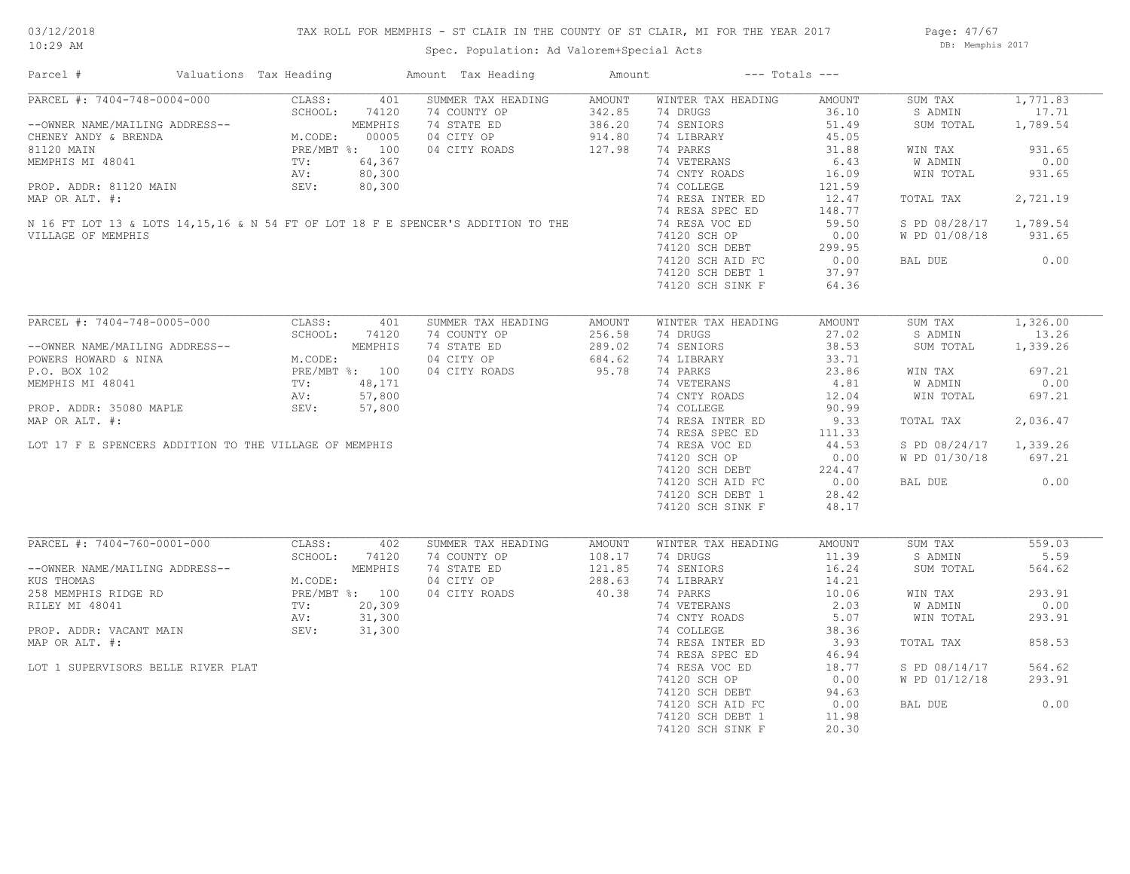## TAX ROLL FOR MEMPHIS - ST CLAIR IN THE COUNTY OF ST CLAIR, MI FOR THE YEAR 2017

Spec. Population: Ad Valorem+Special Acts

Page: 47/67 DB: Memphis 2017

| Parcel #                                                                           | Valuations Tax Heading                                                          |         |                                                          | Amount Tax Heading | Amount |                    | $---$ Totals $---$ |                        |          |
|------------------------------------------------------------------------------------|---------------------------------------------------------------------------------|---------|----------------------------------------------------------|--------------------|--------|--------------------|--------------------|------------------------|----------|
| PARCEL #: 7404-748-0004-000                                                        |                                                                                 | CLASS:  | 401                                                      | SUMMER TAX HEADING | AMOUNT | WINTER TAX HEADING | AMOUNT             | SUM TAX                | 1,771.83 |
|                                                                                    |                                                                                 | SCHOOL: | 74120                                                    | 74 COUNTY OP       | 342.85 | 74 DRUGS           | 36.10              | S ADMIN                | 17.71    |
| --OWNER NAME/MAILING ADDRESS--                                                     |                                                                                 |         | MEMPHIS                                                  | 74 STATE ED        | 386.20 | 74 SENIORS         | 51.49              | SUM TOTAL              | 1,789.54 |
| CHENEY ANDY & BRENDA                                                               |                                                                                 |         | MEMPHIS<br>M.CODE: 00005<br>PRE/MBT %: 100<br>TV: 64,367 | 04 CITY OP         | 914.80 | 74 LIBRARY         | 45.05              |                        |          |
| 81120 MAIN                                                                         |                                                                                 |         |                                                          | 04 CITY ROADS      | 127.98 | 74 PARKS           | 31.88              | WIN TAX                | 931.65   |
| MEMPHIS MI 48041                                                                   |                                                                                 |         |                                                          |                    |        | 74 VETERANS        | 6.43               | W ADMIN                | 0.00     |
|                                                                                    |                                                                                 | AV:     | 80,300                                                   |                    |        | 74 CNTY ROADS      | 16.09              | WIN TOTAL              | 931.65   |
| PROP. ADDR: 81120 MAIN                                                             |                                                                                 | SEV:    | 80,300                                                   |                    |        | 74 COLLEGE         | 121.59             |                        |          |
| MAP OR ALT. #:                                                                     |                                                                                 |         |                                                          |                    |        | 74 RESA INTER ED   | 12.47              | TOTAL TAX              | 2,721.19 |
|                                                                                    |                                                                                 |         |                                                          |                    |        | 74 RESA SPEC ED    | 148.77             |                        |          |
| N 16 FT LOT 13 & LOTS 14, 15, 16 & N 54 FT OF LOT 18 F E SPENCER'S ADDITION TO THE |                                                                                 |         |                                                          |                    |        | 74 RESA VOC ED     | 59.50              | S PD 08/28/17 1,789.54 |          |
| VILLAGE OF MEMPHIS                                                                 |                                                                                 |         |                                                          |                    |        | 74120 SCH OP       | 0.00               | W PD 01/08/18          | 931.65   |
|                                                                                    |                                                                                 |         |                                                          |                    |        |                    |                    |                        |          |
|                                                                                    |                                                                                 |         |                                                          |                    |        | 74120 SCH DEBT     | 299.95             |                        |          |
|                                                                                    |                                                                                 |         |                                                          |                    |        | 74120 SCH AID FC   | 0.00               | BAL DUE                | 0.00     |
|                                                                                    |                                                                                 |         |                                                          |                    |        | 74120 SCH DEBT 1   | 37.97              |                        |          |
|                                                                                    |                                                                                 |         |                                                          |                    |        | 74120 SCH SINK F   | 64.36              |                        |          |
|                                                                                    |                                                                                 |         |                                                          |                    |        |                    |                    |                        |          |
| PARCEL #: 7404-748-0005-000                                                        |                                                                                 | CLASS:  | 401                                                      | SUMMER TAX HEADING | AMOUNT | WINTER TAX HEADING | AMOUNT             | SUM TAX                | 1,326.00 |
|                                                                                    | DRESS--<br>M.CODE:<br>PRE/MBT %: 100<br>TV: 48,171<br>AV: 57,80'<br>REV: 57,86' |         |                                                          | 74 COUNTY OP       | 256.58 | 74 DRUGS           | 27.02              | S ADMIN                | 13.26    |
| --OWNER NAME/MAILING ADDRESS--                                                     |                                                                                 |         |                                                          | 74 STATE ED        | 289.02 | 74 SENIORS         | 38.53              | SUM TOTAL              | 1,339.26 |
| POWERS HOWARD & NINA                                                               |                                                                                 |         |                                                          | 04 CITY OP         | 684.62 | 74 LIBRARY         | 33.71              |                        |          |
| P.O. BOX 102                                                                       |                                                                                 |         |                                                          | 04 CITY ROADS      | 95.78  | 74 PARKS           | 23.86              | WIN TAX                | 697.21   |
| MEMPHIS MI 48041                                                                   |                                                                                 |         |                                                          |                    |        | 74 VETERANS        | 4.81               | W ADMIN                | 0.00     |
|                                                                                    |                                                                                 |         |                                                          |                    |        | 74 CNTY ROADS      | 12.04              | WIN TOTAL              | 697.21   |
| PROP. ADDR: 35080 MAPLE                                                            |                                                                                 |         |                                                          |                    |        | 74 COLLEGE         | 90.99              |                        |          |
| MAP OR ALT. #:                                                                     |                                                                                 |         |                                                          |                    |        | 74 RESA INTER ED   | 9.33               | TOTAL TAX              | 2,036.47 |
|                                                                                    |                                                                                 |         |                                                          |                    |        |                    |                    |                        |          |
|                                                                                    |                                                                                 |         |                                                          |                    |        | 74 RESA SPEC ED    | 111.33             |                        |          |
| LOT 17 F E SPENCERS ADDITION TO THE VILLAGE OF MEMPHIS                             |                                                                                 |         |                                                          |                    |        | 74 RESA VOC ED     | 44.53              | S PD 08/24/17          | 1,339.26 |
|                                                                                    |                                                                                 |         |                                                          |                    |        | 74120 SCH OP       | 0.00               | W PD 01/30/18          | 697.21   |
|                                                                                    |                                                                                 |         |                                                          |                    |        | 74120 SCH DEBT     | 224.47             |                        |          |
|                                                                                    |                                                                                 |         |                                                          |                    |        | 74120 SCH AID FC   | 0.00               | BAL DUE                | 0.00     |
|                                                                                    |                                                                                 |         |                                                          |                    |        | 74120 SCH DEBT 1   | 28.42              |                        |          |
|                                                                                    |                                                                                 |         |                                                          |                    |        | 74120 SCH SINK F   | 48.17              |                        |          |
|                                                                                    |                                                                                 |         |                                                          |                    |        |                    |                    |                        |          |
| PARCEL #: 7404-760-0001-000                                                        |                                                                                 | CLASS:  | 402                                                      | SUMMER TAX HEADING | AMOUNT | WINTER TAX HEADING | AMOUNT             | SUM TAX                | 559.03   |
|                                                                                    |                                                                                 | SCHOOL: | 74120                                                    | 74 COUNTY OP       | 108.17 | 74 DRUGS           | 11.39              | S ADMIN                | 5.59     |
| --OWNER NAME/MAILING ADDRESS--                                                     |                                                                                 |         | MEMPHIS                                                  | 74 STATE ED        | 121.85 | 74 SENIORS         | 16.24              | SUM TOTAL              | 564.62   |
| KUS THOMAS                                                                         |                                                                                 | M.CODE: |                                                          | 04 CITY OP         | 288.63 | 74 LIBRARY         | 14.21              |                        |          |
| 258 MEMPHIS RIDGE RD                                                               |                                                                                 |         | PRE/MBT %: 100                                           | 04 CITY ROADS      | 40.38  | 74 PARKS           | 10.06              | WIN TAX                | 293.91   |
| RILEY MI 48041                                                                     |                                                                                 | TV:     | 20,309                                                   |                    |        | 74 VETERANS        | 2.03               | W ADMIN                | 0.00     |
|                                                                                    |                                                                                 | AV:     | 31,300                                                   |                    |        | 74 CNTY ROADS      | 5.07               | WIN TOTAL              | 293.91   |
| PROP. ADDR: VACANT MAIN                                                            |                                                                                 | SEV:    | 31,300                                                   |                    |        | 74 COLLEGE         | 38.36              |                        |          |
| MAP OR ALT. #:                                                                     |                                                                                 |         |                                                          |                    |        | 74 RESA INTER ED   | 3.93               | TOTAL TAX              | 858.53   |
|                                                                                    |                                                                                 |         |                                                          |                    |        | 74 RESA SPEC ED    | 46.94              |                        |          |
|                                                                                    |                                                                                 |         |                                                          |                    |        |                    |                    |                        |          |
| LOT 1 SUPERVISORS BELLE RIVER PLAT                                                 |                                                                                 |         |                                                          |                    |        | 74 RESA VOC ED     | 18.77              | S PD 08/14/17          | 564.62   |
|                                                                                    |                                                                                 |         |                                                          |                    |        | 74120 SCH OP       | 0.00               | W PD 01/12/18          | 293.91   |
|                                                                                    |                                                                                 |         |                                                          |                    |        | 74120 SCH DEBT     | 94.63              |                        |          |
|                                                                                    |                                                                                 |         |                                                          |                    |        | 74120 SCH AID FC   | 0.00               | BAL DUE                | 0.00     |
|                                                                                    |                                                                                 |         |                                                          |                    |        | 74120 SCH DEBT 1   | 11.98              |                        |          |
|                                                                                    |                                                                                 |         |                                                          |                    |        | 74120 SCH SINK F   | 20.30              |                        |          |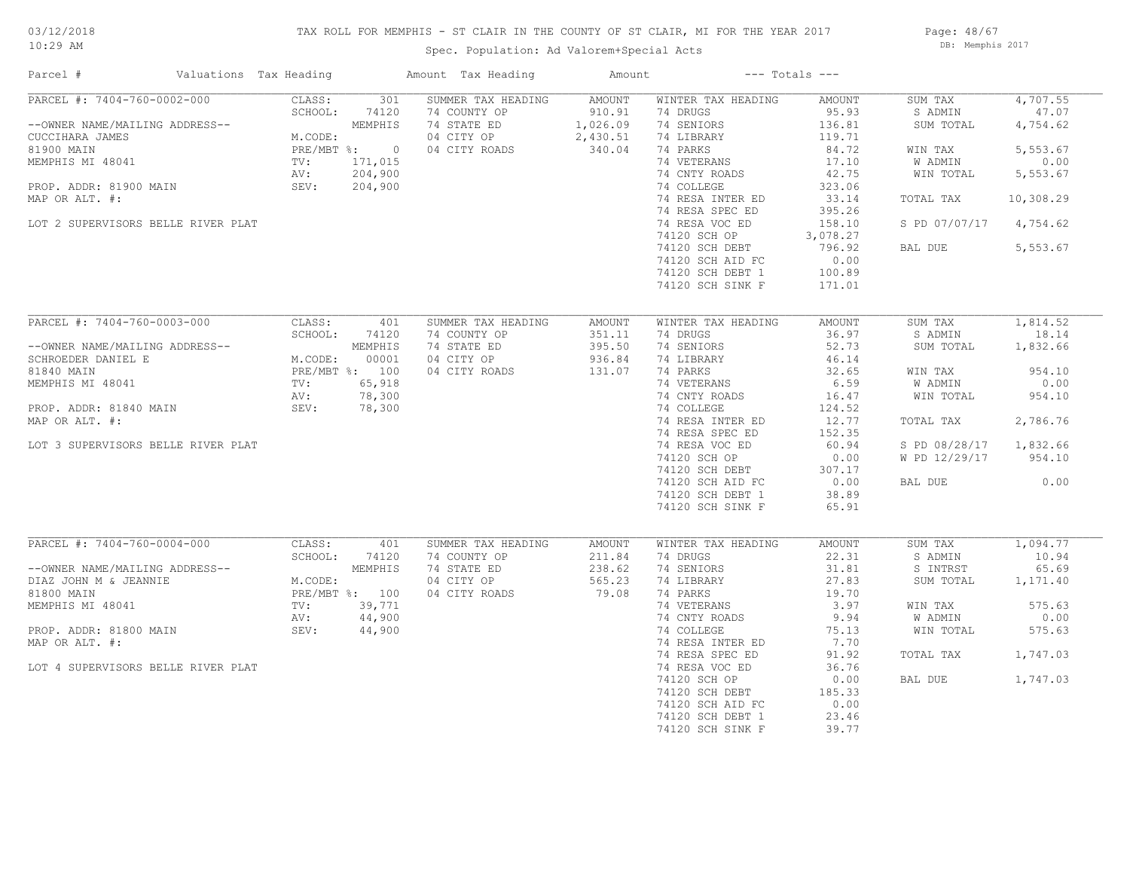## TAX ROLL FOR MEMPHIS - ST CLAIR IN THE COUNTY OF ST CLAIR, MI FOR THE YEAR 2017

Page: 48/67 DB: Memphis 2017

| Parcel #                                                                                                                          | Valuations Tax Heading             |         |                  | Amount Tax Heading          | Amount             |                                      | $---$ Totals $---$ |                      |                   |
|-----------------------------------------------------------------------------------------------------------------------------------|------------------------------------|---------|------------------|-----------------------------|--------------------|--------------------------------------|--------------------|----------------------|-------------------|
| PARCEL #: 7404-760-0002-000                                                                                                       |                                    | CLASS:  | 301              | SUMMER TAX HEADING          | AMOUNT             | WINTER TAX HEADING                   | AMOUNT             | SUM TAX              | 4,707.55          |
| --OWNER NAME/MAILING ADDRESS--                                                                                                    |                                    | SCHOOL: | 74120<br>MEMPHIS | 74 COUNTY OP<br>74 STATE ED | 910.91<br>1,026.09 | 74 DRUGS<br>74 SENIORS               | 95.93<br>136.81    | S ADMIN<br>SUM TOTAL | 47.07<br>4,754.62 |
| CUCCIHARA JAMES<br>81900 MAIN                                                                                                     |                                    | M.CODE: | PRE/MBT %: 0     | 04 CITY OP<br>04 CITY ROADS | 2,430.51<br>340.04 | 74 LIBRARY<br>74 PARKS               | 119.71<br>84.72    | WIN TAX              | 5,553.67          |
| MEMPHIS MI 48041                                                                                                                  | $TV:$ <sub>A<math>V</math></sub> . |         | 171,015          |                             |                    | 74 VETERANS                          | 17.10              | W ADMIN              | 0.00              |
|                                                                                                                                   |                                    |         | 204,900          |                             |                    | 74 CNTY ROADS                        | 42.75              | WIN TOTAL            | 5,553.67          |
| PROP. ADDR: 81900 MAIN                                                                                                            |                                    | SEV:    | 204,900          |                             |                    | 74 COLLEGE                           | 323.06             |                      |                   |
| MAP OR ALT. #:                                                                                                                    |                                    |         |                  |                             |                    | 74 RESA INTER ED<br>74 RESA SPEC ED  | 33.14<br>395.26    | TOTAL TAX            | 10,308.29         |
| LOT 2 SUPERVISORS BELLE RIVER PLAT                                                                                                |                                    |         |                  |                             |                    | 74 RESA VOC ED                       | 158.10             | S PD 07/07/17        | 4,754.62          |
|                                                                                                                                   |                                    |         |                  |                             |                    | 74120 SCH OP                         | 3,078.27           |                      |                   |
|                                                                                                                                   |                                    |         |                  |                             |                    | 74120 SCH DEBT                       | 796.92             | BAL DUE              | 5,553.67          |
|                                                                                                                                   |                                    |         |                  |                             |                    | 74120 SCH AID FC                     | 0.00               |                      |                   |
|                                                                                                                                   |                                    |         |                  |                             |                    | 74120 SCH DEBT 1                     | 100.89             |                      |                   |
|                                                                                                                                   |                                    |         |                  |                             |                    | 74120 SCH SINK F                     | 171.01             |                      |                   |
|                                                                                                                                   |                                    |         |                  |                             |                    |                                      |                    |                      |                   |
| PARCEL #: 7404-760-0003-000                                                                                                       |                                    | CLASS:  | 401              | SUMMER TAX HEADING          | AMOUNT             | WINTER TAX HEADING                   | AMOUNT             | SUM TAX              | 1,814.52          |
|                                                                                                                                   |                                    | SCHOOL: | 74120            | 74 COUNTY OP                | 351.11             | 74 DRUGS                             | 36.97              | S ADMIN              | 18.14             |
| --OWNER NAME/MAILING ADDRESS--                                                                                                    |                                    |         | MEMPHIS<br>00001 | 74 STATE ED<br>04 CITY OP   | 395.50<br>936.84   | 74 SENIORS                           | 52.73<br>46.14     | SUM TOTAL            | 1,832.66          |
| --UNNER NAME/MAILING ADDRESS--<br>SCHROEDER DANIEL E<br>BI840 MAIN<br>MEMPHIS MI 48041 TV:<br>PROP. ADDR: 81840 MAIN SEV:<br>SEV: |                                    | M.CODE: | PRE/MBT %: 100   | 04 CITY ROADS               | 131.07             | 74 LIBRARY<br>74 PARKS               | 32.65              | WIN TAX              | 954.10            |
|                                                                                                                                   |                                    |         | 65,918           |                             |                    | 74 VETERANS                          | 6.59               | W ADMIN              | 0.00              |
|                                                                                                                                   |                                    |         | 78,300           |                             |                    | 74 CNTY ROADS                        | 16.47              | WIN TOTAL            | 954.10            |
|                                                                                                                                   |                                    |         | 78,300           |                             |                    | 74 COLLEGE                           | 124.52             |                      |                   |
| MAP OR ALT. #:                                                                                                                    |                                    |         |                  |                             |                    | 74 RESA INTER ED                     | 12.77              | TOTAL TAX            | 2,786.76          |
|                                                                                                                                   |                                    |         |                  |                             |                    | 74 RESA SPEC ED                      | 152.35             |                      |                   |
| LOT 3 SUPERVISORS BELLE RIVER PLAT                                                                                                |                                    |         |                  |                             |                    | 74 RESA VOC ED                       | 60.94              | S PD 08/28/17        | 1,832.66          |
|                                                                                                                                   |                                    |         |                  |                             |                    | 74120 SCH OP                         | 0.00               | W PD 12/29/17        | 954.10            |
|                                                                                                                                   |                                    |         |                  |                             |                    | 74120 SCH DEBT                       | 307.17             |                      | 0.00              |
|                                                                                                                                   |                                    |         |                  |                             |                    | 74120 SCH AID FC<br>74120 SCH DEBT 1 | 0.00<br>38.89      | BAL DUE              |                   |
|                                                                                                                                   |                                    |         |                  |                             |                    | 74120 SCH SINK F                     | 65.91              |                      |                   |
|                                                                                                                                   |                                    |         |                  |                             |                    |                                      |                    |                      |                   |
| PARCEL #: 7404-760-0004-000                                                                                                       |                                    | CLASS:  | 401              | SUMMER TAX HEADING          | AMOUNT             | WINTER TAX HEADING                   | AMOUNT             | SUM TAX              | 1,094.77          |
|                                                                                                                                   |                                    | SCHOOL: | 74120            | 74 COUNTY OP                | 211.84             | 74 DRUGS                             | 22.31              | S ADMIN              | 10.94             |
| --OWNER NAME/MAILING ADDRESS--                                                                                                    |                                    |         | MEMPHIS          | 74 STATE ED                 | 238.62             | 74 SENIORS                           | 31.81              | S INTRST             | 65.69             |
| DIAZ JOHN M & JEANNIE                                                                                                             |                                    | M.CODE: |                  | 04 CITY OP                  | 565.23             | 74 LIBRARY                           | 27.83              | SUM TOTAL            | 1,171.40          |
| 81800 MAIN                                                                                                                        |                                    |         | PRE/MBT %: 100   | 04 CITY ROADS               | 79.08              | 74 PARKS                             | 19.70              |                      |                   |
| MEMPHIS MI 48041                                                                                                                  |                                    | TV:     | 39,771           |                             |                    | 74 VETERANS                          | 3.97               | WIN TAX              | 575.63            |
|                                                                                                                                   |                                    | AV:     | 44,900           |                             |                    | 74 CNTY ROADS                        | 9.94               | W ADMIN              | 0.00              |
| PROP. ADDR: 81800 MAIN                                                                                                            |                                    | SEV:    | 44,900           |                             |                    | 74 COLLEGE                           | 75.13              | WIN TOTAL            | 575.63            |
| MAP OR ALT. #:                                                                                                                    |                                    |         |                  |                             |                    | 74 RESA INTER ED<br>74 RESA SPEC ED  | 7.70<br>91.92      |                      | 1,747.03          |
| LOT 4 SUPERVISORS BELLE RIVER PLAT                                                                                                |                                    |         |                  |                             |                    | 74 RESA VOC ED                       | 36.76              | TOTAL TAX            |                   |
|                                                                                                                                   |                                    |         |                  |                             |                    | 74120 SCH OP                         | 0.00               | BAL DUE              | 1,747.03          |
|                                                                                                                                   |                                    |         |                  |                             |                    | 74120 SCH DEBT                       | 185.33             |                      |                   |
|                                                                                                                                   |                                    |         |                  |                             |                    | 74120 SCH AID FC                     | 0.00               |                      |                   |
|                                                                                                                                   |                                    |         |                  |                             |                    | 74120 SCH DEBT 1                     | 23.46              |                      |                   |
|                                                                                                                                   |                                    |         |                  |                             |                    | 74120 SCH SINK F                     | 39.77              |                      |                   |
|                                                                                                                                   |                                    |         |                  |                             |                    |                                      |                    |                      |                   |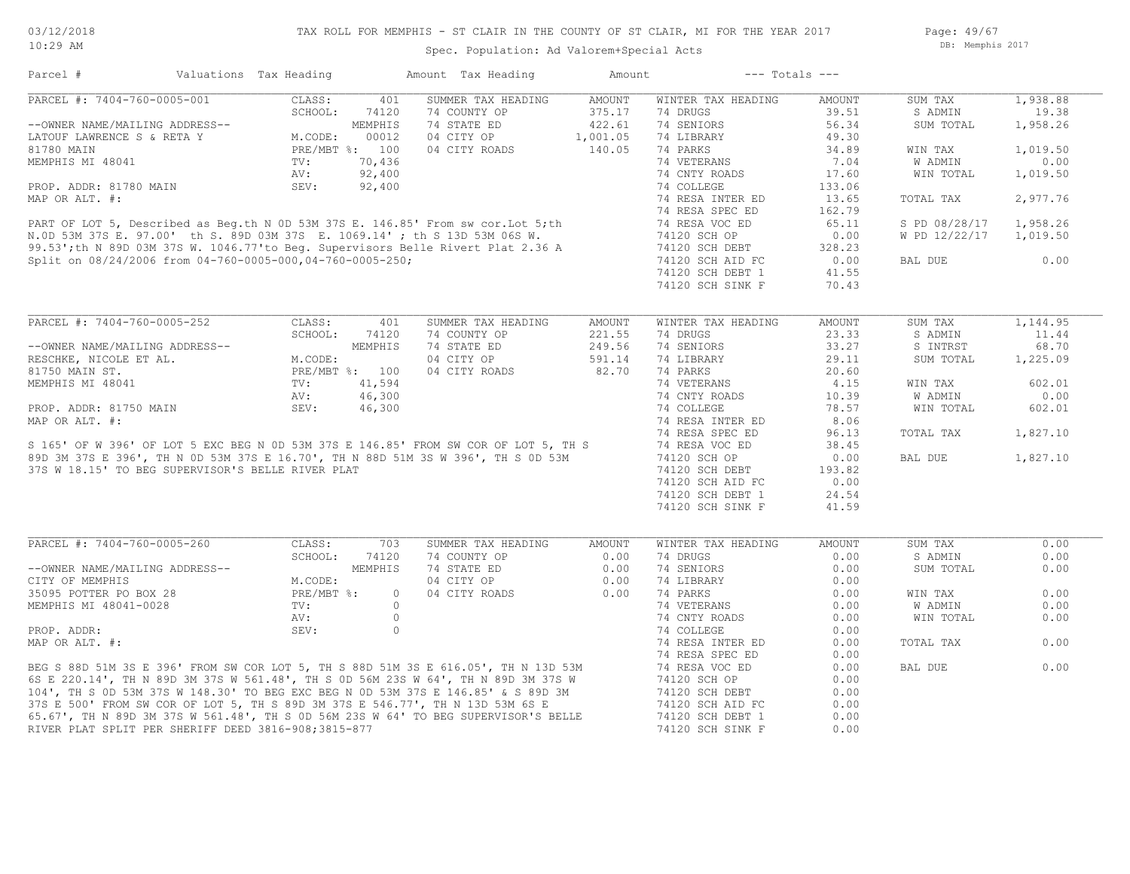Page: 49/67 DB: Memphis 2017

| Parcel #                                                                   | Valuations Tax Heading |                | Amount Tax Heading                                                                                                                                                                                                                     | Amount   | $---$ Totals $---$ |        |                |          |
|----------------------------------------------------------------------------|------------------------|----------------|----------------------------------------------------------------------------------------------------------------------------------------------------------------------------------------------------------------------------------------|----------|--------------------|--------|----------------|----------|
| PARCEL #: 7404-760-0005-001                                                | CLASS:                 | 401            | SUMMER TAX HEADING                                                                                                                                                                                                                     | AMOUNT   | WINTER TAX HEADING | AMOUNT | SUM TAX        | 1,938.88 |
|                                                                            | SCHOOL:                | 74120          | 74 COUNTY OP                                                                                                                                                                                                                           | 375.17   | 74 DRUGS           | 39.51  | S ADMIN        | 19.38    |
| --OWNER NAME/MAILING ADDRESS--                                             |                        | MEMPHIS        | 74 STATE ED                                                                                                                                                                                                                            | 422.61   | 74 SENIORS         | 56.34  | SUM TOTAL      | 1,958.26 |
| --OWNER NAME/MAILING ADDRESS--<br>LATOUF LAWRENCE S & RETA Y<br>81780 MAIN | M.CODE:                | 00012          | 04 CITY OP                                                                                                                                                                                                                             | 1,001.05 | 74 LIBRARY         | 49.30  |                |          |
|                                                                            |                        | PRE/MBT %: 100 | 04 CITY ROADS                                                                                                                                                                                                                          | 140.05   | 74 PARKS           | 34.89  | WIN TAX        | 1,019.50 |
| MEMPHIS MI 48041                                                           | $\texttt{TV}$ :        | 70,436         |                                                                                                                                                                                                                                        |          | 74 VETERANS        | 7.04   | <b>W ADMIN</b> | 0.00     |
|                                                                            | AV:                    | 92,400         |                                                                                                                                                                                                                                        |          | 74 CNTY ROADS      | 17.60  | WIN TOTAL      | 1,019.50 |
| PROP. ADDR: 81780 MAIN                                                     | SEV:                   | 92,400         |                                                                                                                                                                                                                                        |          | 74 COLLEGE         | 133.06 |                |          |
|                                                                            |                        |                |                                                                                                                                                                                                                                        |          | 74 RESA INTER ED   | 13.65  | TOTAL TAX      | 2,977.76 |
|                                                                            |                        |                |                                                                                                                                                                                                                                        |          | 74 RESA SPEC ED    | 162.79 |                |          |
|                                                                            |                        |                | PROP. ADDR: 81780 MAIN<br>MAP OR ALT. #:<br>PART OF LOT 5, Described as Beg.th N 0D 53M 37S E. 146.85' From sw cor. Lot 5; th<br>N.0D 53M 37S E. 146.85' From sw cor. Lot 5; th<br>99.53'; th N 89D 03M 37S W. 1046.77'to Beg. Supervi |          | 74 RESA VOC ED     | 65.11  | S PD 08/28/17  | 1,958.26 |
|                                                                            |                        |                |                                                                                                                                                                                                                                        |          | 74120 SCH OP       | 0.00   | W PD 12/22/17  | 1,019.50 |
|                                                                            |                        |                |                                                                                                                                                                                                                                        |          | 74120 SCH DEBT     | 328.23 |                |          |
| Split on 08/24/2006 from 04-760-0005-000,04-760-0005-250;                  |                        |                |                                                                                                                                                                                                                                        |          | 74120 SCH AID FC   | 0.00   | BAL DUE        | 0.00     |
|                                                                            |                        |                |                                                                                                                                                                                                                                        |          | 74120 SCH DEBT 1   | 41.55  |                |          |
|                                                                            |                        |                |                                                                                                                                                                                                                                        |          | 74120 SCH SINK F   | 70.43  |                |          |
|                                                                            |                        |                |                                                                                                                                                                                                                                        |          |                    |        |                |          |
|                                                                            |                        |                |                                                                                                                                                                                                                                        |          |                    |        |                |          |
| PARCEL #: 7404-760-0005-252                                                | CLASS:                 | 401            | SUMMER TAX HEADING                                                                                                                                                                                                                     | AMOUNT   | WINTER TAX HEADING | AMOUNT | SUM TAX        | 1,144.95 |
|                                                                            | SCHOOL:                | 74120          | 74 COUNTY OP                                                                                                                                                                                                                           | 221.55   | 74 DRUGS           | 23.33  | S ADMIN        | 11.44    |
| --OWNER NAME/MAILING ADDRESS--                                             |                        | MEMPHIS        | 74 STATE ED                                                                                                                                                                                                                            | 249.56   | 74 SENIORS         | 33.27  | S INTRST       | 68.70    |
| RESCHKE, NICOLE ET AL.                                                     | M.CODE:                |                | 04 CITY OP                                                                                                                                                                                                                             | 591.14   | 74 LIBRARY         | 29.11  | SUM TOTAL      | 1,225.09 |
| 81750 MAIN ST.                                                             |                        | PRE/MBT %: 100 | 04 CITY ROADS                                                                                                                                                                                                                          | 82.70    | 74 PARKS           | 20.60  |                |          |
| MEMPHIS MI 48041                                                           | TV:                    | 41,594         |                                                                                                                                                                                                                                        |          | 74 VETERANS        | 4.15   | WIN TAX        | 602.01   |
|                                                                            | AV:                    | 46,300         |                                                                                                                                                                                                                                        |          | 74 CNTY ROADS      | 10.39  | W ADMIN        | 0.00     |
| PROP. ADDR: 81750 MAIN                                                     | SEV:                   | 46,300         |                                                                                                                                                                                                                                        |          | 74 COLLEGE         | 78.57  | WIN TOTAL      | 602.01   |
| MAP OR ALT. #:                                                             |                        |                |                                                                                                                                                                                                                                        |          | 74 RESA INTER ED   | 8.06   |                |          |
|                                                                            |                        |                |                                                                                                                                                                                                                                        |          | 74 RESA SPEC ED    | 96.13  | TOTAL TAX      | 1,827.10 |
|                                                                            |                        |                | S 165' OF W 396' OF LOT 5 EXC BEG N OD 53M 37S E 146.85' FROM SW COR OF LOT 5, TH S<br>89D 3M 37S E 396', TH N OD 53M 37S E 16.70', TH N 88D 51M 3S W 396', TH S OD 53M<br>37S W 18.15' TO BEG SUPERVISOR'S BELLE RIVER PLAT           |          | 74 RESA VOC ED     | 38.45  |                |          |
|                                                                            |                        |                |                                                                                                                                                                                                                                        |          | 74120 SCH OP       | 0.00   | BAL DUE        | 1,827.10 |
| 37S W 18.15' TO BEG SUPERVISOR'S BELLE RIVER PLAT                          |                        |                |                                                                                                                                                                                                                                        |          | 74120 SCH DEBT     | 193.82 |                |          |
|                                                                            |                        |                |                                                                                                                                                                                                                                        |          | 74120 SCH AID FC   | 0.00   |                |          |
|                                                                            |                        |                |                                                                                                                                                                                                                                        |          | 74120 SCH DEBT 1   | 24.54  |                |          |
|                                                                            |                        |                |                                                                                                                                                                                                                                        |          | 74120 SCH SINK F   | 41.59  |                |          |
|                                                                            |                        |                |                                                                                                                                                                                                                                        |          |                    |        |                |          |
| PARCEL #: 7404-760-0005-260                                                | CLASS:                 | 703            | SUMMER TAX HEADING                                                                                                                                                                                                                     | AMOUNT   | WINTER TAX HEADING | AMOUNT | SUM TAX        | 0.00     |
|                                                                            | SCHOOL:                | 74120          | 74 COUNTY OP                                                                                                                                                                                                                           | 0.00     | 74 DRUGS           | 0.00   | S ADMIN        | 0.00     |
| --OWNER NAME/MAILING ADDRESS--                                             |                        | MEMPHIS        | 74 STATE ED                                                                                                                                                                                                                            | 0.00     | 74 SENIORS         | 0.00   | SUM TOTAL      | 0.00     |
| CITY OF MEMPHIS                                                            | M.CODE:                |                | 04 CITY OP                                                                                                                                                                                                                             | 0.00     | 74 LIBRARY         | 0.00   |                |          |
| 35095 POTTER PO BOX 28<br>MEMPHIS MI 48041-0028                            | PRE/MBT %:             | $\circ$        | 04 CITY ROADS                                                                                                                                                                                                                          | 0.00     | 74 PARKS           | 0.00   | WIN TAX        | 0.00     |
|                                                                            | $\texttt{TV}$ :        | $\circ$        |                                                                                                                                                                                                                                        |          | 74 VETERANS        | 0.00   | <b>W ADMIN</b> | 0.00     |
|                                                                            | AV:                    | $\circ$        |                                                                                                                                                                                                                                        |          | 74 CNTY ROADS      | 0.00   | WIN TOTAL      | 0.00     |
| PROP. ADDR:                                                                | SEV:                   | $\circ$        |                                                                                                                                                                                                                                        |          | 74 COLLEGE         | 0.00   |                |          |
| MAP OR ALT. #:                                                             |                        |                |                                                                                                                                                                                                                                        |          | 74 RESA INTER ED   | 0.00   | TOTAL TAX      | 0.00     |
|                                                                            |                        |                |                                                                                                                                                                                                                                        |          | 74 RESA SPEC ED    | 0.00   |                |          |
|                                                                            |                        |                | BEG S 88D 51M 3S E 396' FROM SW COR LOT 5, TH S 88D 51M 3S E 616.05', TH N 13D 53M                                                                                                                                                     |          | 74 RESA VOC ED     | 0.00   | BAL DUE        | 0.00     |
|                                                                            |                        |                | 6S E 220.14', TH N 89D 3M 37S W 561.48', TH S OD 56M 23S W 64', TH N 89D 3M 37S W                                                                                                                                                      |          | 74120 SCH OP       | 0.00   |                |          |
|                                                                            |                        |                | 104', TH S OD 53M 37S W 148.30' TO BEG EXC BEG N OD 53M 37S E 146.85' & S 89D 3M                                                                                                                                                       |          | 74120 SCH DEBT     | 0.00   |                |          |
|                                                                            |                        |                | 37S E 500' FROM SW COR OF LOT 5, TH S 89D 3M 37S E 546.77', TH N 13D 53M 6S E                                                                                                                                                          |          | 74120 SCH AID FC   | 0.00   |                |          |
|                                                                            |                        |                | 65.67', TH N 89D 3M 37S W 561.48', TH S OD 56M 23S W 64' TO BEG SUPERVISOR'S BELLE                                                                                                                                                     |          | 74120 SCH DEBT 1   | 0.00   |                |          |
| RIVER PLAT SPLIT PER SHERIFF DEED 3816-908;3815-877                        |                        |                |                                                                                                                                                                                                                                        |          | 74120 SCH SINK F   | 0.00   |                |          |
|                                                                            |                        |                |                                                                                                                                                                                                                                        |          |                    |        |                |          |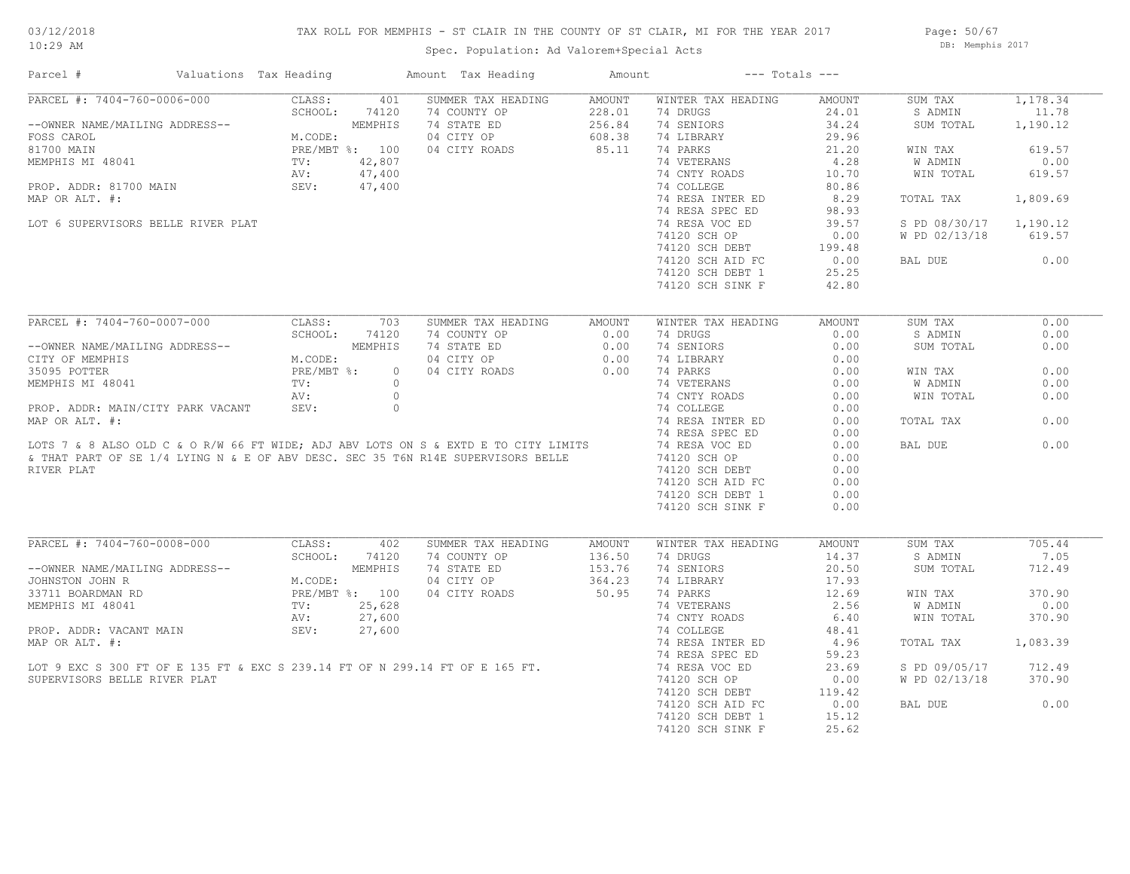## TAX ROLL FOR MEMPHIS - ST CLAIR IN THE COUNTY OF ST CLAIR, MI FOR THE YEAR 2017

Spec. Population: Ad Valorem+Special Acts

Page: 50/67 DB: Memphis 2017

| Parcel #                                                                            | Valuations Tax Heading |                 |                | Amount Tax Heading | Amount        |                    | $---$ Totals $---$ |               |          |
|-------------------------------------------------------------------------------------|------------------------|-----------------|----------------|--------------------|---------------|--------------------|--------------------|---------------|----------|
| PARCEL #: 7404-760-0006-000                                                         |                        | CLASS:          | 401            | SUMMER TAX HEADING | <b>AMOUNT</b> | WINTER TAX HEADING | AMOUNT             | SUM TAX       | 1,178.34 |
|                                                                                     |                        | SCHOOL:         | 74120          | 74 COUNTY OP       | 228.01        | 74 DRUGS           | 24.01              | S ADMIN       | 11.78    |
| --OWNER NAME/MAILING ADDRESS--                                                      |                        |                 | MEMPHIS        | 74 STATE ED        | 256.84        | 74 SENIORS         | 34.24              | SUM TOTAL     | 1,190.12 |
| FOSS CAROL                                                                          |                        | M.CODE:         |                | 04 CITY OP         | 608.38        | 74 LIBRARY         | 29.96              |               |          |
| 81700 MAIN                                                                          |                        |                 | PRE/MBT %: 100 | 04 CITY ROADS      | 85.11         | 74 PARKS           | 21.20              | WIN TAX       | 619.57   |
| MEMPHIS MI 48041                                                                    |                        | TV:             | 42,807         |                    |               | 74 VETERANS        | 4.28               | W ADMIN       | 0.00     |
|                                                                                     |                        | AV:             | 47,400         |                    |               | 74 CNTY ROADS      | 10.70              | WIN TOTAL     | 619.57   |
| PROP. ADDR: 81700 MAIN                                                              |                        | SEV:            | 47,400         |                    |               | 74 COLLEGE         | 80.86              |               |          |
| MAP OR ALT. #:                                                                      |                        |                 |                |                    |               | 74 RESA INTER ED   | 8.29               | TOTAL TAX     | 1,809.69 |
|                                                                                     |                        |                 |                |                    |               | 74 RESA SPEC ED    | 98.93              |               |          |
| LOT 6 SUPERVISORS BELLE RIVER PLAT                                                  |                        |                 |                |                    |               | 74 RESA VOC ED     | 39.57              | S PD 08/30/17 | 1,190.12 |
|                                                                                     |                        |                 |                |                    |               | 74120 SCH OP       | 0.00               | W PD 02/13/18 | 619.57   |
|                                                                                     |                        |                 |                |                    |               | 74120 SCH DEBT     | 199.48             |               |          |
|                                                                                     |                        |                 |                |                    |               | 74120 SCH AID FC   | 0.00               | BAL DUE       | 0.00     |
|                                                                                     |                        |                 |                |                    |               | 74120 SCH DEBT 1   | 25.25              |               |          |
|                                                                                     |                        |                 |                |                    |               | 74120 SCH SINK F   | 42.80              |               |          |
|                                                                                     |                        |                 |                |                    |               |                    |                    |               |          |
| PARCEL #: 7404-760-0007-000                                                         |                        | CLASS:          | 703            | SUMMER TAX HEADING | <b>AMOUNT</b> | WINTER TAX HEADING | <b>AMOUNT</b>      | SUM TAX       | 0.00     |
|                                                                                     |                        | SCHOOL:         | 74120          | 74 COUNTY OP       | 0.00          | 74 DRUGS           | 0.00               | S ADMIN       | 0.00     |
| --OWNER NAME/MAILING ADDRESS--                                                      |                        |                 | MEMPHIS        | 74 STATE ED        | 0.00          | 74 SENIORS         | 0.00               | SUM TOTAL     | 0.00     |
| CITY OF MEMPHIS                                                                     |                        | M.CODE:         |                | 04 CITY OP         | 0.00          | 74 LIBRARY         | 0.00               |               |          |
| 35095 POTTER                                                                        |                        | PRE/MBT %:      | $\circ$        | 04 CITY ROADS      | 0.00          | 74 PARKS           | 0.00               | WIN TAX       | 0.00     |
| MEMPHIS MI 48041                                                                    |                        | $\texttt{TV}$ : | $\circ$        |                    |               | 74 VETERANS        | 0.00               | W ADMIN       | 0.00     |
|                                                                                     |                        | AV:             | $\circ$        |                    |               | 74 CNTY ROADS      | 0.00               | WIN TOTAL     | 0.00     |
| PROP. ADDR: MAIN/CITY PARK VACANT                                                   |                        | SEV:            | $\circ$        |                    |               | 74 COLLEGE         | 0.00               |               |          |
| MAP OR ALT. #:                                                                      |                        |                 |                |                    |               | 74 RESA INTER ED   | 0.00               | TOTAL TAX     | 0.00     |
|                                                                                     |                        |                 |                |                    |               | 74 RESA SPEC ED    | 0.00               |               |          |
| LOTS 7 & 8 ALSO OLD C & O R/W 66 FT WIDE; ADJ ABV LOTS ON S & EXTD E TO CITY LIMITS |                        |                 |                |                    |               | 74 RESA VOC ED     | 0.00               | BAL DUE       | 0.00     |
| & THAT PART OF SE 1/4 LYING N & E OF ABV DESC. SEC 35 T6N R14E SUPERVISORS BELLE    |                        |                 |                |                    |               | 74120 SCH OP       | 0.00               |               |          |
| RIVER PLAT                                                                          |                        |                 |                |                    |               | 74120 SCH DEBT     | 0.00               |               |          |
|                                                                                     |                        |                 |                |                    |               | 74120 SCH AID FC   | 0.00               |               |          |
|                                                                                     |                        |                 |                |                    |               | 74120 SCH DEBT 1   | 0.00               |               |          |
|                                                                                     |                        |                 |                |                    |               | 74120 SCH SINK F   | 0.00               |               |          |
|                                                                                     |                        |                 |                |                    |               |                    |                    |               |          |
| PARCEL #: 7404-760-0008-000                                                         |                        | CLASS:          | 402            | SUMMER TAX HEADING | AMOUNT        | WINTER TAX HEADING | AMOUNT             | SUM TAX       | 705.44   |
|                                                                                     |                        | SCHOOL:         | 74120          | 74 COUNTY OP       | 136.50        | 74 DRUGS           | 14.37              | S ADMIN       | 7.05     |
| --OWNER NAME/MAILING ADDRESS--                                                      |                        |                 | MEMPHIS        | 74 STATE ED        | 153.76        | 74 SENIORS         | 20.50              | SUM TOTAL     | 712.49   |
| JOHNSTON JOHN R                                                                     |                        | M.CODE:         |                | 04 CITY OP         | 364.23        | 74 LIBRARY         | 17.93              |               |          |
| 33711 BOARDMAN RD                                                                   |                        |                 | PRE/MBT %: 100 | 04 CITY ROADS      | 50.95         | 74 PARKS           | 12.69              | WIN TAX       | 370.90   |
| MEMPHIS MI 48041                                                                    |                        | $\texttt{TV}$ : | 25,628         |                    |               | 74 VETERANS        | 2.56               | W ADMIN       | 0.00     |
|                                                                                     |                        | AV:             | 27,600         |                    |               | 74 CNTY ROADS      | 6.40               | WIN TOTAL     | 370.90   |
| PROP. ADDR: VACANT MAIN                                                             |                        | SEV:            | 27,600         |                    |               | 74 COLLEGE         | 48.41              |               |          |
| MAP OR ALT. #:                                                                      |                        |                 |                |                    |               | 74 RESA INTER ED   | 4.96               | TOTAL TAX     | 1,083.39 |
|                                                                                     |                        |                 |                |                    |               | 74 RESA SPEC ED    | 59.23              |               |          |
| LOT 9 EXC S 300 FT OF E 135 FT & EXC S 239.14 FT OF N 299.14 FT OF E 165 FT.        |                        |                 |                |                    |               | 74 RESA VOC ED     | 23.69              | S PD 09/05/17 | 712.49   |
| SUPERVISORS BELLE RIVER PLAT                                                        |                        |                 |                |                    |               | 74120 SCH OP       | 0.00               | W PD 02/13/18 | 370.90   |
|                                                                                     |                        |                 |                |                    |               | 74120 SCH DEBT     | 119.42             |               |          |
|                                                                                     |                        |                 |                |                    |               | 74120 SCH AID FC   | 0.00               | BAL DUE       | 0.00     |
|                                                                                     |                        |                 |                |                    |               | 74120 SCH DEBT 1   | 15.12              |               |          |
|                                                                                     |                        |                 |                |                    |               | 74120 SCH SINK F   | 25.62              |               |          |
|                                                                                     |                        |                 |                |                    |               |                    |                    |               |          |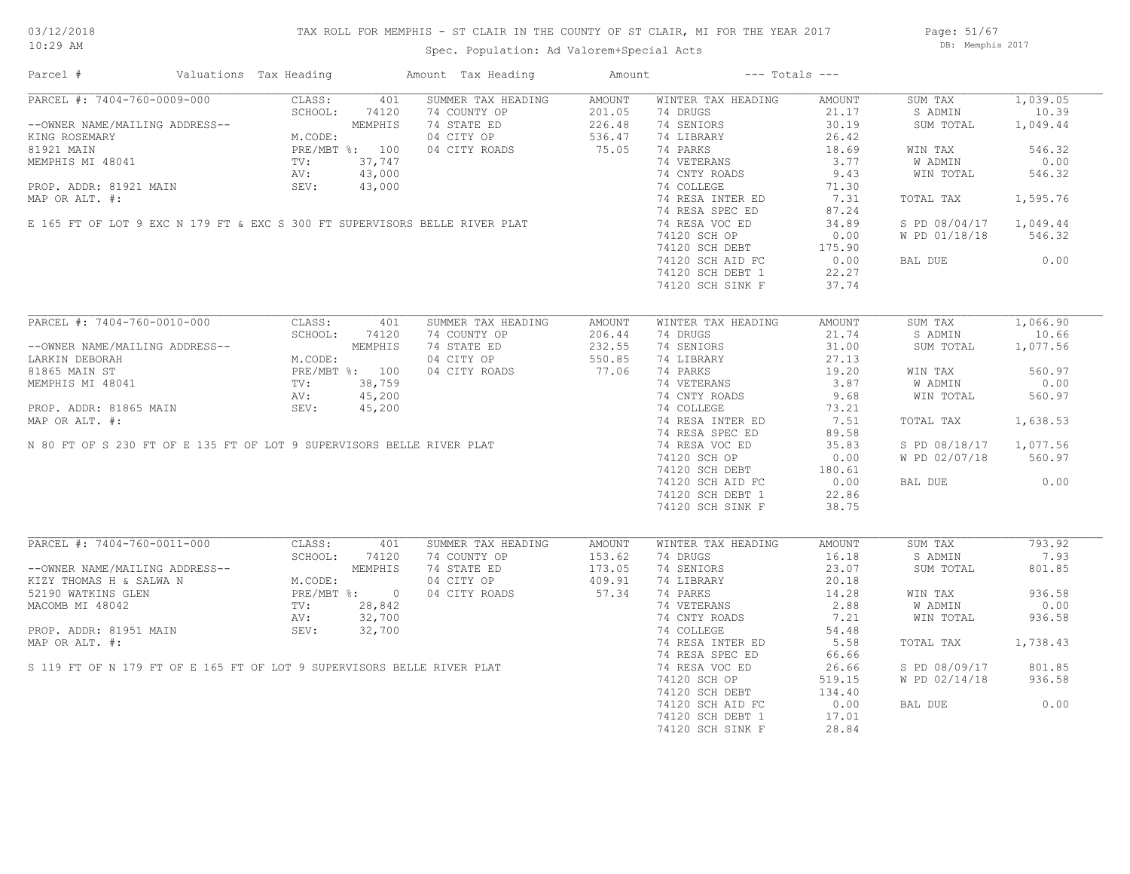## TAX ROLL FOR MEMPHIS - ST CLAIR IN THE COUNTY OF ST CLAIR, MI FOR THE YEAR 2017

Spec. Population: Ad Valorem+Special Acts

Page: 51/67 DB: Memphis 2017

| Parcel #                                                                                                                                         | Valuations Tax Heading |               | Amount Tax Heading                                                                                                                         | Amount                     |                                                             | $---$ Totals $---$ |                        |          |
|--------------------------------------------------------------------------------------------------------------------------------------------------|------------------------|---------------|--------------------------------------------------------------------------------------------------------------------------------------------|----------------------------|-------------------------------------------------------------|--------------------|------------------------|----------|
| PARCEL #: 7404-760-0009-000                                                                                                                      | CLASS:                 | 401           | SUMMER TAX HEADING                                                                                                                         | AMOUNT                     | WINTER TAX HEADING                                          | AMOUNT             | SUM TAX                | 1,039.05 |
|                                                                                                                                                  | SCHOOL:                | 74120         |                                                                                                                                            |                            | 74 DRUGS                                                    | 21.17              | S ADMIN                | 10.39    |
| --OWNER NAME/MAILING ADDRESS--<br>KING ROSEMARY<br>81921 MAIN PRE/MBT %: 100<br>MEMPHIS MI 48041 TV: 37,747<br>MEMPHIS MI 48041 TV: 43,000       |                        |               | 74 COUNTY OP<br>74 STATE ED 226.48<br>04 CITY OP 536.47                                                                                    |                            | 74 SENIORS                                                  | 30.19              | SUM TOTAL              | 1,049.44 |
|                                                                                                                                                  |                        |               |                                                                                                                                            |                            | 74 LIBRARY                                                  | 26.42              |                        |          |
|                                                                                                                                                  |                        |               | 04 CITY ROADS 75.05                                                                                                                        |                            | 74 PARKS                                                    | 18.69              | WIN TAX                | 546.32   |
|                                                                                                                                                  |                        |               | MEMPHIS MI 48041<br>PROP. ADDR: 81921 MAIN<br>MAP OR ALT. #:<br>E 165 FT OF LOT 9 EXC N 179 FT & EXC S 300 FT SUPERVISORS BELLE RIVER PLAT |                            | 74 VETERANS                                                 | 3.77               | W ADMIN                | 0.00     |
|                                                                                                                                                  |                        |               |                                                                                                                                            |                            | 74 CNTY ROADS                                               | 9.43               | WIN TOTAL              | 546.32   |
|                                                                                                                                                  |                        |               |                                                                                                                                            |                            | 74 COLLEGE                                                  | 71.30              |                        |          |
|                                                                                                                                                  |                        |               |                                                                                                                                            |                            | 74 RESA INTER ED                                            | 7.31               | TOTAL TAX              | 1,595.76 |
|                                                                                                                                                  |                        |               |                                                                                                                                            |                            | 74 RESA SPEC ED                                             | 87.24              |                        |          |
|                                                                                                                                                  |                        |               |                                                                                                                                            |                            | 74 RESA VOC ED                                              | 34.89              | S PD 08/04/17 1,049.44 |          |
|                                                                                                                                                  |                        |               |                                                                                                                                            |                            |                                                             |                    | W PD 01/18/18          | 546.32   |
|                                                                                                                                                  |                        |               |                                                                                                                                            |                            | 74120 SCH OF<br>74120 SCH DEBT 175.90<br>22.27 PC 22.27     |                    |                        |          |
|                                                                                                                                                  |                        |               |                                                                                                                                            |                            |                                                             |                    | BAL DUE                | 0.00     |
|                                                                                                                                                  |                        |               |                                                                                                                                            |                            | 74120 SCH DEBT 1                                            | 22.27              |                        |          |
|                                                                                                                                                  |                        |               |                                                                                                                                            |                            | 74120 SCH SINK F                                            | 37.74              |                        |          |
|                                                                                                                                                  |                        |               |                                                                                                                                            |                            |                                                             |                    |                        |          |
| PARCEL #: 7404-760-0010-000                                                                                                                      | CLASS:                 | 401           | SUMMER TAX HEADING                                                                                                                         | AMOUNT                     | WINTER TAX HEADING                                          | AMOUNT             | SUM TAX                | 1,066.90 |
|                                                                                                                                                  |                        | SCHOOL: 74120 |                                                                                                                                            |                            | 74 DRUGS                                                    | 21.74              | S ADMIN                | 10.66    |
|                                                                                                                                                  |                        |               |                                                                                                                                            |                            | 74 SENIORS                                                  | 31.00              | SUM TOTAL              | 1,077.56 |
| --OWNER NAME/MAILING ADDRESS--<br>LARKIN DEBORAH MEMPHIS<br>81865 MAIN ST PRE/MBT %: 100<br>MEMPHIS MI 48041 TV: 38,759<br>AV: 45,200            |                        |               | 74 COUNTY OP<br>74 STATE ED<br>74 STATE ED<br>232.55<br>04 CITY ROADS<br>77.06                                                             |                            |                                                             |                    |                        |          |
|                                                                                                                                                  |                        |               |                                                                                                                                            |                            | 74 LIBRARY                                                  | 27.13              |                        |          |
|                                                                                                                                                  |                        |               | 04 CITY ROADS                                                                                                                              |                            | 74 PARKS                                                    | 19.20              | WIN TAX                | 560.97   |
|                                                                                                                                                  |                        |               |                                                                                                                                            |                            | 74 VETERANS                                                 | 3.87               | <b>W ADMIN</b>         | 0.00     |
|                                                                                                                                                  |                        |               | MEMPHIS MI 48041<br>PROP. ADDR: 81865 MAIN<br>MAP OR ALT. #:<br>N 80 FT OF S 230 FT OF E 135 FT OF LOT 9 SUPERVISORS BELLE RIVER PLAT      |                            | 74 CNTY ROADS                                               | 9.68               | WIN TOTAL              | 560.97   |
|                                                                                                                                                  |                        |               |                                                                                                                                            |                            | 74 COLLEGE                                                  | 73.21              |                        |          |
|                                                                                                                                                  |                        |               |                                                                                                                                            |                            | 74 RESA INTER ED                                            | 7.51               | TOTAL TAX              | 1,638.53 |
|                                                                                                                                                  |                        |               |                                                                                                                                            |                            | 74 RESA SPEC ED                                             | 89.58              |                        |          |
|                                                                                                                                                  |                        |               |                                                                                                                                            |                            | 74 RESA VOC ED                                              | 35.83              | S PD 08/18/17 1,077.56 |          |
|                                                                                                                                                  |                        |               |                                                                                                                                            |                            |                                                             |                    | W PD 02/07/18          | 560.97   |
|                                                                                                                                                  |                        |               |                                                                                                                                            |                            |                                                             |                    |                        |          |
|                                                                                                                                                  |                        |               |                                                                                                                                            |                            | 74120 SCH OF<br>74120 SCH DEBT 180.61<br>22 SCH PED FC 0.00 |                    | BAL DUE                | 0.00     |
|                                                                                                                                                  |                        |               |                                                                                                                                            |                            | 74120 SCH DEBT 1                                            | 22.86              |                        |          |
|                                                                                                                                                  |                        |               |                                                                                                                                            |                            | 74120 SCH SINK F                                            | 38.75              |                        |          |
|                                                                                                                                                  |                        |               |                                                                                                                                            |                            |                                                             |                    |                        |          |
| PARCEL #: 7404-760-0011-000                                                                                                                      | CLASS:                 | 401           | SUMMER TAX HEADING                                                                                                                         | AMOUNT                     | WINTER TAX HEADING                                          | AMOUNT             | SUM TAX                | 793.92   |
|                                                                                                                                                  |                        | SCHOOL: 74120 | 74 COUNTY OP                                                                                                                               |                            | 74 DRUGS                                                    | 16.18              | S ADMIN                | 7.93     |
|                                                                                                                                                  |                        |               | 74 STATE ED                                                                                                                                |                            | 74 SENIORS                                                  | 23.07              | SUM TOTAL              | 801.85   |
|                                                                                                                                                  |                        |               | 04 CITY OP                                                                                                                                 | 153.62<br>173.05<br>409.91 | 74 LIBRARY                                                  | 20.18              |                        |          |
| --OWNER NAME/MAILING ADDRESS--<br>KIZY THOMAS H & SALWA N M.CODE:<br>52190 WATKINS GLEN PRE/MBT %: 0<br>MACOMB MI 48042 TV: 28,842<br>AV: 32,700 |                        |               | 04 CITY ROADS                                                                                                                              | 57.34                      | 74 PARKS                                                    | 14.28              | WIN TAX                | 936.58   |
|                                                                                                                                                  |                        |               |                                                                                                                                            |                            | 74 VETERANS                                                 | 2.88               | W ADMIN                | 0.00     |
|                                                                                                                                                  |                        |               |                                                                                                                                            |                            | 74 CNTY ROADS                                               | 7.21               | WIN TOTAL              | 936.58   |
|                                                                                                                                                  |                        |               |                                                                                                                                            |                            | 74 COLLEGE                                                  | 54.48              |                        |          |
|                                                                                                                                                  |                        |               | MACOMB MI 48042<br>PROP. ADDR: 81951 MAIN 2007<br>MAP OR ALT. #:<br>S 119 FT OF N 179 FT OF E 165 FT OF LOT 9 SUPERVISORS BELLE RIVER PLAT |                            | 74 RESA INTER ED                                            | 5.58               | TOTAL TAX              | 1,738.43 |
|                                                                                                                                                  |                        |               |                                                                                                                                            |                            | 74 RESA SPEC ED                                             |                    |                        |          |
|                                                                                                                                                  |                        |               |                                                                                                                                            |                            |                                                             | 66.66              |                        |          |
|                                                                                                                                                  |                        |               |                                                                                                                                            |                            | 74 RESA VOC ED                                              | 26.66              | S PD 08/09/17          | 801.85   |
|                                                                                                                                                  |                        |               |                                                                                                                                            |                            | 74120 SCH OP                                                | 519.15             | W PD 02/14/18          | 936.58   |
|                                                                                                                                                  |                        |               |                                                                                                                                            |                            | $74120$ SCH DEBT                                            | 134.40             |                        |          |
|                                                                                                                                                  |                        |               |                                                                                                                                            |                            | 74120 SCH AID FC                                            | 0.00               | BAL DUE                | 0.00     |
|                                                                                                                                                  |                        |               |                                                                                                                                            |                            | 74120 SCH DEBT 1                                            | 17.01              |                        |          |
|                                                                                                                                                  |                        |               |                                                                                                                                            |                            | 74120 SCH SINK F                                            | 28.84              |                        |          |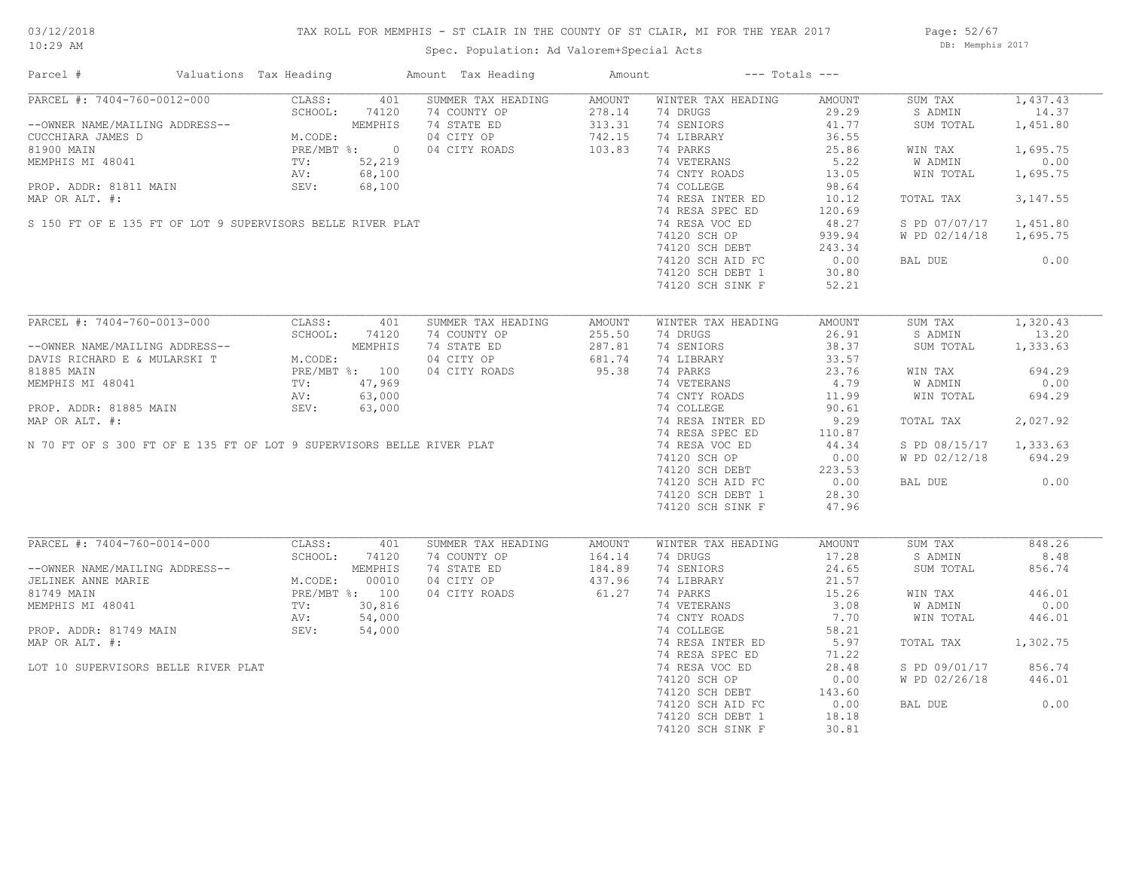## TAX ROLL FOR MEMPHIS - ST CLAIR IN THE COUNTY OF ST CLAIR, MI FOR THE YEAR 2017

Spec. Population: Ad Valorem+Special Acts

Page: 52/67 DB: Memphis 2017

| Parcel #                                                                                                                              | Valuations Tax Heading  |         | Amount Tax Heading | Amount        |                    | $---$ Totals $---$ |               |          |
|---------------------------------------------------------------------------------------------------------------------------------------|-------------------------|---------|--------------------|---------------|--------------------|--------------------|---------------|----------|
| PARCEL #: 7404-760-0012-000                                                                                                           | CLASS:                  | 401     | SUMMER TAX HEADING | AMOUNT        | WINTER TAX HEADING | AMOUNT             | SUM TAX       | 1,437.43 |
|                                                                                                                                       | SCHOOL:                 | 74120   | 74 COUNTY OP       | 278.14        | 74 DRUGS           | 29.29              | S ADMIN       | 14.37    |
| --OWNER NAME/MAILING ADDRESS--                                                                                                        |                         | MEMPHIS | 74 STATE ED        | 313.31        | 74 SENIORS         | 41.77              | SUM TOTAL     | 1,451.80 |
| CUCCHIARA JAMES D                                                                                                                     | M.CODE:<br>PRE/MBT %: 0 |         | 04 CITY OP         | 742.15        | 74 LIBRARY         | 36.55              |               |          |
| 81900 MAIN                                                                                                                            |                         |         | 04 CITY ROADS      | 103.83        | 74 PARKS           | 25.86              | WIN TAX       | 1,695.75 |
| MEMPHIS MI 48041                                                                                                                      | TV:                     | 52,219  |                    |               | 74 VETERANS        | 5.22               | W ADMIN       | 0.00     |
|                                                                                                                                       |                         |         |                    |               | 74 CNTY ROADS      | 13.05              | WIN TOTAL     | 1,695.75 |
|                                                                                                                                       |                         |         |                    |               | 74 COLLEGE         | 98.64              |               |          |
| AV: b8,100<br>PROP. ADDR: 81811 MAIN SEV: 68,100<br>MAP OR ALT. #:<br>S 150 FT OF E 135 FT OF LOT 9 SUPERVISORS BELLE RIVER PLAT      |                         |         |                    |               | 74 RESA INTER ED   | 10.12              | TOTAL TAX     | 3,147.55 |
|                                                                                                                                       |                         |         |                    |               | 74 RESA SPEC ED    | 120.69             |               |          |
|                                                                                                                                       |                         |         |                    |               | 74 RESA VOC ED     | 48.27              | S PD 07/07/17 | 1,451.80 |
|                                                                                                                                       |                         |         |                    |               | 74120 SCH OP       | 939.94             | W PD 02/14/18 | 1,695.75 |
|                                                                                                                                       |                         |         |                    |               | 74120 SCH DEBT     | 243.34             |               |          |
|                                                                                                                                       |                         |         |                    |               |                    |                    |               | 0.00     |
|                                                                                                                                       |                         |         |                    |               | 74120 SCH AID FC   | 0.00               | BAL DUE       |          |
|                                                                                                                                       |                         |         |                    |               | 74120 SCH DEBT 1   | 30.80              |               |          |
|                                                                                                                                       |                         |         |                    |               | 74120 SCH SINK F   | 52.21              |               |          |
|                                                                                                                                       |                         |         |                    |               |                    |                    |               |          |
| PARCEL #: 7404-760-0013-000                                                                                                           | CLASS:                  | 401     | SUMMER TAX HEADING | AMOUNT        | WINTER TAX HEADING | AMOUNT             | SUM TAX       | 1,320.43 |
|                                                                                                                                       | SCHOOL:                 | 74120   | 74 COUNTY OP       | 255.50        | 74 DRUGS           | 26.91              | S ADMIN       | 13.20    |
| --OWNER NAME/MAILING ADDRESS--                                                                                                        |                         | MEMPHIS | 74 STATE ED        | 287.81        | 74 SENIORS         | 38.37              | SUM TOTAL     | 1,333.63 |
| DAVIS RICHARD E & MULARSKI T                                                                                                          | M.CODE:                 |         | 04 CITY OP         | 681.74        | 74 LIBRARY         | 33.57              |               |          |
| 81885 MAIN                                                                                                                            | PRE/MBT %: 100          |         | 04 CITY ROADS      | 95.38         | 74 PARKS           | 23.76              | WIN TAX       | 694.29   |
| MEMPHIS MI 48041                                                                                                                      | TV:<br>AV:              | 47,969  |                    |               | 74 VETERANS        | 4.79               | W ADMIN       | 0.00     |
|                                                                                                                                       |                         |         |                    |               | 74 CNTY ROADS      | 11.99              | WIN TOTAL     | 694.29   |
| MEMPHIS MI 48041<br>PROP. ADDR: 81885 MAIN<br>MAP OR ALT. #:<br>N 70 FT OF S 300 FT OF E 135 FT OF LOT 9 SUPERVISORS BELLE RIVER PLAT |                         |         |                    |               | 74 COLLEGE         | 90.61              |               |          |
|                                                                                                                                       |                         |         |                    |               | 74 RESA INTER ED   | 9.29               | TOTAL TAX     | 2,027.92 |
|                                                                                                                                       |                         |         |                    |               | 74 RESA SPEC ED    | 110.87             |               |          |
|                                                                                                                                       |                         |         |                    |               | 74 RESA VOC ED     | 44.34              | S PD 08/15/17 | 1,333.63 |
|                                                                                                                                       |                         |         |                    |               |                    |                    |               |          |
|                                                                                                                                       |                         |         |                    |               | 74120 SCH OP       | 0.00               | W PD 02/12/18 | 694.29   |
|                                                                                                                                       |                         |         |                    |               | 74120 SCH DEBT     | 223.53             |               |          |
|                                                                                                                                       |                         |         |                    |               | 74120 SCH AID FC   | 0.00               | BAL DUE       | 0.00     |
|                                                                                                                                       |                         |         |                    |               | 74120 SCH DEBT 1   | 28.30              |               |          |
|                                                                                                                                       |                         |         |                    |               | 74120 SCH SINK F   | 47.96              |               |          |
|                                                                                                                                       |                         |         |                    |               |                    |                    |               |          |
| PARCEL #: 7404-760-0014-000                                                                                                           | CLASS:                  | 401     | SUMMER TAX HEADING | <b>AMOUNT</b> | WINTER TAX HEADING | AMOUNT             | SUM TAX       | 848.26   |
|                                                                                                                                       | SCHOOL:                 | 74120   | 74 COUNTY OP       | 164.14        | 74 DRUGS           | 17.28              | S ADMIN       | 8.48     |
| --OWNER NAME/MAILING ADDRESS--                                                                                                        |                         | MEMPHIS | 74 STATE ED        | 184.89        | 74 SENIORS         | 24.65              | SUM TOTAL     | 856.74   |
| JELINEK ANNE MARIE                                                                                                                    | M.CODE:                 | 00010   | 04 CITY OP         | 437.96        | 74 LIBRARY         | 21.57              |               |          |
| 81749 MAIN                                                                                                                            | PRE/MBT %: 100          |         | 04 CITY ROADS      | 61.27         | 74 PARKS           | 15.26              | WIN TAX       | 446.01   |
| MEMPHIS MI 48041                                                                                                                      | TV:                     | 30,816  |                    |               | 74 VETERANS        | 3.08               | W ADMIN       | 0.00     |
|                                                                                                                                       | AV:                     | 54,000  |                    |               | 74 CNTY ROADS      | 7.70               | WIN TOTAL     | 446.01   |
| PROP. ADDR: 81749 MAIN                                                                                                                | SEV:                    | 54,000  |                    |               | 74 COLLEGE         | 58.21              |               |          |
| MAP OR ALT. #:                                                                                                                        |                         |         |                    |               | 74 RESA INTER ED   | 5.97               | TOTAL TAX     | 1,302.75 |
|                                                                                                                                       |                         |         |                    |               | 74 RESA SPEC ED    | 71.22              |               |          |
|                                                                                                                                       |                         |         |                    |               |                    |                    | S PD 09/01/17 | 856.74   |
| LOT 10 SUPERVISORS BELLE RIVER PLAT                                                                                                   |                         |         |                    |               | 74 RESA VOC ED     | 28.48              |               |          |
|                                                                                                                                       |                         |         |                    |               | 74120 SCH OP       | 0.00               | W PD 02/26/18 | 446.01   |
|                                                                                                                                       |                         |         |                    |               | 74120 SCH DEBT     | 143.60             |               |          |
|                                                                                                                                       |                         |         |                    |               | 74120 SCH AID FC   | 0.00               | BAL DUE       | 0.00     |
|                                                                                                                                       |                         |         |                    |               | 74120 SCH DEBT 1   | 18.18              |               |          |
|                                                                                                                                       |                         |         |                    |               | 74120 SCH SINK F   | 30.81              |               |          |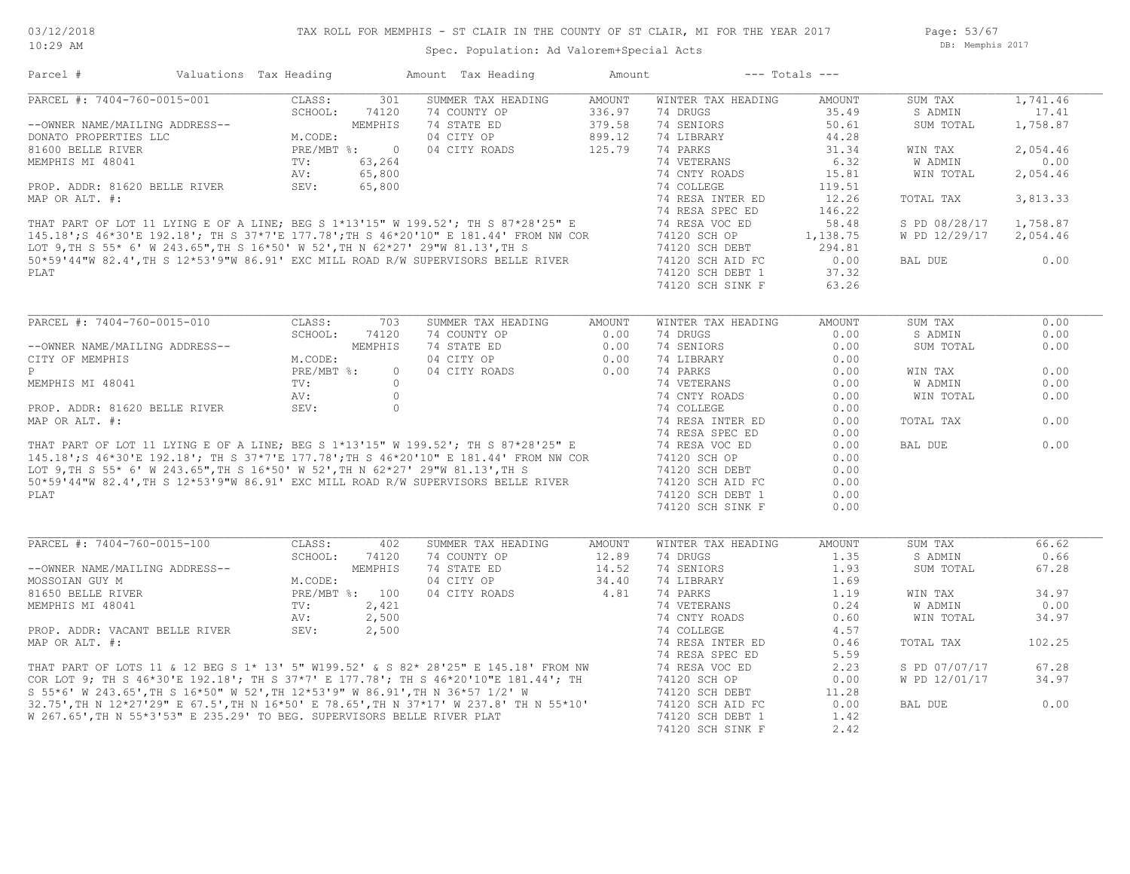Page: 53/67 DB: Memphis 2017

| PARCEL #: 7404-760-0015-001<br>SUMMER TAX HEADING<br>WINTER TAX HEADING<br>CLASS:<br>301<br>AMOUNT<br>AMOUNT<br>SUM TAX<br>74 DRUGS<br>SCHOOL:<br>74120<br>74 COUNTY OP<br>336.97<br>35.49<br>S ADMIN<br>17.41<br>74 STATE ED<br>379.58<br>74 SENIORS<br>1,758.87<br>--OWNER NAME/MAILING ADDRESS--<br>MEMPHIS<br>50.61<br>SUM TOTAL<br>NEMPHIS<br>M.CODE:<br>PRE/MBT %: 0<br>04 CITY OP<br>899.12<br>74 LIBRARY<br>44.28<br>DONATO PROPERTIES LLC<br>125.79<br>74 PARKS<br>31.34<br>2,054.46<br>81600 BELLE RIVER<br>04 CITY ROADS<br>WIN TAX<br>63,264<br>74 VETERANS<br>6.32<br><b>W ADMIN</b><br>0.00<br>MEMPHIS MI 48041<br>TV:<br>65,800<br>74 CNTY ROADS<br>15.81<br>WIN TOTAL<br>2,054.46<br>AV:<br>SEV:<br>PROP. ADDR: 81620 BELLE RIVER<br>65,800<br>74 COLLEGE<br>119.51<br>MAP OR ALT. #:<br>74 RESA INTER ED<br>12.26<br>3,813.33<br>TOTAL TAX<br>THAT PART OF LOT 11 LYING E OF A LINE; BEG S 1*13'15" W 199.52'; TH S 87*28'25" E<br>145.18';S 46*30'E 192.18'; TH S 37*7'E 177.78';TH S 46*20'10" E 181.44' FROM NW COR<br>LOT 9,TH S 55* 6' W 243.65",TH S 16*50' W 52',TH N 62*27<br>74 RESA SPEC ED<br>146.22<br>1,758.87<br>74 RESA VOC ED<br>58.48<br>S PD 08/28/17<br>74120 SCH OP<br>1,138.75<br>W PD 12/29/17 2,054.46<br>74120 SCH DEBT<br>294.81<br>0.00<br>74120 SCH AID FC<br>0.00<br>BAL DUE<br>74120 SCH DEBT 1<br>37.32<br>74120 SCH SINK F<br>63.26<br>PARCEL #: 7404-760-0015-010<br>CLASS:<br>703<br>SUMMER TAX HEADING<br><b>AMOUNT</b><br>WINTER TAX HEADING<br><b>AMOUNT</b><br>SUM TAX<br>0.00<br>SCHOOL:<br>74120<br>74 COUNTY OP<br>0.00<br>74 DRUGS<br>0.00<br>S ADMIN<br>MEMPHIS<br>74 STATE ED<br>0.00<br>74 SENIORS<br>0.00<br>--OWNER NAME/MAILING ADDRESS--<br>SUM TOTAL<br>04 CITY OP<br>0.00<br>74 LIBRARY<br>CITY OF MEMPHIS<br>M.CODE:<br>0.00<br>PRE/MBT %:<br>0.00<br>P<br>04 CITY ROADS<br>0.00<br>74 PARKS<br>$\circ$<br>0.00<br>WIN TAX<br>MEMPHIS MI 48041<br>TV:<br>$\circ$<br>74 VETERANS<br>W ADMIN<br>0.00<br>0.00<br>$\circ$<br>0.00<br>AV:<br>74 CNTY ROADS<br>0.00<br>WIN TOTAL<br>PROP. ADDR: 81620 BELLE RIVER<br>SEV:<br>$\circ$<br>74 COLLEGE<br>0.00<br>0.00<br>MAP OR ALT. #:<br>74 RESA INTER ED<br>0.00<br>TOTAL TAX<br>74 RESA SPEC ED<br>0.00<br>THAT PART OF LOT 11 LYING E OF A LINE; BEG S 1*13'15" W 199.52'; TH S 87*28'25" E<br>145.18';S 46*30'E 192.18'; TH S 37*7'E 177.78';TH S 46*20'10" E 181.44' FROM NW COR<br>LOT 9,TH S 55* 6' W 243.65",TH S 16*50' W 52',TH N 62*27<br>0.00<br>74 RESA VOC ED<br>0.00<br>BAL DUE<br>74120 SCH OP<br>0.00<br>74120 SCH DEBT<br>0.00<br>50*59'44"W 82.4', TH S 12*53'9"W 86.91' EXC MILL ROAD R/W SUPERVISORS BELLE RIVER<br>74120 SCH AID FC<br>0.00<br>PLAT<br>74120 SCH DEBT 1<br>0.00<br>74120 SCH SINK F<br>0.00<br>PARCEL #: 7404-760-0015-100<br>CLASS:<br>SUMMER TAX HEADING<br>SUM TAX<br>402<br>AMOUNT<br>WINTER TAX HEADING<br>AMOUNT<br>SCHOOL:<br>74 COUNTY OP<br>74 DRUGS<br>1.35<br>74120<br>12.89<br>S ADMIN<br>--OWNER NAME/MAILING ADDRESS--<br>MEMPHIS<br>74 STATE ED<br>14.52<br>74 SENIORS<br>1.93<br>67.28<br>SUM TOTAL<br>04 CITY OP<br>34.40<br>74 LIBRARY<br>MOSSOIAN GUY M<br>M.CODE:<br>1.69<br>81650 BELLE RIVER<br>PRE/MBT %: 100<br>04 CITY ROADS<br>4.81<br>74 PARKS<br>1.19<br>34.97<br>WIN TAX<br>MEMPHIS MI 48041<br>2,421<br>74 VETERANS<br>0.24<br>W ADMIN<br>0.00<br>$\texttt{TV}$ :<br>AV:<br>2,500<br>74 CNTY ROADS<br>0.60<br>WIN TOTAL<br>34.97<br>74 COLLEGE<br>4.57<br>PROP. ADDR: VACANT BELLE RIVER<br>SEV:<br>2,500<br>MAP OR ALT. #:<br>74 RESA INTER ED<br>0.46<br>TOTAL TAX<br>102.25<br>74 RESA SPEC ED<br>5.59<br>THAT PART OF LOTS 11 & 12 BEG S 1* 13' 5" W199.52' & S 82* 28'25" E 145.18' FROM NW<br>67.28<br>74 RESA VOC ED<br>2.23<br>S PD 07/07/17<br>COR LOT 9; TH S 46*30'E 192.18'; TH S 37*7' E 177.78'; TH S 46*20'10"E 181.44'; TH<br>74120 SCH OP<br>W PD 12/01/17<br>34.97<br>0.00<br>S 55*6' W 243.65', TH S 16*50" W 52', TH 12*53'9" W 86.91', TH N 36*57 1/2' W<br>74120 SCH DEBT<br>11.28<br>32.75', TH N 12*27'29" E 67.5', TH N 16*50' E 78.65', TH N 37*17' W 237.8' TH N 55*10'<br>0.00<br>74120 SCH AID FC<br>0.00<br>BAL DUE<br>W 267.65', TH N 55*3'53" E 235.29' TO BEG. SUPERVISORS BELLE RIVER PLAT<br>74120 SCH DEBT 1<br>1.42 | Parcel # | Valuations Tax Heading |  | Amount Tax Heading | Amount |                  | $---$ Totals $---$ |          |
|-------------------------------------------------------------------------------------------------------------------------------------------------------------------------------------------------------------------------------------------------------------------------------------------------------------------------------------------------------------------------------------------------------------------------------------------------------------------------------------------------------------------------------------------------------------------------------------------------------------------------------------------------------------------------------------------------------------------------------------------------------------------------------------------------------------------------------------------------------------------------------------------------------------------------------------------------------------------------------------------------------------------------------------------------------------------------------------------------------------------------------------------------------------------------------------------------------------------------------------------------------------------------------------------------------------------------------------------------------------------------------------------------------------------------------------------------------------------------------------------------------------------------------------------------------------------------------------------------------------------------------------------------------------------------------------------------------------------------------------------------------------------------------------------------------------------------------------------------------------------------------------------------------------------------------------------------------------------------------------------------------------------------------------------------------------------------------------------------------------------------------------------------------------------------------------------------------------------------------------------------------------------------------------------------------------------------------------------------------------------------------------------------------------------------------------------------------------------------------------------------------------------------------------------------------------------------------------------------------------------------------------------------------------------------------------------------------------------------------------------------------------------------------------------------------------------------------------------------------------------------------------------------------------------------------------------------------------------------------------------------------------------------------------------------------------------------------------------------------------------------------------------------------------------------------------------------------------------------------------------------------------------------------------------------------------------------------------------------------------------------------------------------------------------------------------------------------------------------------------------------------------------------------------------------------------------------------------------------------------------------------------------------------------------------------------------------------------------------------------------------------------------------------------------------------------------------------------------------------------------------------------------------------------------------------------------------------------------------------------------------------------------------------------------------------------------------------------------------------------------------------------------------------------------------------------------------------------------------------------------|----------|------------------------|--|--------------------|--------|------------------|--------------------|----------|
| 0.00<br>66.62<br>0.66                                                                                                                                                                                                                                                                                                                                                                                                                                                                                                                                                                                                                                                                                                                                                                                                                                                                                                                                                                                                                                                                                                                                                                                                                                                                                                                                                                                                                                                                                                                                                                                                                                                                                                                                                                                                                                                                                                                                                                                                                                                                                                                                                                                                                                                                                                                                                                                                                                                                                                                                                                                                                                                                                                                                                                                                                                                                                                                                                                                                                                                                                                                                                                                                                                                                                                                                                                                                                                                                                                                                                                                                                                                                                                                                                                                                                                                                                                                                                                                                                                                                                                                                                                                                                     |          |                        |  |                    |        |                  |                    | 1,741.46 |
|                                                                                                                                                                                                                                                                                                                                                                                                                                                                                                                                                                                                                                                                                                                                                                                                                                                                                                                                                                                                                                                                                                                                                                                                                                                                                                                                                                                                                                                                                                                                                                                                                                                                                                                                                                                                                                                                                                                                                                                                                                                                                                                                                                                                                                                                                                                                                                                                                                                                                                                                                                                                                                                                                                                                                                                                                                                                                                                                                                                                                                                                                                                                                                                                                                                                                                                                                                                                                                                                                                                                                                                                                                                                                                                                                                                                                                                                                                                                                                                                                                                                                                                                                                                                                                           |          |                        |  |                    |        |                  |                    |          |
|                                                                                                                                                                                                                                                                                                                                                                                                                                                                                                                                                                                                                                                                                                                                                                                                                                                                                                                                                                                                                                                                                                                                                                                                                                                                                                                                                                                                                                                                                                                                                                                                                                                                                                                                                                                                                                                                                                                                                                                                                                                                                                                                                                                                                                                                                                                                                                                                                                                                                                                                                                                                                                                                                                                                                                                                                                                                                                                                                                                                                                                                                                                                                                                                                                                                                                                                                                                                                                                                                                                                                                                                                                                                                                                                                                                                                                                                                                                                                                                                                                                                                                                                                                                                                                           |          |                        |  |                    |        |                  |                    |          |
|                                                                                                                                                                                                                                                                                                                                                                                                                                                                                                                                                                                                                                                                                                                                                                                                                                                                                                                                                                                                                                                                                                                                                                                                                                                                                                                                                                                                                                                                                                                                                                                                                                                                                                                                                                                                                                                                                                                                                                                                                                                                                                                                                                                                                                                                                                                                                                                                                                                                                                                                                                                                                                                                                                                                                                                                                                                                                                                                                                                                                                                                                                                                                                                                                                                                                                                                                                                                                                                                                                                                                                                                                                                                                                                                                                                                                                                                                                                                                                                                                                                                                                                                                                                                                                           |          |                        |  |                    |        |                  |                    |          |
|                                                                                                                                                                                                                                                                                                                                                                                                                                                                                                                                                                                                                                                                                                                                                                                                                                                                                                                                                                                                                                                                                                                                                                                                                                                                                                                                                                                                                                                                                                                                                                                                                                                                                                                                                                                                                                                                                                                                                                                                                                                                                                                                                                                                                                                                                                                                                                                                                                                                                                                                                                                                                                                                                                                                                                                                                                                                                                                                                                                                                                                                                                                                                                                                                                                                                                                                                                                                                                                                                                                                                                                                                                                                                                                                                                                                                                                                                                                                                                                                                                                                                                                                                                                                                                           |          |                        |  |                    |        |                  |                    |          |
|                                                                                                                                                                                                                                                                                                                                                                                                                                                                                                                                                                                                                                                                                                                                                                                                                                                                                                                                                                                                                                                                                                                                                                                                                                                                                                                                                                                                                                                                                                                                                                                                                                                                                                                                                                                                                                                                                                                                                                                                                                                                                                                                                                                                                                                                                                                                                                                                                                                                                                                                                                                                                                                                                                                                                                                                                                                                                                                                                                                                                                                                                                                                                                                                                                                                                                                                                                                                                                                                                                                                                                                                                                                                                                                                                                                                                                                                                                                                                                                                                                                                                                                                                                                                                                           |          |                        |  |                    |        |                  |                    |          |
|                                                                                                                                                                                                                                                                                                                                                                                                                                                                                                                                                                                                                                                                                                                                                                                                                                                                                                                                                                                                                                                                                                                                                                                                                                                                                                                                                                                                                                                                                                                                                                                                                                                                                                                                                                                                                                                                                                                                                                                                                                                                                                                                                                                                                                                                                                                                                                                                                                                                                                                                                                                                                                                                                                                                                                                                                                                                                                                                                                                                                                                                                                                                                                                                                                                                                                                                                                                                                                                                                                                                                                                                                                                                                                                                                                                                                                                                                                                                                                                                                                                                                                                                                                                                                                           |          |                        |  |                    |        |                  |                    |          |
|                                                                                                                                                                                                                                                                                                                                                                                                                                                                                                                                                                                                                                                                                                                                                                                                                                                                                                                                                                                                                                                                                                                                                                                                                                                                                                                                                                                                                                                                                                                                                                                                                                                                                                                                                                                                                                                                                                                                                                                                                                                                                                                                                                                                                                                                                                                                                                                                                                                                                                                                                                                                                                                                                                                                                                                                                                                                                                                                                                                                                                                                                                                                                                                                                                                                                                                                                                                                                                                                                                                                                                                                                                                                                                                                                                                                                                                                                                                                                                                                                                                                                                                                                                                                                                           |          |                        |  |                    |        |                  |                    |          |
|                                                                                                                                                                                                                                                                                                                                                                                                                                                                                                                                                                                                                                                                                                                                                                                                                                                                                                                                                                                                                                                                                                                                                                                                                                                                                                                                                                                                                                                                                                                                                                                                                                                                                                                                                                                                                                                                                                                                                                                                                                                                                                                                                                                                                                                                                                                                                                                                                                                                                                                                                                                                                                                                                                                                                                                                                                                                                                                                                                                                                                                                                                                                                                                                                                                                                                                                                                                                                                                                                                                                                                                                                                                                                                                                                                                                                                                                                                                                                                                                                                                                                                                                                                                                                                           |          |                        |  |                    |        |                  |                    |          |
|                                                                                                                                                                                                                                                                                                                                                                                                                                                                                                                                                                                                                                                                                                                                                                                                                                                                                                                                                                                                                                                                                                                                                                                                                                                                                                                                                                                                                                                                                                                                                                                                                                                                                                                                                                                                                                                                                                                                                                                                                                                                                                                                                                                                                                                                                                                                                                                                                                                                                                                                                                                                                                                                                                                                                                                                                                                                                                                                                                                                                                                                                                                                                                                                                                                                                                                                                                                                                                                                                                                                                                                                                                                                                                                                                                                                                                                                                                                                                                                                                                                                                                                                                                                                                                           |          |                        |  |                    |        |                  |                    |          |
|                                                                                                                                                                                                                                                                                                                                                                                                                                                                                                                                                                                                                                                                                                                                                                                                                                                                                                                                                                                                                                                                                                                                                                                                                                                                                                                                                                                                                                                                                                                                                                                                                                                                                                                                                                                                                                                                                                                                                                                                                                                                                                                                                                                                                                                                                                                                                                                                                                                                                                                                                                                                                                                                                                                                                                                                                                                                                                                                                                                                                                                                                                                                                                                                                                                                                                                                                                                                                                                                                                                                                                                                                                                                                                                                                                                                                                                                                                                                                                                                                                                                                                                                                                                                                                           |          |                        |  |                    |        |                  |                    |          |
|                                                                                                                                                                                                                                                                                                                                                                                                                                                                                                                                                                                                                                                                                                                                                                                                                                                                                                                                                                                                                                                                                                                                                                                                                                                                                                                                                                                                                                                                                                                                                                                                                                                                                                                                                                                                                                                                                                                                                                                                                                                                                                                                                                                                                                                                                                                                                                                                                                                                                                                                                                                                                                                                                                                                                                                                                                                                                                                                                                                                                                                                                                                                                                                                                                                                                                                                                                                                                                                                                                                                                                                                                                                                                                                                                                                                                                                                                                                                                                                                                                                                                                                                                                                                                                           |          |                        |  |                    |        |                  |                    |          |
|                                                                                                                                                                                                                                                                                                                                                                                                                                                                                                                                                                                                                                                                                                                                                                                                                                                                                                                                                                                                                                                                                                                                                                                                                                                                                                                                                                                                                                                                                                                                                                                                                                                                                                                                                                                                                                                                                                                                                                                                                                                                                                                                                                                                                                                                                                                                                                                                                                                                                                                                                                                                                                                                                                                                                                                                                                                                                                                                                                                                                                                                                                                                                                                                                                                                                                                                                                                                                                                                                                                                                                                                                                                                                                                                                                                                                                                                                                                                                                                                                                                                                                                                                                                                                                           |          |                        |  |                    |        |                  |                    |          |
|                                                                                                                                                                                                                                                                                                                                                                                                                                                                                                                                                                                                                                                                                                                                                                                                                                                                                                                                                                                                                                                                                                                                                                                                                                                                                                                                                                                                                                                                                                                                                                                                                                                                                                                                                                                                                                                                                                                                                                                                                                                                                                                                                                                                                                                                                                                                                                                                                                                                                                                                                                                                                                                                                                                                                                                                                                                                                                                                                                                                                                                                                                                                                                                                                                                                                                                                                                                                                                                                                                                                                                                                                                                                                                                                                                                                                                                                                                                                                                                                                                                                                                                                                                                                                                           |          |                        |  |                    |        |                  |                    |          |
|                                                                                                                                                                                                                                                                                                                                                                                                                                                                                                                                                                                                                                                                                                                                                                                                                                                                                                                                                                                                                                                                                                                                                                                                                                                                                                                                                                                                                                                                                                                                                                                                                                                                                                                                                                                                                                                                                                                                                                                                                                                                                                                                                                                                                                                                                                                                                                                                                                                                                                                                                                                                                                                                                                                                                                                                                                                                                                                                                                                                                                                                                                                                                                                                                                                                                                                                                                                                                                                                                                                                                                                                                                                                                                                                                                                                                                                                                                                                                                                                                                                                                                                                                                                                                                           |          |                        |  |                    |        |                  |                    |          |
| 0.00                                                                                                                                                                                                                                                                                                                                                                                                                                                                                                                                                                                                                                                                                                                                                                                                                                                                                                                                                                                                                                                                                                                                                                                                                                                                                                                                                                                                                                                                                                                                                                                                                                                                                                                                                                                                                                                                                                                                                                                                                                                                                                                                                                                                                                                                                                                                                                                                                                                                                                                                                                                                                                                                                                                                                                                                                                                                                                                                                                                                                                                                                                                                                                                                                                                                                                                                                                                                                                                                                                                                                                                                                                                                                                                                                                                                                                                                                                                                                                                                                                                                                                                                                                                                                                      | PLAT     |                        |  |                    |        |                  |                    |          |
|                                                                                                                                                                                                                                                                                                                                                                                                                                                                                                                                                                                                                                                                                                                                                                                                                                                                                                                                                                                                                                                                                                                                                                                                                                                                                                                                                                                                                                                                                                                                                                                                                                                                                                                                                                                                                                                                                                                                                                                                                                                                                                                                                                                                                                                                                                                                                                                                                                                                                                                                                                                                                                                                                                                                                                                                                                                                                                                                                                                                                                                                                                                                                                                                                                                                                                                                                                                                                                                                                                                                                                                                                                                                                                                                                                                                                                                                                                                                                                                                                                                                                                                                                                                                                                           |          |                        |  |                    |        |                  |                    |          |
|                                                                                                                                                                                                                                                                                                                                                                                                                                                                                                                                                                                                                                                                                                                                                                                                                                                                                                                                                                                                                                                                                                                                                                                                                                                                                                                                                                                                                                                                                                                                                                                                                                                                                                                                                                                                                                                                                                                                                                                                                                                                                                                                                                                                                                                                                                                                                                                                                                                                                                                                                                                                                                                                                                                                                                                                                                                                                                                                                                                                                                                                                                                                                                                                                                                                                                                                                                                                                                                                                                                                                                                                                                                                                                                                                                                                                                                                                                                                                                                                                                                                                                                                                                                                                                           |          |                        |  |                    |        |                  |                    |          |
|                                                                                                                                                                                                                                                                                                                                                                                                                                                                                                                                                                                                                                                                                                                                                                                                                                                                                                                                                                                                                                                                                                                                                                                                                                                                                                                                                                                                                                                                                                                                                                                                                                                                                                                                                                                                                                                                                                                                                                                                                                                                                                                                                                                                                                                                                                                                                                                                                                                                                                                                                                                                                                                                                                                                                                                                                                                                                                                                                                                                                                                                                                                                                                                                                                                                                                                                                                                                                                                                                                                                                                                                                                                                                                                                                                                                                                                                                                                                                                                                                                                                                                                                                                                                                                           |          |                        |  |                    |        |                  |                    |          |
|                                                                                                                                                                                                                                                                                                                                                                                                                                                                                                                                                                                                                                                                                                                                                                                                                                                                                                                                                                                                                                                                                                                                                                                                                                                                                                                                                                                                                                                                                                                                                                                                                                                                                                                                                                                                                                                                                                                                                                                                                                                                                                                                                                                                                                                                                                                                                                                                                                                                                                                                                                                                                                                                                                                                                                                                                                                                                                                                                                                                                                                                                                                                                                                                                                                                                                                                                                                                                                                                                                                                                                                                                                                                                                                                                                                                                                                                                                                                                                                                                                                                                                                                                                                                                                           |          |                        |  |                    |        |                  |                    |          |
|                                                                                                                                                                                                                                                                                                                                                                                                                                                                                                                                                                                                                                                                                                                                                                                                                                                                                                                                                                                                                                                                                                                                                                                                                                                                                                                                                                                                                                                                                                                                                                                                                                                                                                                                                                                                                                                                                                                                                                                                                                                                                                                                                                                                                                                                                                                                                                                                                                                                                                                                                                                                                                                                                                                                                                                                                                                                                                                                                                                                                                                                                                                                                                                                                                                                                                                                                                                                                                                                                                                                                                                                                                                                                                                                                                                                                                                                                                                                                                                                                                                                                                                                                                                                                                           |          |                        |  |                    |        |                  |                    |          |
|                                                                                                                                                                                                                                                                                                                                                                                                                                                                                                                                                                                                                                                                                                                                                                                                                                                                                                                                                                                                                                                                                                                                                                                                                                                                                                                                                                                                                                                                                                                                                                                                                                                                                                                                                                                                                                                                                                                                                                                                                                                                                                                                                                                                                                                                                                                                                                                                                                                                                                                                                                                                                                                                                                                                                                                                                                                                                                                                                                                                                                                                                                                                                                                                                                                                                                                                                                                                                                                                                                                                                                                                                                                                                                                                                                                                                                                                                                                                                                                                                                                                                                                                                                                                                                           |          |                        |  |                    |        |                  |                    |          |
|                                                                                                                                                                                                                                                                                                                                                                                                                                                                                                                                                                                                                                                                                                                                                                                                                                                                                                                                                                                                                                                                                                                                                                                                                                                                                                                                                                                                                                                                                                                                                                                                                                                                                                                                                                                                                                                                                                                                                                                                                                                                                                                                                                                                                                                                                                                                                                                                                                                                                                                                                                                                                                                                                                                                                                                                                                                                                                                                                                                                                                                                                                                                                                                                                                                                                                                                                                                                                                                                                                                                                                                                                                                                                                                                                                                                                                                                                                                                                                                                                                                                                                                                                                                                                                           |          |                        |  |                    |        |                  |                    |          |
|                                                                                                                                                                                                                                                                                                                                                                                                                                                                                                                                                                                                                                                                                                                                                                                                                                                                                                                                                                                                                                                                                                                                                                                                                                                                                                                                                                                                                                                                                                                                                                                                                                                                                                                                                                                                                                                                                                                                                                                                                                                                                                                                                                                                                                                                                                                                                                                                                                                                                                                                                                                                                                                                                                                                                                                                                                                                                                                                                                                                                                                                                                                                                                                                                                                                                                                                                                                                                                                                                                                                                                                                                                                                                                                                                                                                                                                                                                                                                                                                                                                                                                                                                                                                                                           |          |                        |  |                    |        |                  |                    |          |
|                                                                                                                                                                                                                                                                                                                                                                                                                                                                                                                                                                                                                                                                                                                                                                                                                                                                                                                                                                                                                                                                                                                                                                                                                                                                                                                                                                                                                                                                                                                                                                                                                                                                                                                                                                                                                                                                                                                                                                                                                                                                                                                                                                                                                                                                                                                                                                                                                                                                                                                                                                                                                                                                                                                                                                                                                                                                                                                                                                                                                                                                                                                                                                                                                                                                                                                                                                                                                                                                                                                                                                                                                                                                                                                                                                                                                                                                                                                                                                                                                                                                                                                                                                                                                                           |          |                        |  |                    |        |                  |                    |          |
|                                                                                                                                                                                                                                                                                                                                                                                                                                                                                                                                                                                                                                                                                                                                                                                                                                                                                                                                                                                                                                                                                                                                                                                                                                                                                                                                                                                                                                                                                                                                                                                                                                                                                                                                                                                                                                                                                                                                                                                                                                                                                                                                                                                                                                                                                                                                                                                                                                                                                                                                                                                                                                                                                                                                                                                                                                                                                                                                                                                                                                                                                                                                                                                                                                                                                                                                                                                                                                                                                                                                                                                                                                                                                                                                                                                                                                                                                                                                                                                                                                                                                                                                                                                                                                           |          |                        |  |                    |        |                  |                    |          |
|                                                                                                                                                                                                                                                                                                                                                                                                                                                                                                                                                                                                                                                                                                                                                                                                                                                                                                                                                                                                                                                                                                                                                                                                                                                                                                                                                                                                                                                                                                                                                                                                                                                                                                                                                                                                                                                                                                                                                                                                                                                                                                                                                                                                                                                                                                                                                                                                                                                                                                                                                                                                                                                                                                                                                                                                                                                                                                                                                                                                                                                                                                                                                                                                                                                                                                                                                                                                                                                                                                                                                                                                                                                                                                                                                                                                                                                                                                                                                                                                                                                                                                                                                                                                                                           |          |                        |  |                    |        |                  |                    |          |
|                                                                                                                                                                                                                                                                                                                                                                                                                                                                                                                                                                                                                                                                                                                                                                                                                                                                                                                                                                                                                                                                                                                                                                                                                                                                                                                                                                                                                                                                                                                                                                                                                                                                                                                                                                                                                                                                                                                                                                                                                                                                                                                                                                                                                                                                                                                                                                                                                                                                                                                                                                                                                                                                                                                                                                                                                                                                                                                                                                                                                                                                                                                                                                                                                                                                                                                                                                                                                                                                                                                                                                                                                                                                                                                                                                                                                                                                                                                                                                                                                                                                                                                                                                                                                                           |          |                        |  |                    |        |                  |                    |          |
|                                                                                                                                                                                                                                                                                                                                                                                                                                                                                                                                                                                                                                                                                                                                                                                                                                                                                                                                                                                                                                                                                                                                                                                                                                                                                                                                                                                                                                                                                                                                                                                                                                                                                                                                                                                                                                                                                                                                                                                                                                                                                                                                                                                                                                                                                                                                                                                                                                                                                                                                                                                                                                                                                                                                                                                                                                                                                                                                                                                                                                                                                                                                                                                                                                                                                                                                                                                                                                                                                                                                                                                                                                                                                                                                                                                                                                                                                                                                                                                                                                                                                                                                                                                                                                           |          |                        |  |                    |        |                  |                    |          |
|                                                                                                                                                                                                                                                                                                                                                                                                                                                                                                                                                                                                                                                                                                                                                                                                                                                                                                                                                                                                                                                                                                                                                                                                                                                                                                                                                                                                                                                                                                                                                                                                                                                                                                                                                                                                                                                                                                                                                                                                                                                                                                                                                                                                                                                                                                                                                                                                                                                                                                                                                                                                                                                                                                                                                                                                                                                                                                                                                                                                                                                                                                                                                                                                                                                                                                                                                                                                                                                                                                                                                                                                                                                                                                                                                                                                                                                                                                                                                                                                                                                                                                                                                                                                                                           |          |                        |  |                    |        |                  |                    |          |
|                                                                                                                                                                                                                                                                                                                                                                                                                                                                                                                                                                                                                                                                                                                                                                                                                                                                                                                                                                                                                                                                                                                                                                                                                                                                                                                                                                                                                                                                                                                                                                                                                                                                                                                                                                                                                                                                                                                                                                                                                                                                                                                                                                                                                                                                                                                                                                                                                                                                                                                                                                                                                                                                                                                                                                                                                                                                                                                                                                                                                                                                                                                                                                                                                                                                                                                                                                                                                                                                                                                                                                                                                                                                                                                                                                                                                                                                                                                                                                                                                                                                                                                                                                                                                                           |          |                        |  |                    |        |                  |                    |          |
|                                                                                                                                                                                                                                                                                                                                                                                                                                                                                                                                                                                                                                                                                                                                                                                                                                                                                                                                                                                                                                                                                                                                                                                                                                                                                                                                                                                                                                                                                                                                                                                                                                                                                                                                                                                                                                                                                                                                                                                                                                                                                                                                                                                                                                                                                                                                                                                                                                                                                                                                                                                                                                                                                                                                                                                                                                                                                                                                                                                                                                                                                                                                                                                                                                                                                                                                                                                                                                                                                                                                                                                                                                                                                                                                                                                                                                                                                                                                                                                                                                                                                                                                                                                                                                           |          |                        |  |                    |        |                  |                    |          |
|                                                                                                                                                                                                                                                                                                                                                                                                                                                                                                                                                                                                                                                                                                                                                                                                                                                                                                                                                                                                                                                                                                                                                                                                                                                                                                                                                                                                                                                                                                                                                                                                                                                                                                                                                                                                                                                                                                                                                                                                                                                                                                                                                                                                                                                                                                                                                                                                                                                                                                                                                                                                                                                                                                                                                                                                                                                                                                                                                                                                                                                                                                                                                                                                                                                                                                                                                                                                                                                                                                                                                                                                                                                                                                                                                                                                                                                                                                                                                                                                                                                                                                                                                                                                                                           |          |                        |  |                    |        |                  |                    |          |
|                                                                                                                                                                                                                                                                                                                                                                                                                                                                                                                                                                                                                                                                                                                                                                                                                                                                                                                                                                                                                                                                                                                                                                                                                                                                                                                                                                                                                                                                                                                                                                                                                                                                                                                                                                                                                                                                                                                                                                                                                                                                                                                                                                                                                                                                                                                                                                                                                                                                                                                                                                                                                                                                                                                                                                                                                                                                                                                                                                                                                                                                                                                                                                                                                                                                                                                                                                                                                                                                                                                                                                                                                                                                                                                                                                                                                                                                                                                                                                                                                                                                                                                                                                                                                                           |          |                        |  |                    |        |                  |                    |          |
|                                                                                                                                                                                                                                                                                                                                                                                                                                                                                                                                                                                                                                                                                                                                                                                                                                                                                                                                                                                                                                                                                                                                                                                                                                                                                                                                                                                                                                                                                                                                                                                                                                                                                                                                                                                                                                                                                                                                                                                                                                                                                                                                                                                                                                                                                                                                                                                                                                                                                                                                                                                                                                                                                                                                                                                                                                                                                                                                                                                                                                                                                                                                                                                                                                                                                                                                                                                                                                                                                                                                                                                                                                                                                                                                                                                                                                                                                                                                                                                                                                                                                                                                                                                                                                           |          |                        |  |                    |        |                  |                    |          |
|                                                                                                                                                                                                                                                                                                                                                                                                                                                                                                                                                                                                                                                                                                                                                                                                                                                                                                                                                                                                                                                                                                                                                                                                                                                                                                                                                                                                                                                                                                                                                                                                                                                                                                                                                                                                                                                                                                                                                                                                                                                                                                                                                                                                                                                                                                                                                                                                                                                                                                                                                                                                                                                                                                                                                                                                                                                                                                                                                                                                                                                                                                                                                                                                                                                                                                                                                                                                                                                                                                                                                                                                                                                                                                                                                                                                                                                                                                                                                                                                                                                                                                                                                                                                                                           |          |                        |  |                    |        |                  |                    |          |
|                                                                                                                                                                                                                                                                                                                                                                                                                                                                                                                                                                                                                                                                                                                                                                                                                                                                                                                                                                                                                                                                                                                                                                                                                                                                                                                                                                                                                                                                                                                                                                                                                                                                                                                                                                                                                                                                                                                                                                                                                                                                                                                                                                                                                                                                                                                                                                                                                                                                                                                                                                                                                                                                                                                                                                                                                                                                                                                                                                                                                                                                                                                                                                                                                                                                                                                                                                                                                                                                                                                                                                                                                                                                                                                                                                                                                                                                                                                                                                                                                                                                                                                                                                                                                                           |          |                        |  |                    |        |                  |                    |          |
|                                                                                                                                                                                                                                                                                                                                                                                                                                                                                                                                                                                                                                                                                                                                                                                                                                                                                                                                                                                                                                                                                                                                                                                                                                                                                                                                                                                                                                                                                                                                                                                                                                                                                                                                                                                                                                                                                                                                                                                                                                                                                                                                                                                                                                                                                                                                                                                                                                                                                                                                                                                                                                                                                                                                                                                                                                                                                                                                                                                                                                                                                                                                                                                                                                                                                                                                                                                                                                                                                                                                                                                                                                                                                                                                                                                                                                                                                                                                                                                                                                                                                                                                                                                                                                           |          |                        |  |                    |        |                  |                    |          |
|                                                                                                                                                                                                                                                                                                                                                                                                                                                                                                                                                                                                                                                                                                                                                                                                                                                                                                                                                                                                                                                                                                                                                                                                                                                                                                                                                                                                                                                                                                                                                                                                                                                                                                                                                                                                                                                                                                                                                                                                                                                                                                                                                                                                                                                                                                                                                                                                                                                                                                                                                                                                                                                                                                                                                                                                                                                                                                                                                                                                                                                                                                                                                                                                                                                                                                                                                                                                                                                                                                                                                                                                                                                                                                                                                                                                                                                                                                                                                                                                                                                                                                                                                                                                                                           |          |                        |  |                    |        |                  |                    |          |
|                                                                                                                                                                                                                                                                                                                                                                                                                                                                                                                                                                                                                                                                                                                                                                                                                                                                                                                                                                                                                                                                                                                                                                                                                                                                                                                                                                                                                                                                                                                                                                                                                                                                                                                                                                                                                                                                                                                                                                                                                                                                                                                                                                                                                                                                                                                                                                                                                                                                                                                                                                                                                                                                                                                                                                                                                                                                                                                                                                                                                                                                                                                                                                                                                                                                                                                                                                                                                                                                                                                                                                                                                                                                                                                                                                                                                                                                                                                                                                                                                                                                                                                                                                                                                                           |          |                        |  |                    |        |                  |                    |          |
|                                                                                                                                                                                                                                                                                                                                                                                                                                                                                                                                                                                                                                                                                                                                                                                                                                                                                                                                                                                                                                                                                                                                                                                                                                                                                                                                                                                                                                                                                                                                                                                                                                                                                                                                                                                                                                                                                                                                                                                                                                                                                                                                                                                                                                                                                                                                                                                                                                                                                                                                                                                                                                                                                                                                                                                                                                                                                                                                                                                                                                                                                                                                                                                                                                                                                                                                                                                                                                                                                                                                                                                                                                                                                                                                                                                                                                                                                                                                                                                                                                                                                                                                                                                                                                           |          |                        |  |                    |        |                  |                    |          |
|                                                                                                                                                                                                                                                                                                                                                                                                                                                                                                                                                                                                                                                                                                                                                                                                                                                                                                                                                                                                                                                                                                                                                                                                                                                                                                                                                                                                                                                                                                                                                                                                                                                                                                                                                                                                                                                                                                                                                                                                                                                                                                                                                                                                                                                                                                                                                                                                                                                                                                                                                                                                                                                                                                                                                                                                                                                                                                                                                                                                                                                                                                                                                                                                                                                                                                                                                                                                                                                                                                                                                                                                                                                                                                                                                                                                                                                                                                                                                                                                                                                                                                                                                                                                                                           |          |                        |  |                    |        |                  |                    |          |
|                                                                                                                                                                                                                                                                                                                                                                                                                                                                                                                                                                                                                                                                                                                                                                                                                                                                                                                                                                                                                                                                                                                                                                                                                                                                                                                                                                                                                                                                                                                                                                                                                                                                                                                                                                                                                                                                                                                                                                                                                                                                                                                                                                                                                                                                                                                                                                                                                                                                                                                                                                                                                                                                                                                                                                                                                                                                                                                                                                                                                                                                                                                                                                                                                                                                                                                                                                                                                                                                                                                                                                                                                                                                                                                                                                                                                                                                                                                                                                                                                                                                                                                                                                                                                                           |          |                        |  |                    |        |                  |                    |          |
|                                                                                                                                                                                                                                                                                                                                                                                                                                                                                                                                                                                                                                                                                                                                                                                                                                                                                                                                                                                                                                                                                                                                                                                                                                                                                                                                                                                                                                                                                                                                                                                                                                                                                                                                                                                                                                                                                                                                                                                                                                                                                                                                                                                                                                                                                                                                                                                                                                                                                                                                                                                                                                                                                                                                                                                                                                                                                                                                                                                                                                                                                                                                                                                                                                                                                                                                                                                                                                                                                                                                                                                                                                                                                                                                                                                                                                                                                                                                                                                                                                                                                                                                                                                                                                           |          |                        |  |                    |        |                  |                    |          |
|                                                                                                                                                                                                                                                                                                                                                                                                                                                                                                                                                                                                                                                                                                                                                                                                                                                                                                                                                                                                                                                                                                                                                                                                                                                                                                                                                                                                                                                                                                                                                                                                                                                                                                                                                                                                                                                                                                                                                                                                                                                                                                                                                                                                                                                                                                                                                                                                                                                                                                                                                                                                                                                                                                                                                                                                                                                                                                                                                                                                                                                                                                                                                                                                                                                                                                                                                                                                                                                                                                                                                                                                                                                                                                                                                                                                                                                                                                                                                                                                                                                                                                                                                                                                                                           |          |                        |  |                    |        |                  |                    |          |
|                                                                                                                                                                                                                                                                                                                                                                                                                                                                                                                                                                                                                                                                                                                                                                                                                                                                                                                                                                                                                                                                                                                                                                                                                                                                                                                                                                                                                                                                                                                                                                                                                                                                                                                                                                                                                                                                                                                                                                                                                                                                                                                                                                                                                                                                                                                                                                                                                                                                                                                                                                                                                                                                                                                                                                                                                                                                                                                                                                                                                                                                                                                                                                                                                                                                                                                                                                                                                                                                                                                                                                                                                                                                                                                                                                                                                                                                                                                                                                                                                                                                                                                                                                                                                                           |          |                        |  |                    |        |                  |                    |          |
|                                                                                                                                                                                                                                                                                                                                                                                                                                                                                                                                                                                                                                                                                                                                                                                                                                                                                                                                                                                                                                                                                                                                                                                                                                                                                                                                                                                                                                                                                                                                                                                                                                                                                                                                                                                                                                                                                                                                                                                                                                                                                                                                                                                                                                                                                                                                                                                                                                                                                                                                                                                                                                                                                                                                                                                                                                                                                                                                                                                                                                                                                                                                                                                                                                                                                                                                                                                                                                                                                                                                                                                                                                                                                                                                                                                                                                                                                                                                                                                                                                                                                                                                                                                                                                           |          |                        |  |                    |        |                  |                    |          |
|                                                                                                                                                                                                                                                                                                                                                                                                                                                                                                                                                                                                                                                                                                                                                                                                                                                                                                                                                                                                                                                                                                                                                                                                                                                                                                                                                                                                                                                                                                                                                                                                                                                                                                                                                                                                                                                                                                                                                                                                                                                                                                                                                                                                                                                                                                                                                                                                                                                                                                                                                                                                                                                                                                                                                                                                                                                                                                                                                                                                                                                                                                                                                                                                                                                                                                                                                                                                                                                                                                                                                                                                                                                                                                                                                                                                                                                                                                                                                                                                                                                                                                                                                                                                                                           |          |                        |  |                    |        |                  |                    |          |
|                                                                                                                                                                                                                                                                                                                                                                                                                                                                                                                                                                                                                                                                                                                                                                                                                                                                                                                                                                                                                                                                                                                                                                                                                                                                                                                                                                                                                                                                                                                                                                                                                                                                                                                                                                                                                                                                                                                                                                                                                                                                                                                                                                                                                                                                                                                                                                                                                                                                                                                                                                                                                                                                                                                                                                                                                                                                                                                                                                                                                                                                                                                                                                                                                                                                                                                                                                                                                                                                                                                                                                                                                                                                                                                                                                                                                                                                                                                                                                                                                                                                                                                                                                                                                                           |          |                        |  |                    |        |                  |                    |          |
|                                                                                                                                                                                                                                                                                                                                                                                                                                                                                                                                                                                                                                                                                                                                                                                                                                                                                                                                                                                                                                                                                                                                                                                                                                                                                                                                                                                                                                                                                                                                                                                                                                                                                                                                                                                                                                                                                                                                                                                                                                                                                                                                                                                                                                                                                                                                                                                                                                                                                                                                                                                                                                                                                                                                                                                                                                                                                                                                                                                                                                                                                                                                                                                                                                                                                                                                                                                                                                                                                                                                                                                                                                                                                                                                                                                                                                                                                                                                                                                                                                                                                                                                                                                                                                           |          |                        |  |                    |        |                  |                    |          |
|                                                                                                                                                                                                                                                                                                                                                                                                                                                                                                                                                                                                                                                                                                                                                                                                                                                                                                                                                                                                                                                                                                                                                                                                                                                                                                                                                                                                                                                                                                                                                                                                                                                                                                                                                                                                                                                                                                                                                                                                                                                                                                                                                                                                                                                                                                                                                                                                                                                                                                                                                                                                                                                                                                                                                                                                                                                                                                                                                                                                                                                                                                                                                                                                                                                                                                                                                                                                                                                                                                                                                                                                                                                                                                                                                                                                                                                                                                                                                                                                                                                                                                                                                                                                                                           |          |                        |  |                    |        |                  |                    |          |
|                                                                                                                                                                                                                                                                                                                                                                                                                                                                                                                                                                                                                                                                                                                                                                                                                                                                                                                                                                                                                                                                                                                                                                                                                                                                                                                                                                                                                                                                                                                                                                                                                                                                                                                                                                                                                                                                                                                                                                                                                                                                                                                                                                                                                                                                                                                                                                                                                                                                                                                                                                                                                                                                                                                                                                                                                                                                                                                                                                                                                                                                                                                                                                                                                                                                                                                                                                                                                                                                                                                                                                                                                                                                                                                                                                                                                                                                                                                                                                                                                                                                                                                                                                                                                                           |          |                        |  |                    |        |                  |                    |          |
|                                                                                                                                                                                                                                                                                                                                                                                                                                                                                                                                                                                                                                                                                                                                                                                                                                                                                                                                                                                                                                                                                                                                                                                                                                                                                                                                                                                                                                                                                                                                                                                                                                                                                                                                                                                                                                                                                                                                                                                                                                                                                                                                                                                                                                                                                                                                                                                                                                                                                                                                                                                                                                                                                                                                                                                                                                                                                                                                                                                                                                                                                                                                                                                                                                                                                                                                                                                                                                                                                                                                                                                                                                                                                                                                                                                                                                                                                                                                                                                                                                                                                                                                                                                                                                           |          |                        |  |                    |        | 74120 SCH SINK F | 2.42               |          |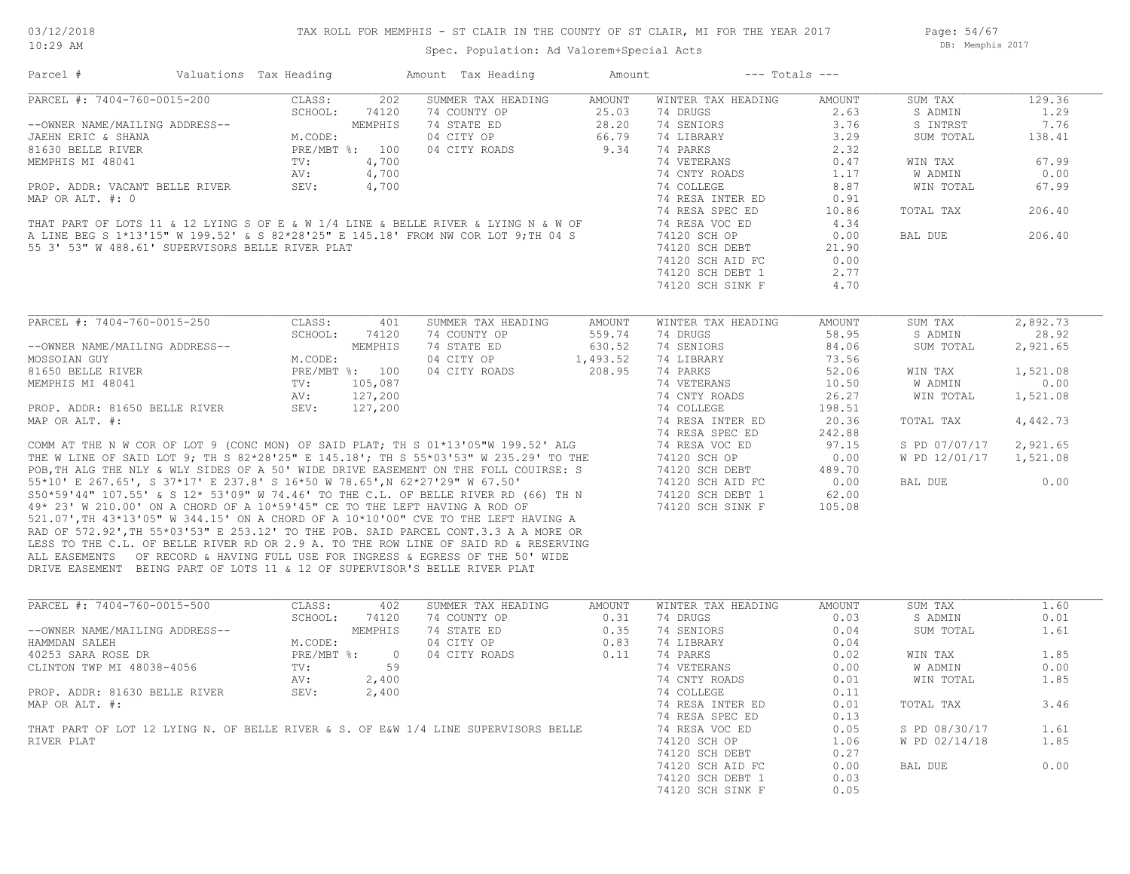## TAX ROLL FOR MEMPHIS - ST CLAIR IN THE COUNTY OF ST CLAIR, MI FOR THE YEAR 2017

Spec. Population: Ad Valorem+Special Acts

Parcel # Valuations Tax Heading Amount Tax Heading Amount --- Totals ---

Page: 54/67 DB: Memphis 2017

| PARCEL #: 7404-760-0015-200                                                         | CLASS:<br>202<br>SCHOOL:<br>74120 | SUMMER TAX HEADING<br>74 COUNTY OP | AMOUNT<br>25.03 | WINTER TAX HEADING<br>74 DRUGS | AMOUNT<br>2.63 | SUM TAX       | 129.36<br>1.29 |
|-------------------------------------------------------------------------------------|-----------------------------------|------------------------------------|-----------------|--------------------------------|----------------|---------------|----------------|
|                                                                                     |                                   |                                    | 28.20           | 74 SENIORS                     | 3.76           | S ADMIN       | 7.76           |
| --OWNER NAME/MAILING ADDRESS--                                                      | MEMPHIS                           | 74 STATE ED<br>04 CITY OP          |                 | 74 LIBRARY                     |                | S INTRST      | 138.41         |
| JAEHN ERIC & SHANA                                                                  | M.CODE:                           |                                    | 66.79           |                                | 3.29           | SUM TOTAL     |                |
| 81630 BELLE RIVER                                                                   | PRE/MBT %: 100                    | 04 CITY ROADS                      | 9.34            | 74 PARKS                       | 2.32           |               |                |
| MEMPHIS MI 48041                                                                    | 4,700<br>$\text{TV}$ :            |                                    |                 | 74 VETERANS                    | 0.47           | WIN TAX       | 67.99          |
|                                                                                     | 4,700<br>AV:                      |                                    |                 | 74 CNTY ROADS                  | 1.17           | W ADMIN       | 0.00           |
| PROP. ADDR: VACANT BELLE RIVER                                                      | SEV:<br>4,700                     |                                    |                 | 74 COLLEGE                     | 8.87           | WIN TOTAL     | 67.99          |
| MAP OR ALT. #: 0                                                                    |                                   |                                    |                 | 74 RESA INTER ED               | 0.91           |               |                |
|                                                                                     |                                   |                                    |                 | 74 RESA SPEC ED                | 10.86          | TOTAL TAX     | 206.40         |
| THAT PART OF LOTS 11 & 12 LYING S OF E & W 1/4 LINE & BELLE RIVER & LYING N & W OF  |                                   |                                    |                 | 74 RESA VOC ED                 | 4.34           |               |                |
| A LINE BEG S 1*13'15" W 199.52' & S 82*28'25" E 145.18' FROM NW COR LOT 9; TH 04 S  |                                   |                                    |                 | 74120 SCH OP                   | 0.00           | BAL DUE       | 206.40         |
| 55 3' 53" W 488.61' SUPERVISORS BELLE RIVER PLAT                                    |                                   |                                    |                 | 74120 SCH DEBT                 | 21.90          |               |                |
|                                                                                     |                                   |                                    |                 | 74120 SCH AID FC               | 0.00           |               |                |
|                                                                                     |                                   |                                    |                 | 74120 SCH DEBT 1               | 2.77           |               |                |
|                                                                                     |                                   |                                    |                 | 74120 SCH SINK F               | 4.70           |               |                |
|                                                                                     |                                   |                                    |                 |                                |                |               |                |
| PARCEL #: 7404-760-0015-250                                                         | CLASS:<br>401                     | SUMMER TAX HEADING                 | AMOUNT          | WINTER TAX HEADING             | AMOUNT         | SUM TAX       | 2,892.73       |
|                                                                                     | SCHOOL:<br>74120                  | 74 COUNTY OP                       | 559.74          | 74 DRUGS                       | 58.95          | S ADMIN       | 28.92          |
| --OWNER NAME/MAILING ADDRESS--                                                      | MEMPHIS                           | 74 STATE ED                        | 630.52          | 74 SENIORS                     | 84.06          | SUM TOTAL     | 2,921.65       |
| MOSSOIAN GUY                                                                        | M.CODE:                           | 04 CITY OP                         | 1,493.52        | 74 LIBRARY                     | 73.56          |               |                |
| 81650 BELLE RIVER                                                                   | PRE/MBT %: 100                    | 04 CITY ROADS                      | 208.95          | 74 PARKS                       | 52.06          | WIN TAX       | 1,521.08       |
| MEMPHIS MI 48041                                                                    | TV:<br>105,087                    |                                    |                 | 74 VETERANS                    | 10.50          | W ADMIN       | 0.00           |
|                                                                                     | 127,200<br>AV:                    |                                    |                 | 74 CNTY ROADS                  | 26.27          | WIN TOTAL     | 1,521.08       |
| PROP. ADDR: 81650 BELLE RIVER                                                       | SEV:<br>127,200                   |                                    |                 | 74 COLLEGE                     | 198.51         |               |                |
| MAP OR ALT. #:                                                                      |                                   |                                    |                 | 74 RESA INTER ED               | 20.36          | TOTAL TAX     | 4,442.73       |
|                                                                                     |                                   |                                    |                 | 74 RESA SPEC ED                | 242.88         |               |                |
| COMM AT THE N W COR OF LOT 9 (CONC MON) OF SAID PLAT; TH S 01*13'05"W 199.52' ALG   |                                   |                                    |                 | 74 RESA VOC ED                 | 97.15          | S PD 07/07/17 | 2,921.65       |
| THE W LINE OF SAID LOT 9; TH S 82*28'25" E 145.18'; TH S 55*03'53" W 235.29' TO THE |                                   |                                    |                 | 74120 SCH OP                   | 0.00           | W PD 12/01/17 | 1,521.08       |
| POB, TH ALG THE NLY & WLY SIDES OF A 50' WIDE DRIVE EASEMENT ON THE FOLL COUIRSE: S |                                   |                                    |                 | 74120 SCH DEBT                 | 489.70         |               |                |
| 55*10' E 267.65', S 37*17' E 237.8' S 16*50 W 78.65',N 62*27'29" W 67.50'           |                                   |                                    |                 | 74120 SCH AID FC               | 0.00           | BAL DUE       | 0.00           |
| S50*59'44" 107.55' & S 12* 53'09" W 74.46' TO THE C.L. OF BELLE RIVER RD (66) TH N  |                                   |                                    |                 | 74120 SCH DEBT 1               | 62.00          |               |                |
| 49* 23' W 210.00' ON A CHORD OF A 10*59'45" CE TO THE LEFT HAVING A ROD OF          |                                   |                                    |                 | 74120 SCH SINK F               | 105.08         |               |                |
| 521.07', TH 43*13'05" W 344.15' ON A CHORD OF A 10*10'00" CVE TO THE LEFT HAVING A  |                                   |                                    |                 |                                |                |               |                |
| RAD OF 572.92', TH 55*03'53" E 253.12' TO THE POB. SAID PARCEL CONT.3.3 A A MORE OR |                                   |                                    |                 |                                |                |               |                |
| LESS TO THE C.L. OF BELLE RIVER RD OR 2.9 A. TO THE ROW LINE OF SAID RD & RESERVING |                                   |                                    |                 |                                |                |               |                |
| ALL EASEMENTS OF RECORD & HAVING FULL USE FOR INGRESS & EGRESS OF THE 50' WIDE      |                                   |                                    |                 |                                |                |               |                |
| DRIVE EASEMENT BEING PART OF LOTS 11 & 12 OF SUPERVISOR'S BELLE RIVER PLAT          |                                   |                                    |                 |                                |                |               |                |
| PARCEL #: 7404-760-0015-500                                                         | CLASS:<br>402                     | SUMMER TAX HEADING                 | AMOUNT          | WINTER TAX HEADING             | AMOUNT         | SUM TAX       | 1.60           |
|                                                                                     | SCHOOL:<br>74120                  | 74 COUNTY OP                       | 0.31            | 74 DRUGS                       | 0.03           | S ADMIN       | 0.01           |
| --OWNER NAME/MAILING ADDRESS--                                                      | MEMPHIS                           | 74 STATE ED                        | 0.35            | 74 SENIORS                     | 0.04           | SUM TOTAL     | 1.61           |
| HAMMDAN SALEH                                                                       | M.CODE:                           | 04 CITY OP                         | 0.83            | 74 LIBRARY                     | 0.04           |               |                |
| 40253 SARA ROSE DR                                                                  | $PRE/MBT$ %:<br>$\overline{0}$    | 04 CITY ROADS                      | 0.11            | 74 PARKS                       | 0.02           | WIN TAX       | 1.85           |
| CLINTON TWP MI 48038-4056                                                           | 59<br>TV:                         |                                    |                 | 74 VETERANS                    | 0.00           | W ADMIN       | 0.00           |
|                                                                                     | AV:<br>2,400                      |                                    |                 | 74 CNTY ROADS                  | 0.01           | WIN TOTAL     | 1.85           |
| PROP. ADDR: 81630 BELLE RIVER                                                       | SEV:                              |                                    |                 | 74 COLLEGE                     | 0.11           |               |                |
|                                                                                     | 2,400                             |                                    |                 |                                | 0.01           | TOTAL TAX     | 3.46           |
| MAP OR ALT. #:                                                                      |                                   |                                    |                 | 74 RESA INTER ED               |                |               |                |
| THAT PART OF LOT 12 LYING N. OF BELLE RIVER & S. OF E&W 1/4 LINE SUPERVISORS BELLE  |                                   |                                    |                 | 74 RESA SPEC ED                | 0.13           |               |                |
|                                                                                     |                                   |                                    |                 | 74 RESA VOC ED                 | 0.05           | S PD 08/30/17 | 1.61           |
| RIVER PLAT                                                                          |                                   |                                    |                 | 74120 SCH OP                   | 1.06           | W PD 02/14/18 | 1.85           |
|                                                                                     |                                   |                                    |                 | 74120 SCH DEBT                 | 0.27           |               |                |
|                                                                                     |                                   |                                    |                 | 74120 SCH AID FC               | 0.00           | BAL DUE       | 0.00           |
|                                                                                     |                                   |                                    |                 | 74120 SCH DEBT 1               | 0.03           |               |                |
|                                                                                     |                                   |                                    |                 | 74120 SCH SINK F               | 0.05           |               |                |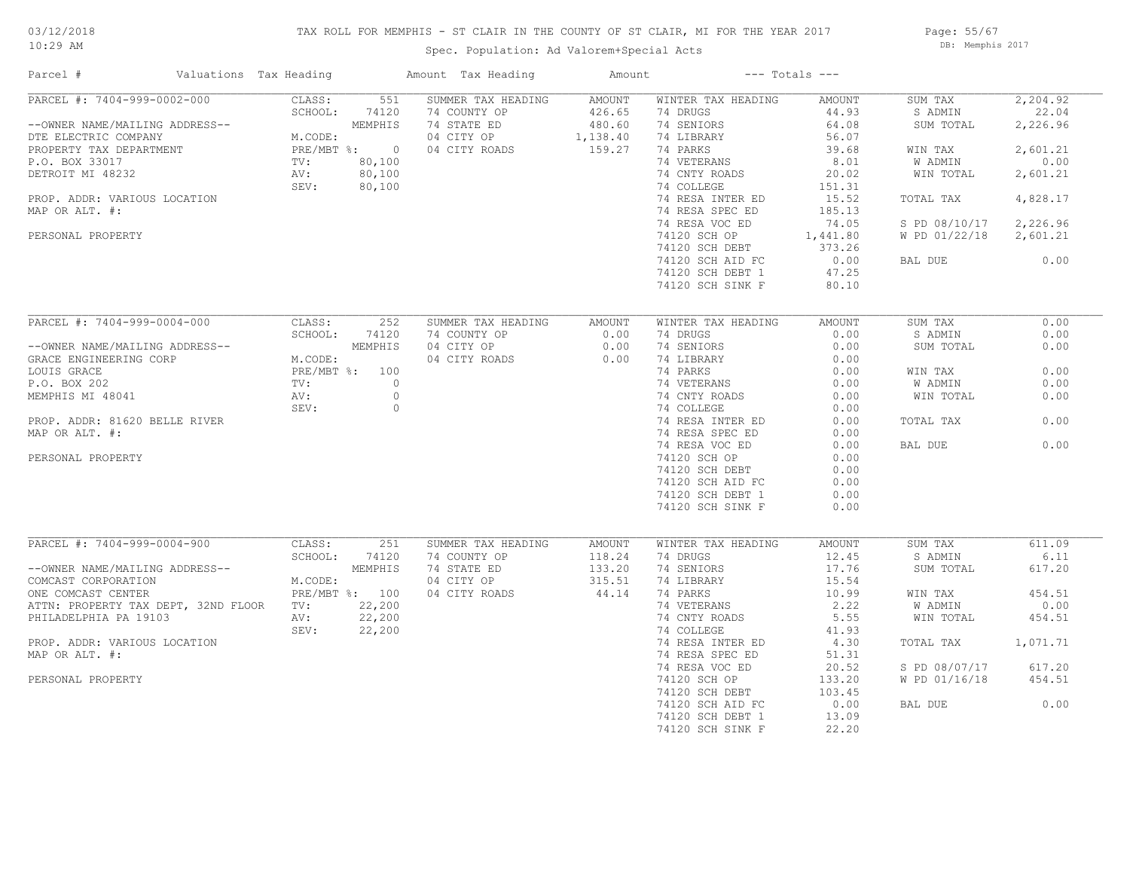# 03/12/2018

## TAX ROLL FOR MEMPHIS - ST CLAIR IN THE COUNTY OF ST CLAIR, MI FOR THE YEAR 2017

10:29 AM

# Spec. Population: Ad Valorem+Special Acts

Page: 55/67 DB: Memphis 2017

| Parcel #                                                                                                                                                                                                                                          | Valuations Tax Heading                                               |                                                          | Amount Tax Heading                                                               | Amount                                                  |                                                                                                                                                                                                                                                                             | $---$ Totals $---$                                                                                                                                |                                                                                                                              |                                                                                                           |
|---------------------------------------------------------------------------------------------------------------------------------------------------------------------------------------------------------------------------------------------------|----------------------------------------------------------------------|----------------------------------------------------------|----------------------------------------------------------------------------------|---------------------------------------------------------|-----------------------------------------------------------------------------------------------------------------------------------------------------------------------------------------------------------------------------------------------------------------------------|---------------------------------------------------------------------------------------------------------------------------------------------------|------------------------------------------------------------------------------------------------------------------------------|-----------------------------------------------------------------------------------------------------------|
| PARCEL #: 7404-999-0002-000<br>--OWNER NAME/MAILING ADDRESS--<br>DTE ELECTRIC COMPANY<br>PROPERTY TAX DEPARTMENT<br>P.O. BOX 33017<br>DETROIT MI 48232<br>PROP. ADDR: VARIOUS LOCATION<br>MAP OR ALT. #:<br>PERSONAL PROPERTY                     | CLASS:<br>SCHOOL:<br>M.CODE:<br>PRE/MBT %: 0<br>TV:<br>AV:<br>SEV:   | 551<br>74120<br>MEMPHIS<br>80,100<br>80,100<br>80,100    | SUMMER TAX HEADING<br>74 COUNTY OP<br>74 STATE ED<br>04 CITY OP<br>04 CITY ROADS | <b>AMOUNT</b><br>426.65<br>480.60<br>1,138.40<br>159.27 | WINTER TAX HEADING<br>74 DRUGS<br>74 SENIORS<br>74 LIBRARY<br>74 PARKS<br>74 VETERANS<br>74 CNTY ROADS<br>74 COLLEGE<br>74 RESA INTER ED<br>74 RESA SPEC ED<br>74 RESA VOC ED<br>74120 SCH OP<br>74120 SCH DEBT<br>74120 SCH AID FC<br>74120 SCH DEBT 1<br>74120 SCH SINK F | AMOUNT<br>44.93<br>64.08<br>56.07<br>39.68<br>8.01<br>20.02<br>151.31<br>15.52<br>185.13<br>74.05<br>1,441.80<br>373.26<br>0.00<br>47.25<br>80.10 | SUM TAX<br>S ADMIN<br>SUM TOTAL<br>WIN TAX<br>W ADMIN<br>WIN TOTAL<br>TOTAL TAX<br>S PD 08/10/17<br>W PD 01/22/18<br>BAL DUE | 2,204.92<br>22.04<br>2,226.96<br>2,601.21<br>0.00<br>2,601.21<br>4,828.17<br>2,226.96<br>2,601.21<br>0.00 |
| PARCEL #: 7404-999-0004-000<br>--OWNER NAME/MAILING ADDRESS--<br>GRACE ENGINEERING CORP<br>LOUIS GRACE<br>P.O. BOX 202<br>MEMPHIS MI 48041<br>PROP. ADDR: 81620 BELLE RIVER<br>MAP OR ALT. #:<br>PERSONAL PROPERTY                                | CLASS:<br>SCHOOL:<br>M.CODE:<br>PRE/MBT %: 100<br>TV:<br>AV:<br>SEV: | 252<br>74120<br>MEMPHIS<br>$\circ$<br>$\circ$<br>$\circ$ | SUMMER TAX HEADING<br>74 COUNTY OP<br>04 CITY OP<br>04 CITY ROADS                | AMOUNT<br>0.00<br>0.00<br>0.00                          | WINTER TAX HEADING<br>74 DRUGS<br>74 SENIORS<br>74 LIBRARY<br>74 PARKS<br>74 VETERANS<br>74 CNTY ROADS<br>74 COLLEGE<br>74 RESA INTER ED<br>74 RESA SPEC ED<br>74 RESA VOC ED<br>74120 SCH OP<br>74120 SCH DEBT<br>74120 SCH AID FC<br>74120 SCH DEBT 1<br>74120 SCH SINK F | AMOUNT<br>0.00<br>0.00<br>0.00<br>0.00<br>0.00<br>0.00<br>0.00<br>0.00<br>0.00<br>0.00<br>0.00<br>0.00<br>0.00<br>0.00<br>0.00                    | SUM TAX<br>S ADMIN<br>SUM TOTAL<br>WIN TAX<br>W ADMIN<br>WIN TOTAL<br>TOTAL TAX<br>BAL DUE                                   | 0.00<br>0.00<br>0.00<br>0.00<br>0.00<br>0.00<br>0.00<br>0.00                                              |
| PARCEL #: 7404-999-0004-900<br>--OWNER NAME/MAILING ADDRESS--<br>COMCAST CORPORATION<br>ONE COMCAST CENTER<br>ATTN: PROPERTY TAX DEPT, 32ND FLOOR<br>PHILADELPHIA PA 19103<br>PROP. ADDR: VARIOUS LOCATION<br>MAP OR ALT. #:<br>PERSONAL PROPERTY | CLASS:<br>SCHOOL:<br>M.CODE:<br>PRE/MBT %: 100<br>TV:<br>AV:<br>SEV: | 251<br>74120<br>MEMPHIS<br>22,200<br>22,200<br>22,200    | SUMMER TAX HEADING<br>74 COUNTY OP<br>74 STATE ED<br>04 CITY OP<br>04 CITY ROADS | <b>AMOUNT</b><br>118.24<br>133.20<br>315.51<br>44.14    | WINTER TAX HEADING<br>74 DRUGS<br>74 SENIORS<br>74 LIBRARY<br>74 PARKS<br>74 VETERANS<br>74 CNTY ROADS<br>74 COLLEGE<br>74 RESA INTER ED<br>74 RESA SPEC ED<br>74 RESA VOC ED<br>74120 SCH OP<br>74120 SCH DEBT<br>74120 SCH AID FC<br>74120 SCH DEBT 1<br>74120 SCH SINK F | AMOUNT<br>12.45<br>17.76<br>15.54<br>10.99<br>2.22<br>5.55<br>41.93<br>4.30<br>51.31<br>20.52<br>133.20<br>103.45<br>0.00<br>13.09<br>22.20       | SUM TAX<br>S ADMIN<br>SUM TOTAL<br>WIN TAX<br>W ADMIN<br>WIN TOTAL<br>TOTAL TAX<br>S PD 08/07/17<br>W PD 01/16/18<br>BAL DUE | 611.09<br>6.11<br>617.20<br>454.51<br>0.00<br>454.51<br>1,071.71<br>617.20<br>454.51<br>0.00              |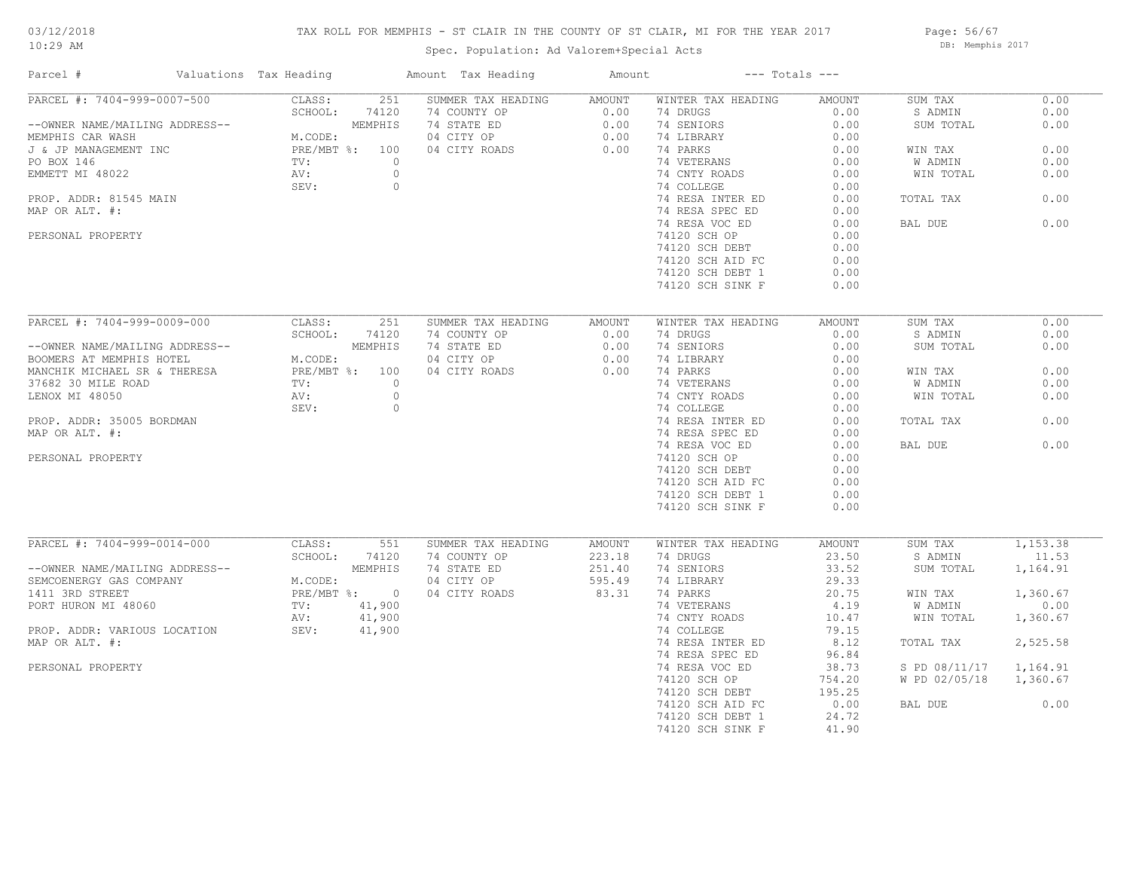# 03/12/2018

## TAX ROLL FOR MEMPHIS - ST CLAIR IN THE COUNTY OF ST CLAIR, MI FOR THE YEAR 2017

10:29 AM

# Spec. Population: Ad Valorem+Special Acts

Page: 56/67 DB: Memphis 2017

| Parcel #                       | Valuations Tax Heading | Amount Tax Heading | Amount |                    | $---$ Totals $---$ |                |          |
|--------------------------------|------------------------|--------------------|--------|--------------------|--------------------|----------------|----------|
| PARCEL #: 7404-999-0007-500    | CLASS:<br>251          | SUMMER TAX HEADING | AMOUNT | WINTER TAX HEADING | AMOUNT             | SUM TAX        | 0.00     |
|                                | SCHOOL:<br>74120       | 74 COUNTY OP       | 0.00   | 74 DRUGS           | 0.00               | S ADMIN        | 0.00     |
| --OWNER NAME/MAILING ADDRESS-- | MEMPHIS                | 74 STATE ED        | 0.00   | 74 SENIORS         | 0.00               | SUM TOTAL      | 0.00     |
| MEMPHIS CAR WASH               | M.CODE:                | 04 CITY OP         | 0.00   | 74 LIBRARY         | 0.00               |                |          |
| J & JP MANAGEMENT INC          | PRE/MBT %: 100         | 04 CITY ROADS      | 0.00   | 74 PARKS           | 0.00               | WIN TAX        | 0.00     |
| PO BOX 146                     | TV:                    | $\Omega$           |        | 74 VETERANS        | 0.00               | <b>W ADMIN</b> | 0.00     |
| EMMETT MI 48022                | AV:                    | $\circ$            |        | 74 CNTY ROADS      | 0.00               | WIN TOTAL      | 0.00     |
|                                | SEV:                   | $\circ$            |        | 74 COLLEGE         | 0.00               |                |          |
| PROP. ADDR: 81545 MAIN         |                        |                    |        | 74 RESA INTER ED   | 0.00               | TOTAL TAX      | 0.00     |
| MAP OR ALT. #:                 |                        |                    |        | 74 RESA SPEC ED    | 0.00               |                |          |
|                                |                        |                    |        | 74 RESA VOC ED     | 0.00               | BAL DUE        | 0.00     |
| PERSONAL PROPERTY              |                        |                    |        | 74120 SCH OP       | 0.00               |                |          |
|                                |                        |                    |        | 74120 SCH DEBT     | 0.00               |                |          |
|                                |                        |                    |        | 74120 SCH AID FC   | 0.00               |                |          |
|                                |                        |                    |        | 74120 SCH DEBT 1   | 0.00               |                |          |
|                                |                        |                    |        | 74120 SCH SINK F   | 0.00               |                |          |
|                                |                        |                    |        |                    |                    |                |          |
| PARCEL #: 7404-999-0009-000    | CLASS:<br>251          | SUMMER TAX HEADING | AMOUNT | WINTER TAX HEADING | AMOUNT             | SUM TAX        | 0.00     |
|                                | SCHOOL:<br>74120       | 74 COUNTY OP       | 0.00   | 74 DRUGS           | 0.00               | S ADMIN        | 0.00     |
| --OWNER NAME/MAILING ADDRESS-- | MEMPHIS                | 74 STATE ED        | 0.00   | 74 SENIORS         | 0.00               | SUM TOTAL      | 0.00     |
| BOOMERS AT MEMPHIS HOTEL       | M.CODE:                | 04 CITY OP         | 0.00   | 74 LIBRARY         | 0.00               |                |          |
| MANCHIK MICHAEL SR & THERESA   | PRE/MBT %: 100         | 04 CITY ROADS      | 0.00   | 74 PARKS           | 0.00               | WIN TAX        | 0.00     |
| 37682 30 MILE ROAD             | TV:                    | $\circ$            |        | 74 VETERANS        | 0.00               | W ADMIN        | 0.00     |
| LENOX MI 48050                 | AV:                    | $\circ$            |        |                    | 0.00               | WIN TOTAL      | 0.00     |
|                                |                        |                    |        | 74 CNTY ROADS      |                    |                |          |
|                                | SEV:                   | $\circ$            |        | 74 COLLEGE         | 0.00               |                |          |
| PROP. ADDR: 35005 BORDMAN      |                        |                    |        | 74 RESA INTER ED   | 0.00               | TOTAL TAX      | 0.00     |
| MAP OR ALT. #:                 |                        |                    |        | 74 RESA SPEC ED    | 0.00               |                |          |
|                                |                        |                    |        | 74 RESA VOC ED     | 0.00               | BAL DUE        | 0.00     |
| PERSONAL PROPERTY              |                        |                    |        | 74120 SCH OP       | 0.00               |                |          |
|                                |                        |                    |        | 74120 SCH DEBT     | 0.00               |                |          |
|                                |                        |                    |        | 74120 SCH AID FC   | 0.00               |                |          |
|                                |                        |                    |        | 74120 SCH DEBT 1   | 0.00               |                |          |
|                                |                        |                    |        | 74120 SCH SINK F   | 0.00               |                |          |
|                                |                        |                    |        |                    |                    |                |          |
| PARCEL #: 7404-999-0014-000    | CLASS:<br>551          | SUMMER TAX HEADING | AMOUNT | WINTER TAX HEADING | AMOUNT             | SUM TAX        | 1,153.38 |
|                                | SCHOOL:<br>74120       | 74 COUNTY OP       | 223.18 | 74 DRUGS           | 23.50              | S ADMIN        | 11.53    |
| --OWNER NAME/MAILING ADDRESS-- | MEMPHIS                | 74 STATE ED        | 251.40 | 74 SENIORS         | 33.52              | SUM TOTAL      | 1,164.91 |
| SEMCOENERGY GAS COMPANY        | M.CODE:                | 04 CITY OP         | 595.49 | 74 LIBRARY         | 29.33              |                |          |
| 1411 3RD STREET                | PRE/MBT %: 0           | 04 CITY ROADS      | 83.31  | 74 PARKS           | 20.75              | WIN TAX        | 1,360.67 |
| PORT HURON MI 48060            | TV:<br>41,900          |                    |        | 74 VETERANS        | 4.19               | W ADMIN        | 0.00     |
|                                | 41,900<br>AV:          |                    |        | 74 CNTY ROADS      | 10.47              | WIN TOTAL      | 1,360.67 |
| PROP. ADDR: VARIOUS LOCATION   | SEV:<br>41,900         |                    |        | 74 COLLEGE         | 79.15              |                |          |
| MAP OR ALT. #:                 |                        |                    |        | 74 RESA INTER ED   | 8.12               | TOTAL TAX      | 2,525.58 |
|                                |                        |                    |        | 74 RESA SPEC ED    | 96.84              |                |          |
| PERSONAL PROPERTY              |                        |                    |        | 74 RESA VOC ED     | 38.73              | S PD 08/11/17  | 1,164.91 |
|                                |                        |                    |        | 74120 SCH OP       | 754.20             | W PD 02/05/18  | 1,360.67 |
|                                |                        |                    |        | 74120 SCH DEBT     | 195.25             |                |          |
|                                |                        |                    |        | 74120 SCH AID FC   | 0.00               | BAL DUE        | 0.00     |
|                                |                        |                    |        | 74120 SCH DEBT 1   | 24.72              |                |          |
|                                |                        |                    |        | 74120 SCH SINK F   | 41.90              |                |          |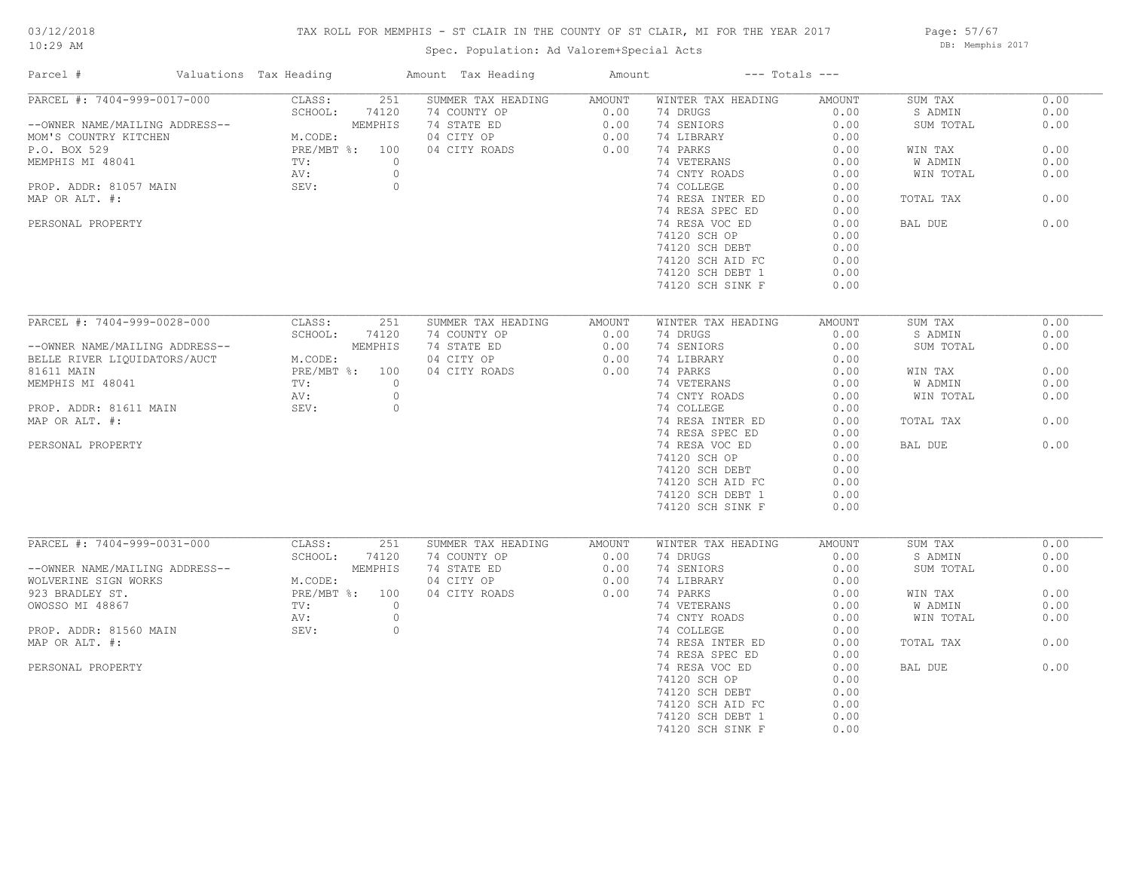#### TAX ROLL FOR MEMPHIS - ST CLAIR IN THE COUNTY OF ST CLAIR, MI FOR THE YEAR 2017

Spec. Population: Ad Valorem+Special Acts

Page: 57/67 DB: Memphis 2017

| Parcel #                                                                                                                                                                                    | Valuations Tax Heading                                                                                                           | Amount Tax Heading                                                               | Amount                                        | $---$ Totals $---$                                                                                                                                                                                                                                                          |                                                                                                                                       |                                                                                            |                                                              |
|---------------------------------------------------------------------------------------------------------------------------------------------------------------------------------------------|----------------------------------------------------------------------------------------------------------------------------------|----------------------------------------------------------------------------------|-----------------------------------------------|-----------------------------------------------------------------------------------------------------------------------------------------------------------------------------------------------------------------------------------------------------------------------------|---------------------------------------------------------------------------------------------------------------------------------------|--------------------------------------------------------------------------------------------|--------------------------------------------------------------|
| PARCEL #: 7404-999-0017-000<br>--OWNER NAME/MAILING ADDRESS--<br>MOM'S COUNTRY KITCHEN<br>P.O. BOX 529<br>MEMPHIS MI 48041<br>PROP. ADDR: 81057 MAIN<br>MAP OR ALT. #:<br>PERSONAL PROPERTY | CLASS:<br>251<br>SCHOOL:<br>74120<br>MEMPHIS<br>M.CODE:<br>PRE/MBT %: 100<br>TV:<br>$\circ$<br>$\circ$<br>AV:<br>$\circ$<br>SEV: | SUMMER TAX HEADING<br>74 COUNTY OP<br>74 STATE ED<br>04 CITY OP<br>04 CITY ROADS | <b>AMOUNT</b><br>0.00<br>0.00<br>0.00<br>0.00 | WINTER TAX HEADING<br>74 DRUGS<br>74 SENIORS<br>74 LIBRARY<br>74 PARKS<br>74 VETERANS<br>74 CNTY ROADS<br>74 COLLEGE<br>74 RESA INTER ED<br>74 RESA SPEC ED<br>74 RESA VOC ED<br>74120 SCH OP<br>74120 SCH DEBT<br>74120 SCH AID FC<br>74120 SCH DEBT 1<br>74120 SCH SINK F | <b>AMOUNT</b><br>0.00<br>0.00<br>0.00<br>0.00<br>0.00<br>0.00<br>0.00<br>0.00<br>0.00<br>0.00<br>0.00<br>0.00<br>0.00<br>0.00<br>0.00 | SUM TAX<br>S ADMIN<br>SUM TOTAL<br>WIN TAX<br>W ADMIN<br>WIN TOTAL<br>TOTAL TAX<br>BAL DUE | 0.00<br>0.00<br>0.00<br>0.00<br>0.00<br>0.00<br>0.00<br>0.00 |
|                                                                                                                                                                                             |                                                                                                                                  |                                                                                  |                                               |                                                                                                                                                                                                                                                                             |                                                                                                                                       |                                                                                            |                                                              |
| PARCEL #: 7404-999-0028-000                                                                                                                                                                 | CLASS:<br>251                                                                                                                    | SUMMER TAX HEADING                                                               | AMOUNT                                        | WINTER TAX HEADING                                                                                                                                                                                                                                                          | AMOUNT                                                                                                                                | SUM TAX                                                                                    | 0.00                                                         |
| --OWNER NAME/MAILING ADDRESS--                                                                                                                                                              | SCHOOL:<br>74120<br>MEMPHIS                                                                                                      | 74 COUNTY OP<br>74 STATE ED                                                      | 0.00<br>0.00                                  | 74 DRUGS<br>74 SENIORS                                                                                                                                                                                                                                                      | 0.00<br>0.00                                                                                                                          | S ADMIN<br>SUM TOTAL                                                                       | 0.00<br>0.00                                                 |
| BELLE RIVER LIQUIDATORS/AUCT                                                                                                                                                                | M.CODE:                                                                                                                          | 04 CITY OP                                                                       | 0.00                                          | 74 LIBRARY                                                                                                                                                                                                                                                                  | 0.00                                                                                                                                  |                                                                                            |                                                              |
| 81611 MAIN                                                                                                                                                                                  | PRE/MBT %: 100                                                                                                                   | 04 CITY ROADS                                                                    | 0.00                                          | 74 PARKS                                                                                                                                                                                                                                                                    | 0.00                                                                                                                                  | WIN TAX                                                                                    | 0.00                                                         |
| MEMPHIS MI 48041                                                                                                                                                                            | TV:<br>$\circ$                                                                                                                   |                                                                                  |                                               | 74 VETERANS                                                                                                                                                                                                                                                                 | 0.00                                                                                                                                  | W ADMIN                                                                                    | 0.00                                                         |
|                                                                                                                                                                                             | AV:<br>$\circ$                                                                                                                   |                                                                                  |                                               | 74 CNTY ROADS                                                                                                                                                                                                                                                               | 0.00                                                                                                                                  | WIN TOTAL                                                                                  | 0.00                                                         |
| PROP. ADDR: 81611 MAIN                                                                                                                                                                      | SEV:<br>$\circ$                                                                                                                  |                                                                                  |                                               | 74 COLLEGE                                                                                                                                                                                                                                                                  | 0.00                                                                                                                                  |                                                                                            |                                                              |
| MAP OR ALT. #:                                                                                                                                                                              |                                                                                                                                  |                                                                                  |                                               | 74 RESA INTER ED                                                                                                                                                                                                                                                            | 0.00                                                                                                                                  | TOTAL TAX                                                                                  | 0.00                                                         |
|                                                                                                                                                                                             |                                                                                                                                  |                                                                                  |                                               | 74 RESA SPEC ED                                                                                                                                                                                                                                                             | 0.00                                                                                                                                  |                                                                                            |                                                              |
| PERSONAL PROPERTY                                                                                                                                                                           |                                                                                                                                  |                                                                                  |                                               | 74 RESA VOC ED                                                                                                                                                                                                                                                              | 0.00                                                                                                                                  | BAL DUE                                                                                    | 0.00                                                         |
|                                                                                                                                                                                             |                                                                                                                                  |                                                                                  |                                               | 74120 SCH OP                                                                                                                                                                                                                                                                | 0.00                                                                                                                                  |                                                                                            |                                                              |
|                                                                                                                                                                                             |                                                                                                                                  |                                                                                  |                                               | 74120 SCH DEBT                                                                                                                                                                                                                                                              | 0.00                                                                                                                                  |                                                                                            |                                                              |
|                                                                                                                                                                                             |                                                                                                                                  |                                                                                  |                                               | 74120 SCH AID FC                                                                                                                                                                                                                                                            | 0.00                                                                                                                                  |                                                                                            |                                                              |
|                                                                                                                                                                                             |                                                                                                                                  |                                                                                  |                                               | 74120 SCH DEBT 1                                                                                                                                                                                                                                                            | 0.00<br>0.00                                                                                                                          |                                                                                            |                                                              |
|                                                                                                                                                                                             |                                                                                                                                  |                                                                                  |                                               | 74120 SCH SINK F                                                                                                                                                                                                                                                            |                                                                                                                                       |                                                                                            |                                                              |
| PARCEL #: 7404-999-0031-000                                                                                                                                                                 | CLASS:<br>251                                                                                                                    | SUMMER TAX HEADING                                                               | AMOUNT                                        | WINTER TAX HEADING                                                                                                                                                                                                                                                          | <b>AMOUNT</b>                                                                                                                         | SUM TAX                                                                                    | 0.00                                                         |
|                                                                                                                                                                                             | SCHOOL:<br>74120                                                                                                                 | 74 COUNTY OP                                                                     | 0.00                                          | 74 DRUGS                                                                                                                                                                                                                                                                    | 0.00                                                                                                                                  | S ADMIN                                                                                    | 0.00                                                         |
| --OWNER NAME/MAILING ADDRESS--                                                                                                                                                              | MEMPHIS                                                                                                                          | 74 STATE ED                                                                      | 0.00                                          | 74 SENIORS                                                                                                                                                                                                                                                                  | 0.00                                                                                                                                  | SUM TOTAL                                                                                  | 0.00                                                         |
| WOLVERINE SIGN WORKS                                                                                                                                                                        | M.CODE:                                                                                                                          | 04 CITY OP                                                                       | 0.00                                          | 74 LIBRARY                                                                                                                                                                                                                                                                  | 0.00                                                                                                                                  |                                                                                            |                                                              |
| 923 BRADLEY ST.<br>OWOSSO MI 48867                                                                                                                                                          | PRE/MBT %: 100<br>TV:<br>$\circ$                                                                                                 | 04 CITY ROADS                                                                    | 0.00                                          | 74 PARKS                                                                                                                                                                                                                                                                    | 0.00<br>0.00                                                                                                                          | WIN TAX<br>W ADMIN                                                                         | 0.00<br>0.00                                                 |
|                                                                                                                                                                                             | $\circ$<br>AV:                                                                                                                   |                                                                                  |                                               | 74 VETERANS<br>74 CNTY ROADS                                                                                                                                                                                                                                                | 0.00                                                                                                                                  | WIN TOTAL                                                                                  | 0.00                                                         |
| PROP. ADDR: 81560 MAIN                                                                                                                                                                      | SEV:<br>$\circ$                                                                                                                  |                                                                                  |                                               | 74 COLLEGE                                                                                                                                                                                                                                                                  | 0.00                                                                                                                                  |                                                                                            |                                                              |
| MAP OR ALT. #:                                                                                                                                                                              |                                                                                                                                  |                                                                                  |                                               | 74 RESA INTER ED                                                                                                                                                                                                                                                            | 0.00                                                                                                                                  | TOTAL TAX                                                                                  | 0.00                                                         |
|                                                                                                                                                                                             |                                                                                                                                  |                                                                                  |                                               | 74 RESA SPEC ED                                                                                                                                                                                                                                                             | 0.00                                                                                                                                  |                                                                                            |                                                              |
| PERSONAL PROPERTY                                                                                                                                                                           |                                                                                                                                  |                                                                                  |                                               | 74 RESA VOC ED                                                                                                                                                                                                                                                              | 0.00                                                                                                                                  | BAL DUE                                                                                    | 0.00                                                         |
|                                                                                                                                                                                             |                                                                                                                                  |                                                                                  |                                               | 74120 SCH OP                                                                                                                                                                                                                                                                | 0.00                                                                                                                                  |                                                                                            |                                                              |
|                                                                                                                                                                                             |                                                                                                                                  |                                                                                  |                                               | 74120 SCH DEBT                                                                                                                                                                                                                                                              | 0.00                                                                                                                                  |                                                                                            |                                                              |
|                                                                                                                                                                                             |                                                                                                                                  |                                                                                  |                                               | 74120 SCH AID FC                                                                                                                                                                                                                                                            | 0.00                                                                                                                                  |                                                                                            |                                                              |
|                                                                                                                                                                                             |                                                                                                                                  |                                                                                  |                                               | 74120 SCH DEBT 1                                                                                                                                                                                                                                                            | 0.00                                                                                                                                  |                                                                                            |                                                              |
|                                                                                                                                                                                             |                                                                                                                                  |                                                                                  |                                               | 74120 SCH SINK F                                                                                                                                                                                                                                                            | 0.00                                                                                                                                  |                                                                                            |                                                              |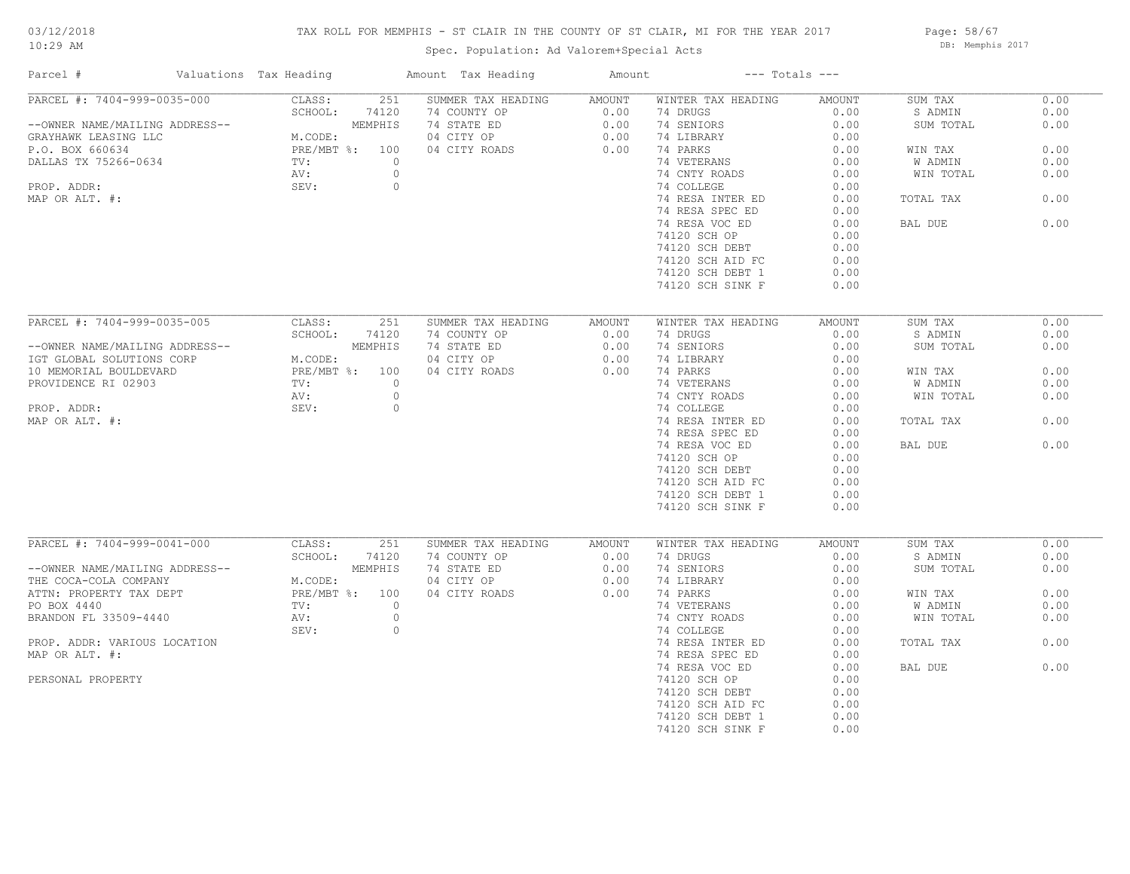## TAX ROLL FOR MEMPHIS - ST CLAIR IN THE COUNTY OF ST CLAIR, MI FOR THE YEAR 2017

Spec. Population: Ad Valorem+Special Acts

Page: 58/67 DB: Memphis 2017

| Parcel #                                      | Valuations Tax Heading    | Amount Tax Heading          | Amount         |                                | $---$ Totals $---$ |                    |              |
|-----------------------------------------------|---------------------------|-----------------------------|----------------|--------------------------------|--------------------|--------------------|--------------|
| PARCEL #: 7404-999-0035-000                   | 251<br>CLASS:             | SUMMER TAX HEADING          | AMOUNT         | WINTER TAX HEADING             | AMOUNT             | SUM TAX            | 0.00         |
|                                               | SCHOOL:<br>74120          | 74 COUNTY OP                | 0.00           | 74 DRUGS                       | 0.00               | S ADMIN            | 0.00         |
| --OWNER NAME/MAILING ADDRESS--                | MEMPHIS                   | 74 STATE ED                 | 0.00           | 74 SENIORS                     | 0.00               | SUM TOTAL          | 0.00         |
| GRAYHAWK LEASING LLC                          | M.CODE:                   | 04 CITY OP                  | 0.00           | 74 LIBRARY                     | 0.00               |                    |              |
| P.O. BOX 660634                               | PRE/MBT %: 100            | 04 CITY ROADS               | 0.00           | 74 PARKS                       | 0.00               | WIN TAX            | 0.00         |
| DALLAS TX 75266-0634                          | TV:                       | $\circ$                     |                | 74 VETERANS                    | 0.00               | W ADMIN            | 0.00         |
|                                               | AV:                       | $\circ$                     |                | 74 CNTY ROADS                  | 0.00               | WIN TOTAL          | 0.00         |
| PROP. ADDR:                                   | SEV:                      | $\circ$                     |                | 74 COLLEGE                     | 0.00               |                    |              |
| MAP OR ALT. #:                                |                           |                             |                | 74 RESA INTER ED               | 0.00               | TOTAL TAX          | 0.00         |
|                                               |                           |                             |                | 74 RESA SPEC ED                | 0.00               |                    |              |
|                                               |                           |                             |                | 74 RESA VOC ED                 | 0.00               | BAL DUE            | 0.00         |
|                                               |                           |                             |                | 74120 SCH OP                   | 0.00               |                    |              |
|                                               |                           |                             |                | 74120 SCH DEBT                 | 0.00               |                    |              |
|                                               |                           |                             |                | 74120 SCH AID FC               | 0.00               |                    |              |
|                                               |                           |                             |                | 74120 SCH DEBT 1               | 0.00               |                    |              |
|                                               |                           |                             |                | 74120 SCH SINK F               | 0.00               |                    |              |
|                                               |                           |                             |                |                                |                    |                    |              |
| PARCEL #: 7404-999-0035-005                   | CLASS:<br>251             | SUMMER TAX HEADING          | AMOUNT         | WINTER TAX HEADING             | <b>AMOUNT</b>      | SUM TAX            | 0.00         |
|                                               | SCHOOL:<br>74120          | 74 COUNTY OP                | 0.00           | 74 DRUGS                       | 0.00               | S ADMIN            | 0.00         |
| --OWNER NAME/MAILING ADDRESS--                | MEMPHIS                   | 74 STATE ED                 | 0.00           | 74 SENIORS                     | 0.00               | SUM TOTAL          | 0.00         |
| IGT GLOBAL SOLUTIONS CORP                     | M.CODE:                   | 04 CITY OP                  | 0.00           | 74 LIBRARY                     | 0.00               |                    |              |
|                                               | PRE/MBT %: 100            | 04 CITY ROADS               | 0.00           | 74 PARKS                       | 0.00               |                    | 0.00         |
| 10 MEMORIAL BOULDEVARD<br>PROVIDENCE RI 02903 | TV:                       | $\circ$                     |                | 74 VETERANS                    | 0.00               | WIN TAX<br>W ADMIN | 0.00         |
|                                               |                           |                             |                |                                |                    |                    |              |
|                                               | AV:                       | $\circ$                     |                | 74 CNTY ROADS                  | 0.00               | WIN TOTAL          | 0.00         |
| PROP. ADDR:                                   | SEV:                      | $\circ$                     |                | 74 COLLEGE                     | 0.00               |                    |              |
| MAP OR ALT. #:                                |                           |                             |                | 74 RESA INTER ED               | 0.00               | TOTAL TAX          | 0.00         |
|                                               |                           |                             |                | 74 RESA SPEC ED                | 0.00               |                    |              |
|                                               |                           |                             |                | 74 RESA VOC ED                 | 0.00               | BAL DUE            | 0.00         |
|                                               |                           |                             |                | 74120 SCH OP                   | 0.00               |                    |              |
|                                               |                           |                             |                | 74120 SCH DEBT                 | 0.00               |                    |              |
|                                               |                           |                             |                | 74120 SCH AID FC               | 0.00               |                    |              |
|                                               |                           |                             |                | 74120 SCH DEBT 1               | 0.00               |                    |              |
|                                               |                           |                             |                | 74120 SCH SINK F               | 0.00               |                    |              |
|                                               |                           |                             |                |                                |                    |                    |              |
| PARCEL #: 7404-999-0041-000                   | CLASS:<br>251<br>SCHOOL:  | SUMMER TAX HEADING          | AMOUNT<br>0.00 | WINTER TAX HEADING<br>74 DRUGS | AMOUNT<br>0.00     | SUM TAX<br>S ADMIN | 0.00<br>0.00 |
|                                               | 74120                     | 74 COUNTY OP                |                |                                |                    |                    |              |
| --OWNER NAME/MAILING ADDRESS--                | MEMPHIS                   | 74 STATE ED                 | 0.00           | 74 SENIORS                     | 0.00<br>0.00       | SUM TOTAL          | 0.00         |
| THE COCA-COLA COMPANY                         | M.CODE:<br>PRE/MBT %: 100 | 04 CITY OP<br>04 CITY ROADS | 0.00<br>0.00   | 74 LIBRARY<br>74 PARKS         | 0.00               |                    | 0.00         |
| ATTN: PROPERTY TAX DEPT                       |                           | $\circ$                     |                |                                |                    | WIN TAX            | 0.00         |
| PO BOX 4440                                   | TV:                       |                             |                | 74 VETERANS                    | 0.00               | W ADMIN            |              |
| BRANDON FL 33509-4440                         | AV:                       | $\circ$                     |                | 74 CNTY ROADS                  | 0.00               | WIN TOTAL          | 0.00         |
|                                               | SEV:                      | $\circ$                     |                | 74 COLLEGE                     | 0.00               |                    |              |
| PROP. ADDR: VARIOUS LOCATION                  |                           |                             |                | 74 RESA INTER ED               | 0.00               | TOTAL TAX          | 0.00         |
| MAP OR ALT. #:                                |                           |                             |                | 74 RESA SPEC ED                | 0.00               |                    |              |
|                                               |                           |                             |                | 74 RESA VOC ED                 | 0.00               | BAL DUE            | 0.00         |
| PERSONAL PROPERTY                             |                           |                             |                | 74120 SCH OP                   | 0.00               |                    |              |
|                                               |                           |                             |                | 74120 SCH DEBT                 | 0.00               |                    |              |
|                                               |                           |                             |                | 74120 SCH AID FC               | 0.00               |                    |              |
|                                               |                           |                             |                | 74120 SCH DEBT 1               | 0.00               |                    |              |
|                                               |                           |                             |                | 74120 SCH SINK F               | 0.00               |                    |              |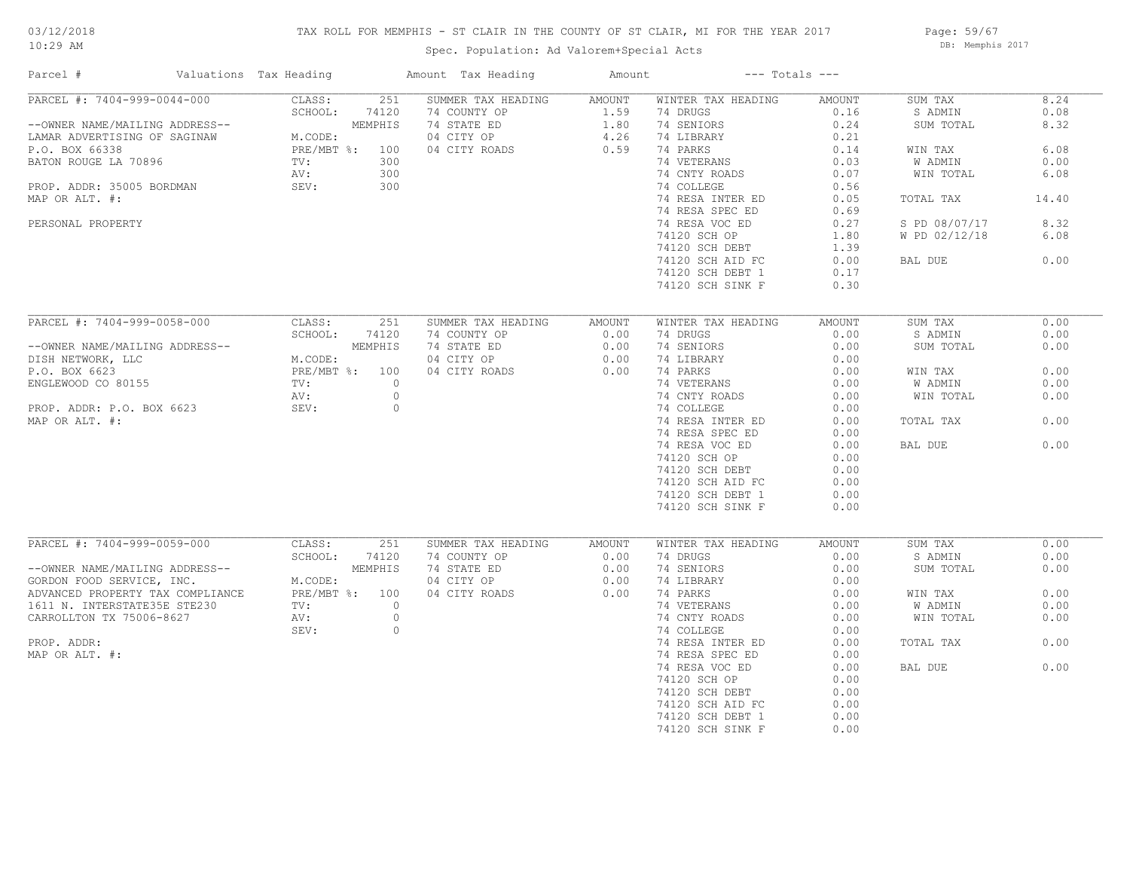## TAX ROLL FOR MEMPHIS - ST CLAIR IN THE COUNTY OF ST CLAIR, MI FOR THE YEAR 2017

Spec. Population: Ad Valorem+Special Acts

Page: 59/67 DB: Memphis 2017

| Parcel #                                                 | Valuations Tax Heading |                           | Amount Tax Heading          | Amount       |                             | $---$ Totals $---$ |               |       |
|----------------------------------------------------------|------------------------|---------------------------|-----------------------------|--------------|-----------------------------|--------------------|---------------|-------|
| PARCEL #: 7404-999-0044-000                              |                        | CLASS:<br>251             | SUMMER TAX HEADING          | AMOUNT       | WINTER TAX HEADING          | AMOUNT             | SUM TAX       | 8.24  |
|                                                          |                        | SCHOOL:<br>74120          | 74 COUNTY OP                | 1.59         | 74 DRUGS                    | 0.16               | S ADMIN       | 0.08  |
| --OWNER NAME/MAILING ADDRESS--                           |                        | MEMPHIS                   | 74 STATE ED                 | 1.80         | 74 SENIORS                  | 0.24               | SUM TOTAL     | 8.32  |
| LAMAR ADVERTISING OF SAGINAW                             |                        | M.CODE:                   | 04 CITY OP                  | 4.26         | 74 LIBRARY                  | 0.21               |               |       |
| P.O. BOX 66338                                           |                        | PRE/MBT %: 100            | 04 CITY ROADS               | 0.59         | 74 PARKS                    | 0.14               | WIN TAX       | 6.08  |
| BATON ROUGE LA 70896                                     |                        | TV:<br>300                |                             |              | 74 VETERANS                 | 0.03               | W ADMIN       | 0.00  |
|                                                          |                        | 300<br>AV:                |                             |              | 74 CNTY ROADS               | 0.07               | WIN TOTAL     | 6.08  |
| PROP. ADDR: 35005 BORDMAN                                |                        | SEV:<br>300               |                             |              | 74 COLLEGE                  | 0.56               |               |       |
| MAP OR ALT. #:                                           |                        |                           |                             |              | 74 RESA INTER ED            | 0.05               | TOTAL TAX     | 14.40 |
|                                                          |                        |                           |                             |              | 74 RESA SPEC ED             | 0.69               |               |       |
| PERSONAL PROPERTY                                        |                        |                           |                             |              | 74 RESA VOC ED              | 0.27               | S PD 08/07/17 | 8.32  |
|                                                          |                        |                           |                             |              | 74120 SCH OP                | 1.80               | W PD 02/12/18 | 6.08  |
|                                                          |                        |                           |                             |              | 74120 SCH DEBT              | 1.39               |               |       |
|                                                          |                        |                           |                             |              | 74120 SCH AID FC            | 0.00               | BAL DUE       | 0.00  |
|                                                          |                        |                           |                             |              | 74120 SCH DEBT 1            | 0.17               |               |       |
|                                                          |                        |                           |                             |              | 74120 SCH SINK F            | 0.30               |               |       |
|                                                          |                        |                           |                             |              |                             |                    |               |       |
| PARCEL #: 7404-999-0058-000                              |                        | 251<br>CLASS:             | SUMMER TAX HEADING          | AMOUNT       | WINTER TAX HEADING          | <b>AMOUNT</b>      | SUM TAX       | 0.00  |
|                                                          |                        | SCHOOL:<br>74120          | 74 COUNTY OP                | 0.00         | 74 DRUGS                    | 0.00               | S ADMIN       | 0.00  |
| --OWNER NAME/MAILING ADDRESS--                           |                        | MEMPHIS                   | 74 STATE ED                 | 0.00         | 74 SENIORS                  | 0.00               | SUM TOTAL     | 0.00  |
| DISH NETWORK, LLC                                        |                        | M.CODE:                   | 04 CITY OP                  | 0.00         | 74 LIBRARY                  | 0.00               |               |       |
| P.O. BOX 6623                                            |                        | PRE/MBT %: 100            | 04 CITY ROADS               | 0.00         | 74 PARKS                    | 0.00               | WIN TAX       | 0.00  |
| ENGLEWOOD CO 80155                                       |                        | TV:<br>$\circ$            |                             |              | 74 VETERANS                 | 0.00               | W ADMIN       | 0.00  |
|                                                          |                        | $\circ$<br>AV:            |                             |              | 74 CNTY ROADS               | 0.00               | WIN TOTAL     | 0.00  |
| PROP. ADDR: P.O. BOX 6623                                |                        | SEV:<br>$\circ$           |                             |              | 74 COLLEGE                  | 0.00               |               |       |
| MAP OR ALT. #:                                           |                        |                           |                             |              | 74 RESA INTER ED            | 0.00               | TOTAL TAX     | 0.00  |
|                                                          |                        |                           |                             |              | 74 RESA SPEC ED             | 0.00               |               |       |
|                                                          |                        |                           |                             |              | 74 RESA VOC ED              | 0.00               | BAL DUE       | 0.00  |
|                                                          |                        |                           |                             |              | 74120 SCH OP                | 0.00               |               |       |
|                                                          |                        |                           |                             |              | 74120 SCH DEBT              | 0.00               |               |       |
|                                                          |                        |                           |                             |              | 74120 SCH AID FC            | 0.00               |               |       |
|                                                          |                        |                           |                             |              | 74120 SCH DEBT 1            | 0.00               |               |       |
|                                                          |                        |                           |                             |              | 74120 SCH SINK F            | 0.00               |               |       |
|                                                          |                        |                           |                             |              |                             |                    |               |       |
|                                                          |                        |                           |                             |              |                             |                    |               |       |
| PARCEL #: 7404-999-0059-000                              |                        | CLASS:<br>251             | SUMMER TAX HEADING          | AMOUNT       | WINTER TAX HEADING          | AMOUNT             | SUM TAX       | 0.00  |
|                                                          |                        | SCHOOL:<br>74120          | 74 COUNTY OP                | 0.00         | 74 DRUGS                    | 0.00               | S ADMIN       | 0.00  |
| --OWNER NAME/MAILING ADDRESS--                           |                        | MEMPHIS                   | 74 STATE ED                 | 0.00         | 74 SENIORS                  | 0.00<br>0.00       | SUM TOTAL     | 0.00  |
| GORDON FOOD SERVICE, INC.                                |                        | M.CODE:<br>PRE/MBT %: 100 | 04 CITY OP<br>04 CITY ROADS | 0.00<br>0.00 | 74 LIBRARY<br>74 PARKS      | 0.00               | WIN TAX       | 0.00  |
| ADVANCED PROPERTY TAX COMPLIANCE                         |                        | $\circ$                   |                             |              |                             |                    |               | 0.00  |
| 1611 N. INTERSTATE35E STE230<br>CARROLLTON TX 75006-8627 |                        | TV:<br>AV:<br>$\circ$     |                             |              | 74 VETERANS                 | 0.00<br>0.00       | W ADMIN       | 0.00  |
|                                                          |                        | SEV:<br>$\circ$           |                             |              | 74 CNTY ROADS<br>74 COLLEGE | 0.00               | WIN TOTAL     |       |
|                                                          |                        |                           |                             |              |                             |                    |               |       |
| PROP. ADDR:                                              |                        |                           |                             |              | 74 RESA INTER ED            | 0.00               | TOTAL TAX     | 0.00  |
| MAP OR ALT. #:                                           |                        |                           |                             |              | 74 RESA SPEC ED             | 0.00               |               |       |
|                                                          |                        |                           |                             |              | 74 RESA VOC ED              | 0.00               | BAL DUE       | 0.00  |
|                                                          |                        |                           |                             |              | 74120 SCH OP                | 0.00               |               |       |
|                                                          |                        |                           |                             |              | 74120 SCH DEBT              | 0.00               |               |       |
|                                                          |                        |                           |                             |              | 74120 SCH AID FC            | 0.00               |               |       |
|                                                          |                        |                           |                             |              | 74120 SCH DEBT 1            | 0.00               |               |       |
|                                                          |                        |                           |                             |              | 74120 SCH SINK F            | 0.00               |               |       |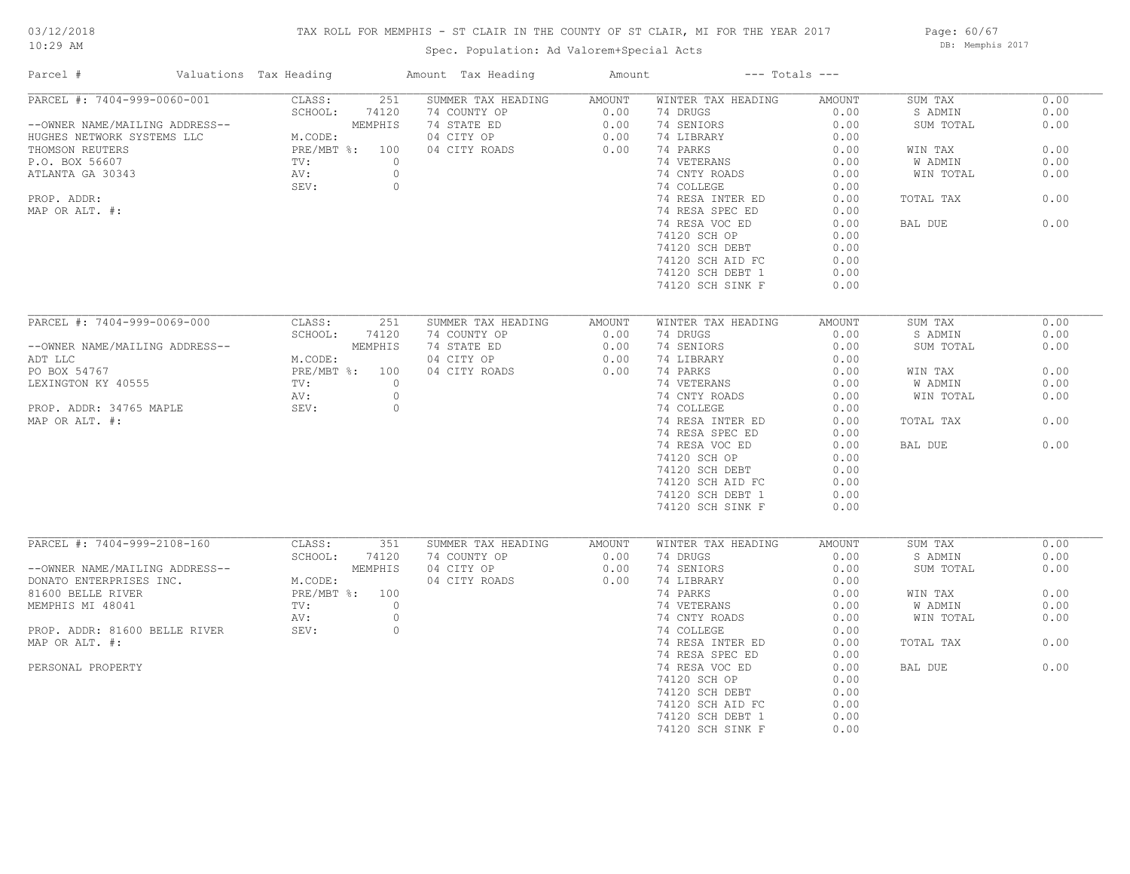## TAX ROLL FOR MEMPHIS - ST CLAIR IN THE COUNTY OF ST CLAIR, MI FOR THE YEAR 2017

Spec. Population: Ad Valorem+Special Acts

Page: 60/67 DB: Memphis 2017

| Parcel #                       | Valuations Tax Heading     | Amount Tax Heading | Amount | $---$ Totals $---$ |               |           |      |
|--------------------------------|----------------------------|--------------------|--------|--------------------|---------------|-----------|------|
| PARCEL #: 7404-999-0060-001    | CLASS:<br>251              | SUMMER TAX HEADING | AMOUNT | WINTER TAX HEADING | AMOUNT        | SUM TAX   | 0.00 |
|                                | SCHOOL:<br>74120           | 74 COUNTY OP       | 0.00   | 74 DRUGS           | 0.00          | S ADMIN   | 0.00 |
| --OWNER NAME/MAILING ADDRESS-- | MEMPHIS                    | 74 STATE ED        | 0.00   | 74 SENIORS         | 0.00          | SUM TOTAL | 0.00 |
| HUGHES NETWORK SYSTEMS LLC     | M.CODE:                    | 04 CITY OP         | 0.00   | 74 LIBRARY         | 0.00          |           |      |
| THOMSON REUTERS                | PRE/MBT %: 100             | 04 CITY ROADS      | 0.00   | 74 PARKS           | 0.00          | WIN TAX   | 0.00 |
| P.O. BOX 56607                 | $\circ$<br>$\texttt{TV}$ : |                    |        | 74 VETERANS        | 0.00          | W ADMIN   | 0.00 |
| ATLANTA GA 30343               | AV:<br>$\circ$             |                    |        | 74 CNTY ROADS      | 0.00          | WIN TOTAL | 0.00 |
|                                | SEV:<br>$\circ$            |                    |        | 74 COLLEGE         | 0.00          |           |      |
| PROP. ADDR:                    |                            |                    |        | 74 RESA INTER ED   | 0.00          | TOTAL TAX | 0.00 |
| MAP OR ALT. #:                 |                            |                    |        | 74 RESA SPEC ED    | 0.00          |           |      |
|                                |                            |                    |        | 74 RESA VOC ED     | 0.00          | BAL DUE   | 0.00 |
|                                |                            |                    |        | 74120 SCH OP       | 0.00          |           |      |
|                                |                            |                    |        | 74120 SCH DEBT     | 0.00          |           |      |
|                                |                            |                    |        |                    |               |           |      |
|                                |                            |                    |        | 74120 SCH AID FC   | 0.00          |           |      |
|                                |                            |                    |        | 74120 SCH DEBT 1   | 0.00          |           |      |
|                                |                            |                    |        | 74120 SCH SINK F   | 0.00          |           |      |
| PARCEL #: 7404-999-0069-000    | CLASS:                     |                    |        |                    |               |           | 0.00 |
|                                | 251                        | SUMMER TAX HEADING | AMOUNT | WINTER TAX HEADING | <b>AMOUNT</b> | SUM TAX   |      |
|                                | SCHOOL:<br>74120           | 74 COUNTY OP       | 0.00   | 74 DRUGS           | 0.00          | S ADMIN   | 0.00 |
| --OWNER NAME/MAILING ADDRESS-- | MEMPHIS                    | 74 STATE ED        | 0.00   | 74 SENIORS         | 0.00          | SUM TOTAL | 0.00 |
| ADT LLC                        | M.CODE:                    | 04 CITY OP         | 0.00   | 74 LIBRARY         | 0.00          |           |      |
| PO BOX 54767                   | PRE/MBT %: 100             | 04 CITY ROADS      | 0.00   | 74 PARKS           | 0.00          | WIN TAX   | 0.00 |
| LEXINGTON KY 40555             | $\texttt{TV}$ :<br>$\circ$ |                    |        | 74 VETERANS        | 0.00          | W ADMIN   | 0.00 |
|                                | AV:<br>$\circ$             |                    |        | 74 CNTY ROADS      | 0.00          | WIN TOTAL | 0.00 |
| PROP. ADDR: 34765 MAPLE        | SEV:<br>$\circ$            |                    |        | 74 COLLEGE         | 0.00          |           |      |
| MAP OR ALT. #:                 |                            |                    |        | 74 RESA INTER ED   | 0.00          | TOTAL TAX | 0.00 |
|                                |                            |                    |        | 74 RESA SPEC ED    | 0.00          |           |      |
|                                |                            |                    |        | 74 RESA VOC ED     | 0.00          | BAL DUE   | 0.00 |
|                                |                            |                    |        | 74120 SCH OP       | 0.00          |           |      |
|                                |                            |                    |        | 74120 SCH DEBT     | 0.00          |           |      |
|                                |                            |                    |        | 74120 SCH AID FC   | 0.00          |           |      |
|                                |                            |                    |        | 74120 SCH DEBT 1   | 0.00          |           |      |
|                                |                            |                    |        | 74120 SCH SINK F   | 0.00          |           |      |
|                                |                            |                    |        |                    |               |           |      |
| PARCEL #: 7404-999-2108-160    | CLASS:<br>351              | SUMMER TAX HEADING | AMOUNT | WINTER TAX HEADING | AMOUNT        | SUM TAX   | 0.00 |
|                                | SCHOOL:<br>74120           | 74 COUNTY OP       | 0.00   | 74 DRUGS           | 0.00          | S ADMIN   | 0.00 |
| --OWNER NAME/MAILING ADDRESS-- | MEMPHIS                    | 04 CITY OP         | 0.00   | 74 SENIORS         | 0.00          | SUM TOTAL | 0.00 |
| DONATO ENTERPRISES INC.        | M.CODE:                    | 04 CITY ROADS      | 0.00   | 74 LIBRARY         | 0.00          |           |      |
| 81600 BELLE RIVER              | PRE/MBT %: 100             |                    |        | 74 PARKS           | 0.00          | WIN TAX   | 0.00 |
| MEMPHIS MI 48041               | $\circ$<br>TV:             |                    |        | 74 VETERANS        | 0.00          | W ADMIN   | 0.00 |
|                                | AV:<br>$\circ$             |                    |        | 74 CNTY ROADS      | 0.00          | WIN TOTAL | 0.00 |
| PROP. ADDR: 81600 BELLE RIVER  | SEV:<br>$\circ$            |                    |        | 74 COLLEGE         | 0.00          |           |      |
| MAP OR ALT. #:                 |                            |                    |        |                    | 0.00          |           | 0.00 |
|                                |                            |                    |        | 74 RESA INTER ED   |               | TOTAL TAX |      |
|                                |                            |                    |        | 74 RESA SPEC ED    | 0.00          |           |      |
| PERSONAL PROPERTY              |                            |                    |        | 74 RESA VOC ED     | 0.00          | BAL DUE   | 0.00 |
|                                |                            |                    |        | 74120 SCH OP       | 0.00          |           |      |
|                                |                            |                    |        | 74120 SCH DEBT     | 0.00          |           |      |
|                                |                            |                    |        | 74120 SCH AID FC   | 0.00          |           |      |
|                                |                            |                    |        | 74120 SCH DEBT 1   | 0.00          |           |      |
|                                |                            |                    |        | 74120 SCH SINK F   | 0.00          |           |      |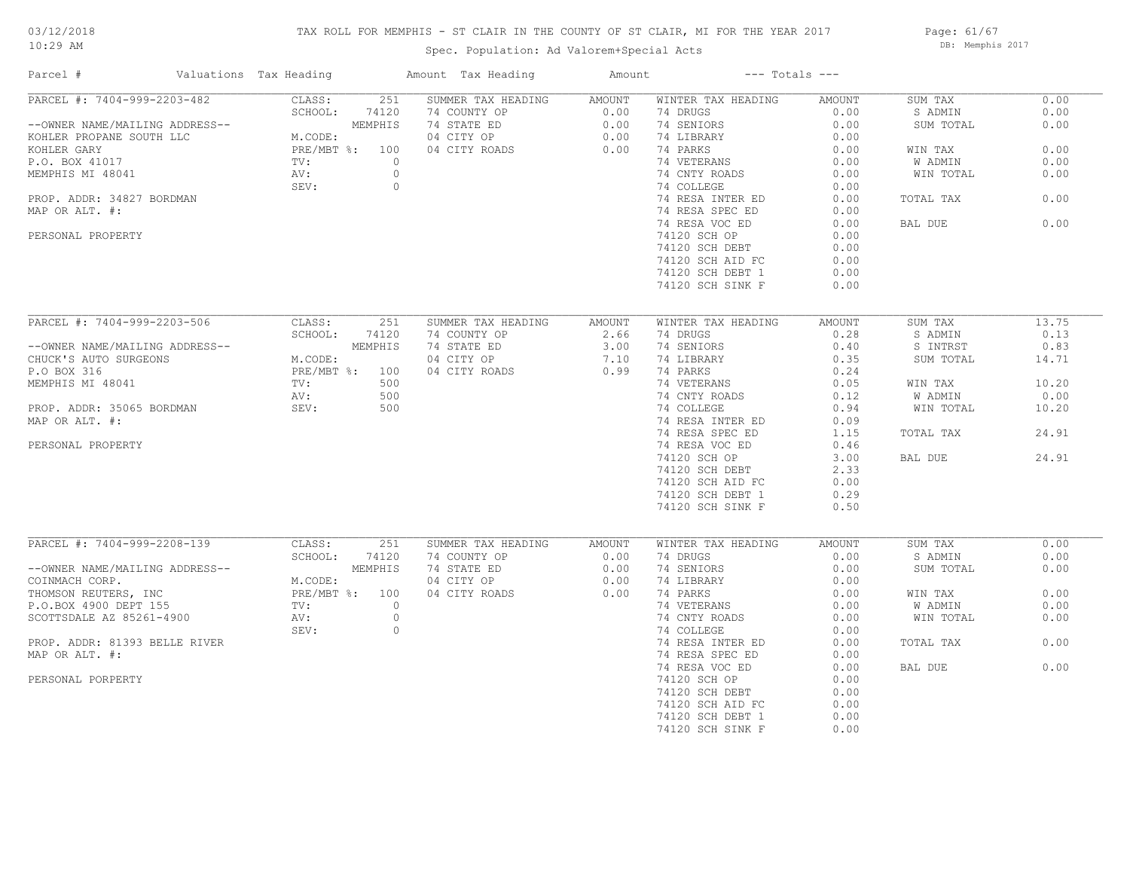# 03/12/2018

## TAX ROLL FOR MEMPHIS - ST CLAIR IN THE COUNTY OF ST CLAIR, MI FOR THE YEAR 2017

10:29 AM

# Spec. Population: Ad Valorem+Special Acts

Page: 61/67 DB: Memphis 2017

| Parcel #                       | Valuations Tax Heading |                | Amount Tax Heading | Amount |                    | $---$ Totals $---$ |           |       |
|--------------------------------|------------------------|----------------|--------------------|--------|--------------------|--------------------|-----------|-------|
| PARCEL #: 7404-999-2203-482    | CLASS:                 | 251            | SUMMER TAX HEADING | AMOUNT | WINTER TAX HEADING | AMOUNT             | SUM TAX   | 0.00  |
|                                | SCHOOL:                | 74120          | 74 COUNTY OP       | 0.00   | 74 DRUGS           | 0.00               | S ADMIN   | 0.00  |
| --OWNER NAME/MAILING ADDRESS-- |                        | MEMPHIS        | 74 STATE ED        | 0.00   | 74 SENIORS         | 0.00               | SUM TOTAL | 0.00  |
| KOHLER PROPANE SOUTH LLC       | M.CODE:                |                | 04 CITY OP         | 0.00   | 74 LIBRARY         | 0.00               |           |       |
| KOHLER GARY                    | PRE/MBT %: 100         |                | 04 CITY ROADS      | 0.00   | 74 PARKS           | 0.00               | WIN TAX   | 0.00  |
| P.O. BOX 41017                 | TV:                    | $\circ$        |                    |        | 74 VETERANS        | 0.00               | W ADMIN   | 0.00  |
| MEMPHIS MI 48041               | AV:                    | $\circ$        |                    |        | 74 CNTY ROADS      | 0.00               | WIN TOTAL | 0.00  |
|                                | SEV:                   | $\circ$        |                    |        | 74 COLLEGE         | 0.00               |           |       |
| PROP. ADDR: 34827 BORDMAN      |                        |                |                    |        | 74 RESA INTER ED   | 0.00               | TOTAL TAX | 0.00  |
| MAP OR ALT. #:                 |                        |                |                    |        | 74 RESA SPEC ED    | 0.00               |           |       |
|                                |                        |                |                    |        | 74 RESA VOC ED     | 0.00               | BAL DUE   | 0.00  |
| PERSONAL PROPERTY              |                        |                |                    |        | 74120 SCH OP       | 0.00               |           |       |
|                                |                        |                |                    |        | 74120 SCH DEBT     | 0.00               |           |       |
|                                |                        |                |                    |        | 74120 SCH AID FC   | 0.00               |           |       |
|                                |                        |                |                    |        |                    |                    |           |       |
|                                |                        |                |                    |        | 74120 SCH DEBT 1   | 0.00               |           |       |
|                                |                        |                |                    |        | 74120 SCH SINK F   | 0.00               |           |       |
|                                |                        |                |                    |        |                    |                    |           |       |
| PARCEL #: 7404-999-2203-506    | CLASS:                 | 251            | SUMMER TAX HEADING | AMOUNT | WINTER TAX HEADING | AMOUNT             | SUM TAX   | 13.75 |
|                                | SCHOOL:                | 74120          | 74 COUNTY OP       | 2.66   | 74 DRUGS           | 0.28               | S ADMIN   | 0.13  |
| --OWNER NAME/MAILING ADDRESS-- |                        | MEMPHIS        | 74 STATE ED        | 3.00   | 74 SENIORS         | 0.40               | S INTRST  | 0.83  |
| CHUCK'S AUTO SURGEONS          | M.CODE:                |                | 04 CITY OP         | 7.10   | 74 LIBRARY         | 0.35               | SUM TOTAL | 14.71 |
| P.O BOX 316                    | PRE/MBT %: 100         |                | 04 CITY ROADS      | 0.99   | 74 PARKS           | 0.24               |           |       |
| MEMPHIS MI 48041               | $\text{TV}$ :          | 500            |                    |        | 74 VETERANS        | 0.05               | WIN TAX   | 10.20 |
|                                | AV:                    | 500            |                    |        | 74 CNTY ROADS      | 0.12               | W ADMIN   | 0.00  |
| PROP. ADDR: 35065 BORDMAN      | SEV:                   | 500            |                    |        | 74 COLLEGE         | 0.94               | WIN TOTAL | 10.20 |
| MAP OR ALT. #:                 |                        |                |                    |        | 74 RESA INTER ED   | 0.09               |           |       |
|                                |                        |                |                    |        | 74 RESA SPEC ED    | 1.15               | TOTAL TAX | 24.91 |
| PERSONAL PROPERTY              |                        |                |                    |        | 74 RESA VOC ED     | 0.46               |           |       |
|                                |                        |                |                    |        |                    | 3.00               | BAL DUE   | 24.91 |
|                                |                        |                |                    |        | 74120 SCH OP       |                    |           |       |
|                                |                        |                |                    |        | 74120 SCH DEBT     | 2.33               |           |       |
|                                |                        |                |                    |        | 74120 SCH AID FC   | 0.00               |           |       |
|                                |                        |                |                    |        | 74120 SCH DEBT 1   | 0.29               |           |       |
|                                |                        |                |                    |        | 74120 SCH SINK F   | 0.50               |           |       |
|                                |                        |                |                    |        |                    |                    |           |       |
| PARCEL #: 7404-999-2208-139    | CLASS:                 | 251            | SUMMER TAX HEADING | AMOUNT | WINTER TAX HEADING | AMOUNT             | SUM TAX   | 0.00  |
|                                | SCHOOL:                | 74120          | 74 COUNTY OP       | 0.00   | 74 DRUGS           | 0.00               | S ADMIN   | 0.00  |
| --OWNER NAME/MAILING ADDRESS-- |                        | MEMPHIS        | 74 STATE ED        | 0.00   | 74 SENIORS         | 0.00               | SUM TOTAL | 0.00  |
| COINMACH CORP.                 | M.CODE:                |                | 04 CITY OP         | 0.00   | 74 LIBRARY         | 0.00               |           |       |
| THOMSON REUTERS, INC           | PRE/MBT %: 100         |                | 04 CITY ROADS      | 0.00   | 74 PARKS           | 0.00               | WIN TAX   | 0.00  |
| P.O.BOX 4900 DEPT 155          | TV:                    | $\overline{0}$ |                    |        | 74 VETERANS        | 0.00               | W ADMIN   | 0.00  |
| SCOTTSDALE AZ 85261-4900       | AV:                    | $\circ$        |                    |        | 74 CNTY ROADS      | 0.00               | WIN TOTAL | 0.00  |
|                                | SEV:                   | $\circ$        |                    |        | 74 COLLEGE         | 0.00               |           |       |
| PROP. ADDR: 81393 BELLE RIVER  |                        |                |                    |        | 74 RESA INTER ED   | 0.00               | TOTAL TAX | 0.00  |
| MAP OR ALT. #:                 |                        |                |                    |        | 74 RESA SPEC ED    | 0.00               |           |       |
|                                |                        |                |                    |        |                    |                    | BAL DUE   | 0.00  |
|                                |                        |                |                    |        | 74 RESA VOC ED     | 0.00               |           |       |
| PERSONAL PORPERTY              |                        |                |                    |        | 74120 SCH OP       | 0.00               |           |       |
|                                |                        |                |                    |        | 74120 SCH DEBT     | 0.00               |           |       |
|                                |                        |                |                    |        | 74120 SCH AID FC   | 0.00               |           |       |
|                                |                        |                |                    |        | 74120 SCH DEBT 1   | 0.00               |           |       |
|                                |                        |                |                    |        | 74120 SCH SINK F   | 0.00               |           |       |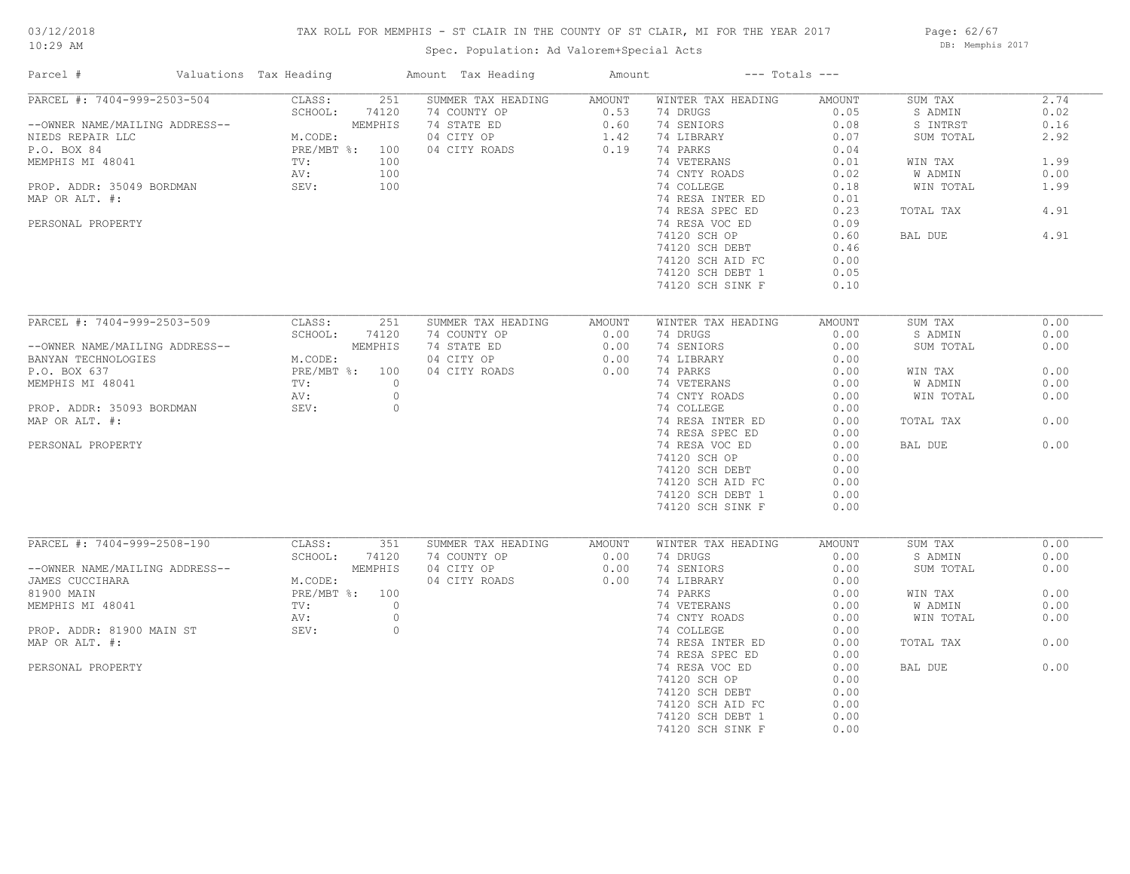## TAX ROLL FOR MEMPHIS - ST CLAIR IN THE COUNTY OF ST CLAIR, MI FOR THE YEAR 2017

Spec. Population: Ad Valorem+Special Acts

Page: 62/67 DB: Memphis 2017

| Parcel #                       | Valuations Tax Heading |         | Amount Tax Heading | Amount |                    | $---$ Totals $---$ |                |      |
|--------------------------------|------------------------|---------|--------------------|--------|--------------------|--------------------|----------------|------|
| PARCEL #: 7404-999-2503-504    | CLASS:                 | 251     | SUMMER TAX HEADING | AMOUNT | WINTER TAX HEADING | AMOUNT             | SUM TAX        | 2.74 |
|                                | SCHOOL:                | 74120   | 74 COUNTY OP       | 0.53   | 74 DRUGS           | 0.05               | S ADMIN        | 0.02 |
| --OWNER NAME/MAILING ADDRESS-- | MEMPHIS                |         | 74 STATE ED        | 0.60   | 74 SENIORS         | 0.08               | S INTRST       | 0.16 |
| NIEDS REPAIR LLC               | M.CODE:                |         | 04 CITY OP         | 1.42   | 74 LIBRARY         | 0.07               | SUM TOTAL      | 2.92 |
| P.O. BOX 84                    | PRE/MBT %: 100         |         | 04 CITY ROADS      | 0.19   | 74 PARKS           | 0.04               |                |      |
| MEMPHIS MI 48041               | TV:                    | 100     |                    |        | 74 VETERANS        | 0.01               | WIN TAX        | 1.99 |
|                                | AV:                    | 100     |                    |        | 74 CNTY ROADS      | 0.02               | <b>W ADMIN</b> | 0.00 |
| PROP. ADDR: 35049 BORDMAN      | SEV:                   | 100     |                    |        | 74 COLLEGE         | 0.18               | WIN TOTAL      | 1.99 |
| MAP OR ALT. #:                 |                        |         |                    |        | 74 RESA INTER ED   | 0.01               |                |      |
|                                |                        |         |                    |        | 74 RESA SPEC ED    | 0.23               | TOTAL TAX      | 4.91 |
| PERSONAL PROPERTY              |                        |         |                    |        | 74 RESA VOC ED     | 0.09               |                |      |
|                                |                        |         |                    |        | 74120 SCH OP       | 0.60               | BAL DUE        | 4.91 |
|                                |                        |         |                    |        | 74120 SCH DEBT     | 0.46               |                |      |
|                                |                        |         |                    |        | 74120 SCH AID FC   | 0.00               |                |      |
|                                |                        |         |                    |        | 74120 SCH DEBT 1   | 0.05               |                |      |
|                                |                        |         |                    |        | 74120 SCH SINK F   | 0.10               |                |      |
|                                |                        |         |                    |        |                    |                    |                |      |
| PARCEL #: 7404-999-2503-509    | CLASS:                 | 251     | SUMMER TAX HEADING | AMOUNT | WINTER TAX HEADING | AMOUNT             | SUM TAX        | 0.00 |
|                                | SCHOOL:                | 74120   | 74 COUNTY OP       | 0.00   | 74 DRUGS           | 0.00               | S ADMIN        | 0.00 |
|                                |                        |         |                    |        |                    |                    |                |      |
| --OWNER NAME/MAILING ADDRESS-- | MEMPHIS                |         | 74 STATE ED        | 0.00   | 74 SENIORS         | 0.00               | SUM TOTAL      | 0.00 |
| BANYAN TECHNOLOGIES            | M.CODE:                |         | 04 CITY OP         | 0.00   | 74 LIBRARY         | 0.00               |                |      |
| P.O. BOX 637                   | PRE/MBT %: 100         |         | 04 CITY ROADS      | 0.00   | 74 PARKS           | 0.00               | WIN TAX        | 0.00 |
| MEMPHIS MI 48041               | TV:                    | $\circ$ |                    |        | 74 VETERANS        | 0.00               | W ADMIN        | 0.00 |
|                                | AV:                    | $\circ$ |                    |        | 74 CNTY ROADS      | 0.00               | WIN TOTAL      | 0.00 |
| PROP. ADDR: 35093 BORDMAN      | SEV:                   | $\circ$ |                    |        | 74 COLLEGE         | 0.00               |                |      |
| MAP OR ALT. #:                 |                        |         |                    |        | 74 RESA INTER ED   | 0.00               | TOTAL TAX      | 0.00 |
|                                |                        |         |                    |        | 74 RESA SPEC ED    | 0.00               |                |      |
| PERSONAL PROPERTY              |                        |         |                    |        | 74 RESA VOC ED     | 0.00               | BAL DUE        | 0.00 |
|                                |                        |         |                    |        | 74120 SCH OP       | 0.00               |                |      |
|                                |                        |         |                    |        | 74120 SCH DEBT     | 0.00               |                |      |
|                                |                        |         |                    |        | 74120 SCH AID FC   | 0.00               |                |      |
|                                |                        |         |                    |        | 74120 SCH DEBT 1   | 0.00               |                |      |
|                                |                        |         |                    |        | 74120 SCH SINK F   | 0.00               |                |      |
|                                |                        |         |                    |        |                    |                    |                |      |
| PARCEL #: 7404-999-2508-190    | CLASS:                 | 351     | SUMMER TAX HEADING | AMOUNT | WINTER TAX HEADING | AMOUNT             | SUM TAX        | 0.00 |
|                                | SCHOOL:                | 74120   | 74 COUNTY OP       | 0.00   | 74 DRUGS           | 0.00               | S ADMIN        | 0.00 |
| --OWNER NAME/MAILING ADDRESS-- | MEMPHIS                |         | 04 CITY OP         | 0.00   | 74 SENIORS         | 0.00               | SUM TOTAL      | 0.00 |
| JAMES CUCCIHARA                | M.CODE:                |         | 04 CITY ROADS      | 0.00   | 74 LIBRARY         | 0.00               |                |      |
| 81900 MAIN                     | PRE/MBT %: 100         |         |                    |        | 74 PARKS           | 0.00               | WIN TAX        | 0.00 |
| MEMPHIS MI 48041               | TV:                    | $\circ$ |                    |        | 74 VETERANS        | 0.00               | W ADMIN        | 0.00 |
|                                | AV:                    | $\circ$ |                    |        | 74 CNTY ROADS      | 0.00               | WIN TOTAL      | 0.00 |
| PROP. ADDR: 81900 MAIN ST      | SEV:                   | $\circ$ |                    |        | 74 COLLEGE         | 0.00               |                |      |
| MAP OR ALT. #:                 |                        |         |                    |        | 74 RESA INTER ED   | 0.00               | TOTAL TAX      | 0.00 |
|                                |                        |         |                    |        | 74 RESA SPEC ED    | 0.00               |                |      |
| PERSONAL PROPERTY              |                        |         |                    |        | 74 RESA VOC ED     | 0.00               | BAL DUE        | 0.00 |
|                                |                        |         |                    |        | 74120 SCH OP       | 0.00               |                |      |
|                                |                        |         |                    |        | 74120 SCH DEBT     | 0.00               |                |      |
|                                |                        |         |                    |        | 74120 SCH AID FC   | 0.00               |                |      |
|                                |                        |         |                    |        | 74120 SCH DEBT 1   | 0.00               |                |      |
|                                |                        |         |                    |        | 74120 SCH SINK F   | 0.00               |                |      |
|                                |                        |         |                    |        |                    |                    |                |      |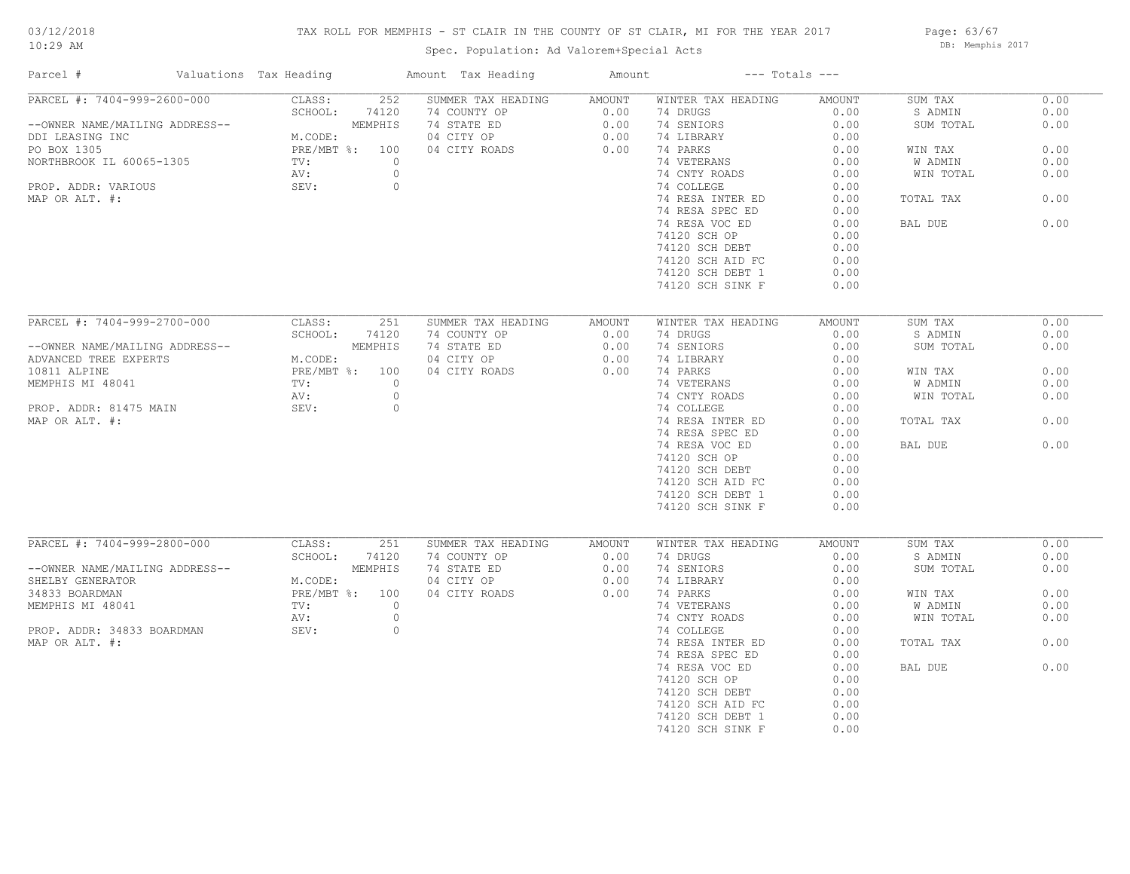## TAX ROLL FOR MEMPHIS - ST CLAIR IN THE COUNTY OF ST CLAIR, MI FOR THE YEAR 2017

Page: 63/67 DB: Memphis 2017

| Parcel #                                                                                                                                                             | Valuations Tax Heading                                                                          | Amount Tax Heading                                                                                                | Amount                                        | $---$ Totals $---$                                                                                                                                                                            |                                                                                                |                                                                                            |                                                              |
|----------------------------------------------------------------------------------------------------------------------------------------------------------------------|-------------------------------------------------------------------------------------------------|-------------------------------------------------------------------------------------------------------------------|-----------------------------------------------|-----------------------------------------------------------------------------------------------------------------------------------------------------------------------------------------------|------------------------------------------------------------------------------------------------|--------------------------------------------------------------------------------------------|--------------------------------------------------------------|
| PARCEL #: 7404-999-2600-000<br>--OWNER NAME/MAILING ADDRESS--<br>DDI LEASING INC<br>PO BOX 1305<br>NORTHBROOK IL 60065-1305<br>PROP. ADDR: VARIOUS<br>MAP OR ALT. #: | CLASS:<br>252<br>SCHOOL:<br>74120<br>MEMPHIS<br>M.CODE:<br>PRE/MBT %: 100<br>TV:<br>AV:<br>SEV: | SUMMER TAX HEADING<br>74 COUNTY OP<br>74 STATE ED<br>04 CITY OP<br>04 CITY ROADS<br>$\circ$<br>$\circ$<br>$\circ$ | <b>AMOUNT</b><br>0.00<br>0.00<br>0.00<br>0.00 | WINTER TAX HEADING<br>74 DRUGS<br>74 SENIORS<br>74 LIBRARY<br>74 PARKS<br>74 VETERANS<br>74 CNTY ROADS<br>74 COLLEGE<br>74 RESA INTER ED<br>74 RESA SPEC ED<br>74 RESA VOC ED<br>74120 SCH OP | AMOUNT<br>0.00<br>0.00<br>0.00<br>0.00<br>0.00<br>0.00<br>0.00<br>0.00<br>0.00<br>0.00<br>0.00 | SUM TAX<br>S ADMIN<br>SUM TOTAL<br>WIN TAX<br>W ADMIN<br>WIN TOTAL<br>TOTAL TAX<br>BAL DUE | 0.00<br>0.00<br>0.00<br>0.00<br>0.00<br>0.00<br>0.00<br>0.00 |
|                                                                                                                                                                      |                                                                                                 |                                                                                                                   |                                               | 74120 SCH DEBT<br>74120 SCH AID FC<br>74120 SCH DEBT 1<br>74120 SCH SINK F                                                                                                                    | 0.00<br>0.00<br>0.00<br>0.00                                                                   |                                                                                            |                                                              |
| PARCEL #: 7404-999-2700-000                                                                                                                                          | CLASS:<br>251                                                                                   | SUMMER TAX HEADING                                                                                                | AMOUNT                                        | WINTER TAX HEADING                                                                                                                                                                            | AMOUNT                                                                                         | SUM TAX                                                                                    | 0.00                                                         |
|                                                                                                                                                                      | SCHOOL:<br>74120                                                                                | 74 COUNTY OP                                                                                                      | 0.00                                          | 74 DRUGS                                                                                                                                                                                      | 0.00                                                                                           | S ADMIN                                                                                    | 0.00                                                         |
| --OWNER NAME/MAILING ADDRESS--                                                                                                                                       | MEMPHIS                                                                                         | 74 STATE ED                                                                                                       | 0.00                                          | 74 SENIORS                                                                                                                                                                                    | 0.00                                                                                           | SUM TOTAL                                                                                  | 0.00                                                         |
| ADVANCED TREE EXPERTS                                                                                                                                                | M.CODE:                                                                                         | 04 CITY OP                                                                                                        | 0.00                                          | 74 LIBRARY                                                                                                                                                                                    | 0.00                                                                                           |                                                                                            |                                                              |
| 10811 ALPINE                                                                                                                                                         | $PRE/MBT$ %:<br>100                                                                             | 04 CITY ROADS                                                                                                     | 0.00                                          | 74 PARKS                                                                                                                                                                                      | 0.00                                                                                           | WIN TAX                                                                                    | 0.00                                                         |
| MEMPHIS MI 48041                                                                                                                                                     | TV:                                                                                             | $\circ$                                                                                                           |                                               | 74 VETERANS                                                                                                                                                                                   | 0.00                                                                                           | W ADMIN                                                                                    | 0.00                                                         |
|                                                                                                                                                                      | AV:                                                                                             | $\circ$<br>$\circ$                                                                                                |                                               | 74 CNTY ROADS                                                                                                                                                                                 | 0.00                                                                                           | WIN TOTAL                                                                                  | 0.00                                                         |
| PROP. ADDR: 81475 MAIN<br>MAP OR ALT. #:                                                                                                                             | SEV:                                                                                            |                                                                                                                   |                                               | 74 COLLEGE<br>74 RESA INTER ED                                                                                                                                                                | 0.00<br>0.00                                                                                   | TOTAL TAX                                                                                  | 0.00                                                         |
|                                                                                                                                                                      |                                                                                                 |                                                                                                                   |                                               | 74 RESA SPEC ED                                                                                                                                                                               | 0.00                                                                                           |                                                                                            |                                                              |
|                                                                                                                                                                      |                                                                                                 |                                                                                                                   |                                               | 74 RESA VOC ED                                                                                                                                                                                | 0.00                                                                                           | BAL DUE                                                                                    | 0.00                                                         |
|                                                                                                                                                                      |                                                                                                 |                                                                                                                   |                                               | 74120 SCH OP                                                                                                                                                                                  | 0.00                                                                                           |                                                                                            |                                                              |
|                                                                                                                                                                      |                                                                                                 |                                                                                                                   |                                               | 74120 SCH DEBT                                                                                                                                                                                | 0.00                                                                                           |                                                                                            |                                                              |
|                                                                                                                                                                      |                                                                                                 |                                                                                                                   |                                               | 74120 SCH AID FC                                                                                                                                                                              | 0.00                                                                                           |                                                                                            |                                                              |
|                                                                                                                                                                      |                                                                                                 |                                                                                                                   |                                               | 74120 SCH DEBT 1                                                                                                                                                                              | 0.00                                                                                           |                                                                                            |                                                              |
|                                                                                                                                                                      |                                                                                                 |                                                                                                                   |                                               | 74120 SCH SINK F                                                                                                                                                                              | 0.00                                                                                           |                                                                                            |                                                              |
|                                                                                                                                                                      |                                                                                                 |                                                                                                                   |                                               |                                                                                                                                                                                               |                                                                                                |                                                                                            |                                                              |
| PARCEL #: 7404-999-2800-000                                                                                                                                          | CLASS:<br>251<br>SCHOOL:<br>74120                                                               | SUMMER TAX HEADING<br>74 COUNTY OP                                                                                | <b>AMOUNT</b><br>0.00                         | WINTER TAX HEADING<br>74 DRUGS                                                                                                                                                                | AMOUNT<br>0.00                                                                                 | SUM TAX<br>S ADMIN                                                                         | 0.00<br>0.00                                                 |
| --OWNER NAME/MAILING ADDRESS--                                                                                                                                       | MEMPHIS                                                                                         | 74 STATE ED                                                                                                       | 0.00                                          | 74 SENIORS                                                                                                                                                                                    | 0.00                                                                                           | SUM TOTAL                                                                                  | 0.00                                                         |
| SHELBY GENERATOR                                                                                                                                                     | M.CODE:                                                                                         | 04 CITY OP                                                                                                        | 0.00                                          | 74 LIBRARY                                                                                                                                                                                    | 0.00                                                                                           |                                                                                            |                                                              |
| 34833 BOARDMAN                                                                                                                                                       | PRE/MBT %: 100                                                                                  | 04 CITY ROADS                                                                                                     | 0.00                                          | 74 PARKS                                                                                                                                                                                      | 0.00                                                                                           | WIN TAX                                                                                    | 0.00                                                         |
| MEMPHIS MI 48041                                                                                                                                                     | TV:                                                                                             | $\circ$                                                                                                           |                                               | 74 VETERANS                                                                                                                                                                                   | 0.00                                                                                           | W ADMIN                                                                                    | 0.00                                                         |
|                                                                                                                                                                      | AV:                                                                                             | $\circ$                                                                                                           |                                               | 74 CNTY ROADS                                                                                                                                                                                 | 0.00                                                                                           | WIN TOTAL                                                                                  | 0.00                                                         |
| PROP. ADDR: 34833 BOARDMAN                                                                                                                                           | SEV:                                                                                            | $\circ$                                                                                                           |                                               | 74 COLLEGE                                                                                                                                                                                    | 0.00                                                                                           |                                                                                            |                                                              |
| MAP OR ALT. #:                                                                                                                                                       |                                                                                                 |                                                                                                                   |                                               | 74 RESA INTER ED                                                                                                                                                                              | 0.00                                                                                           | TOTAL TAX                                                                                  | 0.00                                                         |
|                                                                                                                                                                      |                                                                                                 |                                                                                                                   |                                               | 74 RESA SPEC ED                                                                                                                                                                               | 0.00                                                                                           |                                                                                            |                                                              |
|                                                                                                                                                                      |                                                                                                 |                                                                                                                   |                                               | 74 RESA VOC ED                                                                                                                                                                                | 0.00                                                                                           | BAL DUE                                                                                    | 0.00                                                         |
|                                                                                                                                                                      |                                                                                                 |                                                                                                                   |                                               | 74120 SCH OP                                                                                                                                                                                  | 0.00                                                                                           |                                                                                            |                                                              |
|                                                                                                                                                                      |                                                                                                 |                                                                                                                   |                                               | 74120 SCH DEBT                                                                                                                                                                                | 0.00                                                                                           |                                                                                            |                                                              |
|                                                                                                                                                                      |                                                                                                 |                                                                                                                   |                                               | 74120 SCH AID FC                                                                                                                                                                              | 0.00                                                                                           |                                                                                            |                                                              |
|                                                                                                                                                                      |                                                                                                 |                                                                                                                   |                                               | 74120 SCH DEBT 1                                                                                                                                                                              | 0.00                                                                                           |                                                                                            |                                                              |
|                                                                                                                                                                      |                                                                                                 |                                                                                                                   |                                               | 74120 SCH SINK F                                                                                                                                                                              | 0.00                                                                                           |                                                                                            |                                                              |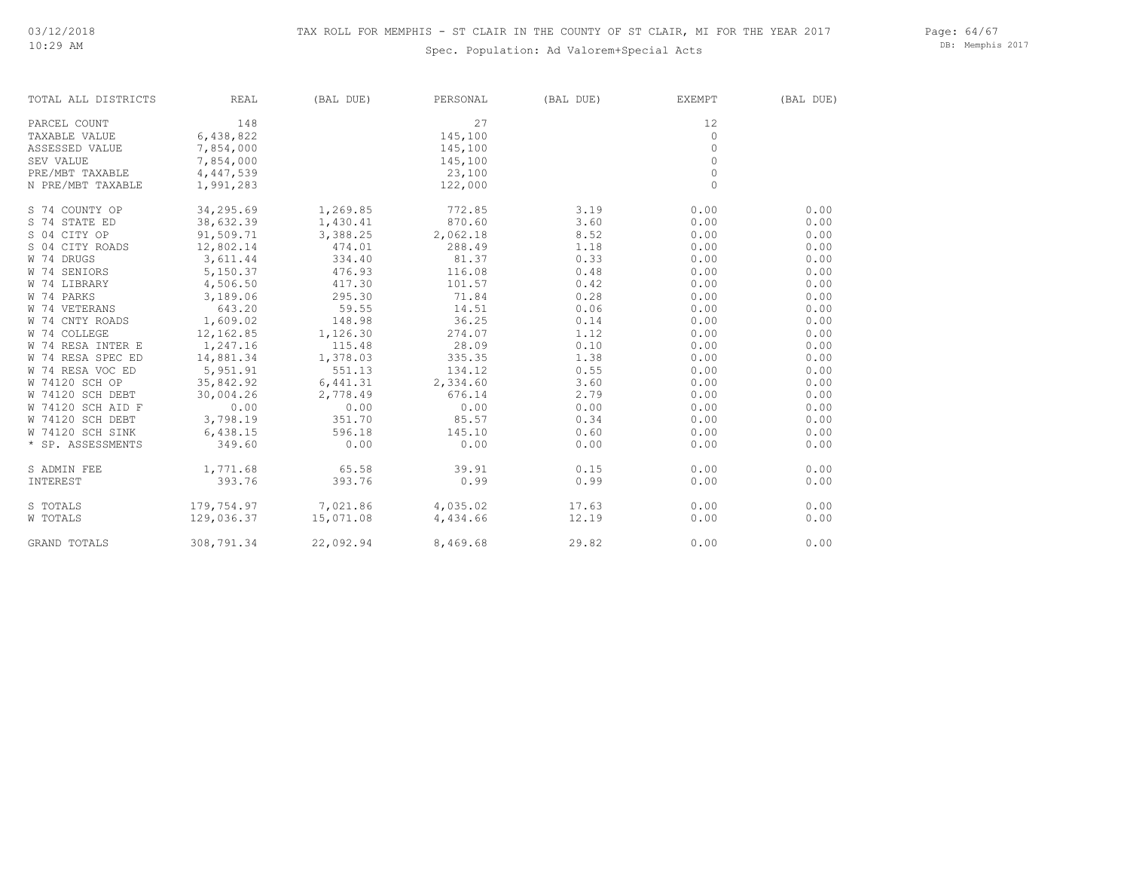## Spec. Population: Ad Valorem+Special Acts

Page: 64/67 DB: Memphis 2017

| TOTAL ALL DISTRICTS              | REAL       | (BAL DUE)                             | PERSONAL | (BAL DUE) | EXEMPT   | (BAL DUE) |
|----------------------------------|------------|---------------------------------------|----------|-----------|----------|-----------|
| PARCEL COUNT                     | 148        |                                       | 27       |           | 12       |           |
| TAXABLE VALUE                    | 6,438,822  |                                       | 145,100  |           | $\circ$  |           |
| ASSESSED VALUE                   | 7,854,000  |                                       | 145,100  |           | $\circ$  |           |
| SEV VALUE                        | 7,854,000  |                                       | 145,100  |           | $\Omega$ |           |
| PRE/MBT TAXABLE                  | 4,447,539  |                                       | 23,100   |           | $\circ$  |           |
| N PRE/MBT TAXABLE                | 1,991,283  |                                       | 122,000  |           | $\circ$  |           |
| S 74 COUNTY OP                   | 34,295.69  | 1,269.85                              | 772.85   | 3.19      | 0.00     | 0.00      |
| S 74 STATE ED                    | 38,632.39  | 1,430.41                              | 870.60   | 3.60      | 0.00     | 0.00      |
| S 04 CITY OP                     | 91,509.71  | 3,388.25                              | 2,062.18 | 8.52      | 0.00     | 0.00      |
| S 04 CITY ROADS                  | 12,802.14  | 474.01                                | 288.49   | 1.18      | 0.00     | 0.00      |
| W 74 DRUGS                       | 3,611.44   | 334.40                                | 81.37    | 0.33      | 0.00     | 0.00      |
| W 74 SENIORS                     | 5,150.37   | 476.93                                | 116.08   | 0.48      | 0.00     | 0.00      |
| W 74 LIBRARY                     | 4,506.50   | 417.30                                | 101.57   | 0.42      | 0.00     | 0.00      |
| W 74 PARKS                       | 3,189.06   | 295.30                                | 71.84    | 0.28      | 0.00     | 0.00      |
| W 74 VETERANS                    | 643.20     | 59.55                                 | 14.51    | 0.06      | 0.00     | 0.00      |
| W 74 CNTY ROADS                  | 1,609.02   | 148.98                                | 36.25    | 0.14      | 0.00     | 0.00      |
| W 74 COLLEGE                     | 12,162.85  | 1,126.30                              | 274.07   | 1.12      | 0.00     | 0.00      |
| W 74 RESA INTER E                | 1,247.16   | 115.48                                | 28.09    | 0.10      | 0.00     | 0.00      |
| W 74 RESA SPEC ED                | 14,881.34  | 1,378.03                              | 335.35   | 1.38      | 0.00     | 0.00      |
| W 74 RESA VOC ED                 | 5,951.91   | 551.13                                | 134.12   | 0.55      | 0.00     | 0.00      |
| W 74120 SCH OP                   | 35,842.92  | 6,441.31                              | 2,334.60 | 3.60      | 0.00     | 0.00      |
| W 74120 SCH DEBT                 | 30,004.26  | 2,778.49                              | 676.14   | 2.79      | 0.00     | 0.00      |
| W 74120 SCH AID F                | 0.00       | 0.00                                  | 0.00     | 0.00      | 0.00     | 0.00      |
| W 74120 SCH DEBT 3,798.19 351.70 |            |                                       | 85.57    | 0.34      | 0.00     | 0.00      |
| W 74120 SCH SINK                 | 6,438.15   | 596.18                                | 145.10   | 0.60      | 0.00     | 0.00      |
| * SP. ASSESSMENTS                | 349.60     | 0.00                                  | 0.00     | 0.00      | 0.00     | 0.00      |
| S ADMIN FEE                      |            | $1,771.68$ 65.58 39.91                |          | 0.15      | 0.00     | 0.00      |
| INTEREST                         | 393.76     | 393.76                                | 0.99     | 0.99      | 0.00     | 0.00      |
| S TOTALS                         |            | $179, 754.97$ $7, 021.86$ $4, 035.02$ |          | 17.63     | 0.00     | 0.00      |
| W TOTALS                         |            | 129,036.37    15,071.08    4,434.66   |          | 12.19     | 0.00     | 0.00      |
| GRAND TOTALS                     | 308,791.34 | 22,092.94                             | 8,469.68 | 29.82     | 0.00     | 0.00      |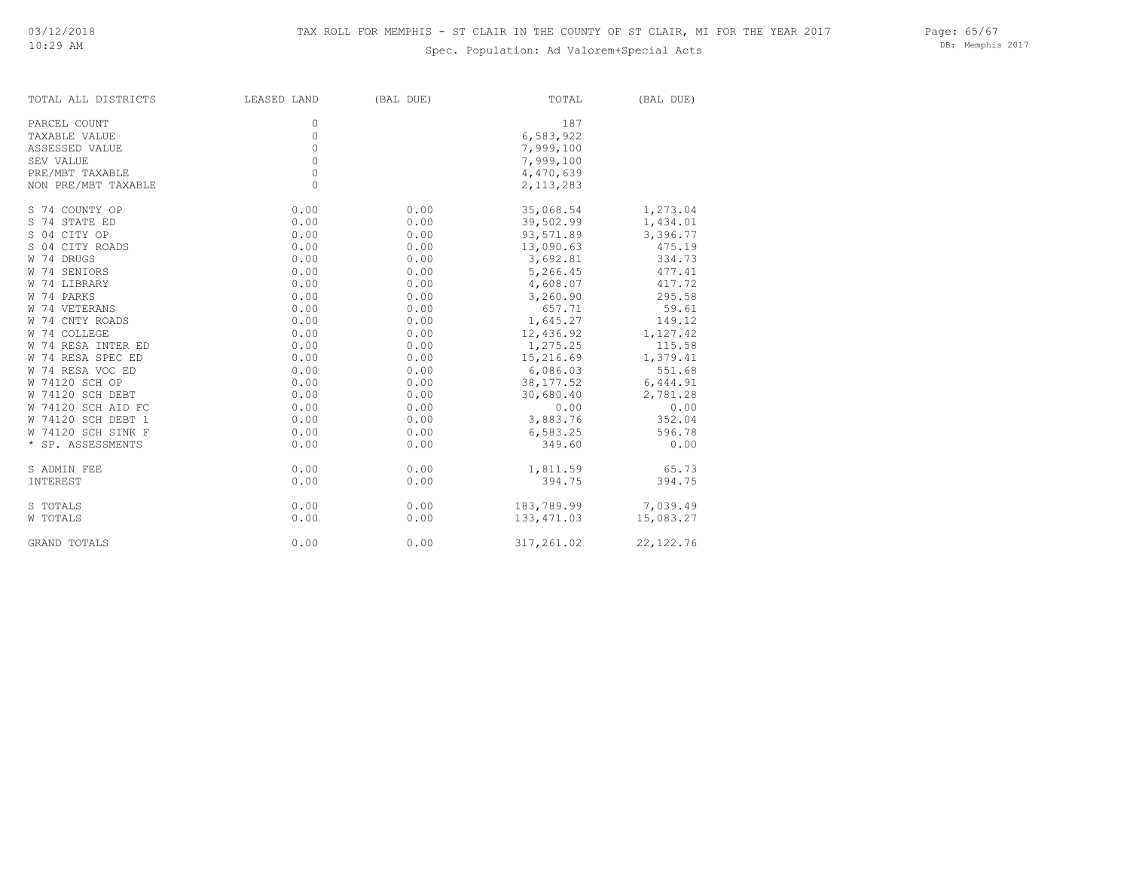## Spec. Population: Ad Valorem+Special Acts

DB: Memphis 2017

| TOTAL ALL DISTRICTS | LEASED LAND | (BAL DUE) | TOTAL       | (BAL DUE)  |
|---------------------|-------------|-----------|-------------|------------|
| PARCEL COUNT        | 0           |           | 187         |            |
| TAXABLE VALUE       | 0           |           | 6,583,922   |            |
| ASSESSED VALUE      | $\circ$     |           | 7,999,100   |            |
| SEV VALUE           | $\circ$     |           | 7,999,100   |            |
| PRE/MBT TAXABLE     | $\circ$     |           | 4,470,639   |            |
| NON PRE/MBT TAXABLE | $\circ$     |           | 2, 113, 283 |            |
| S 74 COUNTY OP      | 0.00        | 0.00      | 35,068.54   | 1,273.04   |
| S 74 STATE ED       | 0.00        | 0.00      | 39,502.99   | 1,434.01   |
| S 04 CITY OP        | 0.00        | 0.00      | 93,571.89   | 3,396.77   |
| S 04 CITY ROADS     | 0.00        | 0.00      | 13,090.63   | 475.19     |
| W 74 DRUGS          | 0.00        | 0.00      | 3,692.81    | 334.73     |
| W 74 SENIORS        | 0.00        | 0.00      | 5,266.45    | 477.41     |
| W 74 LIBRARY        | 0.00        | 0.00      | 4,608.07    | 417.72     |
| W 74 PARKS          | 0.00        | 0.00      | 3,260.90    | 295.58     |
| W 74 VETERANS       | 0.00        | 0.00      | 657.71      | 59.61      |
| W 74 CNTY ROADS     | 0.00        | 0.00      | 1,645.27    | 149.12     |
| W 74 COLLEGE        | 0.00        | 0.00      | 12,436.92   | 1,127.42   |
| W 74 RESA INTER ED  | 0.00        | 0.00      | 1,275.25    | 115.58     |
| W 74 RESA SPEC ED   | 0.00        | 0.00      | 15,216.69   | 1,379.41   |
| W 74 RESA VOC ED    | 0.00        | 0.00      | 6,086.03    | 551.68     |
| W 74120 SCH OP      | 0.00        | 0.00      | 38, 177.52  | 6,444.91   |
| W 74120 SCH DEBT    | 0.00        | 0.00      | 30,680.40   | 2,781.28   |
| W 74120 SCH AID FC  | 0.00        | 0.00      | 0.00        | 0.00       |
| W 74120 SCH DEBT 1  | 0.00        | 0.00      | 3,883.76    | 352.04     |
| W 74120 SCH SINK F  | 0.00        | 0.00      | 6,583.25    | 596.78     |
| * SP. ASSESSMENTS   | 0.00        | 0.00      | 349.60      | 0.00       |
| S ADMIN FEE         | 0.00        | 0.00      | 1,811.59    | 65.73      |
| INTEREST            | 0.00        | 0.00      | 394.75      | 394.75     |
| S TOTALS            | 0.00        | 0.00      | 183,789.99  | 7,039.49   |
| W TOTALS            | 0.00        | 0.00      | 133, 471.03 | 15,083.27  |
| <b>GRAND TOTALS</b> | 0.00        | 0.00      | 317,261.02  | 22, 122.76 |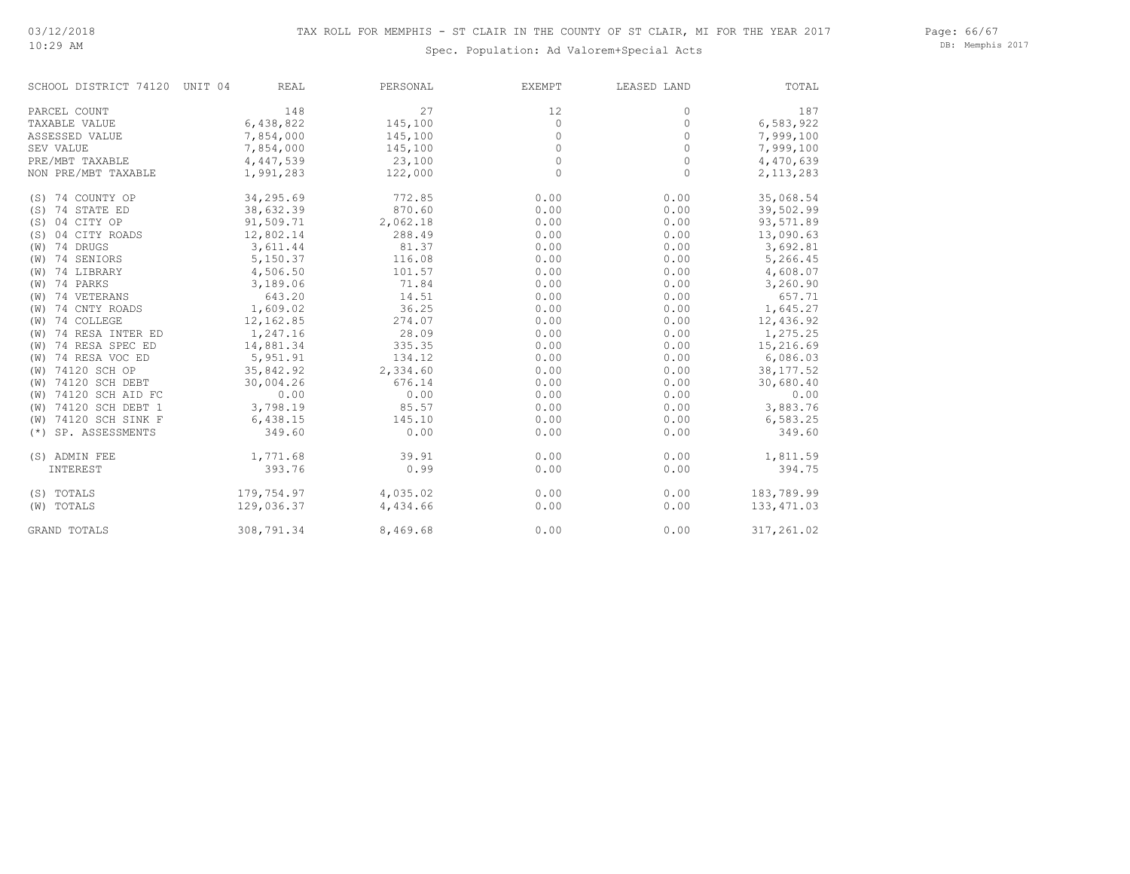#### 10:29 AM

Spec. Population: Ad Valorem+Special Acts

Page: 66/67 DB: Memphis 2017

| SCHOOL DISTRICT 74120    | UNIT 04<br><b>REAL</b> | PERSONAL | <b>EXEMPT</b> | LEASED LAND | TOTAL       |
|--------------------------|------------------------|----------|---------------|-------------|-------------|
| PARCEL COUNT             | 148                    | 27       | 12            | 0           | 187         |
| TAXABLE VALUE            | 6,438,822              | 145,100  | $\Omega$      | $\Omega$    | 6,583,922   |
| ASSESSED VALUE           | 7,854,000              | 145,100  | 0             | 0           | 7,999,100   |
| SEV VALUE                | 7,854,000              | 145,100  | 0             | $\Omega$    | 7,999,100   |
| PRE/MBT TAXABLE          | 4,447,539              | 23,100   | 0             | 0           | 4,470,639   |
| NON PRE/MBT TAXABLE      | 1,991,283              | 122,000  | $\Omega$      | $\Omega$    | 2, 113, 283 |
| (S) 74 COUNTY OP         | 34,295.69              | 772.85   | 0.00          | 0.00        | 35,068.54   |
| (S) 74 STATE ED          | 38,632.39              | 870.60   | 0.00          | 0.00        | 39,502.99   |
| 04 CITY OP<br>(S)        | 91,509.71              | 2,062.18 | 0.00          | 0.00        | 93,571.89   |
| 04 CITY ROADS<br>(S)     | 12,802.14              | 288.49   | 0.00          | 0.00        | 13,090.63   |
| (W) 74 DRUGS             | 3,611.44               | 81.37    | 0.00          | 0.00        | 3,692.81    |
| (W) 74 SENIORS           | 5,150.37               | 116.08   | 0.00          | 0.00        | 5,266.45    |
| (W) 74 LIBRARY           | 4,506.50               | 101.57   | 0.00          | 0.00        | 4,608.07    |
| (W) 74 PARKS             | 3,189.06               | 71.84    | 0.00          | 0.00        | 3,260.90    |
| (W) 74 VETERANS          | 643.20                 | 14.51    | 0.00          | 0.00        | 657.71      |
| 74 CNTY ROADS<br>(W)     | 1,609.02               | 36.25    | 0.00          | 0.00        | 1,645.27    |
| 74 COLLEGE<br>(W)        | 12,162.85              | 274.07   | 0.00          | 0.00        | 12,436.92   |
| 74 RESA INTER ED<br>(W)  | 1,247.16               | 28.09    | 0.00          | 0.00        | 1,275.25    |
| 74 RESA SPEC ED<br>(W)   | 14,881.34              | 335.35   | 0.00          | 0.00        | 15,216.69   |
| 74 RESA VOC ED<br>(W)    | 5,951.91               | 134.12   | 0.00          | 0.00        | 6,086.03    |
| (W) 74120 SCH OP         | 35,842.92              | 2,334.60 | 0.00          | 0.00        | 38, 177.52  |
| (W) 74120 SCH DEBT       | 30,004.26              | 676.14   | 0.00          | 0.00        | 30,680.40   |
| (W) 74120 SCH AID FC     | 0.00                   | 0.00     | 0.00          | 0.00        | 0.00        |
| (W) 74120 SCH DEBT 1     | 3,798.19               | 85.57    | 0.00          | 0.00        | 3,883.76    |
| (W) 74120 SCH SINK F     | 6,438.15               | 145.10   | 0.00          | 0.00        | 6,583.25    |
| SP. ASSESSMENTS<br>$(*)$ | 349.60                 | 0.00     | 0.00          | 0.00        | 349.60      |
| (S) ADMIN FEE            | 1,771.68               | 39.91    | 0.00          | 0.00        | 1,811.59    |
| INTEREST                 | 393.76                 | 0.99     | 0.00          | 0.00        | 394.75      |
| (S) TOTALS               | 179,754.97             | 4,035.02 | 0.00          | 0.00        | 183,789.99  |
| (W) TOTALS               | 129,036.37             | 4,434.66 | 0.00          | 0.00        | 133, 471.03 |
| <b>GRAND TOTALS</b>      | 308,791.34             | 8,469.68 | 0.00          | 0.00        | 317,261.02  |